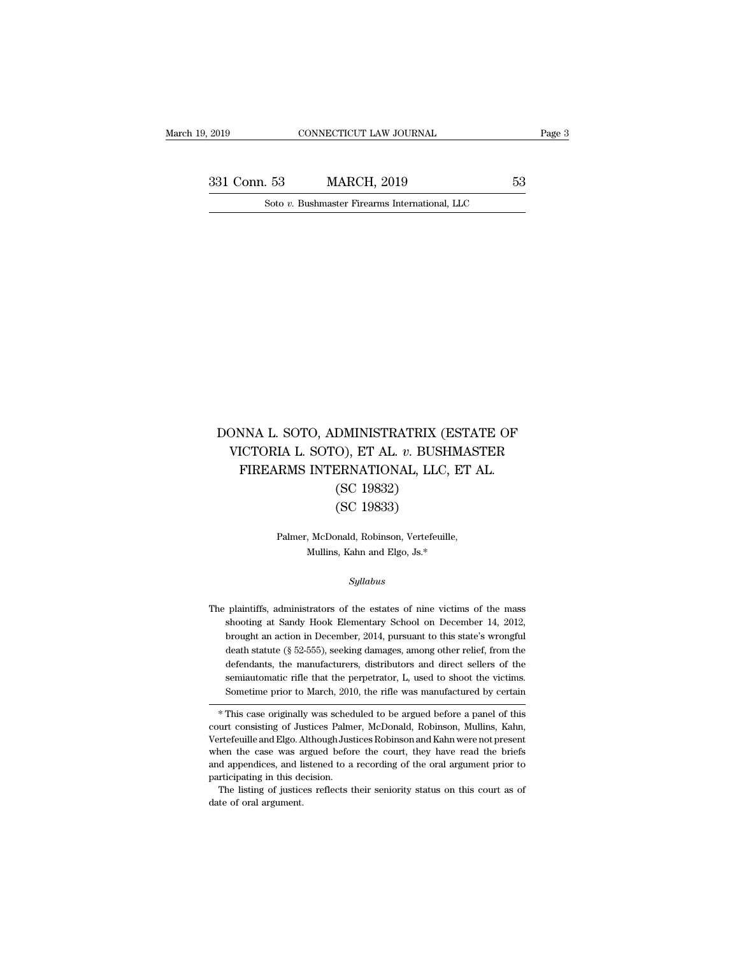2019 CONNECTICUT LAW JOURNAL Page 3<br>331 Conn. 53 MARCH, 2019 53<br>53 Soto v. Bushmaster Firearms International, LLC CONNECTICUT LAW JOURNAL<br>
53 MARCH, 2019 53<br>
Soto *v*. Bushmaster Firearms International, LLC

### DONNA L. SOTO, ADMINISTRATRIX (ESTATE OF VICTORIA L. SOTO), ET AL.  $v.$  BUSHMASTER ONNA L. SOTO, ADMINISTRATRIX (ESTATE OF VICTORIA L. SOTO), ET AL. *v*. BUSHMASTER FIREARMS INTERNATIONAL, LLC, ET AL. NNA L. SOTO, ADMINISTRATRIX (ESTATE OF ICTORIA L. SOTO), ET AL.  $v$ . BUSHMASTER FIREARMS INTERNATIONAL, LLC, ET AL. (SC 19832) DMINISTRATRIX (<br>O), ET AL. *v*. BUSI<br>ERNATIONAL, LLC<br>(SC 19832)<br>(SC 19833) DMINISTRATRIX (<br>O), ET AL. *v*. BUSI<br>ERNATIONAL, LLC<br>(SC 19832)<br>(SC 19833)<br><sup>mald</sup> Robinson Vertefeui

FIREARMS INTERNATIONAL, LLC, ET AL.<br>
(SC 19832)<br>
(SC 19833)<br>
Palmer, McDonald, Robinson, Vertefeuille,<br>
Mullins, Kahn and Elgo, Js.\* Palmer, McDonald, Robinson, Vertefeuille,

### *Syllabus*

Palmer, McDonald, Robinson, Verteteuille,<br>Mullins, Kahn and Elgo, Js.\*<br>Syllabus<br>The plaintiffs, administrators of the estates of nine victims of the mass<br>shooting at Sandy Hook Elementary School on December 14, 2012, Mullins, Kahn and Elgo, Js.\*<br>Syllabus<br>plaintiffs, administrators of the estates of nine victims of the mass<br>shooting at Sandy Hook Elementary School on December 14, 2012,<br>brought an action in December, 2014, pursuant to th  $Syllabus$ <br>plaintiffs, administrators of the estates of nine victims of the mass<br>shooting at Sandy Hook Elementary School on December 14, 2012,<br>brought an action in December, 2014, pursuant to this state's wrongful<br>death stat Syllabus<br>
plaintiffs, administrators of the estates of nine victims of the mass<br>
shooting at Sandy Hook Elementary School on December 14, 2012,<br>
brought an action in December, 2014, pursuant to this state's wrongful<br>
death plaintiffs, administrators of the estates of nine victims of the mass<br>shooting at Sandy Hook Elementary School on December 14, 2012,<br>brought an action in December, 2014, pursuant to this state's wrongful<br>death statute (§ 5 plaintiffs, administrators of the estates of nine victims of the mass<br>shooting at Sandy Hook Elementary School on December 14, 2012,<br>brought an action in December, 2014, pursuant to this state's wrongful<br>death statute (§ 5 shooting at Sandy Hook Elementary School on December 14, 2012,<br>brought an action in December, 2014, pursuant to this state's wrongful<br>death statute (§ 52-555), seeking damages, among other relief, from the<br>defendants, the death statute (§ 52-555), seeking damages, among other relief, from the defendants, the manufacturers, distributors and direct sellers of the semiautomatic rifle that the perpetrator, L, used to shoot the victims. Sometim defendants, the manufacturers, distributors and direct sellers of the semiautomatic rifle that the perpetrator, L, used to shoot the victims.<br>Sometime prior to March, 2010, the rifle was manufactured by certain \* This case

Sometime prior to March, 2010, the rifle was manufactured by certain.<br>
Sometime prior to March, 2010, the rifle was manufactured by certain<br>
\* This case originally was scheduled to be argued before a panel of this<br>
court c sentational eral the effect at the perpetrator, it, used to shoot the victims.<br>Sometime prior to March, 2010, the rifle was manufactured by certain<br>when the case originally was scheduled to be argued before a panel of this sometime prior to march, 2010, the rine was manufactured by certain<br>
\* This case originally was scheduled to be argued before a panel of this<br>
court consisting of Justices Palmer, McDonald, Robinson, Mullins, Kahn,<br>
Vertef \* This case originally was sched<br>court consisting of Justices Palm<br>Vertefeuille and Elgo. Although Just<br>when the case was argued before<br>and appendices, and listened to a<br>participating in this decision.<br>The listing of justi The listing of Justices Palmer, McDonald, Robinson, Mullins, Kahn, there is a distinct and Elgo. Although Justices Robinson and Kahn were not present hen the case was argued before the court, they have read the briefs d ap Vertefeuille and Elgo. A<br>when the case was a<br>and appendices, and li<br>participating in this de<br>The listing of justice<br>date of oral argument.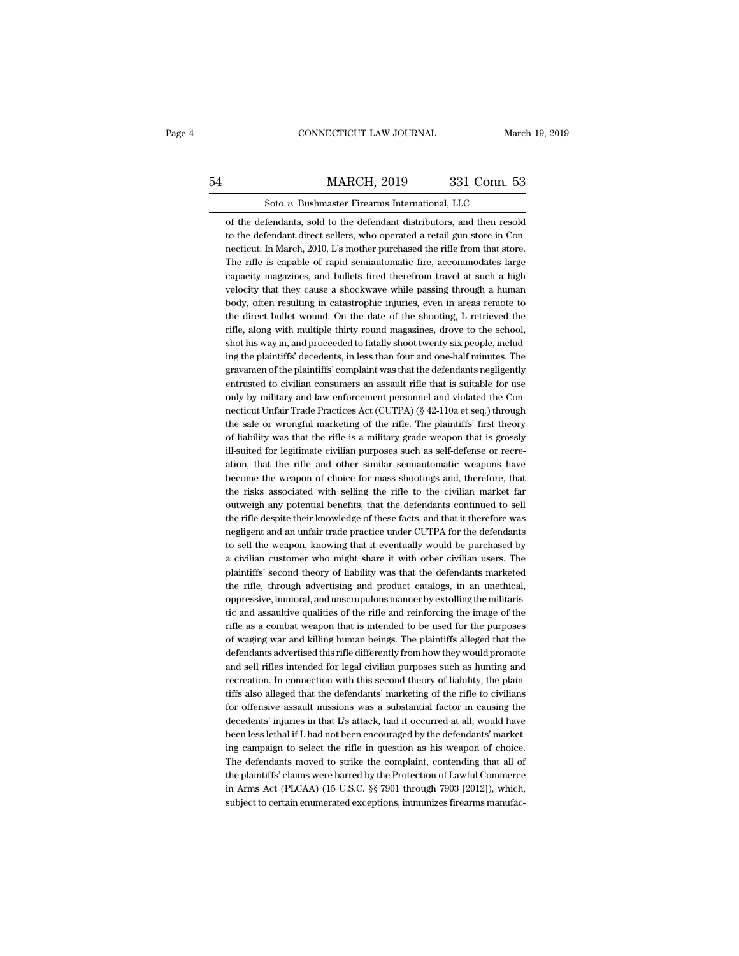# EXECUTE CONNECTICUT LAW JOURNAL March 19, 2019<br>
54 MARCH, 2019 331 Conn. 53<br>
54 Soto v. Bushmaster Firearms International, LLC CONNECTICUT LAW JOURNAL March March March MARCH, 2019 331 Conn. 53<br>Soto *v.* Bushmaster Firearms International, LLC fendants, sold to the defendant distributors, and then resold

MARCH, 2019 331 Conn. 53<br>Soto v. Bushmaster Firearms International, LLC<br>of the defendants, sold to the defendant distributors, and then resold<br>to the defendant direct sellers, who operated a retail gun store in Con-MARCH, 2019 331 Conn. 53<br>Soto v. Bushmaster Firearms International, LLC<br>of the defendants, sold to the defendant distributors, and then resold<br>to the defendant direct sellers, who operated a retail gun store in Con-<br>nectic MARCH, 2019 331 Conn. 53<br>Soto v. Bushmaster Firearms International, LLC<br>of the defendants, sold to the defendant distributors, and then resold<br>to the defendant direct sellers, who operated a retail gun store in Con-<br>nectic Soto  $v$ . Bushmaster Firearms International, LLC<br>of the defendants, sold to the defendant distributors, and then resold<br>to the defendant direct sellers, who operated a retail gun store in Con-<br>necticut. In March, 2010, L' solo *v*. Bushinaster Firearins international, LLC<br>of the defendants, sold to the defendant distributors, and then resold<br>to the defendant direct sellers, who operated a retail gun store in Con-<br>necticut. In March, 2010, L of the defendants, sold to the defendant distributors, and then resold to the defendant direct sellers, who operated a retail gun store in Connecticut. In March, 2010, L's mother purchased the rifle from that store. The ri to the defendant direct sellers, who operated a retail gun store in Connecticut. In March, 2010, L's mother purchased the rifle from that store.<br>The rifle is capable of rapid semiautomatic fire, accommodates large capacity necticut. In March, 2010, L's mother purchased the rifle from that store.<br>The rifle is capable of rapid semiautomatic fire, accommodates large<br>capacity magazines, and bullets fired therefrom travel at such a high<br>velocity The rifle is capable of rapid semiautomatic fire, accommodates large capacity magazines, and bullets fired therefrom travel at such a high velocity that they cause a shockwave while passing through a human body, often resu capacity magazines, and bullets fired therefrom travel at such a high velocity that they cause a shockwave while passing through a human body, often resulting in catastrophic injuries, even in areas remote to the direct bu velocity that they cause a shockwave while passing through a human<br>body, often resulting in catastrophic injuries, even in areas remote to<br>the direct bullet wound. On the date of the shooting, L retrieved the<br>rifle, along body, often resulting in catastrophic injuries, even in areas remote to the direct bullet wound. On the date of the shooting, L retrieved the rifle, along with multiple thirty round magazines, drove to the school, shot his the direct bullet wound. On the date of the shooting, L retrieved the rifle, along with multiple thirty round magazines, drove to the school, shot his way in, and proceeded to fatally shoot twenty-six people, including the rifle, along with multiple thirty round magazines, drove to the school, shot his way in, and proceeded to fatally shoot twenty-six people, including the plaintiffs' decedents, in less than four and one-half minutes. The gr shot his way in, and proceeded to fatally shoot twenty-six people, including the plaintiffs' decedents, in less than four and one-half minutes. The gravamen of the plaintiffs' complaint was that the defendants negligently ing the plaintiffs' decedents, in less than four and one-half minutes. The<br>gravamen of the plaintiffs' complaint was that the defendants negligently<br>entrusted to civilian consumers an assault rifle that is suitable for use gravamen of the plaintiffs' complaint was that the defendants negligently<br>entrusted to civilian consumers an assault rifle that is suitable for use<br>only by military and law enforcement personnel and violated the Con-<br>necti entrusted to civilian consumers an assault rifle that is suitable for use<br>only by military and law enforcement personnel and violated the Con-<br>necticut Unfair Trade Practices Act (CUTPA) (§ 42-110a et seq.) through<br>the sa only by military and law enforcement personnel and violated the Connecticut Unfair Trade Practices Act (CUTPA) (§ 42-110a et seq.) through the sale or wrongful marketing of the rifle. The plaintiffs' first theory of liabil necticut Unfair Trade Practices Act (CUTPA) (§ 42-110a et seq.) through<br>the sale or wrongful marketing of the rifle. The plaintiffs' first theory<br>of liability was that the rifle is a military grade weapon that is grossly<br>i the sale or wrongful marketing of the rifle. The plaintiffs' first theory of liability was that the rifle is a military grade weapon that is grossly ill-suited for legitimate civilian purposes such as self-defense or recre of liability was that the rifle is a military grade weapon that is grossly ill-suited for legitimate civilian purposes such as self-defense or recreation, that the rifle and other similar semiautomatic weapons have become ill-suited for legitimate civilian purposes such as self-defense or recreation, that the rifle and other similar semiautomatic weapons have become the weapon of choice for mass shootings and, therefore, that the risks asso ation, that the rifle and other similar semiautomatic weapons have<br>become the weapon of choice for mass shootings and, therefore, that<br>the risks associated with selling the rifle to the civilian market far<br>outweigh any pot become the weapon of choice for mass shootings and, therefore, that<br>the risks associated with selling the rifle to the civilian market far<br>outweigh any potential benefits, that the defendants continued to sell<br>the rifle de the risks associated with selling the rifle to the civilian market far outweigh any potential benefits, that the defendants continued to sell the rifle despite their knowledge of these facts, and that it therefore was negl outweigh any potential benefits, that the defendants continued to sell<br>the rifle despite their knowledge of these facts, and that it therefore was<br>negligent and an unfair trade practice under CUTPA for the defendants<br>to se the rifle despite their knowledge of these facts, and that it therefore was<br>negligent and an unfair trade practice under CUTPA for the defendants<br>to sell the weapon, knowing that it eventually would be purchased by<br>a civil negligent and an unfair trade practice under CUTPA for the defendants<br>to sell the weapon, knowing that it eventually would be purchased by<br>a civilian customer who might share it with other civilian users. The<br>plaintiffs' s to sell the weapon, knowing that it eventually would be purchased by<br>a civilian customer who might share it with other civilian users. The<br>plaintiffs' second theory of liability was that the defendants marketed<br>the rifle, a civilian customer who might share it with other civilian users. The plaintiffs' second theory of liability was that the defendants marketed the rifle, through advertising and product catalogs, in an unethical, oppressive plaintiffs' second theory of liability was that the defendants marketed<br>the rifle, through advertising and product catalogs, in an unethical,<br>oppressive, immoral, and unscrupulous manner by extolling the militaris-<br>tic and the rifle, through advertising and product catalogs, in an unethical, oppressive, immoral, and unscrupulous manner by extolling the militaristic and assaultive qualities of the rifle and reinforcing the image of the rifle oppressive, immoral, and unscrupulous manner by extolling the militaristic and assaultive qualities of the rifle and reinforcing the image of the rifle as a combat weapon that is intended to be used for the purposes of wag tic and assaultive qualities of the rifle and reinforcing the image of the rifle as a combat weapon that is intended to be used for the purposes of waging war and killing human beings. The plaintiffs alleged that the defen rifle as a combat weapon that is intended to be used for the purposes<br>of waging war and killing human beings. The plaintiffs alleged that the<br>defendants advertised this rifle differently from how they would promote<br>and sel of waging war and killing human beings. The plaintiffs alleged that the defendants advertised this rifle differently from how they would promote and sell rifles intended for legal civilian purposes such as hunting and recr defendants advertised this rifle differently from how they would promote<br>and sell rifles intended for legal civilian purposes such as hunting and<br>recreation. In connection with this second theory of liability, the plain-<br>t and sell rifles intended for legal civilian purposes such as hunting and recreation. In connection with this second theory of liability, the plaintiffs also alleged that the defendants' marketing of the rifle to civilians recreation. In connection with this second theory of liability, the plaintiffs also alleged that the defendants' marketing of the rifle to civilians for offensive assault missions was a substantial factor in causing the de tiffs also alleged that the defendants' marketing of the rifle to civilians<br>for offensive assault missions was a substantial factor in causing the<br>decedents' injuries in that L's attack, had it occurred at all, would have<br> for offensive assault missions was a substantial factor in causing the decedents' injuries in that L's attack, had it occurred at all, would have been less lethal if L had not been encouraged by the defendants' marketing decedents' injuries in that L's attack, had it occurred at all, would have<br>been less lethal if L had not been encouraged by the defendants' market-<br>ing campaign to select the rifle in question as his weapon of choice.<br>The been less lethal if L had not been encouraged by the defendants' marketing campaign to select the rifle in question as his weapon of choice.<br>The defendants moved to strike the complaint, contending that all of<br>the plaintif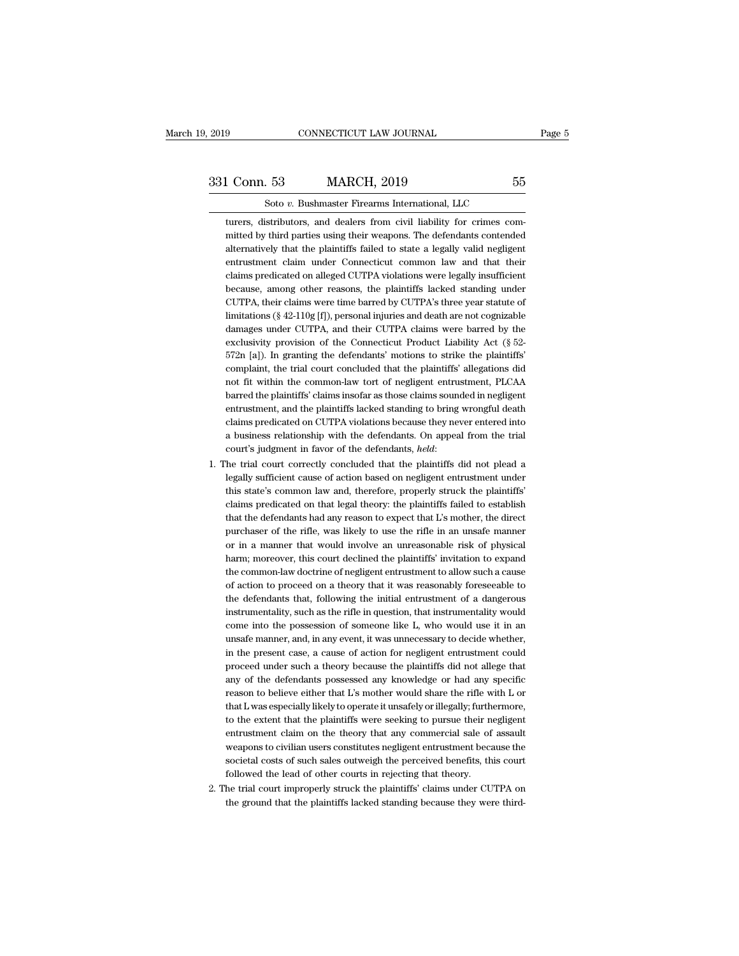# 2019 CONNECTICUT LAW JOURNAL Page 5<br>331 Conn. 53 MARCH, 2019 55<br>5 Soto v. Bushmaster Firearms International, LLC CONNECTICUT LAW JOURNAL<br>
53 MARCH, 2019 55<br>
55<br>
Soto *v.* Bushmaster Firearms International, LLC<br>
istributors, and dealers from civil liability for crimes com-

1 Conn. 53 MARCH, 2019 55<br>Soto v. Bushmaster Firearms International, LLC<br>turers, distributors, and dealers from civil liability for crimes com-<br>mitted by third parties using their weapons. The defendants contended MARCH, 2019 55<br>Soto v. Bushmaster Firearms International, LLC<br>turers, distributors, and dealers from civil liability for crimes com-<br>mitted by third parties using their weapons. The defendants contended<br>alternatively that 1 Conn. 53 MARCH, 2019 55<br>
Soto v. Bushmaster Firearms International, LLC<br>
turers, distributors, and dealers from civil liability for crimes com-<br>
mitted by third parties using their weapons. The defendants contended<br>
alte Soto  $v$ . Bushmaster Firearms International, LLC<br>turers, distributors, and dealers from civil liability for crimes com-<br>mitted by third parties using their weapons. The defendants contended<br>alternatively that the plaintif Soto *v*. Bushmaster Firearms international, LLC<br>turers, distributors, and dealers from civil liability for crimes com-<br>mitted by third parties using their weapons. The defendants contended<br>alternatively that the plaintiff turers, distributors, and dealers from civil liability for crimes committed by third parties using their weapons. The defendants contended alternatively that the plaintiffs failed to state a legally valid negligent entrust mitted by third parties using their weapons. The defendants contended<br>alternatively that the plaintiffs failed to state a legally valid negligent<br>entrustment claim under Connecticut common law and that their<br>claims predica alternatively that the plaintiffs failed to state a legally valid negligent<br>entrustment claim under Connecticut common law and that their<br>claims predicated on alleged CUTPA violations were legally insufficient<br>because, amo entrustment claim under Connecticut common law and that their<br>claims predicated on alleged CUTPA violations were legally insufficient<br>because, among other reasons, the plaintiffs lacked standing under<br>CUTPA, their claims w claims predicated on alleged CUTPA violations were legally insufficient<br>because, among other reasons, the plaintiffs lacked standing under<br>CUTPA, their claims were time barred by CUTPA's three year statute of<br>limitations ( because, among other reasons, the plaintiffs lacked standing under CUTPA, their claims were time barred by CUTPA's three year statute of limitations (§ 42-110g [f]), personal injuries and death are not cognizable damages u CUTPA, their claims were time barred by CUTPA's three year statute of limitations ( $\S$  42-110g [f]), personal injuries and death are not cognizable damages under CUTPA, and their CUTPA claims were barred by the exclusivit limitations (§ 42-110g [f]), personal injuries and death are not cognizable damages under CUTPA, and their CUTPA claims were barred by the exclusivity provision of the Connecticut Product Liability Act (§ 52-572n [a]). In damages under CUTPA, and their CUTPA claims were barred by the exclusivity provision of the Connecticut Product Liability Act (§ 52-572n [a]). In granting the defendants' motions to strike the plaintiffs' complaint, the tr exclusivity provision of the Connecticut Product Liability Act (§ 52-572n [a]). In granting the defendants' motions to strike the plaintiffs' complaint, the trial court concluded that the plaintiffs' allegations did not fi 572n [a]). In granting the defendants' motions to strike the plaintiffs' complaint, the trial court concluded that the plaintiffs' allegations did not fit within the common-law tort of negligent entrustment, PLCAA barred complaint, the trial court concluded that the plaintiffs' allegations did<br>not fit within the common-law tort of negligent entrustment, PLCAA<br>barred the plaintiffs' claims insofar as those claims sounded in negligent<br>entrus not fit within the common-law tort of negligent entrustment, PLCAA<br>barred the plaintiffs' claims insofar as those claims sounded in negligent<br>entrustment, and the plaintiffs lacked standing to bring wrongful death<br>claims p entrustment, and the plaintiffs lacked standing to bring wrongful death<br>claims predicated on CUTPA violations because they never entered into<br>a business relationship with the defendants. On appeal from the trial<br>court's ju

- claims predicated on CUTPA violations because they never entered into<br>a business relationship with the defendants. On appeal from the trial<br>court's judgment in favor of the defendants, *held*:<br>the trial court correctly con a business relationship with the defendants. On appeal from the trial court's judgment in favor of the defendants, *held*:<br>The trial court correctly concluded that the plaintiffs did not plead a legally sufficient cause of court's judgment in favor of the defendants, *held*:<br>1. The trial court correctly concluded that the plaintiffs did not plead a<br>legally sufficient cause of action based on negligent entrustment under<br>this state's common l legally sufficient cause of action based on negligent entrustment under<br>this state's common law and, therefore, properly struck the plaintiffs'<br>claims predicated on that legal theory: the plaintiffs failed to establish<br>th claims predicated on that legal theory: the plaintiffs failed to establish this state's common law and, therefore, properly struck the plaintiffs'<br>claims predicated on that legal theory: the plaintiffs failed to establish<br>that the defendants had any reason to expect that L's mother, the direct<br>pu claims predicated on that legal theory: the plaintiffs failed to establish<br>that the defendants had any reason to expect that L's mother, the direct<br>purchaser of the rifle, was likely to use the rifle in an unsafe manner<br>or that the defendants had any reason to expect that L's mother, the direct purchaser of the rifle, was likely to use the rifle in an unsafe manner or in a manner that would involve an unreasonable risk of physical harm; more purchaser of the rifle, was likely to use the rifle in an unsafe manner<br>or in a manner that would involve an unreasonable risk of physical<br>harm; moreover, this court declined the plaintiffs' invitation to expand<br>the common or in a manner that would involve an unreasonable risk of physical<br>harm; moreover, this court declined the plaintiffs' invitation to expand<br>the common-law doctrine of negligent entrustment to allow such a cause<br>of action t harm; moreover, this court declined the plaintiffs' invitation to expand<br>the common-law doctrine of negligent entrustment to allow such a cause<br>of action to proceed on a theory that it was reasonably foreseeable to<br>the def the common-law doctrine of negligent entrustment to allow such a cause<br>of action to proceed on a theory that it was reasonably foreseeable to<br>the defendants that, following the initial entrustment of a dangerous<br>instrumen of action to proceed on a theory that it was reasonably foreseeable to<br>the defendants that, following the initial entrustment of a dangerous<br>instrumentality, such as the rifle in question, that instrumentality would<br>come the defendants that, following the initial entrustment of a dangerous instrumentality, such as the rifle in question, that instrumentality would come into the possession of someone like  $L$ , who would use it in an unsafe instrumentality, such as the rifle in question, that instrumentality would<br>come into the possession of someone like  $L$ , who would use it in an<br>unsafe manner, and, in any event, it was unnecessary to decide whether,<br>in th come into the possession of someone like L, who would use it in an<br>unsafe manner, and, in any event, it was unnecessary to decide whether,<br>in the present case, a cause of action for negligent entrustment could<br>proceed unde unsafe manner, and, in any event, it was unnecessary to decide whether,<br>in the present case, a cause of action for negligent entrustment could<br>proceed under such a theory because the plaintiffs did not allege that<br>any of t in the present case, a cause of action for negligent entrustment could<br>proceed under such a theory because the plaintiffs did not allege that<br>any of the defendants possessed any knowledge or had any specific<br>reason to beli proceed under such a theory because the plaintiffs did not allege that<br>any of the defendants possessed any knowledge or had any specific<br>reason to believe either that L's mother would share the rifle with L or<br>that L was e any of the defendants possessed any knowledge or had any specific<br>reason to believe either that L's mother would share the rifle with L or<br>that Lwas especially likely to operate it unsafely or illegally; furthermore,<br>to th reason to believe either that L's mother would share the rifle with L or that L was especially likely to operate it unsafely or illegally; furthermore, to the extent that the plaintiffs were seeking to pursue their neglige that L was especially likely to operate it unsafely or illegally; furth to the extent that the plaintiffs were seeking to pursue their n<br>entrustment claim on the theory that any commercial sale of<br>weapons to civilian users to the extent that the plaintiffs were seeking to pursue their negligent entrustment claim on the theory that any commercial sale of assault weapons to civilian users constitutes negligent entrustment because the societal entrustment claim on the theory that any commercial sale of assault<br>weapons to civilian users constitutes negligent entrustment because the<br>societal costs of such sales outweigh the perceived benefits, this court<br>followed
-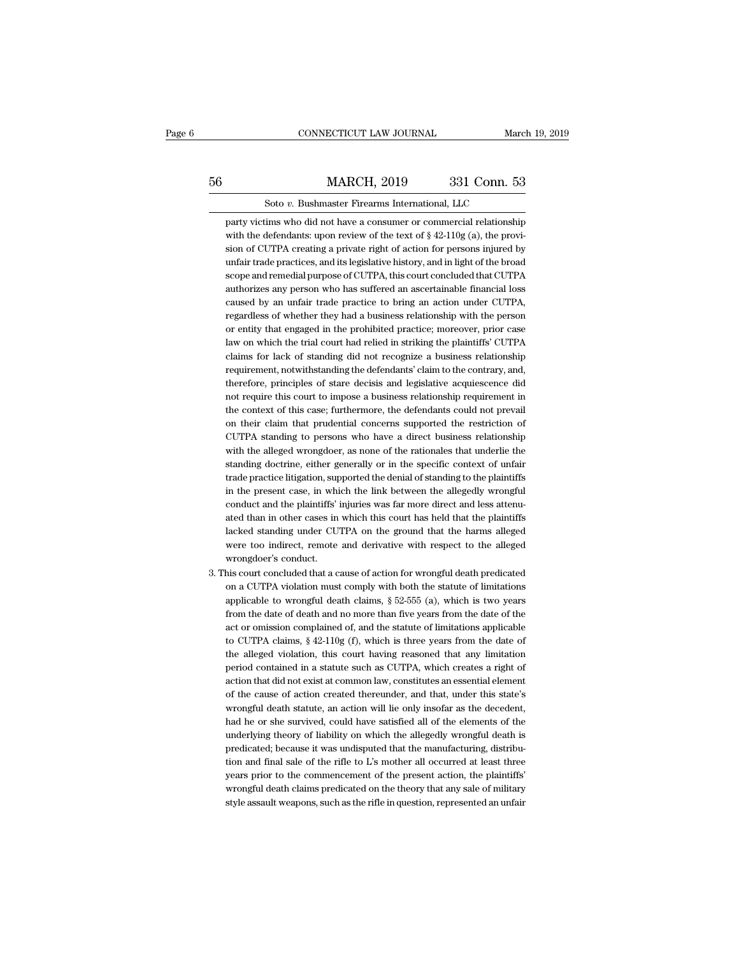# EXECUTE CONNECTICUT LAW JOURNAL March 19, 2019<br>56 MARCH, 2019 331 Conn. 53<br>500 v. Bushmaster Firearms International, LLC CONNECTICUT LAW JOURNAL March March March MARCH, 2019 331 Conn. 53<br>Soto *v.* Bushmaster Firearms International, LLC ims who did not have a consumer or commercial relationship

**MARCH, 2019** 331 Conn. 53<br>Soto v. Bushmaster Firearms International, LLC<br>party victims who did not have a consumer or commercial relationship<br>with the defendants: upon review of the text of § 42-110g (a), the provi-MARCH, 2019 331 Conn. 53<br>Soto v. Bushmaster Firearms International, LLC<br>party victims who did not have a consumer or commercial relationship<br>with the defendants: upon review of the text of § 42-110g (a), the provi-<br>sion of MARCH, 2019 331 Conn. 53<br>Soto v. Bushmaster Firearms International, LLC<br>party victims who did not have a consumer or commercial relationship<br>with the defendants: upon review of the text of § 42-110g (a), the provi-<br>sion of Soto  $v$ . Bushmaster Firearms International, LLC<br>party victims who did not have a consumer or commercial relationship<br>with the defendants: upon review of the text of  $\S$  42-110g (a), the provi-<br>sion of CUTPA creating a pr soto *v*. Bushmaster Firearms international, LLC<br>party victims who did not have a consumer or commercial relationship<br>with the defendants: upon review of the text of § 42-110g (a), the provi-<br>sion of CUTPA creating a priva party victims who did not have a consumer or commercial relationship<br>with the defendants: upon review of the text of  $\S$  42-110g (a), the provi-<br>sion of CUTPA creating a private right of action for persons injured by<br>unfa with the defendants: upon review of the text of § 42-110g (a), the provision of CUTPA creating a private right of action for persons injured by unfair trade practices, and its legislative history, and in light of the broad sion of CUTPA creating a private right of action for persons injured by<br>unfair trade practices, and its legislative history, and in light of the broad<br>scope and remedial purpose of CUTPA, this court concluded that CUTPA<br>au unfair trade practices, and its legislative history, and in light of the broad<br>scope and remedial purpose of CUTPA, this court concluded that CUTPA<br>authorizes any person who has suffered an ascertainable financial loss<br>cau scope and remedial purpose of CUTPA, this court concluded that CUTPA authorizes any person who has suffered an ascertainable financial loss caused by an unfair trade practice to bring an action under CUTPA, regardless of w authorizes any person who has suffered an ascertainable financial loss<br>caused by an unfair trade practice to bring an action under CUTPA,<br>regardless of whether they had a business relationship with the person<br>or entity tha caused by an unfair trade practice to bring an action under CUTPA,<br>regardless of whether they had a business relationship with the person<br>or entity that engaged in the prohibited practice; moreover, prior case<br>law on which regardless of whether they had a business relationship with the person<br>or entity that engaged in the prohibited practice; moreover, prior case<br>law on which the trial court had relied in striking the plaintiffs' CUTPA<br>claim or entity that engaged in the prohibited practice; moreover, prior case<br>law on which the trial court had relied in striking the plaintiffs' CUTPA<br>claims for lack of standing did not recognize a business relationship<br>requir law on which the trial court had relied in striking the plaintiffs' CUTPA claims for lack of standing did not recognize a business relationship requirement, notwithstanding the defendants' claim to the contrary, and, there claims for lack of standing did not recognize a business relationship<br>requirement, notwithstanding the defendants' claim to the contrary, and,<br>therefore, principles of stare decisis and legislative acquiescence did<br>not req requirement, notwithstanding the defendants' claim to the contrary, and, therefore, principles of stare decisis and legislative acquiescence did not require this court to impose a business relationship requirement in the c therefore, principles of stare decisis and legislative acquiescence did<br>not require this court to impose a business relationship requirement in<br>the context of this case; furthermore, the defendants could not prevail<br>on the not require this court to impose a business relationship requirement in<br>the context of this case; furthermore, the defendants could not prevail<br>on their claim that prudential concerns supported the restriction of<br>CUTPA sta the context of this case; furthermore, the defendants could not prevail on their claim that prudential concerns supported the restriction of CUTPA standing to persons who have a direct business relationship with the allege on their claim that prudential concerns supported the restriction of CUTPA standing to persons who have a direct business relationship with the alleged wrongdoer, as none of the rationales that underlie the standing doctri CUTPA standing to persons who have a direct business relationship<br>with the alleged wrongdoer, as none of the rationales that underlie the<br>standing doctrine, either generally or in the specific context of unfair<br>trade pract with the alleged wrongdoer, as none of the rationales that underlie the standing doctrine, either generally or in the specific context of unfair trade practice litigation, supported the denial of standing to the plaintiffs standing doctrine, either generally or in the specific context of unfair<br>trade practice litigation, supported the denial of standing to the plaintiffs<br>in the present case, in which the link between the allegedly wrongful<br>c trade practice litigation, supported the denial of standing to the plaintiffs<br>in the present case, in which the link between the allegedly wrongful<br>conduct and the plaintiffs' injuries was far more direct and less attenu-<br> in the present case, in whi<br>conduct and the plaintiffs'<br>ated than in other cases in<br>lacked standing under CU<br>were too indirect, remote<br>wrongdoer's conduct.<br>his court concluded that a c % conduct and the plaintiffs' injuries was far more direct and less attenuated than in other cases in which this court has held that the plaintiffs lacked standing under CUTPA on the ground that the harms alleged were too ated than in other cases in which this court has held that the plaintiffs<br>lacked standing under CUTPA on the ground that the harms alleged<br>were too indirect, remote and derivative with respect to the alleged<br>wrongdoer's c

lacked standing under CUTPA on the ground that the harms alleged<br>were too indirect, remote and derivative with respect to the alleged<br>wrongdoer's conduct.<br>his court concluded that a cause of action for wrongful death pred were too indirect, remote and derivative with respect to the alleged<br>wrongdoer's conduct.<br>his court concluded that a cause of action for wrongful death predicated<br>on a CUTPA violation must comply with both the statute of l wrongdoer's conduct.<br>
his court concluded that a cause of action for wrongful death predicated<br>
on a CUTPA violation must comply with both the statute of limitations<br>
applicable to wrongful death claims, § 52-555 (a), whi his court concluded that a cause of action for wrongful death predicated<br>on a CUTPA violation must comply with both the statute of limitations<br>applicable to wrongful death claims,  $\S 52-555$  (a), which is two years<br>from t on a CUTPA violation must comply with both the statute of limitations applicable to wrongful death claims,  $\S$  52-555 (a), which is two years from the date of death and no more than five years from the date of the act or applicable to wrongful death claims,  $\S$  52-555 (a), which is two years from the date of death and no more than five years from the date of the act or omission complained of, and the statute of limitations applicable to C from the date of death and no more than five years from the date of the act or omission complained of, and the statute of limitations applicable to CUTPA claims,  $\S$  42-110g (f), which is three years from the date of the act or omission complained of, and the statute of limitations applicable<br>to CUTPA claims, § 42-110g (f), which is three years from the date of<br>the alleged violation, this court having reasoned that any limitation<br>period co to CUTPA claims,  $\S$  42-110g (f), which is three years from the date of the alleged violation, this court having reasoned that any limitation period contained in a statute such as CUTPA, which creates a right of action th the alleged violation, this court having reasoned that any limitation<br>period contained in a statute such as CUTPA, which creates a right of<br>action that did not exist at common law, constitutes an essential element<br>of the c period contained in a statute such as CUTPA, which creates a right of action that did not exist at common law, constitutes an essential element of the cause of action created the<br>reunder, and that, under this state's wrong action that did not exist at common law, constitutes an essential element<br>of the cause of action created thereunder, and that, under this state's<br>wrongful death statute, an action will lie only insofar as the decedent,<br>had of the cause of action created thereunder, and that, under this state's<br>wrongful death statute, an action will lie only insofar as the decedent,<br>had he or she survived, could have satisfied all of the elements of the<br>under wrongful death statute, an action will lie only insofar as the decedent,<br>had he or she survived, could have satisfied all of the elements of the<br>underlying theory of liability on which the allegedly wrongful death is<br>predi had he or she survived, could have satisfied all of the elements of the underlying theory of liability on which the allegedly wrongful death is predicated; because it was undisputed that the manufacturing, distribution and underlying theory of liability on which the allegedly wrongful death is predicated; because it was undisputed that the manufacturing, distribution and final sale of the rifle to L's mother all occurred at least three year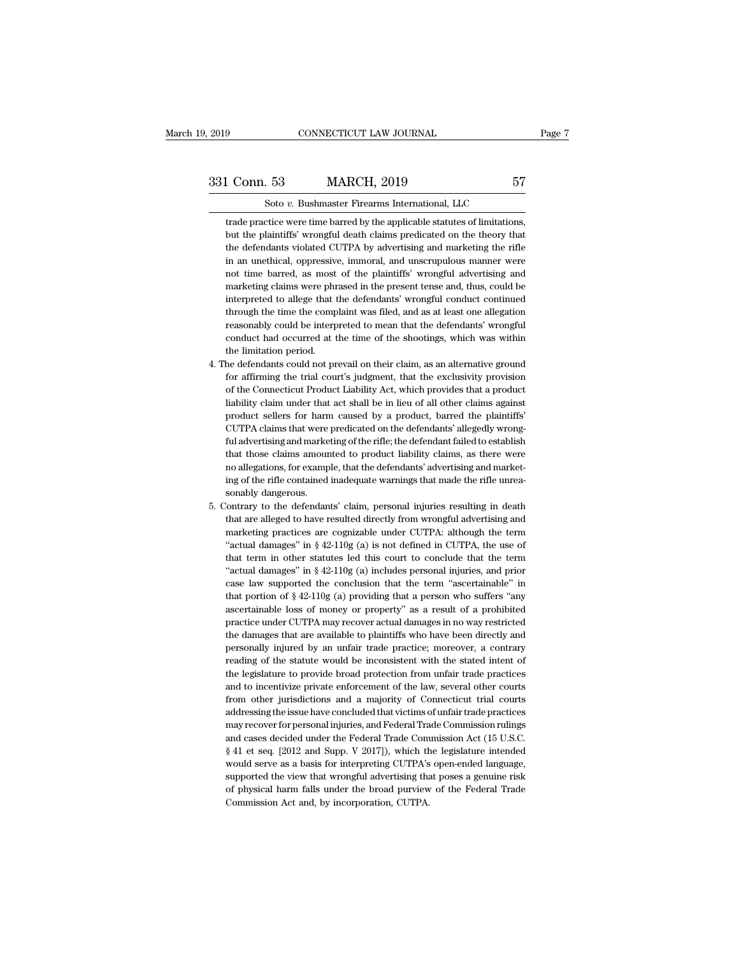# 2019 CONNECTICUT LAW JOURNAL Page 7<br>331 Conn. 53 MARCH, 2019 57<br>57<br>Soto v. Bushmaster Firearms International, LLC CONNECTICUT LAW JOURNAL<br>
Soto *v.* Bushmaster Firearms International, LLC<br>
Soto *v.* Bushmaster Firearms International, LLC<br>
ctice were time barred by the applicable statutes of limitations,

1 Conn. 53 MARCH, 2019 57<br>
Soto v. Bushmaster Firearms International, LLC<br>
trade practice were time barred by the applicable statutes of limitations,<br>
but the plaintiffs' wrongful death claims predicated on the theory that  $\begin{array}{r} \hline \text{L}\text{Conn.} & 53 \qquad \text{MARCH, 2019} \qquad \text{57} \ \text{Soto } v. \text{ Bushmaster Firearms International, LLC} \ \text{trade practice were time barred by the applicable statutes of limitations, but the plaintext's wrongful death claims predicted on the theory that the defendants violated CUTPA by advertising and marketing the rifle.} \end{array}$ 1 Conn. 53 MARCH, 2019 57<br>
Soto v. Bushmaster Firearms International, LLC<br>
trade practice were time barred by the applicable statutes of limitations,<br>
but the plaintiffs' wrongful death claims predicated on the theory that Soto  $v$ . Bushmaster Firearms International, LLC<br>trade practice were time barred by the applicable statutes of limitations,<br>but the plaintiffs' wrongful death claims predicated on the theory that<br>the defendants violated C Soto v. Bushmaster Firearms International, LLC<br>trade practice were time barred by the applicable statutes of limitations,<br>but the plaintiffs' wrongful death claims predicated on the theory that<br>the defendants violated CUTP trade practice were time barred by the applicable statutes of limitations,<br>but the plaintiffs' wrongful death claims predicated on the theory that<br>the defendants violated CUTPA by advertising and marketing the rifle<br>in an but the plaintiffs' wrongful death claims predicated on the theory that the defendants violated CUTPA by advertising and marketing the rifle in an unethical, oppressive, immoral, and unscrupulous manner were not time barre the defendants violated CUTPA by advertising and marketing the rifle<br>in an unethical, oppressive, immoral, and unscrupulous manner were<br>not time barred, as most of the plaintiffs' wrongful advertising and<br>marketing claims in an unethical, oppressive, immoral, and unscrupulous manner were not time barred, as most of the plaintiffs' wrongful advertising and marketing claims were phrased in the present tense and, thus, could be interpreted to not time barred, as most of the plaintiffs' wrongful advertising and marketing claims were phrased in the present tense and, thus, could be interpreted to allege that the defendants' wrongful conduct continued through the marketing claims were phi<br>interpreted to allege that through the time the comp<br>reasonably could be interp<br>conduct had occurred at the limitation period.<br>he defendants could not pr interpreted to allege that the defendants' wrongful conduct continued<br>through the time the complaint was filed, and as at least one allegation<br>reasonably could be interpreted to mean that the defendants' wrongful<br>conduct h through the time the complaint was filed, and as at least one allegation reasonably could be interpreted to mean that the defendants' wrongful conduct had occurred at the time of the shootings, which was within the limitat

- reasonably could be interpreted to mean that the defendants' wrongful<br>conduct had occurred at the time of the shootings, which was within<br>the limitation period.<br>he defendants could not prevail on their claim, as an alterna conduct had occurred at the time of the shootings, which was within<br>the limitation period.<br>he defendants could not prevail on their claim, as an alternative ground<br>for affirming the trial court's judgment, that the exclusi the limitation period.<br>
the defendants could not prevail on their claim, as an alternative ground<br>
for affirming the trial court's judgment, that the exclusivity provision<br>
of the Connecticut Product Liability Act, which p he defendants could not prevail on their claim, as an alternative ground<br>for affirming the trial court's judgment, that the exclusivity provision<br>of the Connecticut Product Liability Act, which provides that a product<br>liab for affirming the trial court's judgment, that the exclusivity provision<br>of the Connecticut Product Liability Act, which provides that a product<br>liability claim under that act shall be in lieu of all other claims against<br>p of the Connecticut Product Liability Act, which provides that a product liability claim under that act shall be in lieu of all other claims against product sellers for harm caused by a product, barred the plaintiffs' CUTPA of the Connecticut Product Liability Act, which provides that a product liability claim under that act shall be in lieu of all other claims against product sellers for harm caused by a product, barred the plaintiffs' CUTPA product sellers for harm caused by a product, barred the plaintiffs'<br>CUTPA claims that were predicated on the defendants' allegedly wrong-<br>ful advertising and marketing of the rifle; the defendant failed to establish<br>that CUTPA claims that were predicated on the defendants' allegedly wrong-<br>ful advertising and marketing of the rifle; the defendant failed to establish<br>that those claims amounted to product liability claims, as there were<br>no a ful advertising and marketing of the rifle; the defendant failed to establish<br>that those claims amounted to product liability claims, as there were<br>no allegations, for example, that the defendants' advertising and market-<br> that those claims amounted to product liability claims, as there were<br>no allegations, for example, that the defendants' advertising and market-<br>ing of the rifle contained inadequate warnings that made the rifle unrea-<br>sona
- mo allegations, for example, that the defendants' advertising and marketing of the rifle contained inadequate warnings that made the rifle unreasonably dangerous.<br>
Contrary to the defendants' claim, personal injuries resu ing of the rifle contained inadequate warnings that made the rifle unreasonably dangerous.<br>
'ontrary to the defendants' claim, personal injuries resulting in death<br>
that are alleged to have resulted directly from wrongful sonably dangerous.<br>
Sontrary to the defendants' claim, personal injuries resulting in death<br>
that are alleged to have resulted directly from wrongful advertising and<br>
marketing practices are cognizable under CUTPA: althou 'ontrary to the defendants' claim, personal injuries resulting in death<br>that are alleged to have resulted directly from wrongful advertising and<br>marketing practices are cognizable under CUTPA: although the term<br>"actual da that are alleged to have resulted directly from wrongful advertising and marketing practices are cognizable under CUTPA: although the term "actual damages" in  $\S$  42-110g (a) is not defined in CUTPA, the use of that term marketing practices are cognizable under CUTPA: although the term "actual damages" in § 42-110g (a) is not defined in CUTPA, the use of that term in other statutes led this court to conclude that the term "actual damages" "actual damages" in  $\S$  42-110g (a) is not defined in CUTPA, the use of that term in other statutes led this court to conclude that the term "actual damages" in  $\S$  42-110g (a) includes personal injuries, and prior case l that term in other statutes led this court to conclude that the term "actual damages" in  $\S$  42-110g (a) includes personal injuries, and prior case law supported the conclusion that the term "ascertainable" in that portio "actual damages" in  $\S$  42-110g (a) includes personal injuries, and prior case law supported the conclusion that the term "ascertainable" in that portion of  $\S$  42-110g (a) providing that a person who suffers "any ascerta case law supported the conclusion that the term "ascertainable" in that portion of  $\S$  42-110g (a) providing that a person who suffers "any ascertainable loss of money or property" as a result of a prohibited practice und that portion of  $\S$  42-110g (a) providing that a person who suffers "any ascertainable loss of money or property" as a result of a prohibited practice under CUTPA may recover actual damages in no way restricted the damage ascertainable loss of money or property" as a result of a prohibited practice under CUTPA may recover actual damages in no way restricted the damages that are available to plaintiffs who have been directly and personally i practice under CUTPA may recover actual damages in no way restricted<br>the damages that are available to plaintiffs who have been directly and<br>personally injured by an unfair trade practice; moreover, a contrary<br>reading of t from damages that are available to plaintiffs who have been directly and personally injured by an unfair trade practice; moreover, a contrary reading of the statute would be inconsistent with the stated intent of the legis personally injured by an unfair trade practice; moreover, a contrary reading of the statute would be inconsistent with the stated intent of the legislature to provide broad protection from unfair trade practices and to inc reading of the statute would be inconsistent with the stated intent of<br>the legislature to provide broad protection from unfair trade practices<br>and to incentivize private enforcement of the law, several other courts<br>from ot the legislature to provide broad protection from unfair trade practices<br>and to incentivize private enforcement of the law, several other courts<br>from other jurisdictions and a majority of Connecticut trial courts<br>addressing and to incentivize private enforcement of the law, several other courts<br>from other jurisdictions and a majority of Connecticut trial courts<br>addressing the issue have concluded that victims of unfair trade practices<br>may rec from other jurisdictions and a majority of Connecticut trial courts<br>addressing the issue have concluded that victims of unfair trade practices<br>may recover for personal injuries, and Federal Trade Commission rulings<br>and ca addressing the issue have concluded that victims of unfair trade practices<br>may recover for personal injuries, and Federal Trade Commission rulings<br>and cases decided under the Federal Trade Commission Act (15 U.S.C.<br>§ 41 et may recover for personal injuries, and Federal Trade Commission rulings<br>and cases decided under the Federal Trade Commission Act (15 U.S.C.<br>§ 41 et seq. [2012 and Supp. V 2017]), which the legislature intended<br>would serve may recover for personal injuries, and Federal Trade Commission rulings<br>and cases decided under the Federal Trade Commission Act (15 U.S.C.<br>§ 41 et seq. [2012 and Supp. V 2017]), which the legislature intended<br>would serve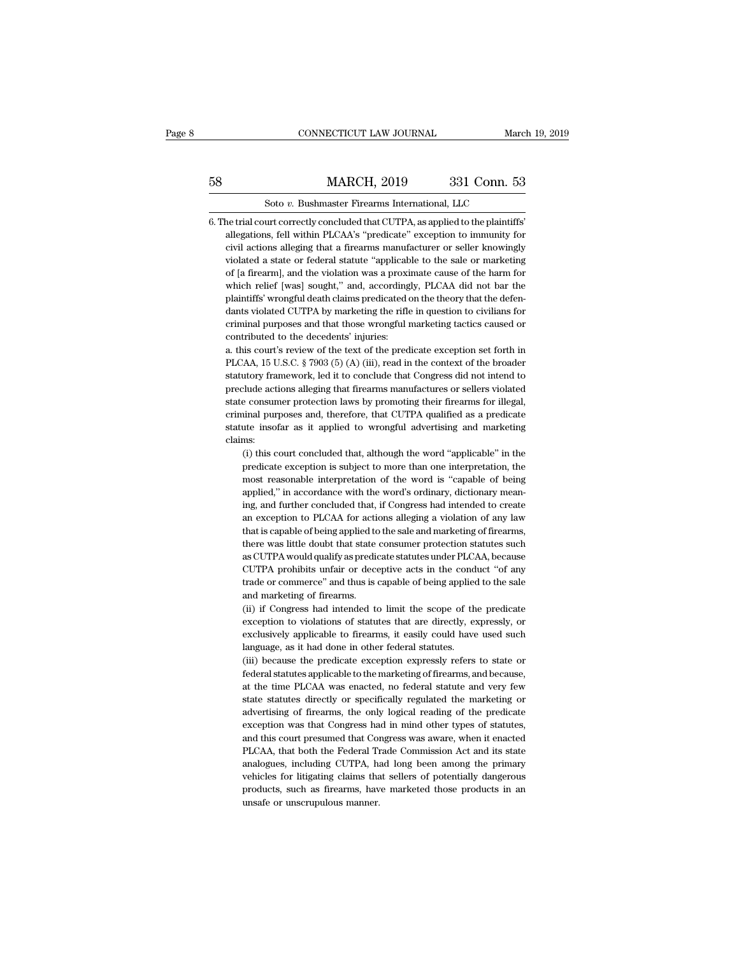# EXECUTE CONNECTICUT LAW JOURNAL March 19, 2019<br>
58 MARCH, 2019 331 Conn. 53<br>
500 v. Bushmaster Firearms International, LLC CONNECTICUT LAW JOURNAL March March March MARCH, 2019 331 Conn. 53<br>Soto *v.* Bushmaster Firearms International, LLC urt correctly concluded that CUTPA, as applied to the plaintiffs'

5. 58 MARCH, 2019 331 Conn. 53<br>
5. Soto v. Bushmaster Firearms International, LLC<br>
6. The trial court correctly concluded that CUTPA, as applied to the plaintiffs'<br>
allegations, fell within PLCAA's "predicate" exception to MARCH, 2019 331 Conn. 53<br>
Soto v. Bushmaster Firearms International, LLC<br>
The trial court correctly concluded that CUTPA, as applied to the plaintiffs<br>
allegations, fell within PLCAA's "predicate" exception to immunity for MARCH, 2019 331 Conn. 53<br>
Soto v. Bushmaster Firearms International, LLC<br>
ne trial court correctly concluded that CUTPA, as applied to the plaintiffs'<br>
allegations, fell within PLCAA's "predicate" exception to immunity for Soto v. Bushmaster Firearms International, LLC<br>ne trial court correctly concluded that CUTPA, as applied to the plaintiffs<br>allegations, fell within PLCAA's "predicate" exception to immunity for<br>civil actions alleging that Soto v. Bushmaster Firearms International, LLC<br>ne trial court correctly concluded that CUTPA, as applied to the plaintiffs'<br>allegations, fell within PLCAA's "predicate" exception to immunity for<br>civil actions alleging that he trial court correctly concluded that CUTPA, as applied to the plaintiffs' allegations, fell within PLCAA's "predicate" exception to immunity for civil actions alleging that a firearms manufacturer or seller knowingly vi allegations, fell within PLCAA's "predicate" exception to immunity for civil actions alleging that a firearms manufacturer or seller knowingly violated a state or federal statute "applicable to the sale or marketing of [a civil actions alleging that a firearms manufacturer or seller knowingly<br>violated a state or federal statute "applicable to the sale or marketing<br>of [a firearm], and the violation was a proximate cause of the harm for<br>which violated a state or federal statute "applicable to the sale or marketing of [a firearm], and the violation was a proximate cause of the harm for which relief [was] sought," and, accordingly, PLCAA did not bar the plaintiff of [a firearm], and the violation was a proximition of [a firearm], and the violation was a proximal plaintiffs' wrongful death claims predicated dants violated CUTPA by marketing the rifle criminal purposes and that those which relief [was] sought," and, accordingly, PLCAA did not bar the plaintiffs' wrongful death claims predicated on the theory that the defendants violated CUTPA by marketing the rifle in question to civilians for criminal plaintiffs' wrongful death claims predicated on the theory that the defendants violated CUTPA by marketing the rifle in question to civilians for criminal purposes and that those wrongful marketing tactics caused or contri

dants violated CUTPA by marketing the rifle in question to civilians for criminal purposes and that those wrongful marketing tactics caused or contributed to the decedents' injuries:<br>a. this court's review of the text of t criminal purposes and that those wrongful marketing tactics caused or<br>contributed to the decedents' injuries:<br>a. this court's review of the text of the predicate exception set forth in<br>PLCAA, 15 U.S.C. § 7903 (5) (A) (iii) a. this court's review of the text of the predicate exception set forth in PLCAA, 15 U.S.C.  $\S$  7903 (5) (A) (iii), read in the context of the broader statutory framework, led it to conclude that Congress did not intend t a. this court's review of the text of the predicate exception set forth in PLCAA, 15 U.S.C.  $\S$  7903 (5) (A) (iii), read in the context of the broader statutory framework, led it to conclude that Congress did not intend t PLCAA, 15 U.S.C. § 7903 (5) (A) (iii), read in the context of the broader statutory framework, led it to conclude that Congress did not intend to preclude actions alleging that firearms manufactures or sellers violated sta claims: chieve actions alleging that firearms manufactures or sellers violated<br>e consumer protection laws by promoting their firearms for illegal,<br>innal purposes and, therefore, that CUTPA qualified as a predicate<br>tute insofar as e consumer protection laws by promoting their firearms for illegal, unal purposes and, therefore, that CUTPA qualified as a predicate tute insofar as it applied to wrongful advertising and marketing ms:<br>(i) this court conc

imal purposes and, therefore, that CUTPA qualified as a predicate<br>tute insofar as it applied to wrongful advertising and marketing<br>ms:<br>(i) this court concluded that, although the word "applicable" in the<br>predicate exceptio in the insofar as it applied to wrongful advertising and marketing<br>ms:<br>(i) this court concluded that, although the word "applicable" in the<br>predicate exception is subject to more than one interpretation, the<br>most reasonabl ms:<br>(i) this court concluded that, although the word "applicable" in the<br>predicate exception is subject to more than one interpretation, the<br>most reasonable interpretation of the word is "capable of being<br>applied," in acco (i) this court concluded that, although the word "applicable" in the predicate exception is subject to more than one interpretation, the most reasonable interpretation of the word is "capable of being applied," in accorda predicate exception is subject to more than one interpretation, the most reasonable interpretation of the word is "capable of being applied," in accordance with the word's ordinary, dictionary meaning, and further conclude most reasonable interpretation of the word is "capable of being applied," in accordance with the word's ordinary, dictionary meaning, and further concluded that, if Congress had intended to create an exception to PLCAA for applied," in accordance with the word's ordinary, dictionary meaning, and further concluded that, if Congress had intended to create an exception to PLCAA for actions alleging a violation of any law that is capable of bein ing, and further concluded that, if Congress had intended to create<br>an exception to PLCAA for actions alleging a violation of any law<br>that is capable of being applied to the sale and marketing of firearms,<br>there was little an exception to PLCAA for actions alleging a violation of any law<br>that is capable of being applied to the sale and marketing of firearms,<br>there was little doubt that state consumer protection statutes such<br>as CUTPA would q that is capable of being applied to<br>there was little doubt that state<br>as CUTPA would qualify as predictored in the set of CUTPA prohibits unfair or decordance<br>trade or commerce" and thus is<br>and marketing of firearms.<br>(ii) there was little doubt that state consumer protection statutes such as CUTPA would qualify as predicate statutes under PLCAA, because CUTPA prohibits unfair or deceptive acts in the conduct "of any trade or commerce" and t as CUTPA would qualify as predicate statutes under PLCAA, because<br>CUTPA prohibits unfair or deceptive acts in the conduct "of any<br>trade or commerce" and thus is capable of being applied to the sale<br>and marketing of firearm

CUTPA prohibits unfair or deceptive acts in the conduct "of any<br>trade or commerce" and thus is capable of being applied to the sale<br>and marketing of firearms.<br>(ii) if Congress had intended to limit the scope of the predica trade or commerce" and thus is capable of being applied to the sale<br>and marketing of firearms.<br>(ii) if Congress had intended to limit the scope of the predicate<br>exception to violations of statutes that are directly, expres and marketing of firearms.<br>(ii) if Congress had intended to limit the scope of the predicate<br>exception to violations of statutes that are directly, expressly, or<br>exclusively applicable to firearms, it easily could have use (ii) if Congress had intended to limit the scope of the predicate exception to violations of statutes that are directly, expressly, or exclusively applicable to firearms, it easily could have used such language, as it had

exception to violations of statutes that are directly, expressly, or exclusively applicable to firearms, it easily could have used such language, as it had done in other federal statutes.<br>(iii) because the predicate except exclusively applicable to firearms, it easily could have used such language, as it had done in other federal statutes.<br>(iii) because the predicate exception expressly refers to state or federal statutes applicable to the m language, as it had done in other federal statutes.<br>(iii) because the predicate exception expressly refers to state or<br>federal statutes applicable to the marketing of firearms, and because,<br>at the time PLCAA was enacted, n (iii) because the predicate exception expressly refers to state or federal statutes applicable to the marketing of firearms, and because, at the time PLCAA was enacted, no federal statute and very few state statutes direct federal statutes applicable to the marketing of firearms, and because,<br>at the time PLCAA was enacted, no federal statute and very few<br>state statutes directly or specifically regulated the marketing or<br>advertising of firear at the time PLCAA was enacted, no federal statute and very few<br>state statutes directly or specifically regulated the marketing or<br>advertising of firearms, the only logical reading of the predicate<br>exception was that Congre state statutes directly or specifically regulated the marketing or advertising of firearms, the only logical reading of the predicate exception was that Congress had in mind other types of statutes, and this court presumed advertising of firearms, the only logical reading of the predicate exception was that Congress had in mind other types of statutes, and this court presumed that Congress was aware, when it enacted PLCAA, that both the Fede exception was that Congress had in mind other types of statutes,<br>and this court presumed that Congress was aware, when it enacted<br>PLCAA, that both the Federal Trade Commission Act and its state<br>analogues, including CUTPA, exception was that Congress had in mind other types of statutes,<br>and this court presumed that Congress was aware, when it enacted<br>PLCAA, that both the Federal Trade Commission Act and its state<br>analogues, including CUTPA,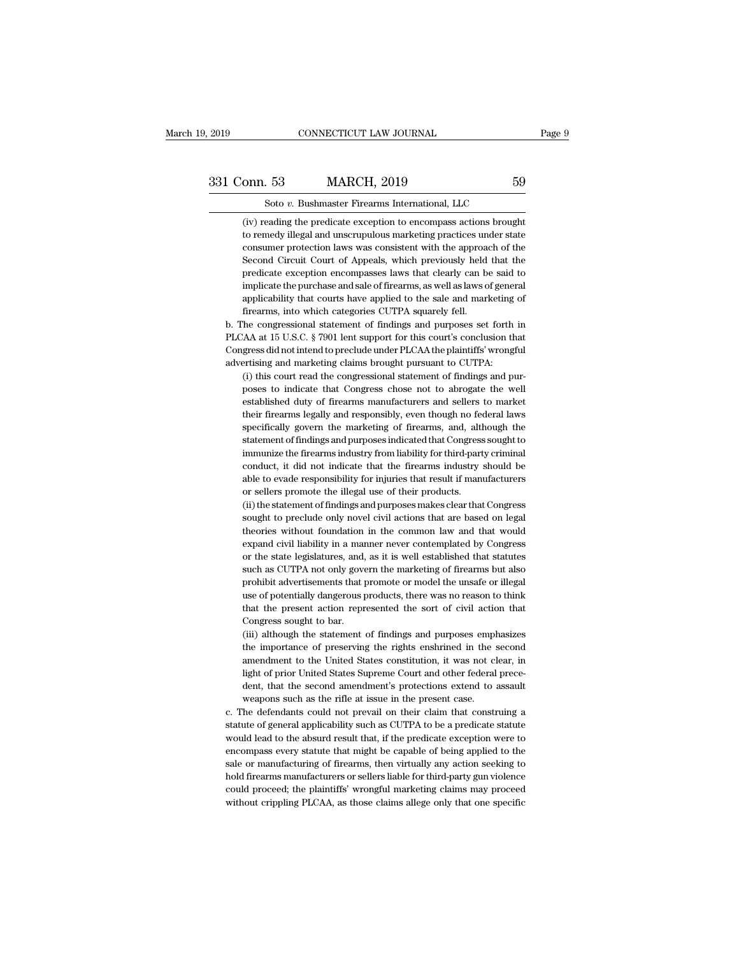CONNECTICUT LAW JOURNAL<br>Soto *v.* Bushmaster Firearms International, LLC<br>eading the predicate exception to encompass actions brought onn. 53 MARCH, 2019 59<br>
Soto v. Bushmaster Firearms International, LLC<br>
(iv) reading the predicate exception to encompass actions brought<br>
to remedy illegal and unscrupulous marketing practices under state onn. 53 MARCH, 2019 59<br>Soto v. Bushmaster Firearms International, LLC<br>(iv) reading the predicate exception to encompass actions brought<br>to remedy illegal and unscrupulous marketing practices under state<br>consumer protection or the Second Circuit Court of Appeals, which previously held that the Second Circuit Court of Appeals, which previously held that the second Circuit Court of Appeals, which previously held that the Second Circuit Court of Soto  $v$ . Bushmaster Firearms International, LLC (iv) reading the predicate exception to encompass actions brought to remedy illegal and unscrupulous marketing practices under state consumer protection laws was consistent Soto  $v$ . Bushmaster Firearms International, LLC<br>(iv) reading the predicate exception to encompass actions brought<br>to remedy illegal and unscrupulous marketing practices under state<br>consumer protection laws was consistent (iv) reading the predicate exception to encompass actions brought<br>to remedy illegal and unscrupulous marketing practices under state<br>consumer protection laws was consistent with the approach of the<br>Second Circuit Court of to remedy illegal and unscrupulous marketing practices under state consumer protection laws was consistent with the approach of the Second Circuit Court of Appeals, which previously held that the predicate exception encomp consumer protection laws was consistent with the approached Second Circuit Court of Appeals, which previously held predicate exception encompasses laws that clearly can be implicate the purchase and sale of firearms, as we Second Circuit Court of Appeals, which previously held that the predicate exception encompasses laws that clearly can be said to implicate the purchase and sale of firearms, as well as laws of general applicability that co predicate exception encompasses laws that clearly can be said to<br>implicate the purchase and sale of firearms, as well as laws of general<br>applicability that courts have applied to the sale and marketing of<br>firearms, into wh

implicate the purchase and sale of firearms, as well as laws of general<br>applicability that courts have applied to the sale and marketing of<br>firearms, into which categories CUTPA squarely fell.<br>b. The congressional statemen applicability that courts have applied to the sale and marketing<br>firearms, into which categories CUTPA squarely fell.<br>b. The congressional statement of findings and purposes set forth<br>PLCAA at 15 U.S.C. § 7901 lent support firearms, into which categories CUTPA squarely fell.<br>The congressional statement of findings and purposes set forth in<br>AA at 15 U.S.C. § 7901 lent support for this court's conclusion that<br>gress did not intend to preclude u The congressional statement of findings and purposes set forth in<br>AA at 15 U.S.C. § 7901 lent support for this court's conclusion that<br>gress did not intend to preclude under PLCAA the plaintiffs' wrongful<br>ritising and mark

PLCAA at 15 U.S.C. § 7901 lent support for this court's conclusion that Congress did not intend to preclude under PLCAA the plaintiffs' wrongful advertising and marketing claims brought pursuant to CUTPA:<br>(i) this court r gress did not intend to preclude under PLCAA the plaintiffs' wrongful<br>ertising and marketing claims brought pursuant to CUTPA:<br>(i) this court read the congressional statement of findings and pur-<br>poses to indicate that Con ertising and marketing claims brought pursuant to CUTPA:<br>(i) this court read the congressional statement of findings and pur-<br>poses to indicate that Congress chose not to abrogate the well<br>established duty of firearms manu (i) this court read the congressional statement of findings and purposes to indicate that Congress chose not to abrogate the well established duty of firearms manufacturers and sellers to market their firearms legally and poses to indicate that Congress chose not to abrogate the well established duty of firearms manufacturers and sellers to market their firearms legally and responsibly, even though no federal laws specifically govern the ma established duty of firearms manufacturers and sellers to market<br>their firearms legally and responsibly, even though no federal laws<br>specifically govern the marketing of firearms, and, although the<br>statement of findings an their firearms legally and responsibly, even though no federal laws<br>specifically govern the marketing of firearms, and, although the<br>statement of findings and purposes indicated that Congress sought to<br>immunize the firearm specifically govern the marketing of firearms, and, altistatement of findings and purposes indicated that Congress immunize the firearms industry from liability for third-part conduct, it did not indicate that the firearms statement of findings and purposes indicated that Congress sought to<br>immunize the firearms industry from liability for third-party criminal<br>conduct, it did not indicate that the firearms industry should be<br>able to evade re immunize the firearms industry from liability for third-party criminal conduct, it did not indicate that the firearms industry should be able to evade responsibility for injuries that result if manufacturers or sellers pro

conduct, it did not indicate that the firearms industry should be<br>able to evade responsibility for injuries that result if manufacturers<br>or sellers promote the illegal use of their products.<br>(ii) the statement of findings able to evade responsibility for injuries that result if manufacturers<br>or sellers promote the illegal use of their products.<br>(ii) the statement of findings and purposes makes clear that Congress<br>sought to preclude only nov or sellers promote the illegal use of their products.<br>(ii) the statement of findings and purposes makes clear that Congress<br>sought to preclude only novel civil actions that are based on legal<br>theories without foundation in (ii) the statement of findings and purposes makes clear that Congress<br>sought to preclude only novel civil actions that are based on legal<br>theories without foundation in the common law and that would<br>expand civil liability sought to preclude only novel civil actions that are based on legal theories without foundation in the common law and that would expand civil liability in a manner never contemplated by Congress or the state legislatures, theories without foundation in the common law and that would<br>expand civil liability in a manner never contemplated by Congress<br>or the state legislatures, and, as it is well established that statutes<br>such as CUTPA not only expand civil liability in a manner never contemplated by Congress<br>or the state legislatures, and, as it is well established that statutes<br>such as CUTPA not only govern the marketing of firearms but also<br>prohibit advertisem or the state legislatures, and,<br>such as CUTPA not only gove<br>prohibit advertisements that  $\mu$ <br>use of potentially dangerous p<br>that the present action repr<br>Congress sought to bar.<br>(iii) although the statement such as CUTPA not only govern the marketing of firearms but also<br>prohibit advertisements that promote or model the unsafe or illegal<br>use of potentially dangerous products, there was no reason to think<br>that the present acti prohibit advertisements that promote or model the unsafe or illegal<br>use of potentially dangerous products, there was no reason to think<br>that the present action represented the sort of civil action that<br>Congress sought to b

use of potentially dangerous products, there was no reason to think<br>that the present action represented the sort of civil action that<br>Congress sought to bar.<br>(iii) although the statement of findings and purposes emphasizes that the present action represented the sort of civil action that Congress sought to bar.<br>(iii) although the statement of findings and purposes emphasizes<br>the importance of preserving the rights enshrined in the second<br>ame Congress sought to bar.<br>
(iii) although the statement of findings and purposes emphasizes<br>
the importance of preserving the rights enshrined in the second<br>
amendment to the United States constitution, it was not clear, in<br> (iii) although the statement of findings and purposes emplement to the statement of preserving the rights enshrined in the amendment to the United States constitution, it was not clight of prior United States Supreme Court the importance of preserving the rights enshrined in the second<br>amendment to the United States constitution, it was not clear, in<br>light of prior United States Supreme Court and other federal prece-<br>dent, that the second am amendment to the United States constitution, it was not clear, in light of prior United States Supreme Court and other federal precedent, that the second amendment's protections extend to assault we<br>appose such as the rifl

light of prior United States Supreme Court and other federal precedent, that the second amendment's protections extend to assault weapons such as the rifle at issue in the present case.<br>C. The defendants could not prevail dent, that the second amendment's protections extend to assault we<br>apons such as the rifle at issue in the present case.<br>c. The defendants could not prevail on their claim that construing a<br>statute of general applicability weapons such as the rifle at issue in the present case.<br>c. The defendants could not prevail on their claim that construing a<br>statute of general applicability such as CUTPA to be a predicate statute<br>would lead to the absurd c. The defendants could not prevail on their claim that construing a statute of general applicability such as CUTPA to be a predicate statute would lead to the absurd result that, if the predicate exception were to encompa statute of general applicability such as CUTPA to be a predicate statute would lead to the absurd result that, if the predicate exception were to encompass every statute that might be capable of being applied to the sale o statute of general applicability such as CUTPA to be a predicate statute would lead to the absurd result that, if the predicate exception were to encompass every statute that might be capable of being applied to the sale o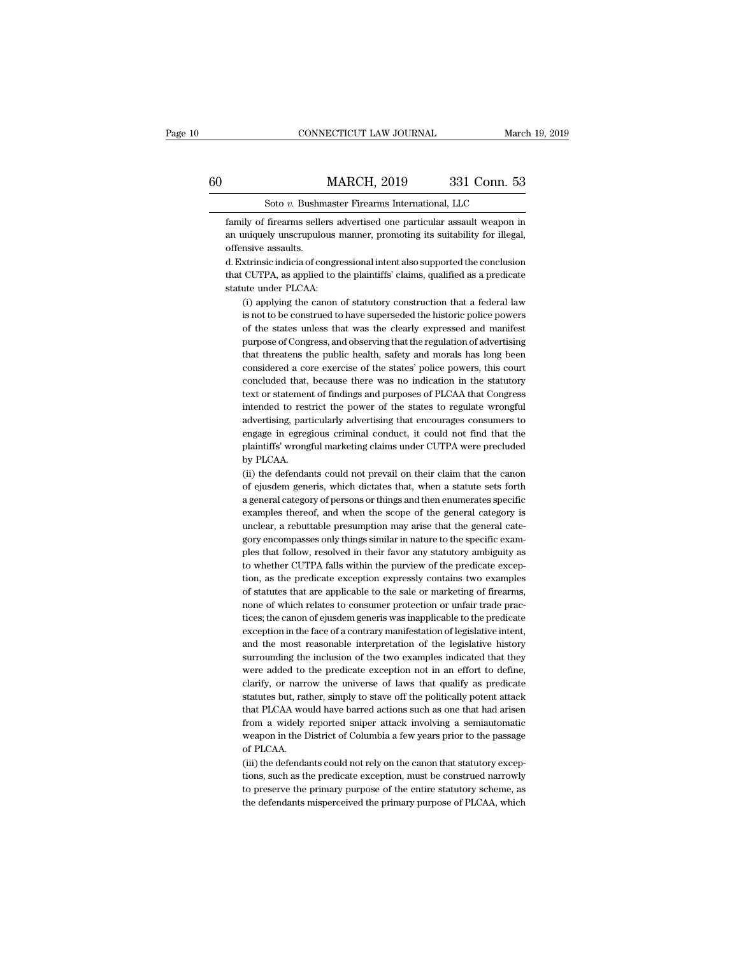# EXECUTE CONNECTICUT LAW JOURNAL March 19, 2019<br>
60 MARCH, 2019 331 Conn. 53<br>
500 v. Bushmaster Firearms International, LLC CONNECTICUT LAW JOURNAL March March March MARCH, 2019 331 Conn. 53<br>Soto *v.* Bushmaster Firearms International, LLC firearms sellers advertised one particular assault weapon in

MARCH, 2019 331 Conn. 53<br>Soto v. Bushmaster Firearms International, LLC<br>family of firearms sellers advertised one particular assault weapon in<br>an uniquely unscrupulous manner, promoting its suitability for illegal, MARCH, 2019 331 Conn. 53<br>
Soto v. Bushmaster Firearms International, LLC<br>
family of firearms sellers advertised one particular assault weapon in<br>
an uniquely unscrupulous manner, promoting its suitability for illegal,<br>
off Soto v. Bushn<br>family of firearms selle<br>an uniquely unscrupulo<br>offensive assaults.<br>d. Extrinsic indicia of co Soto  $v$ . Bushmaster Firearms International, LLC<br>family of firearms sellers advertised one particular assault weapon in<br>an uniquely unscrupulous manner, promoting its suitability for illegal,<br>offensive assaults.<br>d. Extrin

Soto *v*. Bushmaster Firearms international, LLC<br>family of firearms sellers advertised one particular assault weapon in<br>an uniquely unscrupulous manner, promoting its suitability for illegal,<br>offensive assaults.<br>d. Extrins % finally of firearms sellers advertised one particular assault we<br>apon in an uniquely unscrupulous manner, promoting its suitability for illegal, offen<br>sive assaults. <br> d. Extrinsic indicia of congressional intent also s miquely unscrupulous manner, promoting its suitability for illegal,<br>nsive assaults.<br>xtrinsic indicia of congressional intent also supported the conclusion<br>CUTPA, as applied to the plaintiffs' claims, qualified as a predica

nsive assaults.<br>
xtrinsic indicia of congressional intent also supported the conclusion<br>
CUTPA, as applied to the plaintiffs' claims, qualified as a predicate<br>
ute under PLCAA:<br>
(i) applying the canon of statutory construc of the states unless that was the clearly expressed and manifest<br>purpose of Congress, and observing that the regulation of advertising<br>that threatens the public health, safety and morals has long been CUTPA, as applied to the plaintiffs' claims, qualified as a predicate<br>ute under PLCAA:<br>(i) applying the canon of statutory construction that a federal law<br>is not to be construed to have superseded the historic police power the under PLCAA:<br>(i) applying the canon of statutory construction that a federal law<br>is not to be construed to have superseded the historic police powers<br>of the states unless that was the clearly expressed and manifest<br>pur (i) applying the canon of statutory construction that a federal law<br>is not to be construed to have superseded the historic police powers<br>of the states unless that was the clearly expressed and manifest<br>purpose of Congress is not to be construed to have superseded the historic police powers<br>of the states unless that was the clearly expressed and manifest<br>purpose of Congress, and observing that the regulation of advertising<br>that threatens the of the states unless that was the clearly expressed and manifest<br>purpose of Congress, and observing that the regulation of advertising<br>that threatens the public health, safety and morals has long been<br>considered a core exe purpose of Congress, and observing that the regulation of advertising<br>that threatens the public health, safety and morals has long been<br>considered a core exercise of the states' police powers, this court<br>concluded that, be that threatens the public health, safety and morals has long been considered a core exercise of the states' police powers, this court concluded that, because there was no indication in the statutory text or statement of fi considered a core exercise of the states' police powers, this court<br>concluded that, because there was no indication in the statutory<br>text or statement of findings and purposes of PLCAA that Congress<br>intended to restrict th concluded that, because there was no indication in the statutory<br>text or statement of findings and purposes of PLCAA that Congress<br>intended to restrict the power of the states to regulate wrongful<br>advertising, particularly text or statement of findings and purposes of PLCAA that Congress<br>intended to restrict the power of the states to regulate wrongful<br>advertising, particularly advertising that encourages consumers to<br>engage in egregious cri intended to restrict the power of the states to regulate wrongful<br>advertising, particularly advertising that encourages consumers to<br>engage in egregious criminal conduct, it could not find that the<br>plaintiffs' wrongful mar advertising, particularly advertising that encourages consumers to engage in egregious criminal conduct, it could not find that the plaintiffs' wrongful marketing claims under CUTPA were precluded by PLCAA.<br>(ii) the defend

engage in egregious criminal conduct, it could not find that the plaintiffs' wrongful marketing claims under CUTPA were precluded by PLCAA.<br>(ii) the defendants could not prevail on their claim that the canon of ejusdem gen plaintiffs' wrongful marketing claims under CUTPA were precluded<br>by PLCAA.<br>(ii) the defendants could not prevail on their claim that the canon<br>of ejusdem generis, which dictates that, when a statute sets forth<br>a general ca by PLCAA.<br>(ii) the defendants could not prevail on their claim that the canon<br>of ejusdem generis, which dictates that, when a statute sets forth<br>a general category of persons or things and then enumerates specific<br>examples (ii) the defendants could not prevail on their claim that the canon of ejusdem generis, which dictates that, when a statute sets forth a general category of persons or things and then enumerates specific examples thereof, of ejusdem generis, which dictates that, when a statute sets forth a general category of persons or things and then enumerates specific examples thereof, and when the scope of the general category is unclear, a rebuttable a general category of persons or things and then enumerates specific<br>examples thereof, and when the scope of the general category is<br>unclear, a rebuttable presumption may arise that the general category<br>encompasses only th examples thereof, and when the scope of the general category is<br>unclear, a rebuttable presumption may arise that the general cate-<br>gory encompasses only things similar in nature to the specific exam-<br>ples that follow, reso unclear, a rebuttable presumption may arise that the general category encompasses only things similar in nature to the specific examples that follow, resolved in their favor any statutory ambiguity as to whether CUTPA fall gory encompasses only things similar in nature to the specific examples that follow, resolved in their favor any statutory ambiguity as to whether CUTPA falls within the purview of the predicate exception, as the predicate ples that follow, resolved in their favor any statutory ambiguity as<br>to whether CUTPA falls within the purview of the predicate excep-<br>tion, as the predicate exception expressly contains two examples<br>of statutes that are a to whether CUTPA falls within the purview of the predicate exception, as the predicate exception expressly contains two examples of statutes that are applicable to the sale or marketing of firearms, none of which relates t tion, as the predicate exception expressly contains two examples<br>of statutes that are applicable to the sale or marketing of firearms,<br>none of which relates to consumer protection or unfair trade prac-<br>tices; the canon of of statutes that are applicable to the sale or marketing of firearms,<br>none of which relates to consumer protection or unfair trade prac-<br>tices; the canon of ejusdem generis was inapplicable to the predicate<br>exception in th none of which relates to consumer protection or unfair trade practices; the canon of ejusdem generis was inapplicable to the predicate exception in the face of a contrary manifestation of legislative intent, and the most r tices; the canon of ejusdem generis was inapplicable to the predicate exception in the face of a contrary manifestation of legislative intent, and the most reasonable interpretation of the legislative history surrounding t exception in the face of a contrary manifestation of legislative intent, and the most reasonable interpretation of the legislative history surrounding the inclusion of the two examples indicated that they were added to the and the most reasonable interpretation of the legislative history<br>surrounding the inclusion of the two examples indicated that they<br>were added to the predicate exception not in an effort to define,<br>clarify, or narrow the u surrounding the inclusion of the two examples indicated that they<br>were added to the predicate exception not in an effort to define,<br>clarify, or narrow the universe of laws that qualify as predicate<br>statutes but, rather, si were added to the predicate exception not in an effort to define, clarify, or narrow the universe of laws that qualify as predicate statutes but, rather, simply to stave off the politically potent attack that PLCAA would h clarify, or narre<br>statutes but, rat<br>that PLCAA wo<br>from a widely<br>weapon in the I<br>of PLCAA.<br>(iii) the defenda statutes but, rather, simply to stave off the politically potent attack<br>that PLCAA would have barred actions such as one that had arisen<br>from a widely reported sniper attack involving a semiautomatic<br>weapon in the District that PLCAA would have barred actions such as one that had arisen<br>from a widely reported sniper attack involving a semiautomatic<br>weapon in the District of Columbia a few years prior to the passage<br>of PLCAA.<br>(iii) the defend

from a widely reported sniper attack involving a semiautomatic<br>weapon in the District of Columbia a few years prior to the passage<br>of PLCAA.<br>(iii) the defendants could not rely on the canon that statutory excep-<br>tions, suc weapon in the District of Columbia a few years prior to the passage<br>of PLCAA.<br>(iii) the defendants could not rely on the canon that statutory excep-<br>tions, such as the predicate exception, must be construed narrowly<br>to pre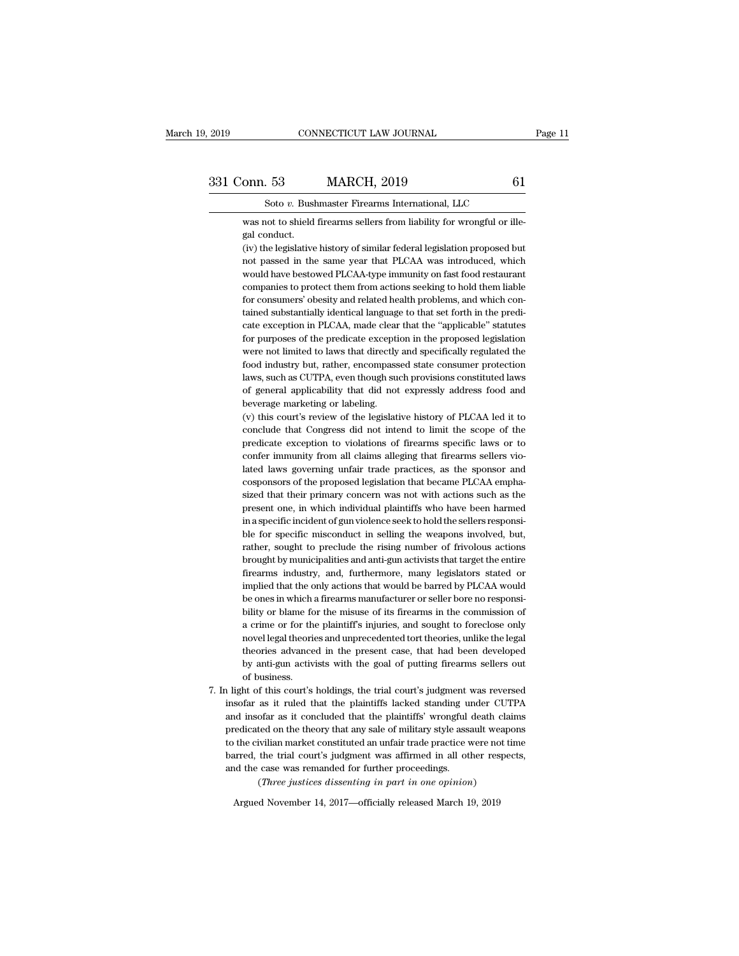| , 2019       | CONNECTICUT LAW JOURNAL                                                 |    | Page 11 |
|--------------|-------------------------------------------------------------------------|----|---------|
| 331 Conn. 53 | <b>MARCH, 2019</b>                                                      | 61 |         |
|              | Soto v. Bushmaster Firearms International, LLC                          |    |         |
|              | was not to shield firearms sellers from liability for wrongful or ille- |    |         |

onn. 53 MARCH, 2019 61<br>Soto v. Bushmaster Firearms International, LLC<br>was not to shield firearms sellers from liability for wrongful or ille-<br>gal conduct. onn. 53<br>Soto v. Busl<br>was not to shield<br>gal conduct.<br>(iv) the legislative

(iv) the legislative history of similar federal legislation proposed but<br>was not to shield firearms sellers from liability for wrongful or illegal conduct.<br>(iv) the legislative history of similar federal legislation propos Soto v. Bushmaster Firearms International, LLC<br>was not to shield firearms sellers from liability for wrongful or ille-<br>gal conduct.<br>(iv) the legislative history of similar federal legislation proposed but<br>not passed in the Soto  $v$ . Bushmaster Firearms International, LLC<br>was not to shield firearms sellers from liability for wrongful or ille-<br>gal conduct.<br>(iv) the legislative history of similar federal legislation proposed but<br>not passed in was not to shield firearms sellers from liability for wrongful or illegal conduct.<br>(iv) the legislative history of similar federal legislation proposed but<br>not passed in the same year that PLCAA was introduced, which<br>would gal conduct.<br>(iv) the legislative history of similar federal legislation proposed but<br>not passed in the same year that PLCAA was introduced, which<br>would have bestowed PLCAA-type immunity on fast food restaurant<br>companies t (iv) the legislative history of similar federal legislation proposed but<br>not passed in the same year that PLCAA was introduced, which<br>would have bestowed PLCAA-type immunity on fast food restaurant<br>companies to protect the not passed in the same year that PLCAA was introduced, which would have bestowed PLCAA-type immunity on fast food restaurant companies to protect them from actions seeking to hold them liable for consumers' obesity and rel would have bestowed PLCAA-type immunity on fast food restaurant companies to protect them from actions seeking to hold them liable for consumers' obesity and related health problems, and which contained substantially ident companies to protect them from actions seeking to hold them liable<br>for consumers' obesity and related health problems, and which con-<br>tained substantially identical language to that set forth in the predi-<br>cate exception i for consumers' obesity and related health problems, and which contained substantially identical language to that set forth in the predicate exception in PLCAA, made clear that the "applicable" statutes for purposes of the tained substantially identical language to that set forth in the predicate exception in PLCAA, made clear that the "applicable" statutes for purposes of the predicate exception in the proposed legislation were not limited cate exception in PLCAA, made clear that the "applicable" statutes<br>for purposes of the predicate exception in the proposed legislation<br>were not limited to laws that directly and specifically regulated the<br>food industry but for purposes of the predicate excepti<br>were not limited to laws that directly<br>food industry but, rather, encompass<br>laws, such as CUTPA, even though su<br>of general applicability that did not<br>beverage marketing or labeling.<br>(v were not limited to laws that directly and specifically regulated the food industry but, rather, encompassed state consumer protection laws, such as CUTPA, even though such provisions constituted laws of general applicabil food industry but, rather, encompassed state consumer protection<br>laws, such as CUTPA, even though such provisions constituted laws<br>of general applicability that did not expressly address food and<br>beverage marketing or labe

laws, such as CUTPA, even though such provisions constituted laws<br>of general applicability that did not expressly address food and<br>beverage marketing or labeling.<br>(v) this court's review of the legislative history of PLCAA of general applicability that did not expressly address food and<br>beverage marketing or labeling.<br>(v) this court's review of the legislative history of PLCAA led it to<br>conclude that Congress did not intend to limit the scop beverage marketing or labeling.<br>(v) this court's review of the legislative history of PLCAA led it to<br>conclude that Congress did not intend to limit the scope of the<br>predicate exception to violations of firearms specific l (v) this court's review of the legislative history of PLCAA led it to conclude that Congress did not intend to limit the scope of the predicate exception to violations of firearms specific laws or to confer immunity from a conclude that Congress did not intend to limit the scope of the predicate exception to violations of firearms specific laws or to confer immunity from all claims alleging that firearms sellers violated laws governing unfai predicate exception to violations of firearms specific laws or to confer immunity from all claims alleging that firearms sellers violated laws governing unfair trade practices, as the sponsor and cosponsors of the proposed confer immunity from all claims alleging that firearms sellers violated laws governing unfair trade practices, as the sponsor and cosponsors of the proposed legislation that became PLCAA emphasized that their primary conce lated laws governing unfair trade practices, as the sponsor and cosponsors of the proposed legislation that became PLCAA emphasized that their primary concern was not with actions such as the present one, in which individu cosponsors of the proposed legislation that became PLCAA emphasized that their primary concern was not with actions such as the present one, in which individual plaintiffs who have been harmed in a specific incident of gun sized that their primary concern was not with actions such as the present one, in which individual plaintiffs who have been harmed in a specific incident of gun violence seek to hold the sellers responsible for specific mi present one, in which individual plaintiffs who have been harmed<br>in a specific incident of gun violence seek to hold the sellers responsi-<br>ble for specific misconduct in selling the weapons involved, but,<br>rather, sought to in a specific incident of gun violence seek to hold the sellers responsi-<br>ble for specific misconduct in selling the weapons involved, but,<br>rather, sought to preclude the rising number of frivolous actions<br>brought by munic brought by municipalities and anti-gun activists that target the entire<br>firearms industry, and, furthermore, many legislators stated or<br>implied that the only actions that would be barred by PLCAA would<br>be ones in which a f rather, sought to preclude the rising number of frivolous actions<br>brought by municipalities and anti-gun activists that target the entire<br>firearms industry, and, furthermore, many legislators stated or<br>implied that the onl brought by municipalities and anti-gun activists that target the entire<br>firearms industry, and, furthermore, many legislators stated or<br>implied that the only actions that would be barred by PLCAA would<br>be ones in which a f firearms industry, and, furthermore, many legislators stated or implied that the only actions that would be barred by PLCAA would be ones in which a firearms manufacturer or seller bore no responsibility or blame for the m implied that the only actions that would be barred by PLCAA would<br>be ones in which a firearms manufacturer or seller bore no responsi-<br>bility or blame for the misuse of its firearms in the commission of<br>a crime or for the be ones in which a firearms manufacturer or seller bore no responsibility or blame for the misuse of its firearms in the commission of a crime or for the plaintiff's injuries, and sought to foreclose only novel legal theor bility or blame fc<br>a crime or for the novel legal theories<br>theories advance<br>by anti-gun active<br>of business.<br>At of this court's The artime or for the plaintiff's injuries, and sought to foreclose only<br>novellegal theories and unprecedented tort theories, unlike the legal<br>theories advanced in the present case, that had been developed<br>by anti-gun acti novel legal theories and unprecedented tort theories, unlike the legal<br>theories advanced in the present case, that had been developed<br>by anti-gun activists with the goal of putting firearms sellers out<br>of business.<br>light o

theories advanced in the present case, that had been developed<br>by anti-gun activists with the goal of putting firearms sellers out<br>of business.<br>light of this court's holdings, the trial court's judgment was reversed<br>insofa by anti-gun activists with the goal of putting firearms sellers out of business.<br>
a light of this court's holdings, the trial court's judgment was reversed<br>
insofar as it ruled that the plaintiffs lacked standing under CUT of business.<br>
I light of this court's holdings, the trial court's judgment was reversed<br>
insofar as it ruled that the plaintiffs' acked standing under CUTPA<br>
and insofar as it concluded that the plaintiffs' wrongful death is light of this court's holdings, the trial court's judgment was reversed insofar as it ruled that the plaintiffs lacked standing under CUTPA and insofar as it concluded that the plaintiffs' wrongful death claims predicat insofar as it ruled that the plaintiffs lacked standing und insofar as it concluded that the plaintiffs' wrongful predicated on the theory that any sale of military style asss to the civilian market constituted an unfair and insofar as it concluded that the plaintiffs' wrongful death claims<br>predicated on the theory that any sale of military style assault we<br>apons to the civilian market constituted an unfair trade practice were not time<br>ba

Argued November 14, 2017—officially released March 19, 2019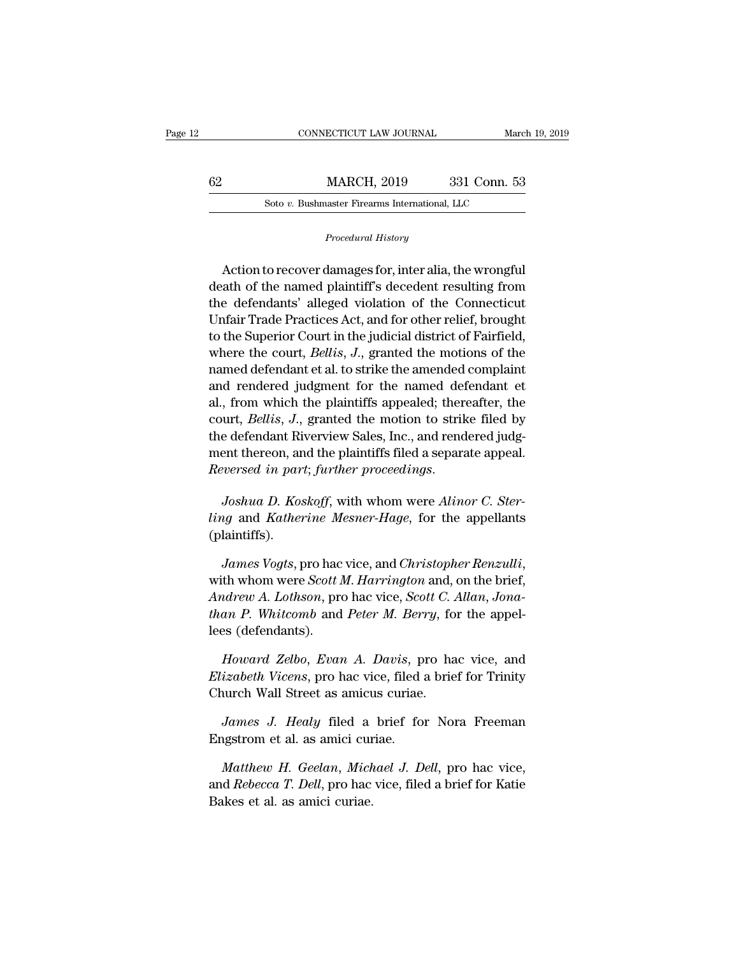|    | CONNECTICUT LAW JOURNAL                        |                |
|----|------------------------------------------------|----------------|
|    |                                                | March 19, 2019 |
| 62 | <b>MARCH, 2019</b>                             | 331 Conn. 53   |
|    | Soto v. Bushmaster Firearms International, LLC |                |
|    | Procedural History                             |                |

MARCH, 2019 331 Conn. 53<br>
Soto v. Bushmaster Firearms International, LLC<br>
Procedural History<br>
Action to recover damages for, inter alia, the wrongful<br>
ath of the named plaintiff's decedent resulting from Soto v. Bushmaster Firearms International, LLC<br>
Procedural History<br>
Action to recover damages for, inter alia, the wrongful<br>
death of the named plaintiff's decedent resulting from<br>
the defendants' alleged violation of the soto *v.* Bushmaster Firearms international, LLC<br>
Procedural History<br>
Action to recover damages for, inter alia, the wrongful<br>
death of the named plaintiff's decedent resulting from<br>
the defendants' alleged violation of th Procedural History<br>
Action to recover damages for, inter alia, the wrongful<br>
death of the named plaintiff's decedent resulting from<br>
the defendants' alleged violation of the Connecticut<br>
Unfair Trade Practices Act, and for *Procedural History*<br>Action to recover damages for, inter alia, the wrongful<br>death of the named plaintiff's decedent resulting from<br>the defendants' alleged violation of the Connecticut<br>Unfair Trade Practices Act, and for o Action to recover damages for, inter alia, the wrongful<br>death of the named plaintiff's decedent resulting from<br>the defendants' alleged violation of the Connecticut<br>Unfair Trade Practices Act, and for other relief, brought<br> Action to recover damages for, inter ana, the wrongful<br>death of the named plaintiff's decedent resulting from<br>the defendants' alleged violation of the Connecticut<br>Unfair Trade Practices Act, and for other relief, brought<br>t death of the hamed plantiful s decedent resulting from<br>the defendants' alleged violation of the Connecticut<br>Unfair Trade Practices Act, and for other relief, brought<br>to the Superior Court in the judicial district of Fairfi the defendants alleged violation of the Connecticut<br>Unfair Trade Practices Act, and for other relief, brought<br>to the Superior Court in the judicial district of Fairfield,<br>where the court, *Bellis, J.*, granted the motions colument Fractures Act, and for other refler, prought<br>to the Superior Court in the judicial district of Fairfield,<br>where the court, *Bellis*, *J*., granted the motions of the<br>named defendant et al. to strike the amended co to the superior Court in the judicial district of Fairneid,<br>where the court, *Bellis*, *J*., granted the motions of the<br>named defendant et al. to strike the amended complaint<br>and rendered judgment for the named defendant e where the court, *betters*, *J.*, granted the motions of the<br>named defendant et al. to strike the amended complaint<br>and rendered judgment for the named defendant et<br>al., from which the plaintiffs appealed; thereafter, the<br> *Reversed in particulary and Koskoff, with whom were <i>Alinor C. Sterling* and *Koskoff*, with whom were *Alinor C. Ster-*<br>*Reversed in part*; *further proceedings. Joshua D. Koskoff, with whom were <i>Alinor C. Ster-*<br>*Lin court, Bellis, J., granted the motion to strike filed by*<br>the defendant Riverview Sales, Inc., and rendered judg-<br>ment thereon, and the plaintiffs filed a separate appeal.<br>*Reversed in part; further proceedings.*<br>Joshua D

(plaintiffs).

*Joshua D. Koskoff, with whom were Alinor C. Sterling and Katherine Mesner-Hage, for the appellants*<br>(plaintiffs).<br>*James Vogts, pro hac vice, and Christopher Renzulli, with whom were <i>Scott M. Harrington* and, on the brie *Joshua D. Koskoff, with whom were Alinor C. Sterling and Katherine Mesner-Hage, for the appellants (plaintiffs).*<br>*James Vogts, pro hac vice, and Christopher Renzulli, with whom were Scott M. Harrington and, on the brief, ting* and *Katherine Mesner-Hage*, for the appellants (plaintiffs).<br> *James Vogts*, pro hac vice, and *Christopher Renzulli*, with whom were *Scott M. Harrington* and, on the brief, *Andrew A. Lothson*, pro hac vice, *Sco* (plaintiffs).<br>*James Vogts*, pro hac<br>with whom were *Scott l*<br>*Andrew A. Lothson*, pro<br>*than P. Whitcomb* and<br>lees (defendants).<br>*Howard Zelbo. Eva James Vogts, pro hac vice, and Christopher Renzulli,*<br>th whom were *Scott M. Harrington* and, on the brief,<br>*idrew A. Lothson, pro hac vice, Scott C. Allan, Jona-*<br>an P. Whitcomb and Peter M. Berry, for the appel-<br>es (def with whom were *Scott M. Harrington* and, on the brief,<br> *Andrew A. Lothson*, pro hac vice, *Scott C. Allan*, Jona-<br> *than P. Whitcomb* and *Peter M. Berry*, for the appel-<br>
lees (defendants).<br> *Howard Zelbo, Evan A. Davis* 

Andrew A. Lothson, pro hac vice, Scott C. .<br>
than P. Whitcomb and Peter M. Berry, fo<br>
lees (defendants).<br>
Howard Zelbo, Evan A. Davis, pro ha<br>
Elizabeth Vicens, pro hac vice, filed a brie<br>
Church Wall Street as amicus curi Provard Zelbo, Evan A. Davis, pro hac vice, and<br>*izabeth Vicens*, pro hac vice, filed a brief for Trinity<br>nurch Wall Street as amicus curiae.<br>*James J. Healy* filed a brief for Nora Freeman<br>ngstrom et al. as amici curiae. Howard Zelbo, Evan A. Davis, p<br>Elizabeth Vicens, pro hac vice, filed a<br>Church Wall Street as amicus curiae.<br>James J. Healy filed a brief for<br>Engstrom et al. as amici curiae.<br>Matthew H. Geelan, Michael J. D.

*Mathew Weens, pro hac vice, filed a brief for Trinity*<br> *Mathew J. Healy filed a brief for Nora Freeman*<br> *Matthew H. Geelan, Michael J. Dell, pro hac vice, d Rebecca T. Dell, pro hac vice, filed a brief for Katie* Church Wall Street as amicus curiae.<br> *James J. Healy* filed a brief for Nora Freeman<br>
Engstrom et al. as amici curiae.<br> *Matthew H. Geelan, Michael J. Dell*, pro hac vice, and *Rebecca T. Dell*, pro hac vice, filed a brie James J. Healy filed a<br>Engstrom et al. as amici cur<br>Matthew H. Geelan, Mick<br>and Rebecca T. Dell, pro hac<br>Bakes et al. as amici curiae.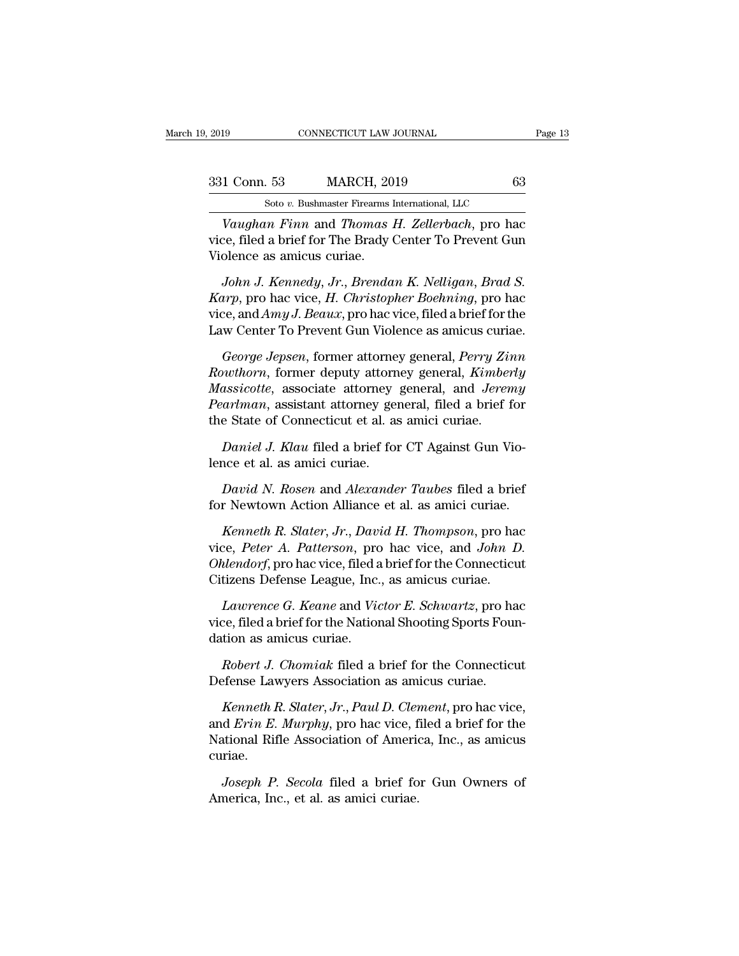| <b>MARCH, 2019</b><br>331 Conn. 53 | 63      |
|------------------------------------|---------|
|                                    |         |
| 2019<br>CONNECTICUT LAW JOURNAL    | Page 13 |

<sup>19</sup> CONNECTICUT LAW JOURNAL Page 13<br> **1 Conn. 53** MARCH, 2019 63<br>
Soto *v.* Bushmaster Firearms International, LLC<br> *Vaughan Finn* and *Thomas H. Zellerbach*, pro hac<br>
ce, filed a brief for The Brady Center To Prevent Gun 331 Conn. 53 MARCH, 2019 63<br>Soto v. Bushmaster Firearms International, LLC<br>Vaughan Finn and Thomas H. Zellerbach, pro hac<br>vice, filed a brief for The Brady Center To Prevent Gun<br>Violence as amicus curiae. 331 Conn. 53 MARCH, 20<br>
Soto v. Bushmaster Firearms I<br>
Vaughan Finn and Thomas<br>
vice, filed a brief for The Brady<br>
Violence as amicus curiae.<br>
John J. Kennedy, Jr., Brenda *John J. Kennedy, Jr., Brendan K. Nelligan, Brad S.<br>John J. Kennedy, Jr., <i>Brendan K. Nelligan, Brad S.*<br>*John J. Kennedy, Jr., Brendan K. Nelligan, Brad S.*<br>*John J. Kennedy, Jr., Brendan K. Nelligan, Brad S.*<br>*Grp,* pro

Soto *v.* Bushmaster Firearms International, LLC<br> *Vaughan Finn* and *Thomas H. Zellerbach*, pro hac<br>
vice, filed a brief for The Brady Center To Prevent Gun<br>
Violence as amicus curiae.<br> *John J. Kennedy, Jr., Brendan K. N* Vaughan Finn and *Thomas H. Zellerbach*, pro hac<br>vice, filed a brief for The Brady Center To Prevent Gun<br>Violence as amicus curiae.<br>John J. Kennedy, Jr., Brendan K. Nelligan, Brad S.<br>Karp, pro hac vice, H. Christopher Boeh vice, filed a brief for The Brady Center To Prevent Gun<br>Violence as amicus curiae.<br>*John J. Kennedy, Jr., Brendan K. Nelligan, Brad S.*<br>*Karp,* pro hac vice, *H. Christopher Boehning,* pro hac<br>vice, and *Amy J. Beaux,* pro *George Jepsen, former attorney general, Brad S.*<br>*George Jepsen, Dr., Brendan K. Nelligan, Brad S.*<br>*Prp, pro hac vice, H. Christopher Boehning, pro hac*<br>ce, and *Amy J. Beaux, pro hac vice, filed a brief for the*<br>w Cente *John J. Kennedy, Jr., Brendan K. Nelligan, Brad S.<br>
Karp, pro hac vice, H. Christopher Boehning, pro hac<br>
vice, and Amy J. Beaux, pro hac vice, filed a brief for the<br>
Law Center To Prevent Gun Violence as amicus curiae.<br>* 

*Karp*, pro hac vice, *H. Christopher Boehning*, pro hac<br>vice, and *Amy J. Beaux*, pro hac vice, filed a brief for the<br>Law Center To Prevent Gun Violence as amicus curiae.<br>*George Jepsen*, former attorney general, *Perry Z* vice, and *Amy J. Beaux*, pro hac vice, filed a brief for the Law Center To Prevent Gun Violence as amicus curiae.<br>George Jepsen, former attorney general, *Perry Zinn*<br>Rowthorn, former deputy attorney general, *Kimberly*<br>M Law Center To Prevent Gun Violence as amicus curia<br> *George Jepsen*, former attorney general, *Perry Zin*<br> *Rowthorn*, former deputy attorney general, *Kimber*<br> *Massicotte*, associate attorney general, and *Jeren*<br> *Pearl George Jepsen*, former attorney general, *Perry Zinn nuthorn*, former deputy attorney general, *Kimberly assicotte*, associate attorney general, and *Jeremy arlman*, assistant attorney general, filed a brief for CT Rowthorn, former deputy attorn<br> *Massicotte*, associate attorney<br> *Pearlman*, assistant attorney ger<br>
the State of Connecticut et al. as<br> *Daniel J. Klau* filed a brief for<br>
lence et al. as amici curiae.<br> *David N. Rosen David N. Rosenal* and *Deremy*<br>*Daniel J. Klau filed a brief for e State of Connecticut et al. as amici curiae.*<br>*Daniel J. Klau filed a brief for CT Against Gun Vionce et al. as amici curiae.*<br>*David N. Rosen and Alexand* 

Fearman, assistant attorney general, fied a brief for<br>the State of Connecticut et al. as amici curiae.<br>Daniel J. Klau filed a brief for CT Against Gun Vio-<br>lence et al. as amici curiae.<br>David N. Rosen and Alexander Taubes

*Regional J. Klau* filed a brief for CT Against Gun Vio-<br> *Kennet al.* as amici curiae.<br> *Rewtown Action Alliance et al. as amici curiae.*<br> *Kenneth R. Slater, Jr., David H. Thompson, pro hac*<br> *Remeth R. Slater, Jr., Davi Pantet J. Kidul* Illed a brief for CT Against Gun violence et al. as amici curiae.<br> *Pavid N. Rosen* and *Alexander Taubes* filed a brief<br>
for Newtown Action Alliance et al. as amici curiae.<br> *Kenneth R. Slater, Jr., Davi David N. Rosen and Alexander Taubes filed a brief* for Newtown Action Alliance et al. as amici curiae.<br>*Kenneth R. Slater, Jr., David H. Thompson, pro hac* vice, *Peter A. Patterson, pro hac vice, and John D. Ohlendorf, p* David N. Rosen and Alexander Taubes filed a brie<br>for Newtown Action Alliance et al. as amici curiae.<br>*Kenneth R. Slater, Jr., David H. Thompson, pro havice, Peter A. Patterson, pro hac vice, and John D*<br>*Ohlendorf, pro hac Lawrence G. Keane and Victor E. Schwartz, pro hac*<br>*Lenneth R. Slater, Jr., David H. Thompson, pro hac*<br>*Lendorf, pro hac vice, filed a brief for the Connecticut*<br>*Lawrence G. Keane and Victor E. Schwartz, pro hac*<br>*Lawre* Kenneth R. Slater, Jr., David H. Thompson, pro hac<br>vice, Peter A. Patterson, pro hac vice, and John D.<br>Ohlendorf, pro hac vice, filed a brief for the Connecticut<br>Citizens Defense League, Inc., as amicus curiae.<br>Lawrence G. vice, *Peter A. Patterson*, pro<br> *Ohlendorf*, pro hac vice, filed a<br>
Citizens Defense League, Inc.<br> *Lawrence G. Keane* and Vic<br>
vice, filed a brief for the Nation<br>
dation as amicus curiae.<br> *Robert J. Chomiak* filed a l

*Robert J. Chomiak* filed a brief for the Connecticut tizens Defense League, Inc., as amicus curiae.<br> *Lawrence G. Keane* and *Victor E. Schwartz*, pro hac<br>
ce, filed a brief for the National Shooting Sports Foun-<br> *Robert* Lawrence G. Keane and Victor E. Schwartz, pro havior.<br>Lawrence G. Keane and Victor E. Schwartz, pro havior.<br>Similar as amicus curiae.<br>Robert J. Chomiak filed a brief for the Connecticu<br>Defense Lawyers Association as amicus *Kawrence G. Reane and Victor E. Schwartz*, pro hacce, filed a brief for the National Shooting Sports Fountion as amicus curiae.<br> *Robert J. Chomiak* filed a brief for the Connecticut<br> *Fenneth R. Slater, Jr., Paul D. Clem* 

vice, filed a brief for the National Shooting Sports Foundation as amicus curiae.<br> *Robert J. Chomiak* filed a brief for the Connecticut<br>
Defense Lawyers Association as amicus curiae.<br> *Kenneth R. Slater, Jr., Paul D. Clem* Robert J. Chomiak filed a brief for the Connecticut<br>Defense Lawyers Association as amicus curiae.<br>Kenneth R. Slater, Jr., Paul D. Clement, pro hac vice,<br>and Erin E. Murphy, pro hac vice, filed a brief for the<br>National Rifl curiae. *Joseph P. Secola filed a brief for Gun Owners of Merica, Inc., as amicus dependence of Erin E. Murphy, pro hac vice, filed a brief for the stional Rifle Association of America, Inc., as amicus riae.*<br>*Joseph P. Secola fil* Kenneth R. Slater, Jr., Paul D. Clever and Erin E. Murphy, pro hac vice, for National Rifle Association of Americanian.<br>National Rifle Association of Americaniae.<br>Joseph P. Secola filed a brief for America, Inc., et al. as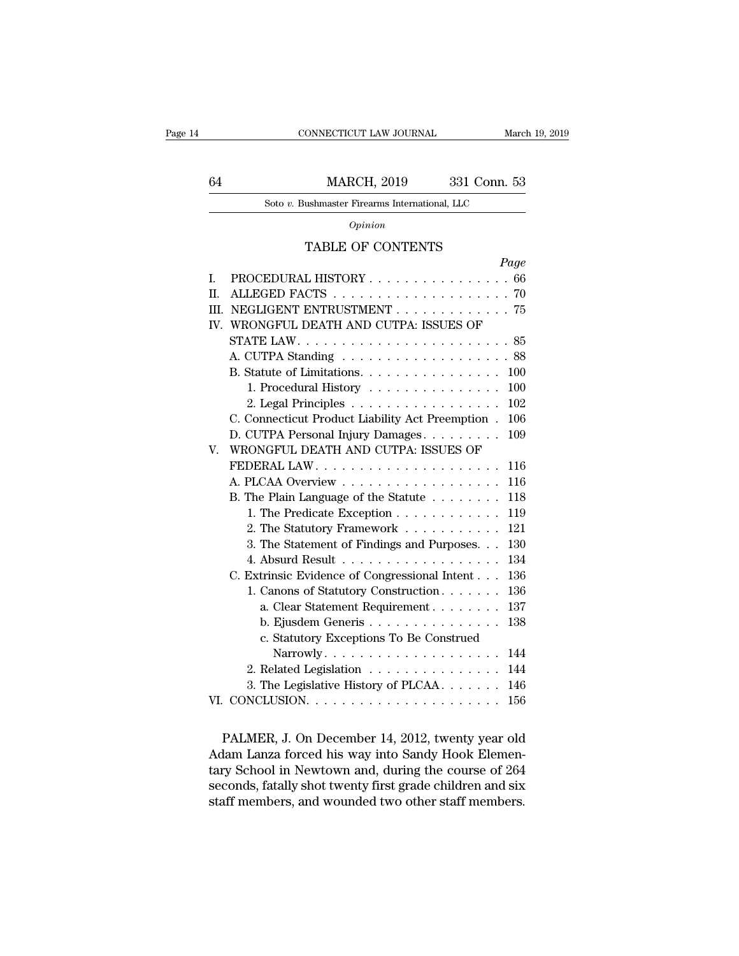# EXERCIT CONNECTICUT LAW JOURNAL March 19, 2019<br>
64 MARCH, 2019 331 Conn. 53<br>
Soto v. Bushmaster Firearms International, LLC CONNECTICUT LAW JOURNAL March March March MARCH, 2019 331 Conn. 53<br>Soto *v.* Bushmaster Firearms International, LLC

### *Opinion*

| 64   | <b>MARCH, 2019</b><br>331 Conn. 53                              |
|------|-----------------------------------------------------------------|
|      | Soto v. Bushmaster Firearms International, LLC                  |
|      | Opinion                                                         |
|      | TABLE OF CONTENTS                                               |
|      | Page                                                            |
|      | PROCEDURAL HISTORY 66                                           |
| H.   |                                                                 |
| III. | NEGLIGENT ENTRUSTMENT 75                                        |
|      | IV. WRONGFUL DEATH AND CUTPA: ISSUES OF                         |
|      |                                                                 |
|      |                                                                 |
|      | B. Statute of Limitations.<br>100                               |
|      | 1. Procedural History<br>100                                    |
|      | 2. Legal Principles $\ldots \ldots \ldots \ldots \ldots$<br>102 |
|      | C. Connecticut Product Liability Act Preemption.<br>106         |
|      | D. CUTPA Personal Injury Damages<br>109                         |
| V.   | WRONGFUL DEATH AND CUTPA: ISSUES OF                             |
|      | 116                                                             |
|      | A. PLCAA Overview<br>116                                        |
|      | B. The Plain Language of the Statute<br>118                     |
|      | 1. The Predicate Exception<br>119                               |
|      | 2. The Statutory Framework<br>121                               |
|      | 3. The Statement of Findings and Purposes.<br>130               |
|      | 4. Absurd Result<br>134                                         |
|      | C. Extrinsic Evidence of Congressional Intent<br>136            |
|      | 1. Canons of Statutory Construction<br>136                      |
|      | a. Clear Statement Requirement<br>137                           |
|      | b. Ejusdem Generis<br>138                                       |
|      | c. Statutory Exceptions To Be Construed                         |
|      | 144                                                             |
|      | 2. Related Legislation<br>144                                   |
|      | 3. The Legislative History of PLCAA<br>146                      |
|      | VI. CONCLUSION<br>156                                           |
|      |                                                                 |
|      | PALMER, J. On December 14, 2012, twenty year old                |
|      | Adam Lanza forced his way into Sandy Hook Elemen-               |
|      | tary School in Newtown and, during the course of 264            |
|      | seconds fatally shot twenty first ande children and six         |

tary School in Newtown and, during the course of 264 seconds, fatally shot twenty first grade children and six FALMER, J. On December 14, 2012, twenty year old<br>Adam Lanza forced his way into Sandy Hook Elemen-<br>tary School in Newtown and, during the course of 264<br>seconds, fatally shot twenty first grade children and six<br>staff member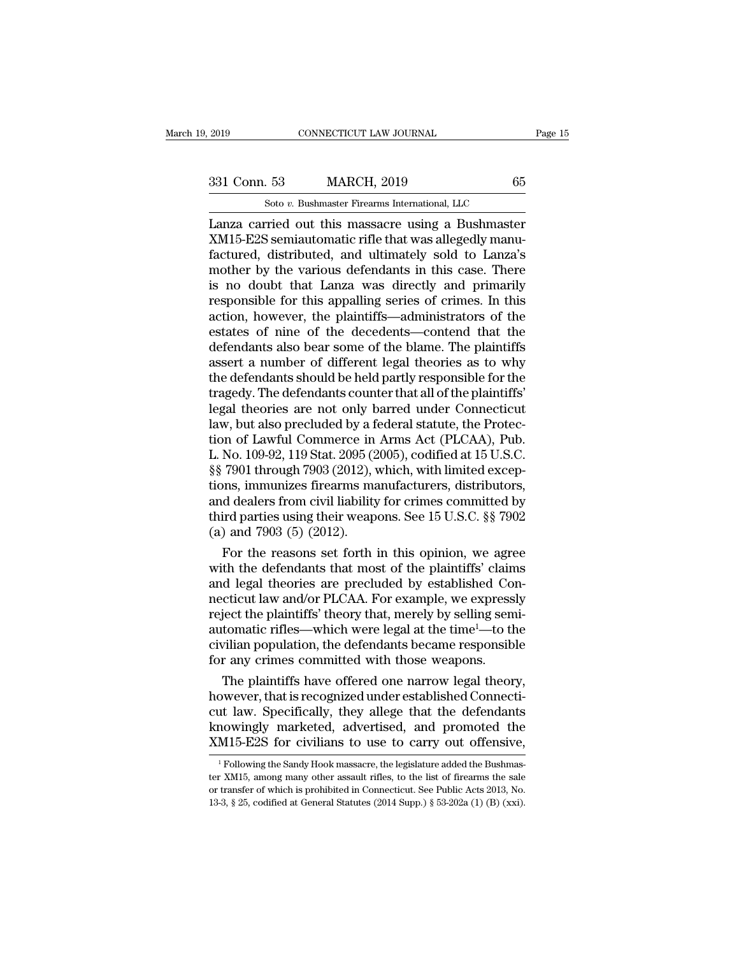# 2019 CONNECTICUT LAW JOURNAL Page 15<br>331 Conn. 53 MARCH, 2019 65<br>500 v. Bushmaster Firearms International, LLC

CONNECTICUT LAW JOURNAL<br>
Soto *v.* Bushmaster Firearms International, LLC<br>
Tried out this massacre using a Bushmaster EXERCITY 2019 CONNECTICUT LAW JOURNAL Page 15<br>
2019 65<br>
2010 65<br>
2010 65<br>
2012 Conn. 53 MARCH, 2019 65<br>
2012 65<br>
2012 Setured out this massacre using a Bushmaster<br>
2015-E2S semiautomatic rifle that was allegedly manu-<br>
10 331 Conn. 53 MARCH, 2019 65<br>
Soto v. Bushmaster Firearms International, LLC<br>
Lanza carried out this massacre using a Bushmaster<br>
XM15-E2S semiautomatic rifle that was allegedly manu-<br>
factured, distributed, and ultimately  $f_{\text{331}}$  Conn. 53 MARCH, 2019 65<br>
Soto v. Bushmaster Firearms International, LLC<br>
Lanza carried out this massacre using a Bushmaster<br>
XM15-E2S semiautomatic rifle that was allegedly manu-<br>
factured, distributed, and ul 331 Conn. 53 MARCH, 2019 65<br>
Soto v. Bushmaster Firearms International, LLC<br>
Lanza carried out this massacre using a Bushmaster<br>
XM15-E2S semiautomatic rifle that was allegedly manu-<br>
factured, distributed, and ultimately Sol Collar Co<br>
Solo v. Bushmaster Firearms International, LLC<br>
Lanza carried out this massacre using a Bushmaster<br>
XM15-E2S semiautomatic rifle that was allegedly manu-<br>
factured, distributed, and ultimately sold to Lanza' Soto v. Bushmaster Firearms International, LLC<br>Lanza carried out this massacre using a Bushmaster<br>XM15-E2S semiautomatic rifle that was allegedly manu-<br>factured, distributed, and ultimately sold to Lanza's<br>mother by the va Lanza carried out this massacre using a Bushmaster XM15-E2S semiautomatic rifle that was allegedly manu-<br>factured, distributed, and ultimately sold to Lanza's<br>mother by the various defendants in this case. There<br>is no doub XM15-E2S semiautomatic rifle that was allegedly manu-<br>factured, distributed, and ultimately sold to Lanza's<br>mother by the various defendants in this case. There<br>is no doubt that Lanza was directly and primarily<br>responsible factured, distributed, and ultimately sold to Lanza's<br>mother by the various defendants in this case. There<br>is no doubt that Lanza was directly and primarily<br>responsible for this appalling series of crimes. In this<br>action, mother by the various defendants in this case. There<br>is no doubt that Lanza was directly and primarily<br>responsible for this appalling series of crimes. In this<br>action, however, the plaintiffs—administrators of the<br>estates is no doubt that Lanza was directly and primarily<br>responsible for this appalling series of crimes. In this<br>action, however, the plaintiffs—administrators of the<br>estates of nine of the decedents—contend that the<br>defendants responsible for this appalling series of crimes. In this action, however, the plaintiffs—administrators of the estates of nine of the decedents—contend that the defendants also bear some of the blame. The plaintiffs assert action, however, the plaintiffs—administrators of the estates of nine of the decedents—contend that the defendants also bear some of the blame. The plaintiffs assert a number of different legal theories as to why the defen estates of nine of the decedents—contend that the<br>defendants also bear some of the blame. The plaintiffs<br>assert a number of different legal theories as to why<br>the defendants should be held partly responsible for the<br>traged defendants also bear some of the blame. The plaintiffs<br>assert a number of different legal theories as to why<br>the defendants should be held partly responsible for the<br>tragedy. The defendants counter that all of the plaintif assert a number of different legal theories as to why<br>the defendants should be held partly responsible for the<br>tragedy. The defendants counter that all of the plaintiffs'<br>legal theories are not only barred under Connecticu the defendants should be held partly responsible for the tragedy. The defendants counter that all of the plaintiffs'<br>legal theories are not only barred under Connecticut<br>law, but also precluded by a federal statute, the Pr tragedy. The defendants counter that all of the plaintiffs'<br>legal theories are not only barred under Connecticut<br>law, but also precluded by a federal statute, the Protec-<br>tion of Lawful Commerce in Arms Act (PLCAA), Pub.<br>L legal theories are not only barred under Connecticut<br>law, but also precluded by a federal statute, the Protec-<br>tion of Lawful Commerce in Arms Act (PLCAA), Pub.<br>L. No. 109-92, 119 Stat. 2095 (2005), codified at 15 U.S.C.<br>§ law, but also precluded by a federal statute, the Protection of Lawful Commerce in Arms Act (PLCAA), Pub.<br>L. No. 109-92, 119 Stat. 2095 (2005), codified at 15 U.S.C. §§ 7901 through 7903 (2012), which, with limited excepti tion of Lawful Commerce in<br>L. No. 109-92, 119 Stat. 2095 (2<br>§§ 7901 through 7903 (2012), v<br>tions, immunizes firearms ma<br>and dealers from civil liability<br>third parties using their weap<br>(a) and 7903 (5) (2012).<br>For the reaso No. 109-92, 119 Stat. 2095 (2005), codified at 15 U.S.C.<br>7901 through 7903 (2012), which, with limited excep-<br>ons, immunizes firearms manufacturers, distributors,<br>d dealers from civil liability for crimes committed by<br>ird  $\S$ § 7901 through 7903 (2012), which, with limited exceptions, immunizes firearms manufacturers, distributors,<br>and dealers from civil liability for crimes committed by<br>third parties using their weapons. See 15 U.S.C.  $\S$ §

tions, immunizes firearms manufacturers, distributors,<br>and dealers from civil liability for crimes committed by<br>third parties using their weapons. See 15 U.S.C. §§ 7902<br>(a) and 7903 (5) (2012).<br>For the reasons set forth in and dealers from civil liability for crimes committed by<br>third parties using their weapons. See 15 U.S.C. §§ 7902<br>(a) and 7903 (5) (2012).<br>For the reasons set forth in this opinion, we agree<br>with the defendants that most third parties using their weapons. See 15 U.S.C. §§ 7902<br>
(a) and 7903 (5) (2012).<br>
For the reasons set forth in this opinion, we agree<br>
with the defendants that most of the plaintiffs' claims<br>
and legal theories are prec (a) and 7903 (b) (2012).<br>
For the reasons set forth in this opinion, we agree<br>
with the defendants that most of the plaintiffs' claims<br>
and legal theories are precluded by established Con-<br>
necticut law and/or PLCAA. For For the reasons set forth in this opinion, we agree<br>with the defendants that most of the plaintiffs' claims<br>and legal theories are precluded by established Con-<br>necticut law and/or PLCAA. For example, we expressly<br>reject with the defendants that most of the plaintiffs' claim<br>and legal theories are precluded by established Con<br>necticut law and/or PLCAA. For example, we express<br>reject the plaintiffs' theory that, merely by selling sem<br>automa d legal theories are precluded by established Concricut law and/or PLCAA. For example, we expressly<br>ject the plaintiffs' theory that, merely by selling semi-<br>tomatic rifles—which were legal at the time<sup>1</sup>—to the<br>vilian pop necticut law and/or PLCAA. For example, we expressly<br>reject the plaintiffs' theory that, merely by selling semi-<br>automatic rifles—which were legal at the time<sup>1</sup>—to the<br>civilian population, the defendants became responsibl

reject the plantiffs' theory that, merely by selling semi-<br>automatic rifles—which were legal at the time<sup>1</sup>—to the<br>civilian population, the defendants became responsible<br>for any crimes committed with those weapons.<br>The pla automatic rifles—which were legal at the time<sup>1</sup>—to the<br>civilian population, the defendants became responsible<br>for any crimes committed with those weapons.<br>The plaintiffs have offered one narrow legal theory,<br>however, that civilian population, the defendants became responsible<br>for any crimes committed with those weapons.<br>The plaintiffs have offered one narrow legal theory,<br>however, that is recognized under established Connecti-<br>cut law. Spec owever, that is recognized under established Connecti-<br>it law. Specifically, they allege that the defendants<br>nowingly marketed, advertised, and promoted the<br>M15-E2S for civilians to use to carry out offensive,<br><sup>1</sup>Following cut law. Specifically, they allege that the defendants<br>knowingly marketed, advertised, and promoted the<br>XM15-E2S for civilians to use to carry out offensive,<br><sup>1</sup>Following the Sandy Hook massacre, the legislature added the XM15-E2S for civilians to use to carry out offensive,

knowingly marketed, advertised, and promoted the XM15-E2S for civilians to use to carry out offensive,<br> $\frac{1}{1}$ Following the Sandy Hook massacre, the legislature added the Bushmaster XM15, among many other assault rifles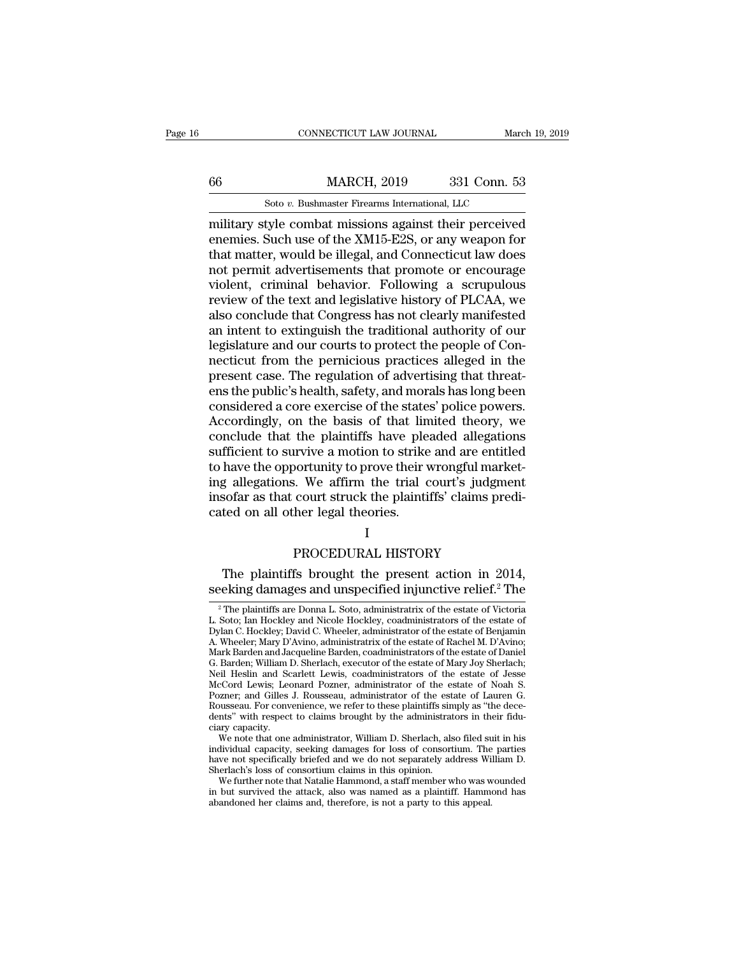# EXECUTE CONNECTICUT LAW JOURNAL March 19, 2019<br>
66 MARCH, 2019 331 Conn. 53<br>
500 v. Bushmaster Firearms International, LLC CONNECTICUT LAW JOURNAL March March March MARCH, 2019 331 Conn. 53<br>Soto *v.* Bushmaster Firearms International, LLC<br>tyle combat missions against their perceived

CONNECTICUT LAW JOURNAL March 19, 2019<br>
MARCH, 2019 331 Conn. 53<br>
Soto v. Bushmaster Firearms International, LLC<br>
military style combat missions against their perceived<br>
enemies. Such use of the XM15-E2S, or any weapon for ENERT AND MARCH, 2019 331 Conn. 53<br>
Soto v. Bushmaster Firearms International, LLC<br>
military style combat missions against their perceived<br>
enemies. Such use of the XM15-E2S, or any weapon for<br>
that matter, would be illega  $\frac{\text{MARCH, 2019}}{\text{Soto } v. \text{ Bushmaster Firearms International, LLC}}$ <br>
military style combat missions against their perceived<br>
enemies. Such use of the XM15-E2S, or any weapon for<br>
that matter, would be illegal, and Connecticut law does<br>
not permit adve  $\frac{\text{MARCH}}{\text{MARCH}}$ , 2019 331 Conn. 53<br>
soto v. Bushmaster Firearms International, LLC<br>
military style combat missions against their perceived<br>
enemies. Such use of the XM15-E2S, or any weapon for<br>
that matter, would be ille soto v. Bushmaster Firearms International, LLC<br>
military style combat missions against their perceived<br>
enemies. Such use of the XM15-E2S, or any weapon for<br>
that matter, would be illegal, and Connecticut law does<br>
not per Soto  $v$ . Bushmaster Firearms International, LLC<br>military style combat missions against their perceived<br>enemies. Such use of the XM15-E2S, or any weapon for<br>that matter, would be illegal, and Connecticut law does<br>not perm military style combat missions against their perceived<br>enemies. Such use of the XM15-E2S, or any weapon for<br>that matter, would be illegal, and Connecticut law does<br>not permit advertisements that promote or encourage<br>violen enemies. Such use of the XM15-E2S, or any weapon for<br>that matter, would be illegal, and Connecticut law does<br>not permit advertisements that promote or encourage<br>violent, criminal behavior. Following a scrupulous<br>review of that matter, would be illegal, and Connecticut law does<br>not permit advertisements that promote or encourage<br>violent, criminal behavior. Following a scrupulous<br>review of the text and legislative history of PLCAA, we<br>also co not permit advertisements that promote or encourage<br>violent, criminal behavior. Following a scrupulous<br>review of the text and legislative history of PLCAA, we<br>also conclude that Congress has not clearly manifested<br>an inten violent, criminal behavior. Following a scrupulous<br>review of the text and legislative history of PLCAA, we<br>also conclude that Congress has not clearly manifested<br>an intent to extinguish the traditional authority of our<br>leg review of the text and legislative history of PLCAA, we<br>also conclude that Congress has not clearly manifested<br>an intent to extinguish the traditional authority of our<br>legislature and our courts to protect the people of Co also conclude that Congress has not clearly manifested<br>an intent to extinguish the traditional authority of our<br>legislature and our courts to protect the people of Con-<br>necticut from the pernicious practices alleged in the an intent to extinguish the traditional authority of our<br>legislature and our courts to protect the people of Con-<br>necticut from the pernicious practices alleged in the<br>present case. The regulation of advertising that threa legislature and our courts to protect the people of Con-<br>necticut from the pernicious practices alleged in the<br>present case. The regulation of advertising that threat-<br>ens the public's health, safety, and morals has long b necticut from the pernicious practices alleged in the<br>present case. The regulation of advertising that threat-<br>ens the public's health, safety, and morals has long been<br>considered a core exercise of the states' police powe present case. The regulation of advertising that threat-<br>ens the public's health, safety, and morals has long been<br>considered a core exercise of the states' police powers.<br>Accordingly, on the basis of that limited theory, in the public's health, safety, and morals has long been<br>considered a core exercise of the states' police powers.<br>Accordingly, on the basis of that limited theory, we<br>conclude that the plaintiffs have pleaded allegations<br>s considered a core exercise of the states' police powers.<br>Accordingly, on the basis of that limited theory, we<br>conclude that the plaintiffs have pleaded allegations<br>sufficient to survive a motion to strike and are entitled<br> Accordingly, on the basis of that line<br>conclude that the plaintiffs have ple<br>sufficient to survive a motion to strike<br>to have the opportunity to prove their is<br>ing allegations. We affirm the trial of<br>insofar as that court Mortunity to prove their wrongful market and the child<br>Sortunity to prove their wrongful market is sudge<br>court struck the plaintiffs' claims prediction of the plaintiffs' claims<br>predict leads to predict and provided in the g allegations. We affirm the trial court's judgment<br>sofar as that court struck the plaintiffs' claims predi-<br>ted on all other legal theories.<br>I<br>PROCEDURAL HISTORY<br>The plaintiffs brought the present action in 2014,<br>eking da insofar as that court struck the plaintiffs' claims predicated on all other legal theories.<br>  $I$ <br>
PROCEDURAL HISTORY<br>
The plaintiffs brought the present action in 2014,<br>
seeking damages and unspecified injunctive relief.<sup></sup>

### I

PROCEDURAL HISTORY<br>
The plaintiffs brought the present action in 2014,<br>
beking damages and unspecified injunctive relief.<sup>2</sup> The<br>
<sup>2</sup> The plaintiffs are Donna L. Soto, administratrix of the estate of Victoria<br>
Soto, Ian Ho PROCEDURAL HISTORY<br>
The plaintiffs brought the present action in 2014,<br>
seeking damages and unspecified injunctive relief.<sup>2</sup> The<br>
<sup>2</sup> The plaintiffs are Donna L. Soto, administrative of the estate of Victoria<br>
L. Soto; I The plaintiffs brought the present action in 2014,<br>seeking damages and unspecified injunctive relief.<sup>2</sup> The<br><sup>2</sup> The plaintiffs are Donna L. Soto, administratrix of the estate of Victoria<br>L. Soto; Ian Hockley and Nicole Ho The plaintiffs brought the present action in 2014,<br>seeking damages and unspecified injunctive relief.<sup>2</sup> The<br><sup>2</sup>The plaintiffs are Donna L. Soto, administratrix of the estate of Victoria<br>L. Soto; Ian Hockley and Nicole Hoc seeking damages and unspecified injunctive relief.<sup>2</sup> The<br>
<sup>2</sup> The plaintiffs are Donna L. Soto, administratrix of the estate of Victoria<br>
L. Soto; Ian Hockley and Nicole Hockley, coadministrators of the estate of<br>
Dylan C <sup>2</sup> The plaintiffs are Donna L. Soto, administratrix of the estate of Victoria L. Soto; Ian Hockley and Nicole Hockley, coadministrators of the estate of Dylan C. Hockley; David C. Wheeler, administrator of the estate of <sup>2</sup> The plaintiffs are Donna L. Soto, administratrix of the estate of Victoria L. Soto; Ian Hockley and Nicole Hockley, coadministrators of the estate of Dylan C. Hockley; David C. Wheeler, administrator of the estate of B Fremannis are forman at losted, and missivataris of atte coata of victorial<br>McCop Jan Hockley; David C. Wheeler, administrator of the estate of Benjamin<br>A. Wheeler; Mary D'Avino, administrative of the estate of Benjamin<br>A. 2. Soco, an Hockey; David C. Wheeler, administrator of the estate of Benjamin<br>Dylan C. Hockley; David C. Wheeler, administrator of the estate of Benjamin<br>A. Wheeler; Mary D'Avino, administratrix of the estate of Rachel M. *B*, an C. Hocker, Barnetto, administratrix of the estate of Rachel M. D'Avino;<br>A. Wheeler; Mary D'Avino, administratrix of the estate of Rachel M. D'Avino;<br>G. Barden, William D. Sherlach, executor of the estate of Mary Jo Mark Barden and Jacqueline Barden, coadministrators of the estate of Daniel<br>G. Barden; William D. Sherlach, executor of the estate of Mary Joy Sherlach;<br>G. Barden; William D. Sherlach, executor of the estate of Mary Joy Sh France Datent Multiam Deal<br>G. Barden; William I<br>Neil Heslin and Sc<br>McCord Lewis; Lec<br>Pozner; and Gilles<br>Rousseau. For conv<br>We note that one<br>We note that one<br>We note that one<br>individual canacity Backet, "*manan D. exerciacity*, eccelectromagnistrators of the estate of Jesse<br>cCord Lewis; Leonard Pozner, administrator of the estate of Jesse<br>cCord Lewis; Leonard Pozner, administrator of the estate of Lauren G.<br>pussea Frem and station and stationary, communistantors of the estate of Noah S.<br>Pozner; and Gilles J. Rousseau, administrator of the estate of Noah S.<br>Rousseau. For convenience, we refer to these plaintiffs simply as "the dece-<br> Pozner; and Gilles J. Rousseau, administrator of the estate of Lauren G.<br>Rousseau. For convenience, we refer to these plaintiffs simply as "the dece-<br>dents" with respect to claims brought by the administrators in their fid Rousseau. For convenience, we refer to these plaintiffs simply as "the dece-

Massolar 1 of conventence, we refer to these plantials shiply as the decedents' with respect to claims brought by the administrators in their fiduary capacity.<br>We note that one administrator, William D. Sherlach, also file in the attack, also the attack, also filed suit in his individual capacity.<br>We note that one administrator, William D. Sherlach, also filed suit in his individual capacity, seeking damages for loss of consortium. The parti and, we note that one administrator, William D. Sherlach, also filed suidividual capacity, seeking damages for loss of consortium. The have not specifically briefed and we do not separately address Wi Sherlach's loss of co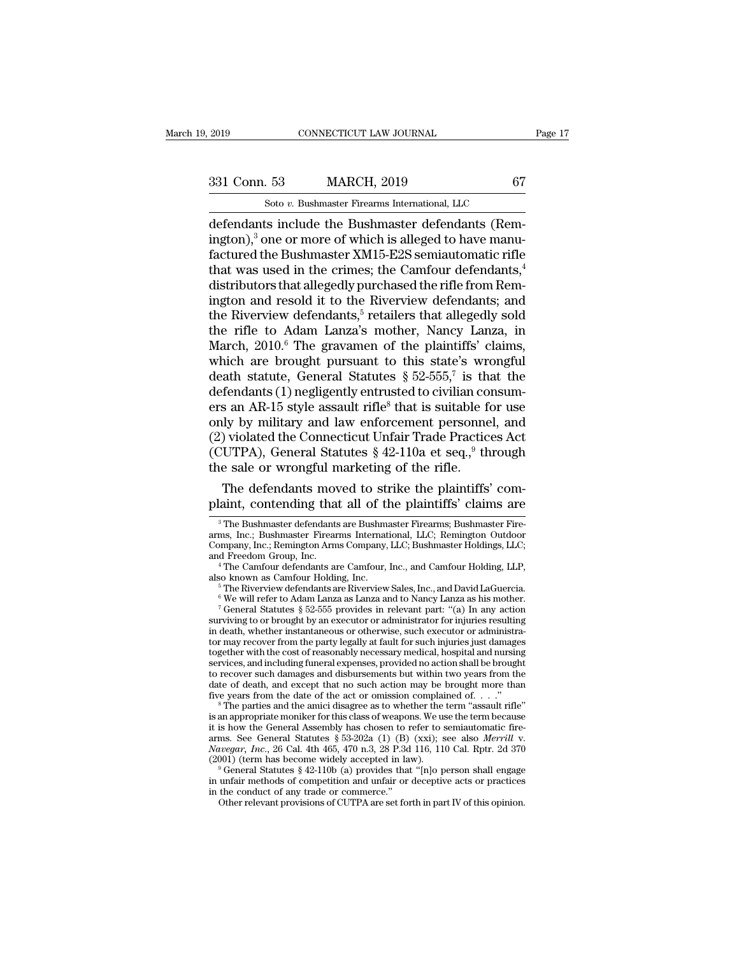2019 CONNECTICUT LAW JOURNAL Page 17<br>331 Conn. 53 MARCH, 2019 67<br>500 v. Bushmaster Firearms International, LLC

CONNECTICUT LAW JOURNAL<br>
Soto *v.* Bushmaster Firearms International, LLC<br>
Soto *v.* Bushmaster Firearms International, LLC<br>
Soto include the Bushmaster defendants (Rem-2019 CONNECTICUT LAW JOURNAL<br>
331 Conn. 53 MARCH, 2019 67<br>
34 Goto v. Bushmaster Firearms International, LLC<br>
defendants include the Bushmaster defendants (Rem-<br>
ington),<sup>3</sup> one or more of which is alleged to have manu-<br>
f 331 Conn. 53 MARCH, 2019 67<br>Soto v. Bushmaster Firearms International, LLC<br>defendants include the Bushmaster defendants (Rem-<br>ington),<sup>3</sup> one or more of which is alleged to have manu-<br>factured the Bushmaster XM15-E2S semi 331 Conn. 53 MARCH, 2019 67<br>
Soto v. Bushmaster Firearms International, LLC<br>
defendants include the Bushmaster defendants (Remington),<sup>3</sup> one or more of which is alleged to have manu-<br>
factured the Bushmaster XM15-E2S sem 331 Conn. 53 MARCH, 2019 67<br>
Soto v. Bushmaster Firearms International, LLC<br>
defendants include the Bushmaster defendants (Rem-<br>
ington),<sup>3</sup> one or more of which is alleged to have manu-<br>
factured the Bushmaster XM15-E2S Solution of the Rushmaster Firearms International, LLC<br>defendants include the Bushmaster defendants (Rem-<br>ington),<sup>3</sup> one or more of which is alleged to have manu-<br>factured the Bushmaster XM15-E2S semiautomatic rifle<br>that Soto v. Bushmaster Firearms International, LLC<br>defendants include the Bushmaster defendants (Rem-<br>ington),<sup>3</sup> one or more of which is alleged to have manu-<br>factured the Bushmaster XM15-E2S semiautomatic rifle<br>that was use defendants include the Bushmaster defendants (Remington),<sup>3</sup> one or more of which is alleged to have manu-<br>factured the Bushmaster XM15-E2S semiautomatic rifle<br>that was used in the crimes; the Camfour defendants,<sup>4</sup><br>distri ington),<sup>3</sup> one or more of which is alleged to have manu-<br>factured the Bushmaster XM15-E2S semiautomatic rifle<br>that was used in the crimes; the Camfour defendants,<sup>4</sup><br>distributors that allegedly purchased the rifle from Re factured the Bushmaster XM15-E2S semiautomatic rifle<br>that was used in the crimes; the Camfour defendants,<sup>4</sup><br>distributors that allegedly purchased the rifle from Rem-<br>ington and resold it to the Riverview defendants; and<br> that was used in the crimes; the Camfour defendants,<sup>4</sup><br>distributors that allegedly purchased the rifle from Rem-<br>ington and resold it to the Riverview defendants; and<br>the Riverview defendants,<sup>5</sup> retailers that allegedly distributors that allegedly purchased the rifle from<br>ington and resold it to the Riverview defendants<br>the Riverview defendants,<sup>5</sup> retailers that allegedl<sub>;</sub><br>the rifle to Adam Lanza's mother, Nancy Lan<br>March, 2010.<sup>6</sup> The from Rem-<br>dants; and<br>egedly sold<br>Lanza, in<br>ffs' claims,<br>s wrongful<br>is that the<br>an consum-<br>ble for use ington and resold it to the Riverview defendants; and<br>the Riverview defendants,<sup>5</sup> retailers that allegedly sold<br>the rifle to Adam Lanza's mother, Nancy Lanza, in<br>March, 2010.<sup>6</sup> The gravamen of the plaintiffs' claims,<br>wh the Riverview defendants,<sup>5</sup> retailers that allegedly sold<br>the rifle to Adam Lanza's mother, Nancy Lanza, in<br>March, 2010.<sup>6</sup> The gravamen of the plaintiffs' claims,<br>which are brought pursuant to this state's wrongful<br>deat the rifle to Adam Lanza's mother, Nancy Lanza, in<br>March, 2010.<sup>6</sup> The gravamen of the plaintiffs' claims,<br>which are brought pursuant to this state's wrongful<br>death statute, General Statutes § 52-555,<sup>7</sup> is that the<br>defend March, 2010.<sup>6</sup> The gravamen of the plaintiffs' claims,<br>which are brought pursuant to this state's wrongful<br>death statute, General Statutes § 52-555,<sup>7</sup> is that the<br>defendants (1) negligently entrusted to civilian consumwhich are brought pursuant to this state's wrongful<br>death statute, General Statutes § 52-555,<sup>7</sup> is that the<br>defendants (1) negligently entrusted to civilian consum-<br>ers an AR-15 style assault rifle<sup>8</sup> that is suitable fo death statute, General Statutes  $\S$  52-555,<sup>7</sup> is the defendants (1) negligently entrusted to civilian co ers an AR-15 style assault rifle<sup>8</sup> that is suitable foonly by military and law enforcement personne (2) violated t fendants (1) negligently entrusted to civilian consum-<br>s an AR-15 style assault rifle<sup>8</sup> that is suitable for use<br>ly by military and law enforcement personnel, and<br>) violated the Connecticut Unfair Trade Practices Act<br>UTP ers an AR-15 style assault rifle<sup>8</sup> that is suitable for use<br>only by military and law enforcement personnel, and<br>(2) violated the Connecticut Unfair Trade Practices Act<br>(CUTPA), General Statutes § 42-110a et seq.,<sup>9</sup> thro

surviving to or brought by an executor or administrator for injuries resulting to the will refer to Adam Lanza as Lanza and to Nancy Lanza as his mother.<br>
<sup>5</sup> The Riverview defendants are Riverview Sales, Inc., and David L <sup>1</sup> The Camfour defendants are Camfour, Inc., and Camfour Holding, LLP,<br><sup>4</sup> The Camfour defendants are Riverview Sales, Inc., and David LaGuercia.<br><sup>5</sup> The Riverview defendants are Riverview Sales, Inc., and David LaGuercia The Cannou decreased are current in the party legally at fault for such a set of the party of the party of the party of the party of the party of the party of the party of the party of the party of the party of the party o The Riverview defendants are Riverview Sales, Inc., and David LaGuercia.<br>
<sup>6</sup> The Riverview defendants are Riverview Sales, Inc., and David LaGuercia.<br>
<sup>6</sup> We will refer to Adam Lanza as Lanza and to Nancy Lanza as his mot  $^\circ$  We will refer to Adam Lanza as Lanza and to Nancy Lanza as his mother.  $^\circ$  General Statutes  $\S$  52-555 provides in relevant part: "(a) In any action surviving to or brought by an executor or administrator for injuri To recover such a matter of the act and disbursements of the sactor of the such surviving to or brought by an executor or administrator for injuries resulting in death, whether instantaneous or otherwise, such executor or surviving to or brought by an executor or administrator for injuries resulting<br>in death, whether instantaneous or otherwise, such executor or administra-<br>tor may recover from the party legally at fault for such injuries j similar the date of the matter of the matter of the act of the act of the act of the cost of the act of the act or one of the signal state of the cost of reasonably necessary medical, hospital and nursing services, and inc for may recover in the forty regainy at nature of the solution of solution and the stoff reasonably necessary medical, hospital and nursing services, and including funeral expenses, provided no action shall be brought to

it is an appropriate moniker for this classically including the brought<br>to recover such damages and disbursements but within two years from the<br>date of death, and except that no such action may be brought more than<br>five y are seen the date of death, and except that no such actions we also be brought more than five years from the date of the act or omission complained of. . . ."<br><sup>8</sup> The parties and the amici disagree as to whether the term " the gears from the date of the act or omission complained of . . ."<br>
<sup>8</sup> The parties and the amici disagree as to whether the term "assault rifle"<br>
is an appropriate moniker for this class of weapons. We use the term beca is an appropriate moniker for this class of weapons. We use the term because<br>it is how the General Assembly has chosen to refer to semiautomatic fire-<br>arms. See General Statutes § 53-202a (1) (B) (xxi); see also *Merrill* is an eppropriate moment of any trade of any trade of any since the conduct of any since deneral Statutes  $\S$  53-202a (1) (B) Navegar, Inc., 26 Cal. 4th 465, 470 n.3, 28 P.3d (2001) (term has become widely accepted in la So we deneral Statutes § 53-202a (1) (B) (xxi); see also *Merrill* v.<br>twegar, *Inc.*, 26 Cal. 4th 465, 470 n.3, 28 P.3d 116, 110 Cal. Rptr. 2d 370<br>001) (term has become widely accepted in law).<br><sup>9</sup> General Statutes § 42-1

<sup>3</sup> The Bushmaster defendants are Bushmaster Firearms; Bushmaster Fire-<br>3 The Bushmaster defendants are Bushmaster Fire-<br>3 The Bushmaster defendants are Bushmaster Firearms; Bushmaster Fire-<br><sup>3</sup> The Bushmaster defendants are the sale or wrongful marketing of the rifle.<br>
The defendants moved to strike the plaintiffs' complaint, contending that all of the plaintiffs' claims are<br>
<sup>3</sup> The Bushmaster defendants are Bushmaster Firearms; Bushmaster F The defendants moved to strike the plaintiffs' com-<br>plaint, contending that all of the plaintiffs' claims are<br><sup>3</sup> The Bushmaster defendants are Bushmaster Firearms; Bushmaster Firearms, Inc.; Bushmaster Firearms Internatio The defendants moved to strike the plaintiffs' complaint, contending that all of the plaintiffs' claims are  $\frac{3}{10}$ The Bushmaster defendants are Bushmaster Firearms; Bushmaster Firearms, Inc.; Bushmaster Firearms Intern plantity, Contentuing triat and of the plantities Claims are<br>
<sup>3</sup> The Bushmaster defendants are Bushmaster Firearms; Bushmaster Firearms, Inc.; Bushmaster Firearms International, LLC; Remington Outdoor<br>
Company, Inc.; Remi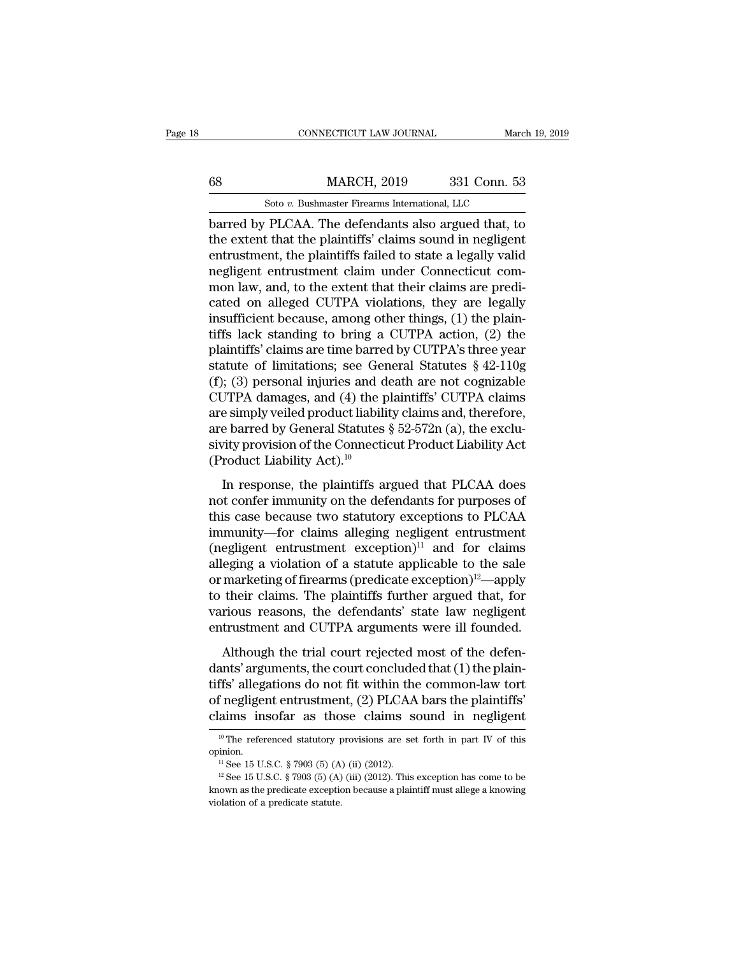# EXECUTE CONNECTICUT LAW JOURNAL March 19, 2019<br>
68 MARCH, 2019 331 Conn. 53<br>
500 v. Bushmaster Firearms International, LLC CONNECTICUT LAW JOURNAL March March March MARCH, 2019 331 Conn. 53<br>Soto *v.* Bushmaster Firearms International, LLC<br>PLCAA. The defendants also argued that, to

CONNECTICUT LAW JOURNAL March 19, 2019<br> **barred by PLCAA.** The defendants also argued that, to<br>
the extent that the plaintiffs' claims sound in negligent<br>
contructment, the plaintiffs' claims sound in negligent MARCH, 2019 331 Conn. 53<br>
Soto v. Bushmaster Firearms International, LLC<br>
barred by PLCAA. The defendants also argued that, to<br>
the extent that the plaintiffs' claims sound in negligent<br>
entrustment, the plaintiffs failed  $\begin{tabular}{ll} \multicolumn{1}{l}{{\textbf{68}}}\\ \hline & \multicolumn{1}{l}{\textbf{800 v. Bushmaster Firearms International, LLC}}\\ \hline \textbf{barred by PLCAA. The defendants also argued that, to} \\ \hline the extent that the plaintiffs' claims sound in negligible\\ entrustum, the plaintiff's failed to state a legally valid\nnegligent entrusment claim under Connecticut common low and to the extent that their claims are prodi. \end{tabular}$ negligent entrustment claim under Connecticut com-Soto  $v$ . Bushmaster Firearms International, LLC<br>barred by PLCAA. The defendants also argued that, to<br>the extent that the plaintiffs' claims sound in negligent<br>entrustment, the plaintiffs failed to state a legally valid<br>n soto v. Bushmaster Freams international, LLC<br>barred by PLCAA. The defendants also argued that, to<br>the extent that the plaintiffs' claims sound in negligent<br>entrustment, the plaintiffs failed to state a legally valid<br>negli barred by PLCAA. The defendants also argued that, to<br>the extent that the plaintiffs' claims sound in negligent<br>entrustment, the plaintiffs failed to state a legally valid<br>negligent entrustment claim under Connecticut comthe extent that the plaintiffs' claims sound in negligent<br>entrustment, the plaintiffs failed to state a legally valid<br>negligent entrustment claim under Connecticut com-<br>mon law, and, to the extent that their claims are pre entrustment, the plaintiffs failed to state a legally valid<br>negligent entrustment claim under Connecticut com-<br>mon law, and, to the extent that their claims are predi-<br>cated on alleged CUTPA violations, they are legally<br>in negligent entrustment claim under Connecticut com-<br>mon law, and, to the extent that their claims are predi-<br>cated on alleged CUTPA violations, they are legally<br>insufficient because, among other things, (1) the plain-<br>tiffs mon law, and, to the extent that their claims are predicated on alleged CUTPA violations, they are legally insufficient because, among other things, (1) the plaintiffs lack standing to bring a CUTPA action, (2) the plainti cated on alleged CUTPA violations, they are legally<br>insufficient because, among other things, (1) the plain-<br>tiffs lack standing to bring a CUTPA action, (2) the<br>plaintiffs' claims are time barred by CUTPA's three year<br>st insufficient because, among other things, (1) the plain-<br>tiffs lack standing to bring a CUTPA action, (2) the<br>plaintiffs' claims are time barred by CUTPA's three year<br>statute of limitations; see General Statutes  $\S$  42-11 tiffs lack standing to bring a CUTPA action, (2) the plaintiffs' claims are time barred by CUTPA's three year statute of limitations; see General Statutes § 42-110g (f); (3) personal injuries and death are not cognizable plaintiffs' claims are time barred by CUTPA's three year<br>statute of limitations; see General Statutes  $\S$  42-110g<br>(f); (3) personal injuries and death are not cognizable<br>CUTPA damages, and (4) the plaintiffs' CUTPA claims statute of limitations; see Ger<br>(f); (3) personal injuries and d<br>CUTPA damages, and (4) the p<br>are simply veiled product liabili<br>are barred by General Statutes<br>sivity provision of the Connecti<br>(Product Liability Act).<sup>10</sup><br> JTPA damages, and (4) the plaintiffs' CUTPA claims<br>
e simply veiled product liability claims and, therefore,<br>
e barred by General Statutes  $\S$  52-572n (a), the exclu-<br>
ity provision of the Connecticut Product Liability Ac of FIT dataloges, and (1) are plainting confer in trading<br>are simply veiled product liability claims and, therefore,<br>are barred by General Statutes § 52-572n (a), the exclu-<br>sivity provision of the Connecticut Product Lia

are barred by General Statutes § 52-572n (a), the exclusivity provision of the Connecticut Product Liability Act<br>
(Product Liability Act).<sup>10</sup><br>
In response, the plaintiffs argued that PLCAA does<br>
not confer immunity on th are sarred by denoted statutes  $\hat{s}$  of  $\Sigma$  or  $\Omega$ h (d), the exertainty sivity provision of the Connecticut Product Liability Act (Product Liability Act).<sup>10</sup><br>In response, the plaintiffs argued that PLCAA does not conf (Product Liability Act).<sup>10</sup><br>In response, the plaintiffs argued that PLCAA does<br>not confer immunity on the defendants for purposes of<br>this case because two statutory exceptions to PLCAA<br>immunity—for claims alleging neglig In response, the plaintiffs argued that PLCAA does<br>not confer immunity on the defendants for purposes of<br>this case because two statutory exceptions to PLCAA<br>immunity—for claims alleging negligent entrustment<br>(negligent en In response, the plaintiffs argued that PLCAA does<br>not confer immunity on the defendants for purposes of<br>this case because two statutory exceptions to PLCAA<br>immunity—for claims alleging negligent entrustment<br>(negligent en not confer immunity on the defendants for purposes of<br>this case because two statutory exceptions to PLCAA<br>immunity—for claims alleging negligent entrustment<br>(negligent entrustment exception)<sup>11</sup> and for claims<br>alleging a this case because two statutory exceptions to PLCAA<br>immunity—for claims alleging negligent entrustment<br>(negligent entrustment exception)<sup>11</sup> and for claims<br>alleging a violation of a statute applicable to the sale<br>or marke immunity—for claims alleging negligent entrustment<br>(negligent entrustment exception)<sup>11</sup> and for claims<br>alleging a violation of a statute applicable to the sale<br>or marketing of firearms (predicate exception)<sup>12</sup>—apply<br>to Equiper of the trial contemporal controller the same<br>eging a violation of a statute applicable to the sale<br>marketing of firearms (predicate exception)<sup>12</sup>—apply<br>their claims. The plaintiffs further argued that, for<br>rious or marketing of firearms (predicate exception)<sup>12</sup>—apply<br>to their claims. The plaintiffs further argued that, for<br>various reasons, the defendants' state law negligent<br>entrustment and CUTPA arguments were ill founded.<br>Alth

of their claims. The plaintiffs further argued that, for<br>various reasons, the defendants' state law negligent<br>entrustment and CUTPA arguments were ill founded.<br>Although the trial court rejected most of the defen-<br>dants' ar of their claims. The plainting ratifier digated that, i.e.<br>various reasons, the defendants' state law negligent<br>entrustment and CUTPA arguments were ill founded.<br>Although the trial court rejected most of the defen-<br>dants' calculated internal contributions of the defendants' arguments were ill founded.<br>Although the trial court rejected most of the defendants' arguments, the court concluded that (1) the plaintiffs' allegations do not fit wit ants' arguments, the court concluded that (1) the plain-<br>ffs' allegations do not fit within the common-law tort<br>f negligent entrustment, (2) PLCAA bars the plaintiffs'<br>aims insofar as those claims sound in negligent<br> $\frac{1$ In See 15 U.S.C. § 7903 (5) (A) (ii) (2012).<br>
The referenced statutory provisions are set forth in part IV of this inion.<br>  $\frac{11}{2}$  See 15 U.S.C. § 7903 (5) (A) (ii) (2012).<br>  $\frac{12}{2}$  See 15 U.S.C. § 7903 (5) (A) (iii

opinion.

<sup>&</sup>lt;sup>10</sup> The referenced statutory provisions are set forth in part IV of this opinion.<br><sup>11</sup> See 15 U.S.C. § 7903 (5) (A) (ii) (2012).<br><sup>12</sup> See 15 U.S.C. § 7903 (5) (A) (iii) (2012). This exception has come to be known as the <sup>10</sup> The referenced statutory popinion.<br><sup>11</sup> See 15 U.S.C. § 7903 (5) (A)<br><sup>12</sup> See 15 U.S.C. § 7903 (5) (A)<br>known as the predicate exceptic<br>violation of a predicate statute.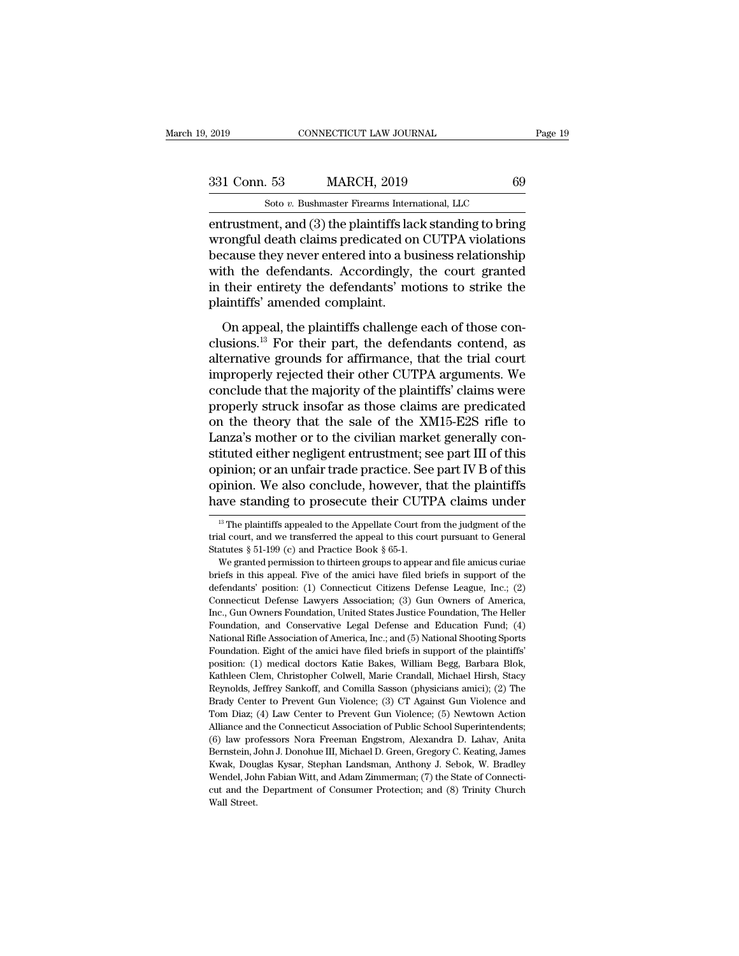| 331 Conn. 53<br><b>MARCH, 2019</b><br>69 |      | Soto v. Bushmaster Firearms International, LLC |         |
|------------------------------------------|------|------------------------------------------------|---------|
|                                          |      |                                                |         |
|                                          | 2019 | CONNECTICUT LAW JOURNAL                        | Page 19 |

entrustment, and (3) the plaintiffs lack standing to bring<br>
because the plaintiffs lack standing to bring<br>
entrustment, and (3) the plaintiffs lack standing to bring<br>
wrongful death claims predicated on CUTPA violations<br>
b 331 Conn. 53 MARCH, 2019 69<br>Soto v. Bushmaster Firearms International, LLC<br>entrustment, and (3) the plaintiffs lack standing to bring<br>wrongful death claims predicated on CUTPA violations<br>because they never entered into a b  $\begin{array}{ccc}\n 331 \text{ Conn. } 53 & \text{MARCH, } 2019 & 69 \\
 \hline\n \text{Soto } v. \text{ Bushmaster Firearms International, LLC}\n \end{array}$ <br>
entrustment, and (3) the plaintiffs lack standing to bring<br>
wrongful death claims predicated on CUTPA violations<br>
because they never entered into a  $331$  Conn. 53 MARCH, 2019 69<br>
soto v. Bushmaster Firearms International, LLC<br>
entrustment, and (3) the plaintiffs lack standing to bring<br>
wrongful death claims predicated on CUTPA violations<br>
because they never entered i Soto v. Bushmaster Firearms International, LLC<br>entrustment, and (3) the plaintiffs lack standing to bring<br>wrongful death claims predicated on CUTPA violations<br>because they never entered into a business relationship<br>with th solo *v*. Bushmaster Frearms inter-<br>entrustment, and (3) the plaintiffs law<br>wrongful death claims predicated or<br>because they never entered into a bu<br>with the defendants. Accordingly,<br>in their entirety the defendants' mo<br>pl congful death claims predicated on CUTPA violations<br>cause they never entered into a business relationship<br>th the defendants. Accordingly, the court granted<br>their entirety the defendants' motions to strike the<br>aintiffs' am because they never entered into a business relationship<br>because they never entered into a business relationship<br>with the defendants. Accordingly, the court granted<br>in their entirety the defendants' motions to strike the<br>p

because any never entered mis a business relationship<br>with the defendants. Accordingly, the court granted<br>in their entirety the defendants' motions to strike the<br>plaintiffs' amended complaint.<br>On appeal, the plaintiffs cha what are determined. Hecorology, are cours granded<br>in their entirety the defendants' motions to strike the<br>plaintiffs' amended complaint.<br>On appeal, the plaintiffs challenge each of those con-<br>clusions.<sup>13</sup> For their part m and entirely are detendants invariant of starts are<br>plaintiffs' amended complaint.<br>On appeal, the plaintiffs challenge each of those con-<br>clusions.<sup>13</sup> For their part, the defendants contend, as<br>alternative grounds for profited insofarms.<br>
On appeal, the plaintiffs challenge each of those conclusions.<sup>13</sup> For their part, the defendants contend, as<br>
alternative grounds for affirmance, that the trial court<br>
improperly rejected their other On appeal, the plaintiffs challenge each of those conclusions.<sup>13</sup> For their part, the defendants contend, as alternative grounds for affirmance, that the trial court improperly rejected their other CUTPA arguments. We con clusions.<sup>13</sup> For their part, the defendants contend, as<br>alternative grounds for affirmance, that the trial court<br>improperly rejected their other CUTPA arguments. We<br>conclude that the majority of the plaintiffs' claims wer alternative grounds for affirmance, that the trial court<br>improperly rejected their other CUTPA arguments. We<br>conclude that the majority of the plaintiffs' claims were<br>properly struck insofar as those claims are predicated<br> improperly rejected their other CUTPA arguments. We<br>conclude that the majority of the plaintiffs' claims were<br>properly struck insofar as those claims are predicated<br>on the theory that the sale of the XM15-E2S rifle to<br>Lanz conclude that the majority of the plaintiffs' claims were<br>properly struck insofar as those claims are predicated<br>on the theory that the sale of the XM15-E2S rifle to<br>Lanza's mother or to the civilian market generally con-<br> properly struck insofar as those claims are predicated<br>on the theory that the sale of the XM15-E2S rifle to<br>Lanza's mother or to the civilian market generally con-<br>stituted either negligent entrustment; see part III of thi ituted either negligent entrustment; see part III of this<br>pinion; or an unfair trade practice. See part IV B of this<br>pinion. We also conclude, however, that the plaintiffs<br>ave standing to prosecute their CUTPA claims under opinion; or an unfair trade practice. See part IV B of this<br>opinion. We also conclude, however, that the plaintiffs<br>have standing to prosecute their CUTPA claims under<br> $\frac{1}{12}$  The plaintiffs appealed to the Appellate C

opinion. We also conclude, however, thave standing to prosecute their CUT  $\frac{19}{12}$  The plaintiffs appealed to the Appellate Court from trial court, and we transferred the appeal to this constant Statutes § 51-199 (c) a ave standing to prosecute their CUTPA claims under<br>
<sup>13</sup> The plaintiffs appealed to the Appellate Court from the judgment of the<br>
al court, and we transferred the appeal to this court pursuant to General<br>
atutes § 51-199

Five Standing to prosecute their COTTA Claims under<br>
<sup>13</sup> The plaintiffs appealed to the Appellate Court from the judgment of the<br>
trial court, and we transferred the appeal to this court pursuant to General<br>
Statutes § 5 <sup>13</sup> The plaintiffs appealed to the Appellate Court from the judgment of the trial court, and we transferred the appeal to this court pursuant to General Statutes  $\S 51-199$  (c) and Practice Book  $\S 65-1$ .<br>We granted perm Fraction and we transferred the appeal to this court pursuant to General<br>Statutes § 51-199 (c) and Practice Book § 65-1.<br>We granted permission to thirteen groups to appear and file amicus curiae<br>briefs in this appeal. Fiv Statutes § 51-199 (c) and Practice Book § 65-1.<br>Statutes § 51-199 (c) and Practice Book § 65-1.<br>We granted permission to thirteen groups to appear and file amicus curiae<br>briefs in this appeal. Five of the amici have filed We granted permission to thirteen groups to appear and file amicus curiae<br>briefs in this appeal. Five of the amici have filed briefs in support of the<br>defendants' position: (1) Connecticut Citizens Defense League, Inc.; (2 briefs in this appeal. Five of the amici have filed briefs in support of the defendants' position: (1) Connecticut Citizens Defense League, Inc.; (2) Connecticut Defense Lawyers Association; (3) Gun Owners of America, Inc. Foundation. Eight of the amic interaction. Eight of the amic operator of the planetic Connecticut Defense Lawyers Association; (3) Gun Owners of America, Inc., (2) Connecticut Defense Lawyers Association; (3) Gun Owners of Connecticut Defense Lawyers Association; (3) Gun Owners of America, Inc., Gun Owners Foundation, United States Justice Foundation, The Heller Foundation, and Conservative Legal Defense and Education Fund; (4) National Rifl Inc., Gun Owners Foundation, United States Justice Foundation, The Heller Foundation, and Conservative Legal Defense and Education Fund; (4) National Rifle Association of America, Inc.; and (5) National Shooting Sports Fou Foundation, and Conservative Legal Defense and Education Fund; (4)<br>National Rifle Association of America, Inc.; and (5) National Shooting Sports<br>Foundation. Eight of the amici have filed briefs in support of the plaintiffs National Rifle Association of America, Inc.; and (5) National Shooting Sports Foundation. Eight of the amici have filed briefs in support of the plaintiffs' position: (1) medical doctors Katie Bakes, William Begg, Barbara Foundation. Eight of the amici have filed briefs in support of the plaintiffs'<br>Foundation. Eight of the amici have filed briefs in support of the plaintiffs'<br>position: (1) medical doctors Katie Bakes, William Begg, Barbara Fosition: (1) medical doctors Katie Bakes, William Begg, Barbara Blok, Kathleen Clem, Christopher Colwell, Marie Crandall, Michael Hirsh, Stacy Reynolds, Jeffrey Sankoff, and Comilla Sasson (physicians amici); (2) The Brad Examber (1) em Christopher Colwell, Marie Crandall, Michael Hirsh, Stacy<br>Reynolds, Jeffrey Sankoff, and Comilla Sasson (physicians amici); (2) The<br>Brady Center to Prevent Gun Violence; (3) CT Against Gun Violence and<br>Tom D Reynolds, Jeffrey Sankoff, and Comilla Sasson (physicians amici); (2) The Brady Center to Prevent Gun Violence; (3) CT Against Gun Violence and Tom Diaz; (4) Law Center to Prevent Gun Violence; (5) Newtown Action Alliance Example Center to Prevent Gun Violence; (3) CT Against Gun Violence and Tom Diaz; (4) Law Center to Prevent Gun Violence; (5) Newtown Action Alliance and the Connecticut Association of Public School Superintendents; (6) la Tom Diaz; (4) Law Center to Prevent Gun Violence; (5) Newtown Action<br>Alliance and the Connecticut Association of Public School Superintendents;<br>(6) law professors Nora Freeman Engstrom, Alexandra D. Lahav, Anita<br>Bernstein, Falliance and the Connecticut Association of Public School Superintendents;<br>(6) law professors Nora Freeman Engstrom, Alexandra D. Lahav, Anita<br>Bernstein, John J. Donohue III, Michael D. Green, Gregory C. Keating, James<br>Kw Communisment<br>Bernstein, J<br>Kwak, Dou,<br>Wendel, Joh<br>cut and the<br>Wall Street.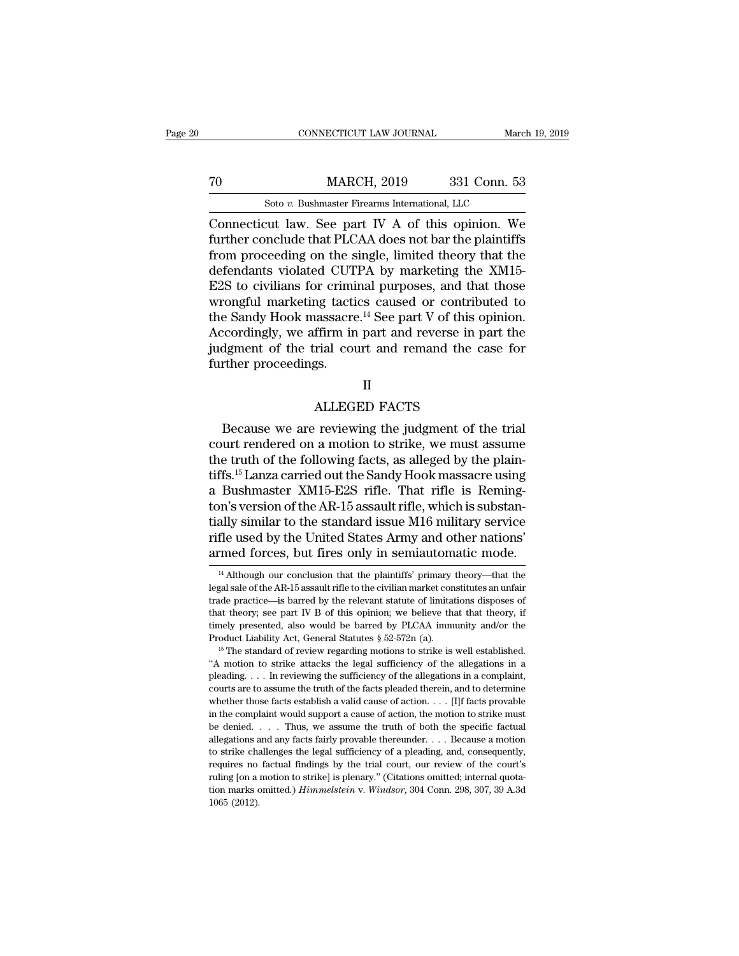# EXECUTE CONNECTICUT LAW JOURNAL March 19, 2019<br>
70 MARCH, 2019 331 Conn. 53<br>
800 v. Bushmaster Firearms International, LLC CONNECTICUT LAW JOURNAL March March March MARCH, 2019 331 Conn. 53<br>Soto *v.* Bushmaster Firearms International, LLC<br>Tut law See part. IV A of this opinion. We

CONNECTICUT LAW JOURNAL March 19, 2019<br>
TO MARCH, 2019 331 Conn. 53<br>
Soto v. Bushmaster Firearms International, LLC<br>
Connecticut law. See part IV A of this opinion. We<br>
further conclude that PLCAA does not bar the plaintif Further conclude that PLCAA does not bar the plaintiffs<br>from proceeding on the single, limited theory that the<br>defendants violated CLTPA by marketing the NM15 From Proceeding on the single, limited theory that these sets to evaluate the single, limited theory that the single, limited theory that the defendants violated CUTPA by marketing the XM15-<br>For the single, control of the MARCH, 2019 331 Conn. 53<br>
Soto v. Bushmaster Firearms International, LLC<br>
Connecticut law. See part IV A of this opinion. We<br>
further conclude that PLCAA does not bar the plaintiffs<br>
from proceeding on the single, limited Soto v. Bushmaster Firearms International, LLC<br>
Connecticut law. See part IV A of this opinion. We<br>
further conclude that PLCAA does not bar the plaintiffs<br>
from proceeding on the single, limited theory that the<br>
defendan soto v. Bushmaster Firearms International, LLC<br>Connecticut law. See part IV A of this opinion. We<br>further conclude that PLCAA does not bar the plaintiffs<br>from proceeding on the single, limited theory that the<br>defendants v Connecticut law. See part IV A of this opinion. We<br>further conclude that PLCAA does not bar the plaintiffs<br>from proceeding on the single, limited theory that the<br>defendants violated CUTPA by marketing the XM15-<br>E2S to civi further conclude that PLCAA does not bar the plaintiffs<br>from proceeding on the single, limited theory that the<br>defendants violated CUTPA by marketing the XM15-<br>E2S to civilians for criminal purposes, and that those<br>wrongfu from proceeding on the single, limited theory that the<br>defendants violated CUTPA by marketing the XM15-<br>E2S to civilians for criminal purposes, and that those<br>wrongful marketing tactics caused or contributed to<br>the Sandy defendants violated CUT<br>E2S to civilians for crimi<br>wrongful marketing tacti<br>the Sandy Hook massacre<br>Accordingly, we affirm in<br>judgment of the trial cou<br>further proceedings. Massacre.<sup>14</sup> See part V of this of<br>ffirm in part and reverse in p<br>rial court and remand the case<br>gs.<br>II<br>ALLEGED FACTS<br>reviewing the judgment of the cordingly, we affirm in part and reverse in part the<br>dgment of the trial court and remand the case for<br>ther proceedings.<br>II<br>ALLEGED FACTS<br>Because we are reviewing the judgment of the trial<br>urt rendered on a motion to strik

II

judgment of the trial court and remand the case for<br>further proceedings.<br>II<br>ALLEGED FACTS<br>Because we are reviewing the judgment of the trial<br>court rendered on a motion to strike, we must assume<br>the truth of the following f further proceedings.<br>
II<br>
ALLEGED FACTS<br>
Because we are reviewing the judgment of the trial<br>
court rendered on a motion to strike, we must assume<br>
the truth of the following facts, as alleged by the plain-<br>
tiffs.<sup>15</sup> Lanz II<br>ALLEGED FACTS<br>Because we are reviewing the judgment of the trial<br>court rendered on a motion to strike, we must assume<br>the truth of the following facts, as alleged by the plain-<br>tiffs.<sup>15</sup> Lanza carried out the Sandy Hoo ALLEGED FACTS<br>Because we are reviewing the judgment of the trial<br>court rendered on a motion to strike, we must assume<br>the truth of the following facts, as alleged by the plain-<br>tiffs.<sup>15</sup> Lanza carried out the Sandy Hook m ALLEGED FACTS<br>Because we are reviewing the judgment of the trial<br>court rendered on a motion to strike, we must assume<br>the truth of the following facts, as alleged by the plain-<br>tiffs.<sup>15</sup> Lanza carried out the Sandy Hook m Because we are reviewing the judgment of the trial<br>court rendered on a motion to strike, we must assume<br>the truth of the following facts, as alleged by the plain-<br>tiffs.<sup>15</sup> Lanza carried out the Sandy Hook massacre using<br> court rendered on a motion to strike, we must assume<br>the truth of the following facts, as alleged by the plain-<br>tiffs.<sup>15</sup> Lanza carried out the Sandy Hook massacre using<br>a Bushmaster XM15-E2S rifle. That rifle is Reming-<br> the truth of the following facts, as alleged by the plaintiffs.<sup>15</sup> Lanza carried out the Sandy Hook massacre using<br>a Bushmaster XM15-E2S rifle. That rifle is Reming-<br>ton's version of the AR-15 assault rifle, which is subs in's version of the AR-15 assault rifle, which is substanally similar to the standard issue M16 military service<br>fle used by the United States Army and other nations'<br>med forces, but fires only in semiautomatic mode.<br> $\frac{$ tially similar to the standard issue M16 military service<br>rifle used by the United States Army and other nations'<br>armed forces, but fires only in semiautomatic mode.<br> $\frac{14 \text{ Although our conclusion that the plaintexts' primary theory—that the  
legal sale of the AR-15 assault rifle to the civilian market constitutes an unfair  
trade practice—is barred by the relevant statue of limitations disposes of$ 

rifle used by the United States Army and other nations'<br>armed forces, but fires only in semiautomatic mode.<br> $\frac{14 \text{ Although our conclusion that the plaintext's primary theory—that the  
legal sale of the AR-15 assault rifle to the civilian market constitutes an unfair  
trade practice—is barred by the relevant statue of limitations disposes of  
that theory; see part IV B of this opinion; we believe that that theory, if$ armed forces, but fires only in semiautomatic mode.<br>
<sup>14</sup> Although our conclusion that the plaintiffs' primary theory—that the legal sale of the AR-15 assault rifle to the civilian market constitutes an unfair trade pract aritied forces, but fires only in semiatutomatic mode.<br>
<sup>14</sup> Although our conclusion that the plaintiffs' primary theory—that the legal sale of the AR-15 assault rifle to the civilian market constitutes an unfair trade pr <sup>14</sup> Although our conclusion that the plaintiffs' primary theory—that the legal sale of the AR-15 assault rifle to the civilian market constitutes an unfair trade practice—is barred by the relevant statute of limitations trade practice—is barred by the relevant statute of limitations disposes of that theory; see part IV B of this opinion; we believe that that theory, if timely presented, also would be barred by PLCAA immunity and/or the P

that theory; see part IV B of this opinion; we believe that that theory, if timely presented, also would be barred by PLCAA immunity and/or the Product Liability Act, General Statutes  $\S 52-572n$  (a).<br><sup>15</sup> The standard of timely presented, also would be barred by PLCAA immunity and/or the Product Liability Act, General Statutes § 52-572n (a).<br>
<sup>15</sup> The standard of review regarding motions to strike is well established.<br>
"A motion to strike Product Liability Act, General Statutes § 52-572n (a).<br>
<sup>15</sup> The standard of review regarding motions to strike is well established.<br>
"A motion to strike attacks the legal sufficiency of the allegations in a pleading. . . <sup>15</sup> The standard of review regarding motions to strike is well established.<br>
"A motion to strike attacks the legal sufficiency of the allegations in a pleading. . . . In reviewing the sufficiency of the allegations in a "A motion to strike attacks the legal sufficiency of the allegations in a pleading. . . . In reviewing the sufficiency of the allegations in a complaint, courts are to assume the truth of the facts pleaded therein, and to Pleading. . . . In reviewing the sufficiency of the allegations in a complaint, courts are to assume the truth of the facts pleaded therein, and to determine whether those facts establish a valid cause of action. . . . [I procurts are to assume the truth of the facts pleaded therein, and to determine whether those facts establish a valid cause of action. . . . [If facts provable in the complaint would support a cause of action, the motion whether those facts establish a valid cause of action. . . . [I]f facts provable in the complaint would support a cause of action, the motion to strike must be denied. . . . Thus, we assume the truth of both the specific in the complaint would support a cause of action, the motion to strike must<br>be denied.... Thus, we assume the truth of both the specific factual<br>allegations and any facts fairly provable thereunder.... Because a motion<br>to the denied. *Although and any facts fairly provable thereunder. Although denied. Although and any facts fairly provable thereunder. Although and any facts fairly provable thereunder. Although and, consequently, req* **allegations a**<br>to strike cha<br>requires no<br>ruling [on a :<br>tion marks c<br>1065 (2012).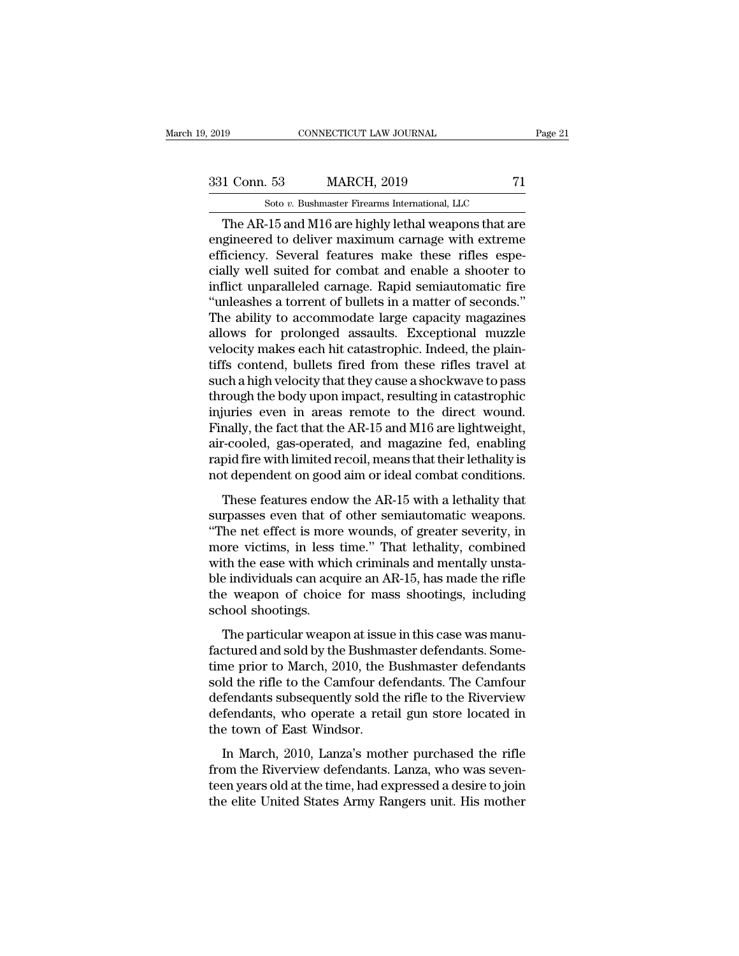| 2019         | CONNECTICUT LAW JOURNAL                              |    | Page 21 |
|--------------|------------------------------------------------------|----|---------|
| 331 Conn. 53 | <b>MARCH, 2019</b>                                   | 71 |         |
|              | Soto v. Bushmaster Firearms International, LLC       |    |         |
|              | The AR-15 and M16 are highly lethal weapons that are |    |         |

The AR-15 and M16 are highly lethal weapons that are<br>
The AR-15 and M16 are highly lethal weapons that are<br>
gineered to deliver maximum carnage with extreme<br>
Ficioney, Soveral, fortures, make these, rifles, espe 331 Conn. 53 MARCH, 2019 71<br>
Soto v. Bushmaster Firearms International, LLC<br>
The AR-15 and M16 are highly lethal weapons that are<br>
engineered to deliver maximum carnage with extreme<br>
efficiency. Several features make these 331 Conn. 53 MARCH, 2019 71<br>
Soto v. Bushmaster Firearms International, LLC<br>
The AR-15 and M16 are highly lethal weapons that are<br>
engineered to deliver maximum carnage with extreme<br>
efficiency. Several features make thes 331 Conn. 53 MARCH, 2019 71<br>
Soto v. Bushmaster Firearms International, LLC<br>
The AR-15 and M16 are highly lethal weapons that are<br>
engineered to deliver maximum carnage with extreme<br>
efficiency. Several features make thes Soto v. Bushmaster Firearms International, LLC<br>
The AR-15 and M16 are highly lethal weapons that are<br>
engineered to deliver maximum carnage with extreme<br>
efficiency. Several features make these rifles espe-<br>
cially well su  $\frac{\text{Soto } v. \text{ Bushmaster Firearms International, LLC}}{\text{The AR-15 and M16 are highly lethal weapons that are engineered to deliver maximum camerage with extreme efficiency. Several features make these rifles especially well suited for combat and enable a shooter to infinite unparalleled camerage. Rapid semiautomatic fire "unleashes a torrent of bullets in a matter of seconds." The ability to accommodate large capacity magazines allows for prolonged, assume. Excontional muzzle.$ The AR-15 and M16 are highly lethal weapons that are<br>engineered to deliver maximum carnage with extreme<br>efficiency. Several features make these rifles espe-<br>cially well suited for combat and enable a shooter to<br>inflict unp engineered to deliver maximum carnage with extreme<br>efficiency. Several features make these rifles espe-<br>cially well suited for combat and enable a shooter to<br>inflict unparalleled carnage. Rapid semiautomatic fire<br>"unleashe efficiency. Several features make these rifles especially well suited for combat and enable a shooter to inflict unparalleled carnage. Rapid semiautomatic fire "unleashes a torrent of bullets in a matter of seconds." The a cially well suited for combat and enable a shooter to<br>inflict unparalleled carnage. Rapid semiautomatic fire<br>"unleashes a torrent of bullets in a matter of seconds."<br>The ability to accommodate large capacity magazines<br>allo inflict unparalleled carnage. Rapid semiautomatic fire<br>"unleashes a torrent of bullets in a matter of seconds."<br>The ability to accommodate large capacity magazines<br>allows for prolonged assaults. Exceptional muzzle<br>velocity "unleashes a torrent of bullets in a matter of seconds."<br>The ability to accommodate large capacity magazines<br>allows for prolonged assaults. Exceptional muzzle<br>velocity makes each hit catastrophic. Indeed, the plain-<br>tiffs The ability to accommodate large capacity magazines<br>allows for prolonged assaults. Exceptional muzzle<br>velocity makes each hit catastrophic. Indeed, the plain-<br>tiffs contend, bullets fired from these rifles travel at<br>such a allows for prolonged assaults. Exceptional muzzle<br>velocity makes each hit catastrophic. Indeed, the plain-<br>tiffs contend, bullets fired from these rifles travel at<br>such a high velocity that they cause a shockwave to pass<br>t velocity makes each hit catastrophic. Indeed, the plain-<br>tiffs contend, bullets fired from these rifles travel at<br>such a high velocity that they cause a shockwave to pass<br>through the body upon impact, resulting in catastro tiffs contend, bullets fired from these rifles travel at<br>such a high velocity that they cause a shockwave to pass<br>through the body upon impact, resulting in catastrophic<br>injuries even in areas remote to the direct wound.<br>F such a high velocity that they cause a shockwave to pass<br>through the body upon impact, resulting in catastrophic<br>injuries even in areas remote to the direct wound.<br>Finally, the fact that the AR-15 and M16 are lightweight,<br> Fough the body apon impact, restanting in clausar opine<br>iuries even in areas remote to the direct wound.<br>hally, the fact that the AR-15 and M16 are lightweight,<br>r-cooled, gas-operated, and magazine fed, enabling<br>pid fire w surface over the direct boat of other direct would.<br>Finally, the fact that the AR-15 and M16 are lightweight,<br>air-cooled, gas-operated, and magazine fed, enabling<br>rapid fire with limited recoil, means that their lethality

The net effect is more wounds, of greater severity, in<br>
air-cooled, gas-operated, and magazine fed, enabling<br>
rapid fire with limited recoil, means that their lethality is<br>
not dependent on good aim or ideal combat conditi rapid fire with limited recoil, means that their lethality is<br>not dependent on good aim or ideal combat conditions.<br>These features endow the AR-15 with a lethality that<br>surpasses even that of other semiautomatic weapons.<br> repartie with interact econ, means and are reduality is<br>not dependent on good aim or ideal combat conditions.<br>These features endow the AR-15 with a lethality that<br>surpasses even that of other semiautomatic weapons.<br>"The ne These features endow the AR-15 with a lethality that<br>surpasses even that of other semiautomatic weapons.<br>"The net effect is more wounds, of greater severity, in<br>more victims, in less time." That lethality, combined<br>with th These features endow the AR-15 with a lethality that<br>surpasses even that of other semiautomatic weapons.<br>"The net effect is more wounds, of greater severity, in<br>more victims, in less time." That lethality, combined<br>with th surpasses even that of<br>"The net effect is more<br>more victims, in less<br>with the ease with which<br>ble individuals can acq<br>the weapon of choice<br>school shootings.<br>The particular weapo The rest creat is more wounds, or greater severally, more victims, in less time." That lethality, combined<br>th the ease with which criminals and mentally unsta-<br>e individuals can acquire an AR-15, has made the rifle<br>e weapo factor collins, in response. These centrally, completed<br>with the ease with which criminals and mentally unsta-<br>ble individuals can acquire an AR-15, has made the rifle<br>the weapon of choice for mass shootings, including<br>sch

what are case with when erminicals and memary distant<br>ble individuals can acquire an AR-15, has made the rifle<br>the weapon of choice for mass shootings, including<br>school shootings.<br>The particular weapon at issue in this cas she marriadas can acquire arrint to, has made the the<br>the weapon of choice for mass shootings, including<br>school shootings.<br>The particular weapon at issue in this case was manu-<br>factured and sold by the Bushmaster defendant are weapon of choice for mass shootings, merating<br>school shootings.<br>The particular weapon at issue in this case was manu-<br>factured and sold by the Bushmaster defendants. Some-<br>time prior to March, 2010, the Bushmaster defe The particular weapon at issue in this case was manu-<br>factured and sold by the Bushmaster defendants. Some-<br>time prior to March, 2010, the Bushmaster defendants<br>sold the rifle to the Camfour defendants. The Camfour<br>defenda The particular weapon at issue<br>factured and sold by the Bushma<br>time prior to March, 2010, the I<br>sold the rifle to the Camfour de<br>defendants subsequently sold th<br>defendants, who operate a reta<br>the town of East Windsor.<br>In M The prior to March, 2010, the Bushmaster defendants<br>Id the rifle to the Camfour defendants. The Camfour<br>fendants subsequently sold the rifle to the Riverview<br>fendants, who operate a retail gun store located in<br>e town of Ea from the rifle to the Camfour defendants. The Camfour<br>defendants subsequently sold the rifle to the Riverview<br>defendants, who operate a retail gun store located in<br>the town of East Windsor.<br>In March, 2010, Lanza's mother p

defendants subsequently sold the rifle to the Riverview<br>defendants, who operate a retail gun store located in<br>the town of East Windsor.<br>In March, 2010, Lanza's mother purchased the rifle<br>from the Riverview defendants. Lanz defendants, who operate a retail gun store located in the town of East Windsor.<br>In March, 2010, Lanza's mother purchased the rifle from the Riverview defendants. Lanza, who was seventeen years old at the time, had expresse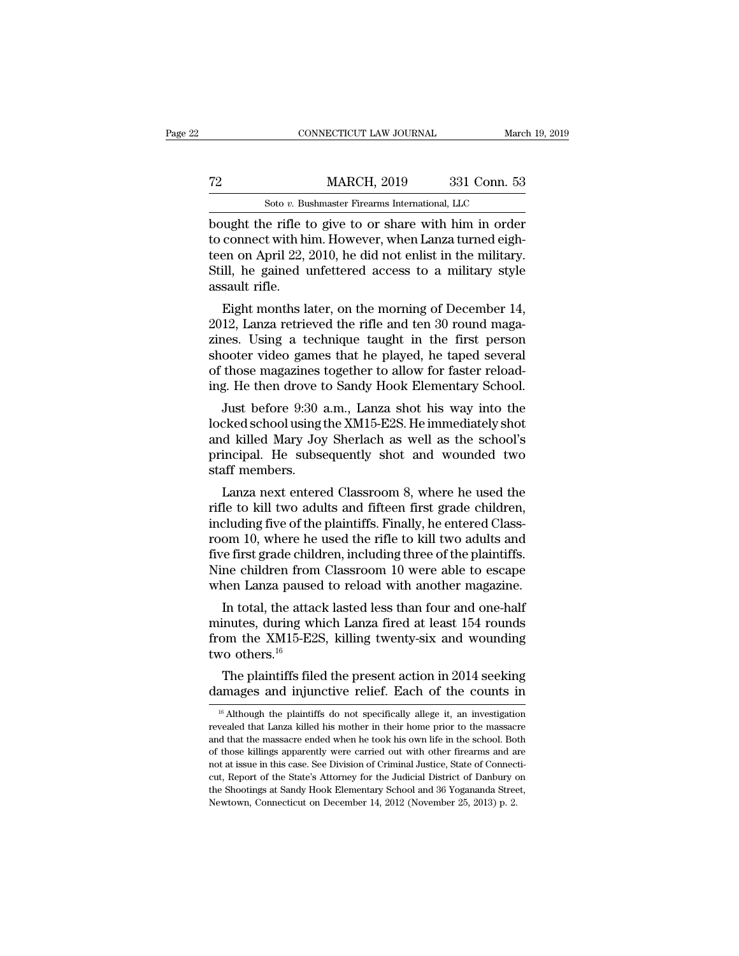|    | CONNECTICUT LAW JOURNAL                                | March 19, 2019 |
|----|--------------------------------------------------------|----------------|
| 72 | <b>MARCH, 2019</b>                                     | 331 Conn. 53   |
|    | Soto v. Bushmaster Firearms International, LLC         |                |
|    | hought the rifle to give to or share with him in order |                |

CONNECTICUT LAW JOURNAL March 19, 2019<br>
T2 MARCH, 2019 331 Conn. 53<br>
Soto v. Bushmaster Firearms International, LLC<br>
bought the rifle to give to or share with him in order<br>
to connect with him. However, when Lanza turned e The MARCH, 2019 331 Conn. 53<br>
Soto v. Bushmaster Firearms International, LLC<br>
bought the rifle to give to or share with him in order<br>
to connect with him. However, when Lanza turned eigh-<br>
teen on April 22, 2010, he did no  $\begin{tabular}{ll} \bf 72 & \tt MARCH, 2019 & \tt 331 Conn.~53 \\ \hline \hline & \tt 5360 $v$. Bushmaster Fireams International, LLC \\ \hline \end{tabular} \end{tabular} \caption{To consider the right-hand (a) 331 column and 331 column. For example, the number of the number of the number of elements of the number of elements in the number of elements. The number of elements are the number of elements of the number of elements. The number of elements are the number of elements of the number of elements. The number of elements are the number of elements of the number of elements. The number of elements are the number of elements of the number of elements. The number of elements are the number of elements of the number of elements of the number of elements. The number of elements are the number of elements of the number of elements of$  $\begin{tabular}{l l l l} \hline & \multicolumn{1}{l}{{\bf MACH, 2019 & 331 Conn. 53}}\\ \hline & \multicolumn{1}{l}{Soto $v$. {\it Bushmaster Firearms International, LLC}}\\ \hline \textbf{bought the rifle to give to or share with him in order}\\ \hline \textbf{to connect with him. However, when Lanza turned eight-}{Eene on April 22, 2010, he did not enlist in the military. Still, he gained unfettered access to a military style\\ \hline \textbf{assault rifle}. \end{tabular}$  $\begin{tabular}{l} \hline \textbf{Soto } v. \textbf{Bu} \\ \hline \textbf{bought the rifle t} \\ \textbf{to connect with hi} \\ \textbf{teen on April 22, !} \\ \textbf{Still, he gained u} \\ \textbf{assault rifle.} \\ \hline \textbf{Eight months la} \end{tabular}$ Eight the rifle to give to or share with him in order<br>connect with him. However, when Lanza turned eigh-<br>en on April 22, 2010, he did not enlist in the military.<br>ill, he gained unfettered access to a military style<br>sault r bought the rifle to give to or share with film in order<br>to connect with him. However, when Lanza turned eigh-<br>teen on April 22, 2010, he did not enlist in the military.<br>Still, he gained unfettered access to a military styl

teen on April 22, 2010, he did not enlist in the military.<br>Still, he gained unfettered access to a military style<br>assault rifle.<br>Eight months later, on the morning of December 14,<br>2012, Lanza retrieved the rifle and ten 30 show the played unfettered access to a military style<br>show show a military style<br>assault rifle.<br>Eight months later, on the morning of December 14,<br>2012, Lanza retrieved the rifle and ten 30 round maga-<br>zines. Using a techn Sun, he gamed unlettered access to a mintary style<br>assault rifle.<br>Eight months later, on the morning of December 14,<br>2012, Lanza retrieved the rifle and ten 30 round maga-<br>zines. Using a technique taught in the first perso Eight months later, on the morning of December 14,<br>2012, Lanza retrieved the rifle and ten 30 round magazines. Using a technique taught in the first person<br>shooter video games that he played, he taped several<br>of those maga Eight months later, on the morning of December 14,<br>12, Lanza retrieved the rifle and ten 30 round maga-<br>nes. Using a technique taught in the first person<br>ooter video games that he played, he taped several<br>those magazines t 2012, Lanza retrieved the rife and ten 30 round magazines. Using a technique taught in the first person shooter video games that he played, he taped several of those magazines together to allow for faster reloading. He the

zines. Using a technique taught in the first person<br>shooter video games that he played, he taped several<br>of those magazines together to allow for faster reload-<br>ing. He then drove to Sandy Hook Elementary School.<br>Just befo shooter video games that he played, he taped several<br>of those magazines together to allow for faster reload-<br>ing. He then drove to Sandy Hook Elementary School.<br>Just before 9:30 a.m., Lanza shot his way into the<br>locked sch or those magazines<br>ing. He then drove t<br>Just before 9:30 :<br>locked school using<br>and killed Mary Joy<br>principal. He subse<br>staff members.<br>Lanza next entere Just before 9:30 a.m., Lanza shot his way into the<br>cked school using the XM15-E2S. He immediately shot<br>d killed Mary Joy Sherlach as well as the school's<br>incipal. He subsequently shot and wounded two<br>aff members.<br>Lanza nex Just before 9:30 a.m., Lanza shot his way into the<br>locked school using the XM15-E2S. He immediately shot<br>and killed Mary Joy Sherlach as well as the school's<br>principal. He subsequently shot and wounded two<br>staff members.<br>L

including five of the plaintiffs.<br>The planner of the planner of the planner of the planner of the planner of the planner.<br>Lanza next entered Classroom 8, where he used the<br>rifle to kill two adults and fifteen first grade c and killed mary Joy Sherlach as well as the school's<br>principal. He subsequently shot and wounded two<br>staff members.<br>Lanza next entered Classroom 8, where he used the<br>rifle to kill two adults and fifteen first grade childre principal. He subsequently shot and wounded two<br>staff members.<br>Lanza next entered Classroom 8, where he used the<br>rifle to kill two adults and fifteen first grade children,<br>including five of the plaintiffs. Finally, he ente starf members.<br>
Lanza next entered Classroom 8, where he used the<br>
rifle to kill two adults and fifteen first grade children,<br>
including five of the plaintiffs. Finally, he entered Class-<br>
room 10, where he used the rifle Lanza next entered Classroom 8, where he used the<br>rifle to kill two adults and fifteen first grade children,<br>including five of the plaintiffs. Finally, he entered Class-<br>room 10, where he used the rifle to kill two adults In the attack lasted less than four and wounding five of the plaintiffs. Finally, he entered Class-<br>om 10, where he used the rifle to kill two adults and<br>re first grade children, including three of the plaintiffs.<br>ne child mcluding live of the plaintins. Finally, he entered Class-<br>room 10, where he used the rifle to kill two adults and<br>five first grade children, including three of the plaintiffs.<br>Nine children from Classroom 10 were able to

room 10, where he used the rine to kill two addles and<br>five first grade children, including three of the plaintiffs.<br>Nine children from Classroom 10 were able to escape<br>when Lanza paused to reload with another magazine.<br>In five first grade children, including three of the plaintiffs. Nine children from Classroom 10 were able to escape when Lanza paused to reload with another magazine. In total, the attack lasted less than four and one-half nen Lanza paused to reload with another magazine.<br>In total, the attack lasted less than four and one-half<br>inutes, during which Lanza fired at least 154 rounds<br>om the XM15-E2S, killing twenty-six and wounding<br>ro others.<sup>16</sup> In total, the attack lasted less than four and one-half<br>minutes, during which Lanza fired at least 154 rounds<br>from the XM15-E2S, killing twenty-six and wounding<br>two others.<sup>16</sup><br>The plaintiffs filed the present action in 2

For the ERRIS EES, Kinnig ewenty six and wounding<br>two others.<sup>16</sup><br>The plaintiffs filed the present action in 2014 seeking<br>amages and injunctive relief. Each of the counts in<br><sup>16</sup> Although the plaintiffs do not specificall The plaintiffs filed the present action in 2014 seeking<br>damages and injunctive relief. Each of the counts in<br> $\frac{16}{16}$  Although the plaintiffs do not specifically allege it, an investigation<br>revealed that Lanza killed h The plaintiffs filed the present action in 2014 seeking damages and injunctive relief. Each of the counts in  $\frac{16}{16}$  Although the plaintiffs do not specifically allege it, an investigation revealed that Lanza killed h The praintings fired are present action in 2011 seeding<br>damages and injunctive relief. Each of the counts in<br><sup>16</sup> Although the plaintiffs do not specifically allege it, an investigation<br>revealed that Lanza killed his mothe The Although the plaintiffs do not specifically allege it, an investigation revealed that Lanza killed his mother in their home prior to the massacre and that the massacre ended when he took his own life in the school. Bot <sup>16</sup> Although the plaintiffs do not specifically allege it, an investigation revealed that Lanza killed his mother in their home prior to the massacre and that the massacre ended when he took his own life in the school. B revealed that Lanza killed his mother in their home prior to the massacre<br>and that Lanza killed his mother in their home prior to the massacre<br>and that the massacre ended when he took his own life in the school. Both<br>of th and that the massacre ended when he took his own life in the school. Boot those killings apparently were carried out with other firearms and a not at issue in this case. See Division of Criminal Justice, State of Connectio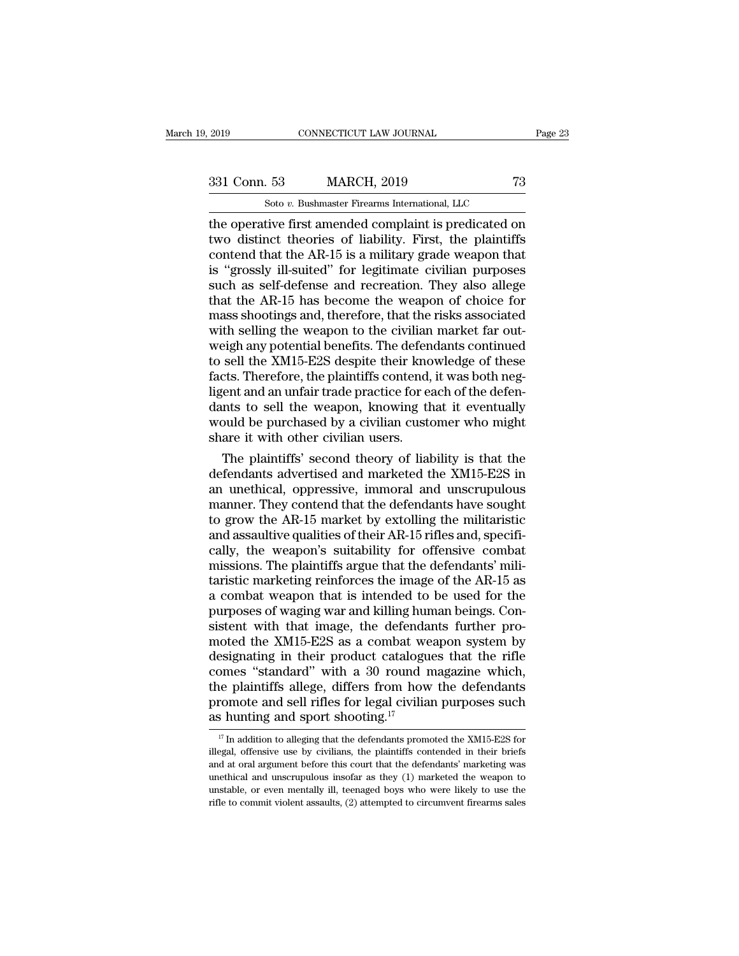The operative first amended complaint is predicated on<br>the operative first amended complaint is predicated on<br>two distinct theories of liability. First, the plaintiffs<br>contend that the AR-15 is a military grade weapon that 331 Conn. 53 MARCH, 2019 73<br>
Soto v. Bushmaster Firearms International, LLC<br>
the operative first amended complaint is predicated on<br>
two distinct theories of liability. First, the plaintiffs<br>
contend that the AR-15 is a m 331 Conn. 53 MARCH, 2019 73<br>
soto v. Bushmaster Firearms International, LLC<br>
the operative first amended complaint is predicated on<br>
two distinct theories of liability. First, the plaintiffs<br>
contend that the AR-15 is a m 331 Conn. 53 MARCH, 2019 73<br>
Soto v. Bushmaster Firearms International, LLC<br>
the operative first amended complaint is predicated on<br>
two distinct theories of liability. First, the plaintiffs<br>
contend that the AR-15 is a m such as self-defense and recreation. They also allege<br>the operative first amended complaint is predicated on<br>two distinct theories of liability. First, the plaintiffs<br>contend that the AR-15 is a military grade weapon that Soto v. Bushmaster Firearms International, LLC<br>the operative first amended complaint is predicated on<br>two distinct theories of liability. First, the plaintiffs<br>contend that the AR-15 is a military grade weapon that<br>is "gr the operative first amended complaint is predicated on<br>two distinct theories of liability. First, the plaintiffs<br>contend that the AR-15 is a military grade weapon that<br>is "grossly ill-suited" for legitimate civilian purpos two distinct theories of liability. First, the plaintiffs<br>contend that the AR-15 is a military grade weapon that<br>is "grossly ill-suited" for legitimate civilian purposes<br>such as self-defense and recreation. They also alleg contend that the AR-15 is a military grade weapon that<br>is "grossly ill-suited" for legitimate civilian purposes<br>such as self-defense and recreation. They also allege<br>that the AR-15 has become the weapon of choice for<br>mass is "grossly ill-suited" for legitimate civilian purposes<br>such as self-defense and recreation. They also allege<br>that the AR-15 has become the weapon of choice for<br>mass shootings and, therefore, that the risks associated<br>wit such as self-defense and recreation. They also allege<br>that the AR-15 has become the weapon of choice for<br>mass shootings and, therefore, that the risks associated<br>with selling the weapon to the civilian market far out-<br>weig that the AR-15 has become the weapon of choice for<br>mass shootings and, therefore, that the risks associated<br>with selling the weapon to the civilian market far out-<br>weigh any potential benefits. The defendants continued<br>to mass shootings and, therefore, that the risks associated<br>with selling the weapon to the civilian market far out-<br>weigh any potential benefits. The defendants continued<br>to sell the XM15-E2S despite their knowledge of these<br> with selling the weapon to the civilian market far out-<br>weigh any potential benefits. The defendants continued<br>to sell the XM15-E2S despite their knowledge of these<br>facts. Therefore, the plaintiffs contend, it was both neg weigh any potential benefits. The defen<br>to sell the XM15-E2S despite their kno<br>facts. Therefore, the plaintiffs contend,<br>ligent and an unfair trade practice for ea<br>dants to sell the weapon, knowing th<br>would be purchased by sell the XM15-E2S despite their knowledge of these<br>cts. Therefore, the plaintiffs contend, it was both neg-<br>ent and an unfair trade practice for each of the defen-<br>nts to sell the weapon, knowing that it eventually<br>pould b facts. Therefore, the plaintiffs contend, it was both neg-<br>ligent and an unfair trade practice for each of the defen-<br>dants to sell the weapon, knowing that it eventually<br>would be purchased by a civilian customer who might

ligent and an unfair trade practice for each of the defen-<br>dants to sell the weapon, knowing that it eventually<br>would be purchased by a civilian customer who might<br>share it with other civilian users.<br>The plaintiffs' second dants to sell the weapon, knowing that it eventually<br>would be purchased by a civilian customer who might<br>share it with other civilian users.<br>The plaintiffs' second theory of liability is that the<br>defendants advertised and would be purchased by a civilian customer who might<br>share it with other civilian users.<br>The plaintiffs' second theory of liability is that the<br>defendants advertised and marketed the XM15-E2S in<br>an unethical, oppressive, im share it with other civilian users.<br>The plaintiffs' second theory of liability is that the<br>defendants advertised and marketed the XM15-E2S in<br>an unethical, oppressive, immoral and unscrupulous<br>manner. They contend that the The plaintiffs' second theory of liability is that the<br>defendants advertised and marketed the XM15-E2S in<br>an unethical, oppressive, immoral and unscrupulous<br>manner. They contend that the defendants have sought<br>to grow the defendants advertised and marketed the XM15-E2S in<br>an unethical, oppressive, immoral and unscrupulous<br>manner. They contend that the defendants have sought<br>to grow the AR-15 market by extolling the militaristic<br>and assaulti an unethical, oppressive, immoral and unscrupulous<br>manner. They contend that the defendants have sought<br>to grow the AR-15 market by extolling the militaristic<br>and assaultive qualities of their AR-15 rifles and, specifi-<br>ca manner. They contend that the defendants have sought<br>to grow the AR-15 market by extolling the militaristic<br>and assaultive qualities of their AR-15 rifles and, specifi-<br>cally, the weapon's suitability for offensive combat<br> to grow the AR-15 market by extolling the militaristic<br>and assaultive qualities of their AR-15 rifles and, specifi-<br>cally, the weapon's suitability for offensive combat<br>missions. The plaintiffs argue that the defendants' m and assaultive qualities of their AR-15 rifles and, specifically, the weapon's suitability for offensive combat<br>missions. The plaintiffs argue that the defendants' militaristic marketing reinforces the image of the AR-15 a cally, the weapon's suitability for offensive combat<br>missions. The plaintiffs argue that the defendants' mili-<br>taristic marketing reinforces the image of the AR-15 as<br>a combat weapon that is intended to be used for the<br>pur missions. The plaintiffs argue that the defendants' militaristic marketing reinforces the image of the AR-15 as<br>a combat weapon that is intended to be used for the<br>purposes of waging war and killing human beings. Con-<br>sist taristic marketing reinforces the image of the AR-15 as<br>a combat weapon that is intended to be used for the<br>purposes of waging war and killing human beings. Con-<br>sistent with that image, the defendants further pro-<br>moted t a combat weapon that is intended to be used for the<br>purposes of waging war and killing human beings. Con-<br>sistent with that image, the defendants further pro-<br>moted the XM15-E2S as a combat weapon system by<br>designating in purposes of waging war and killing human beings. Consistent with that image, the defendants further promoted the XM15-E2S as a combat weapon system by designating in their product catalogues that the rifle comes "standard" sistent with that image, the defenda<br>moted the XM15-E2S as a combat we<br>designating in their product catalogu<br>comes "standard" with a 30 round r<br>the plaintiffs allege, differs from how<br>promote and sell rifles for legal civ be plaintiffs allege, differs from how the defendants romote and sell rifles for legal civilian purposes such shunting and sport shooting.<sup>17</sup><br> $\frac{17}{17}$  In addition to alleging that the defendants promoted the XM15-E2S the plaintiffs allege, differs from how the defendants<br>promote and sell rifles for legal civilian purposes such<br>as hunting and sport shooting.<sup>17</sup><br> $\frac{17}{17}$  In addition to alleging that the defendants promoted the XM15-

promote and sell rifles for legal civilian purposes such<br>as hunting and sport shooting.<sup>17</sup><br> $\frac{17}{17}$  In addition to alleging that the defendants promoted the XM15-E2S for<br>illegal, offensive use by civilians, the plaint as hunting and sport shooting.<sup>17</sup><br>
<sup>17</sup> In addition to alleging that the defendants promoted the XM15-E2S for<br>
illegal, offensive use by civilians, the plaintiffs contended in their briefs<br>
and at oral argument before th  $\frac{17}{17}$  In addition to alleging that the defendants promoted the XM15-E2S for illegal, offensive use by civilians, the plaintiffs contended in their briefs and at oral argument before this court that the defendants' m <sup>17</sup> In addition to alleging that the defendants promoted the XM15-E2S for illegal, offensive use by civilians, the plaintiffs contended in their briefs and at oral argument before this court that the defendants' marketin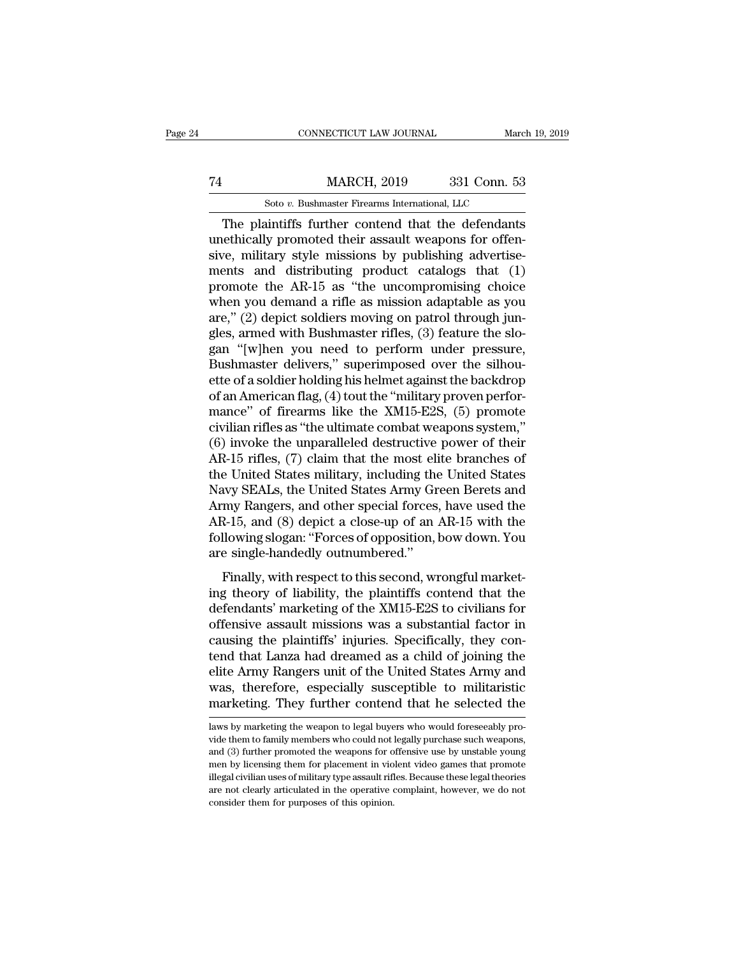# EXERCIT CONNECTICUT LAW JOURNAL March 19, 2019<br>
74 MARCH, 2019 331 Conn. 53<br>
800 v. Bushmaster Firearms International, LLC CONNECTICUT LAW JOURNAL March March March MARCH, 2019 331 Conn. 53<br>Soto *v.* Bushmaster Firearms International, LLC and that the defendants

CONNECTICUT LAW JOURNAL March 19, 2019<br>
MARCH, 2019 331 Conn. 53<br>
Soto v. Bushmaster Firearms International, LLC<br>
The plaintiffs further contend that the defendants<br>
ethically promoted their assault weapons for offen-T4 MARCH, 2019 331 Conn. 53<br>
Soto v. Bushmaster Firearms International, LLC<br>
The plaintiffs further contend that the defendants<br>
unethically promoted their assault weapons for offen-<br>
sive, military style missions by publi sive, military style missions by publishing advertise-MARCH, 2019 331 Conn. 53<br>
Soto v. Bushmaster Firearms International, LLC<br>
The plaintiffs further contend that the defendants<br>
unethically promoted their assault weapons for offen-<br>
sive, military style missions by publish Soto v. Bushmaster Firearms International, LLC<br>
The plaintiffs further contend that the defendants<br>
unethically promoted their assault weapons for offen-<br>
sive, military style missions by publishing advertise-<br>
ments and soto v. Bushmaster Firearms international, LLC<br>
The plaintiffs further contend that the defendants<br>
unethically promoted their assault weapons for offen-<br>
sive, military style missions by publishing advertise-<br>
ments and The plaintiffs further contend that the defendants<br>unethically promoted their assault weapons for offen-<br>sive, military style missions by publishing advertise-<br>ments and distributing product catalogs that (1)<br>promote the A unethically promoted their assault weapons for offen-<br>sive, military style missions by publishing advertise-<br>ments and distributing product catalogs that (1)<br>promote the AR-15 as "the uncompromising choice<br>when you demand sive, military style missions by publishing advertise-<br>ments and distributing product catalogs that (1)<br>promote the AR-15 as "the uncompromising choice<br>when you demand a rifle as mission adaptable as you<br>are," (2) depict s ments and distributing product catalogs that (1)<br>promote the AR-15 as "the uncompromising choice<br>when you demand a rifle as mission adaptable as you<br>are," (2) depict soldiers moving on patrol through jun-<br>gles, armed with promote the AR-15 as "the uncompromising choice<br>when you demand a rifle as mission adaptable as you<br>are," (2) depict soldiers moving on patrol through jun-<br>gles, armed with Bushmaster rifles, (3) feature the slo-<br>gan "[w]h when you demand a rifle as mission adaptable as you<br>are," (2) depict soldiers moving on patrol through jun-<br>gles, armed with Bushmaster rifles, (3) feature the slo-<br>gan "[w]hen you need to perform under pressure,<br>Bushmaste are," (2) depict soldiers moving on patrol through jungles, armed with Bushmaster rifles, (3) feature the slogan "[w]hen you need to perform under pressure,<br>Bushmaster delivers," superimposed over the silhou-<br>ette of a sol gles, armed with Bushmaster rifles, (3) feature the slogan "[w]hen you need to perform under pressure,<br>Bushmaster delivers," superimposed over the silhou-<br>ette of a soldier holding his helmet against the backdrop<br>of an Ame gan "[w]hen you need to perform under pressure,<br>Bushmaster delivers," superimposed over the silhou-<br>ette of a soldier holding his helmet against the backdrop<br>of an American flag, (4) tout the "military proven perfor-<br>mance Bushmaster delivers," superimposed over the silhouette of a soldier holding his helmet against the backdrop<br>of an American flag, (4) tout the "military proven perfor-<br>mance" of firearms like the XM15-E2S, (5) promote<br>civil ette of a soldier holding his helmet against the backdrop<br>of an American flag, (4) tout the "military proven perfor-<br>mance" of firearms like the XM15-E2S, (5) promote<br>civilian rifles as "the ultimate combat weapons system, of an American flag, (4) tout the "military proven perfor-<br>mance" of firearms like the XM15-E2S, (5) promote<br>civilian rifles as "the ultimate combat weapons system,"<br>(6) invoke the unparalleled destructive power of their<br> mance" of firearms like the XM15-E2S, (5) promote<br>civilian rifles as "the ultimate combat weapons system,"<br>(6) invoke the unparalleled destructive power of their<br>AR-15 rifles, (7) claim that the most elite branches of<br>the civilian rifles as "the ultimate combat weapons system,"<br>(6) invoke the unparalleled destructive power of their<br>AR-15 rifles, (7) claim that the most elite branches of<br>the United States military, including the United State (6) invoke the unparalleled destructive power of their<br>AR-15 rifles, (7) claim that the most elite branches of<br>the United States military, including the United States<br>Navy SEALs, the United States Army Green Berets and<br>Arm AR-15 rifles, (7) claim that the most eli<br>the United States military, including the<br>Navy SEALs, the United States Army Gr<br>Army Rangers, and other special forces,<br>AR-15, and (8) depict a close-up of an<br>following slogan: "Fo is extracted batter hinday, including the critical batter<br>that way SEALs, the United States Army Green Berets and<br>my Rangers, and other special forces, have used the<br>R-15, and (8) depict a close-up of an AR-15 with the<br>llo France States Tarty States and<br>Army Rangers, and other special forces, have used the<br>AR-15, and (8) depict a close-up of an AR-15 with the<br>following slogan: "Forces of opposition, bow down. You<br>are single-handedly outnumbe

AR-15, and 8) depict a close-up of an AR-15 with the<br>following slogan: "Forces of opposition, bow down. You<br>are single-handedly outnumbered."<br>Finally, with respect to this second, wrongful market-<br>ing theory of liability, Finally, and (b) depict a close up of an Tin 19 what are<br>following slogan: "Forces of opposition, bow down. You<br>are single-handedly outnumbered."<br>Finally, with respect to this second, wrongful market-<br>ing theory of liabili call are single-handedly outnumbered."<br>
Finally, with respect to this second, wrongful market-<br>
ing theory of liability, the plaintiffs contend that the<br>
defendants' marketing of the XM15-E2S to civilians for<br>
offensive as Finally, with respect to this second, wrongful market-<br>ing theory of liability, the plaintiffs contend that the<br>defendants' marketing of the XM15-E2S to civilians for<br>offensive assault missions was a substantial factor in<br> Finally, with respect to this second, wrongful market-<br>ing theory of liability, the plaintiffs contend that the<br>defendants' marketing of the XM15-E2S to civilians for<br>offensive assault missions was a substantial factor in<br> ing theory of liability, the plaintiffs contend that the defendants' marketing of the XM15-E2S to civilians for offensive assault missions was a substantial factor in causing the plaintiffs' injuries. Specifically, they co defendants' marketing of the XM15-E2S to civilians for<br>offensive assault missions was a substantial factor in<br>causing the plaintiffs' injuries. Specifically, they con-<br>tend that Lanza had dreamed as a child of joining the<br> tend that Lanza had dreamed as a child of joining the elite Army Rangers unit of the United States Army and was, therefore, especially susceptible to militaristic marketing. They further contend that he selected the laws b elite Army Rangers unit of the United States Army and<br>was, therefore, especially susceptible to militaristic<br>marketing. They further contend that he selected the<br>laws by marketing the weapon to legal buyers who would fores

was, therefore, especially susceptible to militaristic marketing. They further contend that he selected the laws by marketing the weapon to legal buyers who would foreseeably provide them to family members who could not le marketing. They further contend that he selected the<br>laws by marketing the weapon to legal buyers who would foreseeably pro-<br>vide them to family members who could not legally purchase such weapons,<br>and (3) further promoted Internal contract that the selected the<br>laws by marketing the weapon to legal buyers who would foreseeably pro-<br>vide them to family members who could not legally purchase such weapons,<br>and (3) further promoted the weapons laws by marketing the weapon to legal buyers who would foreseeably provide them to family members who could not legally purchase such weapons, and (3) further promoted the weapons for offensive use by unstable young men by vide them to family members who could not live them to family members who could not land (3) further promoted the weapons for of men by licensing them for placement in vio illegal civilian uses of military type assault rif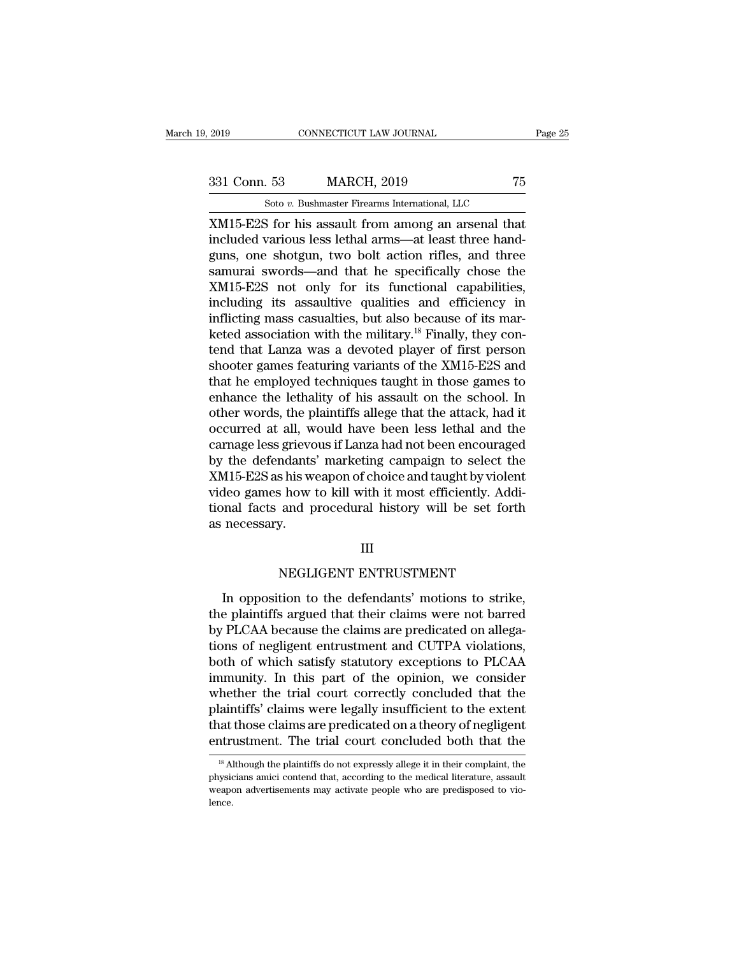# 2019 CONNECTICUT LAW JOURNAL Page 25<br>331 Conn. 53 MARCH, 2019 75<br>500 v. Bushmaster Firearms International, LLC CONNECTICUT LAW JOURNAL<br>
Soto *v.* Bushmaster Firearms International, LLC<br>
Soto *v.* Bushmaster Firearms International, LLC<br>
Soto his assault from among an arsenal that

2019 CONNECTICUT LAW JOURNAL Page 2<br>
331 Conn. 53 MARCH, 2019 75<br>
Soto v. Bushmaster Firearms International, LLC<br>
XM15-E2S for his assault from among an arsenal that<br>
included various less lethal arms—at least three hand-<br> 331 Conn. 53 MARCH, 2019 75<br>
Soto v. Bushmaster Firearms International, LLC<br>
XM15-E2S for his assault from among an arsenal that<br>
included various less lethal arms—at least three hand-<br>
guns, one shotgun, two bolt action r  $\frac{\text{331} \text{ Conn. } 53}{\text{Soto } v. \text{ Bushmaster Firearms International, } \text{LLC}}$ <br> $\overline{\text{XML5-E2S}}$  for his assault from among an arsenal that<br>included various less lethal arms—at least three hand-<br>guns, one shotgun, two bolt action rifles, and three<br>samurai s  $\frac{\text{331} \text{ Conn. } 53}{\text{Soto } v. \text{ Bushmaster Firearms International, LLC}}$ <br>  $\frac{\text{XM15-E2S}}{\text{XM15-E2S}}$  for his assault from among an arsenal that<br>
included various less lethal arms—at least three hand-<br>
guns, one shotgun, two bolt action rifles, and three<br> Soto v. Bushmaster Firearms International, LLC<br>XM15-E2S for his assault from among an arsenal that<br>included various less lethal arms—at least three hand-<br>guns, one shotgun, two bolt action rifles, and three<br>samurai swords sofo v. Bushmaster Firearms international, LLC<br>XM15-E2S for his assault from among an arsenal that<br>included various less lethal arms—at least three hand-<br>guns, one shotgun, two bolt action rifles, and three<br>samurai swords XM15-E2S for his assault from among an arsenal that<br>included various less lethal arms—at least three hand-<br>guns, one shotgun, two bolt action rifles, and three<br>samurai swords—and that he specifically chose the<br>XM15-E2S not included various less lethal arms—at least three handguns, one shotgun, two bolt action rifles, and three samurai swords—and that he specifically chose the XM15-E2S not only for its functional capabilities, including its a guns, one shotgun, two bolt action rifles, and three<br>samurai swords—and that he specifically chose the<br>XM15-E2S not only for its functional capabilities,<br>including its assaultive qualities and efficiency in<br>inflicting mass samurai swords—and that he specifically chose the<br>XM15-E2S not only for its functional capabilities,<br>including its assaultive qualities and efficiency in<br>inflicting mass casualties, but also because of its mar-<br>keted assoc XM15-E2S not only for its functional capabilities,<br>including its assaultive qualities and efficiency in<br>inflicting mass casualties, but also because of its mar-<br>keted association with the military.<sup>18</sup> Finally, they con-<br> including its assaultive qualities and efficiency in<br>inflicting mass casualties, but also because of its mar-<br>keted association with the military.<sup>18</sup> Finally, they con-<br>tend that Lanza was a devoted player of first person inflicting mass casualties, but also because of its marketed association with the military.<sup>18</sup> Finally, they contend that Lanza was a devoted player of first person shooter games featuring variants of the XM15-E2S and tha keted association with the military.<sup>18</sup> Finally, they contend that Lanza was a devoted player of first person shooter games featuring variants of the XM15-E2S and that he employed techniques taught in those games to enhan tend that Lanza was a devoted player of first person<br>shooter games featuring variants of the XM15-E2S and<br>that he employed techniques taught in those games to<br>enhance the lethality of his assault on the school. In<br>other wo shooter games featuring variants of the XM15-E2S and<br>that he employed techniques taught in those games to<br>enhance the lethality of his assault on the school. In<br>other words, the plaintiffs allege that the attack, had it<br>oc that he employed techniques taught in those games to<br>enhance the lethality of his assault on the school. In<br>other words, the plaintiffs allege that the attack, had it<br>occurred at all, would have been less lethal and the<br>ca enhance the lethality of his assault on the school. In<br>other words, the plaintiffs allege that the attack, had it<br>occurred at all, would have been less lethal and the<br>carnage less grievous if Lanza had not been encouraged<br> other words, the plaintiffs allege that the attack, had it<br>occurred at all, would have been less lethal and the<br>carnage less grievous if Lanza had not been encouraged<br>by the defendants' marketing campaign to select the<br>XM1 occurred at all, w<br>carnage less grieve<br>by the defendants<br>XM15-E2S as his w<br>video games how<br>tional facts and p<br>as necessary. s his weapon of choice and taught by violent<br>is how to kill with it most efficiently. Addi-<br>and procedural history will be set forth<br>y.<br>III<br>NEGLIGENT ENTRUSTMENT<br>tion to the defendants' motions to strike,

### III

In opposition to the defendants' motions to strike,<br>In opposition to the defendants' motions to strike,<br>a plaintiffs argued that their claims were not barred<br>In OLO CAA bocause the claims are predicated on allocated. THE PLAINT TENTRUSTMENT<br>
THE PLAINT SECTION IN THE PLAINTIFF REPRODUCED A poposition to the defendants' motions to strike,<br>
the plaintiffs argued that their claims were not barred<br>
by PLCAA because the claims are predicate III<br>
NEGLIGENT ENTRUSTMENT<br>
In opposition to the defendants' motions to strike,<br>
the plaintiffs argued that their claims were not barred<br>
by PLCAA because the claims are predicated on allega-<br>
tions of negligent entrustmen III<br>
NEGLIGENT ENTRUSTMENT<br>
In opposition to the defendants' motions to strike,<br>
the plaintiffs argued that their claims were not barred<br>
by PLCAA because the claims are predicated on allega-<br>
tions of negligent entrustmen NEGLIGENT ENTRUSTMENT<br>In opposition to the defendants' motions to strike,<br>the plaintiffs argued that their claims were not barred<br>by PLCAA because the claims are predicated on allega-<br>tions of negligent entrustment and CUT In opposition to the defendants' motions to strike,<br>the plaintiffs argued that their claims were not barred<br>by PLCAA because the claims are predicated on allega-<br>tions of negligent entrustment and CUTPA violations,<br>both of In opposition to the defendants' motions to strike,<br>the plaintiffs argued that their claims were not barred<br>by PLCAA because the claims are predicated on allega-<br>tions of negligent entrustment and CUTPA violations,<br>both of the plaintiffs argued that their claims were not barred<br>by PLCAA because the claims are predicated on allega-<br>tions of negligent entrustment and CUTPA violations,<br>both of which satisfy statutory exceptions to PLCAA<br>immunit by PLCAA because the claims are predicated on allegations of negligent entrustment and CUTPA violations, both of which satisfy statutory exceptions to PLCAA immunity. In this part of the opinion, we consider whether the tr tions of negligent entrustment and CUTPA violations,<br>both of which satisfy statutory exceptions to PLCAA<br>immunity. In this part of the opinion, we consider<br>whether the trial court correctly concluded that the<br>plaintiffs' c whether the trial court correctly concluded that the plaintiffs' claims were legally insufficient to the extent that those claims are predicated on a theory of negligent entrustment. The trial court concluded both that the plaintiffs' claims were legally insufficient to the extent<br>that those claims are predicated on a theory of negligent<br>entrustment. The trial court concluded both that the<br><sup>18</sup> Although the plaintiffs do not expressly allege

that those claims are predicated on a theory of negligent<br>entrustment. The trial court concluded both that the<br><sup>18</sup> Although the plaintiffs do not expressly allege it in their complaint, the<br>physicians amici contend that, lence.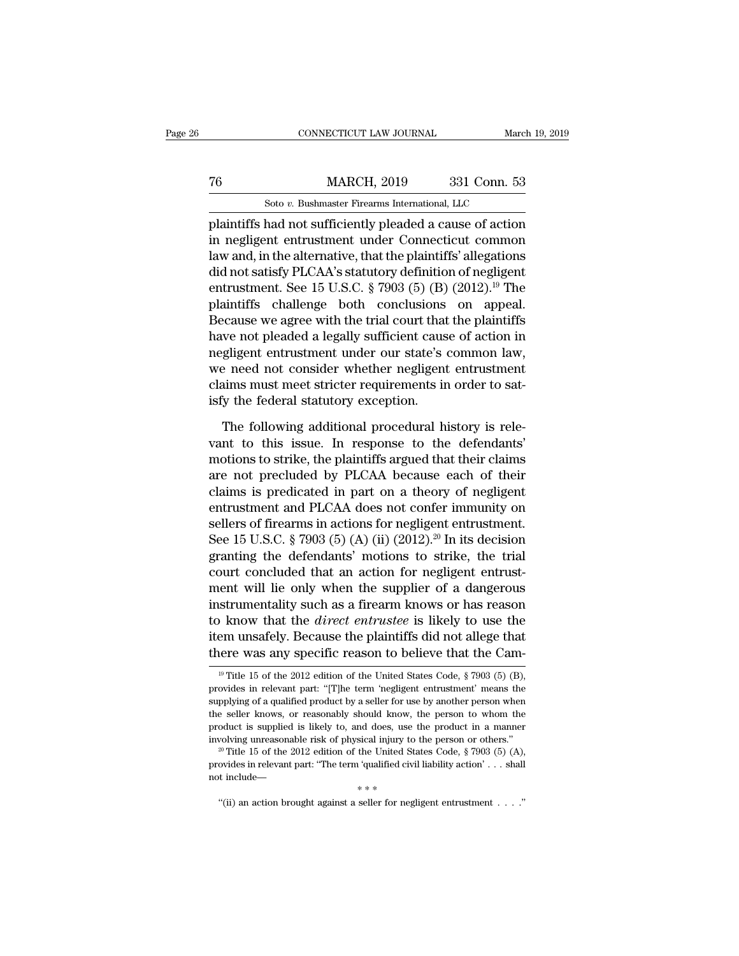# EXECUTE CONNECTICUT LAW JOURNAL March 19, 2019<br>
76 MARCH, 2019 331 Conn. 53<br>
800 v. Bushmaster Firearms International, LLC CONNECTICUT LAW JOURNAL March March March MARCH, 2019 331 Conn. 53<br>Soto *v.* Bushmaster Firearms International, LLC<br>had not sufficiently pleaded a cause of action

FREE CONNECTICUT LAW JOURNAL March 19, 2019<br>
TREE MARCH, 2019 331 Conn. 53<br>
Soto v. Bushmaster Firearms International, LLC<br>
plaintiffs had not sufficiently pleaded a cause of action<br>
in negligent entrustment under Connecti MARCH, 2019 331 Conn. 53<br>
Soto v. Bushmaster Firearms International, LLC<br>
plaintiffs had not sufficiently pleaded a cause of action<br>
in negligent entrustment under Connecticut common<br>
law and, in the alternative, that the  $\frac{\text{MARCH}}{\text{Soto } v. \text{ Bushmaster Firearms International, LLC}}$ <br>
plaintiffs had not sufficiently pleaded a cause of action<br>
in negligent entrustment under Connecticut common<br>
law and, in the alternative, that the plaintiffs' allegations<br>
did not satisfy P  $\frac{\text{MARCH}}{\text{2019}}$  331 Conn. 53<br>
Soto v. Bushmaster Firearms International, LLC<br>
plaintiffs had not sufficiently pleaded a cause of action<br>
in negligent entrustment under Connecticut common<br>
law and, in the alternative, t Soto v. Bushmaster Firearms International, LLC<br>plaintiffs had not sufficiently pleaded a cause of action<br>in negligent entrustment under Connecticut common<br>law and, in the alternative, that the plaintiffs' allegations<br>did solo *i*. Bashhaster Frieams intentational, ELC<br>plaintiffs had not sufficiently pleaded a cause of action<br>in negligent entrustment under Connecticut common<br>law and, in the alternative, that the plaintiffs' allegations<br>did plaintiffs had not sufficiently pleaded a cause of action<br>in negligent entrustment under Connecticut common<br>law and, in the alternative, that the plaintiffs' allegations<br>did not satisfy PLCAA's statutory definition of negl in negligent entrustment under Connecticut common<br>law and, in the alternative, that the plaintiffs' allegations<br>did not satisfy PLCAA's statutory definition of negligent<br>entrustment. See 15 U.S.C. § 7903 (5) (B) (2012).<sup>19</sup> law and, in the alternative, that the plaintiffs' allegations<br>did not satisfy PLCAA's statutory definition of negligent<br>entrustment. See 15 U.S.C. § 7903 (5) (B) (2012).<sup>19</sup> The<br>plaintiffs challenge both conclusions on app did not satisfy PLCAA's statutory definition of negligent<br>entrustment. See 15 U.S.C. § 7903 (5) (B) (2012).<sup>19</sup> The<br>plaintiffs challenge both conclusions on appeal.<br>Because we agree with the trial court that the plaintiffs entrustment. See 15 U.S.C. § 7903 (5) (B) (2012).<sup>19</sup> The plaintiffs challenge both conclusions on appeal. Because we agree with the trial court that the plaintiffs have not pleaded a legally sufficient cause of action in plaintiffs challenge both conclusions<br>Because we agree with the trial court that<br>have not pleaded a legally sufficient caus<br>negligent entrustment under our state's<br>we need not consider whether negligent<br>claims must meet st we not pleaded a legally sufficient cause of action in<br>gligent entrustment under our state's common law,<br>e need not consider whether negligent entrustment<br>aims must meet stricter requirements in order to sat-<br>y the federal negligent entrustment under our state's common law,<br>we need not consider whether negligent entrustment<br>claims must meet stricter requirements in order to sat-<br>isfy the federal statutory exception.<br>The following additional

we need not consider whether negligent entrustment<br>claims must meet stricter requirements in order to sat-<br>isfy the federal statutory exception.<br>The following additional procedural history is rele-<br>vant to this issue. In r claims must meet stricter requirements in order to satisfy the federal statutory exception.<br>The following additional procedural history is relevant to this issue. In response to the defendants' motions to strike, the plain isfy the federal statutory exception.<br>The following additional procedural history is relevant to this issue. In response to the defendants'<br>motions to strike, the plaintiffs argued that their claims<br>are not precluded by PL The following additional procedural history is relevant to this issue. In response to the defendants'<br>motions to strike, the plaintiffs argued that their claims<br>are not precluded by PLCAA because each of their<br>claims is p The following additional procedural history is relevant to this issue. In response to the defendants' motions to strike, the plaintiffs argued that their claims are not precluded by PLCAA because each of their claims is p vant to this issue. In response to the defendants'<br>motions to strike, the plaintiffs argued that their claims<br>are not precluded by PLCAA because each of their<br>claims is predicated in part on a theory of negligent<br>entrustm motions to strike, the plaintiffs argued that their claims<br>are not precluded by PLCAA because each of their<br>claims is predicated in part on a theory of negligent<br>entrustment and PLCAA does not confer immunity on<br>sellers o are not precluded by PLCAA because each of their<br>claims is predicated in part on a theory of negligent<br>entrustment and PLCAA does not confer immunity on<br>sellers of firearms in actions for negligent entrustment.<br>See 15 U.S claims is predicated in part on a theory of negligent<br>entrustment and PLCAA does not confer immunity on<br>sellers of firearms in actions for negligent entrustment.<br>See 15 U.S.C. § 7903 (5) (A) (ii) (2012).<sup>20</sup> In its decisi entrustment and PLCAA does not confer immunity on<br>sellers of firearms in actions for negligent entrustment.<br>See 15 U.S.C. § 7903 (5) (A) (ii) (2012).<sup>20</sup> In its decision<br>granting the defendants' motions to strike, the tri sellers of firearms in actions for negligent entrustment.<br>See 15 U.S.C. § 7903 (5) (A) (ii) (2012).<sup>20</sup> In its decision<br>granting the defendants' motions to strike, the trial<br>court concluded that an action for negligent ent See 15 U.S.C. § 7903 (5) (A) (ii) (2012).<sup>20</sup> In its decision granting the defendants' motions to strike, the trial court concluded that an action for negligent entrustment will lie only when the supplier of a dangerous i granting the defendants' motions to strike, the trial<br>court concluded that an action for negligent entrust-<br>ment will lie only when the supplier of a dangerous<br>instrumentality such as a firearm knows or has reason<br>to know 19 Istrumentally such as a firearm knows or has reason  $\alpha$  know that the *direct entrustee* is likely to use the em unsafely. Because the plaintiffs did not allege that the Camere was any specific reason to believe that to know that the *direct entrustee* is likely to use the item unsafely. Because the plaintiffs did not allege that there was any specific reason to believe that the Campus of Title 15 of the 2012 edition of the United Sta

item unsafely. Because the plaintiffs did not allege that<br>there was any specific reason to believe that the Cam-<br><sup>19</sup> Title 15 of the 2012 edition of the United States Code, § 7903 (5) (B),<br>provides in relevant part: "[T] there was any specific reason to believe that the Cam-<br><sup>19</sup> Title 15 of the 2012 edition of the United States Code, § 7903 (5) (B),<br>provides in relevant part: "[T]he term 'negligent entrustment' means the<br>supplying of a q <sup>19</sup> Title 15 of the 2012 edition of the United States Code, § 7903 (5) (B), provides in relevant part: "[T]he term 'negligent entrustment' means the supplying of a qualified product by a seller for use by another person <sup>19</sup> Title 15 of the 2012 edition of the United States Code, § 7903 (5) (B), provides in relevant part: "[T]he term 'negligent entrustment' means the supplying of a qualified product by a seller for use by another person supplying of a qualified product by a seller for use by another person when the seller knows, or reasonably should know, the person to whom the product is supplied is likely to, and does, use the product in a manner invol bey-pying or a was more product is supplied is likely to, and product is supplied is likely to, and involving unreasonable risk of physical provides in relevant part: "The term of include—

nd does, use<br>nd does, use<br>the United St<br>the United St<br>'andified civi<br>\*\*\*<br>seller for neg volving unreasonable risk of physical injury to the person or others.<sup>720</sup> Title 15 of the 2012 edition of the United States Code, § 7903 (5) (A), ovides in relevant part: "The term 'qualified civil liability action' . .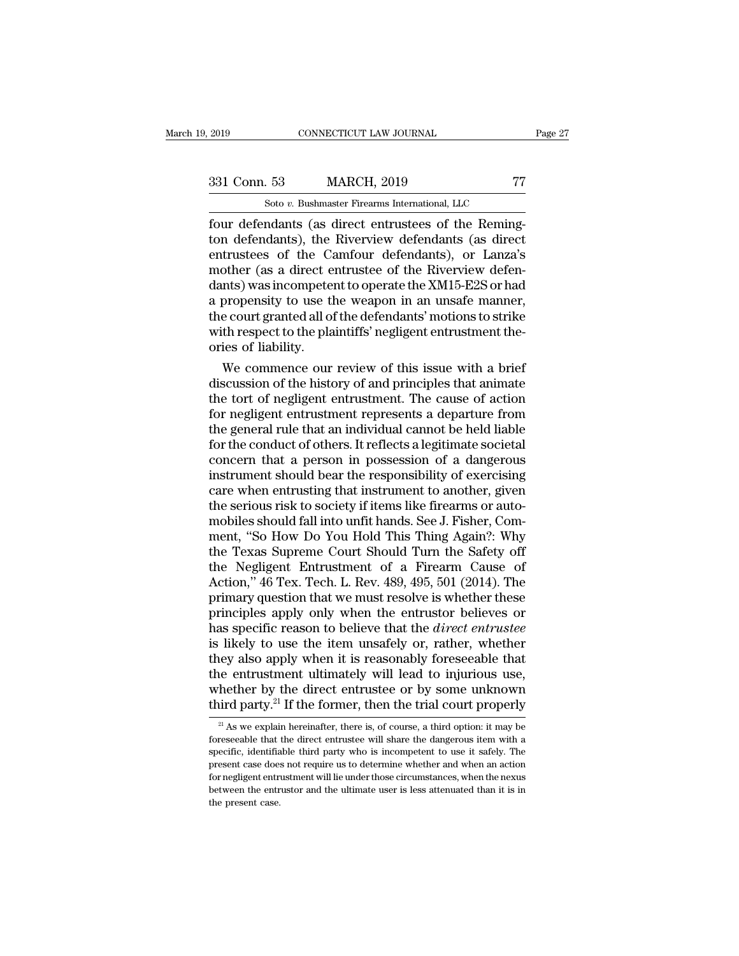| 331 Conn. 53<br><b>MARCH, 2019</b> | 77      |
|------------------------------------|---------|
|                                    |         |
| 2019<br>CONNECTICUT LAW JOURNAL    | Page 27 |

Four defendants (as direct entrustees of the Camfour defendants) or Lanza's<br>
entrustees of the Reming-<br>
entrustees of the Camfour defendants) or Lanza's 331 Conn. 53 MARCH, 2019 77<br>Soto v. Bushmaster Firearms International, LLC<br>four defendants (as direct entrustees of the Reming-<br>ton defendants), the Riverview defendants (as direct<br>entrustees of the Camfour defendants), o 331 Conn. 53 MARCH, 2019 77<br>
Soto v. Bushmaster Firearms International, LLC<br>
four defendants (as direct entrustees of the Remington defendants), the Riverview defendants (as direct<br>
entrustees of the Camfour defendants), 331 Conn. 53 MARCH, 2019 77<br>
Soto v. Bushmaster Firearms International, LLC<br>
four defendants (as direct entrustees of the Reming-<br>
ton defendants), the Riverview defendants (as direct<br>
entrustees of the Camfour defendants Solution of the XM15-E2S or hard and solution of the XM15-E2S or had a propensity to use the weapon in an unsafe manner,<br>the court of the XM15-E2S or had a propensity to use the weapon in an unsafe manner,<br>the court grant Soto v. Bushmaster Firearms International, LLC<br>four defendants (as direct entrustees of the Reming-<br>ton defendants), the Riverview defendants (as direct<br>entrustees of the Camfour defendants), or Lanza's<br>mother (as a direc four defendants (as direct entrustees of the Remington defendants), the Riverview defendants), or Lanza's mother (as a direct entrustee of the Riverview defendants) was incompetent to operate the XM15-E2S or had a propensi ton defendants), the Riverview defendants (as direct entrustees of the Camfour defendants), or Lanza's mother (as a direct entrustee of the Riverview defendants) was incompetent to operate the XM15-E2S or had a propensity entrustees of the Cannother (as a direct endants) was incompeted<br>a propensity to use the court granted all of<br>the court granted all of<br>with respect to the pla<br>ories of liability.<br>We commence our other (as a direct entrustee of the Kiverview defen-<br>mts) was incompetent to operate the XM15-E2S or had<br>propensity to use the weapon in an unsafe manner,<br>e court granted all of the defendants' motions to strike<br>th respect dants) was incompetent to operate the XM15-E2S or had<br>a propensity to use the weapon in an unsafe manner,<br>the court granted all of the defendants' motions to strike<br>with respect to the plaintiffs' negligent entrustment the

a propensity to use the weapon in an unsate manner,<br>the court granted all of the defendants' motions to strike<br>with respect to the plaintiffs' negligent entrustment the-<br>ories of liability.<br>We commence our review of this i the court granted all of the defendants' motions to strike<br>with respect to the plaintiffs' negligent entrustment the-<br>ories of liability.<br>We commence our review of this issue with a brief<br>discussion of the history of and p with respect to the plaintiffs' negligent entrustment theories of liability.<br>We commence our review of this issue with a brief<br>discussion of the history of and principles that animate<br>the tort of negligent entrustment. The ories of liability.<br>We commence our review of this issue with a brief<br>discussion of the history of and principles that animate<br>the tort of negligent entrustment. The cause of action<br>for negligent entrustment represents a d We commence our review of this issue with a brief<br>discussion of the history of and principles that animate<br>the tort of negligent entrustment. The cause of action<br>for negligent entrustment represents a departure from<br>the ge discussion of the history of and principles that animate<br>the tort of negligent entrustment. The cause of action<br>for negligent entrustment represents a departure from<br>the general rule that an individual cannot be held liabl the tort of negligent entrustment. The cause of action<br>for negligent entrustment represents a departure from<br>the general rule that an individual cannot be held liable<br>for the conduct of others. It reflects a legitimate soc for negligent entrustment represents a departure from<br>the general rule that an individual cannot be held liable<br>for the conduct of others. It reflects a legitimate societal<br>concern that a person in possession of a dangerou the general rule that an individual cannot be held liable<br>for the conduct of others. It reflects a legitimate societal<br>concern that a person in possession of a dangerous<br>instrument should bear the responsibility of exercis for the conduct of others. It reflects a legitimate societal<br>concern that a person in possession of a dangerous<br>instrument should bear the responsibility of exercising<br>care when entrusting that instrument to another, given concern that a person in possession of a dangerous<br>instrument should bear the responsibility of exercising<br>care when entrusting that instrument to another, given<br>the serious risk to society if items like firearms or auto-<br> instrument should bear the responsibility of exercising<br>care when entrusting that instrument to another, given<br>the serious risk to society if items like firearms or auto-<br>mobiles should fall into unfit hands. See J. Fisher care when entrusting that instrument to another, given<br>the serious risk to society if items like firearms or auto-<br>mobiles should fall into unfit hands. See J. Fisher, Com-<br>ment, "So How Do You Hold This Thing Again?: Why<br> the serious risk to society if items like firearms or auto-<br>mobiles should fall into unfit hands. See J. Fisher, Com-<br>ment, "So How Do You Hold This Thing Again?: Why<br>the Texas Supreme Court Should Turn the Safety off<br>the mobiles should fall into unfit hands. See J. Fisher, Comment, "So How Do You Hold This Thing Again?: Why<br>the Texas Supreme Court Should Turn the Safety off<br>the Negligent Entrustment of a Firearm Cause of<br>Action," 46 Tex. T ment, "So How Do You Hold This Thing Again?: Why<br>the Texas Supreme Court Should Turn the Safety off<br>the Negligent Entrustment of a Firearm Cause of<br>Action," 46 Tex. Tech. L. Rev. 489, 495, 501 (2014). The<br>primary question the Texas Supreme Court Should Turn the Safety off<br>the Negligent Entrustment of a Firearm Cause of<br>Action," 46 Tex. Tech. L. Rev. 489, 495, 501 (2014). The<br>primary question that we must resolve is whether these<br>principles the Negligent Entrustment of a Firearm Cause of Action," 46 Tex. Tech. L. Rev. 489, 495, 501 (2014). The primary question that we must resolve is whether these principles apply only when the entrustor believes or has speci Action," 46 Tex. Tech. L. Rev. 489, 495, 501 (2014). The<br>primary question that we must resolve is whether these<br>principles apply only when the entrustor believes or<br>has specific reason to believe that the *direct entruste* primary question that we must resolve is whether these<br>principles apply only when the entrustor believes or<br>has specific reason to believe that the *direct entrustee*<br>is likely to use the item unsafely or, rather, whether<br> principles apply only when the entrustor believes or<br>has specific reason to believe that the *direct entrustee*<br>is likely to use the item unsafely or, rather, whether<br>they also apply when it is reasonably foreseeable that iever also apply when it is reasonably foreseeable that<br>he entrustment ultimately will lead to injurious use,<br>hether by the direct entrustee or by some unknown<br>ird party.<sup>21</sup> If the former, then the trial court properly<br><sup>2</sup> the entrustment ultimately will lead to injurious use, whether by the direct entrustee or by some unknown third party.<sup>21</sup> If the former, then the trial court properly  $\frac{21}{4}$  As we explain hereinafter, there is, of co

whether by the direct entrustee or by some unknown<br>third party.<sup>21</sup> If the former, then the trial court properly<br> $\frac{21}{4}$  As we explain hereinafter, there is, of course, a third option: it may be<br>foreseeable that the di third party.<sup>21</sup> If the former, then the trial court properly  $\frac{21}{4}$  As we explain hereinafter, there is, of course, a third option: it may be foreseeable that the direct entrustee will share the dangerous item with a For  $\frac{1}{2}$  as we explain hereinafter, there is, of course, a third option: it may be foreseeable that the direct entrustee will share the dangerous item with a specific, identifiable third party who is incompetent to u <sup>21</sup> As we explain hereinafter, there is, of course, a third option: it may be foreseeable that the direct entrustee will share the dangerous item with a specific, identifiable third party who is incompetent to use it saf foreseeable that the direct entrustee will share the dangerous item with a specific, identifiable third party who is incompetent to use it safely. The present case does not require us to determine whether and when an actio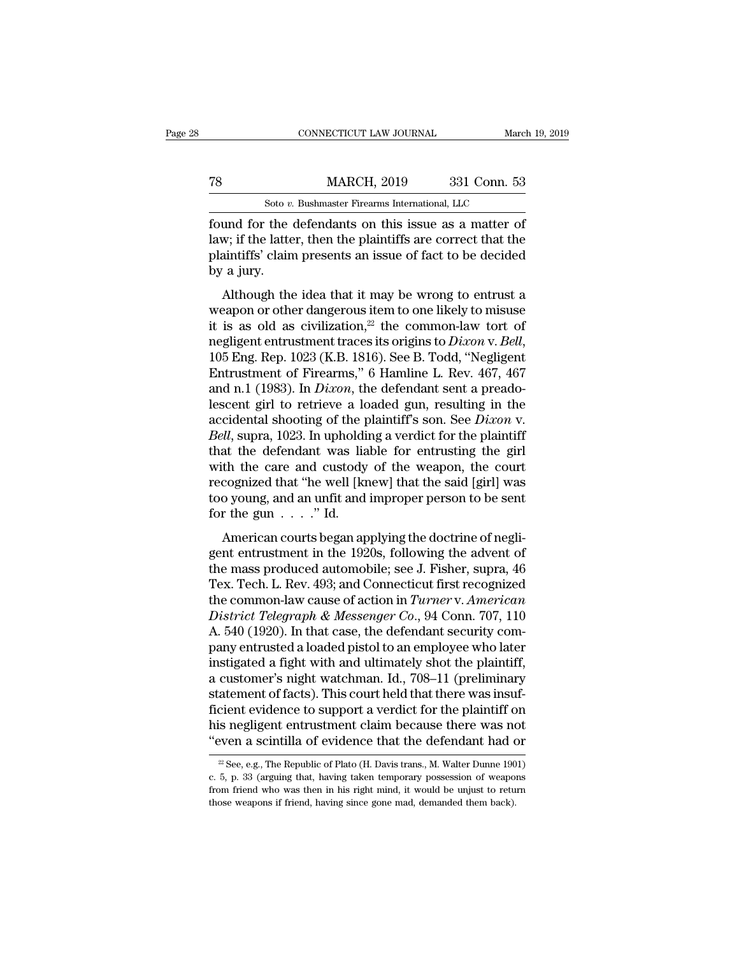# EXERCIT CONNECTICUT LAW JOURNAL March 19, 2019<br>
78 MARCH, 2019 331 Conn. 53<br>
500 v. Bushmaster Firearms International, LLC CONNECTICUT LAW JOURNAL March March March MARCH, 2019 331 Conn. 53<br>Soto *v.* Bushmaster Firearms International, LLC<br>the defendants on this issue as a matter of

Found for the defendants on this issue as a matter of<br>the defendants on this issue as a matter of<br>the defendants on this issue as a matter of<br>the defendants on this issue as a matter of<br>the plaintiffs' claim prosents an is MARCH, 2019 331 Conn. 53<br>
Soto v. Bushmaster Firearms International, LLC<br>
found for the defendants on this issue as a matter of<br>
law; if the latter, then the plaintiffs are correct that the<br>
plaintiffs' claim presents an i  $\frac{\text{NARCH}}{\text{Soto } v. \text{ Bushmaster Firearms International, LLC}}$ <br>found for the defendants on this issue as a matter of law; if the latter, then the plaintiffs are correct that the plaintiffs' claim presents an issue of fact to be decided by a jury.  $\begin{array}{c} \hline \text{3} \text{3} \\ \text{6} \text{4} \\ \text{6} \text{4} \\ \text{5} \text{5} \\ \text{7} \text{6} \\ \text{7} \text{6} \\ \text{7} \text{6} \\ \text{7} \text{7} \\ \text{8} \text{7} \text{8} \\ \text{8} \text{9} \\ \text{7} \text{8} \\ \text{8} \text{1} \\ \text{7} \text{1} \\ \text{8} \text{1} \\ \text{1} \text{1} \\ \text{1} \text{1} \\ \text{1} \text{1} \\ \text{1} \text{1} \\ \text{1} \text$ Soto v. Bushmaster Firearms International, LLC<br>
und for the defendants on this issue as a matter of<br>
w; if the latter, then the plaintiffs are correct that the<br>
aintiffs' claim presents an issue of fact to be decided<br>
a j found for the defendants on this issue as a matter of<br>law; if the latter, then the plaintiffs are correct that the<br>plaintiffs' claim presents an issue of fact to be decided<br>by a jury.<br>Although the idea that it may be wron

France is a matter of law; if the latter, then the plaintiffs are correct that the plaintiffs' claim presents an issue of fact to be decided by a jury.<br>Although the idea that it may be wrong to entrust a weapon or other d negligent entrustment traces its origins to *Dixon* v. *Bell*, 105 Eng. Rep. 1023 (K.B. 1816). See B. Todd, "Negligent Entrustment of Firearms," 6 Hamline L. Rev. 467, 467 and n 1.(1983). In *Dixon* the defordant sort a pr Although the idea that it may be wrong to entrust a<br>weapon or other dangerous item to one likely to misuse<br>it is as old as civilization,<sup>22</sup> the common-law tort of<br>negligent entrustment traces its origins to *Dixon* v. *B* Although the idea that it may be wrong to entrust a weapon or other dangerous item to one likely to misuse it is as old as civilization,<sup>22</sup> the common-law tort of negligent entrustment traces its origins to *Dixon* v. *B* weapon or other dangerous item to one likely to misuse<br>it is as old as civilization,<sup>22</sup> the common-law tort of<br>negligent entrustment traces its origins to *Dixon* v. *Bell*,<br>105 Eng. Rep. 1023 (K.B. 1816). See B. Todd, " it is as old as civilization,<sup>22</sup> the common-law tort of<br>negligent entrustment traces its origins to *Dixon* v. *Bell*,<br>105 Eng. Rep. 1023 (K.B. 1816). See B. Todd, "Negligent<br>Entrustment of Firearms," 6 Hamline L. Rev. 46 regligent entrustment traces its origins to *Dixon* v. *Bell*, 105 Eng. Rep. 1023 (K.B. 1816). See B. Todd, "Negligent Entrustment of Firearms," 6 Hamline L. Rev. 467, 467 and n.1 (1983). In *Dixon*, the defendant sent a p 105 Eng. Rep. 1023 (K.B. 1816). See B. Todd, "Negligent Entrustment of Firearms," 6 Hamline L. Rev. 467, 467 and n.1 (1983). In *Dixon*, the defendant sent a preadolescent girl to retrieve a loaded gun, resulting in the a Entrustment of Firearms," 6 Hamline L. Rev. 467, 467<br>and n.1 (1983). In *Dixon*, the defendant sent a preado-<br>lescent girl to retrieve a loaded gun, resulting in the<br>accidental shooting of the plaintiff's son. See *Dixon* and n.1 (1983). In *Dixon*, the defendant sent a preado-<br>lescent girl to retrieve a loaded gun, resulting in the<br>accidental shooting of the plaintiff's son. See *Dixon* v.<br>*Bell*, supra, 1023. In upholding a verdict for th lescent girl to retrieve a loaded gun, resulting in the accidental shooting of the plaintiff's son. See *Dixon* v. *Bell*, supra, 1023. In upholding a verdict for the plaintiff that the defendant was liable for entrusting accidental shooting of the p<br>Bell, supra, 1023. In upholdi<br>that the defendant was lia<br>with the care and custody<br>recognized that "he well [kr<br>too young, and an unfit and<br>for the gun . . . . ." Id.<br>American courts began ap *M*, supra, 1025. In approximing a vertuct for the planting<br>at the defendant was liable for entrusting the girl<br>th the care and custody of the weapon, the court<br>cognized that "he well [knew] that the said [girl] was<br>o you with the care and custody of the weapon, the court<br>recognized that "he well [knew] that the said [girl] was<br>too young, and an unfit and improper person to be sent<br>for the gun  $\ldots$ ." Id.<br>American courts began applying the

what the care and custody of the weapon, the court<br>recognized that "he well [knew] that the said [girl] was<br>too young, and an unfit and improper person to be sent<br>for the gun  $\ldots$ ." Id.<br>American courts began applying the Tecognized that The Well [Kitew] that the sald [giri] was<br>too young, and an unfit and improper person to be sent<br>for the gun  $\ldots$ ." Id.<br>American courts began applying the doctrine of negli-<br>gent entrustment in the 1920s, for the gun . . . . ." Id.<br>for the gun . . . .." Id.<br>American courts began applying the doctrine of negli-<br>gent entrustment in the 1920s, following the advent of<br>the mass produced automobile; see J. Fisher, supra, 46<br>Tex. *District Telegraph & Messenger Co.*, 94 Conn. 707, 110<br> *District Telegraph & Mexican applying the advent of*<br> *Densignal automobile; see J. Fisher, supra, 46*<br> *Densignal Connecticut first recognized*<br> *District Telegrap* American courts began applying the doctrine of negli-<br>gent entrustment in the 1920s, following the advent of<br>the mass produced automobile; see J. Fisher, supra, 46<br>Tex. Tech. L. Rev. 493; and Connecticut first recognized<br>t gent entrustment in the 1920s, following the advent of<br>the mass produced automobile; see J. Fisher, supra, 46<br>Tex. Tech. L. Rev. 493; and Connecticut first recognized<br>the common-law cause of action in *Turner* v. American<br> the mass produced automobile; see J. Fisher, supra, 46<br>Tex. Tech. L. Rev. 493; and Connecticut first recognized<br>the common-law cause of action in *Turner* v. *American*<br>District Telegraph & Messenger Co., 94 Conn. 707, 110 Tex. Tech. L. Rev. 493; and Connecticut first recognized<br>the common-law cause of action in *Turner* v. *American*<br>District Telegraph & Messenger Co., 94 Conn. 707, 110<br>A. 540 (1920). In that case, the defendant security co the common-law cause of action in *Turner* v. *American*<br>District Telegraph & Messenger Co., 94 Conn. 707, 110<br>A. 540 (1920). In that case, the defendant security com-<br>pany entrusted a loaded pistol to an employee who late District Telegraph & Messenger Co., 94 Conn. 707, 110<br>A. 540 (1920). In that case, the defendant security com-<br>pany entrusted a loaded pistol to an employee who later<br>instigated a fight with and ultimately shot the plainti A. 540 (1920). In that case, the defendant security company entrusted a loaded pistol to an employee who later instigated a fight with and ultimately shot the plaintiff, a customer's night watchman. Id., 708–11 (preliminar pany entrusted a loaded pistol to an employee who later<br>instigated a fight with and ultimately shot the plaintiff,<br>a customer's night watchman. Id., 708–11 (preliminary<br>statement of facts). This court held that there was i statement of facts). This court held that there was insuf-<br>ficient evidence to support a verdict for the plaintiff on<br>his negligent entrustment claim because there was not<br>"even a scintilla of evidence that the defendant ficient evidence to support a verdict for the plaintiff on<br>his negligent entrustment claim because there was not<br>"even a scintilla of evidence that the defendant had or<br> $\frac{2}{x}$  See, e.g., The Republic of Plato (H. Davis

his negligent entrustment claim because there was not "even a scintilla of evidence that the defendant had or  $\frac{1}{2}$  See, e.g., The Republic of Plato (H. Davis trans., M. Walter Dunne 1901) c. 5, p. 33 (arguing that, h "even a scintilla of evidence that the defendant had  $\frac{w}{z}$  See, e.g., The Republic of Plato (H. Davis trans., M. Walter Dunne 190 c. 5, p. 33 (arguing that, having taken temporary possession of weaportrom friend who w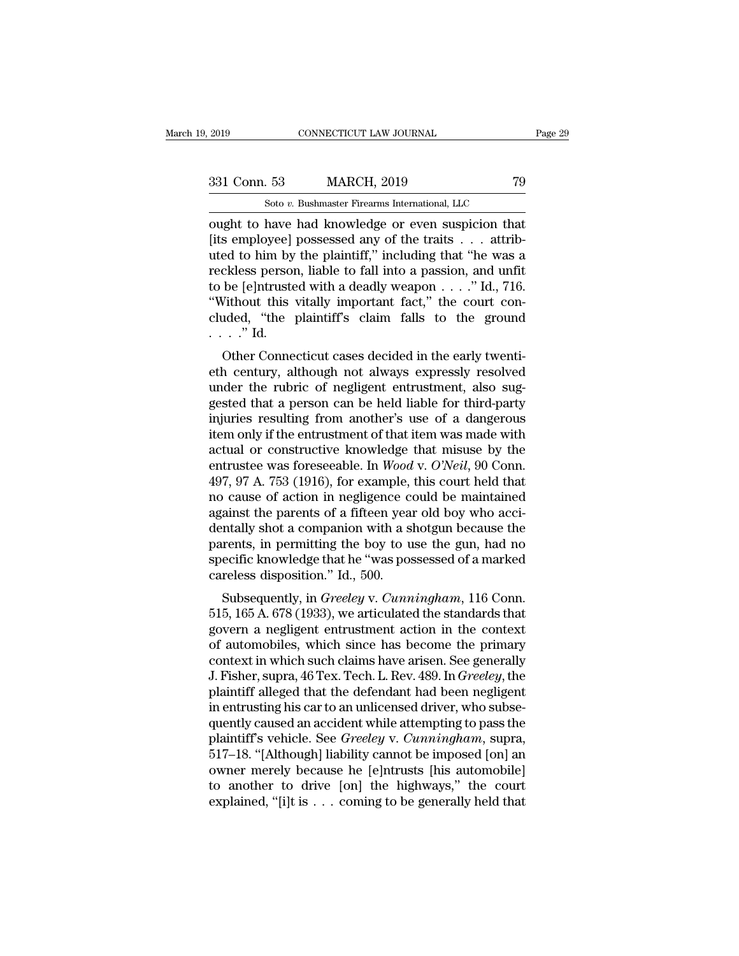| <b>MARCH, 2019</b><br>331 Conn. 53 | 79      |
|------------------------------------|---------|
|                                    |         |
| . 2019<br>CONNECTICUT LAW JOURNAL  | Page 29 |

Fage 2:<br>
2019 CONNECTICUT LAW JOURNAL Page 2:<br>
331 Conn. 53 MARCH, 2019 79<br>
300 v. Bushmaster Firearms International, LLC<br>
000 ought to have had knowledge or even suspicion that<br>
[its employee] possessed any of the traits <sup>331</sup> Conn. 53 MARCH, 2019 79<br>
<sup>53</sup> Soto *v*. Bushmaster Firearms International, LLC<br>
ought to have had knowledge or even suspicion that<br>
[its employee] possessed any of the traits . . . attributed to him by the plaintiff, 331 Conn. 53 MARCH, 2019 79<br>
Soto v. Bushmaster Firearms International, LLC<br>
ought to have had knowledge or even suspicion that<br>
[its employee] possessed any of the traits . . . attributed to him by the plaintiff,'' inclu 331 Conn. 53 MARCH, 2019 79<br>
Soto v. Bushmaster Firearms International, LLC<br>
ought to have had knowledge or even suspicion that<br>
[its employee] possessed any of the traits . . . attributed to him by the plaintiff," includ Soto v. Bushmaster Firearms International, LLC<br>
ought to have had knowledge or even suspicion that<br>
[its employee] possessed any of the traits . . . attributed to him by the plaintiff," including that "he was a<br>
reckless Soto *v*. Bushmaster Freams International, LLC<br>
ought to have had knowledge or even suspicion that<br>
[its employee] possessed any of the traits . . . attributed to him by the plaintiff," including that "he was a<br>
reckless p ought to have had knowledge or even suspicion that<br>[its employee] possessed any of the traits . . . attributed to him by the plaintiff," including that "he was a<br>reckless person, liable to fall into a passion, and unfit<br>t [its employee]<br>uted to him by<br>reckless persor<br>to be [e]ntruste<br>"Without this<br>cluded, "the ]<br>...." Id.<br>Other Conne ed to finit by the plantin, including that the was a<br>ckless person, liable to fall into a passion, and unfit<br>be [e]ntrusted with a deadly weapon . . . ." Id., 716.<br>Vithout this vitally important fact," the court con-<br>ided, reckiess person, nable to fair into a passion, and unit<br>to be [e]ntrusted with a deadly weapon . . . ." Id., 716.<br>"Without this vitally important fact," the court con-<br>cluded, "the plaintiff's claim falls to the ground<br>. .

without this vitally important fact," the court concluded, "the plaintiff's claim falls to the ground  $\ldots$ ." Id.<br>Cluded, "the plaintiff's claim falls to the ground  $\ldots$ ." Id.<br>Other Connecticut cases decided in the early whilout this vitally important fact, the court concluded, "the plaintiff's claim falls to the ground<br>  $\ldots$ ." Id.<br>
Other Connecticut cases decided in the early twenti-<br>
eth century, although not always expressly resolved<br> Finded, the planning claim hans to the ground<br>  $\ldots$ ." Id.<br>
Other Connecticut cases decided in the early twenti-<br>
eth century, although not always expressly resolved<br>
under the rubric of negligent entrustment, also sug-<br> Other Connecticut cases decided in the early twenti-<br>eth century, although not always expressly resolved<br>under the rubric of negligent entrustment, also sug-<br>gested that a person can be held liable for third-party<br>injurie Other Connecticut cases decided in the early twentieth century, although not always expressly resolved<br>under the rubric of negligent entrustment, also suggested that a person can be held liable for third-party<br>injuries re eth century, although not always expressly resolved<br>under the rubric of negligent entrustment, also sug-<br>gested that a person can be held liable for third-party<br>injuries resulting from another's use of a dangerous<br>item onl under the rubric of negligent entrustment, also suggested that a person can be held liable for third-party<br>injuries resulting from another's use of a dangerous<br>item only if the entrustment of that item was made with<br>actual gested that a person can be held liable for third-party<br>injuries resulting from another's use of a dangerous<br>item only if the entrustment of that item was made with<br>actual or constructive knowledge that misuse by the<br>entru injuries resulting from another's use of a dangerous<br>item only if the entrustment of that item was made with<br>actual or constructive knowledge that misuse by the<br>entrustee was foreseeable. In  $Wood$  v.  $O'Neil$ ,  $90$  Conn.<br> $497$ item only if the entrustment of that item was made with<br>actual or constructive knowledge that misuse by the<br>entrustee was foreseeable. In *Wood v. O'Neil*, 90 Conn.<br>497, 97 A. 753 (1916), for example, this court held that<br> actual or constructive knowledge that misuse by the<br>entrustee was foreseeable. In *Wood v. O'Neil*, 90 Conn.<br>497, 97 A. 753 (1916), for example, this court held that<br>no cause of action in negligence could be maintained<br>aga entrustee was foreseeable. In *Wood v. O'Neil*, 90 Conn.<br>497, 97 A. 753 (1916), for example, this court held that<br>no cause of action in negligence could be maintained<br>against the parents of a fifteen year old boy who acci-497, 97 A. 753 (1916), for example, no cause of action in negligence condition.<br>The parents of a fifteen year dentally shot a companion with a sparents, in permitting the boy to u specific knowledge that he "was pos carel Frank is a carrying measure of a fifteen year old boy who acci-<br>ntally shot a companion with a shotgun because the<br>rents, in permitting the boy to use the gun, had no<br>ecific knowledge that he "was possessed of a marked<br>rel dentally shot a companion with a shotgun because the<br>parents, in permitting the boy to use the gun, had no<br>specific knowledge that he "was possessed of a marked<br>careless disposition." Id., 500.<br>Subsequently, in *Greeley v.* 

dentaily shot a comparion with a shotgun because the<br>parents, in permitting the boy to use the gun, had no<br>specific knowledge that he "was possessed of a marked<br>careless disposition." Id., 500.<br>Subsequently, in *Greeley v.* parents, in permitting the boy to use the gunt, had no<br>specific knowledge that he "was possessed of a marked<br>careless disposition." Id., 500.<br>Subsequently, in *Greeley v. Cunningham*, 116 Conn.<br>515, 165 A. 678 (1933), we specific knowledge that he was possessed of a marked<br>careless disposition." Id., 500.<br>Subsequently, in *Greeley v. Cunningham*, 116 Conn.<br>515, 165 A. 678 (1933), we articulated the standards that<br>govern a negligent entrust Subsequently, in *Greeley* v. *Cunningham*, 116 Conn.<br>515, 165 A. 678 (1933), we articulated the standards that<br>govern a negligent entrustment action in the context<br>of automobiles, which since has become the primary<br>contex Subsequently, in *Greeley* v. *Cunningham*, 116 Conn.<br>515, 165 A. 678 (1933), we articulated the standards that<br>govern a negligent entrustment action in the context<br>of automobiles, which since has become the primary<br>contex 515, 165 A. 678 (1933), we articulated the standards that govern a negligent entrustment action in the context of automobiles, which since has become the primary context in which such claims have arisen. See generally J. govern a negligent entrustment action in the context<br>of automobiles, which since has become the primary<br>context in which such claims have arisen. See generally<br>J. Fisher, supra, 46 Tex. Tech. L. Rev. 489. In *Greeley*, the of automobiles, which since has become the primary<br>context in which such claims have arisen. See generally<br>J. Fisher, supra, 46 Tex. Tech. L. Rev. 489. In *Greeley*, the<br>plaintiff alleged that the defendant had been neglig context in which such claims have arisen. See generally<br>J. Fisher, supra, 46 Tex. Tech. L. Rev. 489. In *Greeley*, the<br>plaintiff alleged that the defendant had been negligent<br>in entrusting his car to an unlicensed driver, J. Fisher, supra, 46 Tex. Tech. L. Rev. 489. In *Greeley*, the plaintiff alleged that the defendant had been negligent in entrusting his car to an unlicensed driver, who subsequently caused an accident while attempting to plaintiff alleged that the defendant had been negligent<br>in entrusting his car to an unlicensed driver, who subse-<br>quently caused an accident while attempting to pass the<br>plaintiff's vehicle. See *Greeley* v. *Cunningham*, in entrusting his car to an unlicensed driver, who subsequently caused an accident while attempting to pass the plaintiff's vehicle. See *Greeley v. Cunningham*, supra, 517–18. "[Although] liability cannot be imposed [on]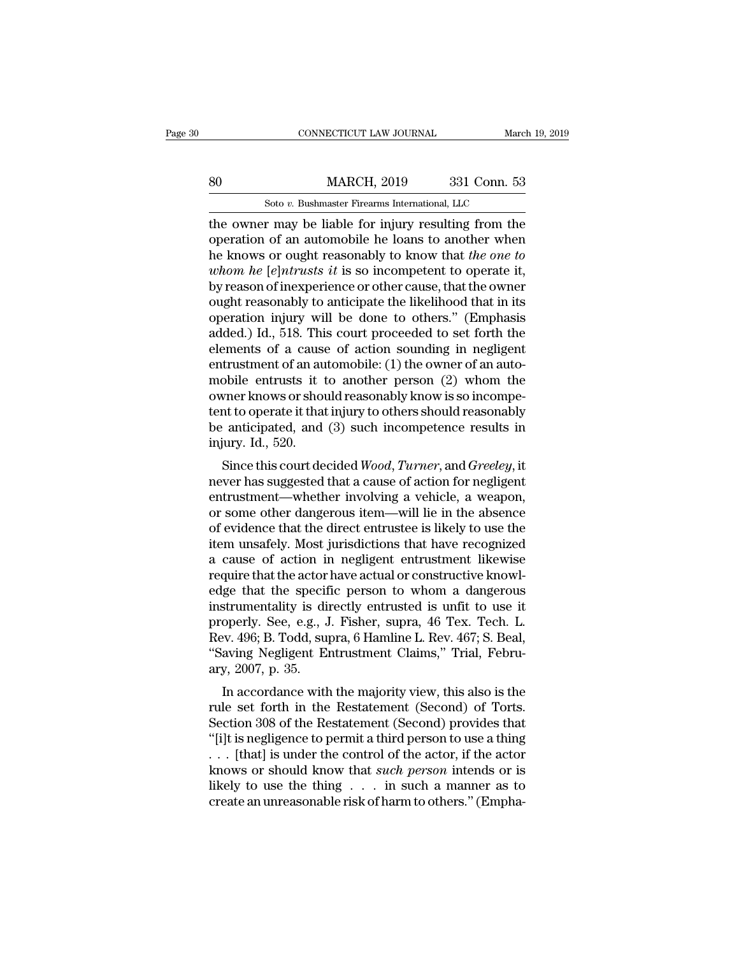# EXECUTE CONNECTICUT LAW JOURNAL March 19, 2019<br>80 MARCH, 2019 331 Conn. 53<br>80 Soto v. Bushmaster Firearms International, LLC CONNECTICUT LAW JOURNAL March March March MARCH, 2019 331 Conn. 53<br>Soto *v.* Bushmaster Firearms International, LLC<br>Francy be liable for injury resulting from the

CONNECTICUT LAW JOURNAL March 19, 2019<br>
Solo MARCH, 2019 331 Conn. 53<br>
Solo v. Bushmaster Firearms International, LLC<br>
the owner may be liable for injury resulting from the<br>
operation of an automobile he loans to another w  $\begin{array}{ll}\n 80 & \text{MARCH, } 2019 & 331 \text{ Conn. } 53 \\
 \hline\n 800 & v. Bushmaster Firearms International, LLC\n\end{array}$ the owner may be liable for injury resulting from the operation of an automobile he loans to another when<br>
the knows or ought reasonably to know that *the* MARCH, 2019 331 Conn. 53<br>
Soto v. Bushmaster Firearms International, LLC<br>
the owner may be liable for injury resulting from the<br>
operation of an automobile he loans to another when<br>
the knows or ought reasonably to know th *WARCH, 2019* 331 Conn. 53<br> *Soto v. Bushmaster Firearms International, LLC*<br>
the owner may be liable for injury resulting from the<br>
operation of an automobile he loans to another when<br>
the knows or ought reasonably to kno Soto v. Bushmaster Firearms International, LLC<br>the owner may be liable for injury resulting from the<br>operation of an automobile he loans to another when<br>he knows or ought reasonably to know that the one to<br>whom he [e]ntru soto v. Bushmaster Firearms international, LLC<br>the owner may be liable for injury resulting from the<br>operation of an automobile he loans to another when<br>he knows or ought reasonably to know that the one to<br>whom he [e]ntru the owner may be liable for injury resulting from the<br>operation of an automobile he loans to another when<br>he knows or ought reasonably to know that the one to<br>whom he [e]ntrusts it is so incompetent to operate it,<br>by reas operation of an automobile he loans to another when<br>he knows or ought reasonably to know that *the one to*<br>*whom he* [*e*]*ntrusts it* is so incompetent to operate it,<br>by reason of inexperience or other cause, that the ow he knows or ought reasonably to know that *the one to*<br>whom he [e]ntrusts it is so incompetent to operate it,<br>by reason of inexperience or other cause, that the owner<br>ought reasonably to anticipate the likelihood that in whom he [e]ntrusts it is so incompetent to operate it,<br>by reason of inexperience or other cause, that the owner<br>ought reasonably to anticipate the likelihood that in its<br>operation injury will be done to others." (Emphasis by reason of inexperience or other cause, that the owner<br>ought reasonably to anticipate the likelihood that in its<br>operation injury will be done to others." (Emphasis<br>added.) Id., 518. This court proceeded to set forth the ought reasonably to anticipate the likelihood that in its<br>operation injury will be done to others." (Emphasis<br>added.) Id., 518. This court proceeded to set forth the<br>elements of a cause of action sounding in negligent<br>entr operation injury will be done to others." (Emphasis<br>added.) Id., 518. This court proceeded to set forth the<br>elements of a cause of action sounding in negligent<br>entrustment of an automobile: (1) the owner of an auto-<br>mobile added.) Id., 518. This court proceeded to set forth the<br>elements of a cause of action sounding in negligent<br>entrustment of an automobile: (1) the owner of an auto-<br>mobile entrusts it to another person (2) whom the<br>owner kn elements of a cause<br>entrustment of an au<br>mobile entrusts it<br>owner knows or shou<br>tent to operate it that<br>be anticipated, and<br>injury. Id., 520.<br>Since this court de Since this court decided *Wood*, *Turner*, and *Greeley*, it were has suggested that a cause of action for negligent trustment whether involving a value of action for negligent trustment whether involving a value of action mobile entrusts it to another person ( $z$ ) whom the<br>owner knows or should reasonably know is so incompe-<br>tent to operate it that injury to others should reasonably<br>be anticipated, and (3) such incompetence results in<br>inju

Example 1 and that injury to others should reasonably<br>be anticipated, and (3) such incompetence results in<br>injury. Id., 520.<br>Since this court decided *Wood, Turner*, and *Greeley*, it<br>never has suggested that a cause of ac be anticipated, and (3) such incompetence results in<br>injury. Id., 520.<br>Since this court decided *Wood*, *Turner*, and *Greeley*, it<br>never has suggested that a cause of action for negligent<br>entrustment—whether involving a v be anticipated, and (3) such incompetence results in<br>injury. Id., 520.<br>Since this court decided *Wood*, *Turner*, and *Greeley*, it<br>never has suggested that a cause of action for negligent<br>entrustment—whether involving a v injury. Id., 520.<br>
Since this court decided *Wood, Turner*, and *Greeley*, it<br>
never has suggested that a cause of action for negligent<br>
entrustment—whether involving a vehicle, a weapon,<br>
or some other dangerous item—will Since this court decided *Wood, Turner*, and *Greeley*, it<br>never has suggested that a cause of action for negligent<br>entrustment—whether involving a vehicle, a weapon,<br>or some other dangerous item—will lie in the absence<br>of never has suggested that a cause of action for negligent entrustment—whether involving a vehicle, a weapon, or some other dangerous item—will lie in the absence of evidence that the direct entrustee is likely to use the it entrustment—whether involving a vehicle, a weapon,<br>or some other dangerous item—will lie in the absence<br>of evidence that the direct entrustee is likely to use the<br>item unsafely. Most jurisdictions that have recognized<br>a ca or some other dangerous item—will lie in the absence<br>of evidence that the direct entrustee is likely to use the<br>item unsafely. Most jurisdictions that have recognized<br>a cause of action in negligent entrustment likewise<br>req of evidence that the direct entrustee is likely to use the<br>item unsafely. Most jurisdictions that have recognized<br>a cause of action in negligent entrustment likewise<br>require that the actor have actual or constructive knowl item unsafely. Most jurisdictions that have recognized<br>a cause of action in negligent entrustment likewise<br>require that the actor have actual or constructive knowl-<br>edge that the specific person to whom a dangerous<br>instrum a cause of action in negligent entrustment likewise<br>
require that the actor have actual or constructive knowl-<br>
edge that the specific person to whom a dangerous<br>
instrumentality is directly entrusted is unfit to use it<br>
p require that the actor<br>edge that the specif<br>instrumentality is din<br>properly. See, e.g., J<br>Rev. 496; B. Todd, su<sub>j</sub><br>"Saving Negligent Ei<br>ary, 2007, p. 35.<br>In accordance with ge that the specific person to whold a dangerous<br>strumentality is directly entrusted is unfit to use it<br>operly. See, e.g., J. Fisher, supra, 46 Tex. Tech. L.<br>ev. 496; B. Todd, supra, 6 Hamline L. Rev. 467; S. Beal,<br>aving N rule set for the Restatement (Second) of Torts.<br>Rev. 496; B. Todd, supra, 6 Hamline L. Rev. 467; S. Beal,<br>"Saving Negligent Entrustment Claims," Trial, February, 2007, p. 35.<br>In accordance with the majority view, this also

properly. See, e.g., J. Fisher, supla, 40 Tex. Tech. L.<br>Rev. 496; B. Todd, supra, 6 Hamline L. Rev. 467; S. Beal,<br>"Saving Negligent Entrustment Claims," Trial, Febru-<br>ary, 2007, p. 35.<br>In accordance with the majority view, The U. 490, B. Todd, supra, o Hamme E. Rev. 407, S. Bear,<br>
"Saving Negligent Entrustment Claims," Trial, February, 2007, p. 35.<br>
In accordance with the majority view, this also is the<br>
rule set forth in the Restatement (Se Example is understood and the majority view, this also is the rule set forth in the Restatement (Second) of Torts.<br>Section 308 of the Restatement (Second) of Torts.<br>Section 308 of the Restatement (Second) provides that<br>"[ knows or should know the majority view, this also is the<br>rule set forth in the Restatement (Second) of Torts.<br>Section 308 of the Restatement (Second) provides that<br>"[i]t is negligence to permit a third person to use a thin In accordance with the majority view, this also is the<br>rule set forth in the Restatement (Second) of Torts.<br>Section 308 of the Restatement (Second) provides that<br>"[i]t is negligence to permit a third person to use a thing rule set forth in the Restatement (Second) of Torts.<br>Section 308 of the Restatement (Second) provides that<br>''[i]t is negligence to permit a third person to use a thing<br>... [that] is under the control of the actor, if the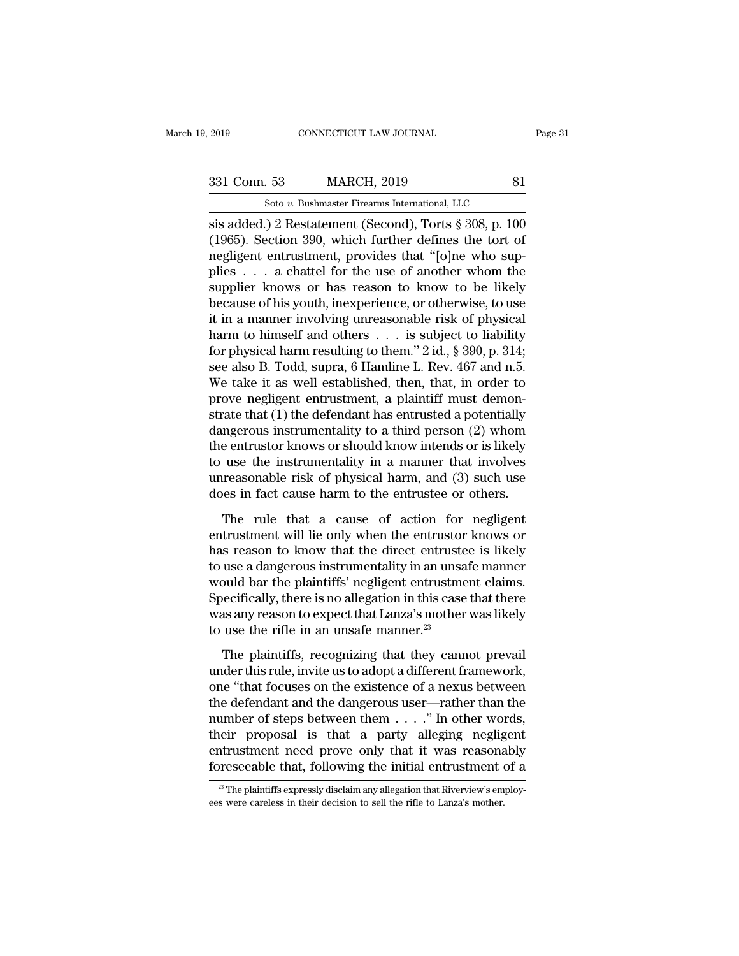# 2019 CONNECTICUT LAW JOURNAL Page 31<br>331 Conn. 53 MARCH, 2019 81<br>500 v. Bushmaster Firearms International, LLC

CONNECTICUT LAW JOURNAL<br>
Soto *v.* Bushmaster Firearms International, LLC<br>
32 Restatement (Second). Torts § 308, p. 100 SISTER 2019 CONNECTICUT LAW JOURNAL Page 31<br>
231 Conn. 53 MARCH, 2019 81<br>
25 Soto v. Bushmaster Firearms International, LLC<br>
2 Restatement (Second), Torts § 308, p. 100<br>
2 Restatement (Second), Torts § 308, p. 100<br>
2 Resta (1965). Section 390, which further defines the tort of negligent entrustment, provides that "[o]ne who supplies 331 Conn. 53 MARCH, 2019 81<br>
Soto v. Bushmaster Firearms International, LLC<br>
sis added.) 2 Restatement (Second), Torts  $\S 308$ , p. 100<br>
(1965). Section 390, which further defines the tort of<br>
negligent entrustment, provid 331 Conn. 53 MARCH, 2019 81<br>
soto v. Bushmaster Firearms International, LLC<br>
sis added.) 2 Restatement (Second), Torts § 308, p. 100<br>
(1965). Section 390, which further defines the tort of<br>
negligent entrustment, provides Soto v. Bushmaster Firearms International, LLC<br>sis added.) 2 Restatement (Second), Torts § 308, p. 100<br>(1965). Section 390, which further defines the tort of<br>negligent entrustment, provides that "[o]ne who sup-<br>plies . .  $\frac{\text{366.0 \text{ } v. \text{ BUSIMMasker Fireamis International, LLC}}{1965}}$ <br>sis added.) 2 Restatement (Second), Torts § 308, p. 100<br>(1965). Section 390, which further defines the tort of<br>negligent entrustment, provides that "[o]ne who sup-<br>plies . . . a sis added.) 2 Restatement (Second), Torts § 308, p. 100 (1965). Section 390, which further defines the tort of negligent entrustment, provides that "[o]ne who supplies . . . a chattel for the use of another whom the suppl (1965). Section 390, which further defines the tort of<br>negligent entrustment, provides that "[o]ne who sup-<br>plies . . . a chattel for the use of another whom the<br>supplier knows or has reason to know to be likely<br>because o negligent entrustment, provides that "[o]ne who sup-<br>plies . . . a chattel for the use of another whom the<br>supplier knows or has reason to know to be likely<br>because of his youth, inexperience, or otherwise, to use<br>it in a plies . . . a chattel for the use of another whom the<br>supplier knows or has reason to know to be likely<br>because of his youth, inexperience, or otherwise, to use<br>it in a manner involving unreasonable risk of physical<br>harm t supplier knows or has reason to know to be likely<br>because of his youth, inexperience, or otherwise, to use<br>it in a manner involving unreasonable risk of physical<br>harm to himself and others . . . is subject to liability<br>for because of his youth, in<br>experience, or otherwise, to use it in a manner involving unreasonable risk of physical<br>harm to himself and others . . . is subject to liability<br>for physical harm resulting to them." 2 id.,  $\S$  39 it in a manner involving unreasonable risk of physical<br>harm to himself and others  $\ldots$  is subject to liability<br>for physical harm resulting to them." 2 id., § 390, p. 314;<br>see also B. Todd, supra, 6 Hamline L. Rev. 467 an harm to himself and others  $\dots$  is subject to liability<br>for physical harm resulting to them." 2 id., § 390, p. 314;<br>see also B. Todd, supra, 6 Hamline L. Rev. 467 and n.5.<br>We take it as well established, then, that, in or for physical harm resulting to them." 2 id., § 390, p. 314;<br>see also B. Todd, supra, 6 Hamline L. Rev. 467 and n.5.<br>We take it as well established, then, that, in order to<br>prove negligent entrustment, a plaintiff must dem see also B. Todd, supra, 6 Hamline L. Rev. 467 and n.5.<br>We take it as well established, then, that, in order to<br>prove negligent entrustment, a plaintiff must demon-<br>strate that (1) the defendant has entrusted a potentially We take it as well established, then, that, in order to<br>prove negligent entrustment, a plaintiff must demon-<br>strate that (1) the defendant has entrusted a potentially<br>dangerous instrumentality to a third person (2) whom<br>t prove negligent entrustment, a plaintiff must demonstrate that (1) the defendant has entrusted a potentially dangerous instrumentality to a third person (2) whom the entrustor knows or should know intends or is likely to magerous instrumentality to a third person  $(2)$  whom<br>e entrustor knows or should know intends or is likely<br>use the instrumentality in a manner that involves<br>reasonable risk of physical harm, and  $(3)$  such use<br>ees in fac entrustor knows or should know intends or is likely<br>to use the instrumentality in a manner that involves<br>unreasonable risk of physical harm, and (3) such use<br>does in fact cause harm to the entrustee or others.<br>The rule tha

has the instrumentality in a manner that involves<br>unreasonable risk of physical harm, and (3) such use<br>does in fact cause harm to the entrustee or others.<br>The rule that a cause of action for negligent<br>entrustment will lie to the last interact interact and the last tem and the direct during density in the direct does in fact cause harm to the entrustee or others.<br>The rule that a cause of action for negligent entrustment will lie only when th an exact that of physical name, and (c) such as<br>does in fact cause harm to the entrustee or others.<br>The rule that a cause of action for negligent<br>entrustment will lie only when the entrustor knows or<br>has reason to know tha The rule that a cause of action for negligent<br>entrustment will lie only when the entrustor knows or<br>has reason to know that the direct entrustee is likely<br>to use a dangerous instrumentality in an unsafe manner<br>would bar t The rule that a cause of action for negligent<br>entrustment will lie only when the entrustor knows or<br>has reason to know that the direct entrustee is likely<br>to use a dangerous instrumentality in an unsafe manner<br>would bar t entrustment will lie only when the entrustor<br>has reason to know that the direct entruste<br>to use a dangerous instrumentality in an unsa<br>would bar the plaintiffs' negligent entrustme<br>Specifically, there is no allegation in t The adapt and the plaintiffs' negligent entrustment claims.<br>
Secifically, there is no allegation in this case that there<br>
as any reason to expect that Lanza's mother was likely<br>
use the rifle in an unsafe manner.<sup>23</sup><br>
The under the plaintiffs' negligent entrustment claims.<br>Specifically, there is no allegation in this case that there<br>was any reason to expect that Lanza's mother was likely<br>to use the rifle in an unsafe manner.<sup>23</sup><br>The plainti

Specifically, there is no allegation in this case that there<br>was any reason to expect that Lanza's mother was likely<br>to use the rifle in an unsafe manner.<sup>23</sup><br>The plaintiffs, recognizing that they cannot prevail<br>under thi the defendant and be expected that Lanza's mother was likely<br>to use the rifle in an unsafe manner.<sup>23</sup><br>The plaintiffs, recognizing that they cannot prevail<br>under this rule, invite us to adopt a different framework,<br>one "t The plaintiffs, recognizing that they cannot prevail<br>under this rule, invite us to adopt a different framework,<br>one "that focuses on the existence of a nexus between<br>the defendant and the dangerous user—rather than the<br>nu The plaintiffs, recognizing that they cannot prevail<br>under this rule, invite us to adopt a different framework,<br>one "that focuses on the existence of a nexus between<br>the defendant and the dangerous user—rather than the<br>nu The plaintiffs, recognizing that they cannot prevail<br>under this rule, invite us to adopt a different framework,<br>one "that focuses on the existence of a nexus between<br>the defendant and the dangerous user—rather than the<br>nu under this rule, invite us to adopt a different framework,<br>one "that focuses on the existence of a nexus between<br>the defendant and the dangerous user—rather than the<br>number of steps between them . . . . " In other words,<br> umber of steps between them  $\ldots$  " In other words,<br>heir proposal is that a party alleging negligent<br>atrustment need prove only that it was reasonably<br>reseeable that, following the initial entrustment of a<br> $\frac{23}{2}$ The p their proposal is that a party alleging negligentrustment need prove only that it was reasonal foreseeable that, following the initial entrustment or  $\frac{1}{2}$ . The plaintiffs expressly disclaim any allegation that Riverv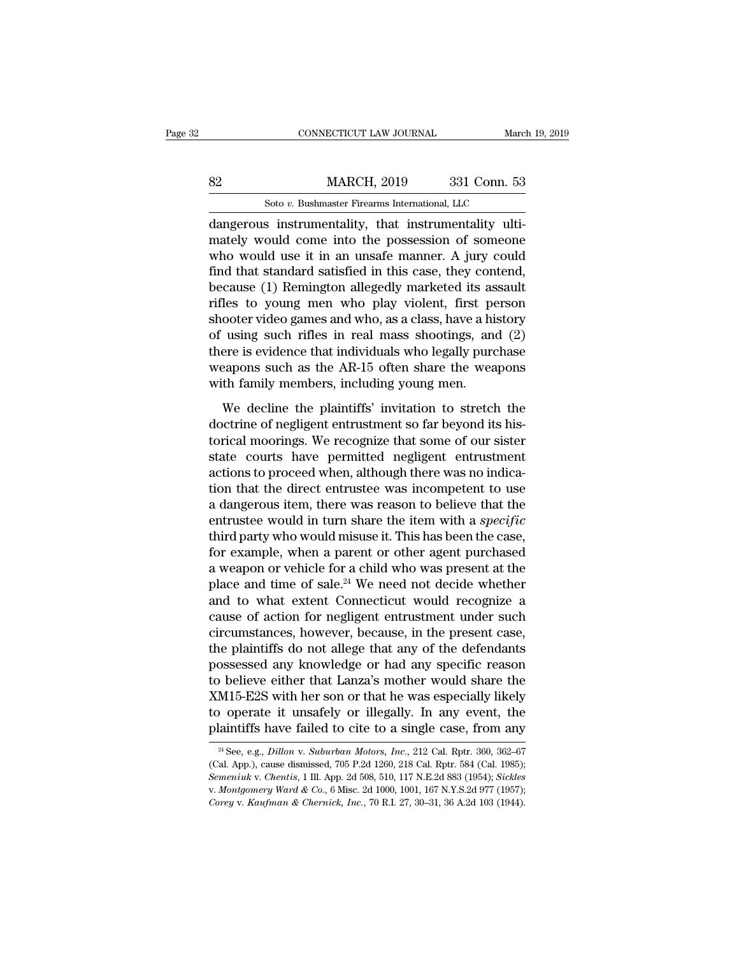# EXECUTE CONNECTICUT LAW JOURNAL March 19, 2019<br>82 MARCH, 2019 331 Conn. 53<br>800 v. Bushmaster Firearms International, LLC CONNECTICUT LAW JOURNAL March March March March MARCH, 2019 331 Conn. 53<br>Soto *v.* Bushmaster Firearms International, LLC<br>s. instrumentality that instrumentality ulti-

CONNECTICUT LAW JOURNAL March March March 2019<br>
82 MARCH, 2019 331 Conn. 53<br>
500 v. Bushmaster Firearms International, LLC<br>
dangerous instrumentality, that instrumentality ulti-<br>
mately would come into the possession of so MARCH, 2019 331 Conn. 53<br>
Soto v. Bushmaster Firearms International, LLC<br>
dangerous instrumentality, that instrumentality ulti-<br>
mately would come into the possession of someone<br>
who would use it in an unsafe manner. A jur  $\frac{\text{S2}}{\text{Soto } v. \text{ Bushmaster Firearms International, LLC}}$ <br>  $\frac{\text{Soto } v. \text{ Bushmaster Firearms International, LLC}}{\text{dangerous instrumentality, that instrumentality ultimately would come into the possession of someone who would use it in an unsafe manner. A jury could find that standard satisfied in this case, they contend, because (1) Bemination allowed its account.}$  $f_{\text{B}}$   $\frac{\text{Sto } v. \text{ Bushmaster Fraams International, LLC}}{\text{diaggerous} \times \text{Sto} v. \text{ Bushmaster Fraarms International, LLC}}$ <br>
dangerous instrumentality, that instrumentality ultimately would come into the possession of someone<br>
who would use it in an unsafe manner. A jury could<br>
find  $\frac{1}{2}$  Soto v. Bushmaster Firearms International, LLC<br>dangerous instrumentality, that instrumentality ulti-<br>mately would come into the possession of someone<br>who would use it in an unsafe manner. A jury could<br>find that solo v. Bushmaster Firearms international, LLC<br>dangerous instrumentality, that instrumentality ulti-<br>mately would come into the possession of someone<br>who would use it in an unsafe manner. A jury could<br>find that standard s dangerous instrumentality, that instrumentality ulti-<br>mately would come into the possession of someone<br>who would use it in an unsafe manner. A jury could<br>find that standard satisfied in this case, they contend,<br>because (1) mately would come into the possession of someone<br>who would use it in an unsafe manner. A jury could<br>find that standard satisfied in this case, they contend,<br>because (1) Remington allegedly marketed its assault<br>rifles to y who would use it in an unsafe manner. A jury could<br>find that standard satisfied in this case, they contend,<br>because (1) Remington allegedly marketed its assault<br>rifles to young men who play violent, first person<br>shooter vi find that standard satisfied in this case, they contend,<br>because (1) Remington allegedly marketed its assault<br>rifles to young men who play violent, first person<br>shooter video games and who, as a class, have a history<br>of us because (1) Remington allegedly marketed its as<br>rifles to young men who play violent, first pe<br>shooter video games and who, as a class, have a hi<br>of using such rifles in real mass shootings, an<br>there is evidence that indiv ooter video games and who, as a class, have a history<br>using such rifles in real mass shootings, and (2)<br>ere is evidence that individuals who legally purchase<br>eapons such as the AR-15 often share the weapons<br>th family membe of using such rifles in real mass shootings, and  $(2)$ <br>there is evidence that individuals who legally purchase<br>weapons such as the AR-15 often share the weapons<br>with family members, including young men.<br>We decline the pla

there is evidence that individuals who legally purchase<br>weapons such as the AR-15 often share the weapons<br>with family members, including young men.<br>We decline the plaintiffs' invitation to stretch the<br>doctrine of negligent weapons such as the AR-15 often share the weapons<br>with family members, including young men.<br>We decline the plaintiffs' invitation to stretch the<br>doctrine of negligent entrustment so far beyond its his-<br>torical moorings. We with family members, including young men.<br>We decline the plaintiffs' invitation to stretch the<br>doctrine of negligent entrustment so far beyond its his-<br>torical moorings. We recognize that some of our sister<br>state courts ha We decline the plaintiffs' invitation to stretch the<br>doctrine of negligent entrustment so far beyond its his-<br>torical moorings. We recognize that some of our sister<br>state courts have permitted negligent entrustment<br>action We decline the plaintiffs' invitation to stretch the<br>doctrine of negligent entrustment so far beyond its his-<br>torical moorings. We recognize that some of our sister<br>state courts have permitted negligent entrustment<br>actions doctrine of negligent entrustment so far beyond its historical moorings. We recognize that some of our sister<br>state courts have permitted negligent entrustment<br>actions to proceed when, although there was no indica-<br>tion th torical moorings. We recognize that some of our sister<br>state courts have permitted negligent entrustment<br>actions to proceed when, although there was no indica-<br>tion that the direct entrustee was incompetent to use<br>a danger state courts have permitted negligent entrustment<br>actions to proceed when, although there was no indica-<br>tion that the direct entrustee was incompetent to use<br>a dangerous item, there was reason to believe that the<br>entrust actions to proceed when, although there was no indication that the direct entrustee was incompetent to use a dangerous item, there was reason to believe that the entrustee would in turn share the item with a *specific* thi tion that the direct entrustee was incompetent to use<br>a dangerous item, there was reason to believe that the<br>entrustee would in turn share the item with a *specific*<br>third party who would misuse it. This has been the case, a dangerous item, there was reason to believe that the<br>entrustee would in turn share the item with a *specific*<br>third party who would misuse it. This has been the case,<br>for example, when a parent or other agent purchased<br> entrustee would in turn share the item with a *specific*<br>third party who would misuse it. This has been the case,<br>for example, when a parent or other agent purchased<br>a weapon or vehicle for a child who was present at the<br> third party who would misuse it. This has been the case,<br>for example, when a parent or other agent purchased<br>a weapon or vehicle for a child who was present at the<br>place and time of sale.<sup>24</sup> We need not decide whether<br>and for example, when a parent or other agent purchased<br>a weapon or vehicle for a child who was present at the<br>place and time of sale.<sup>24</sup> We need not decide whether<br>and to what extent Connecticut would recognize a<br>cause of ac a weapon or vehicle for a child who was present at the<br>place and time of sale.<sup>24</sup> We need not decide whether<br>and to what extent Connecticut would recognize a<br>cause of action for negligent entrustment under such<br>circumstan place and time of sale.<sup>24</sup> We need not decide whether<br>and to what extent Connecticut would recognize a<br>cause of action for negligent entrustment under such<br>circumstances, however, because, in the present case,<br>the plainti and to what extent Connecticut would recognize a<br>cause of action for negligent entrustment under such<br>circumstances, however, because, in the present case,<br>the plaintiffs do not allege that any of the defendants<br>possessed cause of action for negligent entrustment under such<br>circumstances, however, because, in the present case,<br>the plaintiffs do not allege that any of the defendants<br>possessed any knowledge or had any specific reason<br>to belie circumstances, however, because, in the present case,<br>the plaintiffs do not allege that any of the defendants<br>possessed any knowledge or had any specific reason<br>to believe either that Lanza's mother would share the<br>XM15-E2 to believe either that Lanza's mother would share the XM15-E2S with her son or that he was especially likely to operate it unsafely or illegally. In any event, the plaintiffs have failed to cite to a single case, from any

plaintiffs have failed to cite to a single case, from any  $\frac{24 \text{ See, e.g., } Dilon \text{v. } Suburban \text{ Motors, Inc., } 212 \text{ Cal. Rptr. } 360, 362-67}}{24 \text{ Cal. App.}, \text{cause dismissed, } 705 \text{ P.2d } 1260, 218 \text{ Cal. Rptr. } 584 \text{ (Cal. } 1985);}$ <br>Semeniuk v. Chentis, 1 Ill. App. 2d *Semeniuk* v. *Chentis*, 1 Ill. App. 2d 508, 510, 117 N.E.2d 883 (1954); *Semeniuk* v. *Chentis*, 1 Ill. App. 2d 508, 510, 117 N.E.2d 883 (1954); *Sickles* v. *Montgomery Ward & Co.*, 6 Misc. 2d 1000, 1001, 167 N.Y.S.2d 97 <sup>24</sup> See, e.g., *Dillon v. Suburban Motors, Inc.*, 212 Cal. Rptr. 360, 362–67 (Cal. App.), cause dismissed, 705 P.2d 1260, 218 Cal. Rptr. 584 (Cal. 1985); *Semeniuk v. Chentis*, 1 Ill. App. 2d 508, 510, 117 N.E.2d 883 (195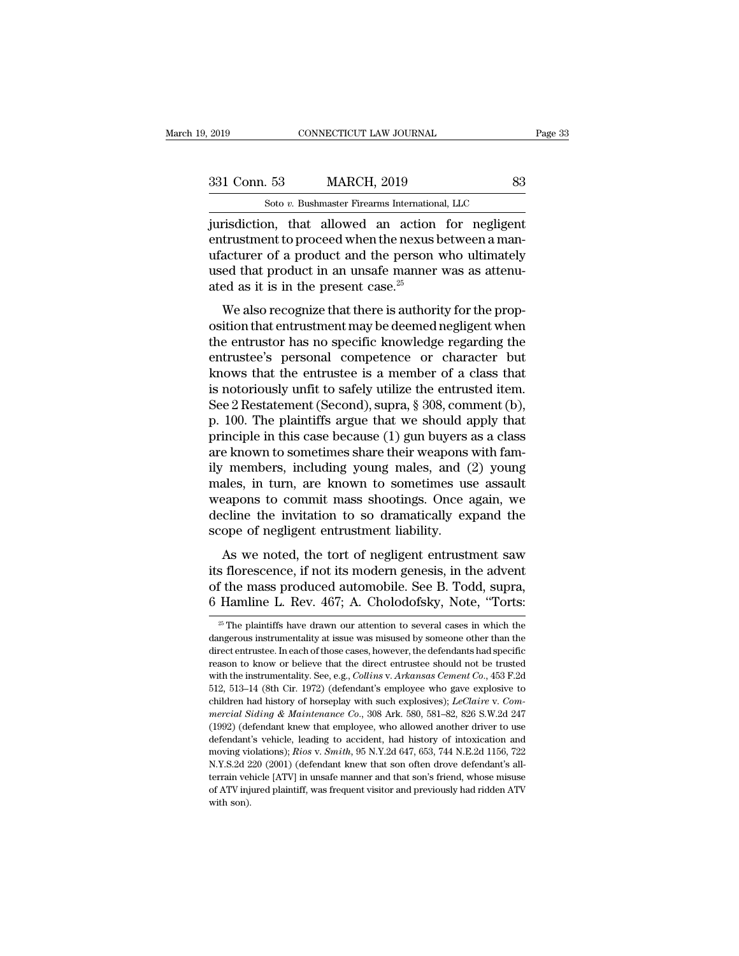| 2019<br>CONNECTICUT LAW JOURNAL<br><b>MARCH, 2019</b><br>83 |              | Soto v. Bushmaster Firearms International, LLC |         |
|-------------------------------------------------------------|--------------|------------------------------------------------|---------|
|                                                             | 331 Conn. 53 |                                                |         |
|                                                             |              |                                                | Page 33 |

2019 CONNECTICUT LAW JOURNAL Page 3:<br>
331 Conn. 53 MARCH, 2019 83<br>
500 v. Bushmaster Firearms International, LLC<br>
jurisdiction, that allowed an action for negligent<br>
entrustment to proceed when the nexus between a man-<br>
uf 331 Conn. 53 MARCH, 2019 83<br>
Soto v. Bushmaster Firearms International, LLC<br>
jurisdiction, that allowed an action for negligent<br>
entrustment to proceed when the nexus between a man-<br>
ufacturer of a product and the person w 331 Conn. 53 MARCH, 2019 83<br>
Soto v. Bushmaster Firearms International, LLC<br>
jurisdiction, that allowed an action for negligent<br>
entrustment to proceed when the nexus between a man-<br>
ufacturer of a product and the person 331 Conn. 53 MARCH, 2019 83<br>
Soto *v*. Bushmaster Firearms International, LLC<br>
jurisdiction, that allowed an action for negligent<br>
entrustment to proceed when the nexus between a man-<br>
ufacturer of a product and the perso Soto *v*. Bushmaster Firearms Internation<br>jurisdiction, that allowed an action<br>entrustment to proceed when the nexus bufacturer of a product and the person vased that product in an unsafe manner<br>ated as it is in the prese risdiction, that allowed an action for negligent<br>trustment to proceed when the nexus between a man-<br>acturer of a product and the person who ultimately<br>ed that product in an unsafe manner was as attenu-<br>ed as it is in the our<br>sum to proceed when the nexus between a manufacturer of a product and the person who ultimately<br>used that product in an unsafe manner was as attenu-<br>ated as it is in the present case.<sup>25</sup><br>We also recognize that there

that strict to proceed when the hexas between a harmonizated virtual different values of that product in an unsafe manner was as attenuated as it is in the present case.<sup>25</sup><br>We also recognize that there is authority for t mature of a product and the person who dimitately<br>used that product in an unsafe manner was as attenu-<br>ated as it is in the present case.<sup>25</sup><br>We also recognize that there is authority for the prop-<br>osition that entrustmen where is a member of a class that is not<br>original to the proposition that entrustment may be deemed negligent when<br>the entrustor has no specific knowledge regarding the<br>entrustee's personal competence or character but<br>kno We also recognize that there is authority for the proposition that entrustment may be deemed negligent when<br>the entrustor has no specific knowledge regarding the<br>entrustee's personal competence or character but<br>knows that We also recognize that there is authority for the proposition that entrustment may be deemed negligent when<br>the entrustor has no specific knowledge regarding the<br>entrustee's personal competence or character but<br>knows that osition that entrustment may be deemed negligent when<br>the entrustor has no specific knowledge regarding the<br>entrustee's personal competence or character but<br>knows that the entrustee is a member of a class that<br>is notorious the entrustor has no specific knowledge regarding the<br>entrustee's personal competence or character but<br>knows that the entrustee is a member of a class that<br>is notoriously unfit to safely utilize the entrusted item.<br>See 2 entrustee's personal competence or character but<br>knows that the entrustee is a member of a class that<br>is notoriously unfit to safely utilize the entrusted item.<br>See 2 Restatement (Second), supra, § 308, comment (b),<br>p. 100 knows that the entrustee is a member of a class that<br>is notoriously unfit to safely utilize the entrusted item.<br>See 2 Restatement (Second), supra, § 308, comment (b),<br>p. 100. The plaintiffs argue that we should apply that is notoriously unfit to safely utilize the entrusted item.<br>See 2 Restatement (Second), supra, § 308, comment (b),<br>p. 100. The plaintiffs argue that we should apply that<br>principle in this case because (1) gun buyers as a cl See 2 Restatement (Second), supra, § 308, comment (b),<br>p. 100. The plaintiffs argue that we should apply that<br>principle in this case because (1) gun buyers as a class<br>are known to sometimes share their weapons with fam-<br>il p. 100. The plaintiffs argue that we should apply that<br>principle in this case because (1) gun buyers as a class<br>are known to sometimes share their weapons with fam-<br>ily members, including young males, and (2) young<br>males, principle in this case because (1) gun buyers are known to sometimes share their weapons ily members, including young males, and (males, in turn, are known to sometimes us weapons to commit mass shootings. Once a decline t The the solutions share are meapons with tank<br>
The tortuon connect the tortuon and (2) young<br>
ales, in turn, are known to sometimes use assault<br>
eapons to commit mass shootings. Once again, we<br>
cline the invitation to so its florescence, if not its shootings. There are assault<br>weapons to commit mass shootings. Once again, we<br>decline the invitation to so dramatically expand the<br>scope of negligent entrustment liability.<br>As we noted, the tor

mates, in tant, are known to sometimes ase assault<br>weapons to commit mass shootings. Once again, we<br>decline the invitation to so dramatically expand the<br>scope of negligent entrustment liability.<br>As we noted, the tort of ne weapons to commit mass shootings. Once again, we<br>decline the invitation to so dramatically expand the<br>scope of negligent entrustment liability.<br>As we noted, the tort of negligent entrustment saw<br>its florescence, if not its As we noted, the tort of negligent entrustment saw<br>its florescence, if not its modern genesis, in the advent<br>of the mass produced automobile. See B. Todd, supra,<br>6 Hamline L. Rev. 467; A. Cholodofsky, Note, "Torts:<br> $\frac{25$ its florescence, if not its modern genesis, in the advent<br>of the mass produced automobile. See B. Todd, supra,<br>6 Hamline L. Rev. 467; A. Cholodofsky, Note, "Torts:<br> $\frac{1}{20}$  The plaintiffs have drawn our attention to sev

of the mass produced automobile. See B. Todd, supra,  $6$  Hamline L. Rev. 467; A. Cholodofsky, Note, "Torts:<br> $\frac{1}{20}$  The plaintiffs have drawn our attention to several cases in which the dangerous instrumentality at iss **6 Hamline L. Rev. 467; A. Cholodofsky, Note, "Torts:**<br> $\frac{1}{25}$  The plaintiffs have drawn our attention to several cases in which the dangerous instrumentality at issue was misused by someone other than the direct entru <sup>25</sup> The plaintiffs have drawn our attention to several cases in which the dangerous instrumentality at issue was misused by someone other than the direct entrustee. In each of those cases, however, the defendants had spec <sup>25</sup> The plaintiffs have drawn our attention to several cases in which the dangerous instrumentality at issue was misused by someone other than the direct entrustee. In each of those cases, however, the defendants had spe dangerous instrumentality at issue was misused by some<br>one other than the direct entrustee. In each of those cases, however, the defendants had specific<br>reason to know or believe that the direct entrustee should not be tr direct entrustee. In each of those cases, however, the defendants had specific<br>reason to know or believe that the direct entrustee should not be trusted<br>with the instrumentality. See, e.g., *Collins v. Arkansas Cement Co.* reason to know or believe that the direct entrustee should not be trusted<br>with the instrumentality. See, e.g., *Collins v. Arkansas Cement Co.*, 453 F.2d<br>512, 513–14 (8th Cir. 1972) (defendant's employee who gave explosive with the instrumentality. See, e.g., *Collins v. Arkansas Cement Co.*, 453 F.2d 512, 513–14 (8th Cir. 1972) (defendant's employee who gave explosive to children had history of horseplay with such explosives); *LeClaire v.* <sup>612</sup>, 513–14 (8th Cir. 1972) (defendant's employee who gave explosive to children had history of horseplay with such explosives); *LeClaire v. Commercial Siding & Maintenance Co.*, 308 Ark. 580, 581–82, 826 S.W.2d 247 (19 Compared and history of borseplay with such explosives); *LeClaire v. Commercial Siding & Maintenance Co.*, 308 Ark. 580, 581–82, 826 S.W.2d 247 (1992) (defendant knew that employee, who allowed another driver to use defe *mercial Siding & Maintenance Co.*, 308 Ark. 580, 581–82, 826 S.W.2d 247 (1992) (defendant knew that employee, who allowed another driver to use defendant's vehicle, leading to accident, had history of intoxication and mo (1992) (defendant knew that employee, who allowed another driver to use defendant's vehicle, leading to accident, had history of intoxication and moving violations); *Rios v. Smith*, 95 N.Y.2d 647, 653, 744 N.E.2d 1156, 7 (1992)<br>defendant<br>moving vid<br>N.Y.S.2d 2<br>terrain vel<br>of ATV inj<br>with son).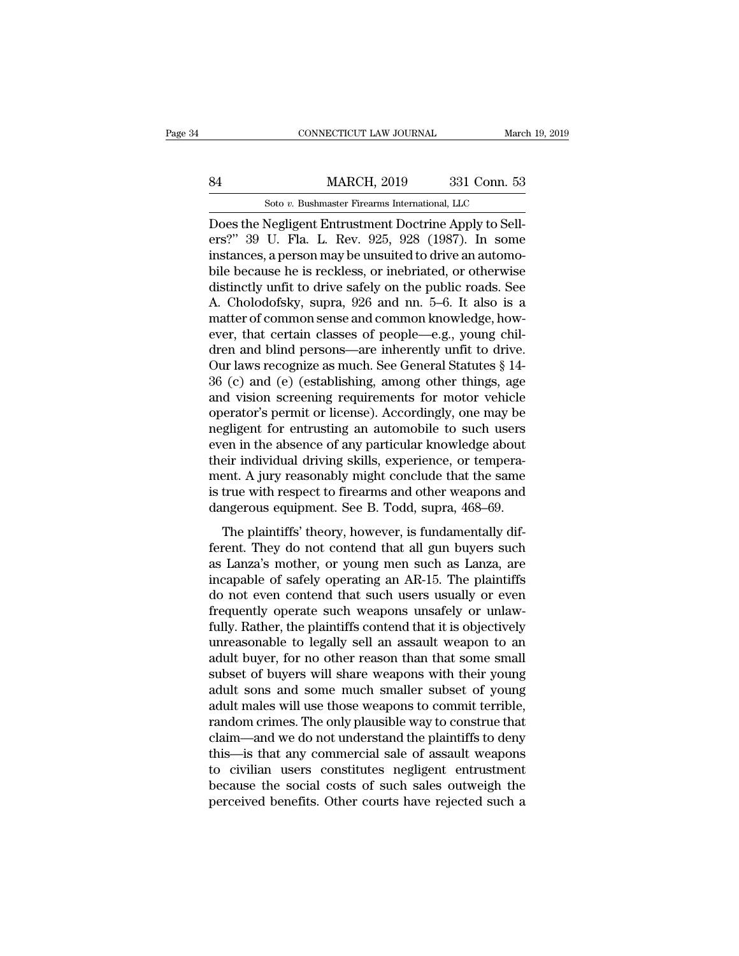# EXERCIT CONNECTICUT LAW JOURNAL March 19, 2019<br>
84 MARCH, 2019 331 Conn. 53<br>
800 v. Bushmaster Firearms International, LLC CONNECTICUT LAW JOURNAL March March March MARCH, 2019 331 Conn. 53<br>Soto *v.* Bushmaster Firearms International, LLC<br>Negligent Entrustment Doctrine Apply to Sell-

CONNECTICUT LAW JOURNAL<br>
MARCH, 2019 331 Conn. 53<br>
Soto v. Bushmaster Firearms International, LLC<br>
Does the Negligent Entrustment Doctrine Apply to Sell-<br>
ers?" 39 U. Fla. L. Rev. 925, 928 (1987). In some<br>
instances a pers MARCH, 2019 331 Conn. 53<br>
Soto v. Bushmaster Firearms International, LLC<br>
Does the Negligent Entrustment Doctrine Apply to Sell-<br>
ers?'' 39 U. Fla. L. Rev. 925, 928 (1987). In some<br>
instances, a person may be unsuited to d MARCH, 2019 331 Conn. 53<br>
Soto v. Bushmaster Firearms International, LLC<br>
Does the Negligent Entrustment Doctrine Apply to Sell-<br>
ers?" 39 U. Fla. L. Rev. 925, 928 (1987). In some<br>
instances, a person may be unsuited to dr MARCH, 2019 331 Conn. 53<br>
Soto v. Bushmaster Firearms International, LLC<br>
Does the Negligent Entrustment Doctrine Apply to Sell-<br>
ers?" 39 U. Fla. L. Rev. 925, 928 (1987). In some<br>
instances, a person may be unsuited to dr Soto v. Bushmaster Firearms International, LLC<br>Does the Negligent Entrustment Doctrine Apply to Sell-<br>ers?" 39 U. Fla. L. Rev. 925, 928 (1987). In some<br>instances, a person may be unsuited to drive an automo-<br>bile because Sofo *v*. Bushmaster Freams international, LLC<br>Does the Negligent Entrustment Doctrine Apply to Sell-<br>ers?" 39 U. Fla. L. Rev. 925, 928 (1987). In some<br>instances, a person may be unsuited to drive an automo-<br>bile because h Does the Negligent Entrustment Doctrine Apply to Sell-<br>ers?" 39 U. Fla. L. Rev. 925, 928 (1987). In some<br>instances, a person may be unsuited to drive an automo-<br>bile because he is reckless, or inebriated, or otherwise<br>dist ers?" 39 U. Fla. L. Rev. 925, 928 (1987). In some<br>instances, a person may be unsuited to drive an automo-<br>bile because he is reckless, or inebriated, or otherwise<br>distinctly unfit to drive safely on the public roads. See<br> instances, a person may be unsuited to drive an automobile because he is reckless, or inebriated, or otherwise<br>distinctly unfit to drive safely on the public roads. See<br>A. Cholodofsky, supra, 926 and nn. 5–6. It also is a bile because he is reckless, or inebriated, or otherwise<br>distinctly unfit to drive safely on the public roads. See<br>A. Cholodofsky, supra, 926 and nn. 5–6. It also is a<br>matter of common sense and common knowledge, how-<br>ever distinctly unfit to drive safely on the public roads. See<br>A. Cholodofsky, supra, 926 and nn. 5–6. It also is a<br>matter of common sense and common knowledge, how-<br>ever, that certain classes of people—e.g., young chil-<br>dren a A. Cholodofsky, supra, 926 and nn. 5–6. It also is a<br>matter of common sense and common knowledge, how-<br>ever, that certain classes of people—e.g., young chil-<br>dren and blind persons—are inherently unfit to drive.<br>Our laws r matter of common sense and common knowledge, how-<br>ever, that certain classes of people—e.g., young chil-<br>dren and blind persons—are inherently unfit to drive.<br>Our laws recognize as much. See General Statutes § 14-<br>36 (c) a ever, that certain classes of people—e.g., young chil-<br>dren and blind persons—are inherently unfit to drive.<br>Our laws recognize as much. See General Statutes § 14-<br>36 (c) and (e) (establishing, among other things, age<br>and dren and blind persons—are inherently unfit to drive.<br>Our laws recognize as much. See General Statutes § 14-<br>36 (c) and (e) (establishing, among other things, age<br>and vision screening requirements for motor vehicle<br>operato Our laws recognize as much. See General Statutes § 14-36 (c) and (e) (establishing, among other things, age and vision screening requirements for motor vehicle operator's permit or license). Accordingly, one may be neglige 36 (c) and (e) (establishing, among other things, age<br>and vision screening requirements for motor vehicle<br>operator's permit or license). Accordingly, one may be<br>negligent for entrusting an automobile to such users<br>even in and vision screening requirements for motor vehicle<br>operator's permit or license). Accordingly, one may be<br>negligent for entrusting an automobile to such users<br>even in the absence of any particular knowledge about<br>their in operator's permit or license). Accordingly, one may be negligent for entrusting an automobile to such users even in the absence of any particular knowledge about their individual driving skills, experience, or temperament. Figure 151 Characting an automobile to start assets<br>en in the absence of any particular knowledge about<br>eir individual driving skills, experience, or tempera-<br>ent. A jury reasonably might conclude that the same<br>true with r From the dissence of any paracelar and whelge also<br>their individual driving skills, experience, or tempera-<br>ment. A jury reasonably might conclude that the same<br>is true with respect to firearms and other weapons and<br>danger

aren marriagar arring sams, enperience, er cemperature.<br>
A jury reasonably might conclude that the same<br>
is true with respect to firearms and other weapons and<br>
dangerous equipment. See B. Todd, supra, 468–69.<br>
The plainti is true with respect to firearms and other weapons and<br>dangerous equipment. See B. Todd, supra, 468–69.<br>The plaintiffs' theory, however, is fundamentally dif-<br>ferent. They do not contend that all gun buyers such<br>as Lanza's dangerous equipment. See B. Todd, supra, 468–69.<br>The plaintiffs' theory, however, is fundamentally dif-<br>ferent. They do not contend that all gun buyers such<br>as Lanza's mother, or young men such as Lanza, are<br>incapable of s dangerous equipment. See B. Todd, supra, 468–69.<br>The plaintiffs' theory, however, is fundamentally different. They do not contend that all gun buyers such<br>as Lanza's mother, or young men such as Lanza, are<br>incapable of saf The plaintiffs' theory, however, is fundamentally different. They do not contend that all gun buyers such as Lanza, are incapable of safely operating an AR-15. The plaintiffs do not even contend that such users usually or ferent. They do not contend that all gun buyers such<br>as Lanza's mother, or young men such as Lanza, are<br>incapable of safely operating an AR-15. The plaintiffs<br>do not even contend that such users usually or even<br>frequently as Lanza's mother, or young men such as Lanza, are<br>incapable of safely operating an AR-15. The plaintiffs<br>do not even contend that such users usually or even<br>frequently operate such weapons unsafely or unlaw-<br>fully. Rather incapable of safely operating an AR-15. The plaintiffs<br>do not even contend that such users usually or even<br>frequently operate such weapons unsafely or unlaw-<br>fully. Rather, the plaintiffs contend that it is objectively<br>unr do not even contend that such users usually or even<br>frequently operate such weapons unsafely or unlaw-<br>fully. Rather, the plaintiffs contend that it is objectively<br>unreasonable to legally sell an assault weapon to an<br>adult frequently operate such weapons unsafely or unlaw-<br>fully. Rather, the plaintiffs contend that it is objectively<br>unreasonable to legally sell an assault weapon to an<br>adult buyer, for no other reason than that some small<br>sub fully. Rather, the plaintiffs contend that it is objectively<br>unreasonable to legally sell an assault weapon to an<br>adult buyer, for no other reason than that some small<br>subset of buyers will share weapons with their young<br>a unreasonable to legally sell an assault weapon to an<br>adult buyer, for no other reason than that some small<br>subset of buyers will share weapons with their young<br>adult sons and some much smaller subset of young<br>adult males w adult buyer, for no other reason than that some small<br>subset of buyers will share weapons with their young<br>adult sons and some much smaller subset of young<br>adult males will use those weapons to commit terrible,<br>random crim subset of buyers will share weapons with their young<br>adult sons and some much smaller subset of young<br>adult males will use those weapons to commit terrible,<br>random crimes. The only plausible way to construe that<br>claim—and adult sons and some much smaller subset of young<br>adult males will use those weapons to commit terrible,<br>random crimes. The only plausible way to construe that<br>claim—and we do not understand the plaintiffs to deny<br>this—is t adult males will use those weapons to commit terrible,<br>random crimes. The only plausible way to construe that<br>claim—and we do not understand the plaintiffs to deny<br>this—is that any commercial sale of assault weapons<br>to civ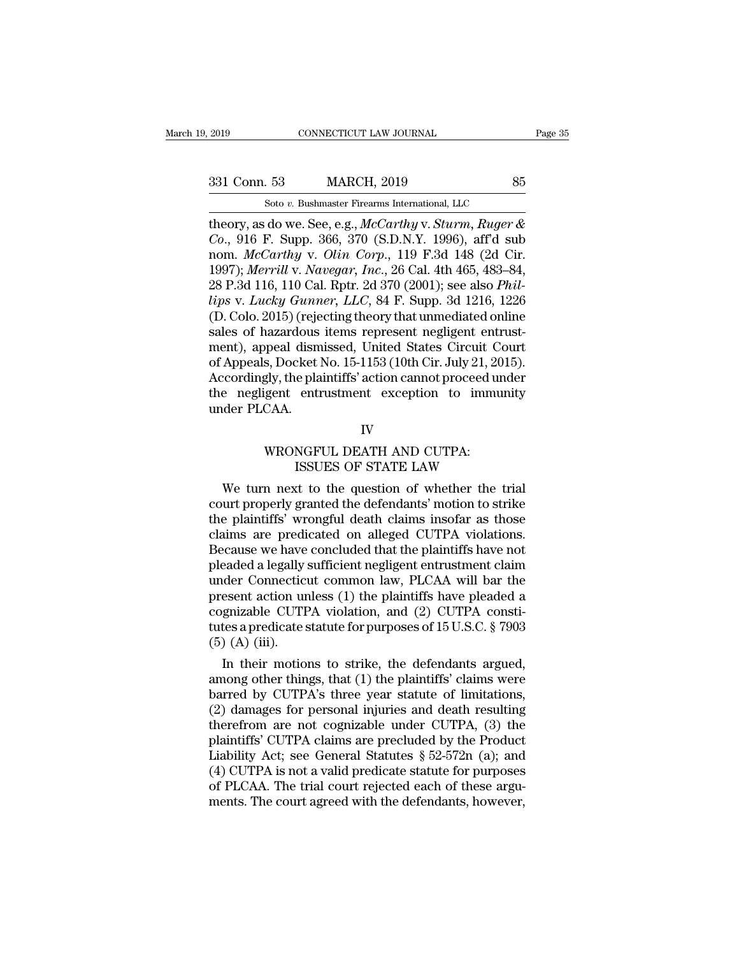2019 CONNECTICUT LAW JOURNAL Page 35<br>331 Conn. 53 MARCH, 2019 85<br>500 v. Bushmaster Firearms International, LLC

CONNECTICUT LAW JOURNAL<br>
Soto *v.* Bushmaster Firearms International, LLC<br>
Soto *v.* Bushmaster Firearms International, LLC<br>
do we. See e.g. McCarthu v. Sturrn. Ruger & Theory, as do we. See, e.g., *McCarthy* v. *Sturm, Ruger &*<br>
Co., 916 F. Supp. 366, 370 (S.D.N.Y. 1996), aff'd sub<br>
nom *McCarthy* v. *Olin* Corn. 119 F.3d 148 (2d Circum) **Coo.** 53 **MARCH**, 2019 85<br> **Coo.** 816 *v.* Bushmaster Firearms International, LLC<br> **Coo., 916 F. Supp. 366, 370 (S.D.N.Y. 1996), aff'd sub<br>
nom.** *McCarthy* **v.** *Olin Corp.***, 119 F.3d 148 (2d Cir.<br>
1997).** *Merrill v. Navega* 331 Conn. 53 MARCH, 2019 85<br>
Soto v. Bushmaster Firearms International, LLC<br>
theory, as do we. See, e.g., *McCarthy* v. *Sturm*, *Ruger* &<br>
Co., 916 F. Supp. 366, 370 (S.D.N.Y. 1996), aff'd sub<br>
nom. *McCarthy* v. *Olin Co* 331 Conn. 53 MARCH, 2019 85<br>
soto v. Bushmaster Firearms International, LLC<br>
theory, as do we. See, e.g., *McCarthy* v. *Sturm*, *Ruger* &<br> *Co.*, 916 F. Supp. 366, 370 (S.D.N.Y. 1996), aff'd sub<br>
nom. *McCarthy* v. *Olin* Sole Collar Co. Bushmaster Firearms International, LLC<br>
theory, as do we. See, e.g., *McCarthy v. Sturm, Ruger &*<br>
Co., 916 F. Supp. 366, 370 (S.D.N.Y. 1996), aff'd sub<br>
nom. *McCarthy v. Olin Corp.*, 119 F.3d 148 (2d Cir. Soto *v.* Bushmaster Firearms International, LLC<br>
theory, as do we. See, e.g., *McCarthy v. Sturm, Ruger &*<br> *Co.*, 916 F. Supp. 366, 370 (S.D.N.Y. 1996), aff'd sub<br>
nom. *McCarthy v. Olin Corp.*, 119 F.3d 148 (2d Cir.<br>
19 theory, as do we. See, e.g., *McCarthy v. Sturm, Ruger & Co.*, 916 F. Supp. 366, 370 (S.D.N.Y. 1996), aff'd sub<br>nom. *McCarthy v. Olin Corp.*, 119 F.3d 148 (2d Cir.<br>1997); *Merrill v. Navegar, Inc.*, 26 Cal. 4th 465, 483–8 Co., 916 F. Supp. 366, 370 (S.D.N.Y. 1996), aff'd sub<br>nom. *McCarthy* v. *Olin Corp.*, 119 F.3d 148 (2d Cir.<br>1997); *Merrill* v. *Navegar*, *Inc.*, 26 Cal. 4th 465, 483–84,<br>28 P.3d 116, 110 Cal. Rptr. 2d 370 (2001); see a nom. *McCarthy* v. *Olin Corp.*, 119 F.3d 148 (2d Cir.<br>1997); *Merrill* v. *Navegar*, *Inc.*, 26 Cal. 4th 465, 483–84,<br>28 P.3d 116, 110 Cal. Rptr. 2d 370 (2001); see also *Phil-<br>lips* v. *Lucky Gunner*, *LLC*, 84 F. Supp. 1997); *Merrill v. Navegar, Inc.*, 26 Cal. 4th 465, 483–84, 28 P.3d 116, 110 Cal. Rptr. 2d 370 (2001); see also *Phillips v. Lucky Gunner, LLC*, 84 F. Supp. 3d 1216, 1226 (D. Colo. 2015) (rejecting theory that unmediated o 28 P.3d 116, 110 Cal. Rptr. 2d 370 (2001); see also *Phillips v. Lucky Gunner, LLC*, 84 F. Supp. 3d 1216, 1226 (D. Colo. 2015) (rejecting theory that unmediated online sales of hazardous items represent negligent entrustm lips v. Lucky Gunner, LLC, 84 F. Supp. 3d 1216, 1226<br>(D. Colo. 2015) (rejecting theory that unmediated online<br>sales of hazardous items represent negligent entrust-<br>ment), appeal dismissed, United States Circuit Court<br>of Ap (D. Colo. 2015) (reje<br>sales of hazardous<br>ment), appeal dism<br>of Appeals, Docket<br>Accordingly, the pla<br>the negligent enti<br>under PLCAA. s, Docket No. 15-1153 (10th Cir. July 21, 20)<br>gly, the plaintiffs' action cannot proceed usent entrustment exception to immu<br>CAA. IV<br>WRONGFUL DEATH AND CUTPA: ISSUES OF STATE LAW Explaintiffs' action cannot proceed under<br>
eplaintiffs' action cannot proceed under<br>
IV<br>
IV<br>
NGFUL DEATH AND CUTPA:<br>
ISSUES OF STATE LAW<br>
ISSUES OF STATE LAW<br>
INC TO THE LAW

### IV

e negligent entrustment exception to immunity<br>der PLCAA.<br>IV<br>WRONGFUL DEATH AND CUTPA:<br>ISSUES OF STATE LAW<br>We turn next to the question of whether the trial<br>urt properly granted the defendants' motion to strike<br>a plaintiffs IV<br>
WRONGFUL DEATH AND CUTPA:<br>
ISSUES OF STATE LAW<br>
We turn next to the question of whether the trial<br>
court properly granted the defendants' motion to strike<br>
the plaintiffs' wrongful death claims insofar as those<br>
claims IV<br>WRONGFUL DEATH AND CUTPA:<br>ISSUES OF STATE LAW<br>We turn next to the question of whether the trial<br>court properly granted the defendants' motion to strike<br>the plaintiffs' wrongful death claims insofar as those<br>claims are p WRONGFUL DEATH AND CUTPA:<br>ISSUES OF STATE LAW<br>We turn next to the question of whether the trial<br>court properly granted the defendants' motion to strike<br>the plaintiffs' wrongful death claims insofar as those<br>claims are pred WRONGFUL DEATH AND CUTPA:<br>ISSUES OF STATE LAW<br>We turn next to the question of whether the trial<br>court properly granted the defendants' motion to strike<br>the plaintiffs' wrongful death claims insofar as those<br>claims are pred ISSUES OF STATE LAW<br>We turn next to the question of whether the trial<br>court properly granted the defendants' motion to strike<br>the plaintiffs' wrongful death claims insofar as those<br>claims are predicated on alleged CUTPA vi We turn next to the question of whether the trial<br>court properly granted the defendants' motion to strike<br>the plaintiffs' wrongful death claims insofar as those<br>claims are predicated on alleged CUTPA violations.<br>Because we court properly granted the defendants' motion to strike<br>the plaintiffs' wrongful death claims insofar as those<br>claims are predicated on alleged CUTPA violations.<br>Because we have concluded that the plaintiffs have not<br>plead the plaintiffs' wrongful death claims insofar as those<br>claims are predicated on alleged CUTPA violations.<br>Because we have concluded that the plaintiffs have not<br>pleaded a legally sufficient negligent entrustment claim<br>und claims are predicated on alleged CUTPA violations.<br>Because we have concluded that the plaintiffs have not<br>pleaded a legally sufficient negligent entrustment claim<br>under Connecticut common law, PLCAA will bar the<br>present ac Because we have<br>pleaded a legally<br>under Connectic<br>present action ur<br>cognizable CUTF<br>tutes a predicate s<br>(5) (A) (iii).<br>In their motio eaded a legally sufficient negligent entrustment claim<br>der Connecticut common law, PLCAA will bar the<br>esent action unless (1) the plaintiffs have pleaded a<br>gnizable CUTPA violation, and (2) CUTPA consti-<br>tes a predicate st under Connecticut common law, PLCAA will bar the<br>present action unless (1) the plaintiffs have pleaded a<br>cognizable CUTPA violation, and (2) CUTPA consti-<br>tutes a predicate statute for purposes of 15 U.S.C. § 7903<br>(5) (A)

present action unless (1) the plaintiffs have pleaded a<br>cognizable CUTPA violation, and (2) CUTPA consti-<br>tutes a predicate statute for purposes of 15 U.S.C. § 7903<br>(5) (A) (iii).<br>In their motions to strike, the defendants cognizable CUTPA violation, and (2) CUTPA constitutes a predicate statute for purposes of 15 U.S.C. § 7903<br>(5) (A) (iii).<br>In their motions to strike, the defendants argued,<br>among other things, that (1) the plaintiffs' clai tutes a predicate statute for purposes of 15 U.S.C. § 7903<br>
(5) (A) (iii).<br>
In their motions to strike, the defendants argued,<br>
among other things, that (1) the plaintiffs' claims were<br>
barred by CUTPA's three year statut (5) (A) (iii).<br>
In their motions to strike, the defendants argued,<br>
among other things, that (1) the plaintiffs' claims were<br>
barred by CUTPA's three year statute of limitations,<br>
(2) damages for personal injuries and dea In their motions to strike, the defendants argued,<br>among other things, that (1) the plaintiffs' claims were<br>barred by CUTPA's three year statute of limitations,<br>(2) damages for personal injuries and death resulting<br>theref among other things, that (1) the plaintiffs' claims were<br>barred by CUTPA's three year statute of limitations,<br>(2) damages for personal injuries and death resulting<br>therefrom are not cognizable under CUTPA, (3) the<br>plaintif barred by CUTPA's three year statute of limitations,<br>(2) damages for personal injuries and death resulting<br>therefrom are not cognizable under CUTPA, (3) the<br>plaintiffs' CUTPA claims are precluded by the Product<br>Liability (2) damages for personal injuries and death resulting<br>therefrom are not cognizable under CUTPA, (3) the<br>plaintiffs' CUTPA claims are precluded by the Product<br>Liability Act; see General Statutes  $\S 52{\text -}572n$  (a); and<br>(4)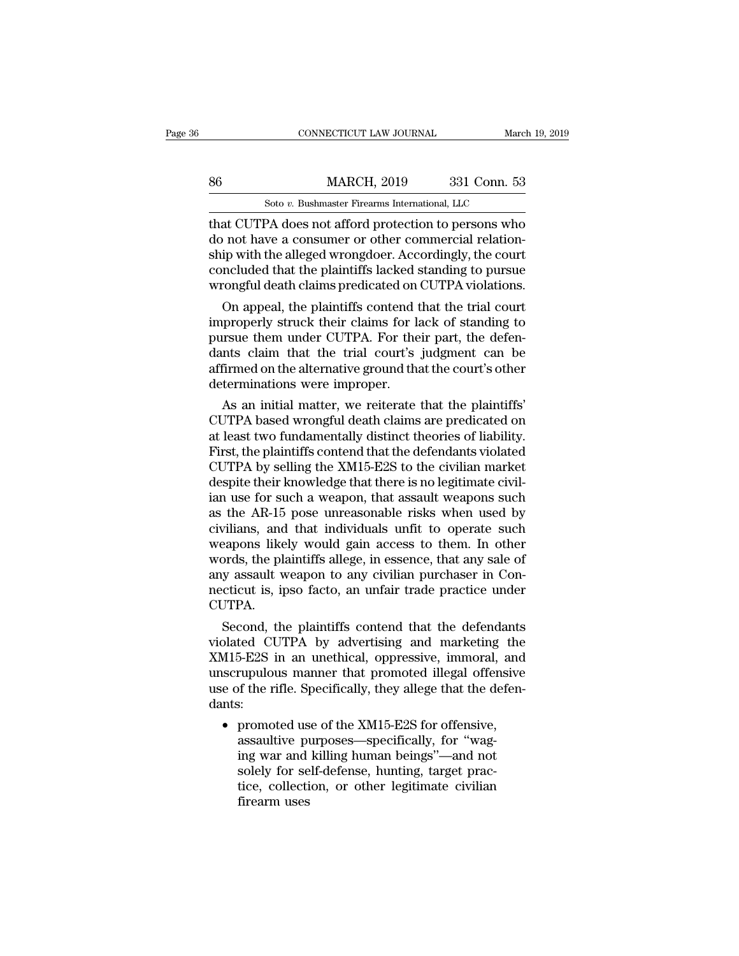# EXECUTE CONNECTICUT LAW JOURNAL March 19, 2019<br>
86 MARCH, 2019 331 Conn. 53<br>
80 Soto v. Bushmaster Firearms International, LLC CONNECTICUT LAW JOURNAL March March March MARCH, 2019 331 Conn. 53<br>Soto *v.* Bushmaster Firearms International, LLC<br>PA does not afford protection to persons who

CONNECTICUT LAW JOURNAL March 19, 2019<br>
Solo MARCH, 2019 331 Conn. 53<br>
Solo v. Bushmaster Firearms International, LLC<br>
that CUTPA does not afford protection to persons who<br>
do not have a consumer or other commercial relati MARCH, 2019 331 Conn. 53<br>
Soto v. Bushmaster Firearms International, LLC<br>
that CUTPA does not afford protection to persons who<br>
do not have a consumer or other commercial relation-<br>
ship with the alleged wrongdoer. Accordi Soften MARCH, 2019 331 Conn. 53<br>
Soften v. Bushmaster Firearms International, LLC<br>
that CUTPA does not afford protection to persons who<br>
do not have a consumer or other commercial relation-<br>
ship with the alleged wrongdoer MARCH, 2019 331 Conn. 53<br>
Soto v. Bushmaster Firearms International, LLC<br>
that CUTPA does not afford protection to persons who<br>
do not have a consumer or other commercial relation-<br>
ship with the alleged wrongdoer. Accordi Solo v. Bushmaster Firearms International, LLC<br>that CUTPA does not afford protection to persons who<br>do not have a consumer or other commercial relation-<br>ship with the alleged wrongdoer. Accordingly, the court<br>concluded tha and CUTPA does not afford protection to persons who<br>in that CUTPA does not afford protection to persons who<br>ip with the alleged wrongdoer. Accordingly, the court<br>ncluded that the plaintiffs lacked standing to pursue<br>rongfu that CUTPA does not afford protection to persons who<br>do not have a consumer or other commercial relation-<br>ship with the alleged wrongdoer. Accordingly, the court<br>concluded that the plaintiffs lacked standing to pursue<br>wron

do not have a consumer or other commercial relationship with the alleged wrongdoer. Accordingly, the court concluded that the plaintiffs lacked standing to pursue wrongful death claims predicated on CUTPA violations.<br>On ap ship with the alleged wrongdoer. Accordingly, the court<br>concluded that the plaintiffs lacked standing to pursue<br>wrongful death claims predicated on CUTPA violations.<br>On appeal, the plaintiffs contend that the trial court<br>i concluded that the plaintiffs lacked standing to pursue<br>wrongful death claims predicated on CUTPA violations.<br>On appeal, the plaintiffs contend that the trial court<br>improperly struck their claims for lack of standing to<br>pu wrongtul death claims predicated on<br>
On appeal, the plaintiffs contend t<br>
improperly struck their claims for la<br>
pursue them under CUTPA. For the<br>
dants claim that the trial court's<br>
affirmed on the alternative ground tha<br> On appeal, the plaintiffs contend that the trial court<br>properly struck their claims for lack of standing to<br>irsue them under CUTPA. For their part, the defen-<br>ints claim that the trial court's judgment can be<br>firmed on the improperly struck their claims for lack of standing to<br>pursue them under CUTPA. For their part, the defen-<br>dants claim that the trial court's judgment can be<br>affirmed on the alternative ground that the court's other<br>determ

pursue them under CUTPA. For their part, the detendants claim that the trial court's judgment can be affirmed on the alternative ground that the court's other determinations were improper.<br>As an initial matter, we reiterat dants claim that the trial court's judgment can be<br>affirmed on the alternative ground that the court's other<br>determinations were improper.<br>As an initial matter, we reiterate that the plaintiffs'<br>CUTPA based wrongful death affirmed on the alternative ground that the court's other<br>determinations were improper.<br>As an initial matter, we reiterate that the plaintiffs'<br>CUTPA based wrongful death claims are predicated on<br>at least two fundamentally determinations were improper.<br>
As an initial matter, we reiterate that the plaintiffs'<br>
CUTPA based wrongful death claims are predicated on<br>
at least two fundamentally distinct theories of liability.<br>
First, the plaintiffs As an initial matter, we reiterate that the plaintiffs'<br>CUTPA based wrongful death claims are predicated on<br>at least two fundamentally distinct theories of liability.<br>First, the plaintiffs contend that the defendants viola CUTPA based wrongful death claims are predicated on<br>at least two fundamentally distinct theories of liability.<br>First, the plaintiffs contend that the defendants violated<br>CUTPA by selling the XM15-E2S to the civilian market at least two fundamentally distinct theories of liability.<br>First, the plaintiffs contend that the defendants violated<br>CUTPA by selling the XM15-E2S to the civilian market<br>despite their knowledge that there is no legitimate First, the plaintiffs contend that the defendants violated<br>CUTPA by selling the XM15-E2S to the civilian market<br>despite their knowledge that there is no legitimate civil-<br>ian use for such a weapon, that assault weapons suc CUTPA by selling the XM15-E2S to the civilian market<br>despite their knowledge that there is no legitimate civil-<br>ian use for such a weapon, that assault weapons such<br>as the AR-15 pose unreasonable risks when used by<br>civilia despite their knowledge that there is no legitimate civilian use for such a weapon, that assault weapons such as the AR-15 pose unreasonable risks when used by civilians, and that individuals unfit to operate such weapons ian use for such a weapon, that assault weapons such<br>as the AR-15 pose unreasonable risks when used by<br>civilians, and that individuals unfit to operate such<br>weapons likely would gain access to them. In other<br>words, the pla CUTPA. Filiams, and that individuals unit to operate such<br>eapons likely would gain access to them. In other<br>prds, the plaintiffs allege, in essence, that any sale of<br>y assault weapon to any civilian purchaser in Con-<br>cticut is, i weapons likely would gain access to them. In other<br>words, the plaintiffs allege, in essence, that any sale of<br>any assault weapon to any civilian purchaser in Con-<br>necticut is, ipso facto, an unfair trade practice under<br>CUT

words, the plaintiffs allege, in essence, that any sale of<br>any assault weapon to any civilian purchaser in Con-<br>necticut is, ipso facto, an unfair trade practice under<br>CUTPA.<br>Second, the plaintiffs contend that the defenda any assault weapon to any civilian purchaser in Connecticut is, ipso facto, an unfair trade practice under<br>CUTPA.<br>Second, the plaintiffs contend that the defendants<br>violated CUTPA by advertising and marketing the<br>XM15-E2S necticut is, ipso facto, an unfair trade practice under<br>CUTPA.<br>Second, the plaintiffs contend that the defendants<br>violated CUTPA by advertising and marketing the<br>XM15-E2S in an unethical, oppressive, immoral, and<br>unscrupul dants: • Second, the plaintiffs contend that the detendants<br>blated CUTPA by advertising and marketing the<br>M15-E2S in an unethical, oppressive, immoral, and<br>scrupulous manner that promoted illegal offensive<br>e of the rifle. Specifi ted CUTPA by advertising and marketing<br>5-E2S in an unethical, oppressive, immoral,<br>rupulous manner that promoted illegal offer<br>of the rifle. Specifically, they allege that the d<br>is:<br>promoted use of the XM15-E2S for offensi

ing b-E2S in an unethical, oppressive, immoral, and<br>rupulous manner that promoted illegal offensive<br>of the rifle. Specifically, they allege that the defen-<br>i:<br>promoted use of the XM15-E2S for offensive,<br>assaultive purposes rupulous manner that promoted illegal offer<br>of the rifle. Specifically, they allege that the d<br>s:<br>promoted use of the XM15-E2S for offensive,<br>assaultive purposes—specifically, for "wag-<br>ing war and killing human beings"—an of the rifle. Specifically, they allege that the defen-<br>s:<br>promoted use of the XM15-E2S for offensive,<br>assaultive purposes—specifically, for "wag-<br>ing war and killing human beings"—and not<br>solely for self-defense, hunting, s:<br>promoted us<br>assaultive pi<br>ing war and<br>solely for se<br>firearm uses<br>firearm uses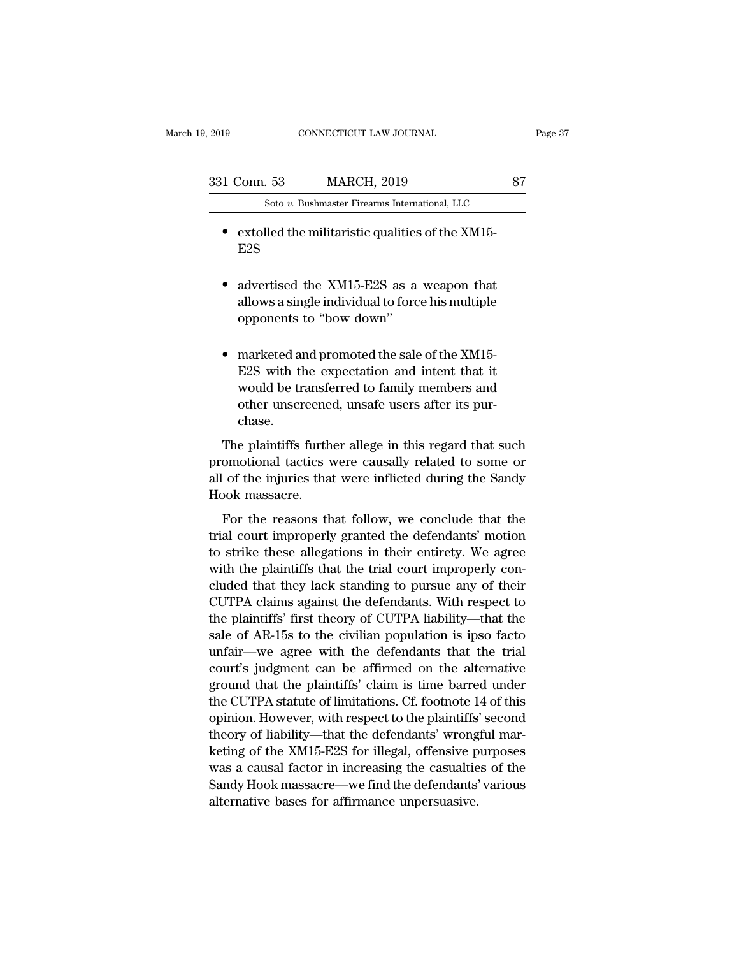| . 2019       | CONNECTICUT LAW JOURNAL                          | Page 37 |
|--------------|--------------------------------------------------|---------|
| 331 Conn. 53 | <b>MARCH, 2019</b>                               | 87      |
|              | Soto v. Bushmaster Firearms International, LLC   |         |
| ٠<br>E2S     | extolled the militaristic qualities of the XM15- |         |

- E2S
- Solo v. Bushmaster Firearms International, LLC<br>
 extolled the militaristic qualities of the XM15-<br>
E2S<br>
 advertised the XM15-E2S as a weapon that<br>
allows a single individual to force his multiple soto v. Bushmaster Frearms International, LLC<br>extolled the militaristic qualities of the XM15-E2S<br>advertised the XM15-E2S as a weapon that<br>allows a single individual to force his multiple<br>opponents to "bow down" <ul>\n<li>extolled the militaristic qualities of the XML5-<br/>\nE2S</li>\n<li>advertised the XML5-E2S as a weapon that allows a single individual to force his multiple opponents to "bow down"</li>\n<li>marked and promoted the sale of the XML5-E2S with the expectation and intent that it would be transformed to fourly many years.</li>\n</ul>
- advertised the XM15-E2S as a weapon that<br>allows a single individual to force his multiple<br>opponents to "bow down"<br>marketed and promoted the sale of the XM15-<br>E2S with the expectation and intent that it<br>would be transferred advertised the AM15-1255 as a weapon traded<br>allows a single individual to force his multiple<br>opponents to "bow down"<br>marketed and promoted the sale of the XM15-<br>E2S with the expectation and intent that it<br>would be transfer different sto-"bow down"<br>marketed and promoted the sale of the XM15-<br>E2S with the expectation and intent that it<br>would be transferred to family members and<br>other unscreened, unsafe users after its pur-<br>chase. chase. • marketed and promoted the sale of the XM15-<br>E2S with the expectation and intent that it<br>would be transferred to family members and<br>other unscreened, unsafe users after its pur-<br>chase.<br>The plaintiffs further allege in th E2S with the expectation and intent that it<br>would be transferred to family members and<br>other unscreened, unsafe users after its pur-<br>chase.<br>The plaintiffs further allege in this regard that such<br>promotional tactics were ca

would be transferred to family members and<br>other unscreened, unsafe users after its pur-<br>chase.<br>The plaintiffs further allege in this regard that such<br>promotional tactics were causally related to some or<br>all of the injurie other unscreene<br>chase.<br>The plaintiffs furth<br>promotional tactics v<br>all of the injuries tha<br>Hook massacre.<br>For the reasons the chase.<br>The plaintiffs further allege in this regard that such<br>omotional tactics were causally related to some or<br>of the injuries that were inflicted during the Sandy<br>ook massacre.<br>For the reasons that follow, we conclude t The plaintiffs further allege in this regard that such<br>promotional tactics were causally related to some or<br>all of the injuries that were inflicted during the Sandy<br>Hook massacre.<br>For the reasons that follow, we conclude t

promotional tactics were causally related to some or<br>all of the injuries that were inflicted during the Sandy<br>Hook massacre.<br>For the reasons that follow, we conclude that the<br>trial court improperly granted the defendants' all of the injuries that were inflicted during the Sandy<br>Hook massacre.<br>For the reasons that follow, we conclude that the<br>trial court improperly granted the defendants' motion<br>to strike these allegations in their entirety. Hook massacre.<br>
For the reasons that follow, we conclude that the<br>
trial court improperly granted the defendants' motion<br>
to strike these allegations in their entirety. We agree<br>
with the plaintiffs that the trial court im For the reasons that follow, we conclude that the<br>trial court improperly granted the defendants' motion<br>to strike these allegations in their entirety. We agree<br>with the plaintiffs that the trial court improperly con-<br>clude For the reasons that follow, we conclude that the<br>trial court improperly granted the defendants' motion<br>to strike these allegations in their entirety. We agree<br>with the plaintiffs that the trial court improperly con-<br>clude trial court improperly granted the detendants motion<br>to strike these allegations in their entirety. We agree<br>with the plaintiffs that the trial court improperly con-<br>cluded that they lack standing to pursue any of their<br>CU to strike these allegations in their entirety. We agree<br>with the plaintiffs that the trial court improperly con-<br>cluded that they lack standing to pursue any of their<br>CUTPA claims against the defendants. With respect to<br>t with the plaintiffs that the trial court improperty concluded that they lack standing to pursue any of their CUTPA claims against the defendants. With respect to the plaintiffs' first theory of CUTPA liability—that the sa cluded that they fack standing to pursue any of their<br>CUTPA claims against the defendants. With respect to<br>the plaintiffs' first theory of CUTPA liability—that the<br>sale of AR-15s to the civilian population is ipso facto<br>un CUTPA claims against the defendants. With respect to<br>the plaintiffs' first theory of CUTPA liability—that the<br>sale of AR-15s to the civilian population is ipso facto<br>unfair—we agree with the defendants that the trial<br>court the plaintiffs first theory of COTPA hability—that the<br>sale of AR-15s to the civilian population is ipso facto<br>unfair—we agree with the defendants that the trial<br>court's judgment can be affirmed on the alternative<br>ground t sale of AR-158 to the civilian population is ipso facto<br>unfair—we agree with the defendants that the trial<br>court's judgment can be affirmed on the alternative<br>ground that the plaintiffs' claim is time barred under<br>the CUTP uniair—we agree with the defendants that the trial<br>court's judgment can be affirmed on the alternative<br>ground that the plaintiffs' claim is time barred under<br>the CUTPA statute of limitations. Cf. footnote 14 of this<br>opinio court's judgment can be antified on the atternative<br>ground that the plaintiffs' claim is time barred under<br>the CUTPA statute of limitations. Cf. footnote 14 of this<br>opinion. However, with respect to the plaintiffs' second<br> ground that the plaintiffs claim is time barred under<br>the CUTPA statute of limitations. Cf. footnote 14 of this<br>opinion. However, with respect to the plaintiffs' second<br>theory of liability—that the defendants' wrongful mar the CUTPA statute of imitations. Cf. footnote I<br>opinion. However, with respect to the plaintiffs<br>theory of liability—that the defendants' wrong<br>keting of the XM15-E2S for illegal, offensive p<br>was a causal factor in increas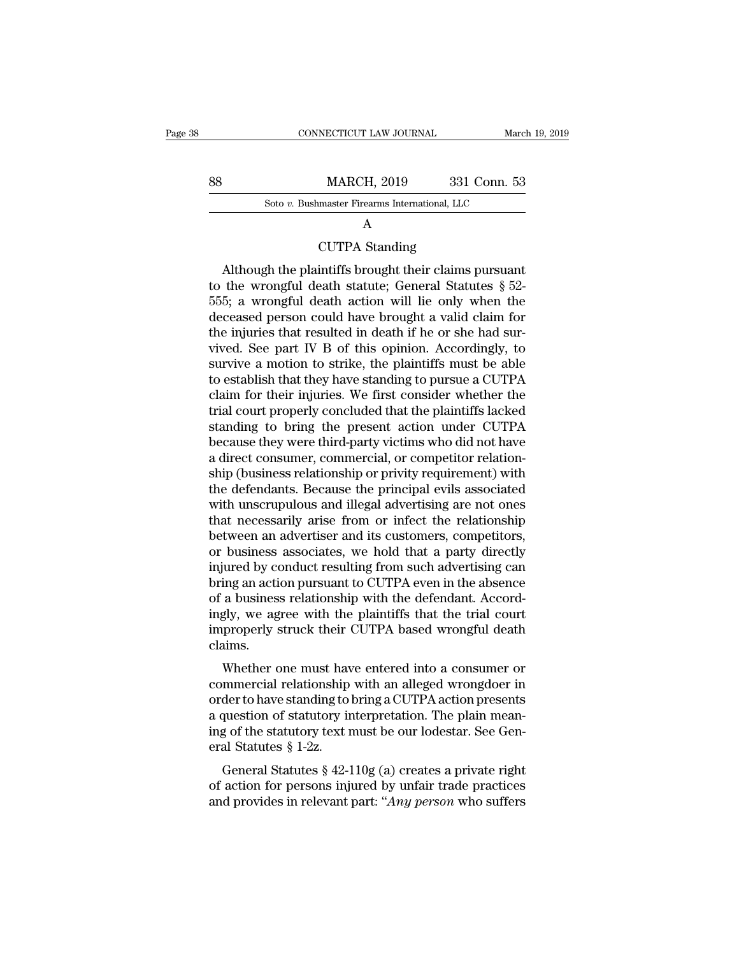|    | CONNECTICUT LAW JOURNAL                               | March 19, 2019 |
|----|-------------------------------------------------------|----------------|
|    |                                                       |                |
| 88 | <b>MARCH, 2019</b>                                    | 331 Conn. 53   |
|    | Soto v. Bushmaster Firearms International, LLC        |                |
|    | A                                                     |                |
|    | <b>CUTPA Standing</b>                                 |                |
|    | Although the plaintiffs brought their claims pursuant |                |

### A

MARCH, 2019 331 Conn. 53<br>
Soto v. Bushmaster Firearms International, LLC<br>
A<br>
CUTPA Standing<br>
Although the plaintiffs brought their claims pursuant<br>
the wrongful death statute; General Statutes  $\S$  52-Soto v. Bushmaster Firearms International, LLC<br>
A<br>
CUTPA Standing<br>
Although the plaintiffs brought their claims pursuant<br>
to the wrongful death statute; General Statutes § 52-<br>
555; a wrongful death action will lie only wh Soto v. Bushmaster Frearms International, LLC<br>
A<br>
CUTPA Standing<br>
Although the plaintiffs brought their claims pursuant<br>
to the wrongful death statute; General Statutes § 52-<br>
555; a wrongful death action will lie only whe deceased person could have brought their claims pursuant<br>to the wrongful death statute; General Statutes § 52-<br>555; a wrongful death action will lie only when the<br>deceased person could have brought a valid claim for<br>the i CUTPA Standing<br>
Although the plaintiffs brought their claims pursuant<br>
to the wrongful death statute; General Statutes § 52-<br>
555; a wrongful death action will lie only when the<br>
deceased person could have brought a valid EVITA Standing<br>determination of the wrongful death statute; General Statutes  $\S$  52-<br>555; a wrongful death action will lie only when the<br>deceased person could have brought a valid claim for<br>the injuries that resulted in d Although the plaintiffs brought their claims pursuant<br>to the wrongful death statute; General Statutes  $\S$  52-<br>555; a wrongful death action will lie only when the<br>deceased person could have brought a valid claim for<br>the in to the wrongful death statute; General Statutes  $\S$  52-<br>555; a wrongful death action will lie only when the<br>deceased person could have brought a valid claim for<br>the injuries that resulted in death if he or she had sur-<br>vi 555; a wrongful death action will lie only when the<br>deceased person could have brought a valid claim for<br>the injuries that resulted in death if he or she had sur-<br>vived. See part IV B of this opinion. Accordingly, to<br>survi deceased person could have brought a valid claim for<br>the injuries that resulted in death if he or she had sur-<br>vived. See part IV B of this opinion. Accordingly, to<br>survive a motion to strike, the plaintiffs must be able<br>t the injuries that resulted in death if he or she had survived. See part IV B of this opinion. Accordingly, to survive a motion to strike, the plaintiffs must be able to establish that they have standing to pursue a CUTPA c vived. See part IV B of this opinion. Accordingly, to<br>survive a motion to strike, the plaintiffs must be able<br>to establish that they have standing to pursue a CUTPA<br>claim for their injuries. We first consider whether the<br>t survive a motion to strike, the plaintiffs must be able<br>to establish that they have standing to pursue a CUTPA<br>claim for their injuries. We first consider whether the<br>trial court properly concluded that the plaintiffs lack to establish that they have standing to pursue a CUTPA<br>claim for their injuries. We first consider whether the<br>trial court properly concluded that the plaintiffs lacked<br>standing to bring the present action under CUTPA<br>beca claim for their injuries. We first consider whether the<br>trial court properly concluded that the plaintiffs lacked<br>standing to bring the present action under CUTPA<br>because they were third-party victims who did not have<br>a di trial court properly concluded that the plaintiffs lacked<br>standing to bring the present action under CUTPA<br>because they were third-party victims who did not have<br>a direct consumer, commercial, or competitor relation-<br>ship standing to bring the present action under CUTPA<br>because they were third-party victims who did not have<br>a direct consumer, commercial, or competitor relation-<br>ship (business relationship or privity requirement) with<br>the de because they were third-party victims who did not have<br>a direct consumer, commercial, or competitor relation-<br>ship (business relationship or privity requirement) with<br>the defendants. Because the principal evils associated<br> a direct consumer, commercial, or competitor relationship (business relationship or privity requirement) with<br>the defendants. Because the principal evils associated<br>with unscrupulous and illegal advertising are not ones<br>th ship (business relationship or privity requirement) with<br>the defendants. Because the principal evils associated<br>with unscrupulous and illegal advertising are not ones<br>that necessarily arise from or infect the relationship<br> the defendants. Because the principal evils associated<br>with unscrupulous and illegal advertising are not ones<br>that necessarily arise from or infect the relationship<br>between an advertiser and its customers, competitors,<br>or with unscrupulous and illegal advertising are not ones<br>that necessarily arise from or infect the relationship<br>between an advertiser and its customers, competitors,<br>or business associates, we hold that a party directly<br>inju that necessarily arise from or infect the relationship<br>between an advertiser and its customers, competitors,<br>or business associates, we hold that a party directly<br>injured by conduct resulting from such advertising can<br>brin between an advertiser and its customers, competitors,<br>or business associates, we hold that a party directly<br>injured by conduct resulting from such advertising can<br>bring an action pursuant to CUTPA even in the absence<br>of a claims. ing an action pursuant to CUTPA even in the absence<br>a business relationship with the defendant. Accord-<br>gly, we agree with the plaintiffs that the trial court<br>properly struck their CUTPA based wrongful death<br>aims.<br>Whether oring an action pursuant to CCTTA even in the absence<br>of a business relationship with the defendant. Accord-<br>ingly, we agree with the plaintiffs that the trial court<br>improperly struck their CUTPA based wrongful death<br>claim

or a business relationship with the defendant. Accordingly, we agree with the plaintiffs that the trial court<br>improperly struck their CUTPA based wrongful death<br>claims.<br>Whether one must have entered into a consumer or<br>comm mgry, we agree with the plaintins that the trial count<br>improperly struck their CUTPA based wrongful death<br>claims.<br>Whether one must have entered into a consumer or<br>commercial relationship with an alleged wrongdoer in<br>order improperly struck their COTTA based wrongit death<br>claims.<br>Whether one must have entered into a consumer or<br>commercial relationship with an alleged wrongdoer in<br>order to have standing to bring a CUTPA action presents<br>a ques Whether one must have commercial relationship<br>order to have standing to<br>a question of statutory in<br>ing of the statutory text r<br>eral Statutes  $\S 1-2z$ .<br>General Statutes  $\S 42-1$ Whether one must have entered into a consumer or<br>mmercial relationship with an alleged wrongdoer in<br>der to have standing to bring a CUTPA action presents<br>question of statutory interpretation. The plain mean-<br>g of the statu order to have standing to bring a CUTPA action presents<br>a question of statutory interpretation. The plain mean-<br>ing of the statutory text must be our lodestar. See Gen-<br>eral Statutes § 1-2z.<br>General Statutes § 42-110g (a) a question of statutory interpretation. The plain meaning of the statutory text must be our lodestar. See General Statutes § 1-2z.<br>General Statutes § 42-110g (a) creates a private right of action for persons injured by unf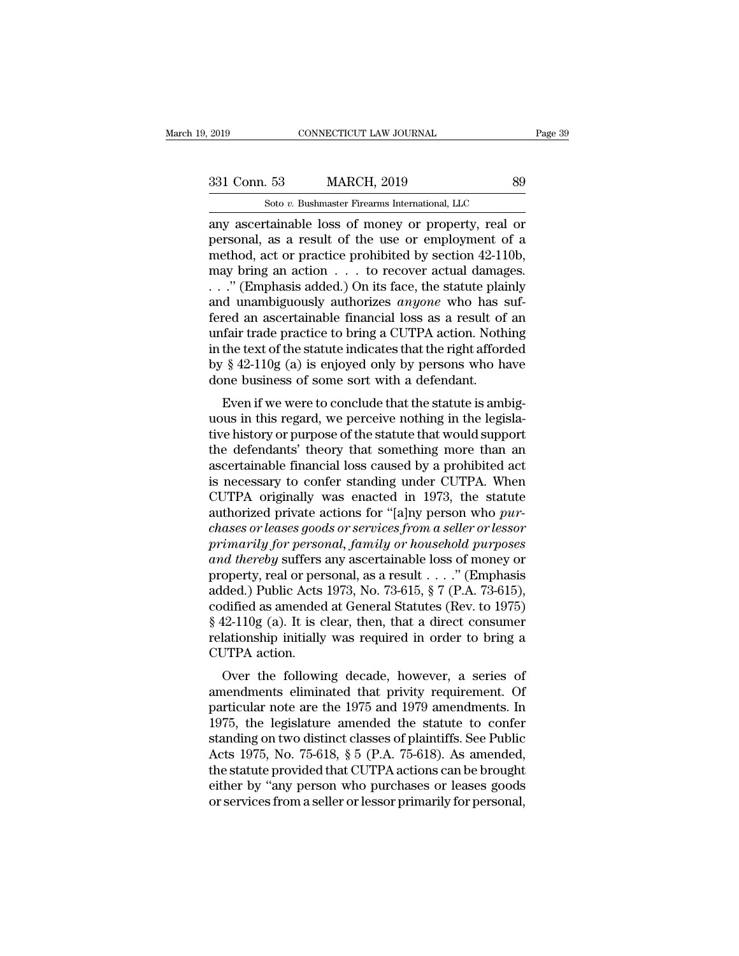| <b>MARCH, 2019</b><br>331 Conn. 53<br>89   |  |
|--------------------------------------------|--|
|                                            |  |
| 2019<br>CONNECTICUT LAW JOURNAL<br>Page 39 |  |

2019 CONNECTICUT LAW JOURNAL Page 39<br>
331 Conn. 53 MARCH, 2019 89<br>
331 Soto v. Bushmaster Firearms International, LLC<br>
2019 89<br>
2019 89<br>
2010 Soto v. Bushmaster Firearms International, LLC<br>
2019 2019 89<br>
2019 2019 1100 Sot 331 Conn. 53 MARCH, 2019 89<br>
Soto v. Bushmaster Firearms International, LLC<br>
any ascertainable loss of money or property, real or<br>
personal, as a result of the use or employment of a<br>
method, act or practice prohibited by 331 Conn. 53 MARCH, 2019 89<br>
Soto v. Bushmaster Firearms International, LLC<br>
any ascertainable loss of money or property, real or<br>
personal, as a result of the use or employment of a<br>
method, act or practice prohibited by 331 Conn. 53 MARCH, 2019 89<br>
Soto v. Bushmaster Firearms International, LLC<br>
any ascertainable loss of money or property, real or<br>
personal, as a result of the use or employment of a<br>
method, act or practice prohibited by Soto v. Bushmaster Firearms International, LLC<br>any ascertainable loss of money or property, real or<br>personal, as a result of the use or employment of a<br>method, act or practice prohibited by section 42-110b,<br>may bring an a soto *v*. Bushmaster Firearms international, LLC<br>any ascertainable loss of money or property, real or<br>personal, as a result of the use or employment of a<br>method, act or practice prohibited by section 42-110b,<br>may bring an any ascertainable loss of money or property, real or<br>personal, as a result of the use or employment of a<br>method, act or practice prohibited by section 42-110b,<br>may bring an action  $\dots$  to recover actual damages.<br> $\dots$ ." (E personal, as a result of the use or employment of a<br>method, act or practice prohibited by section 42-110b,<br>may bring an action  $\ldots$  to recover actual damages.<br> $\ldots$ ." (Emphasis added.) On its face, the statute plainly<br>an method, act or practice prohibited by section 42-110b,<br>may bring an action  $\dots$  to recover actual damages.<br> $\dots$ " (Emphasis added.) On its face, the statute plainly<br>and unambiguously authorizes *anyone* who has suf-<br>fered may bring an action . . . to recover actual damages.<br>. . ." (Emphasis added.) On its face, the statute plainly<br>and unambiguously authorizes *anyone* who has suf-<br>fered an ascertainable financial loss as a result of an<br>unf . . ." (Emphasis added.) On its face, the statute plaintian and unambiguously authorizes *anyone* who has selected an ascertainable financial loss as a result of unfair trade practice to bring a CUTPA action. Nother in th In the same of the statute in that would support of the statute indicates that the right afforded  $\S$  42-110g (a) is enjoyed only by persons who have the statute indicates that the right afforded  $\S$  42-110g (a) is enjoye Lered an ascertainable mialclar loss as a result of all<br>unfair trade practice to bring a CUTPA action. Nothing<br>in the text of the statute indicates that the right afforded<br>by § 42-110g (a) is enjoyed only by persons who ha

the text of the statute indicates that the right afforded<br>by  $\S$  42-110g (a) is enjoyed only by persons who have<br>done business of some sort with a defendant.<br>Even if we were to conclude that the statute is ambig-<br>uous in In the text of the statute indicates that the right another<br>by  $\S$  42-110g (a) is enjoyed only by persons who have<br>done business of some sort with a defendant.<br>Even if we were to conclude that the statute is ambig-<br>uous i by  $\frac{1}{8}$  42-110g (a) is enjoyed only by persons who have<br>done business of some sort with a defendant.<br>Even if we were to conclude that the statute is ambig-<br>uous in this regard, we perceive nothing in the legisla-<br>tiv Even if we were to conclude that the statute is ambig-<br>uous in this regard, we perceive nothing in the legisla-<br>tive history or purpose of the statute that would support<br>the defendants' theory that something more than an<br>a Even if we were to conclude that the statute is ambig-<br>uous in this regard, we perceive nothing in the legisla-<br>tive history or purpose of the statute that would support<br>the defendants' theory that something more than an<br> uous in this regard, we perceive nothing in the legislative history or purpose of the statute that would support<br>the defendants' theory that something more than an<br>ascertainable financial loss caused by a prohibited act<br>is *charge tive history or purpose of the statute that would support*<br> *charge the defendants' theory that something more than an*<br> *cases are from a seller or leases are or leases goods or services from a seller or lessor*<br> the defendants' theory that something more than an ascertainable financial loss caused by a prohibited act<br>is necessary to confer standing under CUTPA. When<br>CUTPA originally was enacted in 1973, the statute<br>authorized priv ascertainable financial loss caused by a prohibited act<br>is necessary to confer standing under CUTPA. When<br>CUTPA originally was enacted in 1973, the statute<br>authorized private actions for "[a]ny person who *pur-<br>chases or l* is necessary to confer standing under CUTPA. When<br>CUTPA originally was enacted in 1973, the statute<br>authorized private actions for "[a]ny person who *pur-*<br>chases or leases goods or services from a seller or lessor<br>primar CUTPA originally was enacted in 1973, the statute<br>authorized private actions for "[a]ny person who *pur-*<br>chases or leases goods or services from a seller or lessor<br>primarily for personal, family or household purposes<br>and authorized private actions for "[a]ny person who *pur-*<br>chases or leases goods or services from a seller or lessor<br>primarily for personal, family or household purposes<br>and thereby suffers any ascertainable loss of money o chases or leases goods or services from a seller or lessor<br>primarily for personal, family or household purposes<br>and thereby suffers any ascertainable loss of money or<br>property, real or personal, as a result . . . . " (Emp primarily for personal, family or household purposes<br>and thereby suffers any ascertainable loss of money or<br>property, real or personal, as a result . . . . ." (Emphasis<br>added.) Public Acts 1973, No. 73-615, § 7 (P.A. 73-6 and thereby suffers<br>property, real or per<br>added.) Public Acts<br>codified as amended<br> $\S$  42-110g (a). It is c<br>relationship initially<br>CUTPA action.<br>Over the followin operty, real of personal, as a result  $\ldots$  (Emphasis ded.) Public Acts 1973, No. 73-615, § 7 (P.A. 73-615), diffied as amended at General Statutes (Rev. to 1975) 12-110g (a). It is clear, then, that a direct consumer lat amendments eliminated as an ended at General Statutes (Rev. to 1975)<br>
§ 42-110g (a). It is clear, then, that a direct consumer<br>
relationship initially was required in order to bring a<br>
CUTPA action.<br>
Over the following dec

between as an<br>ended at defieral statutes (nev. to 1975)<br> $§$  42-110g (a). It is clear, then, that a direct consumer<br>relationship initially was required in order to bring a<br>CUTPA action.<br>Over the following decade, however,  $\frac{1}{8}$  42-110g (a). It is clear, then, that a direct consumer<br>relationship initially was required in order to bring a<br>CUTPA action.<br>Over the following decade, however, a series of<br>amendments eliminated that privity req Feationship initially was required in order to bring a<br>CUTPA action.<br>Over the following decade, however, a series of<br>amendments eliminated that privity requirement. Of<br>particular note are the 1975 and 1979 amendments. In<br>1 OUTTA action.<br>
Over the following decade, however, a series of<br>
amendments eliminated that privity requirement. Of<br>
particular note are the 1975 and 1979 amendments. In<br>
1975, the legislature amended the statute to confer<br> Over the following decade, however, a series of<br>amendments eliminated that privity requirement. Of<br>particular note are the 1975 and 1979 amendments. In<br>1975, the legislature amended the statute to confer<br>standing on two di amendments eliminated that privity requirement. Of<br>particular note are the 1975 and 1979 amendments. In<br>1975, the legislature amended the statute to confer<br>standing on two distinct classes of plaintiffs. See Public<br>Acts 19 particular note are the 1975 and 1979 amendments. In 1975, the legislature amended the statute to confer standing on two distinct classes of plaintiffs. See Public Acts 1975, No. 75-618, § 5 (P.A. 75-618). As amended, the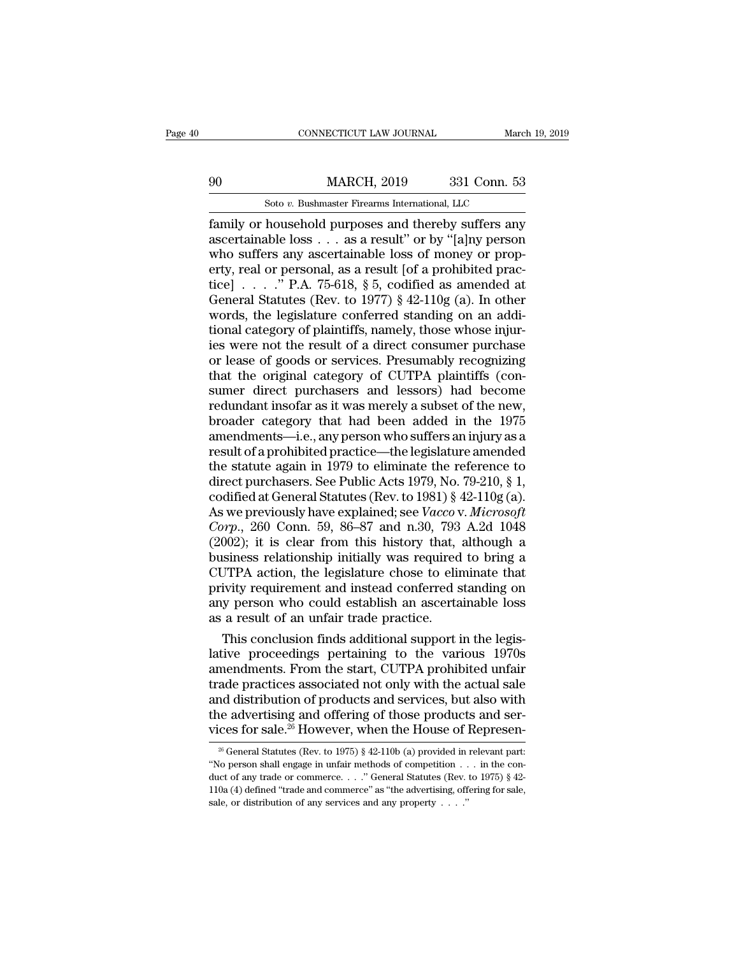# EXECUTE CONNECTICUT LAW JOURNAL March 19, 2019<br>
90 MARCH, 2019 331 Conn. 53<br>
80 Soto v. Bushmaster Firearms International, LLC CONNECTICUT LAW JOURNAL March March March MARCH, 2019 331 Conn. 53<br>Soto *v.* Bushmaster Firearms International, LLC<br>household nurnoses and thereby suffers any

FRIENCH CONNECTICUT LAW JOURNAL March 19, 2019<br>
MARCH, 2019 331 Conn. 53<br>
Soto v. Bushmaster Firearms International, LLC<br>
family or household purposes and thereby suffers any<br>
ascertainable loss . . . as a result" or by "[ MARCH, 2019 331 Conn. 53<br>
Soto v. Bushmaster Firearms International, LLC<br>
family or household purposes and thereby suffers any<br>
ascertainable loss . . . as a result'' or by "[a]ny person<br>
who suffers any ascertainable loss 90 MARCH, 2019 331 Conn. 53<br>
Soto v. Bushmaster Firearms International, LLC<br>
family or household purposes and thereby suffers any<br>
ascertainable loss  $\dots$  as a result" or by "[a]ny person<br>
who suffers any ascertainable lo 90 MARCH, 2019 331 Conn. 53<br>
Soto v. Bushmaster Firearms International, LLC<br>
family or household purposes and thereby suffers any<br>
ascertainable loss . . . as a result" or by "[a]ny person<br>
who suffers any ascertainable l Soto v. Bushmaster Firearms International, LLC<br>
family or household purposes and thereby suffers any<br>
ascertainable loss . . . as a result" or by "[a]ny person<br>
who suffers any ascertainable loss of money or prop-<br>
erty, Soto v. Bushmaster Firearms International, LLC<br>
family or household purposes and thereby suffers any<br>
ascertainable loss . . . as a result" or by "[a]ny person<br>
who suffers any ascertainable loss of money or prop-<br>
erty, family or household purposes and thereby suffers any<br>ascertainable loss . . . as a result" or by "[a]ny person<br>who suffers any ascertainable loss of money or prop-<br>erty, real or personal, as a result [of a prohibited prac ascertainable loss . . . as a result" or by "[a]ny person<br>who suffers any ascertainable loss of money or prop-<br>erty, real or personal, as a result [of a prohibited prac-<br>tice] . . . . ." P.A. 75-618, § 5, codified as amen who suffers any ascertainable loss of money or property, real or personal, as a result [of a prohibited practice] . . . . " P.A. 75-618, § 5, codified as amended at General Statutes (Rev. to 1977) § 42-110g (a). In other erty, real or personal, as a result [of a prohibited practice] . . . . " P.A. 75-618, § 5, codified as amended at General Statutes (Rev. to 1977) § 42-110g (a). In other words, the legislature conferred standing on an add tice]  $\ldots$   $\ddot{ }$  P.A. 75-618, § 5, codified as amended at General Statutes (Rev. to 1977) § 42-110g (a). In other words, the legislature conferred standing on an additional category of plaintiffs, namely, those whose i General Statutes (Rev. to 1977) § 42-110g (a). In other<br>words, the legislature conferred standing on an addi-<br>tional category of plaintiffs, namely, those whose injur-<br>ies were not the result of a direct consumer purchase words, the legislature conferred standing on an additional category of plaintiffs, namely, those whose injuries were not the result of a direct consumer purchase or lease of goods or services. Presumably recognizing that t tional category of plaintiffs, namely, those whose injur-<br>ies were not the result of a direct consumer purchase<br>or lease of goods or services. Presumably recognizing<br>that the original category of CUTPA plaintiffs (con-<br>sum ies were not the result of a direct consumer purchase<br>or lease of goods or services. Presumably recognizing<br>that the original category of CUTPA plaintiffs (con-<br>sumer direct purchasers and lessors) had become<br>redundant ins or lease of goods or services. Presumably recognizing<br>that the original category of CUTPA plaintiffs (con-<br>sumer direct purchasers and lessors) had become<br>redundant insofar as it was merely a subset of the new,<br>broader cat that the original category of CUTPA plaintiffs (con-<br>sumer direct purchasers and lessors) had become<br>redundant insofar as it was merely a subset of the new,<br>broader category that had been added in the 1975<br>amendments—i.e., sumer direct purchasers and lessors) had become<br>redundant insofar as it was merely a subset of the new,<br>broader category that had been added in the 1975<br>amendments—i.e., any person who suffers an injury as a<br>result of a p redundant insofar as it was merely a subset of the new,<br>broader category that had been added in the 1975<br>amendments—i.e., any person who suffers an injury as a<br>result of a prohibited practice—the legislature amended<br>the s broader category that had been added in the 1975<br>amendments—i.e., any person who suffers an injury as a<br>result of a prohibited practice—the legislature amended<br>the statute again in 1979 to eliminate the reference to<br>direct amendments—i.e., any person who suffers an injury as a<br>result of a prohibited practice—the legislature amended<br>the statute again in 1979 to eliminate the reference to<br>direct purchasers. See Public Acts 1979, No. 79-210, § result of a prohibited practice—the legislature amended<br>the statute again in 1979 to eliminate the reference to<br>direct purchasers. See Public Acts 1979, No. 79-210, § 1,<br>codified at General Statutes (Rev. to 1981) § 42-110 the statute again in 1979 to eliminate the reference to<br>direct purchasers. See Public Acts 1979, No. 79-210, § 1,<br>codified at General Statutes (Rev. to 1981) § 42-110g (a).<br>As we previously have explained; see *Vacco* v. direct purchasers. See Public Acts 1979, No. 79-210, § 1,<br>codified at General Statutes (Rev. to 1981) § 42-110g (a).<br>As we previously have explained; see *Vacco* v. *Microsoft*<br>Corp., 260 Conn. 59, 86–87 and n.30, 793 A.2d codified at General Statutes (Rev. to  $1981$ ) §  $42-110g$  (a).<br>As we previously have explained; see *Vacco* v. *Microsoft*<br>Corp., 260 Conn. 59, 86–87 and n.30, 793 A.2d 1048<br>(2002); it is clear from this history that, alt As we previously have explained; see  $Vacco$  v. Microsoft Corp., 260 Conn. 59, 86–87 and n.30, 793 A.2d 1048 (2002); it is clear from this history that, although a business relationship initially was required to bring a CUT  $Corp., 260$  Conn. 59, 86–87 and n.30, 793 (2002); it is clear from this history that, business relationship initially was required CUTPA action, the legislature chose to elimprivity requirement and instead conferred sany pe 002); it is clear from this history that, although a<br>siness relationship initially was required to bring a<br>JTPA action, the legislature chose to eliminate that<br>ivity requirement and instead conferred standing on<br>y person w business relationship initially was required to bring a<br>CUTPA action, the legislature chose to eliminate that<br>privity requirement and instead conferred standing on<br>any person who could establish an ascertainable loss<br>as a

CUTPA action, the legislature chose to eliminate that<br>privity requirement and instead conferred standing on<br>any person who could establish an ascertainable loss<br>as a result of an unfair trade practice.<br>This conclusion find privity requirement and instead conferred standing on<br>any person who could establish an ascertainable loss<br>as a result of an unfair trade practice.<br>This conclusion finds additional support in the legis-<br>lative proceedings any person who could establish an ascertainable loss<br>as a result of an unfair trade practice.<br>This conclusion finds additional support in the legis-<br>lative proceedings pertaining to the various 1970s<br>amendments. From the s as a result of an unfair trade practice.<br>This conclusion finds additional support in the legis-<br>lative proceedings pertaining to the various 1970s<br>amendments. From the start, CUTPA prohibited unfair<br>trade practices associa This conclusion finds additional support in the legis-<br>lative proceedings pertaining to the various 1970s<br>amendments. From the start, CUTPA prohibited unfair<br>trade practices associated not only with the actual sale<br>and di ade practices associated not only with the actual sale<br>nd distribution of products and services, but also with<br>e advertising and offering of those products and ser-<br>ces for sale.<sup>26</sup> However, when the House of Represen-<br>and distribution of products and services, but also with<br>the advertising and offering of those products and services for sale.<sup>26</sup> However, when the House of Represen-<br><sup>26</sup> General Statutes (Rev. to 1975) § 42-110b (a) pr

the advertising and offering of those products and services for sale.<sup>26</sup> However, when the House of Representies (Rev. to 1975) § 42-110b (a) provided in relevant part: "No person shall engage in unfair methods of compet vices for sale.<sup>26</sup> However, when the House of Represen-<br>
<sup>26</sup> General Statutes (Rev. to 1975) § 42-110b (a) provided in relevant part:<br>
"No person shall engage in unfair methods of competition . . . in the con-<br>
duct of vices for sale. Trowever, when the flouse of  $\frac{36}{8}$  General Statutes (Rev. to 1975) § 42-110b (a) provided in "No person shall engage in unfair methods of competition . . duct of any trade or commerce. . . . " General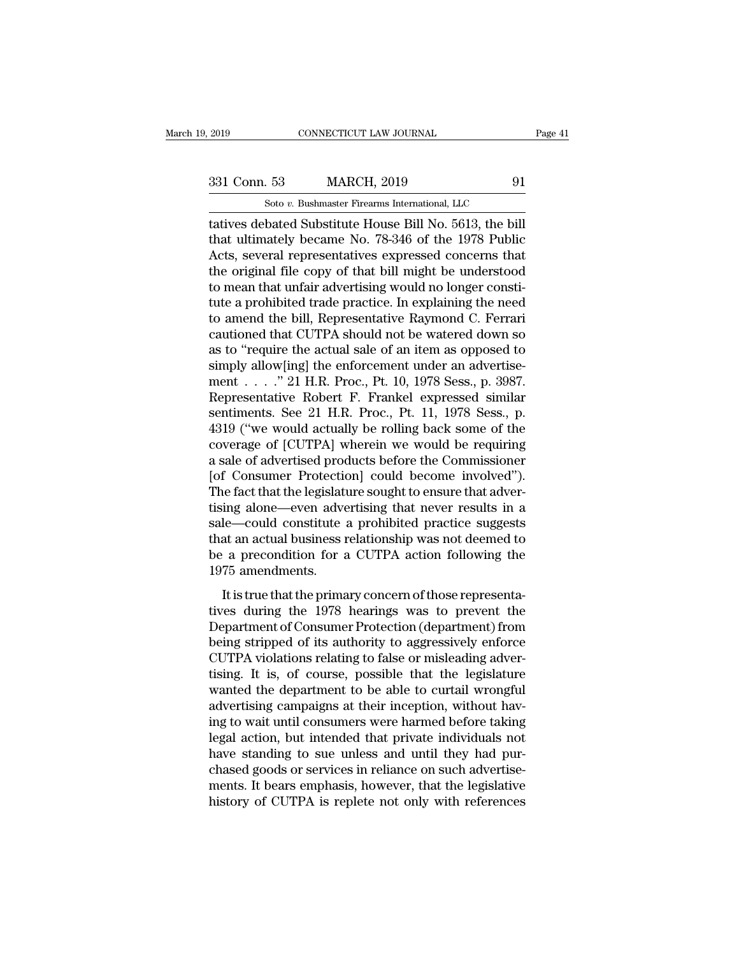# 2019 CONNECTICUT LAW JOURNAL Page 41<br>331 Conn. 53 MARCH, 2019 91<br>500 v. Bushmaster Firearms International, LLC

CONNECTICUT LAW JOURNAL<br>
Soto *v.* Bushmaster Firearms International, LLC<br>
Dated Substitute House Bill No. 5613, the bill The CONNECTICUT LAW JOURNAL Page<br>
331 Conn. 53 MARCH, 2019 91<br>
500 v. Bushmaster Firearms International, LLC<br>
42 tatives debated Substitute House Bill No. 5613, the bill<br>
42 that ultimately became No. 78-346 of the 1978 Pu 331 Conn. 53 MARCH, 2019 91<br>
Soto v. Bushmaster Firearms International, LLC<br>
tatives debated Substitute House Bill No. 5613, the bill<br>
that ultimately became No. 78-346 of the 1978 Public<br>
Acts, several representatives exp  $\frac{331 \text{ Conn. } 53}{\text{Soto } v. \text{ Bushmaster Firearms International, LLC}}$ <br>  $\frac{120 \text{ Total}}{\text{tatives}}$  debated Substitute House Bill No. 5613, the bill<br>
that ultimately became No. 78-346 of the 1978 Public<br>
Acts, several representatives expressed concerns that<br>
the 331 Conn. 53 MARCH, 2019 91<br>
soto v. Bushmaster Firearms International, LLC<br>
tatives debated Substitute House Bill No. 5613, the bill<br>
that ultimately became No. 78-346 of the 1978 Public<br>
Acts, several representatives ex Soto v. Bushmaster Firearms International, LLC<br>
tatives debated Substitute House Bill No. 5613, the bill<br>
that ultimately became No. 78-346 of the 1978 Public<br>
Acts, several representatives expressed concerns that<br>
the or sofo v. Bushmaster Firearms International, LLC<br>tatives debated Substitute House Bill No. 5613, the bill<br>that ultimately became No. 78-346 of the 1978 Public<br>Acts, several representatives expressed concerns that<br>the origin tatives debated Substitute House Bill No. 5613, the bill<br>that ultimately became No. 78-346 of the 1978 Public<br>Acts, several representatives expressed concerns that<br>the original file copy of that bill might be understood<br>to that ultimately became No. 78-346 of the 1978 Public<br>Acts, several representatives expressed concerns that<br>the original file copy of that bill might be understood<br>to mean that unfair advertising would no longer consti-<br>tut Acts, several representatives expressed concerns that<br>the original file copy of that bill might be understood<br>to mean that unfair advertising would no longer consti-<br>tute a prohibited trade practice. In explaining the nee the original file copy of that bill might be understood<br>to mean that unfair advertising would no longer consti-<br>tute a prohibited trade practice. In explaining the need<br>to amend the bill, Representative Raymond C. Ferrari to mean that unfair advertising would no longer constitute a prohibited trade practice. In explaining the need<br>to amend the bill, Representative Raymond C. Ferrari<br>cautioned that CUTPA should not be watered down so<br>as to tute a prohibited trade practice. In explaining the need<br>to amend the bill, Representative Raymond C. Ferrari<br>cautioned that CUTPA should not be watered down so<br>as to "require the actual sale of an item as opposed to<br>simpl to amend the bill, Representative Raymond C. Ferrari<br>cautioned that CUTPA should not be watered down so<br>as to "require the actual sale of an item as opposed to<br>simply allow[ing] the enforcement under an advertise-<br>ment . . 4319 (''we would actually be rolling back some of the as to "require the actual sale of an item as opposed to<br>simply allow[ing] the enforcement under an advertise-<br>ment . . . . ." 21 H.R. Proc., Pt. 10, 1978 Sess., p. 3987.<br>Representative Robert F. Frankel expressed similar<br> simply allow[ing] the enforcement under an advertise-<br>ment . . . ." 21 H.R. Proc., Pt. 10, 1978 Sess., p. 3987.<br>Representative Robert F. Frankel expressed similar<br>sentiments. See 21 H.R. Proc., Pt. 11, 1978 Sess., p.<br>4319 [of Consumer Protection] could become involved''). Representative Robert F. Frankel expressed similar sentiments. See 21 H.R. Proc., Pt. 11, 1978 Sess., p. 4319 ("we would actually be rolling back some of the coverage of [CUTPA] wherein we would be requiring a sale of adve sentiments. See 21 H.R. Proc., Pt. 11, 1978 Sess., p.<br>4319 ("we would actually be rolling back some of the<br>coverage of [CUTPA] wherein we would be requiring<br>a sale of advertised products before the Commissioner<br>[of Consume 4319 ("we would actually be rolling back some of the coverage of [CUTPA] wherein we would be requiring a sale of advertised products before the Commissioner [of Consumer Protection] could become involved"). The fact that coverage of [CUTPA] wherein we would be requiring<br>a sale of advertised products before the Commissioner<br>[of Consumer Protection] could become involved").<br>The fact that the legislature sought to ensure that adver-<br>tising al a sale of advertised products before the Commissioner<br>[of Consumer Protection] could become involved").<br>The fact that the legislature sought to ensure that adver-<br>tising alone—even advertising that never results in a<br>sale— [of Consumer Protectic<br>The fact that the legislat<br>tising alone—even adve<br>sale—could constitute<br>that an actual business i<br>be a precondition for a<br>1975 amendments.<br>It is true that the prima The fact that the legislature sought to ensure that advertising alone—even advertising that never results in a sale—could constitute a prohibited practice suggests that an actual business relationship was not deemed to be assing done Coord daverlasing and never results in a<br>sale—could constitute a prohibited practice suggests<br>that an actual business relationship was not deemed to<br>be a precondition for a CUTPA action following the<br>1975 amend

Bake Coda Constant a pronduct practice suggests<br>that an actual business relationship was not deemed to<br>be a precondition for a CUTPA action following the<br>1975 amendments.<br>It is true that the primary concern of those repres be a precondition for a CUTPA action following the<br>1975 amendments.<br>It is true that the primary concern of those representa-<br>tives during the 1978 hearings was to prevent the<br>Department of Consumer Protection (department) Even preconditions relative to false or misleading and<br>1975 amendments.<br>It is true that the primary concern of those representa-<br>tives during the 1978 hearings was to prevent the<br>Department of Consumer Protection (departme It is true that the primary concern of those representatives during the 1978 hearings was to prevent the Department of Consumer Protection (department) from being stripped of its authority to aggressively enforce CUTPA vio It is true that the primary concern of those representatives during the 1978 hearings was to prevent the Department of Consumer Protection (department) from being stripped of its authority to aggressively enforce CUTPA vio tives during the 1978 hearings was to prevent the<br>Department of Consumer Protection (department) from<br>being stripped of its authority to aggressively enforce<br>CUTPA violations relating to false or misleading adver-<br>tising. Department of Consumer Protection (department) from<br>being stripped of its authority to aggressively enforce<br>CUTPA violations relating to false or misleading adver-<br>tising. It is, of course, possible that the legislature<br>wa being stripped of its authority to aggressively enforce<br>CUTPA violations relating to false or misleading adver-<br>tising. It is, of course, possible that the legislature<br>wanted the department to be able to curtail wrongful<br>a CUTPA violations relating to false or misleading advertising. It is, of course, possible that the legislature wanted the department to be able to curtail wrongful advertising campaigns at their inception, without having to tising. It is, of course, possible that the legislature<br>wanted the department to be able to curtail wrongful<br>advertising campaigns at their inception, without hav-<br>ing to wait until consumers were harmed before taking<br>leg wanted the department to be able to curtail wrongful<br>advertising campaigns at their inception, without hav-<br>ing to wait until consumers were harmed before taking<br>legal action, but intended that private individuals not<br>have advertising campaigns at their inception, without having to wait until consumers were harmed before taking legal action, but intended that private individuals not have standing to sue unless and until they had purchased go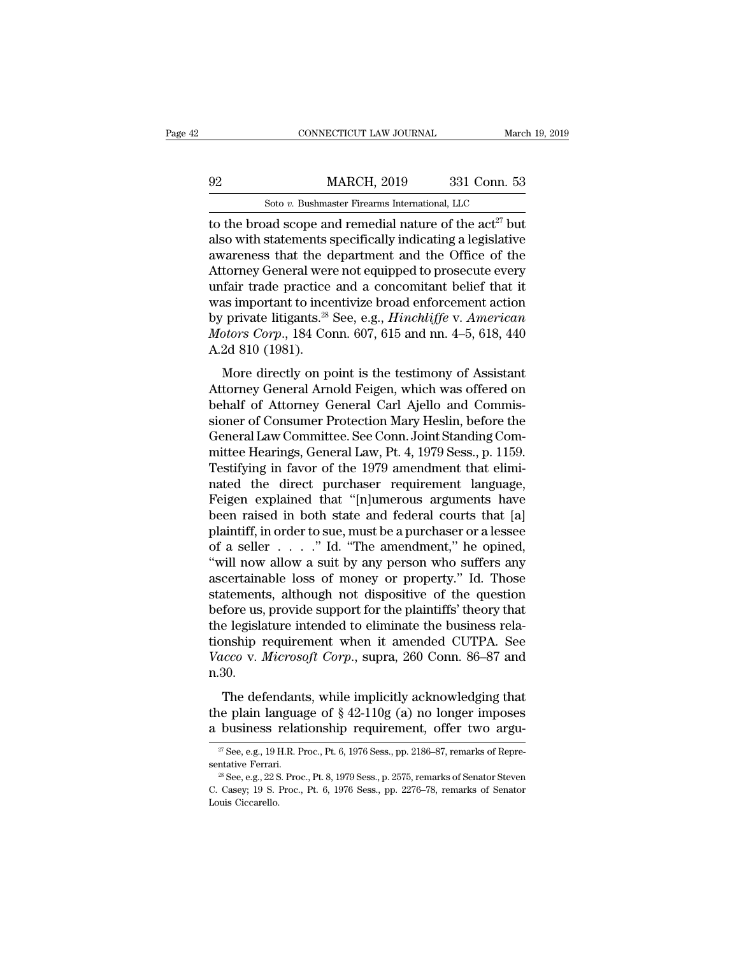# EXERCIT CONNECTICUT LAW JOURNAL March 19, 2019<br>
92 MARCH, 2019 331 Conn. 53<br>
800 v. Bushmaster Firearms International, LLC CONNECTICUT LAW JOURNAL March March March MARCH, 2019 331 Conn. 53<br>Soto *v.* Bushmaster Firearms International, LLC<br>ad scope and remedial nature of the act<sup>27</sup> but.

CONNECTICUT LAW JOURNAL March 19, 2019<br>  $\begin{array}{r}\n 92 \quad \text{MARCH, 2019} \quad 331 \text{ Conn. } 53 \\
 \hline\n 53 \quad \text{Soto } v. \text{ Bushmaster Firearms International, LLC} \n\end{array}$ <br>
to the broad scope and remedial nature of the act<sup>27</sup> but<br>
also with statements specifically indicati 92 MARCH, 2019 331 Conn. 53<br>
Soto v. Bushmaster Firearms International, LLC<br>
to the broad scope and remedial nature of the  $\arctan 27$  but<br>
also with statements specifically indicating a legislative<br>
awareness that the depa awareness that the department and the Office of the  $\frac{\text{MARCH}}{\text{Soto } v. \text{ Bushmaster Firearms International, LLC}}$ <br>
to the broad scope and remedial nature of the act<sup>27</sup> but<br>
also with statements specifically indicating a legislative<br>
awareness that the department and the Office of the<br>
Attorney General w Soto v. Bushmaster Firearms International, LLC<br>to the broad scope and remedial nature of the act<sup>27</sup> but<br>also with statements specifically indicating a legislative<br>awareness that the department and the Office of the<br>Attor soto v. Bushmaster Firearms international, LLC<br>to the broad scope and remedial nature of the act<sup>27</sup> but<br>also with statements specifically indicating a legislative<br>awareness that the department and the Office of the<br>Attor to the broad scope and remedial nature of the act<sup>27</sup> but<br>also with statements specifically indicating a legislative<br>awareness that the department and the Office of the<br>Attorney General were not equipped to prosecute every also with statements specifically indicating a legislative<br>awareness that the department and the Office of the<br>Attorney General were not equipped to prosecute every<br>unfair trade practice and a concomitant belief that it<br>wa awareness that the d<br>Attorney General wer<br>unfair trade practice<br>was important to ince<br>by private litigants.<sup>28</sup><br>Motors Corp., 184 Co.<br>A.2d 810 (1981).<br>More directly on p Fair trade practice and a concomitant belief that it<br>fair trade practice and a concomitant belief that it<br>as important to incentivize broad enforcement action<br>private litigants.<sup>28</sup> See, e.g., *Hinchliffe* v. *American*<br>pr main tract practice and a concomitant beneficiate it<br>was important to incentivize broad enforcement action<br>by private litigants.<sup>28</sup> See, e.g., *Hinchliffe* v. *American*<br>*Motors Corp.*, 184 Conn. 607, 615 and nn. 4–5, 618

by private litigants.<sup>28</sup> See, e.g., *Hinchliffe v. American Motors Corp.*, 184 Conn. 607, 615 and nn. 4–5, 618, 440 A.2d 810 (1981).<br>More directly on point is the testimony of Assistant Attorney General Arnold Feigen, w *Motors Corp.*, 184 Conn. 607, 615 and nn. 4–5, 618, 440<br>A.2d 810 (1981).<br>More directly on point is the testimony of Assistant<br>Attorney General Arnold Feigen, which was offered on<br>behalf of Attorney General Carl Ajello an A.2d 810 (1981).<br>A.2d 810 (1981).<br>More directly on point is the testimony of Assistant<br>Attorney General Arnold Feigen, which was offered on<br>behalf of Attorney General Carl Ajello and Commis-<br>sioner of Consumer Protection M More directly on point is the testimony of Assistant<br>Attorney General Arnold Feigen, which was offered on<br>behalf of Attorney General Carl Ajello and Commis-<br>sioner of Consumer Protection Mary Heslin, before the<br>General Law More directly on point is the testimony of Assistant<br>Attorney General Arnold Feigen, which was offered on<br>behalf of Attorney General Carl Ajello and Commis-<br>sioner of Consumer Protection Mary Heslin, before the<br>General Law Attorney General Arnold Feigen, which was offered on<br>behalf of Attorney General Carl Ajello and Commis-<br>sioner of Consumer Protection Mary Heslin, before the<br>General Law Committee. See Conn. Joint Standing Com-<br>mittee Hear behalf of Attorney General Carl Ajello and Commissioner of Consumer Protection Mary Heslin, before the General Law Committee. See Conn. Joint Standing Committee Hearings, General Law, Pt. 4, 1979 Sess., p. 1159.<br>Testifying sioner of Consumer Protection Mary Heslin, before the<br>General Law Committee. See Conn. Joint Standing Com-<br>mittee Hearings, General Law, Pt. 4, 1979 Sess., p. 1159.<br>Testifying in favor of the 1979 amendment that elimi-<br>nat General Law Committee. See Conn. Joint Standing Committee Hearings, General Law, Pt. 4, 1979 Sess., p. 1159.<br>Testifying in favor of the 1979 amendment that eliminated the direct purchaser requirement language, Feigen expla mittee Hearings, General Law, Pt. 4, 1979 Sess., p. 1159.<br>Testifying in favor of the 1979 amendment that eliminated the direct purchaser requirement language,<br>Feigen explained that "[n]umerous arguments have<br>been raised in Testifying in favor of the 1979 amendment that eliminated the direct purchaser requirement language, Feigen explained that "[n]umerous arguments have been raised in both state and federal courts that [a] plaintiff, in ord nated the direct purchaser requirement language,<br>Feigen explained that "[n]umerous arguments have<br>been raised in both state and federal courts that [a]<br>plaintiff, in order to sue, must be a purchaser or a lessee<br>of a selle Feigen explained that "[n]umerous arguments have<br>been raised in both state and federal courts that [a]<br>plaintiff, in order to sue, must be a purchaser or a lessee<br>of a seller  $\ldots$ . "Id. "The amendment," he opined,<br>"will been raised in both state and federal courts that [a] plaintiff, in order to sue, must be a purchaser or a lessee of a seller  $\ldots$   $\ldots$  "Id. "The amendment," he opined, "will now allow a suit by any person who suffers a plaintiff, in order to sue, must be a purchaser or a lessee<br>of a seller  $\ldots$  ." Id. "The amendment," he opined,<br>"will now allow a suit by any person who suffers any<br>ascertainable loss of money or property." Id. Those<br>sta of a seller  $\ldots$  ." Id. "The amendment," he opined,<br>"will now allow a suit by any person who suffers any<br>ascertainable loss of money or property." Id. Those<br>statements, although not dispositive of the question<br>before us, "will now allow a suit by any person who suffers any ascertainable loss of money or property." Id. Those statements, although not dispositive of the question before us, provide support for the plaintiffs' theory that the l n.30. fore us, provide support for the plaintiffs' theory that<br>e legislature intended to eliminate the business rela-<br>mship requirement when it amended CUTPA. See<br> $ucco$  v. *Microsoft Corp.*, supra, 260 Conn. 86–87 and<br>30.<br>The d before as, provide support for all plainting areasy and<br>the legislature intended to eliminate the business rela-<br>tionship requirement when it amended CUTPA. See<br>Vacco v. Microsoft Corp., supra, 260 Conn. 86–87 and<br>n.30.<br>Th tionship requirement when it amended CUTPA. See Vacco v. *Microsoft Corp.*, supra, 260 Conn. 86–87 and n.30.<br>The defendants, while implicitly acknowledging that the plain language of § 42-110g (a) no longer imposes a busi

The defendants, while implicitly acknowledging that<br>he plain language of  $\S 42{\text -}110g$  (a) no longer imposes<br>business relationship requirement, offer two argu-<br> $\frac{27}{27}$  See, e.g., 19 H.R. Proc., Pt. 6, 1976 Sess., pp. The defendants, while implicitly acknowledging that<br>the plain language of § 42-110g (a) no longer imposes<br>a business relationship requirement, offer two argu-<br> $\frac{x}{27}$  See, e.g., 19 H.R. Proc., Pt. 6, 1976 Sess., pp. 218

**C. Casey; 19 H.R. Proc., Pt. 6, 1976 Sess., pp. 2186–87, remarks of Representative Ferrari.**<br><sup>27</sup> See, e.g., 19 H.R. Proc., Pt. 6, 1976 Sess., pp. 2186–87, remarks of Representative Ferrari.<br><sup>28</sup> See, e.g., 22 S. Proc.,  $\frac{27}{27}$  See, e.g., 19 I<br>sentative Ferrari.<br> $\frac{28}{5}$  See, e.g., 22 S<br>C. Casey; 19 S. I<br>Louis Ciccarello.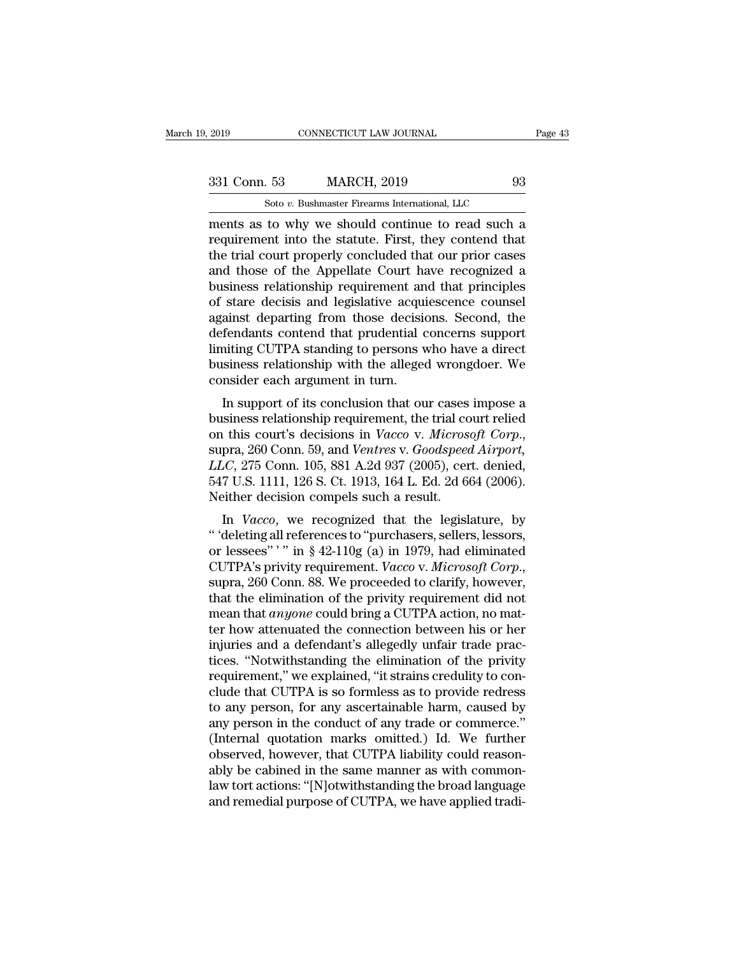| <b>MARCH, 2019</b><br>331 Conn. 53 | 93      |
|------------------------------------|---------|
|                                    |         |
| 2019<br>CONNECTICUT LAW JOURNAL    | Page 43 |

EXERCT 2019 CONNECTICUT LAW JOURNAL Page 43<br>
2019 93<br>
2011 093<br>
2012 5000 v. Bushmaster Firearms International, LLC<br>
2011 11111 1220 ments as to why we should continue to read such a<br>
2011 requirement into the statute. Fir 331 Conn. 53 MARCH, 2019 93<br>Soto v. Bushmaster Firearms International, LLC<br>ments as to why we should continue to read such a<br>requirement into the statute. First, they contend that<br>the trial court properly concluded that o  $\frac{\text{331 Conn. 53}}{\text{Soto } v. \text{ Bushmaster Firearms International, LLC}}$ <br>
ments as to why we should continue to read such a<br>
requirement into the statute. First, they contend that<br>
the trial court properly concluded that our prior cases<br>
and those of the Ap  $\frac{331 \text{ Conn. } 53}{\text{Soto } v. \text{ Bushmaster Firearms International, LLC}}$ <br>
ments as to why we should continue to read such a<br>
requirement into the statute. First, they contend that<br>
the trial court properly concluded that our prior cases<br>
and those of the A Soto v. Bushmaster Firearms International, LLC<br>
ments as to why we should continue to read such a<br>
requirement into the statute. First, they contend that<br>
the trial court properly concluded that our prior cases<br>
and those soto *v*. Bushmaster Freams International, LLC<br>
ments as to why we should continue to read such a<br>
requirement into the statute. First, they contend that<br>
the trial court properly concluded that our prior cases<br>
and those ments as to why we should continue to read such a<br>requirement into the statute. First, they contend that<br>the trial court properly concluded that our prior cases<br>and those of the Appellate Court have recognized a<br>business r requirement into the statute. First, they contend that<br>the trial court properly concluded that our prior cases<br>and those of the Appellate Court have recognized a<br>business relationship requirement and that principles<br>of sta the trial court properly concluded that our prior cases<br>and those of the Appellate Court have recognized a<br>business relationship requirement and that principles<br>of stare decisis and legislative acquiescence counsel<br>against and those of the Appellate Court have recognized a<br>business relationship requirement and that principles<br>of stare decisis and legislative acquiescence counsel<br>against departing from those decisions. Second, the<br>defendants business relationship requirement an<br>of stare decisis and legislative acqui<br>against departing from those decisid<br>defendants contend that prudential c<br>limiting CUTPA standing to persons v<br>business relationship with the alle stare decisis and regislative acquescence counser<br>ainst departing from those decisions. Second, the<br>fendants contend that prudential concerns support<br>niting CUTPA standing to persons who have a direct<br>siness relationship w defendants contend that prudential concerns support<br>limiting CUTPA standing to persons who have a direct<br>business relationship with the alleged wrongdoer. We<br>consider each argument in turn.<br>In support of its conclusion tha

decisions in *Vaccorenta in a production* on a direct business relationship with the alleged wrongdoer. We consider each argument in turn.<br>In support of its conclusion that our cases impose a business relationship requirem business relationship with the aneged wrongdoer. we<br>consider each argument in turn.<br>In support of its conclusion that our cases impose a<br>business relationship requirement, the trial court relied<br>on this court's decisions i In support of its conclusion that our cases impose a<br>business relationship requirement, the trial court relied<br>on this court's decisions in *Vacco v. Microsoft Corp.*,<br>supra, 260 Conn. 59, and *Ventres v. Goodspeed Airport* In support of its conclusion that our cases<br>business relationship requirement, the trial co<br>on this court's decisions in *Vacco* v. *Micross*<br>supra, 260 Conn. 59, and *Ventres* v. *Goodspeed*<br> $LLC$ , 275 Conn. 105, 881 A.2d In this court's decisions in *Vacco* v. *Microsoft Corp.*,<br>pra, 260 Conn. 59, and *Ventres* v. *Goodspeed Airport*,<br>*C*, 275 Conn. 105, 881 A.2d 937 (2005), cert. denied,<br>7 U.S. 1111, 126 S. Ct. 1913, 164 L. Ed. 2d 664 (2 on this court's decisions in vacto v. *Interosoft Corp.*,<br>supra, 260 Conn. 59, and *Ventres* v. *Goodspeed Airport*,<br>LLC, 275 Conn. 105, 881 A.2d 937 (2005), cert. denied,<br>547 U.S. 1111, 126 S. Ct. 1913, 164 L. Ed. 2d 664

supra, 200 Conn. 99, and ventres v. Goodspeed Atrport,<br>LLC, 275 Conn. 105, 881 A.2d 937 (2005), cert. denied,<br>547 U.S. 1111, 126 S. Ct. 1913, 164 L. Ed. 2d 664 (2006).<br>Neither decision compels such a result.<br>In *Vacco*, w EEC, 213 Collit. 103, 851 A.2d 951 (2005), Cert. defiled,<br>547 U.S. 1111, 126 S. Ct. 1913, 164 L. Ed. 2d 664 (2006).<br>Neither decision compels such a result.<br>In *Vacco*, we recognized that the legislature, by<br>"deleting all r In *Vacco*, we recognized that the legislature, by<br>
"deleting all references to "purchasers, sellers, lessors,<br>
or lessees"'" in § 42-110g (a) in 1979, had eliminated<br>
CUTPA's privity requirement. *Vacco v. Microsoft Corp* In *Vacco*, we recognized that the legislature, by "deleting all references to "purchasers, sellers, lessors, or lessees"'" in  $§$  42-110g (a) in 1979, had eliminated CUTPA's privity requirement. *Vacco* v. *Microsoft Cor* " 'deleting all references to "purchasers, sellers, lessors,<br>or lessees"' " in § 42-110g (a) in 1979, had eliminated<br>CUTPA's privity requirement. *Vacco v. Microsoft Corp.*,<br>supra, 260 Conn. 88. We proceeded to clarify, h or lessees"'" in § 42-110g (a) in 1979, had eliminated<br>CUTPA's privity requirement. Vacco v. Microsoft Corp.,<br>supra, 260 Conn. 88. We proceeded to clarify, however,<br>that the elimination of the privity requirement did not<br>m CUTPA's privity requirement. *Vacco* v. *Microsoft Corp.*,<br>supra, 260 Conn. 88. We proceeded to clarify, however,<br>that the elimination of the privity requirement did not<br>mean that *anyone* could bring a CUTPA action, no ma supra, 260 Conn. 88. We proceeded to clarify, however, that the elimination of the privity requirement did not mean that *anyone* could bring a CUTPA action, no matter how attenuated the connection between his or her injur that the elimination of the privity requirement did not<br>mean that *anyone* could bring a CUTPA action, no mat-<br>ter how attenuated the connection between his or her<br>injuries and a defendant's allegedly unfair trade prac-<br>t mean that *anyone* could bring a CUTPA action, no matter how attenuated the connection between his or her injuries and a defendant's allegedly unfair trade practices. "Notwithstanding the elimination of the privity require ter how attenuated the connection between his or her injuries and a defendant's allegedly unfair trade practices. "Notwithstanding the elimination of the privity requirement," we explained, "it strains credulity to conclud injuries and a defendant's allegedly unfair trade practices. "Notwithstanding the elimination of the privity requirement," we explained, "it strains credulity to conclude that CUTPA is so formless as to provide redress to tices. "Notwithstanding the elimination of the privity requirement," we explained, "it strains credulity to conclude that CUTPA is so formless as to provide redress to any person, for any ascertainable harm, caused by any requirement," we explained, "it strains credulity to conclude that CUTPA is so formless as to provide redress<br>to any person, for any ascertainable harm, caused by<br>any person in the conduct of any trade or commerce."<br>(Inter clude that CUTPA is so formless as to provide redress<br>to any person, for any ascertainable harm, caused by<br>any person in the conduct of any trade or commerce."<br>(Internal quotation marks omitted.) Id. We further<br>observed, h to any person, for any ascertainable harm, caused by<br>any person in the conduct of any trade or commerce."<br>(Internal quotation marks omitted.) Id. We further<br>observed, however, that CUTPA liability could reason-<br>ably be cab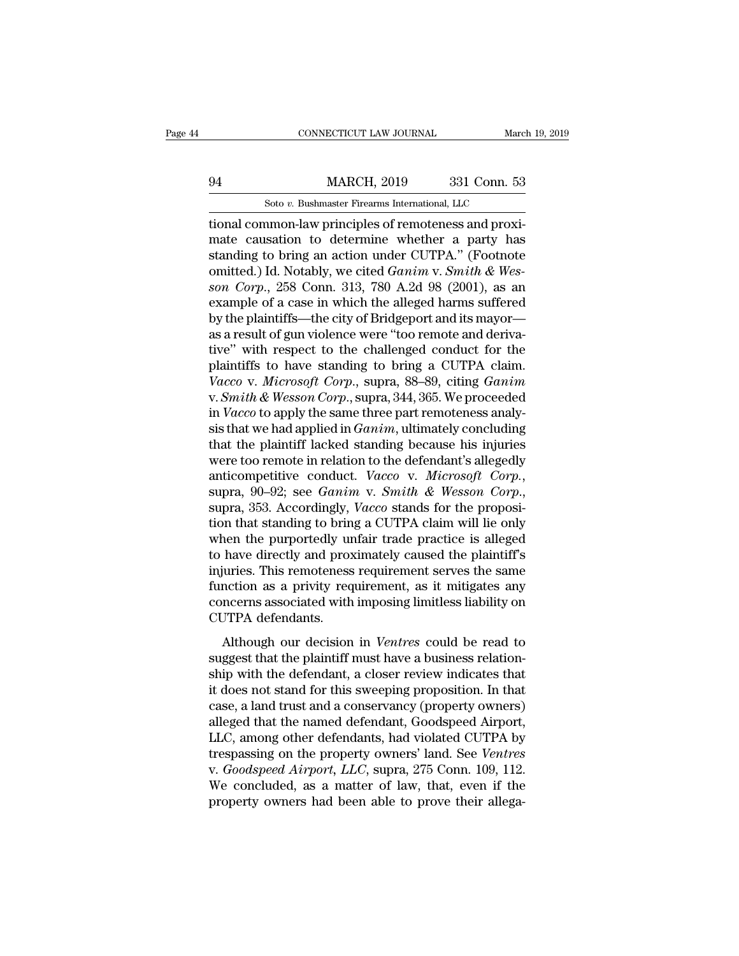# EXERCIT CONNECTICUT LAW JOURNAL March 19, 2019<br>
94 MARCH, 2019 331 Conn. 53<br>
800 v. Bushmaster Firearms International, LLC CONNECTICUT LAW JOURNAL March March March MARCH, 2019 331 Conn. 53<br>Soto *v.* Bushmaster Firearms International, LLC<br>Amon-law principles of remoteness and proxi-

CONNECTICUT LAW JOURNAL March March 2019<br>
MARCH, 2019 331 Conn. 53<br>
Soto v. Bushmaster Firearms International, LLC<br>
tional common-law principles of remoteness and proxi-<br>
mate causation to determine whether a party has<br>
st 94 MARCH, 2019 331 Conn. 53<br>
Soto v. Bushmaster Firearms International, LLC<br>
tional common-law principles of remoteness and proxi-<br>
mate causation to determine whether a party has<br>
standing to bring an action under CUTPA. 94 MARCH, 2019 331 Conn. 53<br>
soto v. Bushmaster Firearms International, LLC<br>
tional common-law principles of remoteness and proxi-<br>
mate causation to determine whether a party has<br>
standing to bring an action under CUTPA. MARCH, 2019 331 Conn. 53<br>
Soto *v*. Bushmaster Firearms International, LLC<br>
tional common-law principles of remoteness and proxi-<br>
mate causation to determine whether a party has<br>
standing to bring an action under CUTPA." **Soto v. Bushmaster Firearms International, LLC**<br> **tional common-law principles of remoteness and proximate** causation to determine whether a party has<br>
standing to bring an action under CUTPA." (Footnote<br>
omitted.) Id. No soto v. Bushmaster Firearms international, LLC<br>tional common-law principles of remoteness and proxi-<br>mate causation to determine whether a party has<br>standing to bring an action under CUTPA." (Footnote<br>omitted.) Id. Notabl tional common-law principles of remoteness and proximate<br>mate causation to determine whether a party has<br>standing to bring an action under CUTPA." (Footnote<br>omitted.) Id. Notably, we cited *Ganim v. Smith & Wes-*<br>son *Corp* mate causation to determine whether a party has<br>standing to bring an action under CUTPA." (Footnote<br>omitted.) Id. Notably, we cited *Ganim v. Smith & Wes-*<br>son *Corp.*, 258 Conn. 313, 780 A.2d 98 (2001), as an<br>example of standing to bring an action under CUTPA." (Footnote omitted.) Id. Notably, we cited *Ganim* v. *Smith & Wesson Corp.*, 258 Conn. 313, 780 A.2d 98 (2001), as an example of a case in which the alleged harms suffered by the omitted.) Id. Notably, we cited *Ganim* v. *Smith & Wesson Corp.*, 258 Conn. 313, 780 A.2d 98 (2001), as an example of a case in which the alleged harms suffered by the plaintiffs—the city of Bridgeport and its mayor—as a *Son Corp.*, 258 Conn. 313, 780 A.2d 98 (2001), as an example of a case in which the alleged harms suffered by the plaintiffs—the city of Bridgeport and its mayor—as a result of gun violence were "too remote and derivative example of a case in which the alleged harms suffered<br>by the plaintiffs—the city of Bridgeport and its mayor—<br>as a result of gun violence were "too remote and deriva-<br>tive" with respect to the challenged conduct for the<br>pl by the plaintiffs—the city of Bridgeport and its mayor—as a result of gun violence were "too remote and derivative" with respect to the challenged conduct for the plaintiffs to have standing to bring a CUTPA claim. Vacco v as a result of gun violence were "too remote and derivative" with respect to the challenged conduct for the plaintiffs to have standing to bring a CUTPA claim.<br>Vacco v. *Microsoft Corp.*, supra, 88–89, citing *Ganim* v. *S* tive" with respect to the challenged conduct for the<br>plaintiffs to have standing to bring a CUTPA claim.<br>Vacco v. Microsoft Corp., supra, 88–89, citing Ganim<br>v. Smith & Wesson Corp., supra, 344, 365. We proceeded<br>in Vacco plaintiffs to have standing to bring a CUTPA claim.<br>Vacco v. Microsoft Corp., supra, 88–89, citing Ganim<br>v. Smith & Wesson Corp., supra, 344, 365. We proceeded<br>in Vacco to apply the same three part remoteness analy-<br>sis th Vacco v. *Microsoft Corp.*, supra, 88–89, citing *Ganim*<br>v. *Smith & Wesson Corp.*, supra, 344, 365. We proceeded<br>in Vacco to apply the same three part remoteness analy-<br>sis that we had applied in *Ganim*, ultimately concl sis that we had applied in *Ganim*, ultimately concluding<br>that the plaintiff lacked standing because his injuries<br>were too remote in relation to the defendant's allegedly<br>anticompetitive conduct. *Vacco* v. *Microsoft Corp* that the plaintiff lacked standing because his injuries<br>were too remote in relation to the defendant's allegedly<br>anticompetitive conduct. *Vacco* v. *Microsoft Corp.*,<br>supra,  $90-92$ ; see *Ganim* v. *Smith & Wesson Corp.* were too remote in relation to the defendant's allegedly<br>anticompetitive conduct. *Vacco* v. *Microsoft Corp.*,<br>supra, 90–92; see *Ganim* v. *Smith & Wesson Corp.*,<br>supra, 353. Accordingly, *Vacco* stands for the proposi-<br> anticompetitive conduct. *Vacco v. Microsoft Corp.*,<br>supra, 90–92; see *Ganim v. Smith & Wesson Corp.*,<br>supra, 353. Accordingly, *Vacco* stands for the proposi-<br>tion that standing to bring a CUTPA claim will lie only<br>when supra, 90–92; see *Ganim* v. *Smith & Wesson Corp.*,<br>supra, 353. Accordingly, *Vacco* stands for the proposi-<br>tion that standing to bring a CUTPA claim will lie only<br>when the purportedly unfair trade practice is alleged<br>to supra, 353. Accordingly, *Vacco* stands for the proposition that standing to bring a CUTPA claim will lie only when the purportedly unfair trade practice is alleged to have directly and proximately caused the plaintiff's i tion that standing to brin<br>when the purportedly un<br>to have directly and pros<br>injuries. This remoteness<br>function as a privity req<br>concerns associated with<br>CUTPA defendants.<br>Although our decision Find the papportedy unitar and practice is angled<br>have directly and proximately caused the plaintiff's<br>juries. This remoteness requirement serves the same<br>nction as a privity requirement, as it mitigates any<br>ncerns associa injuries. This remoteness requirement serves the same<br>function as a privity requirement, as it mitigates any<br>concerns associated with imposing limitless liability on<br>CUTPA defendants.<br>Although our decision in *Ventres* cou

ship with the defendant serves are same<br>function as a privity requirement, as it mitigates any<br>concerns associated with imposing limitless liability on<br>CUTPA defendants.<br>Although our decision in *Ventres* could be read to<br> Final for this sweeping limitless liability on<br>CUTPA defendants.<br>Although our decision in *Ventres* could be read to<br>suggest that the plaintiff must have a business relation-<br>ship with the defendant, a closer review indica cUTPA defendants.<br>CUTPA defendants.<br>Although our decision in *Ventres* could be read to<br>suggest that the plaintiff must have a business relation-<br>ship with the defendant, a closer review indicates that<br>it does not stand fo Although our decision in *Ventres* could be read to<br>suggest that the plaintiff must have a business relation-<br>ship with the defendant, a closer review indicates that<br>it does not stand for this sweeping proposition. In that Although our decision in *Ventres* could be read to suggest that the plaintiff must have a business relationship with the defendant, a closer review indicates that it does not stand for this sweeping proposition. In that suggest that the plaintiff must have a business relationship with the defendant, a closer review indicates that<br>it does not stand for this sweeping proposition. In that<br>case, a land trust and a conservancy (property owners ship with the defendant, a closer review indicates that<br>it does not stand for this sweeping proposition. In that<br>case, a land trust and a conservancy (property owners)<br>alleged that the named defendant, Goodspeed Airport,<br>L it does not stand for this sweeping proposition. In that<br>case, a land trust and a conservancy (property owners)<br>alleged that the named defendant, Goodspeed Airport,<br>LLC, among other defendants, had violated CUTPA by<br>trespa case, a land trust and a conservancy (property owners)<br>alleged that the named defendant, Goodspeed Airport,<br>LLC, among other defendants, had violated CUTPA by<br>trespassing on the property owners' land. See *Ventres*<br>v. *Goo*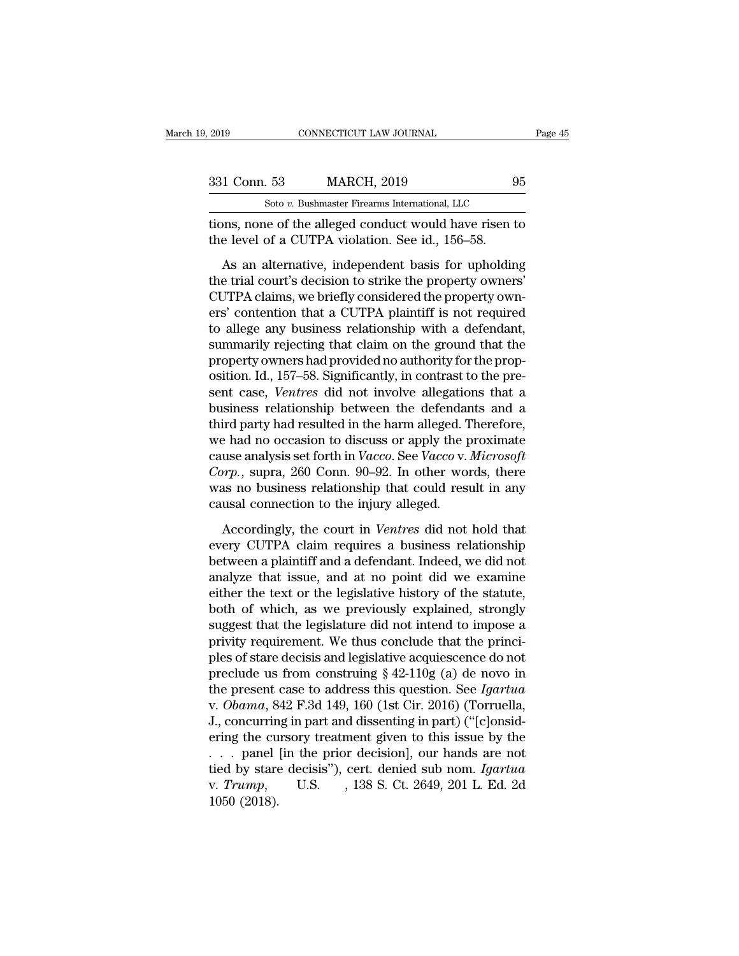| . 2019       | CONNECTICUT LAW JOURNAL                                                                                    | Page 45 |
|--------------|------------------------------------------------------------------------------------------------------------|---------|
|              |                                                                                                            |         |
| 331 Conn. 53 | <b>MARCH, 2019</b>                                                                                         | 95      |
|              | Soto v. Bushmaster Firearms International, LLC                                                             |         |
|              | tions, none of the alleged conduct would have risen to<br>the level of a CUTPA violation. See id., 156–58. |         |
|              | As an alternative, independent basis for upholding                                                         |         |

1 Conn. 53 MARCH, 2019 95<br>
Soto v. Bushmaster Firearms International, LLC<br>
ons, none of the alleged conduct would have risen to<br>
e level of a CUTPA violation. See id., 156–58.<br>
As an alternative, independent basis for upho  $\frac{\text{331 Com. 53}}{\text{Soto } v. \text{ Bushmaster Firearms International, LLC}}$ <br>tions, none of the alleged conduct would have risen to<br>the level of a CUTPA violation. See id., 156–58.<br>As an alternative, independent basis for upholding<br>the trial court's decision to Soto *v*. Bushmaster Firearms International, LLC<br>tions, none of the alleged conduct would have risen to<br>the level of a CUTPA violation. See id., 156–58.<br>As an alternative, independent basis for upholding<br>the trial court's tions, none of the alleged conduct would have risen to<br>the level of a CUTPA violation. See id., 156–58.<br>As an alternative, independent basis for upholding<br>the trial court's decision to strike the property owners'<br>CUTPA cla the level of a CUTPA violation. See id., 156–58.<br>As an alternative, independent basis for upholding<br>the trial court's decision to strike the property owners'<br>CUTPA claims, we briefly considered the property own-<br>ers' conte summarized that the ground that is a alternative, independent basis for upholding<br>the trial court's decision to strike the property owners'<br>CUTPA claims, we briefly considered the property own-<br>ers' contention that a CUTPA As an alternative, independent basis for upholding<br>the trial court's decision to strike the property owners'<br>CUTPA claims, we briefly considered the property own-<br>ers' contention that a CUTPA plaintiff is not required<br>to a the trial court's decision to strike the property owners'<br>CUTPA claims, we briefly considered the property own-<br>ers' contention that a CUTPA plaintiff is not required<br>to allege any business relationship with a defendant,<br>s CUTPA claims, we briefly considered the property owners' contention that a CUTPA plaintiff is not required<br>to allege any business relationship with a defendant,<br>summarily rejecting that claim on the ground that the<br>propert ers' contention that a CUTPA plaintiff is not required<br>to allege any business relationship with a defendant,<br>summarily rejecting that claim on the ground that the<br>property owners had provided no authority for the prop-<br>osi to allege any business relationship with a defendant,<br>summarily rejecting that claim on the ground that the<br>property owners had provided no authority for the prop-<br>osition. Id., 157–58. Significantly, in contrast to the pr summarily rejecting that claim on the ground that the<br>property owners had provided no authority for the prop-<br>osition. Id., 157–58. Significantly, in contrast to the pre-<br>sent case, *Ventres* did not involve allegations th property owners had provided no authority for the proposition. Id., 157–58. Significantly, in contrast to the present case, *Ventres* did not involve allegations that a business relationship between the defendants and a th osition. Id., 157–58. Significantly, in contrast to the present case, *Ventres* did not involve allegations that a business relationship between the defendants and a third party had resulted in the harm alleged. Therefore, sent case, *Ventres* did not involve allegations that a<br>business relationship between the defendants and a<br>third party had resulted in the harm alleged. Therefore,<br>we had no occasion to discuss or apply the proximate<br>cause business relationship between the defendar<br>third party had resulted in the harm alleged. T<br>we had no occasion to discuss or apply the p<br>cause analysis set forth in *Vacco*. See *Vacco* v.<br>*Corp.*, supra, 260 Conn. 90–92. I Expediance analysis set forth in *Vacco*. See *Vacco* v. *Microsoft*<br>w.p., supra, 260 Conn. 90–92. In other words, there<br>as no business relationship that could result in any<br>usal connection to the injury alleged.<br>According cause analysis set forth in *Vacco*. See *Vacco* v. *Microsoft*<br>Corp., supra, 260 Conn. 90–92. In other words, there<br>was no business relationship that could result in any<br>causal connection to the injury alleged.<br>Accordingl

Corp., supra, 260 Conn. 90–92. In other words, there was no business relationship that could result in any causal connection to the injury alleged.<br>Accordingly, the court in *Ventres* did not hold that every CUTPA claim r and a subsiness relationship that could result in any<br>causal connection to the injury alleged.<br>Accordingly, the court in *Ventres* did not hold that<br>every CUTPA claim requires a business relationship<br>between a plaintiff an causal connection to the injury alleged.<br>
Accordingly, the court in *Ventres* did not hold that<br>
every CUTPA claim requires a business relationship<br>
between a plaintiff and a defendant. Indeed, we did not<br>
analyze that iss Accordingly, the court in *Ventres* did not hold that<br>every CUTPA claim requires a business relationship<br>between a plaintiff and a defendant. Indeed, we did not<br>analyze that issue, and at no point did we examine<br>either the Accordingly, the court in *Ventres* did not hold that<br>every CUTPA claim requires a business relationship<br>between a plaintiff and a defendant. Indeed, we did not<br>analyze that issue, and at no point did we examine<br>either the every CUTPA claim requires a business relationship<br>between a plaintiff and a defendant. Indeed, we did not<br>analyze that issue, and at no point did we examine<br>either the text or the legislative history of the statute,<br>both between a plaintiff and a defendant. Indeed, we did not<br>analyze that issue, and at no point did we examine<br>either the text or the legislative history of the statute,<br>both of which, as we previously explained, strongly<br>sugg analyze that issue, and at no point did we examine<br>either the text or the legislative history of the statute,<br>both of which, as we previously explained, strongly<br>suggest that the legislature did not intend to impose a<br>pri either the text or the legislative history of the statute,<br>both of which, as we previously explained, strongly<br>suggest that the legislature did not intend to impose a<br>privity requirement. We thus conclude that the princi-<br> both of which, as we previously explained, strongly<br>suggest that the legislature did not intend to impose a<br>privity requirement. We thus conclude that the princi-<br>ples of stare decisis and legislative acquiescence do not<br>p suggest that the legislature did not intend to impose a<br>privity requirement. We thus conclude that the princi-<br>ples of stare decisis and legislative acquiescence do not<br>preclude us from construing § 42-110g (a) de novo in privity requirement. We thus conclude that the princi-<br>ples of stare decisis and legislative acquiescence do not<br>preclude us from construing § 42-110g (a) de novo in<br>the present case to address this question. See *Igartua* ples of stare decisis and legislative acquiescence do not<br>preclude us from construing § 42-110g (a) de novo in<br>the present case to address this question. See *Igartua*<br>v. *Obama*, 842 F.3d 149, 160 (1st Cir. 2016) (Torrue preclude us from construing § 42-110g (a) de novo in<br>the present case to address this question. See *Igartua*<br>v. *Obama*, 842 F.3d 149, 160 (1st Cir. 2016) (Torruella,<br>J., concurring in part and dissenting in part) ("[c]on the present case to address this question. See *Igartua*<br>v. *Obama*, 842 F.3d 149, 160 (1st Cir. 2016) (Torruella,<br>J., concurring in part and dissenting in part) ("[c]onsid-<br>ering the cursory treatment given to this issue v. *Obama*, 842 F.3d 149, 160 (1st Cir. 2016) (Torruella, J., concurring in part and dissenting in part) ("[c]onsidering the cursory treatment given to this issue by the . . . panel [in the prior decision], our hands are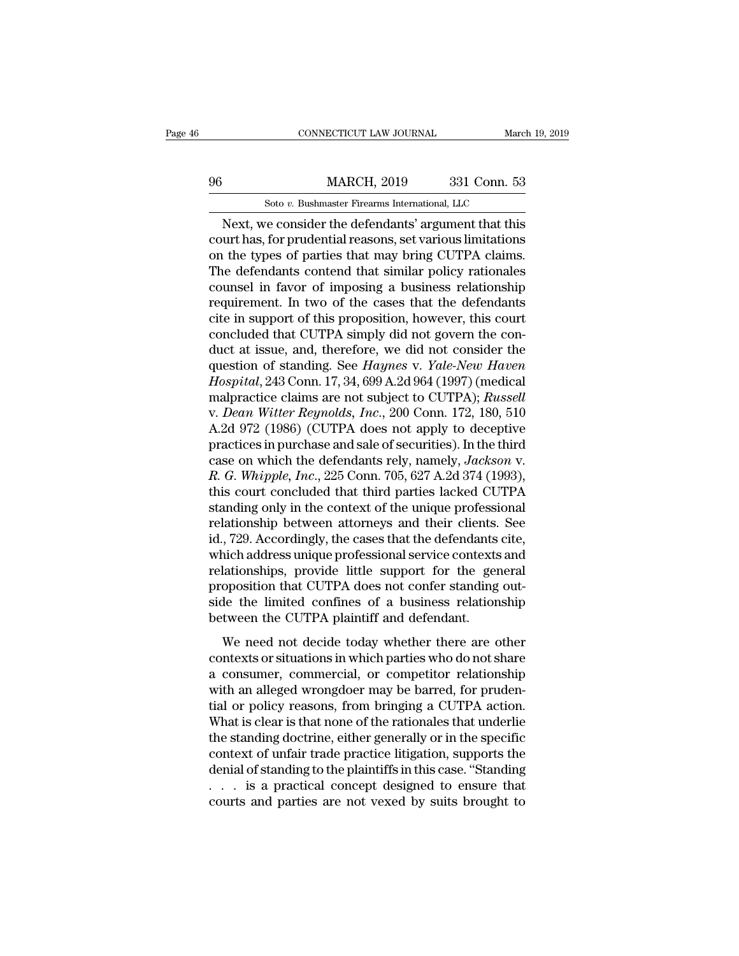# EXERCIT CONNECTICUT LAW JOURNAL March 19, 2019<br>
96 MARCH, 2019 331 Conn. 53<br>
800 v. Bushmaster Firearms International, LLC CONNECTICUT LAW JOURNAL March March March MARCH, 2019 331 Conn. 53<br>Soto *v.* Bushmaster Firearms International, LLC<br>The consider the defendants' argument that this

CONNECTICUT LAW JOURNAL March 19, 2019<br>MARCH, 2019 331 Conn. 53<br>Soto v. Bushmaster Firearms International, LLC<br>Next, we consider the defendants' argument that this<br>urt has, for prudential reasons, set various limitations MARCH, 2019 331 Conn. 53<br>
Soto v. Bushmaster Firearms International, LLC<br>
Next, we consider the defendants' argument that this<br>
court has, for prudential reasons, set various limitations<br>
on the types of parties that may b 96 MARCH, 2019 331 Conn. 53<br>
Soto v. Bushmaster Firearms International, LLC<br>
Next, we consider the defendants' argument that this<br>
court has, for prudential reasons, set various limitations<br>
on the types of parties that m  $\frac{\text{MARCH}}{\text{Soto } v. \text{ Bushmaster Fraams International, LLC}}$ <br>
Next, we consider the defendants' argument that this<br>
court has, for prudential reasons, set various limitations<br>
on the types of parties that may bring CUTPA claims.<br>
The defendants contend Soto  $v$ . Bushmaster Firearms International, LLC<br>
Next, we consider the defendants' argument that this<br>
court has, for prudential reasons, set various limitations<br>
on the types of parties that may bring CUTPA claims.<br>
The sofo v. Bushmaster Firearms international, LLC<br>Next, we consider the defendants' argument that this<br>court has, for prudential reasons, set various limitations<br>on the types of parties that may bring CUTPA claims.<br>The defen Next, we consider the defendants' argument that this court has, for prudential reasons, set various limitations<br>on the types of parties that may bring CUTPA claims.<br>The defendants contend that similar policy rationales<br>cou court has, for prudential reasons, set various limitations<br>on the types of parties that may bring CUTPA claims.<br>The defendants contend that similar policy rationales<br>counsel in favor of imposing a business relationship<br>req on the types of parties that may bring CUTPA claims.<br>The defendants contend that similar policy rationales<br>counsel in favor of imposing a business relationship<br>requirement. In two of the cases that the defendants<br>cite in s The defendants contend that similar policy rationales<br>counsel in favor of imposing a business relationship<br>requirement. In two of the cases that the defendants<br>cite in support of this proposition, however, this court<br>concl counsel in favor of imposing a business relationship<br>requirement. In two of the cases that the defendants<br>cite in support of this proposition, however, this court<br>concluded that CUTPA simply did not govern the con-<br>duct at requirement. In two of the cases that the defendants<br>cite in support of this proposition, however, this court<br>concluded that CUTPA simply did not govern the con-<br>duct at issue, and, therefore, we did not consider the<br>quest cite in support of this proposition, however, this court<br>concluded that CUTPA simply did not govern the con-<br>duct at issue, and, therefore, we did not consider the<br>question of standing. See *Haynes* v. *Yale-New Haven*<br>*Ho* concluded that CUTPA simply did not govern the con-<br>duct at issue, and, therefore, we did not consider the<br>question of standing. See *Haynes* v. *Yale-New Haven*<br>*Hospital*, 243 Conn. 17, 34, 699 A.2d 964 (1997) (medical<br>m duct at issue, and, therefore, we did not consider the<br>question of standing. See *Haynes v. Yale-New Haven*<br>*Hospital*, 243 Conn. 17, 34, 699 A.2d 964 (1997) (medical<br>malpractice claims are not subject to CUTPA); *Russell* question of standing. See *Haynes* v. *Yale-New Haven*<br>*Hospital*, 243 Conn. 17, 34, 699 A.2d 964 (1997) (medical<br>malpractice claims are not subject to CUTPA); *Russell*<br>v. *Dean Witter Reynolds, Inc.*, 200 Conn. 172, 180, *Hospital*, 243 Conn. 17, 34, 699 A.2d 964 (1997) (medical<br>malpractice claims are not subject to CUTPA); *Russell*<br>v. *Dean Witter Reynolds, Inc.*, 200 Conn. 172, 180, 510<br>A.2d 972 (1986) (CUTPA does not apply to deceptive malpractice claims are not subject to CUTPA); *Russell*<br>v. *Dean Witter Reynolds, Inc.*, 200 Conn. 172, 180, 510<br>A.2d 972 (1986) (CUTPA does not apply to deceptive<br>practices in purchase and sale of securities). In the thir v. *Dean Witter Reynolds, Inc.*, 200 Conn. 172, 180, 510<br>A.2d 972 (1986) (CUTPA does not apply to deceptive<br>practices in purchase and sale of securities). In the third<br>case on which the defendants rely, namely, *Jackson v.* A.2d 972 (1986) (CUTPA does not apply to deceptive<br>practices in purchase and sale of securities). In the third<br>case on which the defendants rely, namely, Jackson v.<br>R. G. Whipple, Inc., 225 Conn. 705, 627 A.2d 374 (1993),<br> practices in purchase and sale of securities). In the third<br>case on which the defendants rely, namely, Jackson v.<br>R. G. Whipple, Inc., 225 Conn. 705, 627 A.2d 374 (1993),<br>this court concluded that third parties lacked CUTP case on which the defendants rely, namely, Jackson v.<br>
R. G. Whipple, Inc., 225 Conn. 705, 627 A.2d 374 (1993),<br>
this court concluded that third parties lacked CUTPA<br>
standing only in the context of the unique professional R. G. Whipple, Inc., 225 Conn. 705, 627 A.2d 374 (1993),<br>this court concluded that third parties lacked CUTPA<br>standing only in the context of the unique professional<br>relationship between attorneys and their clients. See<br>id this court concluded that third parties lacked CUTPA<br>standing only in the context of the unique professional<br>relationship between attorneys and their clients. See<br>id., 729. Accordingly, the cases that the defendants cite,<br> standing only in the context of the unique professional<br>relationship between attorneys and their clients. See<br>id., 729. Accordingly, the cases that the defendants cite,<br>which address unique professional service contexts an relationship between attorneys and their clients.<br>id., 729. Accordingly, the cases that the defendants<br>which address unique professional service contexts<br>relationships, provide little support for the ger<br>proposition that C We need not decide today whether there are other<br>approximationships, provide little support for the general<br>oposition that CUTPA does not confer standing out-<br>le the limited confines of a business relationship<br>tween the CU metalionships, provide little support for the general<br>proposition that CUTPA does not confer standing out-<br>side the limited confines of a business relationship<br>between the CUTPA plaintiff and defendant.<br>We need not decide

relationships, provide hate support for and general<br>proposition that CUTPA does not confer standing out-<br>side the limited confines of a business relationship<br>between the CUTPA plaintiff and defendant.<br>We need not decide to proposition and commit accounts for context standing out<br>side the limited confines of a business relationship<br>between the CUTPA plaintiff and defendant.<br>We need not decide today whether there are other<br>contexts or situatio between the CUTPA plaintiff and defendant.<br>We need not decide today whether there are other<br>contexts or situations in which parties who do not share<br>a consumer, commercial, or competitor relationship<br>with an alleged wrongd We need not decide today whether there are other<br>contexts or situations in which parties who do not share<br>a consumer, commercial, or competitor relationship<br>with an alleged wrongdoer may be barred, for pruden-<br>tial or poli We need not decide today whether there are other<br>contexts or situations in which parties who do not share<br>a consumer, commercial, or competitor relationship<br>with an alleged wrongdoer may be barred, for pruden-<br>tial or poli contexts or situations in which parties who do not share<br>a consumer, commercial, or competitor relationship<br>with an alleged wrongdoer may be barred, for pruden-<br>tial or policy reasons, from bringing a CUTPA action.<br>What is a consumer, commercial, or competitor relationship<br>with an alleged wrongdoer may be barred, for pruden-<br>tial or policy reasons, from bringing a CUTPA action.<br>What is clear is that none of the rationales that underlie<br>the s with an alleged wrongdoer may be barred, for prudential or policy reasons, from bringing a CUTPA action.<br>What is clear is that none of the rationales that underlie<br>the standing doctrine, either generally or in the specific tial or policy reasons, from bringing a CUTPA action.<br>What is clear is that none of the rationales that underlie<br>the standing doctrine, either generally or in the specific<br>context of unfair trade practice litigation, supp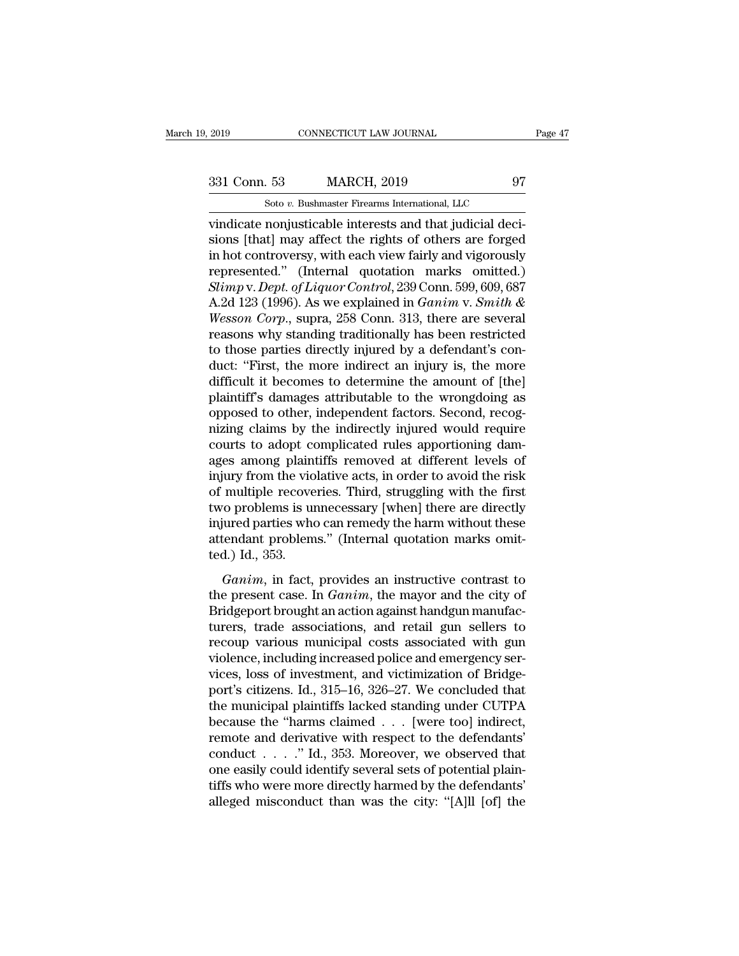CONNECTICUT LAW JOURNAL<br>
Soto *v.* Bushmaster Firearms International, LLC<br>
noniusticable interests and that iudicial decivindicate nonjusticable interests and that judicial deci-<br>
vindicate nonjusticable interests and that judicial deci-<br>
vindicate nonjusticable interests and that judicial deci-<br>
sions [that] may affect the rights of others 331 Conn. 53 MARCH, 2019 97<br>Soto v. Bushmaster Firearms International, LLC<br>vindicate nonjusticable interests and that judicial decisions [that] may affect the rights of others are forged<br>in hot controversy, with each view 331 Conn. 53 MARCH, 2019 97<br>
Soto v. Bushmaster Frearms International, LLC<br>
vindicate nonjusticable interests and that judicial decisions<br>
[that] may affect the rights of others are forged<br>
in hot controversy, with each v 331 Conn. 53 MARCH, 2019 97<br>
Soto v. Bushmaster Firearms International, LLC<br>
vindicate nonjusticable interests and that judicial decisions [that] may affect the rights of others are forged<br>
in hot controversy, with each v Soto *v.* Bushmaster Firearms International, LLC<br>
vindicate nonjusticable interests and that judicial decisions [that] may affect the rights of others are forged<br>
in hot controversy, with each view fairly and vigorously<br>
r Sofo *v.* Bushmaster Freams International, LLC<br>vindicate nonjusticable interests and that judicial deci-<br>sions [that] may affect the rights of others are forged<br>in hot controversy, with each view fairly and vigorously<br>repr vindicate nonjusticable interests and that judicial decisions [that] may affect the rights of others are forged<br>in hot controversy, with each view fairly and vigorously<br>represented." (Internal quotation marks omitted.)<br>*Sl* sions [that] may affect the rights of others are forged<br>in hot controversy, with each view fairly and vigorously<br>represented." (Internal quotation marks omitted.)<br> $Slimp v. Dept. of Liquor Control, 239 Conn. 599, 609, 687$ <br>A.2d 123 (1996). As we in hot controversy, with each view fairly and vigorously<br>represented." (Internal quotation marks omitted.)<br>Slimp v. Dept. of Liquor Control, 239 Conn. 599, 609, 687<br>A.2d 123 (1996). As we explained in *Ganim v. Smith &*<br>W represented." (Internal quotation marks omitted.)<br>
Slimp v. Dept. of Liquor Control, 239 Conn. 599, 609, 687<br>
A.2d 123 (1996). As we explained in *Ganim* v. *Smith &*<br>
Wesson Corp., supra, 258 Conn. 313, there are several<br> Slimp v. Dept. of Liquor Control, 239 Conn. 599, 609, 687<br>A.2d 123 (1996). As we explained in *Ganim v. Smith &*<br>Wesson Corp., supra, 258 Conn. 313, there are several<br>reasons why standing traditionally has been restricted A.2d 123 (1996). As we explained in *Ganim v. Smith &*<br>Wesson Corp., supra, 258 Conn. 313, there are several<br>reasons why standing traditionally has been restricted<br>to those parties directly injured by a defendant's con-<br>d Wesson Corp., supra, 258 Conn. 313, there are several reasons why standing traditionally has been restricted to those parties directly injured by a defendant's conduct: "First, the more indirect an injury is, the more diff reasons why standing traditionally has been restricted<br>to those parties directly injured by a defendant's con-<br>duct: "First, the more indirect an injury is, the more<br>difficult it becomes to determine the amount of [the]<br>pl to those parties directly injured by a defendant's conduct: "First, the more indirect an injury is, the more difficult it becomes to determine the amount of [the] plaintiff's damages attributable to the wrongdoing as oppos duct: "First, the more indirect an injury is, the more<br>difficult it becomes to determine the amount of [the]<br>plaintiff's damages attributable to the wrongdoing as<br>opposed to other, independent factors. Second, recog-<br>nizin difficult it becomes to determine the amount of [the]<br>plaintiff's damages attributable to the wrongdoing as<br>opposed to other, independent factors. Second, recog-<br>nizing claims by the indirectly injured would require<br>courts plaintiff's damages attributable to the wrongdoing as<br>opposed to other, independent factors. Second, recog-<br>nizing claims by the indirectly injured would require<br>courts to adopt complicated rules apportioning dam-<br>ages amo opposed to other, independent factors. Second, recognizing claims by the indirectly injured would require<br>courts to adopt complicated rules apportioning dam-<br>ages among plaintiffs removed at different levels of<br>injury from nizing claims by the indirectly injured would require<br>courts to adopt complicated rules apportioning dam-<br>ages among plaintiffs removed at different levels of<br>injury from the violative acts, in order to avoid the risk<br>of m courts to adopt complicated rules apportioning damages among plaintiffs removed at different levels of injury from the violative acts, in order to avoid the risk of multiple recoveries. Third, struggling with the first two ages among plain<br>injury from the vio<br>of multiple recove<br>two problems is un<br>injured parties who<br>attendant problem<br>ted.) Id., 353.<br>*Ganim*, in fact, *Ganim*, in fact, provides an instructive contrast to problems is unnecessary [when] there are directly iured parties who can remedy the harm without these tendant problems." (Internal quotation marks omitd.) Id., 353.<br>*Ga* or matter recoveries. Thing, sangging with the mass<br>two problems is unnecessary [when] there are directly<br>injured parties who can remedy the harm without these<br>attendant problems." (Internal quotation marks omit-<br>ted.) Id.

injured parties who can remedy the harm without these<br>attendant problems." (Internal quotation marks omit-<br>ted.) Id., 353.<br> $Ganim$ , in fact, provides an instructive contrast to<br>the present case. In  $Ganim$ , the mayor and the ci fundant problems." (Internal quotation marks omit-<br>ted.) Id., 353.<br>  $Ganim$ , in fact, provides an instructive contrast to<br>
the present case. In  $Ganim$ , the mayor and the city of<br>
Bridgeport brought an action against handgun ma recolution. The contrast contrast to<br>ted.) Id., 353.<br>*Ganim*, in fact, provides an instructive contrast to<br>the present case. In *Ganim*, the mayor and the city of<br>Bridgeport brought an action against handgun manufac-<br>turer *Ganim*, in fact, provides an instructive contrast to<br>the present case. In *Ganim*, the mayor and the city of<br>Bridgeport brought an action against handgun manufac-<br>turers, trade associations, and retail gun sellers to<br>rec Ganim, in fact, provides an instructive contrast to<br>the present case. In *Ganim*, the mayor and the city of<br>Bridgeport brought an action against handgun manufac-<br>turers, trade associations, and retail gun sellers to<br>recou the present case. In *Ganim*, the mayor and the city of Bridgeport brought an action against handgun manufacturers, trade associations, and retail gun sellers to recoup various municipal costs associated with gun violence, Bridgeport brought an action against handgun manufacturers, trade associations, and retail gun sellers to<br>recoup various municipal costs associated with gun<br>violence, including increased police and emergency ser-<br>vices, lo turers, trade associations, and retail gun sellers to<br>recoup various municipal costs associated with gun<br>violence, including increased police and emergency ser-<br>vices, loss of investment, and victimization of Bridge-<br>port' recoup various municipal costs associated with gun<br>violence, including increased police and emergency ser-<br>vices, loss of investment, and victimization of Bridge-<br>port's citizens. Id., 315–16, 326–27. We concluded that<br>the violence, including increased police and emergency services, loss of investment, and victimization of Bridge-<br>port's citizens. Id., 315–16, 326–27. We concluded that<br>the municipal plaintiffs lacked standing under CUTPA<br>bec vices, loss of investment, and victimization of Bridge-<br>port's citizens. Id., 315–16, 326–27. We concluded that<br>the municipal plaintiffs lacked standing under CUTPA<br>because the "harms claimed  $\ldots$ . [were too] indirect,<br>r port's citizens. Id., 315–16, 326–27. We concluded that<br>the municipal plaintiffs lacked standing under CUTPA<br>because the "harms claimed . . . [were too] indirect,<br>remote and derivative with respect to the defendants'<br>condu the municipal plaintiffs lacked standing under CUTPA<br>because the "harms claimed  $\ldots$  [were too] indirect,<br>remote and derivative with respect to the defendants'<br>conduct  $\ldots$ ." Id., 353. Moreover, we observed that<br>one eas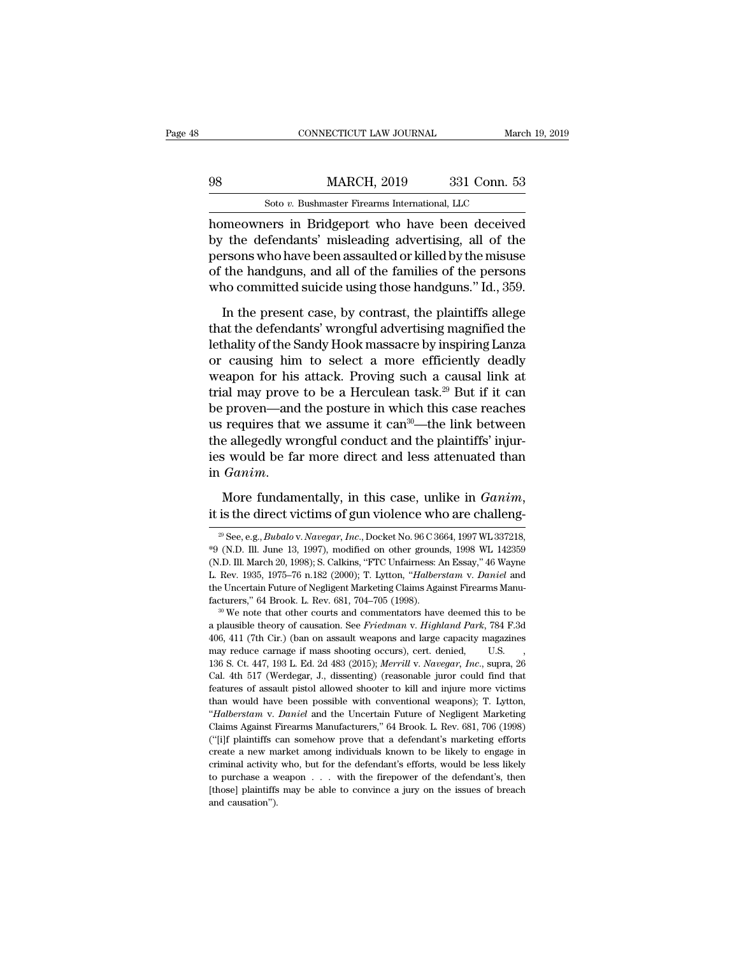# EXERCIT CONNECTICUT LAW JOURNAL March 19, 2019<br>
98 MARCH, 2019 331 Conn. 53<br>
500 v. Bushmaster Firearms International, LLC CONNECTICUT LAW JOURNAL March March March MARCH, 2019 331 Conn. 53<br>Soto *v.* Bushmaster Firearms International, LLC<br>Pers in Bridgeport, who have been deceived

CONNECTICUT LAW JOURNAL March 19, 2019<br>
MARCH, 2019 331 Conn. 53<br>
Soto v. Bushmaster Firearms International, LLC<br>
homeowners in Bridgeport who have been deceived<br>
by the defendants' misleading advertising, all of the MARCH, 2019 331 Conn. 53<br>
Soto v. Bushmaster Firearms International, LLC<br>
homeowners in Bridgeport who have been deceived<br>
by the defendants' misleading advertising, all of the<br>
persons who have been assaulted or killed by 98 MARCH, 2019 331 Conn. 53<br>
soto v. Bushmaster Firearms International, LLC<br>
homeowners in Bridgeport who have been deceived<br>
by the defendants' misleading advertising, all of the<br>
persons who have been assaulted or kille  $\frac{\text{MARCH}}{\text{Soto } v. \text{ Bushmaster Fraarms International, LLC}}$ <br>
homeowners in Bridgeport who have been deceived<br>
by the defendants' misleading advertising, all of the<br>
persons who have been assaulted or killed by the misuse<br>
of the handguns, and all of  $\frac{1}{2}$  Soto *v*. Bushmaster Firearms International, LLC<br>homeowners in Bridgeport who have been deceived<br>by the defendants' misleading advertising, all of the<br>persons who have been assaulted or killed by the misuse<br>of t In the defendants' misleading advertising, all of the resons who have been assaulted or killed by the misuse<br>the handguns, and all of the families of the persons<br>no committed suicide using those handguns." Id., 359.<br>In the that the defendants' misleading advertising, all of the<br>persons who have been assaulted or killed by the misuse<br>of the handguns, and all of the families of the persons<br>who committed suicide using those handguns." Id., 359.

Let the May been assaulted or killed by the misuse<br>of the handguns, and all of the families of the persons<br>who committed suicide using those handguns." Id., 359.<br>In the present case, by contrast, the plaintiffs allege<br>that of the handguns, and all of the families of the persons<br>who committed suicide using those handguns." Id., 359.<br>In the present case, by contrast, the plaintiffs allege<br>that the defendants' wrongful advertising magnified th who committed suicide using those handguns." Id., 359.<br>In the present case, by contrast, the plaintiffs allege<br>that the defendants' wrongful advertising magnified the<br>lethality of the Sandy Hook massacre by inspiring Lanz In the present case, by contrast, the plaintiffs allege<br>that the defendants' wrongful advertising magnified the<br>lethality of the Sandy Hook massacre by inspiring Lanza<br>or causing him to select a more efficiently deadly<br>we In the present case, by contrast, the plaintiffs allege<br>that the defendants' wrongful advertising magnified the<br>lethality of the Sandy Hook massacre by inspiring Lanza<br>or causing him to select a more efficiently deadly<br>we that the defendants' wrongful advertising magnified the<br>lethality of the Sandy Hook massacre by inspiring Lanza<br>or causing him to select a more efficiently deadly<br>weapon for his attack. Proving such a causal link at<br>trial lethality of the Sandy Hook massacre by inspiring Lanza<br>or causing him to select a more efficiently deadly<br>weapon for his attack. Proving such a causal link at<br>trial may prove to be a Herculean task.<sup>29</sup> But if it can<br>be or causing him to select a more efficiently deadly<br>weapon for his attack. Proving such a causal link at<br>trial may prove to be a Herculean task.<sup>29</sup> But if it can<br>be proven—and the posture in which this case reaches<br>us req be proven—and the posture in which this case reaches<br>us requires that we assume it can<sup>30</sup>—the link between<br>the allegedly wrongful conduct and the plaintiffs' injur-<br>ies would be far more direct and less attenuated than<br>i

29 Ganim.<br>
29 See, e.g., *Bubalo* v. *Navegar*, *Inc.*, Docket No. 96 C 3664, 1997 WL 337218,<br>
29 See, e.g., *Bubalo* v. *Navegar*, *Inc.*, Docket No. 96 C 3664, 1997 WL 337218,<br>
(N.D. III. June 13, 1997), modified on othe

More fundamentally, in this case, unlike in  $Ganim$ ,<br>it is the direct victims of gun violence who are challeng-<br><sup>29</sup> See, e.g., *Bubalo* v. *Navegar*, *Inc.*, Docket No. 96 C 3664, 1997 WL 337218,<br><sup>49</sup> (N.D. Ill. June 13, 19 More fundamentally, in this case, unlike in *Ganim*,<br>it is the direct victims of gun violence who are challeng-<br><sup>29</sup> See, e.g., *Bubalo v. Navegar*, *Inc.*, Docket No. 96 C 3664, 1997 WL 337218,<br><sup>49</sup> (N.D. Ill. June 13, 1 it is the direct victims of gun violence who are challeng-<br><sup>29</sup> See, e.g., *Bubalo v. Navegar*, *Inc.*, Docket No. 96 C 3664, 1997 WL 337218,<br><sup>49</sup> (N.D. Ill. June 13, 1997), modified on other grounds, 1998 WL 142359<br>(N.D. The Uncertain Future of Negligent Marketing Claims Against Firearms Manufacturers," 64 Brook. L. Rev. 681, 704–705 (1998). <sup>29</sup> See, e.g., *Bubalo v. Navegar*, *Inc.*, Docket No. 96 C 3664, 1997 WL 337218, \*9 (N.D. Ill. June 13, 1997), modified on other grounds, 1998 WL 142359 (N.D. Ill. March 20, 1998); S. Calkins, "FTC Unfairness: An Essay, a plausible theory of causation. See *Friedman* v. *Highland Park*, 784 F.3d 406, 411 (7th Cir.) (ban on assault weapons and large capacity magazines applausible theory of causation. See *Friedman* v. *Highland Park*, 784 (N.D. Ill. March 20, 1998); S. Calkins, "FTC Unfairness: An Essay," 46 Wayne L. Rev. 1935, 1975–76 n.182 (2000); T. Lytton, "*Halberstam v. Daniel* and the Uncertain Future of Negligent Marketing Claims Against Firearms M

the Uncertain Future of Negligent Marketing Claims Against Firearms Manu-<br>facturers," 64 Brook. L. Rev. 681, 704–705 (1998).<br><sup>30</sup> We note that other courts and commentators have deemed this to be<br>a plausible theory of caus facturers," 64 Brook. L. Rev. 681, 704-705 (1998).<br><sup>30</sup> We note that other courts and commentators have deemed this to be a plausible theory of causation. See *Friedman* v. *Highland Park*, 784 F.3d 406, 411 (7th Cir.) (ba <sup>30</sup> We note that other courts and commentators have deemed this to be a plausible theory of causation. See *Friedman* v. *Highland Park*, 784 F.3d 406, 411 (7th Cir.) (ban on assault weapons and large capacity magazines a plausible theory of causation. See *Friedman* v. *Highland Park*, 784 F.3d 406, 411 (7th Cir.) (ban on assault weapons and large capacity magazines may reduce carnage if mass shooting occurs), cert. denied, U.S. , 136 S 406, 411 (7th Cir.) (ban on assault weapons and large capacity magazines may reduce carnage if mass shooting occurs), cert. denied, U.S. , 136 S. Ct. 447, 193 L. Ed. 2d 483 (2015); *Merrill v. Navegar, Inc.*, supra, 26 Cal <sup>10</sup>, <sup>11</sup> (var. 2017) the Carnage if mass shooting occurs), cert. denied, U.S. , 136 S. Ct. 447, 193 L. Ed. 2d 483 (2015); *Merrill v. Navegar, Inc.*, supra, 26 Cal. 4th 517 (Werdegar, J., dissenting) (reasonable juror co 136 S. Ct. 447, 193 L. Ed. 2d 483 (2015); *Merrill v. Navegar, Inc.*, supra, 26 Cal. 4th 517 (Werdegar, J., dissenting) (reasonable juror could find that features of assault pistol allowed shooter to kill and injure more v Cal. 4th 517 (Werdegar, J., dissenting) (reasonable juror could find that features of assault pistol allowed shooter to kill and injure more victims than would have been possible with conventional weapons); T. Lytton, "Hal cartures of assault pistol allowed shooter to kill and injure more victims<br>than would have been possible with conventional weapons); T. Lytton,<br>"Halberstam v. Daniel and the Uncertain Future of Negligent Marketing<br>Claims A criminal activity who, but for the defendant's efforts, would be likely than would have been possible with conventional weapons); T. Lytton, "*Halberstam* v. *Daniel* and the Uncertain Future of Negligent Marketing Claims "Halberstam v. Daniel and the Uncertain Future of Negligent Marketing Claims Against Firearms Manufacturers," 64 Brook. L. Rev. 681, 706 (1998) ("[i]f plaintiffs can somehow prove that a defendant's marketing efforts crea Claims Against Firearms Manufacturers," 64 Brook. L. Rev. 681, 706 (1998)<br>("[i]f plaintiffs can somehow prove that a defendant's marketing efforts<br>create a new market among individuals known to be likely to engage in<br>crim ("[i]f plaintiffs c<br>create a new main activity<br>create a new main activity<br>to purchase a w<br>[those] plaintiffs<br>and causation").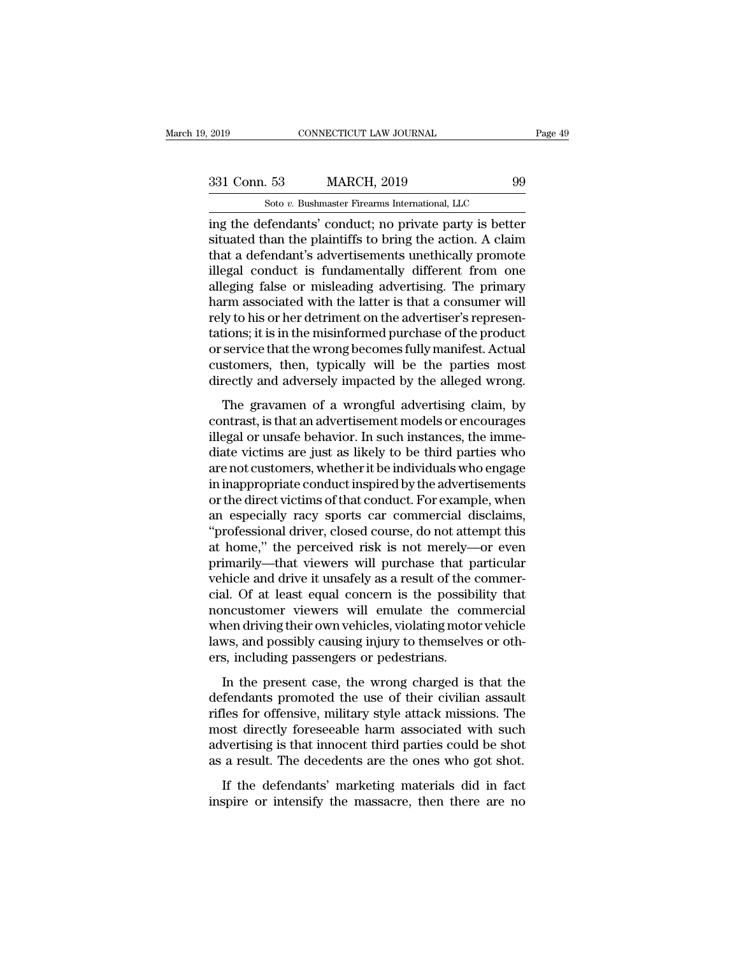| 331 Conn. 53<br><b>MARCH, 2019</b><br>99 |         |
|------------------------------------------|---------|
|                                          |         |
| 2019<br>CONNECTICUT LAW JOURNAL          | Page 49 |

2019 CONNECTICUT LAW JOURNAL Page 49<br>
331 Conn. 53 MARCH, 2019 99<br>
500 v. Bushmaster Firearms International, LLC<br>
ing the defendants' conduct; no private party is better<br>
situated than the plaintiffs to bring the action. A 331 Conn. 53 MARCH, 2019 99<br>Soto v. Bushmaster Firearms International, LLC<br>ing the defendants' conduct; no private party is better<br>situated than the plaintiffs to bring the action. A claim<br>that a defendant's advertisements 331 Conn. 53 MARCH, 2019 99<br>
Soto v. Bushmaster Frearms International, LLC<br>
ing the defendants' conduct; no private party is better<br>
situated than the plaintiffs to bring the action. A claim<br>
that a defendant's advertisem 331 Conn. 53 MARCH, 2019 99<br>
soto v. Bushmaster Firearms International, LLC<br>
ing the defendants' conduct; no private party is better<br>
situated than the plaintiffs to bring the action. A claim<br>
that a defendant's advertise Soto v. Bushmaster Firearms International, LLC<br>ing the defendants' conduct; no private party is better<br>situated than the plaintiffs to bring the action. A claim<br>that a defendant's advertisements unethically promote<br>illegal soto *v*. Bushmaster Freams International, LLC<br>ing the defendants' conduct; no private party is better<br>situated than the plaintiffs to bring the action. A claim<br>that a defendant's advertisements unethically promote<br>illegal ing the defendants' conduct; no private party is better<br>situated than the plaintiffs to bring the action. A claim<br>that a defendant's advertisements unethically promote<br>illegal conduct is fundamentally different from one<br>al situated than the plaintiffs to bring the action. A claim<br>that a defendant's advertisements unethically promote<br>illegal conduct is fundamentally different from one<br>alleging false or misleading advertising. The primary<br>harm that a defendant's advertisements unethically promote<br>illegal conduct is fundamentally different from one<br>alleging false or misleading advertising. The primary<br>harm associated with the latter is that a consumer will<br>rely t illegal conduct is fundamentally different from one<br>alleging false or misleading advertising. The primary<br>harm associated with the latter is that a consumer will<br>rely to his or her detriment on the advertiser's represen-<br>t alleging false or misleading advertising. The primary<br>harm associated with the latter is that a consumer will<br>rely to his or her detriment on the advertiser's represen-<br>tations; it is in the misinformed purchase of the pro In associated with the factor is that a constanter wind<br>ly to his or her detriment on the advertiser's represen-<br>tions; it is in the misinformed purchase of the product<br>service that the wrong becomes fully manifest. Actual cally to has of net definitent on the davertiser stephesen<br>tations; it is in the misinformed purchase of the product<br>or service that the wrong becomes fully manifest. Actual<br>customers, then, typically will be the parties m

attions, it is in the misimboritied parentize of the product<br>or service that the wrong becomes fully manifest. Actual<br>customers, then, typically will be the parties most<br>directly and adversely impacted by the alleged wrong directly and adversely impacted by the alleged wrong.<br>
The gravamen of a wrongful advertising claim, by<br>
contrast, is that an advertisement models or encourages<br>
illegal or unsafe behavior. In such instances, the imme-<br>
di directly and adversely impacted by the alleged wrong.<br>The gravamen of a wrongful advertising claim, by<br>contrast, is that an advertisement models or encourages<br>illegal or unsafe behavior. In such instances, the imme-<br>diate The gravamen of a wrongful advertising claim, by<br>contrast, is that an advertisement models or encourages<br>illegal or unsafe behavior. In such instances, the imme-<br>diate victims are just as likely to be third parties who<br>are The gravamen of a wrongful advertising claim, by<br>contrast, is that an advertisement models or encourages<br>illegal or unsafe behavior. In such instances, the imme-<br>diate victims are just as likely to be third parties who<br>are contrast, is that an advertisement models or encourages<br>illegal or unsafe behavior. In such instances, the imme-<br>diate victims are just as likely to be third parties who<br>are not customers, whether it be individuals who eng illegal or unsafe behavior. In such instances, the immediate victims are just as likely to be third parties who<br>are not customers, whether it be individuals who engage<br>in inappropriate conduct inspired by the advertisement diate victims are just as likely to be third parties who<br>are not customers, whether it be individuals who engage<br>in inappropriate conduct inspired by the advertisements<br>or the direct victims of that conduct. For example, w are not customers, whether it be individuals who engage<br>in inappropriate conduct inspired by the advertisements<br>or the direct victims of that conduct. For example, when<br>an especially racy sports car-commercial disclaims,<br>" in inappropriate conduct inspired by the advertisements<br>or the direct victims of that conduct. For example, when<br>an especially racy sports car-commercial disclaims,<br>"professional driver, closed course, do not attempt this<br> or the direct victims of that conduct. For example, when<br>an especially racy sports car-commercial disclaims,<br>"professional driver, closed course, do not attempt this<br>at home," the perceived risk is not merely—or even<br>prima an especially racy sports car commercial disclaims,<br>"professional driver, closed course, do not attempt this<br>at home," the perceived risk is not merely—or even<br>primarily—that viewers will purchase that particular<br>vehicle a "professional driver, closed course, do not attempt this<br>at home," the perceived risk is not merely—or even<br>primarily—that viewers will purchase that particular<br>vehicle and drive it unsafely as a result of the commer-<br>cial at home," the perceived risk is not merely—or even<br>primarily—that viewers will purchase that particular<br>vehicle and drive it unsafely as a result of the commer-<br>cial. Of at least equal concern is the possibility that<br>noncu primarily—that viewers will purchase that p<br>vehicle and drive it unsafely as a result of the c<br>cial. Of at least equal concern is the possibi<br>noncustomer viewers will emulate the con<br>when driving their own vehicles, violat In the and affect and affect and affect and affect and affect and concern is the possibility that incustomer viewers will emulate the commercial ventile and provide wrong their own vehicles, violating motor vehicle ws, and definite the commercial<br>moncustomer viewers will emulate the commercial<br>when driving their own vehicles, violating motor vehicle<br>laws, and possibly causing injury to themselves or oth-<br>ers, including passengers or pedestri

righted in the conducted when driving their own vehicles, violating motor vehicle<br>laws, and possibly causing injury to themselves or others, including passengers or pedestrians.<br>In the present case, the wrong charged is th most direct diving the form venteres, violating induct ventered laws, and possibly causing injury to themselves or others, including passengers or pedestrians.<br>
In the present case, the wrong charged is that the defendants advertising including in the presention of the electronics.<br>In the present case, the wrong charged is that the<br>defendants promoted the use of their civilian assault<br>rifles for offensive, military style attack missions. The In the present case, the wrong charged is that the<br>defendants promoted the use of their civilian assault<br>rifles for offensive, military style attack missions. The<br>most directly foreseeable harm associated with such<br>adverti In the present etase, the wreng entarged is that the<br>fendants promoted the use of their civilian assault<br>les for offensive, military style attack missions. The<br>ost directly foreseeable harm associated with such<br>vertising i rifles for offensive, military style attack missions. The most directly foreseeable harm associated with such advertising is that innocent third parties could be shot as a result. The decedents are the ones who got shot. I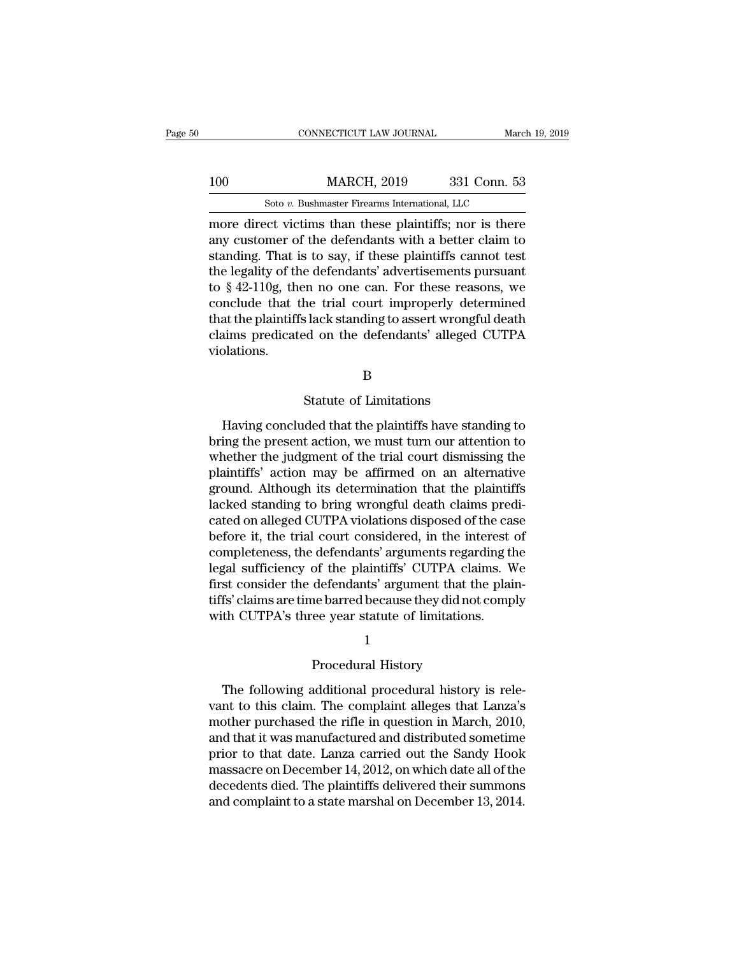|     | CONNECTICUT LAW JOURNAL                                 | March 19, 2019 |
|-----|---------------------------------------------------------|----------------|
| 100 | <b>MARCH, 2019</b>                                      | 331 Conn. 53   |
|     | Soto v. Bushmaster Firearms International, LLC          |                |
|     | more direct victims than these plaintiffs; nor is there |                |

CONNECTICUT LAW JOURNAL March 19, 2019<br>
MARCH, 2019 331 Conn. 53<br>
Soto v. Bushmaster Firearms International, LLC<br>
more direct victims than these plaintiffs; nor is there<br>
any customer of the defendants with a better claim MARCH, 2019 331 Conn. 53<br>
Soto v. Bushmaster Firearms International, LLC<br>
more direct victims than these plaintiffs; nor is there<br>
any customer of the defendants with a better claim to<br>
standing. That is to say, if these p 100 MARCH, 2019 331 Conn. 53<br>
Soto v. Bushmaster Firearms International, LLC<br>
more direct victims than these plaintiffs; nor is there<br>
any customer of the defendants with a better claim to<br>
standing. That is to say, if the 100 MARCH, 2019 331 Conn. 53<br>
Soto v. Bushmaster Firearms International, LLC<br>
more direct victims than these plaintiffs; nor is there<br>
any customer of the defendants with a better claim to<br>
standing. That is to say, if th Soto v. Bushmaster Firearms International, LLC<br>
more direct victims than these plaintiffs; nor is there<br>
any customer of the defendants with a better claim to<br>
standing. That is to say, if these plaintiffs cannot test<br>
th solo v. Bushmaster Firearms international, LLC<br>more direct victims than these plaintiffs; nor is there<br>any customer of the defendants with a better claim to<br>standing. That is to say, if these plaintiffs cannot test<br>the le more direct victims than these plaintiffs; nor is there<br>any customer of the defendants with a better claim to<br>standing. That is to say, if these plaintiffs cannot test<br>the legality of the defendants' advertisements pursua any customer of the defendants with a better claim to<br>standing. That is to say, if these plaintiffs cannot test<br>the legality of the defendants' advertisements pursuant<br>to § 42-110g, then no one can. For these reasons, we<br>c violations. he trial court improperly detes<br>Black standing to assert wrongfu<br>d on the defendants' alleged<br>B<br>Statute of Limitations<br>ded that the plaintiffs have stan

B

having predicated on the defendants' alleged CUTPA<br>
B<br>
Statute of Limitations<br>
Having concluded that the plaintiffs have standing to<br>
ing the present action, we must turn our attention to<br>
acther the judgment of the trial beyondered as a statute of Limitations<br>
B<br>
Statute of Limitations<br>
Having concluded that the plaintiffs have standing to<br>
bring the present action, we must turn our attention to<br>
whether the judgment of the trial court dis B<br>
Statute of Limitations<br>
Having concluded that the plaintiffs have standing to<br>
bring the present action, we must turn our attention to<br>
whether the judgment of the trial court dismissing the<br>
plaintiffs' action may be a B<br>
Statute of Limitations<br>
Having concluded that the plaintiffs have standing to<br>
bring the present action, we must turn our attention to<br>
whether the judgment of the trial court dismissing the<br>
plaintiffs' action may be a Statute of Limitations<br>Having concluded that the plaintiffs have standing to<br>bring the present action, we must turn our attention to<br>whether the judgment of the trial court dismissing the<br>plaintiffs' action may be affirmed Statute of Limitations<br>Having concluded that the plaintiffs have standing to<br>bring the present action, we must turn our attention to<br>whether the judgment of the trial court dismissing the<br>plaintiffs' action may be affirmed Having concluded that the plaintiffs have standing to<br>bring the present action, we must turn our attention to<br>whether the judgment of the trial court dismissing the<br>plaintiffs' action may be affirmed on an alternative<br>grou bring the present action, we must turn our attention to<br>whether the judgment of the trial court dismissing the<br>plaintiffs' action may be affirmed on an alternative<br>ground. Although its determination that the plaintiffs<br>lac whether the judgment of the trial court dismissing the<br>plaintiffs' action may be affirmed on an alternative<br>ground. Although its determination that the plaintiffs<br>lacked standing to bring wrongful death claims predi-<br>cated plaintiffs' action may be affirmed on an alternative<br>ground. Although its determination that the plaintiffs<br>lacked standing to bring wrongful death claims predi-<br>cated on alleged CUTPA violations disposed of the case<br>befor ground. Although its determination that the plaintiffs<br>lacked standing to bring wrongful death claims predi-<br>cated on alleged CUTPA violations disposed of the case<br>before it, the trial court considered, in the interest of<br> lacked standing to bring wrongful death claims predicated on alleged CUTPA violations disposed of the case<br>before it, the trial court considered, in the interest of<br>completeness, the defendants' arguments regarding the<br>leg cated on alleged CUTPA violations disposed of the calendore it, the trial court considered, in the interest completeness, the defendants' arguments regarding the legal sufficiency of the plaintiffs' CUTPA claims. Verificat of the plaintiffs' CUTPA claim<br>defendants' argument that the<br>he barred because they did not<br>ee year statute of limitations.<br>1<br>Procedural History<br>additional procedural history

## 1

fs' claims are time barred because they did not comply<br>
th CUTPA's three year statute of limitations.<br>  $1$ <br>
Procedural History<br>
The following additional procedural history is rele-<br>
nt to this claim. The complaint alleges with CUTPA's three year statute of limitations.<br>
1<br>
Procedural History<br>
The following additional procedural history is rele-<br>
vant to this claim. The complaint alleges that Lanza's<br>
mother purchased the rifle in question i more all the following additional procedural history is relevant to this claim. The complaint alleges that Lanza's mother purchased the rifle in question in March, 2010, and that it was manufactured and distributed sometim 1<br>
Procedural History<br>
The following additional procedural history is rele-<br>
vant to this claim. The complaint alleges that Lanza's<br>
mother purchased the rifle in question in March, 2010,<br>
and that it was manufactured and Procedural History<br>The following additional procedural history is relevant to this claim. The complaint alleges that Lanza's<br>mother purchased the rifle in question in March, 2010,<br>and that it was manufactured and distribut The following additional procedural history is relevant to this claim. The complaint alleges that Lanza's mother purchased the rifle in question in March, 2010, and that it was manufactured and distributed sometime prior t The following additional procedural history is relevant to this claim. The complaint alleges that Lanza's mother purchased the rifle in question in March, 2010, and that it was manufactured and distributed sometime prior t vant to this claim. The complaint alleges that Lanza's<br>mother purchased the rifle in question in March, 2010,<br>and that it was manufactured and distributed sometime<br>prior to that date. Lanza carried out the Sandy Hook<br>massa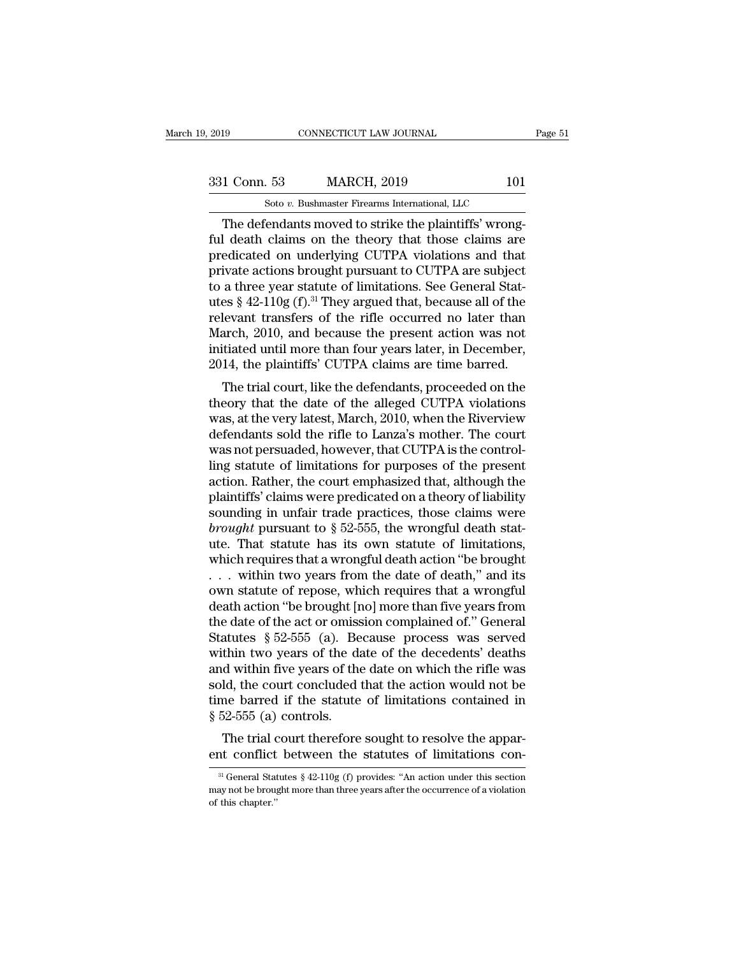|              | Soto v. Bushmaster Firearms International, LLC<br>The defendants moved to strike the plaintiffs' wrong- |     |         |
|--------------|---------------------------------------------------------------------------------------------------------|-----|---------|
| 331 Conn. 53 | <b>MARCH, 2019</b>                                                                                      | 101 |         |
| 2019         | CONNECTICUT LAW JOURNAL                                                                                 |     | Page 51 |
|              |                                                                                                         |     |         |

The defendants moved to strike the plaintiffs' wrong-<br>The defendants moved to strike the plaintiffs' wrong-<br>The defendants moved to strike the plaintiffs' wrong-<br>I death claims on the theory that those claims are<br>odicated Ful death claims on the theory that those claims are<br>predicated on underlying CUTPA violations and that<br>private actions brought pursuant to CUTPA are subject  $\frac{331 \text{ Conn. } 53}{\text{Soto } v. \text{ Bushmaster Firearms International, LLC}}$ <br>The defendants moved to strike the plaintiffs' wrong-<br>ful death claims on the theory that those claims are<br>predicated on underlying CUTPA violations and that<br>private actions brought p 331 Conn. 53 MARCH, 2019 101<br>
Soto v. Bushmaster Firearms International, LLC<br>
The defendants moved to strike the plaintiffs' wrong-<br>
ful death claims on the theory that those claims are<br>
predicated on underlying CUTPA vio 331 Conn. 53 MARCH, 2019 101<br>
Soto v. Bushmaster Firearms International, LLC<br>
The defendants moved to strike the plaintiffs' wrong-<br>
ful death claims on the theory that those claims are<br>
predicated on underlying CUTPA vio soto *v*. Bushmaster Firearms International, LLC<br>
The defendants moved to strike the plaintiffs' wrong-<br>
ful death claims on the theory that those claims are<br>
predicated on underlying CUTPA violations and that<br>
private ac The defendants moved to strike the plaintiffs' wrong-<br>ful death claims on the theory that those claims are<br>predicated on underlying CUTPA violations and that<br>private actions brought pursuant to CUTPA are subject<br>to a thre ful death claims on the theory that those claims are<br>predicated on underlying CUTPA violations and that<br>private actions brought pursuant to CUTPA are subject<br>to a three year statute of limitations. See General Stat-<br>utes § predicated on underlying CUTPA violations and that<br>private actions brought pursuant to CUTPA are subject<br>to a three year statute of limitations. See General Stat-<br>utes § 42-110g (f).<sup>31</sup> They argued that, because all of th private actions brought pursuant to CUTPA are subject<br>to a three year statute of limitations. See General Stat-<br>utes § 42-110g (f).<sup>31</sup> They argued that, because all of the<br>relevant transfers of the rifle occurred no later a three year statute of mintations. See General states  $§$  42-110g (f).<sup>31</sup> They argued that, because all of the levant transfers of the rifle occurred no later than arch, 2010, and because the present action was not tita theory that the date of the rifle occurred no later than<br>March, 2010, and because the present action was not<br>initiated until more than four years later, in December,<br>2014, the plaintiffs' CUTPA claims are time barred.<br>The

relevant transiers of the file occurred no later than<br>March, 2010, and because the present action was not<br>initiated until more than four years later, in December,<br>2014, the plaintiffs' CUTPA claims are time barred.<br>The tri match, 2010, and because the present action was not<br>initiated until more than four years later, in December,<br>2014, the plaintiffs' CUTPA claims are time barred.<br>The trial court, like the defendants, proceeded on the<br>theory mutated until note than four years fater, in December,<br>2014, the plaintiffs' CUTPA claims are time barred.<br>The trial court, like the defendants, proceeded on the<br>theory that the date of the alleged CUTPA violations<br>was, at 2014, the plantifilis COTTA claims are three barred.<br>The trial court, like the defendants, proceeded on the<br>theory that the date of the alleged CUTPA violations<br>was, at the very latest, March, 2010, when the Riverview<br>defe The trial court, like the defendants, proceeded on the<br>theory that the date of the alleged CUTPA violations<br>was, at the very latest, March, 2010, when the Riverview<br>defendants sold the rifle to Lanza's mother. The court<br>wa theory that the date of the alleged CUTPA violations<br>was, at the very latest, March, 2010, when the Riverview<br>defendants sold the rifle to Lanza's mother. The court<br>was not persuaded, however, that CUTPA is the control-<br>li was, at the very latest, March, 2010, when the Riverview<br>defendants sold the rifle to Lanza's mother. The court<br>was not persuaded, however, that CUTPA is the control-<br>ling statute of limitations for purposes of the presen defendants sold the rifle to Lanza's mother. The court<br>was not persuaded, however, that CUTPA is the control-<br>ling statute of limitations for purposes of the present<br>action. Rather, the court emphasized that, although the<br> was not persuaded, however, that CUTPA is the controlling statute of limitations for purposes of the present action. Rather, the court emphasized that, although the plaintiffs' claims were predicated on a theory of liabil ling statute of limitations for purposes of the present<br>action. Rather, the court emphasized that, although the<br>plaintiffs' claims were predicated on a theory of liability<br>sounding in unfair trade practices, those claims action. Rather, the court emphasized that, although the plaintiffs' claims were predicated on a theory of liability sounding in unfair trade practices, those claims were *brought* pursuant to § 52-555, the wrongful death s plaintiffs' claims were predicated on a theory of liability<br>sounding in unfair trade practices, those claims were<br>*brought* pursuant to  $\S$  52-555, the wrongful death stat-<br>ute. That statute has its own statute of limitat sounding in unfair trade practices, those claims were<br>brought pursuant to § 52-555, the wrongful death stat-<br>ute. That statute has its own statute of limitations,<br>which requires that a wrongful death action "be brought<br> $\d$ brought pursuant to  $\S$  52-555, the wrongful death stat-<br>ute. That statute has its own statute of limitations,<br>which requires that a wrongful death action "be brought<br>... within two years from the date of death," and its<br> ute. That statute has its own statute of limitations,<br>which requires that a wrongful death action "be brought<br>... within two years from the date of death," and its<br>own statute of repose, which requires that a wrongful<br>deat which requires that a wrongful death action "be brought<br>  $\dots$  within two years from the date of death," and its<br>
own statute of repose, which requires that a wrongful<br>
death action "be brought [no] more than five years fr ... within two years from the date of death," and its<br>own statute of repose, which requires that a wrongful<br>death action "be brought [no] more than five years from<br>the date of the act or omission complained of." General<br>S own statute of repose, which requires that a wrongful<br>death action "be brought [no] more than five years from<br>the date of the act or omission complained of." General<br>Statutes § 52-555 (a). Because process was served<br>within death action "be brought [no] more than five years from<br>the date of the act or omission complained of." General<br>Statutes  $\S 52-555$  (a). Because process was served<br>within two years of the date of the decedents' deaths<br>and the date of the act or omiss<br>Statutes  $\S$  52-555 (a). Be<br>within two years of the da<br>and within five years of the<br>sold, the court concluded<br>time barred if the statute<br> $\S$  52-555 (a) controls.<br>The trial court therefore atures 8 52-555 (a). Because process was served<br>thin two years of the date of the decedents' deaths<br>d within five years of the date on which the rifle was<br>ld, the court concluded that the action would not be<br>me barred if t whill two years of the date of the decedents deaths<br>and within five years of the date on which the rifle was<br>sold, the court concluded that the action would not be<br>time barred if the statute of limitations contained in<br>§

52-555 (a) controls.<br>
The trial court therefore sought to resolve the appar-<br>
and conflict between the statutes of limitations con-<br>
a General Statutes § 42-110g (f) provides: "An action under this section<br>
ay not be brou

The trial court therefore sought to resolve the apparent conflict between the statutes of limitations con-<br><sup>31</sup> General Statutes § 42-110g (f) provides: "An action under this section may not be brought more than three yea The trial conflict<br>
ant conflict<br>
a<sub>1</sub> General Stat<br>
may not be broug<br>
of this chapter."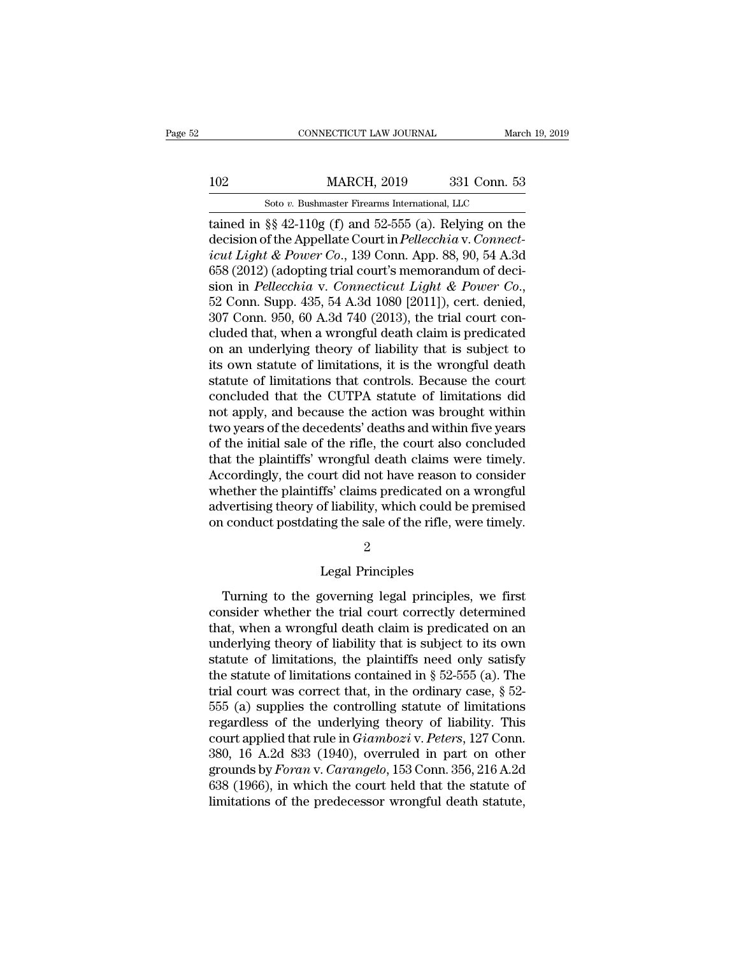# EXECUTE CONNECTICUT LAW JOURNAL March 19, 2019<br>102 MARCH, 2019 331 Conn. 53<br>500 v. Bushmaster Firearms International, LLC CONNECTICUT LAW JOURNAL March March March MARCH, 2019 331 Conn. 53<br>Soto *v.* Bushmaster Firearms International, LLC<br>88 42-110g (f) and 52-555 (a). Relying on the

CONNECTICUT LAW JOURNAL March 19, 2019<br>
102 MARCH, 2019 331 Conn. 53<br>
500 v. Bushmaster Firearms International, LLC<br>
tained in §§ 42-110g (f) and 52-555 (a). Relying on the<br>
decision of the Appellate Court in Pellecchia v. decision of the Appellate Court's momentum of docination of the Appellate Court in *Pellecchia* v. *Connect-*<br> *Court Light & Power Co.*, 139 Conn. App. 88, 90, 54 A.3d 658 (2012) (adopting trial court's momentum of docine MARCH, 2019 331 Conn. 53<br>
Soto v. Bushmaster Firearms International, LLC<br>
tained in §§ 42-110g (f) and 52-555 (a). Relying on the<br>
decision of the Appellate Court in *Pellecchia* v. *Connect-*<br>
civent Light & Power Co., 13 MARCH, 2019 331 Conn. 53<br>
Soto v. Bushmaster Firearms International, LLC<br>
tained in §§ 42-110g (f) and 52-555 (a). Relying on the<br>
decision of the Appellate Court in *Pellecchia v. Connect-*<br>
civil Light & Power Co., 139 C soto *v.* Bushmaster Firearms International, LLC<br>tained in §§ 42-110g (f) and 52-555 (a). Relying on the<br>decision of the Appellate Court in *Pellecchia* v. *Connect-*<br>icut Light & Power Co., 139 Conn. App. 88, 90, 54 A.3d<br> tained in §§ 42-110g (f) and 52-555 (a). Relying on the decision of the Appellate Court in *Pellecchia v. Connect-*<br>*icut Light & Power Co.*, 139 Conn. App. 88, 90, 54 A.3d<br>658 (2012) (adopting trial court's memorandum of decision of the Appellate Court in *Pellecchia v. Connect-*<br>icut Light & Power Co., 139 Conn. App. 88, 90, 54 A.3d<br>658 (2012) (adopting trial court's memorandum of deci-<br>sion in *Pellecchia v. Connecticut Light & Power Co.* icut Light & Power Co., 139 Conn. App. 88, 90, 54 A.3d<br>658 (2012) (adopting trial court's memorandum of deci-<br>sion in Pellecchia v. Connecticut Light & Power Co.,<br>52 Conn. Supp. 435, 54 A.3d 1080 [2011]), cert. denied,<br>30 658 (2012) (adopting trial court's memorandum of decision in *Pellecchia* v. *Connecticut Light & Power Co.*, 52 Conn. Supp. 435, 54 A.3d 1080 [2011]), cert. denied, 307 Conn. 950, 60 A.3d 740 (2013), the trial court conc sion in *Pellecchia* v. *Connecticut Light* & *Power Co.*, 52 Conn. Supp. 435, 54 A.3d 1080 [2011]), cert. denied, 307 Conn. 950, 60 A.3d 740 (2013), the trial court concluded that, when a wrongful death claim is predicat 52 Conn. Supp. 435, 54 A.3d 1080 [2011]), cert. denied,<br>307 Conn. 950, 60 A.3d 740 (2013), the trial court con-<br>cluded that, when a wrongful death claim is predicated<br>on an underlying theory of liability that is subject to 307 Conn. 950, 60 A.3d 740 (2013), the trial court concluded that, when a wrongful death claim is predicated<br>on an underlying theory of liability that is subject to<br>its own statute of limitations, it is the wrongful death<br> cluded that, when a wrongful death claim is predicated<br>on an underlying theory of liability that is subject to<br>its own statute of limitations, it is the wrongful death<br>statute of limitations that controls. Because the cour on an underlying theory of liability that is subject to<br>its own statute of limitations, it is the wrongful death<br>statute of limitations that controls. Because the court<br>concluded that the CUTPA statute of limitations did<br>n its own statute of limitations, it is the wrongful death<br>statute of limitations that controls. Because the court<br>concluded that the CUTPA statute of limitations did<br>not apply, and because the action was brought within<br>two statute of limitations that controls. Because the court<br>concluded that the CUTPA statute of limitations did<br>not apply, and because the action was brought within<br>two years of the decedents' deaths and within five years<br>of t concluded that the CUTPA statute of limitations did<br>not apply, and because the action was brought within<br>two years of the decedents' deaths and within five years<br>of the initial sale of the rifle, the court also concluded<br>t not apply, and because the action was brought within<br>two years of the decedents' deaths and within five years<br>of the initial sale of the rifle, the court also concluded<br>that the plaintiffs' wrongful death claims were timel two years of the decedents' deaths and within five years<br>of the initial sale of the rifle, the court also concluded<br>that the plaintiffs' wrongful death claims were timely.<br>Accordingly, the court did not have reason to cons urt did not have reason to<br>ffs' claims predicated on a<br>of liability, which could be<br>ing the sale of the rifle, we<br>2<br>Legal Principles<br>governing legal principles

## 2

vertising theory of liability, which could be premised<br>
conduct postdating the sale of the rifle, were timely.<br>
2<br>
Legal Principles<br>
Turning to the governing legal principles, we first<br>
nsider whether the trial court corre on conduct postdating the sale of the rifle, were timely.<br>
<sup>2</sup><br>
Legal Principles<br>
Turning to the governing legal principles, we first<br>
consider whether the trial court correctly determined<br>
that, when a wrongful death clai 2<br>Legal Principles<br>Turning to the governing legal principles, we first<br>consider whether the trial court correctly determined<br>that, when a wrongful death claim is predicated on an<br>underlying theory of liability that is subj Legal Principles<br>
Turning to the governing legal principles, we first<br>
consider whether the trial court correctly determined<br>
that, when a wrongful death claim is predicated on an<br>
underlying theory of liability that is s Legal Principles<br>Turning to the governing legal principles, we first<br>consider whether the trial court correctly determined<br>that, when a wrongful death claim is predicated on an<br>underlying theory of liability that is subje Turning to the governing legal principles, we first<br>consider whether the trial court correctly determined<br>that, when a wrongful death claim is predicated on an<br>underlying theory of liability that is subject to its own<br>sta Turning to the governing legal principles, we first<br>consider whether the trial court correctly determined<br>that, when a wrongful death claim is predicated on an<br>underlying theory of liability that is subject to its own<br>sta consider whether the trial court correctly determined<br>that, when a wrongful death claim is predicated on an<br>underlying theory of liability that is subject to its own<br>statute of limitations, the plaintiffs need only satisf that, when a wrongful death claim is predicated on an underlying theory of liability that is subject to its own<br>statute of limitations, the plaintiffs need only satisfy<br>the statute of limitations contained in § 52-555 (a) underlying theory of liability that is subject to its own<br>statute of limitations, the plaintiffs need only satisfy<br>the statute of limitations contained in § 52-555 (a). The<br>trial court was correct that, in the ordinary cas statute of limitations, the plaintiffs need only satisfy<br>the statute of limitations contained in § 52-555 (a). The<br>trial court was correct that, in the ordinary case, § 52-<br>555 (a) supplies the controlling statute of limi the statute of limitations contained in § 52-555 (a). The<br>trial court was correct that, in the ordinary case, § 52-<br>555 (a) supplies the controlling statute of limitations<br>regardless of the underlying theory of liability. trial court was correct that, in the ordinary case,  $\S$  52-555 (a) supplies the controlling statute of limitations regardless of the underlying theory of liability. This court applied that rule in *Giambozi* v. *Peters*, 555 (a) supplies the controlling statute of limitations regardless of the underlying theory of liability. This court applied that rule in *Giambozi* v. *Peters*, 127 Conn. 380, 16 A.2d 833 (1940), overruled in part on oth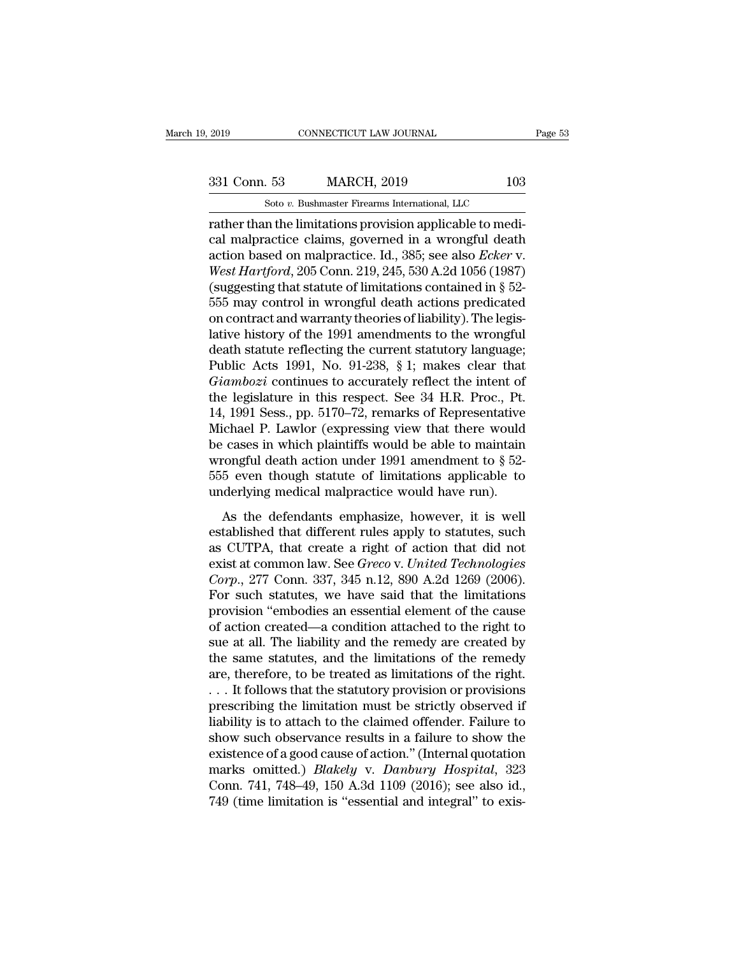2019 CONNECTICUT LAW JOURNAL Page 53<br>331 Conn. 53 MARCH, 2019 103<br>500 v. Bushmaster Firearms International, LLC

CONNECTICUT LAW JOURNAL<br>
Soto *v.* Bushmaster Firearms International, LLC<br>
In the limitations provision applicable to medirather than the limitations provision applicable to medical malpractice claims, governed in a wrongful death<br>action based on malpractice  $\frac{1}{2}$ . 331 Conn. 53 MARCH, 2019 103<br>
Soto v. Bushmaster Firearms International, LLC<br>
Trather than the limitations provision applicable to medical<br>
malpractice claims, governed in a wrongful death<br>
action based on malpractice. Id 331 Conn. 53 MARCH, 2019 103<br>
Soto *v*. Bushmaster Firearms International, LLC<br>
rather than the limitations provision applicable to medi-<br>
cal malpractice claims, governed in a wrongful death<br>
action based on malpractice. <sup>331</sup> Conn. 53 MARCH, 2019 103<br>
<sup>53</sup> Soto *v*. Bushmaster Firearms International, LLC<br> **Trather than the limitations provision applicable to medical malpractice claims, governed in a wrongful death<br>
action based on malprac** Soto v. Bushmaster Firearms International, LLC<br>
rather than the limitations provision applicable to medi-<br>
cal malpractice claims, governed in a wrongful death<br>
action based on malpractice. Id., 385; see also *Ecker* v.<br> sofo v. Bushmaster Firearms international, LLC<br>
rather than the limitations provision applicable to medi-<br>
cal malpractice claims, governed in a wrongful death<br>
action based on malpractice. Id., 385; see also *Ecker* v.<br> rather than the limitations provision applicable to medical malpractice claims, governed in a wrongful death<br>action based on malpractice. Id., 385; see also *Ecker v.*<br>West Hartford, 205 Conn. 219, 245, 530 A.2d 1056 (1987 cal malpractice claims, governed in a wrongful death<br>action based on malpractice. Id., 385; see also *Ecker* v.<br>West Hartford, 205 Conn. 219, 245, 530 A.2d 1056 (1987)<br>(suggesting that statute of limitations contained in action based on malpractice. Id., 385; see also *Ecker* v.<br>West Hartford, 205 Conn. 219, 245, 530 A.2d 1056 (1987)<br>(suggesting that statute of limitations contained in § 52-<br>555 may control in wrongful death actions predi *West Hartford*, 205 Conn. 219, 245, 530 A.2d 1056 (1987)<br>(suggesting that statute of limitations contained in § 52-<br>555 may control in wrongful death actions predicated<br>on contract and warranty theories of liability). Th (suggesting that statute of limitations contained in  $\S$  52-<br>555 may control in wrongful death actions predicated<br>on contract and warranty theories of liability). The legis-<br>lative history of the 1991 amendments to the wr 555 may control in wrongful death actions predicated<br>on contract and warranty theories of liability). The legis-<br>lative history of the 1991 amendments to the wrongful<br>death statute reflecting the current statutory language on contract and warranty theories of liability). The legislative history of the 1991 amendments to the wrongful death statute reflecting the current statutory language; Public Acts 1991, No. 91-238, § 1; makes clear that lative history of the 1991 amendments to the wrongful<br>death statute reflecting the current statutory language;<br>Public Acts 1991, No. 91-238, § 1; makes clear that<br> $Giambozi$  continues to accurately reflect the intent of<br>the l death statute reflecting the current statutory language;<br>Public Acts 1991, No. 91-238, § 1; makes clear that<br>*Giambozi* continues to accurately reflect the intent of<br>the legislature in this respect. See 34 H.R. Proc., Pt. Public Acts 1991, No. 91-238, § 1; makes clear that *Giambozi* continues to accurately reflect the intent of the legislature in this respect. See 34 H.R. Proc., Pt. 14, 1991 Sess., pp. 5170–72, remarks of Representative M Giambozi continues to accurately reflect the intent of<br>the legislature in this respect. See 34 H.R. Proc., Pt.<br>14, 1991 Sess., pp. 5170–72, remarks of Representative<br>Michael P. Lawlor (expressing view that there would<br>be the legislature in this respect. See 34 H.R. Proc., Pt.<br>14, 1991 Sess., pp. 5170–72, remarks of Representative<br>Michael P. Lawlor (expressing view that there would<br>be cases in which plaintiffs would be able to maintain<br>wron As the defendants emphasize, however, it is well<br>the defendant of the defendant cases in which plaintiffs would be able to maintain<br>congful death action under 1991 amendment to § 52-<br>5 even though statute of limitations a be cases in which plaintiffs would be able to maintain<br>wrongful death action under 1991 amendment to  $\S$  52-<br>555 even though statute of limitations applicable to<br>underlying medical malpractice would have run).<br>As the defe

as Currely death action under 1991 amendment to  $\S$  52-<br>555 even though statute of limitations applicable to<br>underlying medical malpractice would have run).<br>As the defendants emphasize, however, it is well<br>established tha exist at a case and the common distribution of the underlying medical malpractice would have run).<br>As the defendants emphasize, however, it is well<br>established that different rules apply to statutes, such<br>as CUTPA, that cr *Corp.* 277 Connellate State of minimizing approaches to underlying medical malpractice would have run).<br>As the defendants emphasize, however, it is well established that different rules apply to statutes, such as CUTPA, t As the defendants emphasize, however, it is well<br>established that different rules apply to statutes, such<br>as CUTPA, that create a right of action that did not<br>exist at common law. See *Greco* v. *United Technologies*<br>*Cor* As the defendants emphasize, however, it is well<br>established that different rules apply to statutes, such<br>as CUTPA, that create a right of action that did not<br>exist at common law. See *Greco* v. *United Technologies*<br>*Cor* established that different rules apply to statutes, such<br>as CUTPA, that create a right of action that did not<br>exist at common law. See *Greco* v. *United Technologies*<br>*Corp.*, 277 Conn. 337, 345 n.12, 890 A.2d 1269 (2006) as CUTPA, that create a right of action that did not<br>exist at common law. See *Greco* v. *United Technologies*<br>*Corp.*, 277 Conn. 337, 345 n.12, 890 A.2d 1269 (2006).<br>For such statutes, we have said that the limitations<br>p exist at common law. See *Greco* v. *United Technologies Corp.*, 277 Conn. 337, 345 n.12, 890 A.2d 1269 (2006).<br>For such statutes, we have said that the limitations provision "embodies an essential element of the cause Corp., 277 Conn. 337, 345 n.12, 890 A.2d 1269 (2006).<br>For such statutes, we have said that the limitations<br>provision "embodies an essential element of the cause<br>of action created—a condition attached to the right to<br>sue a For such statutes, we have said that the limitations<br>provision "embodies an essential element of the cause<br>of action created—a condition attached to the right to<br>sue at all. The liability and the remedy are created by<br>the provision "embodies an essential element of the cause<br>of action created—a condition attached to the right to<br>sue at all. The liability and the remedy are created by<br>the same statutes, and the limitations of the remedy<br>are of action created—a condition attached to the right to<br>sue at all. The liability and the remedy are created by<br>the same statutes, and the limitations of the remedy<br>are, therefore, to be treated as limitations of the right. sue at all. The liability and the remedy are created by<br>the same statutes, and the limitations of the remedy<br>are, therefore, to be treated as limitations of the right.<br>... It follows that the statutory provision or provis the same statutes, and the limitations of the remedy<br>are, therefore, to be treated as limitations of the right.<br>... It follows that the statutory provision or provisions<br>prescribing the limitation must be strictly observe are, therefore, to be treated as limitations of the right.<br>
... It follows that the statutory provision or provisions<br>
prescribing the limitation must be strictly observed if<br>
liability is to attach to the claimed offender ... It follows that the statutory provision or provisions<br>prescribing the limitation must be strictly observed if<br>liability is to attach to the claimed offender. Failure to<br>show such observance results in a failure to show prescribing the limitation must be strictly observed if<br>liability is to attach to the claimed offender. Failure to<br>show such observance results in a failure to show the<br>existence of a good cause of action." (Internal quota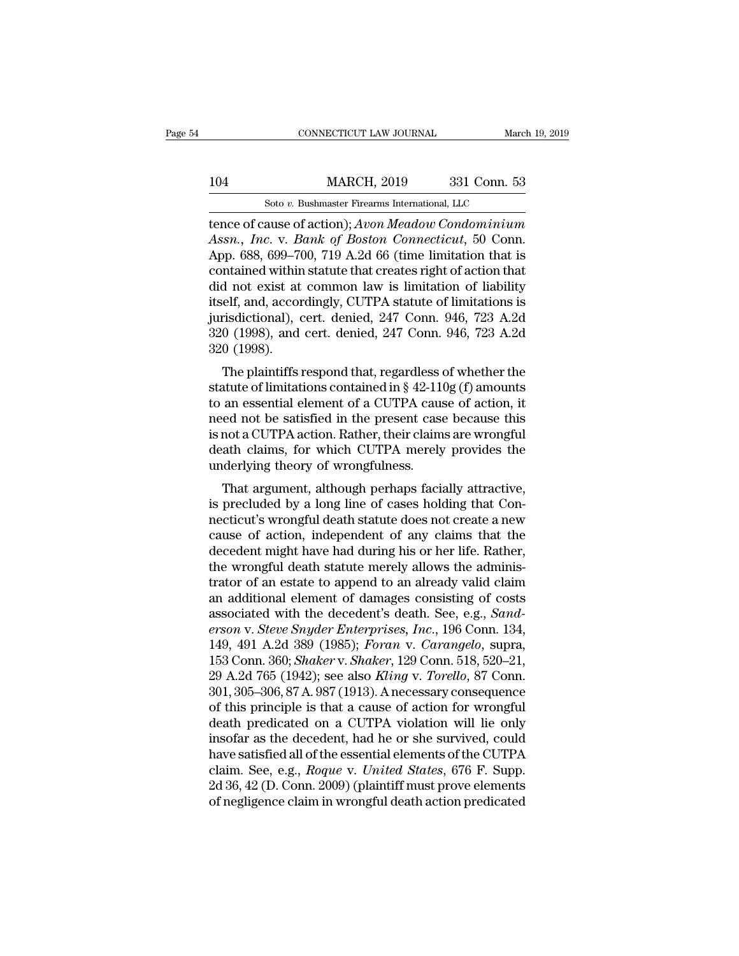# EXERCIT CONNECTICUT LAW JOURNAL March 19, 2019<br>104 MARCH, 2019 331 Conn. 53<br>500 v. Bushmaster Firearms International, LLC CONNECTICUT LAW JOURNAL March March March MARCH, 2019 331 Conn. 53<br>Soto *v.* Bushmaster Firearms International, LLC<br>ause of action): Avon Meadow Condominium

THE CONNECTICUT LAW JOURNAL March 19, 2019<br>
104 MARCH, 2019 331 Conn. 53<br>
5000 v. Bushmaster Firearms International, LLC<br>
tence of cause of action); *Avon Meadow Condominium*<br> *Assn., Inc.* v. *Bank of Boston Connecticut*, *Assn., Inc. v. Bushmaster Firearms International, LLC*<br>*Assn., Inc. v. Bank of Boston Connecticut, 50 Conn.*<br>*Assn., Inc. v. Bank of Boston Connecticut, 50 Conn.*<br>*App. 688, 699–700, 719 A.2d 66 (time limitation that is*<br> MARCH, 2019 331 Conn. 53<br>
Soto v. Bushmaster Firearms International, LLC<br>
tence of cause of action); Avon Meadow Condominium<br>
Assn., Inc. v. Bank of Boston Connecticut, 50 Conn.<br>
App. 688, 699–700, 719 A.2d 66 (time limita 104 MARCH, 2019 331 Conn. 53<br>
Soto v. Bushmaster Firearms International, LLC<br>
tence of cause of action); Avon Meadow Condominium<br>
Assn., Inc. v. Bank of Boston Connecticut, 50 Conn.<br>
App. 688, 699–700, 719 A.2d 66 (time l Soto v. Bushmaster Firearms International, LLC<br>tence of cause of action); Avon Meadow Condominium<br>Assn., Inc. v. Bank of Boston Connecticut, 50 Conn.<br>App. 688, 699–700, 719 A.2d 66 (time limitation that is<br>contained withi soto v. Bushmaster Firearms international, LLC<br>tence of cause of action); Avon Meadow Condominium<br>Assn., Inc. v. Bank of Boston Connecticut, 50 Conn.<br>App. 688, 699–700, 719 A.2d 66 (time limitation that is<br>contained withi tence of cause of action); Avon Meadow Condominium<br>Assn., Inc. v. Bank of Boston Connecticut, 50 Conn.<br>App. 688, 699–700, 719 A.2d 66 (time limitation that is<br>contained within statute that creates right of action that<br>did Assn., Inc. v. Bank of Boston Connecticut, 50 Conn.<br>App. 688, 699–700, 719 A.2d 66 (time limitation that is<br>contained within statute that creates right of action that<br>did not exist at common law is limitation of liability<br> App. 688, 699–70<br>contained withir<br>did not exist at<br>itself, and, accor<br>jurisdictional), c<br>320 (1998), and<br>320 (1998).<br>The plaintiffs : In anteur within statute that creates right or action that<br>d not exist at common law is limitation of liability<br>elf, and, accordingly, CUTPA statute of limitations is<br>risdictional), cert. denied, 247 Conn. 946, 723 A.2d<br>0 itself, and, accordingly, CUTPA statute of limitations is<br>jurisdictional), cert. denied, 247 Conn. 946, 723 A.2d<br>320 (1998), and cert. denied, 247 Conn. 946, 723 A.2d<br>320 (1998).<br>The plaintiffs respond that, regardless of

the method and sectional), cert. denied, 247 Conn. 946, 723 A.2d<br>320 (1998), and cert. denied, 247 Conn. 946, 723 A.2d<br>320 (1998).<br>The plaintiffs respond that, regardless of whether the<br>statute of limitations contained in net satisfied in the present case because the statute of limitations contained in § 42-110g (f) amounts to an essential element of a CUTPA cause of action, it need not be satisfied in the present case because this is not  $520$  (1998), and cert. denied,  $247$  Collit. 940,  $725$  A.2d<br>320 (1998).<br>The plaintiffs respond that, regardless of whether the<br>statute of limitations contained in § 42-110g (f) amounts<br>to an essential element of a CUTPA  $320$  (1990).<br>The plaintiffs respond that, regardless of whether the<br>statute of limitations contained in § 42-110g (f) amounts<br>to an essential element of a CUTPA cause of action, it<br>need not be satisfied in the present ca The plaintiffs respond that, regardless statute of limitations contained in § 42-11 to an essential element of a CUTPA cause need not be satisfied in the present case is not a CUTPA action. Rather, their claim death claims and essential element of a CUTPA cause of action, it<br>an essential element of a CUTPA cause of action, it<br>ed not be satisfied in the present case because this<br>not a CUTPA action. Rather, their claims are wrongful<br>ath claims is an essential element of a COTTA cause of action, it<br>need not be satisfied in the present case because this<br>is not a CUTPA action. Rather, their claims are wrongful<br>death claims, for which CUTPA merely provides the<br>under

need not be satisfied in the present case because this<br>is not a CUTPA action. Rather, their claims are wrongful<br>death claims, for which CUTPA merely provides the<br>underlying theory of wrongfulness.<br>That argument, although p is not a COTI Aaction. Kather, their claims are wronguli<br>death claims, for which CUTPA merely provides the<br>underlying theory of wrongfulness.<br>That argument, although perhaps facially attractive,<br>is precluded by a long line death claims, for which COTTA hierery provides the<br>underlying theory of wrongfulness.<br>That argument, although perhaps facially attractive,<br>is precluded by a long line of cases holding that Con-<br>necticut's wrongful death st That argument, although perhaps facially attractive,<br>is precluded by a long line of cases holding that Con-<br>necticut's wrongful death statute does not create a new<br>cause of action, independent of any claims that the<br>decede That argument, although perhaps facially attractive,<br>is precluded by a long line of cases holding that Con-<br>necticut's wrongful death statute does not create a new<br>cause of action, independent of any claims that the<br>decede is precluded by a long line of cases holding that Connecticut's wrongful death statute does not create a new cause of action, independent of any claims that the decedent might have had during his or her life. Rather, the w necticut's wrongful death statute does not create a new<br>cause of action, independent of any claims that the<br>decedent might have had during his or her life. Rather,<br>the wrongful death statute merely allows the adminis-<br>trat cause of action, independent of any claims that the<br>decedent might have had during his or her life. Rather,<br>the wrongful death statute merely allows the adminis-<br>trator of an estate to append to an already valid claim<br>an a decedent might have had during his or her life. Rather,<br>the wrongful death statute merely allows the adminis-<br>trator of an estate to append to an already valid claim<br>an additional element of damages consisting of costs<br>ass the wrongful death statute merely allows the administrator of an estate to append to an already valid claim<br>an additional element of damages consisting of costs<br>associated with the decedent's death. See, e.g., *Sand-*<br>*ers* trator of an estate to append to an already valid claim<br>an additional element of damages consisting of costs<br>associated with the decedent's death. See, e.g., *Sand-<br>erson v. Steve Snyder Enterprises, Inc.*, 196 Conn. 134,<br> an additional element of damages consisting of costs<br>associated with the decedent's death. See, e.g., *Sand-*<br>erson v. *Steve Snyder Enterprises, Inc.*, 196 Conn. 134,<br>149, 491 A.2d 389 (1985); *Foran v. Carangelo*, supra, associated with the decedent's death. See, e.g., *Sand-*<br>erson v. *Steve Snyder Enterprises*, *Inc.*, 196 Conn. 134,<br>149, 491 A.2d 389 (1985); *Foran v. Carangelo*, supra,<br>153 Conn. 360; *Shaker v. Shaker*, 129 Conn. 518, erson v. Steve Snyder Enterprises, Inc., 196 Conn. 134,<br>149, 491 A.2d 389 (1985); Foran v. Carangelo, supra,<br>153 Conn. 360; Shaker v. Shaker, 129 Conn. 518, 520–21,<br>29 A.2d 765 (1942); see also Kling v. Torello, 87 Conn.<br>3 149, 491 A.2d 389 (1985); *Foran v. Carangelo*, supra, 153 Conn. 360; *Shaker v. Shaker*, 129 Conn. 518, 520–21, 29 A.2d 765 (1942); see also *Kling v. Torello*, 87 Conn. 301, 305–306, 87 A. 987 (1913). A necessary conseq 153 Conn. 360; *Shaker* v. *Shaker*, 129 Conn. 518, 520–21,<br>29 A.2d 765 (1942); see also *Kling* v. *Torello*, 87 Conn.<br>301, 305–306, 87 A. 987 (1913). A necessary consequence<br>of this principle is that a cause of action f 29 A.2d 765 (1942); see also *Kling* v. *Torello*, 87 Conn.<br>301, 305–306, 87 A. 987 (1913). A necessary consequence<br>of this principle is that a cause of action for wrongful<br>death predicated on a CUTPA violation will lie on 301, 305–306, 87 A. 987 (1913). A necessary consequence<br>of this principle is that a cause of action for wrongful<br>death predicated on a CUTPA violation will lie only<br>insofar as the decedent, had he or she survived, could<br>ha of this principle is that a cause of action for wrongful death predicated on a CUTPA violation will lie only insofar as the decedent, had he or she survived, could have satisfied all of the essential elements of the CUTPA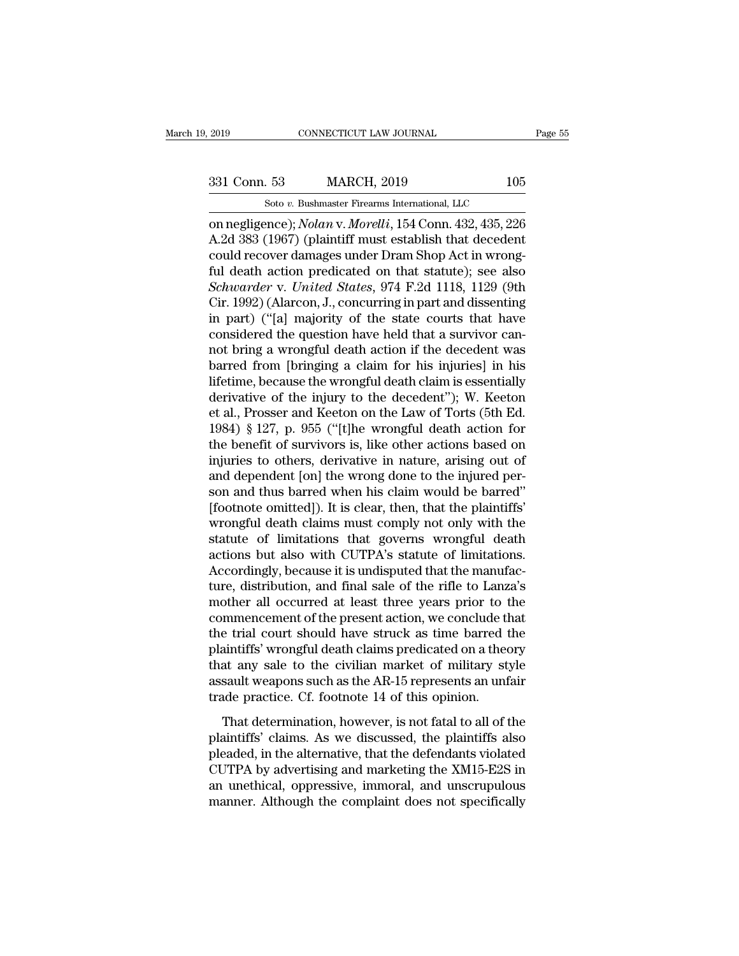# 2019 CONNECTICUT LAW JOURNAL Page 55<br>331 Conn. 53 MARCH, 2019 105<br>500 v. Bushmaster Firearms International, LLC

CONNECTICUT LAW JOURNAL<br>
Soto *v.* Bushmaster Firearms International, LLC<br>
Pnce ): *Nolan v. Morelli.* 154 Conn. 432, 435, 226 on 2019 CONNECTICUT LAW JOURNAL Page 55<br>
331 Conn. 53 MARCH, 2019 105<br>
500 v. Bushmaster Firearms International, LLC<br>
on negligence); *Nolan* v. *Morelli*, 154 Conn. 432, 435, 226<br>
A.2d 383 (1967) (plaintiff must establish 331 Conn. 53 MARCH, 2019 105<br>
Soto v. Bushmaster Firearms International, LLC<br>
on negligence); *Nolan v. Morelli*, 154 Conn. 432, 435, 226<br>
A.2d 383 (1967) (plaintiff must establish that decedent<br>
could recover damages unde 331 Conn. 53 MARCH, 2019 105<br>
Soto v. Bushmaster Firearms International, LLC<br>
on negligence); *Nolan v. Morelli*, 154 Conn. 432, 435, 226<br>
A.2d 383 (1967) (plaintiff must establish that decedent<br>
could recover damages und 331 Conn. 53 MARCH, 2019 105<br>
soto v. Bushmaster Firearms International, LLC<br>
on negligence); *Nolan v. Morelli*, 154 Conn. 432, 435, 226<br>
A.2d 383 (1967) (plaintiff must establish that decedent<br>
could recover damages und Soto *v.* Bushmaster Firearms International, LLC<br>
on negligence); *Nolan v. Morelli*, 154 Conn. 432, 435, 226<br>
A.2d 383 (1967) (plaintiff must establish that decedent<br>
could recover damages under Dram Shop Act in wrong-<br>
f soto *v.* Bushmaster Freams international, LLC<br>
on negligence); *Nolan v. Morelli*, 154 Conn. 432, 435, 226<br>
A.2d 383 (1967) (plaintiff must establish that decedent<br>
could recover damages under Dram Shop Act in wrong-<br>
ful on negligence); *Nolan v. Morelli*, 154 Conn. 432, 435, 226<br>A.2d 383 (1967) (plaintiff must establish that decedent<br>could recover damages under Dram Shop Act in wrong-<br>ful death action predicated on that statute); see also A.2d 383 (1967) (plaintiff must establish that decedent could recover damages under Dram Shop Act in wrong-<br>ful death action predicated on that statute); see also<br>*Schwarder v. United States*, 974 F.2d 1118, 1129 (9th<br>Cir could recover damages under Dram Shop Act in wrong-<br>ful death action predicated on that statute); see also<br>Schwarder v. United States, 974 F.2d 1118, 1129 (9th<br>Cir. 1992) (Alarcon, J., concurring in part and dissenting<br>in ful death action predicated on that statute); see also<br>Schwarder v. United States, 974 F.2d 1118, 1129 (9th<br>Cir. 1992) (Alarcon, J., concurring in part and dissenting<br>in part) ("[a] majority of the state courts that have<br>c Schwarder v. United States, 974 F.2d 1118, 1129 (9th<br>Cir. 1992) (Alarcon, J., concurring in part and dissenting<br>in part) ("[a] majority of the state courts that have<br>considered the question have held that a survivor can-<br>n Cir. 1992) (Alarcon, J., concurring in part and dissenting<br>in part) ("[a] majority of the state courts that have<br>considered the question have held that a survivor can-<br>not bring a wrongful death action if the decedent was<br> in part) ("[a] majority of the state courts that have<br>considered the question have held that a survivor can-<br>not bring a wrongful death action if the decedent was<br>barred from [bringing a claim for his injuries] in his<br>life considered the question have held that a survivor cannot bring a wrongful death action if the decedent was<br>barred from [bringing a claim for his injuries] in his<br>lifetime, because the wrongful death claim is essentially<br>de not bring a wrongful death action if the decedent was<br>barred from [bringing a claim for his injuries] in his<br>lifetime, because the wrongful death claim is essentially<br>derivative of the injury to the decedent"); W. Keeton<br>e barred from [bringing a claim for his injuries] in his lifetime, because the wrongful death claim is essentially derivative of the injury to the decedent"); W. Keeton et al., Prosser and Keeton on the Law of Torts (5th Ed. lifetime, because the wrongful death claim is essentially<br>derivative of the injury to the decedent"); W. Keeton<br>et al., Prosser and Keeton on the Law of Torts (5th Ed.<br>1984) § 127, p. 955 ("[t]he wrongful death action for<br> derivative of the injury to the decedent"); W. Keeton<br>et al., Prosser and Keeton on the Law of Torts (5th Ed.<br>1984) § 127, p. 955 ("[t]he wrongful death action for<br>the benefit of survivors is, like other actions based on<br>i et al., Prosser and Keeton on the Law of Torts (5th Ed.<br>1984) § 127, p. 955 ("[t]he wrongful death action for<br>the benefit of survivors is, like other actions based on<br>injuries to others, derivative in nature, arising out o 1984) § 127, p. 955 ("[t]he wrongful death action for<br>the benefit of survivors is, like other actions based on<br>injuries to others, derivative in nature, arising out of<br>and dependent [on] the wrong done to the injured perthe benefit of survivors is, like other actions based on<br>injuries to others, derivative in nature, arising out of<br>and dependent [on] the wrong done to the injured per-<br>son and thus barred when his claim would be barred"<br>[f injuries to others, derivative in nature, arising out of<br>and dependent [on] the wrong done to the injured per-<br>son and thus barred when his claim would be barred"<br>[footnote omitted]). It is clear, then, that the plaintiffs and dependent [on] the wrong done to the injured person and thus barred when his claim would be barred"<br>[footnote omitted]). It is clear, then, that the plaintiffs'<br>wrongful death claims must comply not only with the<br>statu son and thus barred when his claim would be barred"<br>[footnote omitted]). It is clear, then, that the plaintiffs'<br>wrongful death claims must comply not only with the<br>statute of limitations that governs wrongful death<br>action [footnote omitted]). It is clear, then, that the plaintiffs'<br>wrongful death claims must comply not only with the<br>statute of limitations that governs wrongful death<br>actions but also with CUTPA's statute of limitations.<br>Acco wrongful death claims must comply not only with the<br>statute of limitations that governs wrongful death<br>actions but also with CUTPA's statute of limitations.<br>Accordingly, because it is undisputed that the manufac-<br>ture, dis statute of limitations that governs wrongful death<br>actions but also with CUTPA's statute of limitations.<br>Accordingly, because it is undisputed that the manufac-<br>ture, distribution, and final sale of the rifle to Lanza's<br>mo actions but also with CUTPA's statute of limitations.<br>Accordingly, because it is undisputed that the manufacture, distribution, and final sale of the rifle to Lanza's<br>mother all occurred at least three years prior to the<br>c Accordingly, because it is undisputed that the manufacture, distribution, and final sale of the rifle to Lanza's mother all occurred at least three years prior to the commencement of the present action, we conclude that th ture, distribution, and final sale of the rifle to Lanza's<br>mother all occurred at least three years prior to the<br>commencement of the present action, we conclude that<br>the trial court should have struck as time barred the<br>pl mother all occurred at least three years prior to to<br>commencement of the present action, we conclude the<br>the trial court should have struck as time barred t<br>plaintiffs' wrongful death claims predicated on a the<br>that any sa rance the action, we concrease the<br>e trial court should have struck as time barred the<br>aintiffs' wrongful death claims predicated on a theory<br>at any sale to the civilian market of military style<br>sault weapons such as the A me that some model into statem as antestant and<br>plaintiffs' wrongful death claims predicated on a theory<br>that any sale to the civilian market of military style<br>assault weapons such as the AR-15 represents an unfair<br>trade p

planting areas clearly clear of the alternative production and alternative signal assault weapons such as the AR-15 represents an unfair trade practice. Cf. footnote 14 of this opinion.<br>That determination, however, is not and any sale to the critical market of minicary style<br>assault weapons such as the AR-15 represents an unfair<br>trade practice. Cf. footnote 14 of this opinion.<br>That determination, however, is not fatal to all of the<br>plaintif and weapons sacritus and it is represents an antant<br>trade practice. Cf. footnote 14 of this opinion.<br>That determination, however, is not fatal to all of the<br>plaintiffs' claims. As we discussed, the plaintiffs also<br>pleaded, That determination, however, is not fatal to all of the plaintiffs' claims. As we discussed, the plaintiffs also pleaded, in the alternative, that the defendants violated CUTPA by advertising and marketing the XM15-E2S in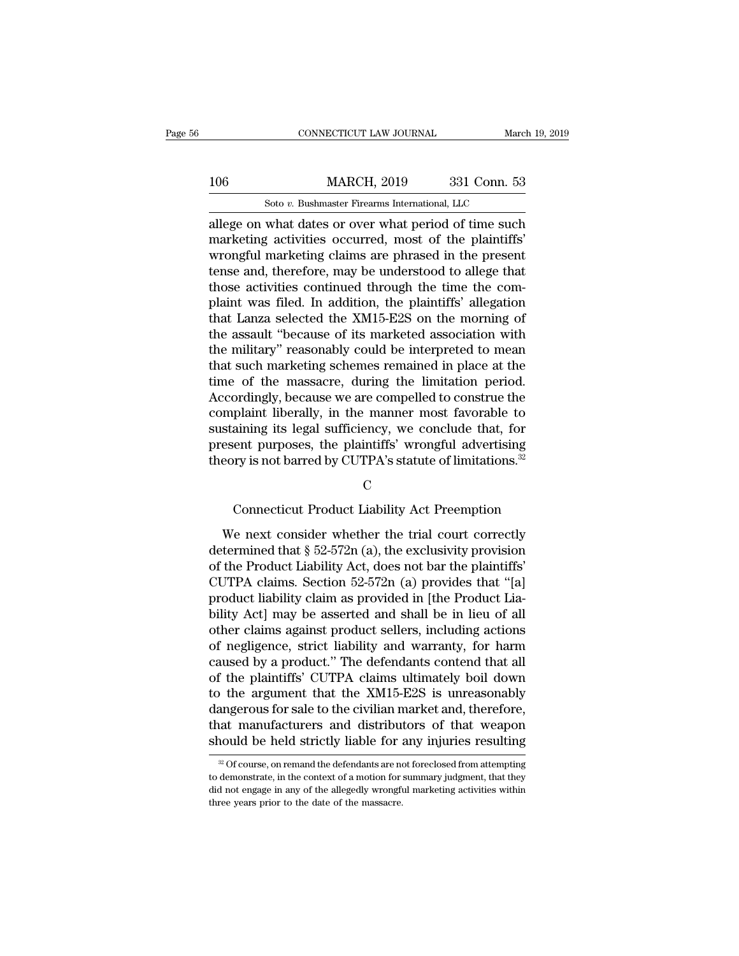# EXECUTE CONNECTICUT LAW JOURNAL March 19, 2019<br>106 MARCH, 2019 331 Conn. 53<br>500 v. Bushmaster Firearms International, LLC CONNECTICUT LAW JOURNAL March March March MARCH, 2019 331 Conn. 53<br>Soto *v.* Bushmaster Firearms International, LLC<br>What dates or over what period of time such

CONNECTICUT LAW JOURNAL March 19, 2019<br>
106 MARCH, 2019 331 Conn. 53<br>
31 Conn. 53<br>
31 Conn. 53<br>
2019 331 Conn. 53<br>
2019 331 Conn. 53<br>
2019 331 Conn. 53<br>
2019 331 Conn. 53<br>
2019 34 Conn. 54<br>
2019 34 Conn. 54<br>
2019 351 Conn. MARCH, 2019 331 Conn. 53<br>
Soto v. Bushmaster Firearms International, LLC<br>
allege on what dates or over what period of time such<br>
marketing activities occurred, most of the plaintiffs'<br>
wrongful marketing claims are phrased MARCH, 2019 331 Conn. 53<br>
Soto v. Bushmaster Firearms International, LLC<br>
allege on what dates or over what period of time such<br>
marketing activities occurred, most of the plaintiffs'<br>
wrongful marketing claims are phrased 106 MARCH, 2019 331 Conn. 53<br>
Soto v. Bushmaster Firearms International, LLC<br>
allege on what dates or over what period of time such<br>
marketing activities occurred, most of the plaintiffs'<br>
wrongful marketing claims are ph Soto v. Bushmaster Firearms International, LLC<br>allege on what dates or over what period of time such<br>marketing activities occurred, most of the plaintiffs'<br>wrongful marketing claims are phrased in the present<br>tense and, t sofo v. Bushmaster Firearms international, LLC<br>allege on what dates or over what period of time such<br>marketing activities occurred, most of the plaintiffs'<br>wrongful marketing claims are phrased in the present<br>tense and, t allege on what dates or over what period of time such marketing activities occurred, most of the plaintiffs' wrongful marketing claims are phrased in the present tense and, therefore, may be understood to allege that those marketing activities occurred, most of the plaintiffs'<br>wrongful marketing claims are phrased in the present<br>tense and, therefore, may be understood to allege that<br>those activities continued through the time the com-<br>plaint wrongful marketing claims are phrased in the present<br>tense and, therefore, may be understood to allege that<br>those activities continued through the time the com-<br>plaint was filed. In addition, the plaintiffs' allegation<br>tha tense and, therefore, may be understood to allege that<br>those activities continued through the time the com-<br>plaint was filed. In addition, the plaintiffs' allegation<br>that Lanza selected the XM15-E2S on the morning of<br>the a those activities continued through the time the complaint was filed. In addition, the plaintiffs' allegation that Lanza selected the XM15-E2S on the morning of the assault "because of its marketed association with the mili plaint was filed. In addition, the plaintiffs' allegation<br>that Lanza selected the XM15-E2S on the morning of<br>the assault "because of its marketed association with<br>the military" reasonably could be interpreted to mean<br>that that Lanza selected the XM15-E2S on the morning of<br>the assault "because of its marketed association with<br>the military" reasonably could be interpreted to mean<br>that such marketing schemes remained in place at the<br>time of th the assault "because of its marketed association with<br>the military" reasonably could be interpreted to mean<br>that such marketing schemes remained in place at the<br>time of the massacre, during the limitation period.<br>According the military" reasonably could be interpreted to mean<br>that such marketing schemes remained in place at the<br>time of the massacre, during the limitation period.<br>Accordingly, because we are compelled to construe the<br>complaint that such marketing schemes remained in place at the<br>time of the massacre, during the limitation period.<br>Accordingly, because we are compelled to construe the<br>complaint liberally, in the manner most favorable to<br>sustainin plaint liberally, in the manner most favorable to<br>aining its legal sufficiency, we conclude that, for<br>ent purposes, the plaintiffs' wrongful advertising<br>pry is not barred by CUTPA's statute of limitations.<sup>32</sup><br>C<br>Connecticu

## C<sub>c</sub>

Exercise purposes, the plaintiffs' wrongful advertising<br>
eory is not barred by CUTPA's statute of limitations.<sup>32</sup><br>
C<br>
C<br>
C<br>
C<br>
We next consider whether the trial court correctly<br>
termined that  $\S 52-572n$  (a), the exclus theory is not barred by CUTPA's statute of limitations.<sup>32</sup><br>
C<br>
C<br>
C<br>
C<br>
C<br>
the next consider whether the trial court correctly<br>
determined that § 52-572n (a), the exclusivity provision<br>
of the Product Liability Act, does C<br>
Connecticut Product Liability Act Preemption<br>
We next consider whether the trial court correctly<br>
determined that  $\S 52{\text -}572n$  (a), the exclusivity provision<br>
of the Product Liability Act, does not bar the plaintiffs C<br>Connecticut Product Liability Act Preemption<br>We next consider whether the trial court correctly<br>determined that  $\S 52-572n$  (a), the exclusivity provision<br>of the Product Liability Act, does not bar the plaintiffs'<br>CUTPA Connecticut Product Liability Act Preemption<br>We next consider whether the trial court correctly<br>determined that  $\S 52-572n$  (a), the exclusivity provision<br>of the Product Liability Act, does not bar the plaintiffs'<br>CUTPA c We next consider whether the trial court correctly<br>determined that  $\S$  52-572n (a), the exclusivity provision<br>of the Product Liability Act, does not bar the plaintiffs'<br>CUTPA claims. Section 52-572n (a) provides that "[a] We next consider whether the trial court correctly<br>determined that  $\S$  52-572n (a), the exclusivity provision<br>of the Product Liability Act, does not bar the plaintiffs'<br>CUTPA claims. Section 52-572n (a) provides that "[a] determined that § 52-572n (a), the exclusivity provision<br>of the Product Liability Act, does not bar the plaintiffs'<br>CUTPA claims. Section 52-572n (a) provides that "[a]<br>product liability claim as provided in [the Product L of the Product Liability Act, does not bar the plaintiffs'<br>CUTPA claims. Section 52-572n (a) provides that "[a]<br>product liability claim as provided in [the Product Lia-<br>bility Act] may be asserted and shall be in lieu of a CUTPA claims. Section 52-572n (a) provides that "[a]<br>product liability claim as provided in [the Product Lia-<br>bility Act] may be asserted and shall be in lieu of all<br>other claims against product sellers, including actions<br> product liability claim as provided in [the Product Liability Act] may be asserted and shall be in lieu of all<br>other claims against product sellers, including actions<br>of negligence, strict liability and warranty, for harm<br> bility Act] may be asserted and shall be in lieu of all<br>other claims against product sellers, including actions<br>of negligence, strict liability and warranty, for harm<br>caused by a product." The defendants contend that all<br>o other claims against product sellers, including actions<br>of negligence, strict liability and warranty, for harm<br>caused by a product." The defendants contend that all<br>of the plaintiffs' CUTPA claims ultimately boil down<br>to t of negligence, strict liability and warranty, for harm<br>caused by a product." The defendants contend that all<br>of the plaintiffs' CUTPA claims ultimately boil down<br>to the argument that the XM15-E2S is unreasonably<br>dangerous to the argument that the XM15-E2S is unreasonably<br>dangerous for sale to the civilian market and, therefore,<br>that manufacturers and distributors of that weapon<br>should be held strictly liable for any injuries resulting<br> $\frac{$ dangerous for sale to the civilian market and, therefore,<br>that manufacturers and distributors of that weapon<br>should be held strictly liable for any injuries resulting<br> $\frac{1}{20}$  of course, on remand the defendants are not

that manufacturers and distributors of that weapon<br>should be held strictly liable for any injuries resulting<br> $*$  of course, on remand the defendants are not foreclosed from attempting<br>to demonstrate, in the context of a m should be held strictly liable for  $\frac{1}{x}$  of course, on remand the defendants are not to demonstrate, in the context of a motion for redid not engage in any of the allegedly wrongfithree years prior to the date of the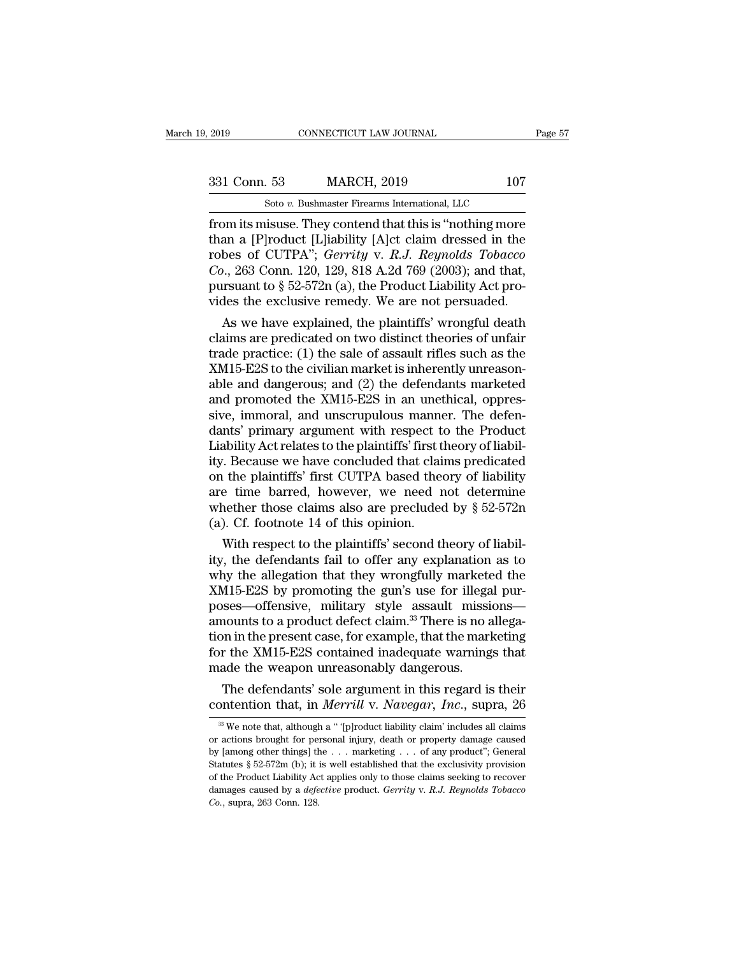From 1991 2019<br>
From 2019 2019<br>
Soto v. Bushmaster Firearms International, LLC<br>
from its misuse. They contend that this is "nothing more<br>
than a [P]roduct [L]iability [A]ct claim dressed in the<br>
robos of CUTPA": *Gerrita* 331 Conn. 53 MARCH, 2019 107<br>
Soto v. Bushmaster Firearms International, LLC<br>
from its misuse. They contend that this is "nothing more<br>
than a [P]roduct [L]iability [A]ct claim dressed in the<br>
robes of CUTPA"; *Gerrity* v. 107<br>
Soto v. Bushmaster Firearms International, LLC<br>
from its misuse. They contend that this is "nothing more<br>
than a [P]roduct [L]iability [A]ct claim dressed in the<br>
robes of CUTPA''; *Gerrity* v. *R.J. Reynolds Tobacco* **Conn. 53** MARCH, 2019 107<br> **Connect Super Start Start Start Start Start Start Start Start Start Start Start Start Start Start Start Start Start Start Start Start Start Start Start Start Start Start Start Start Start Start** Sole Sole is a set of the Product, 2010<br>
Sole v. Bushmaster Firearms International, LLC<br>
from its misuse. They contend that this is "nothing more<br>
than a [P]roduct [L]iability [A]ct claim dressed in the<br>
robes of CUTPA"; Soto v. Bushmaster Firearms International, LLC<br>from its misuse. They contend that this is "nothing more<br>than a [P]roduct [L]iability [A]ct claim dressed in the<br>robes of CUTPA"; *Gerrity* v. *R.J. Reynolds Tobacco*<br> $Co$ , 26 om its misuse. They contend that this is "nothing more<br>an a [P]roduct [L]iability [A]ct claim dressed in the<br>bes of CUTPA"; *Gerrity* v. *R.J. Reynolds Tobacco*<br>0., 263 Conn. 120, 129, 818 A.2d 769 (2003); and that,<br>risua than a [P]roduct [L][ab]llty [A]ct claim dressed in the<br>robes of CUTPA"; *Gerrity* v. *R.J. Reynolds Tobacco*<br>*Co.*, 263 Conn. 120, 129, 818 A.2d 769 (2003); and that,<br>pursuant to § 52-572n (a), the Product Liability Act

robes of CUTPA"; Gerrity v. R.J. Reynolds Tobacco<br>Co., 263 Conn. 120, 129, 818 A.2d 769 (2003); and that,<br>pursuant to § 52-572n (a), the Product Liability Act pro-<br>vides the exclusive remedy. We are not persuaded.<br>As we h Co., 263 Conn. 120, 129, 818 A.2d 769 (2003); and that,<br>pursuant to § 52-572n (a), the Product Liability Act pro-<br>vides the exclusive remedy. We are not persuaded.<br>As we have explained, the plaintiffs' wrongful death<br>clai pursuant to  $\S$  52-572n (a), the Product Liability Act provides the exclusive remedy. We are not persuaded.<br>As we have explained, the plaintiffs' wrongful death claims are predicated on two distinct theories of unfair tra vides the exclusive remedy. We are not persuaded.<br>As we have explained, the plaintiffs' wrongful death<br>claims are predicated on two distinct theories of unfair<br>trade practice: (1) the sale of assault rifles such as the<br>XM1 As we have explained, the plaintiffs' wrongful death<br>claims are predicated on two distinct theories of unfair<br>trade practice: (1) the sale of assault rifles such as the<br>XM15-E2S to the civilian market is inherently unreas claims are predicated on two distinct theories of unfair<br>trade practice: (1) the sale of assault rifles such as the<br>XM15-E2S to the civilian market is inherently unreason-<br>able and dangerous; and (2) the defendants markete trade practice: (1) the sale of assault rifles such as the XM15-E2S to the civilian market is inherently unreasonable and dangerous; and (2) the defendants marketed and promoted the XM15-E2S in an unethical, oppressive, im XM15-E2S to the civilian market is inherently unreasonable and dangerous; and (2) the defendants marketed<br>and promoted the XM15-E2S in an unethical, oppres-<br>sive, immoral, and unscrupulous manner. The defen-<br>dants' primary able and dangerous; and (2) the defendants marketed<br>and promoted the XM15-E2S in an unethical, oppres-<br>sive, immoral, and unscrupulous manner. The defen-<br>dants' primary argument with respect to the Product<br>Liability Act r and promoted the XM15-E2S in an unethical, oppres-<br>sive, immoral, and unscrupulous manner. The defen-<br>dants' primary argument with respect to the Product<br>Liability Act relates to the plaintiffs' first theory of liabil-<br>it sive, immoral, and unscrupulous manner. The defen-<br>dants' primary argument with respect to the Product<br>Liability Act relates to the plaintiffs' first theory of liabil-<br>ity. Because we have concluded that claims predicated<br> dants' primary argument with respect to<br>Liability Act relates to the plaintiffs' first t<br>ity. Because we have concluded that clai<br>on the plaintiffs' first CUTPA based the<br>are time barred, however, we need r<br>whether those c ability Act relates to the plaintiffs' first theory of liability.<br>
Recause we have concluded that claims predicated<br>
the plaintiffs' first CUTPA based theory of liability<br>
te time barred, however, we need not determine<br>
n ity. Because we have concluded that claims predicated<br>on the plaintiffs' first CUTPA based theory of liability<br>are time barred, however, we need not determine<br>whether those claims also are precluded by  $\S 52-572n$ <br>(a). Cf

on the plaintifs' first CUTPA based theory of liability<br>are time barred, however, we need not determine<br>whether those claims also are precluded by  $\S$  52-572n<br>(a). Cf. footnote 14 of this opinion.<br>With respect to the plai are time barred, nowever, we need not determine<br>whether those claims also are precluded by § 52-572n<br>(a). Cf. footnote 14 of this opinion.<br>With respect to the plaintiffs' second theory of liabil-<br>ity, the defendants fail whether those claims also are precluded by  $\S$  52-572n<br>
(a). Cf. footnote 14 of this opinion.<br>
With respect to the plaintiffs' second theory of liabil-<br>
ity, the defendants fail to offer any explanation as to<br>
why the all (a). Cf. footnote 14 of this opinion.<br>With respect to the plaintiffs' second theory of liability, the defendants fail to offer any explanation as to<br>why the allegation that they wrongfully marketed the<br>XM15-E2S by promoti With respect to the plaintiffs' second theory of liabil-<br>ity, the defendants fail to offer any explanation as to<br>why the allegation that they wrongfully marketed the<br>XM15-E2S by promoting the gun's use for illegal pur-<br>pos ity, the defendants fail to offer any explanation as to<br>why the allegation that they wrongfully marketed the<br>XM15-E2S by promoting the gun's use for illegal pur-<br>poses—offensive, military style assault missions—<br>amounts to why the allegation that they wrongfully markete XM15-E2S by promoting the gun's use for illega poses—offensive, military style assault missi amounts to a product defect claim.<sup>33</sup> There is no a tion in the present case, fo M15-E2S by promoting the gun's use for illegal pursess—offensive, military style assault missions—<br>nounts to a product defect claim.<sup>33</sup> There is no allega-<br>n in the present case, for example, that the marketing<br>r the XM1 poses—offensive, military style assault missions—<br>amounts to a product defect claim.<sup>33</sup> There is no allega-<br>tion in the present case, for example, that the marketing<br>for the XM15-E2S contained inadequate warnings that<br>mad

The defendants' sole argument in this regard is their<br>33 We note that, in *Merrill v. Navegar*, *Inc.*, supra, 26<br><sup>33</sup> We note that, although a "'[p]roduct liability claim' includes all claims<br>actions brought for personal The defendants' sole argument in this regard is their<br>
contention that, in *Merrill v. Navegar, Inc.*, supra, 26<br>
<sup>38</sup> We note that, although a "'[p]roduct liability claim' includes all claims<br>
or actions brought for pers The defendants' sole argument in this regard is their contention that, in *Merrill v. Navegar*, *Inc.*, supra, 26  $\overline{\phantom{a}}$   $\overline{\phantom{a}}$   $\overline{\phantom{a}}$   $\overline{\phantom{a}}$  we note that, although a "'[p]roduct liability claim' inclu **Contention that, in** *Merrill* **v.** *Navegar***,** *Inc.***, supra, 26<br>
<sup>38</sup> We note that, although a "'[p]roduct liability claim' includes all claims<br>
or actions brought for personal injury, death or property damage caused<br>
by [** of the Product Liability Act applies only to those claims seeking to recover <sup>38</sup> We note that, although a "'[p]roduct liability claim' includes all claims or actions brought for personal injury, death or property damage caused by [among other things] the . . . marketing . . . of any product"; Gen or actions brought for performance of the performance of the Product Liability Accordingle 3 S2-572m (b); it is of the Product Liability Accordingles caused by a *defe* Co., supra, 263 Conn. 128.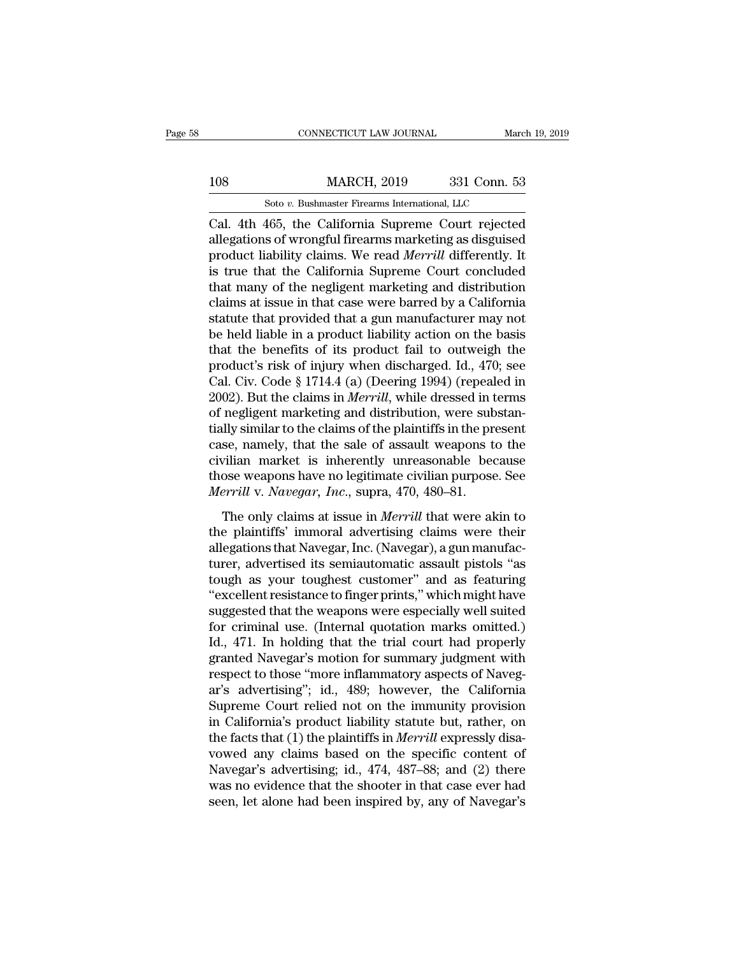# EXECUTE CONNECTICUT LAW JOURNAL March 19, 2019<br>108 MARCH, 2019 331 Conn. 53<br>500 v. Bushmaster Firearms International, LLC CONNECTICUT LAW JOURNAL March March March MARCH, 2019 331 Conn. 53<br>Soto *v.* Bushmaster Firearms International, LLC<br>465. the California Suppreme Court rejected

CONNECTICUT LAW JOURNAL March 19, 2019<br>
MARCH, 2019 331 Conn. 53<br>
Soto v. Bushmaster Firearms International, LLC<br>
Cal. 4th 465, the California Supreme Court rejected<br>
allegations of wrongful firearms marketing as disguised MARCH, 2019 331 Conn. 53<br>
Soto v. Bushmaster Firearms International, LLC<br>
Cal. 4th 465, the California Supreme Court rejected<br>
allegations of wrongful firearms marketing as disguised<br>
product liability claims. We read *Mer* MARCH, 2019 331 Conn. 53<br>
Soto v. Bushmaster Firearms International, LLC<br>
Cal. 4th 465, the California Supreme Court rejected<br>
allegations of wrongful firearms marketing as disguised<br>
product liability claims. We read *Mer* 108 MARCH, 2019 331 Conn. 53<br>
Soto v. Bushmaster Firearms International, LLC<br>
Cal. 4th 465, the California Supreme Court rejected<br>
allegations of wrongful firearms marketing as disguised<br>
product liability claims. We read Soto  $v$ . Bushmaster Firearms International, LLC<br>
Cal. 4th 465, the California Supreme Court rejected<br>
allegations of wrongful firearms marketing as disguised<br>
product liability claims. We read *Merrill* differently. It<br> soro *v*. Bushmaster Freams international, LLC<br>Cal. 4th 465, the California Supreme Court rejected<br>allegations of wrongful firearms marketing as disguised<br>product liability claims. We read *Merrill* differently. It<br>is true Cal. 4th 465, the California Supreme Court rejected<br>allegations of wrongful firearms marketing as disguised<br>product liability claims. We read *Merrill* differently. It<br>is true that the California Supreme Court concluded<br>th allegations of wrongful firearms marketing as disguised<br>product liability claims. We read *Merrill* differently. It<br>is true that the California Supreme Court concluded<br>that many of the negligent marketing and distribution<br> product liability claims. We read *Merrill* differently. It<br>is true that the California Supreme Court concluded<br>that many of the negligent marketing and distribution<br>claims at issue in that case were barred by a Californi is true that the California Supreme Court concluded<br>that many of the negligent marketing and distribution<br>claims at issue in that case were barred by a California<br>statute that provided that a gun manufacturer may not<br>be h that many of the negligent marketing and distribution<br>claims at issue in that case were barred by a California<br>statute that provided that a gun manufacturer may not<br>be held liable in a product liability action on the basis claims at issue in that case were barred by a California<br>statute that provided that a gun manufacturer may not<br>be held liable in a product liability action on the basis<br>that the benefits of its product fail to outweigh the statute that provided that a gun manufacturer may not<br>be held liable in a product liability action on the basis<br>that the benefits of its product fail to outweigh the<br>product's risk of injury when discharged. Id., 470; see<br> be held liable in a product liability action on the basis<br>that the benefits of its product fail to outweigh the<br>product's risk of injury when discharged. Id., 470; see<br>Cal. Civ. Code § 1714.4 (a) (Deering 1994) (repealed i that the benefits of its product fail to outweigh the<br>product's risk of injury when discharged. Id., 470; see<br>Cal. Civ. Code § 1714.4 (a) (Deering 1994) (repealed in<br>2002). But the claims in *Merrill*, while dressed in te product's risk of injury when discharged. Id., 470; see<br>Cal. Civ. Code § 1714.4 (a) (Deering 1994) (repealed in<br>2002). But the claims in *Merrill*, while dressed in terms<br>of negligent marketing and distribution, were subs Cal. Civ. Code § 1714.4 (a) (Deering 1994) (repealed in 2002). But the claims in *Merrill*, while dressed in terms of negligent marketing and distribution, were substantially similar to the claims of the plaintiffs in the 2002). But the claims in *Merrill*, while dressed in t<br>of negligent marketing and distribution, were sub<br>tially similar to the claims of the plaintiffs in the pr<br>case, namely, that the sale of assault weapons t<br>civilian ma Illy similar to the claims of the plaintiffs in the present<br>se, namely, that the sale of assault weapons to the<br>vilian market is inherently unreasonable because<br>ose weapons have no legitimate civilian purpose. See<br>*errill* the plant of the plant of the plant of the present<br>case, namely, that the sale of assault weapons to the<br>civilian market is inherently unreasonable because<br>those weapons have no legitimate civilian purpose. See<br>*Merrill v.* 

case, namely, and the safe of assaunt weapons to the<br>civilian market is inherently unreasonable because<br>those weapons have no legitimate civilian purpose. See<br>*Merrill v. Navegar*, *Inc.*, supra, 470, 480–81.<br>The only clai those weapons have no legitimate civilian purpose. See<br>those weapons have no legitimate civilian purpose. See<br>Merrill v. Navegar, Inc., supra, 470, 480–81.<br>The only claims at issue in Merrill that were akin to<br>the plainti *Merrill v. Navegar, Inc.*, supra, 470, 480–81.<br>The only claims at issue in *Merrill* that were akin to<br>the plaintiffs' immoral advertising claims were their<br>allegations that Navegar, Inc. (Navegar), a gun manufac-<br>turer, The only claims at issue in *Merrill* that were akin to<br>the plaintiffs' immoral advertising claims were their<br>allegations that Navegar, Inc. (Navegar), a gun manufac-<br>turer, advertised its semiautomatic assault pistols "as The only claims at issue in *Merrill* that were akin to<br>the plaintiffs' immoral advertising claims were their<br>allegations that Navegar, Inc. (Navegar), a gun manufac-<br>turer, advertised its semiautomatic assault pistols "as the plaintiffs' immoral advertising claims were their<br>allegations that Navegar, Inc. (Navegar), a gun manufac-<br>turer, advertised its semiautomatic assault pistols "as<br>tough as your toughest customer" and as featuring<br>"exce allegations that Navegar, Inc. (Navegar), a gun manufacturer, advertised its semiautomatic assault pistols "as<br>tough as your toughest customer" and as featuring<br>"excellent resistance to finger prints," which might have<br>sug turer, advertised its semiautomatic assault pistols "as<br>tough as your toughest customer" and as featuring<br>"excellent resistance to finger prints," which might have<br>suggested that the weapons were especially well suited<br>for tough as your toughest customer" and as featuring<br>
"excellent resistance to finger prints," which might have<br>
suggested that the weapons were especially well suited<br>
for criminal use. (Internal quotation marks omitted.)<br>
I "excellent resistance to finger prints," which might have<br>suggested that the weapons were especially well suited<br>for criminal use. (Internal quotation marks omitted.)<br>Id., 471. In holding that the trial court had properly<br> suggested that the weapons were especially well suited<br>for criminal use. (Internal quotation marks omitted.)<br>Id., 471. In holding that the trial court had properly<br>granted Navegar's motion for summary judgment with<br>respect for criminal use. (Internal quotation marks omitted.)<br>Id., 471. In holding that the trial court had properly<br>granted Navegar's motion for summary judgment with<br>respect to those "more inflammatory aspects of Naveg-<br>ar's adv Id., 471. In holding that the trial court had properly<br>granted Navegar's motion for summary judgment with<br>respect to those "more inflammatory aspects of Naveg-<br>ar's advertising"; id., 489; however, the California<br>Supreme C granted Navegar's motion for summary judgment with<br>respect to those "more inflammatory aspects of Naveg-<br>ar's advertising"; id., 489; however, the California<br>Supreme Court relied not on the immunity provision<br>in California respect to those "more inflammatory aspects of Navegar's advertising"; id., 489; however, the California Supreme Court relied not on the immunity provision in California's product liability statute but, rather, on the fact ar's advertising"; id., 489; however, the California<br>Supreme Court relied not on the immunity provision<br>in California's product liability statute but, rather, on<br>the facts that (1) the plaintiffs in *Merrill* expressly dis Supreme Court relied not on the immunity provision<br>in California's product liability statute but, rather, on<br>the facts that  $(1)$  the plaintiffs in *Merrill* expressly disa-<br>vowed any claims based on the specific content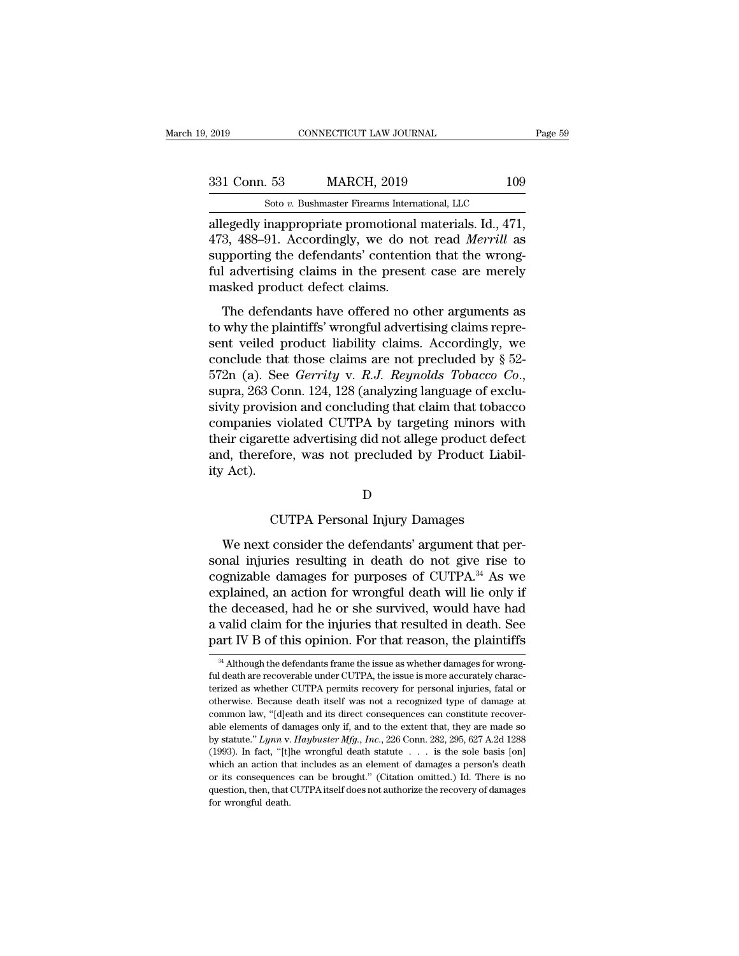| 331 Conn. 53<br><b>MARCH, 2019</b><br>109  |  |
|--------------------------------------------|--|
|                                            |  |
| 2019<br>CONNECTICUT LAW JOURNAL<br>Page 59 |  |

2019 CONNECTICUT LAW JOURNAL Page<br>
331 Conn. 53 MARCH, 2019 109<br>
34 Soto v. Bushmaster Firearms International, LLC<br>
allegedly inappropriate promotional materials. Id., 471,<br>
473, 488–91. Accordingly, we do not read *Merril* 331 Conn. 53 MARCH, 2019 109<br>
<sup>Soto v.</sup> Bushmaster Firearms International, LLC<br>
allegedly inappropriate promotional materials. Id., 471,<br>
473, 488–91. Accordingly, we do not read *Merrill* as<br>
supporting the defendants' co  $\frac{331 \text{ Conn. } 53}{\text{Soto } v. \text{ Bushmaster Fraams International, LLC}}$ <br>allegedly inappropriate promotional materials. Id., 471, 473, 488–91. Accordingly, we do not read *Merrill* as supporting the defendants' contention that the wrong-ful advertising cla 331 Conn. 53 MARCH, 2019 109<br>
Soto v. Bushmaster Firearms International, LLC<br>
allegedly inappropriate promotional materials. Id., 471,<br>
473, 488–91. Accordingly, we do not read *Merrill* as<br>
supporting the defendants' cont  $\frac{1}{2}$  Soto v. Bushmaster Firearms Internallegedly inappropriate promotional 473, 488–91. Accordingly, we do not supporting the defendants' contentional ful advertising claims in the preser masked product defect claims egedly inappropriate promotional materials. Id., 471,<br>3, 488–91. Accordingly, we do not read *Merrill* as<br>pporting the defendants' contention that the wrong-<br>1 advertising claims in the present case are merely<br>asked produc allegedly inappropriate promotional materials. Id., 471, 473, 488–91. Accordingly, we do not read *Merrill* as supporting the defendants' contention that the wrongful advertising claims in the present case are merely mask

supporting the defendants' contention that the wrong-<br>ful advertising claims in the present case are merely<br>masked product defect claims.<br>The defendants have offered no other arguments as<br>to why the plaintiffs' wrongful a ful advertising claims in the present case are merely<br>masked product defect claims.<br>The defendants have offered no other arguments as<br>to why the plaintiffs' wrongful advertising claims repre-<br>sent veiled product liability France and advertising claims in the present case are intrery<br>masked product defect claims.<br>The defendants have offered no other arguments as<br>to why the plaintiffs' wrongful advertising claims repre-<br>sent veiled product li The defendants have offered no other arguments as<br>to why the plaintiffs' wrongful advertising claims repre-<br>sent veiled product liability claims. Accordingly, we<br>conclude that those claims are not precluded by  $\S 52-$ <br>572 to why the plaintiffs' wrongful advertising claims represent veiled product liability claims. Accordingly, we conclude that those claims are not precluded by  $\S$  52-572n (a). See *Gerrity* v. *R.J. Reynolds Tobacco Co.*, sent veiled product liability claims. Accordingly, we<br>conclude that those claims are not precluded by  $\S$  52-<br>572n (a). See *Gerrity* v. *R.J. Reynolds Tobacco Co.*,<br>supra, 263 Conn. 124, 128 (analyzing language of excluconclude that those claims are not precluded by  $\S$  52-572n (a). See *Gerrity* v. *R.J. Reynolds Tobacco Co.*, supra, 263 Conn. 124, 128 (analyzing language of exclusivity provision and concluding that claim that tobacco 572n (a). See<br>supra, 263 Co<br>sivity provisio<br>companies vi<br>their cigarette<br>and, therefor<br>ity Act). is violated CUTPA by targeting minors with<br>ette advertising did not allege product defectore, was not precluded by Product Liabi<br>D<br>CUTPA Personal Injury Damages<br>consider the defendants' argument that pe

## D<sub>D</sub>

d, therefore, was not precluded by Product Liabil-<br>  $\Delta t$  herefore, was not precluded by Product Liabil-<br>  $D$ <br>  $\Delta t$  CUTPA Personal Injury Damages<br>
We next consider the defendants' argument that per-<br>
anizable damages for ity Act).<br>
D<br>
CUTPA Personal Injury Damages<br>
We next consider the defendants' argument that personal injuries resulting in death do not give rise to<br>
cognizable damages for purposes of CUTPA.<sup>34</sup> As we<br>
explained an action D<br>
CUTPA Personal Injury Damages<br>
We next consider the defendants' argument that per-<br>
sonal injuries resulting in death do not give rise to<br>
cognizable damages for purposes of CUTPA.<sup>34</sup> As we<br>
explained, an action for wr D<br>CUTPA Personal Injury Damages<br>We next consider the defendants' argument that per-<br>sonal injuries resulting in death do not give rise to<br>cognizable damages for purposes of CUTPA.<sup>34</sup> As we<br>explained, an action for wrongfu CUTPA Personal Injury Damages<br>We next consider the defendants' argument that per-<br>sonal injuries resulting in death do not give rise to<br>cognizable damages for purposes of CUTPA.<sup>34</sup> As we<br>explained, an action for wrongful We next consider the defendants' argument that personal injuries resulting in death do not give rise to cognizable damages for purposes of CUTPA.<sup>34</sup> As we explained, an action for wrongful death will lie only if the decea We next consider the defendants' argument that personal injuries resulting in death do not give rise to cognizable damages for purposes of CUTPA.<sup>34</sup> As we explained, an action for wrongful death will lie only if the dece xplained, an action for wrongful death will lie only if<br>the deceased, had he or she survived, would have had<br>valid claim for the injuries that resulted in death. See<br>art IV B of this opinion. For that reason, the plaintiff the deceased, had he or she survived, would have had<br>a valid claim for the injuries that resulted in death. See<br>part IV B of this opinion. For that reason, the plaintiffs<br><sup>34</sup> Although the defendants frame the issue as whe

a valid claim for the injuries that resulted in death. See<br>part IV B of this opinion. For that reason, the plaintiffs<br><sup>34</sup> Although the defendants frame the issue as whether damages for wrong-<br>ful death are recoverable und part IV B of this opinion. For that reason, the plaintiffs<br>  $\overline{\phantom{a}^{\text{34}}}$  Although the defendants frame the issue as whether damages for wrong-<br>
ful death are recoverable under CUTPA, the issue is more accurately cha ful death are recoverable under CUTPA, the issue is more accurately characterized as whether CUTPA permits recovery for personal injuries, fatal or otherwise. Because death itself was not a recognized type of damage at co <sup>34</sup> Although the defendants frame the issue as whether damages for wrong-<br>ful death are recoverable under CUTPA, the issue is more accurately charac-<br>terized as whether CUTPA permits recovery for personal injuries, fatal by statute and a statute in the statute in the size of which the statute of the sixterized as whether CUTPA permits recovery for personal injuries, fatal or otherwise. Because death itself was not a recognized type of dama terized as whether CUTPA permits recovery for personal injuries, fatal or otherwise. Because death itself was not a recognized type of damage at common law, "[d]eath and its direct consequences can constitute recoverable content wise. Because death itself was not a recognized type of damage at common law, "[d]eath and its direct consequences can constitute recoverable elements of damages only if, and to the extent that, they are made so b common law, "[d]eath and its direct consequences can borstitute recover-<br>able elements of damages only if, and to the extent that, they are made so<br>by statute."  $Lynn v$ .  $Haybuster Mfg$ .,  $Inc$ , 226 Conn. 282, 295, 627 A.2d 1288<br>(19 able elements of damages only if, and to the extent that, they are made so by statute."  $Lymn$  v.  $Haybuster Mfg$ ,  $Inc$ , 226 Conn. 282, 295, 627 A.2d 1288 (1993). In fact, "[t]he wrongful death statute  $\ldots$  is the sole basis [on] by statute."  $Lymv$ .<br>(1993). In fact, "[t] which an action that or its consequence question, then, that for wrongful death.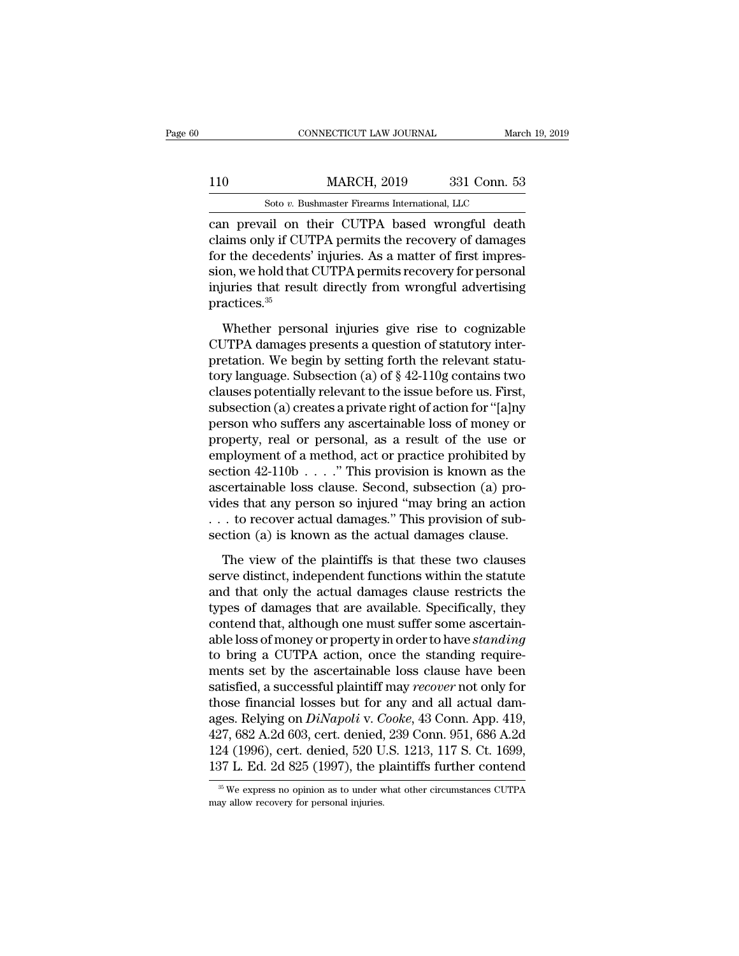# EXECUTE CONNECTICUT LAW JOURNAL March 19, 2019<br>110 MARCH, 2019 331 Conn. 53<br>500 v. Bushmaster Firearms International, LLC CONNECTICUT LAW JOURNAL March March March MARCH, 2019 331 Conn. 53<br>Soto *v.* Bushmaster Firearms International, LLC<br>ail on their CUTPA based wrongful death

CONNECTICUT LAW JOURNAL March 19, 2019<br>
MARCH, 2019 331 Conn. 53<br>
Soto v. Bushmaster Firearms International, LLC<br>
can prevail on their CUTPA based wrongful death<br>
claims only if CUTPA permits the recovery of damages<br>
for t MARCH, 2019 331 Conn. 53<br>
Soto v. Bushmaster Firearms International, LLC<br>
can prevail on their CUTPA based wrongful death<br>
claims only if CUTPA permits the recovery of damages<br>
for the decedents' injuries. As a matter of f For the decedents' injuries. As a matter of first impression, we hold that CUTPA permits recovery of damages<br>
for the decedents' injuries. As a matter of first impres-<br>
sion, we hold that CUTPA permits recovery for persona MARCH, 2019 331 Conn. 53<br>
Soto v. Bushmaster Firearms International, LLC<br>
can prevail on their CUTPA based wrongful death<br>
claims only if CUTPA permits the recovery of damages<br>
for the decedents' injuries. As a matter of f Soto v. Bushmaster Firearms International, LLC<br>
can prevail on their CUTPA based wrongful death<br>
claims only if CUTPA permits the recovery of damages<br>
for the decedents' injuries. As a matter of first impres-<br>
sion, we ho practices.<sup>35</sup> Fracture of CUTPA permits the recovery of damages<br>r the decedents' injuries. As a matter of first impres-<br>on, we hold that CUTPA permits recovery for personal<br>juries that result directly from wrongful advertising<br>actices.<sup></sup> For the decedents' injuries. As a matter of first impression, we hold that CUTPA permits recovery for personal<br>injuries that result directly from wrongful advertising<br>practices.<sup>35</sup><br>Whether personal injuries give rise to

presence the distribution. We hold that CUTPA permits recovery for personal<br>injuries that result directly from wrongful advertising<br>practices.<sup>35</sup><br>Whether personal injuries give rise to cognizable<br>CUTPA damages presents a injuries that result directly from wrongful advertising<br>practices.<sup>35</sup><br>Whether personal injuries give rise to cognizable<br>CUTPA damages presents a question of statutory inter-<br>pretation. We begin by setting forth the relev myancs and cosar an every from more practices.<sup>35</sup><br>practices.<sup>35</sup><br>CUTPA damages presents a question of statutory inter-<br>pretation. We begin by setting forth the relevant statu-<br>tory language. Subsection (a) of § 42-110g c Whether personal injuries give rise to cognizable<br>CUTPA damages presents a question of statutory inter-<br>pretation. We begin by setting forth the relevant statu-<br>tory language. Subsection (a) of  $\S$  42-110g contains two<br>cl Whether personal injuries give rise to cognizable<br>CUTPA damages presents a question of statutory inter-<br>pretation. We begin by setting forth the relevant statu-<br>tory language. Subsection (a) of § 42-110g contains two<br>claus CUTPA damages presents a question of statutory inter-<br>pretation. We begin by setting forth the relevant statu-<br>tory language. Subsection (a) of § 42-110g contains two<br>clauses potentially relevant to the issue before us. F pretation. We begin by setting forth the relevant statu-<br>tory language. Subsection (a) of § 42-110g contains two<br>clauses potentially relevant to the issue before us. First,<br>subsection (a) creates a private right of action tory language. Subsection (a) of § 42-110g contains two<br>clauses potentially relevant to the issue before us. First,<br>subsection (a) creates a private right of action for "[a]ny<br>person who suffers any ascertainable loss of m clauses potentially relevant to the issue before us. First,<br>subsection (a) creates a private right of action for "[a]ny<br>person who suffers any ascertainable loss of money or<br>property, real or personal, as a result of the subsection (a) creates a private right of action for "[a]ny<br>person who suffers any ascertainable loss of money or<br>property, real or personal, as a result of the use or<br>employment of a method, act or practice prohibited by<br> person who suffers any ascertainable loss of money or<br>property, real or personal, as a result of the use or<br>employment of a method, act or practice prohibited by<br>section 42-110b . . . . " This provision is known as the<br>as property, real or personal, as a result of the use or employment of a method, act or practice prohibited by section  $42-110b...$ ." This provision is known as the ascertainable loss clause. Second, subsection (a) provides th The view of the masses of provision is known as the certainable loss clause. Second, subsection (a) pro-<br>des that any person so injured "may bring an action<br>. to recover actual damages." This provision of sub-<br>ction (a) i secretainable loss clause. Second, subsection (a) provides that any person so injured "may bring an action  $\ldots$  to recover actual damages." This provision of subsection (a) is known as the actual damages clause.<br>The view

vides that any person so injured "may bring an action<br>  $\ldots$  to recover actual damages." This provision of sub-<br>
section (a) is known as the actual damages clause.<br>
The view of the plaintiffs is that these two clauses<br>
se that any presence ayare any verty are above that any section (a) is known as the actual damages clause.<br>The view of the plaintiffs is that these two clauses<br>serve distinct, independent functions within the statute<br>and tha section (a) is known as the actual damages clause.<br>The view of the plaintiffs is that these two clauses<br>serve distinct, independent functions within the statute<br>and that only the actual damages clause restricts the<br>types The view of the plaintiffs is that these two clauses<br>serve distinct, independent functions within the statute<br>and that only the actual damages clause restricts the<br>types of damages that are available. Specifically, they<br>co The view of the plaintiffs is that these two clauses<br>serve distinct, independent functions within the statute<br>and that only the actual damages clause restricts the<br>types of damages that are available. Specifically, they<br>co serve distinct, independent functions within the statute<br>and that only the actual damages clause restricts the<br>types of damages that are available. Specifically, they<br>contend that, although one must suffer some ascertain-<br> and that only the actual damages clause restricts the<br>types of damages that are available. Specifically, they<br>contend that, although one must suffer some ascertain-<br>able loss of money or property in order to have *standing* types of damages that are available. Specifically, they contend that, although one must suffer some ascertainable loss of money or property in order to have *standing* to bring a CUTPA action, once the standing requiremen contend that, although one must suffer some ascertain-<br>able loss of money or property in order to have *standing*<br>to bring a CUTPA action, once the standing require-<br>ments set by the ascertainable loss clause have been<br>sat able loss of money or property in order to have *standing*<br>to bring a CUTPA action, once the standing require-<br>ments set by the ascertainable loss clause have been<br>satisfied, a successful plaintiff may *recover* not only f to bring a CUTPA action, once the standing requirements set by the ascertainable loss clause have been satisfied, a successful plaintiff may *recover* not only for those financial losses but for any and all actual damages. ments set by the ascertainable loss clause have been<br>satisfied, a successful plaintiff may *recover* not only for<br>those financial losses but for any and all actual dam-<br>ages. Relying on *DiNapoli* v. *Cooke*, 43 Conn. App. ges. Relying on *DuNapoli v. Cooke*, 43 Conn. App. 419,<br>27, 682 A.2d 603, cert. denied, 239 Conn. 951, 686 A.2d<br>24 (1996), cert. denied, 520 U.S. 1213, 117 S. Ct. 1699,<br>37 L. Ed. 2d 825 (1997), the plaintiffs further conte 427, 682 A.2d 603, cert. denied,  $124$  (1996), cert. denied,  $520$  U<br>137 L. Ed. 2d 825 (1997), the p<br><sup>35</sup> We express no opinion as to under w<br>may allow recovery for personal injuries.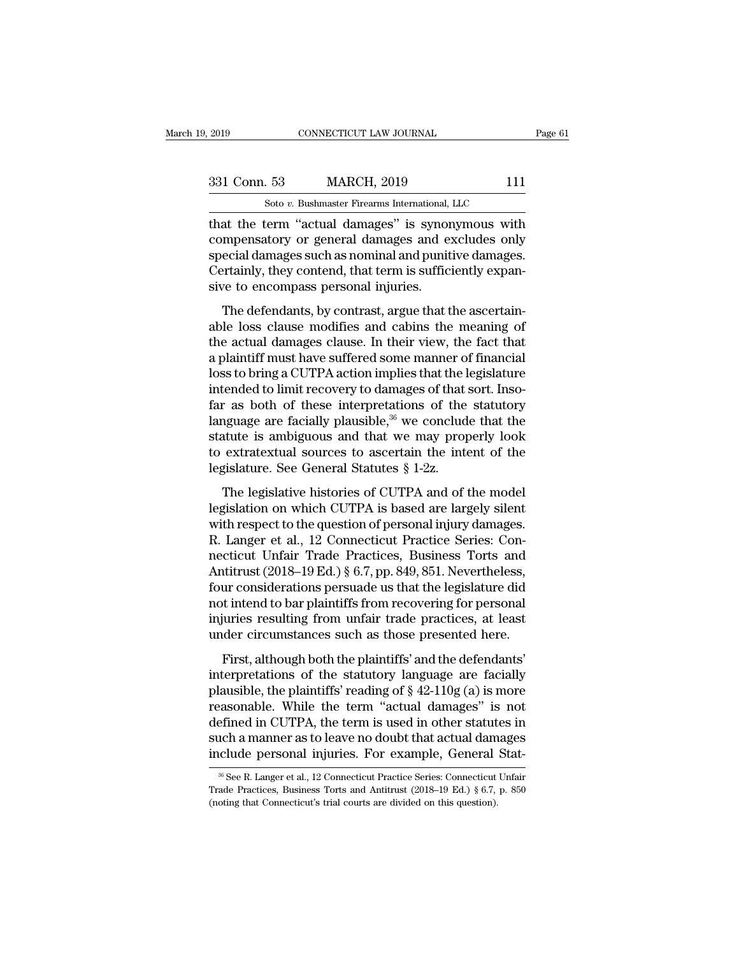| 331 Conn. 53 | <b>MARCH, 2019</b><br>Soto v. Bushmaster Firearms International, LLC |         |
|--------------|----------------------------------------------------------------------|---------|
|              |                                                                      | 111     |
| 2019         | CONNECTICUT LAW JOURNAL                                              | Page 61 |

That the term ''actual damages'' is synonymous with<br>
that the term ''actual damages'' is synonymous with<br>
compensatory or general damages and excludes only<br>
spocial damages such as nominal and punitive damages 331 Conn. 53 MARCH, 2019 111<br>
Soto v. Bushmaster Firearms International, LLC<br>
that the term "actual damages" is synonymous with<br>
compensatory or general damages and excludes only<br>
special damages such as nominal and puniti  $\frac{\text{331} \text{ Conn. } 53}{\text{Soto } v. \text{ Bushmaster Firearms International, LLC}}$ <br>
that the term "actual damages" is synonymous with<br>
compensatory or general damages and excludes only<br>
special damages such as nominal and punitive damages.<br>
Certainly, they conte 331 Conn. 53 MARCH, 2019 111<br>
Soto v. Bushmaster Firearms International, LLC<br>
that the term "actual damages" is synonymous with<br>
compensatory or general damages and excludes only<br>
special damages such as nominal and puniti soto v. Bushmaster Firearms International,<br>that the term "actual damages" is synon<br>compensatory or general damages and especial damages such as nominal and punit<br>Certainly, they contend, that term is suffic<br>sive to encompa at the term "actual damages" is synonymous with<br>mpensatory or general damages and excludes only<br>ecial damages such as nominal and punitive damages.<br>retainly, they contend, that term is sufficiently expan-<br>re to encompass p and the term attach dangers is synonymols with<br>compensatory or general damages and excludes only<br>special damages such as nominal and punitive damages.<br>Certainly, they contend, that term is sufficiently expan-<br>sive to encom

the action of general damages and exertates only<br>special damages such as nominal and punitive damages.<br>Certainly, they contend, that term is sufficiently expansive to encompass personal injuries.<br>The defendants, by contras Special damages such as holding and pullative damages.<br>Certainly, they contend, that term is sufficiently expansive to encompass personal injuries.<br>The defendants, by contrast, argue that the ascertainable loss clause modi detainly, they contend, that term is sufficiently expansive to encompass personal injuries.<br>The defendants, by contrast, argue that the ascertainable loss clause modifies and cabins the meaning of<br>the actual damages clause The defendants, by contrast, argue that the ascertainable loss clause modifies and cabins the meaning of the actual damages clause. In their view, the fact that a plaintiff must have suffered some manner of financial loss The defendants, by contrast, argue that the ascertainable loss clause modifies and cabins the meaning of the actual damages clause. In their view, the fact that a plaintiff must have suffered some manner of financial loss able loss clause modifies and cabins the meaning of<br>the actual damages clause. In their view, the fact that<br>a plaintiff must have suffered some manner of financial<br>loss to bring a CUTPA action implies that the legislature the actual damages clause. In their view, the fact that<br>a plaintiff must have suffered some manner of financial<br>loss to bring a CUTPA action implies that the legislature<br>intended to limit recovery to damages of that sort. a plaintiff must have suffered some manner of financial<br>loss to bring a CUTPA action implies that the legislature<br>intended to limit recovery to damages of that sort. Inso-<br>far as both of these interpretations of the statu loss to bring a CUTPA action implies that the legislature<br>intended to limit recovery to damages of that sort. Inso-<br>far as both of these interpretations of the statutory<br>language are facially plausible,<sup>36</sup> we conclude th The legislative histories of CUTPA and of the model<br>gislation on which the model of the statutory<br>aguage are facially plausible,<sup>36</sup> we conclude that the<br>atute is ambiguous and that we may properly look<br>extratextual sourc language are facially plausible,<sup>36</sup> we conclude that the statute is ambiguous and that we may properly look to extratextual sources to ascertain the intent of the legislature. See General Statutes  $\S 1-2z$ .<br>The legislati

Example are noticing products, we conclude that the<br>statute is ambiguous and that we may properly look<br>to extratextual sources to ascertain the intent of the<br>legislature. See General Statutes § 1-2z.<br>The legislative histor to extratextual sources to ascertain the intent of the<br>legislature. See General Statutes  $\S 1-2z$ .<br>The legislative histories of CUTPA and of the model<br>legislation on which CUTPA is based are largely silent<br>with respect to legislature. See General Statutes § 1-2z.<br>The legislative histories of CUTPA and of the model<br>legislation on which CUTPA is based are largely silent<br>with respect to the question of personal injury damages.<br>R. Langer et al. The legislative histories of CUTPA and of the model<br>legislation on which CUTPA is based are largely silent<br>with respect to the question of personal injury damages.<br>R. Langer et al., 12 Connecticut Practice Series: Con-<br>nec The legislative histories of CUTPA and of the model<br>legislation on which CUTPA is based are largely silent<br>with respect to the question of personal injury damages.<br>R. Langer et al., 12 Connecticut Practice Series: Con-<br>nec legislation on which CUTPA is based are largely silent<br>with respect to the question of personal injury damages.<br>R. Langer et al., 12 Connecticut Practice Series: Con-<br>necticut Unfair Trade Practices, Business Torts and<br>Ant with respect to the question of personal injury damages.<br>R. Langer et al., 12 Connecticut Practice Series: Connecticut Unfair Trade Practices, Business Torts and<br>Antitrust (2018–19 Ed.) § 6.7, pp. 849, 851. Nevertheless,<br>f R. Langer et al., 12 Connecticut Practice Series: Connecticut Unfair Trade Practices, Business Torts and<br>Antitrust (2018–19 Ed.) § 6.7, pp. 849, 851. Nevertheless,<br>four considerations persuade us that the legislature did<br>n first, although both the plaintiffs' and the defendants'<br>First, although both the plaintiffs from recovering for personal<br>juries resulting from unfair trade practices, at least<br>der circumstances such as those presented he four considerations persuade us that the legislature did<br>not intend to bar plaintiffs from recovering for personal<br>injuries resulting from unfair trade practices, at least<br>under circumstances such as those presented here.

plane is a finite of explanation of intend to bar plaintiffs from recovering for personal<br>injuries resulting from unfair trade practices, at least<br>under circumstances such as those presented here.<br>First, although both the injuries resulting from unfair trade practices, at least<br>under circumstances such as those presented here.<br>First, although both the plaintiffs' and the defendants'<br>interpretations of the statutory language are facially<br>pl myancs resulting from unitar areas practices, as reasonable under circumstances such as those presented here.<br>First, although both the plaintiffs' and the defendants' interpretations of the statutory language are facially First, although both the plaintiffs' and the defendants'<br>interpretations of the statutory language are facially<br>plausible, the plaintiffs' reading of  $\S$  42-110g (a) is more<br>reasonable. While the term "actual damages" is First, although both the plaintiffs' and the defendants'<br>interpretations of the statutory language are facially<br>plausible, the plaintiffs' reading of  $\S$  42-110g (a) is more<br>reasonable. While the term "actual damages" is asonable. While the term "actual damages" is not<br>efined in CUTPA, the term is used in other statutes in<br>ich a manner as to leave no doubt that actual damages<br>clude personal injuries. For example, General Stat-<br><sup>36</sup> See R. defined in CUTPA, the term is used in other statutes in<br>such a manner as to leave no doubt that actual damages<br>include personal injuries. For example, General Stat-<br><sup>36</sup> See R. Langer et al., 12 Connecticut Practice Series

such a manner as to leave no doubt that actual dam<br>include personal injuries. For example, General<br><sup>36</sup>See R. Langer et al., 12 Connecticut Practice Series: Connecticut<br>Trade Practices, Business Torts and Antitrust (2018–1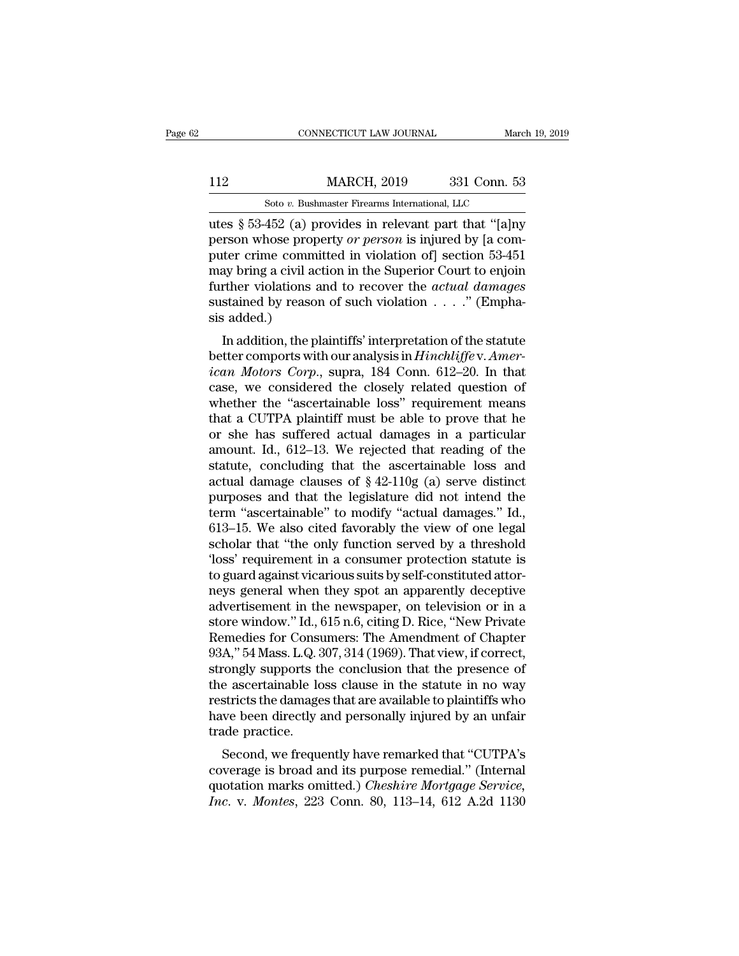# EXECUTE CONNECTICUT LAW JOURNAL March 19, 2019<br>112 MARCH, 2019 331 Conn. 53<br>500 v. Bushmaster Firearms International, LLC CONNECTICUT LAW JOURNAL March March March MARCH, 2019 331 Conn. 53<br>Soto *v.* Bushmaster Firearms International, LLC<br>452 (a) provides in relevant part that "[alpy

CONNECTICUT LAW JOURNAL March 19, 2019<br>
112 MARCH, 2019 331 Conn. 53<br>
500 v. Bushmaster Firearms International, LLC<br>
112 Soto v. Bushmaster Firearms International, LLC<br>
112 Soto v. Bushmaster Firearms International, LLC<br>
1 MARCH, 2019 331 Conn. 53<br>
Soto *v*. Bushmaster Firearms International, LLC<br>
utes § 53-452 (a) provides in relevant part that "[a]ny<br>
person whose property *or person* is injured by [a com-<br>
puter crime committed in violati 112 MARCH, 2019 331 Conn. 53<br>
soto v. Bushmaster Firearms International, LLC<br>
utes § 53-452 (a) provides in relevant part that "[a]ny<br>
person whose property or person is injured by [a com-<br>
puter crime committed in violat MARCH, 2019 331 Conn. 53<br>
Soto v. Bushmaster Firearms International, LLC<br>
utes § 53-452 (a) provides in relevant part that "[a]ny<br>
person whose property *or person* is injured by [a com-<br>
puter crime committed in violatio Soto *v*. Bushmaster Firearms International, LLC<br>utes § 53-452 (a) provides in relevant part that "[a]ny<br>person whose property *or person* is injured by [a com-<br>puter crime committed in violation of] section 53-451<br>may bri sofo *v*. Bushmaster Firearms international, LLC<br>utes § 53-452 (a) provides in relevant part that "[a]ny<br>person whose property *or person* is injured by [a com-<br>puter crime committed in violation of] section 53-451<br>may br utes § 53-452 (a) p<br>person whose prop<br>puter crime comm<br>may bring a civil ac<br>further violations a<br>sustained by reaso<br>sis added.)<br>In addition, the p In a discrepancy of person is injured by [a cont-<br>ter crime committed in violation of] section 53-451<br>ay bring a civil action in the Superior Court to enjoin<br>rther violations and to recover the *actual damages*<br>stained by puter Crifte Committed in violation of J section 55-451<br>may bring a civil action in the Superior Court to enjoin<br>further violations and to recover the *actual damages*<br>sustained by reason of such violation . . . . " (Empha

*ican Motors Corp.*, superally reader with the superal damages<br>
sustained by reason of such violation . . . ." (Emphasis added.)<br>
In addition, the plaintiffs' interpretation of the statute<br>
better comports with our analysi calculate the violations and to recover the *actual dumages*<br>sustained by reason of such violation  $\ldots$ ." (Emphasis added.)<br>In addition, the plaintiffs' interpretation of the statute<br>better comports with our analysis in sustained by reason of such violation  $\ldots$ . (Emphasis added.)<br>In addition, the plaintiffs' interpretation of the statute<br>better comports with our analysis in *Hinchliffe* v. *Amer-*<br>ican *Motors Corp.*, supra, 184 Conn. In addition, the plaintiffs' interpretation of the statute<br>better comports with our analysis in *Hinchliffe* v. Amer-<br>ican Motors Corp., supra, 184 Conn. 612–20. In that<br>case, we considered the closely related question of In addition, the plaintiffs' interpretation of the statute<br>better comports with our analysis in *Hinchliffe* v. *Amer-*<br>*ican Motors Corp.*, supra, 184 Conn. 612–20. In that<br>case, we considered the closely related questio better comports with our analysis in *Hinchliffe* v. *American Motors Corp.*, supra, 184 Conn. 612–20. In that case, we considered the closely related question of whether the "ascertainable loss" requirement means that a ican Motors Corp., supra, 184 Conn. 612–20. In that<br>case, we considered the closely related question of<br>whether the "ascertainable loss" requirement means<br>that a CUTPA plaintiff must be able to prove that he<br>or she has su case, we considered the closely related question of<br>whether the "ascertainable loss" requirement means<br>that a CUTPA plaintiff must be able to prove that he<br>or she has suffered actual damages in a particular<br>amount. Id., 6 whether the "ascertainable loss" requirement means<br>that a CUTPA plaintiff must be able to prove that he<br>or she has suffered actual damages in a particular<br>amount. Id., 612–13. We rejected that reading of the<br>statute, conc that a CUTPA plaintiff must be able to prove that he<br>or she has suffered actual damages in a particular<br>amount. Id., 612–13. We rejected that reading of the<br>statute, concluding that the ascertainable loss and<br>actual damag or she has suffered actual damages in a particular<br>amount. Id., 612–13. We rejected that reading of the<br>statute, concluding that the ascertainable loss and<br>actual damage clauses of  $\S 42{\text -}110g$  (a) serve distinct<br>purpos amount. Id., 612–13. We rejected that reading of the statute, concluding that the ascertainable loss and actual damage clauses of  $\S 42{\text -}110g$  (a) serve distinct purposes and that the legislature did not intend the term statute, concluding that the ascertainable loss and<br>actual damage clauses of § 42-110g (a) serve distinct<br>purposes and that the legislature did not intend the<br>term "ascertainable" to modify "actual damages." Id.,<br>613–15. W actual damage clauses of  $\S$  42-110g (a) serve distinct<br>purposes and that the legislature did not intend the<br>term "ascertainable" to modify "actual damages." Id.,<br>613–15. We also cited favorably the view of one legal<br>scho purposes and that the legislature did not intend the<br>term "ascertainable" to modify "actual damages." Id.,<br>613–15. We also cited favorably the view of one legal<br>scholar that "the only function served by a threshold<br>'loss' term "ascertainable" to modify "actual damages." Id.,<br>613–15. We also cited favorably the view of one legal<br>scholar that "the only function served by a threshold<br>'loss' requirement in a consumer protection statute is<br>to gu 613–15. We also cited favorably the view of one legal<br>scholar that "the only function served by a threshold<br>'loss' requirement in a consumer protection statute is<br>to guard against vicarious suits by self-constituted attor scholar that "the only function served by a threshold<br>"loss" requirement in a consumer protection statute is<br>to guard against vicarious suits by self-constituted attor-<br>neys general when they spot an apparently deceptive<br>a 'loss' requirement in a consumer protection statute is<br>to guard against vicarious suits by self-constituted attor-<br>neys general when they spot an apparently deceptive<br>advertisement in the newspaper, on television or in a<br>s to guard against vicarious suits by self-constituted attor-<br>neys general when they spot an apparently deceptive<br>advertisement in the newspaper, on television or in a<br>store window." Id., 615 n.6, citing D. Rice, "New Privat neys general when they spot an apparently deceptive<br>advertisement in the newspaper, on television or in a<br>store window." Id., 615 n.6, citing D. Rice, "New Private<br>Remedies for Consumers: The Amendment of Chapter<br>93A," 54 advertisement in the newspaper, on television or in a<br>store window." Id., 615 n.6, citing D. Rice, "New Private<br>Remedies for Consumers: The Amendment of Chapter<br>93A," 54 Mass. L.Q. 307, 314 (1969). That view, if correct,<br>s store window." Id., 615 n.6, citing D. Rice, "New Private<br>Remedies for Consumers: The Amendment of Chapter<br>93A," 54 Mass. L.Q. 307, 314 (1969). That view, if correct,<br>strongly supports the conclusion that the presence of<br>t Remedies for Consu<br>93A," 54 Mass. L.Q. 3<br>strongly supports the<br>the ascertainable lo<br>restricts the damage<br>have been directly a<br>trade practice.<br>Second, we freque  $\mu$ ,  $\beta$ 4 mass.  $L$ ,  $Q$ ,  $\delta$ 07,  $\beta$ 14 (1909). That view, if correct, rongly supports the conclusion that the presence of e ascertainable loss clause in the statute in no way stricts the damages that are available to strongly supports the conclusion that the presence of<br>the ascertainable loss clause in the statute in no way<br>restricts the damages that are available to plaintiffs who<br>have been directly and personally injured by an unfair

Interestantially is cracked in the statute in no way<br>restricts the damages that are available to plaintiffs who<br>have been directly and personally injured by an unfair<br>trade practice.<br>Second, we frequently have remarked tha *Incuts the damages that are avanable to plantific who*<br> *Inave been directly and personally injured by an unfair*<br> *Indee practice.*<br> *Second, we frequently have remarked that "CUTPA's*<br> *Coverage is broad and its purpose*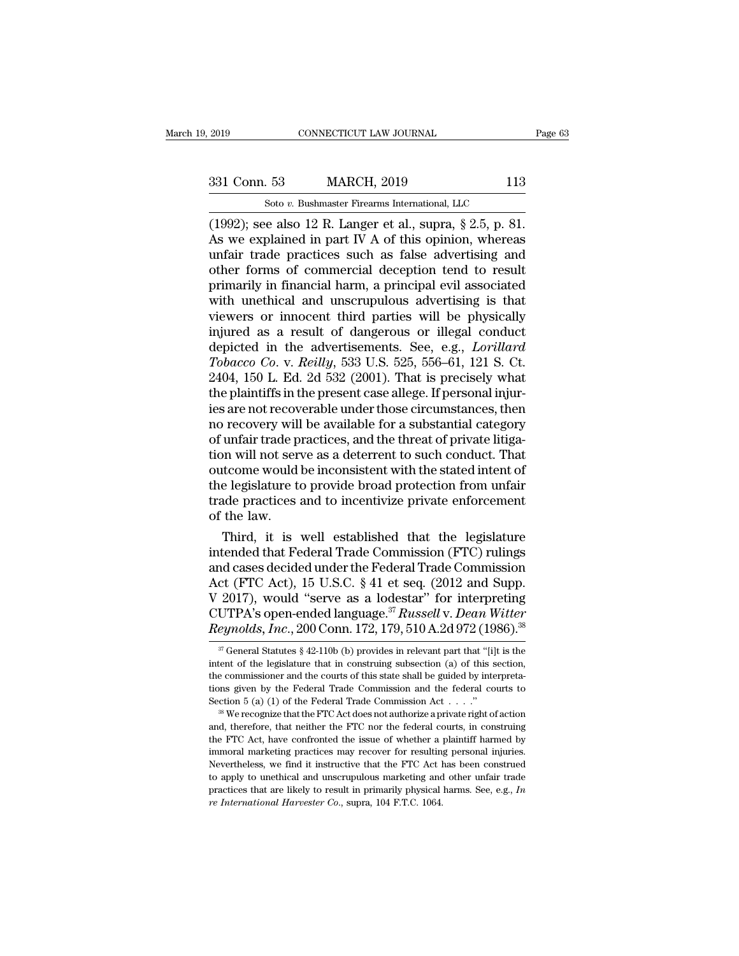# 2019 CONNECTICUT LAW JOURNAL Page 63<br>331 Conn. 53 MARCH, 2019 113<br>500 v. Bushmaster Firearms International, LLC

CONNECTICUT LAW JOURNAL<br>
Soto *v.* Bushmaster Firearms International, LLC<br>
e also 12 R. Langer et al., supra, 8 2 5 p. 81. (1992); see also 12 R. Langer et al., supra, § 2.5, p. 81.<br>
(1992); see also 12 R. Langer et al., supra, § 2.5, p. 81.<br>
As we explained in part IV A of this opinion, whereas 331 Conn. 53 MARCH, 2019 113<br>
Soto v. Bushmaster Firearms International, LLC<br>
(1992); see also 12 R. Langer et al., supra, § 2.5, p. 81.<br>
As we explained in part IV A of this opinion, whereas<br>
unfair trade practices such a 331 Conn. 53 MARCH, 2019 113<br>
Soto v. Bushmaster Firearms International, LLC<br>
(1992); see also 12 R. Langer et al., supra,  $\S 2.5$ , p. 81.<br>
As we explained in part IV A of this opinion, whereas<br>
unfair trade practices suc 331 Conn. 53 MARCH, 2019 113<br>
Soto v. Bushmaster Firearms International, LLC<br>
(1992); see also 12 R. Langer et al., supra, § 2.5, p. 81.<br>
As we explained in part IV A of this opinion, whereas<br>
unfair trade practices such solution is a matter, 2018<br>
Soto v. Bushmaster Firearms International, LLC<br>
(1992); see also 12 R. Langer et al., supra, § 2.5, p. 81.<br>
As we explained in part IV A of this opinion, whereas<br>
unfair trade practices such as Soto v. Bushmaster Firearms International, LLC<br>
(1992); see also 12 R. Langer et al., supra, § 2.5, p. 81.<br>
As we explained in part IV A of this opinion, whereas<br>
unfair trade practices such as false advertising and<br>
othe (1992); see also 12 R. Langer et al., supra,  $\S 2.5$ , p. 81.<br>As we explained in part IV A of this opinion, whereas<br>unfair trade practices such as false advertising and<br>other forms of commercial deception tend to result<br>pr As we explained in part IV A of this opinion, whereas unfair trade practices such as false advertising and other forms of commercial deception tend to result primarily in financial harm, a principal evil associated with u unfair trade practices such as false advertising and<br>other forms of commercial deception tend to result<br>primarily in financial harm, a principal evil associated<br>with unethical and unscrupulous advertising is that<br>viewers o other forms of commercial deception tend to result<br>primarily in financial harm, a principal evil associated<br>with unethical and unscrupulous advertising is that<br>viewers or innocent third parties will be physically<br>injured a primarily in financial harm, a principal evil associated<br>with unethical and unscrupulous advertising is that<br>viewers or innocent third parties will be physically<br>injured as a result of dangerous or illegal conduct<br>depicted with unethical and unscrupulous advertising is that<br>viewers or innocent third parties will be physically<br>injured as a result of dangerous or illegal conduct<br>depicted in the advertisements. See, e.g., *Lorillard*<br>Tobacco Co viewers or innocent third parties will be physically<br>injured as a result of dangerous or illegal conduct<br>depicted in the advertisements. See, e.g., *Lorillard*<br>Tobacco Co. v. Reilly, 533 U.S. 525, 556–61, 121 S. Ct.<br>2404, injured as a result of dangerous or illegal conduct<br>depicted in the advertisements. See, e.g., *Lorillard*<br>Tobacco Co. v. Reilly, 533 U.S. 525, 556–61, 121 S. Ct.<br>2404, 150 L. Ed. 2d 532 (2001). That is precisely what<br>the depicted in the advertisements. See, e.g., *Lorillard Tobacco Co.* v. *Reilly*, 533 U.S. 525, 556–61, 121 S. Ct. 2404, 150 L. Ed. 2d 532 (2001). That is precisely what the plaintiffs in the present case allege. If personal Tobacco Co. v. Reilly, 533 U.S. 525, 556–61, 121 S. Ct.<br>2404, 150 L. Ed. 2d 532 (2001). That is precisely what<br>the plaintiffs in the present case allege. If personal injur-<br>ies are not recoverable under those circumstances 2404, 150 L. Ed. 2d 532 (2001). That is precisely what<br>the plaintiffs in the present case allege. If personal injur-<br>ies are not recoverable under those circumstances, then<br>no recovery will be available for a substantial c the plaintiffs in the present case allege. If personal injur-<br>ies are not recoverable under those circumstances, then<br>no recovery will be available for a substantial category<br>of unfair trade practices, and the threat of pr ies are not recoverable under those circumstances, then<br>no recovery will be available for a substantial category<br>of unfair trade practices, and the threat of private litiga-<br>tion will not serve as a deterrent to such condu no recovery will<br>of unfair trade p<br>tion will not ser<br>outcome would<br>the legislature to<br>trade practices :<br>of the law.<br>Third, it is untair trade practices, and the threat of private litiga-<br>on will not serve as a deterrent to such conduct. That<br>itcome would be inconsistent with the stated intent of<br>e legislature to provide broad protection from unfair<br> tion will not serve as a deterrent to such conduct. That<br>outcome would be inconsistent with the stated intent of<br>the legislature to provide broad protection from unfair<br>trade practices and to incentivize private enforcemen

outcome would be inconsistent with the stated intent of<br>the legislature to provide broad protection from unfair<br>trade practices and to incentivize private enforcement<br>of the law.<br>Third, it is well established that the legi the legislature to provide broad protection from untair<br>trade practices and to incentivize private enforcement<br>of the law.<br>Third, it is well established that the legislature<br>intended that Federal Trade Commission (FTC) ru trade practices and to incentivize private enforcement<br>of the law.<br>Third, it is well established that the legislature<br>intended that Federal Trade Commission (FTC) rulings<br>and cases decided under the Federal Trade Commissi of the law.<br>
Third, it is well established that the legislature<br>
intended that Federal Trade Commission (FTC) rulings<br>
and cases decided under the Federal Trade Commission<br>
Act (FTC Act), 15 U.S.C. § 41 et seq. (2012 and S Third, it is well established that the legislature<br>intended that Federal Trade Commission (FTC) rulings<br>and cases decided under the Federal Trade Commission<br>Act (FTC Act), 15 U.S.C. § 41 et seq. (2012 and Supp.<br>V 2017), wo ct (FTC Act), 15 U.S.C. § 41 et seq. (2012 and Supp. 2017), would "serve as a lodestar" for interpreting UTPA's open-ended language.<sup>37</sup> Russell v. Dean Witter eynolds, Inc., 200 Conn. 172, 179, 510 A.2d 972 (1986).<sup>38</sup> V 2017), would "serve as a lodestar" for interpreting CUTPA's open-ended language.<sup>37</sup> Russell v. Dean Witter Reynolds, Inc., 200 Conn. 172, 179, 510 A.2d 972 (1986).<sup>38</sup> <sup>37</sup> General Statutes § 42-110b (b) provides in re

CUTPA's open-ended language.<sup>37</sup> Russell v. Dean Witter Reynolds, Inc., 200 Conn. 172, 179, 510 A.2d 972 (1986).<sup>38</sup><br><sup>37</sup> General Statutes § 42-110b (b) provides in relevant part that "[i]t is the internt of the legislatu Reynolds, Inc., 200 Conn. 172, 179, 510 A.2d 972 (1986).<sup>38</sup><br>
<sup>37</sup> General Statutes § 42-110b (b) provides in relevant part that "[i]t is the intent of the legislature that in construing subsection (a) of this section, th *Section 5 (a) (1)* of the Federal Trade Commission and the federal contributions given by the Federal Trade Commission and the federal courts to Section 5 (a) (1) of the Federal Trade Commission Act . . . ."<br><sup>38</sup> We reco and, therefore, that neither the FTC nor the federal courts, in construing subsection (a) of this section, the commissioner and the courts of this state shall be guided by interpretations given by the Federal Trade Commis

the commissioner and the courts of this state shall be guided by interpreta-<br>tions given by the Federal Trade Commission and the federal courts to<br>Section 5 (a) (1) of the Federal Trade Commission Act  $\dots$ ."<br><sup>36</sup> We recog immore in Figure 1 Trade Commission and the federal courts to Section 5 (a) (1) of the Federal Trade Commission Act  $\ldots$ ."<br><sup>38</sup> We recognize that the FTC Act does not authorize a private right of action and, therefore, t Section 5 (a) (1) of the Federal Trade Commission Act  $\ldots$ ."<br>
<sup>38</sup> We recognize that the FTC Act does not authorize a private right of action<br>
and, therefore, that neither the FTC nor the federal courts, in construing<br>
t <sup>28</sup> We recognize that the FTC Act does not authorize a private right of action and, therefore, that neither the FTC nor the federal courts, in construing the FTC Act, have confronted the issue of whether a plaintiff harm and, therefore, that neither the FTC nor the federal courts, in construing the FTC Act, have confronted the issue of whether a plaintiff harmed by immoral marketing practices may recover for resulting personal injuries. Ne the FTC Act, have confronted the issue of whether a immoral marketing practices may recover for resultin Nevertheless, we find it instructive that the FTC Act I to apply to unethical and unscrupulous marketing and practice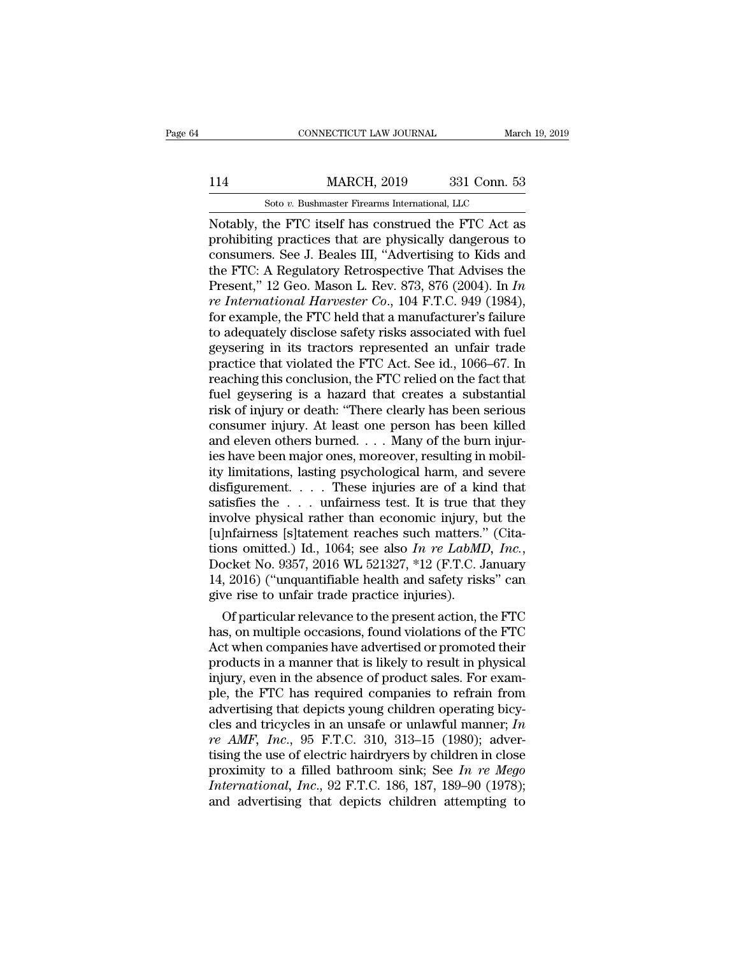# EXECUTE CONNECTICUT LAW JOURNAL March 19, 2019<br>114 MARCH, 2019 331 Conn. 53<br>500 v. Bushmaster Firearms International, LLC CONNECTICUT LAW JOURNAL March March March MARCH, 2019 331 Conn. 53<br>Soto *v.* Bushmaster Firearms International, LLC<br>The FTC itself has construed the FTC Act as

CONNECTICUT LAW JOURNAL March 19, 2019<br>
MARCH, 2019 331 Conn. 53<br>
Soto v. Bushmaster Firearms International, LLC<br>
Notably, the FTC itself has construed the FTC Act as<br>
prohibiting practices that are physically dangerous to MARCH, 2019 331 Conn. 53<br>
Soto v. Bushmaster Firearms International, LLC<br>
Notably, the FTC itself has construed the FTC Act as<br>
prohibiting practices that are physically dangerous to<br>
consumers. See J. Beales III, "Adverti MARCH, 2019 331 Conn. 53<br>
Soto v. Bushmaster Firearms International, LLC<br>
Notably, the FTC itself has construed the FTC Act as<br>
prohibiting practices that are physically dangerous to<br>
consumers. See J. Beales III, "Adverti MARCH, 2019 331 Conn. 53<br>
Soto v. Bushmaster Firearms International, LLC<br>
Notably, the FTC itself has construed the FTC Act as<br>
prohibiting practices that are physically dangerous to<br>
consumers. See J. Beales III, "Adverti Soto *v.* Bushmaster Firearms International, LLC<br>
Notably, the FTC itself has construed the FTC Act as<br>
prohibiting practices that are physically dangerous to<br>
consumers. See J. Beales III, "Advertising to Kids and<br>
the FT **Free International, LCC**<br> **regionally, the FTC itself has construed the FTC Act as<br>
prohibiting practices that are physically dangerous to<br>
consumers. See J. Beales III, "Advertising to Kids and<br>
the FTC: A Regulatory Ret** Notably, the FTC itself has construed the FTC Act as<br>prohibiting practices that are physically dangerous to<br>consumers. See J. Beales III, "Advertising to Kids and<br>the FTC: A Regulatory Retrospective That Advises the<br>Presen prohibiting practices that are physically dangerous to consumers. See J. Beales III, "Advertising to Kids and the FTC: A Regulatory Retrospective That Advises the Present," 12 Geo. Mason L. Rev. 873, 876 (2004). In *In r* consumers. See J. Beales III, "Advertising to Kids and<br>the FTC: A Regulatory Retrospective That Advises the<br>Present," 12 Geo. Mason L. Rev. 873, 876 (2004). In *In<br>re International Harvester Co.*, 104 F.T.C. 949 (1984),<br>fo the FTC: A Regulatory Retrospective That Advises the<br>Present," 12 Geo. Mason L. Rev. 873, 876 (2004). In *In*<br>*re International Harvester Co.*, 104 F.T.C. 949 (1984),<br>for example, the FTC held that a manufacturer's failure Present," 12 Geo. Mason L. Rev. 873, 876 (2004). In *In*<br>re International Harvester Co., 104 F.T.C. 949 (1984),<br>for example, the FTC held that a manufacturer's failure<br>to adequately disclose safety risks associated with fu re International Harvester Co., 104 F.T.C. 949 (1984),<br>for example, the FTC held that a manufacturer's failure<br>to adequately disclose safety risks associated with fuel<br>geysering in its tractors represented an unfair trade<br> for example, the FTC held that a manufacturer's failure<br>to adequately disclose safety risks associated with fuel<br>geysering in its tractors represented an unfair trade<br>practice that violated the FTC Act. See id., 1066–67. I to adequately disclose safety risks associated with fuel<br>geysering in its tractors represented an unfair trade<br>practice that violated the FTC Act. See id., 1066–67. In<br>reaching this conclusion, the FTC relied on the fact t geysering in its tractors represented an unfair trade<br>practice that violated the FTC Act. See id., 1066–67. In<br>reaching this conclusion, the FTC relied on the fact that<br>fuel geysering is a hazard that creates a substantial practice that violated the FTC Act. See id., 1066–67. In reaching this conclusion, the FTC relied on the fact that fuel geysering is a hazard that creates a substantial risk of injury or death: "There clearly has been seri reaching this conclusion, the FTC relied on the fact that<br>fuel geysering is a hazard that creates a substantial<br>risk of injury or death: "There clearly has been serious<br>consumer injury. At least one person has been killed<br> fuel geysering is a hazard that creates a substantial<br>risk of injury or death: "There clearly has been serious<br>consumer injury. At least one person has been killed<br>and eleven others burned. . . . Many of the burn injur-<br>ie risk of injury or death: "There clearly has been serious<br>consumer injury. At least one person has been killed<br>and eleven others burned. . . . Many of the burn injur-<br>ies have been major ones, moreover, resulting in mobilconsumer injury. At least one person has been killed<br>and eleven others burned. . . . Many of the burn injur-<br>ies have been major ones, moreover, resulting in mobil-<br>ity limitations, lasting psychological harm, and severe<br> and eleven others burned.... Many of the burn injuries have been major ones, moreover, resulting in mobility limitations, lasting psychological harm, and severe disfigurement.... These injuries are of a kind that satisfie ies have been major ones, moreover, resulting in mobil-<br>ity limitations, lasting psychological harm, and severe<br>disfigurement. . . . These injuries are of a kind that<br>satisfies the . . . unfairness test. It is true that th disfigurement. . . . These injuries are of a kind that<br>satisfies the . . . unfairness test. It is true that they<br>involve physical rather than economic injury, but the<br>[u]nfairness [s]tatement reaches such matters." (Citasatisfies the . . . unfairness test. It is true th<br>involve physical rather than economic injury,  $\vert$ <br>[u]nfairness [s]tatement reaches such matters.'<br>tions omitted.) Id., 1064; see also In re LabMI<br>Docket No. 9357, 2016 W volve physical rather than economic injury, but the<br>|nfairness [s]tatement reaches such matters." (Cita-<br>nns omitted.) Id., 1064; see also In re LabMD, Inc.,<br>ocket No. 9357, 2016 WL 521327, \*12 (F.T.C. January<br>, 2016) ("u [u]ntairness [s]tatement reaches such matters." (Citations omitted.) Id., 1064; see also *In re LabMD*, *Inc.*, Docket No. 9357, 2016 WL 521327, \*12 (F.T.C. January 14, 2016) ("unquantifiable health and safety risks" can

tions omitted.) Id., 1064; see also *In re LabMD*, *Inc.*,<br>Docket No. 9357, 2016 WL 521327, \*12 (F.T.C. January<br>14, 2016) ("unquantifiable health and safety risks" can<br>give rise to unfair trade practice injuries).<br>Of part Docket No. 9357, 2016 WL 521327, \*12 (F.T.C. January<br>14, 2016) ("unquantifiable health and safety risks" can<br>give rise to unfair trade practice injuries).<br>Of particular relevance to the present action, the FTC<br>has, on mult 14, 2016) ("unquantifiable health and safety risks" can<br>give rise to unfair trade practice injuries).<br>Of particular relevance to the present action, the FTC<br>has, on multiple occasions, found violations of the FTC<br>Act when give rise to untair trade practice injuries).<br>
Of particular relevance to the present action, the FTC<br>
has, on multiple occasions, found violations of the FTC<br>
Act when companies have advertised or promoted their<br>
products Of particular relevance to the present action, the FTC<br>has, on multiple occasions, found violations of the FTC<br>Act when companies have advertised or promoted their<br>products in a manner that is likely to result in physical has, on multiple occasions, found violations of the FTC<br>Act when companies have advertised or promoted their<br>products in a manner that is likely to result in physical<br>injury, even in the absence of product sales. For exam Act when companies have advertised or promoted their<br>products in a manner that is likely to result in physical<br>injury, even in the absence of product sales. For exam-<br>ple, the FTC has required companies to refrain from<br>adv products in a manner that is likely to result in physical<br>injury, even in the absence of product sales. For exam-<br>ple, the FTC has required companies to refrain from<br>advertising that depicts young children operating bicyinjury, even in the absence of product sales. For example, the FTC has required companies to refrain from advertising that depicts young children operating bicycles and tricycles in an unsafe or unlawful manner; *In* re AM ple, the FTC has required companies to refrain from<br>advertising that depicts young children operating bicy-<br>cles and tricycles in an unsafe or unlawful manner; *In*<br>*re AMF*, *Inc.*, 95 F.T.C. 310, 313–15 (1980); adver-<br>ti advertising that depicts young children operating bicycles and tricycles in an unsafe or unlawful manner; *In*  $re$  *AMF*, *Inc.*, 95 F.T.C. 310, 313–15 (1980); advertising the use of electric hairdryers by children in clo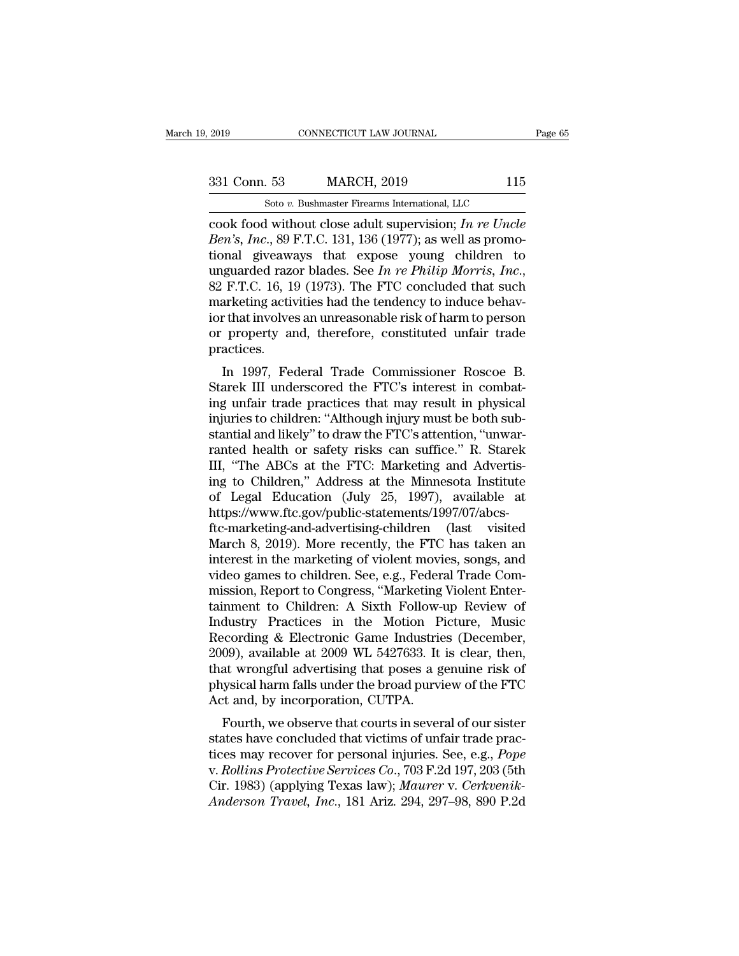| 331 Conn. 53<br><b>MARCH, 2019</b> | 115     |
|------------------------------------|---------|
|                                    |         |
| 2019<br>CONNECTICUT LAW JOURNAL    | Page 65 |

connectricut LAW JOURNAL Page 65<br>
331 Conn. 53 MARCH, 2019 115<br>
<sup>Soto v.</sup> Bushmaster Firearms International, LLC<br>
cook food without close adult supervision; *In re Uncle*<br> *Ben's, Inc.*, 89 F.T.C. 131, 136 (1977); as well <sup>331</sup> Conn. 53 MARCH, 2019 115<br>
<sup>Soto v.</sup> Bushmaster Firearms International, LLC<br>
cook food without close adult supervision; *In re Uncle*<br> *Ben's, Inc.*, 89 F.T.C. 131, 136 (1977); as well as promo-<br>
tional giveaways that 331 Conn. 53 MARCH, 2019 115<br>
Soto v. Bushmaster Firearms International, LLC<br>
cook food without close adult supervision; In re Uncle<br>
Ben's, Inc., 89 F.T.C. 131, 136 (1977); as well as promo-<br>
tional giveaways that expose 331 Conn. 53 MARCH, 2019 115<br>
soto *v*. Bushmaster Firearms International, LLC<br>
cook food without close adult supervision; *In re Uncle*<br> *Ben's, Inc.*, 89 F.T.C. 131, 136 (1977); as well as promo-<br>
tional giveaways that e soto *v*. Bushmaster Firearms international, LLC<br>
cook food without close adult supervision; In re Uncle<br>
Ben's, Inc., 89 F.T.C. 131, 136 (1977); as well as promo-<br>
tional giveaways that expose young children to<br>
unguarde cook food without close adult supervision; *In re Uncle*<br>Ben's, *Inc.*, 89 F.T.C. 131, 136 (1977); as well as promo-<br>tional giveaways that expose young children to<br>unguarded razor blades. See *In re Philip Morris*, *Inc.* Ben's, Inc., 89 F.T.C. 131, 136 (1977); as well as promotional giveaways that expose young children to unguarded razor blades. See In re Philip Morris, Inc., 82 F.T.C. 16, 19 (1973). The FTC concluded that such marketing a practices. In 1997, Federal Trade Commissioner Roscoe B.<br>
In 1997, Federal Trade Commissioner Roscoe B.<br>
In 1997, Federal Trade Commissioner Roscoe B.<br>
In 1997, Federal Trade Commissioner Roscoe B.<br>
In 1997, Federal Trade Commission Sole F.T.C. 10, 19 (1975). The FTC concluded that such<br>marketing activities had the tendency to induce behav-<br>ior that involves an unreasonable risk of harm to person<br>or property and, therefore, constituted unfair trade<br>pr

marketing activities had the tendency to induce behav-<br>ior that involves an unreasonable risk of harm to person<br>or property and, therefore, constituted unfair trade<br>practices.<br>In 1997, Federal Trade Commissioner Roscoe B.<br> for that involves an unleasonable risk of narm to person<br>or property and, therefore, constituted unfair trade<br>practices.<br>In 1997, Federal Trade Commissioner Roscoe B.<br>Starek III underscored the FTC's interest in combat-<br>in or property and, therefore, constituted unian trade<br>practices.<br>In 1997, Federal Trade Commissioner Roscoe B.<br>Starek III underscored the FTC's interest in combat-<br>injuries to children: "Although injury must be both sub-<br>sta In 1997, Federal Trade Commissioner Roscoe B.<br>Starek III underscored the FTC's interest in combat-<br>ing unfair trade practices that may result in physical<br>injuries to children: "Although injury must be both sub-<br>stantial an In 1997, Federal Trade Commissioner Roscoe B.<br>Starek III underscored the FTC's interest in combat-<br>ing unfair trade practices that may result in physical<br>injuries to children: "Although injury must be both sub-<br>stantial an Starek III underscored the FTC's interest in combat-<br>ing unfair trade practices that may result in physical<br>injuries to children: "Although injury must be both sub-<br>stantial and likely" to draw the FTC's attention, "unwaring unfair trade practices that may result in physical<br>injuries to children: "Although injury must be both sub-<br>stantial and likely" to draw the FTC's attention, "unwar-<br>ranted health or safety risks can suffice." R. Stare https://www.ftc.gov/public-statements/1997/07/abcsstantial and likely" to draw the FTC's attention, "unwar-<br>ranted health or safety risks can suffice." R. Starek<br>III, "The ABCs at the FTC: Marketing and Advertis-<br>ing to Children," Address at the Minnesota Institute<br>of Leg ranted health or safety risks can suffice." R. Starek<br>III, "The ABCs at the FTC: Marketing and Advertis-<br>ing to Children," Address at the Minnesota Institute<br>of Legal Education (July 25, 1997), available at<br>https://www.ftc III, "The ABCs at the FTC: Marketing and Advertising to Children," Address at the Minnesota Institute<br>of Legal Education (July 25, 1997), available at<br>https://www.ftc.gov/public-statements/1997/07/abcs-<br>ftc-marketing-and-a ing to Children," Address at the Minnesota Institute<br>of Legal Education (July 25, 1997), available at<br>https://www.ftc.gov/public-statements/1997/07/abcs-<br>ftc-marketing-and-advertising-children (last visited<br>March 8, 2019). of Legal Education (July 25, 1997), available at<br>https://www.ftc.gov/public-statements/1997/07/abcs-<br>ftc-marketing-and-advertising-children (last visited<br>March 8, 2019). More recently, the FTC has taken an<br>interest in the https://www.ftc.gov/public-statements/1997/07/abcs-<br>ftc-marketing-and-advertising-children (last visited<br>March 8, 2019). More recently, the FTC has taken an<br>interest in the marketing of violent movies, songs, and<br>video gam ftc-marketing-and-advertising-children (last visited<br>March 8, 2019). More recently, the FTC has taken an<br>interest in the marketing of violent movies, songs, and<br>video games to children. See, e.g., Federal Trade Com-<br>missio March 8, 2019). More recently, the FTC has taken an interest in the marketing of violent movies, songs, and video games to children. See, e.g., Federal Trade Commission, Report to Congress, "Marketing Violent Entertainment interest in the marketing of violent movies, songs, and<br>video games to children. See, e.g., Federal Trade Com-<br>mission, Report to Congress, "Marketing Violent Enter-<br>tainment to Children: A Sixth Follow-up Review of<br>Indust video games to children. See, e.g., Federal Trade Commission, Report to Congress, "Marketing Violent Entertainment to Children: A Sixth Follow-up Review of Industry Practices in the Motion Picture, Music Recording & Electr mission, Report to Congress, "Marketing Violent Entertainment to Children: A Sixth Follow-up Review of Industry Practices in the Motion Picture, Music Recording & Electronic Game Industries (December, 2009), available at 2 tainment to Children: A Sixth Follow-Industry Practices in the Motion P<br>Recording & Electronic Game Industrie<br>2009), available at 2009 WL 5427633. It<br>that wrongful advertising that poses a g<br>physical harm falls under the b Fractices in the Motion Ticture, Music<br>ecording & Electronic Game Industries (December,<br>09), available at 2009 WL 5427633. It is clear, then,<br>at wrongful advertising that poses a genuine risk of<br>ysical harm falls under the states have concluded that victims of unfair trade prac-<br>states have concluded that wrongful advertising that poses a genuine risk of<br>physical harm falls under the broad purview of the FTC<br>Act and, by incorporation, CUTPA

2009), available at 2009 WE 9421055. It is clear, then,<br>that wrongful advertising that poses a genuine risk of<br>physical harm falls under the broad purview of the FTC<br>Act and, by incorporation, CUTPA.<br>Fourth, we observe tha relative Markon and Poster and Poster and Poster physical harm falls under the broad purview of the FTC<br>Act and, by incorporation, CUTPA.<br>Fourth, we observe that courts in several of our sister<br>states have concluded that v physical name and pure the broad purview of the FTC<br>Act and, by incorporation, CUTPA.<br>Fourth, we observe that courts in several of our sister<br>states have concluded that victims of unfair trade prac-<br>tices may recover for p Act and, by incorporation, COTPA.<br>
Fourth, we observe that courts in several of our sister<br>
states have concluded that victims of unfair trade prac-<br>
tices may recover for personal injuries. See, e.g., *Pope*<br>
v. *Rollins*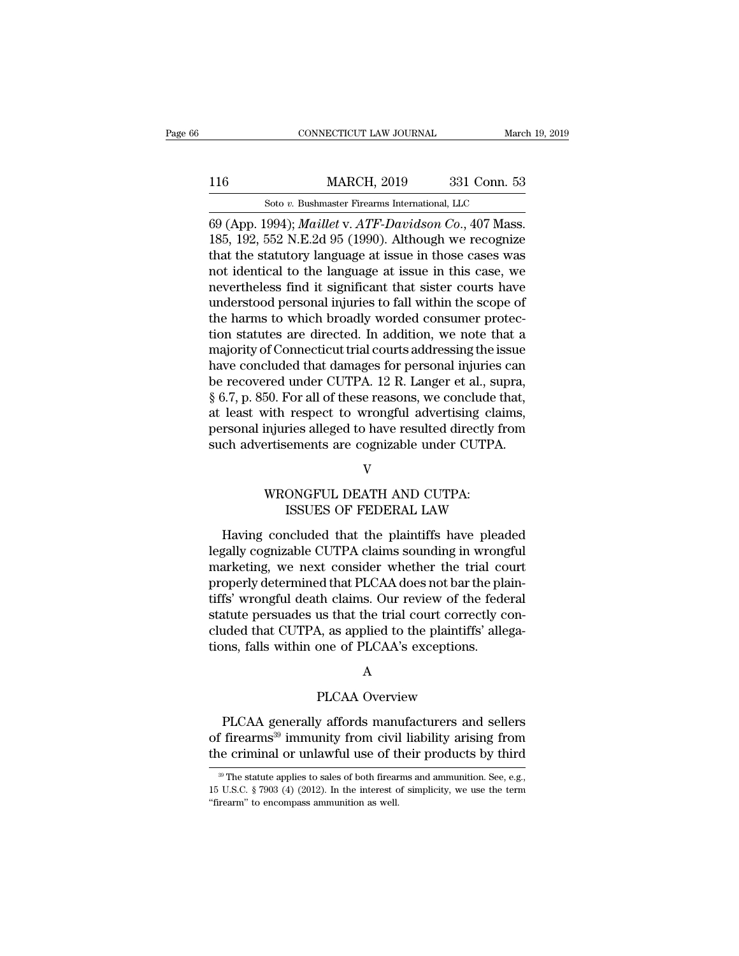# EXECUTE CONNECTICUT LAW JOURNAL March 19, 2019<br>116 MARCH, 2019 331 Conn. 53<br>500 v. Bushmaster Firearms International, LLC CONNECTICUT LAW JOURNAL March March March MARCH, 2019 331 Conn. 53<br>Soto *v.* Bushmaster Firearms International, LLC<br>994): *Maillet v. ATF-Davidson. Co.* 407 Mass

69 (App. 1994); *Maillet* v. *ATF-Davidson Co.*, 407 Mass.<br>
1994); *Maillet* v. *ATF-Davidson Co.*, 407 Mass.<br>
185, 192, 552 N.E.2d 95 (1990). Although we recognize that the statutory language at issue in these cases was MARCH, 2019 331 Conn. 53<br>
Soto v. Bushmaster Firearms International, LLC<br>
69 (App. 1994); *Maillet* v. *ATF-Davidson Co.*, 407 Mass.<br>
185, 192, 552 N.E.2d 95 (1990). Although we recognize<br>
that the statutory language at is MARCH, 2019 331 Conn. 53<br>
Soto v. Bushmaster Firearms International, LLC<br>
69 (App. 1994); *Maillet* v. *ATF-Davidson Co.*, 407 Mass.<br>
185, 192, 552 N.E.2d 95 (1990). Although we recognize<br>
that the statutory language at is not identical to the language at issue in this case, we<br>not increase the language at issue in this case, we<br>note identical to the language at issue in this case, we<br>nevertheless find it significant that sister courts have<br> Soto v. Bushmaster Firearms International, LLC<br>
69 (App. 1994); *Maillet* v. *ATF-Davidson Co.*, 407 Mass.<br>
185, 192, 552 N.E.2d 95 (1990). Although we recognize<br>
that the statutory language at issue in those cases was<br>
n soo v. Bushmaster Firearms international, LLC<br>69 (App. 1994); *Maillet* v. *ATF-Davidson Co.*, 407 Mass.<br>185, 192, 552 N.E.2d 95 (1990). Although we recognize<br>that the statutory language at issue in those cases was<br>not id 69 (App. 1994); *Maillet* v. *ATF-Davidson Co.*, 407 Mass.<br>185, 192, 552 N.E.2d 95 (1990). Although we recognize<br>that the statutory language at issue in those cases was<br>not identical to the language at issue in this case, 185, 192, 552 N.E.2d 95 (1990). Although we recognize<br>that the statutory language at issue in those cases was<br>not identical to the language at issue in this case, we<br>nevertheless find it significant that sister courts have that the statutory language at issue in those cases was<br>not identical to the language at issue in this case, we<br>nevertheless find it significant that sister courts have<br>understood personal injuries to fall within the scope not identical to the language at issue in this case, we<br>nevertheless find it significant that sister courts have<br>understood personal injuries to fall within the scope of<br>the harms to which broadly worded consumer protec-<br>t nevertheless find it significant that sister courts have<br>understood personal injuries to fall within the scope of<br>the harms to which broadly worded consumer protec-<br>tion statutes are directed. In addition, we note that a<br>m understood personal injuries to fall within the scope of<br>the harms to which broadly worded consumer protec-<br>tion statutes are directed. In addition, we note that a<br>majority of Connecticut trial courts addressing the issue<br> the harms to which broadly worded consumer protection statutes are directed. In addition, we note that a majority of Connecticut trial courts addressing the issue have concluded that damages for personal injuries can be re tion statutes are directed. In addition, we note that a<br>majority of Connecticut trial courts addressing the issue<br>have concluded that damages for personal injuries can<br>be recovered under CUTPA. 12 R. Langer et al., supra,<br> majority of Connecticut trial courts addressing the issue<br>have concluded that damages for personal injuries can<br>be recovered under CUTPA. 12 R. Langer et al., supra,<br>§ 6.7, p. 850. For all of these reasons, we conclude tha bol. For all of these reasons, we conclude<br>with respect to wrongful advertising claim<br>injuries alleged to have resulted directly intertisements are cognizable under CUTPA:<br>V<br>WRONGFUL DEATH AND CUTPA:<br>ISSUES OF FEDERAL LAW respect to wrongful advertising claims,<br>ries alleged to have resulted directly from<br>ements are cognizable under CUTPA.<br>V<br>ONGFUL DEATH AND CUTPA:<br>ISSUES OF FEDERAL LAW<br>acluded that the plaintiffs have pleaded

## V

ch advertisements are cognizable under CUTPA.<br>
V<br>
WRONGFUL DEATH AND CUTPA:<br>
ISSUES OF FEDERAL LAW<br>
Having concluded that the plaintiffs have pleaded<br>
gally cognizable CUTPA claims sounding in wrongful<br>
arketing we novt co V<br>
WRONGFUL DEATH AND CUTPA:<br>
ISSUES OF FEDERAL LAW<br>
Having concluded that the plaintiffs have pleaded<br>
legally cognizable CUTPA claims sounding in wrongful<br>
marketing, we next consider whether the trial court<br>
properly de V<br>WRONGFUL DEATH AND CUTPA:<br>ISSUES OF FEDERAL LAW<br>Having concluded that the plaintiffs have pleaded<br>legally cognizable CUTPA claims sounding in wrongful<br>marketing, we next consider whether the trial court<br>properly determin WRONGFUL DEATH AND CUTPA:<br>ISSUES OF FEDERAL LAW<br>Having concluded that the plaintiffs have pleaded<br>legally cognizable CUTPA claims sounding in wrongful<br>marketing, we next consider whether the trial court<br>properly determined ISSUES OF FEDERAL LAW<br>Issues of FEDERAL LAW<br>Having concluded that the plaintiffs have pleaded<br>legally cognizable CUTPA claims sounding in wrongful<br>marketing, we next consider whether the trial court<br>properly determined tha Having concluded that the plaintiffs have pleaded<br>legally cognizable CUTPA claims sounding in wrongful<br>marketing, we next consider whether the trial court<br>properly determined that PLCAA does not bar the plain-<br>tiffs' wrong Having concluded that the plaintiffs have pleaded<br>legally cognizable CUTPA claims sounding in wrongful<br>marketing, we next consider whether the trial court<br>properly determined that PLCAA does not bar the plain-<br>tiffs' wrong legally cognizable CUTPA claims sounding in wrong<br>marketing, we next consider whether the trial co<br>properly determined that PLCAA does not bar the pla<br>tiffs' wrongful death claims. Our review of the fede<br>statute persuades th claims. Our review of the fede<br>us that the trial court correctly co<br>A, as applied to the plaintiffs' alleg<br>one of PLCAA's exceptions.<br>A<br>PLCAA Overview<br>y affords manufacturers and selle

## A

% uded that CUTPA, as applied to the plaintiffs' allega-<br>
ms, falls within one of PLCAA's exceptions.<br>
A<br>
PLCAA Overview<br>
PLCAA generally affords manufacturers and sellers<br>
firearms<sup>39</sup> immunity from civil liability arisin tions, falls within one of PLCAA's exceptions.<br>
A<br>
PLCAA Overview<br>
PLCAA generally affords manufacturers and sellers<br>
of firearms<sup>39</sup> immunity from civil liability arising from<br>
the criminal or unlawful use of their produc A<br>PLCAA generally affords manufacturers and sellers<br>of firearms<sup>39</sup> immunity from civil liability arising from<br>the criminal or unlawful use of their products by third<br><sup>39</sup> The statute applies to sales of both firearms and PLCAA generally affords manufacturers and sellers<br>f firearms<sup>39</sup> immunity from civil liability arising from<br>e criminal or unlawful use of their products by third<br><sup>39</sup> The statute applies to sales of both firearms and ammu PLCAA generally affords manufacturers and sellers<br>of firearms<sup>39</sup> immunity from civil liability arising from<br>the criminal or unlawful use of their products by third<br><sup>39</sup> The statute applies to sales of both firearms and a

of firearms<sup>39</sup> immunity from civil<br>the criminal or unlawful use of the  $\frac{1}{\pi}$ <br>The statute applies to sales of both firear<br>15 U.S.C. § 7903 (4) (2012). In the interest of<br>"firearm" to encompass ammunition as well.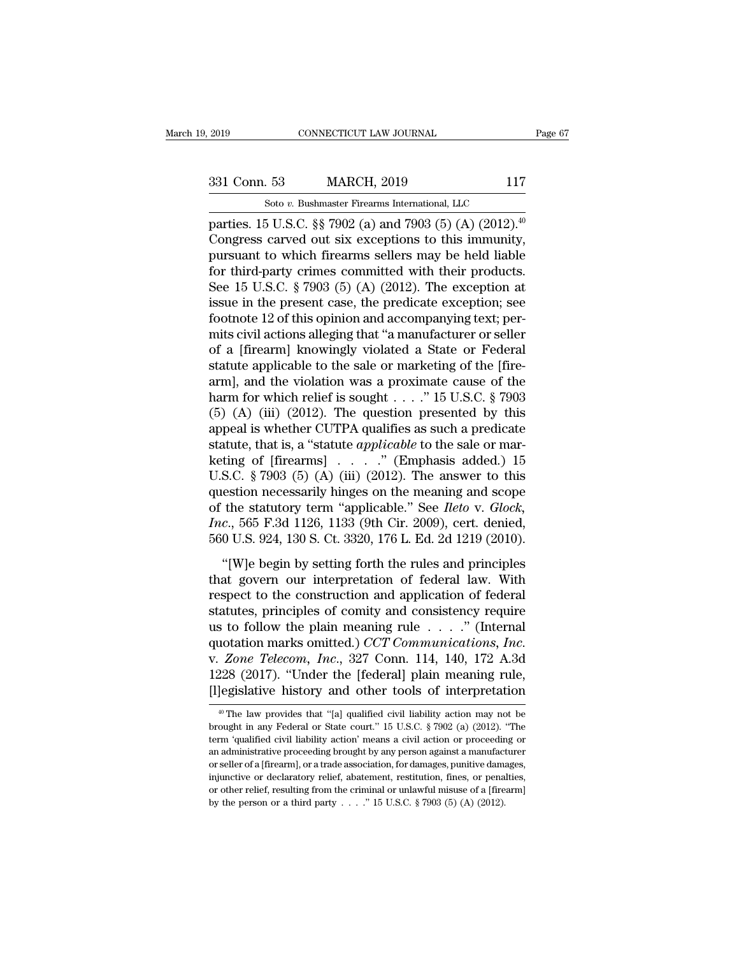2019 CONNECTICUT LAW JOURNAL<br>
331 Conn. 53 MARCH, 2019 117<br>
50to *v.* Bushmaster Firearms International, LLC<br>
parties. 15 U.S.C. §§ 7902 (a) and 7903 (5) (A) (2012).<sup>40</sup> Page 6<br>
2019 CONNECTICUT LAW JOURNAL Page 6<br>
231 Conn. 53 MARCH, 2019 117<br>
500 v. Bushmaster Firearms International, LLC<br>
parties. 15 U.S.C. §§ 7902 (a) and 7903 (5) (A) (2012).<sup>40</sup><br>
Congress carved out six exceptions to t 331 Conn. 53 MARCH, 2019 117<br>
Soto v. Bushmaster Firearms International, LLC<br>
parties. 15 U.S.C. §§ 7902 (a) and 7903 (5) (A) (2012).<sup>40</sup><br>
Congress carved out six exceptions to this immunity,<br>
pursuant to which firearms s 331 Conn. 53 MARCH, 2019 117<br>
Soto v. Bushmaster Firearms International, LLC<br>
parties. 15 U.S.C. §§ 7902 (a) and 7903 (5) (A) (2012).<sup>40</sup><br>
Congress carved out six exceptions to this immunity,<br>
pursuant to which firearms s 331 Conn. 53 MARCH, 2019 117<br>
Soto v. Bushmaster Firearms International, LLC<br>
parties. 15 U.S.C. §§ 7902 (a) and 7903 (5) (A) (2012).<sup>40</sup><br>
Congress carved out six exceptions to this immunity,<br>
pursuant to which firearms s Soto v. Bushmaster Firearms International, LLC<br>parties. 15 U.S.C. §§ 7902 (a) and 7903 (5) (A) (2012).<sup>40</sup><br>Congress carved out six exceptions to this immunity,<br>pursuant to which firearms sellers may be held liable<br>for thi soto v. Bushmaster Freams international, LLC<br>parties. 15 U.S.C. §§ 7902 (a) and 7903 (5) (A) (2012).<sup>40</sup><br>Congress carved out six exceptions to this immunity,<br>pursuant to which firearms sellers may be held liable<br>for third parties. 15 U.S.C. §§ 7902 (a) and 7903 (5) (A) (2012).<sup>40</sup><br>Congress carved out six exceptions to this immunity,<br>pursuant to which firearms sellers may be held liable<br>for third-party crimes committed with their products.<br> Congress carved out six exceptions to this immunity,<br>pursuant to which firearms sellers may be held liable<br>for third-party crimes committed with their products.<br>See 15 U.S.C. § 7903 (5) (A) (2012). The exception at<br>issue i pursuant to which firearms sellers may be held liable<br>for third-party crimes committed with their products.<br>See 15 U.S.C. § 7903 (5) (A) (2012). The exception at<br>issue in the present case, the predicate exception; see<br>foot for third-party crimes committed with their products.<br>See 15 U.S.C. § 7903 (5) (A) (2012). The exception at<br>issue in the present case, the predicate exception; see<br>footnote 12 of this opinion and accompanying text; per-<br>m See 15 U.S.C. § 7903 (5) (A) (2012). The exception at issue in the present case, the predicate exception; see footnote 12 of this opinion and accompanying text; permits civil actions alleging that "a manufacturer or selle issue in the present case, the predicate exception; see<br>footnote 12 of this opinion and accompanying text; per-<br>mits civil actions alleging that "a manufacturer or seller<br>of a [firearm] knowingly violated a State or Federa footnote 12 of this opinion and accompanying text; permits civil actions alleging that "a manufacturer or seller<br>of a [firearm] knowingly violated a State or Federal<br>statute applicable to the sale or marketing of the [fir mits civil actions alleging that "a manufacturer or seller<br>of a [firearm] knowingly violated a State or Federal<br>statute applicable to the sale or marketing of the [fire-<br>arm], and the violation was a proximate cause of th of a [firearm] knowingly violated a State or Federal statute applicable to the sale or marketing of the [fire-<br>arm], and the violation was a proximate cause of the<br>harm for which relief is sought . . . . " 15 U.S.C. § 790 statute applicable to the sale or marketing of the [fire-<br>arm], and the violation was a proximate cause of the<br>harm for which relief is sought . . . ." 15 U.S.C. § 7903<br>(5) (A) (iii) (2012). The question presented by this arm], and the violation was a proximate cause of the<br>harm for which relief is sought . . . ." 15 U.S.C. § 7903<br>(5) (A) (iii) (2012). The question presented by this<br>appeal is whether CUTPA qualifies as such a predicate<br>sta harm for which relief is sought . . . ." 15 U.S.C. § 7903<br>(5) (A) (iii) (2012). The question presented by this<br>appeal is whether CUTPA qualifies as such a predicate<br>statute, that is, a "statute *applicable* to the sale or (5) (A) (iii) (2012). The question presented by this<br>appeal is whether CUTPA qualifies as such a predicate<br>statute, that is, a "statute *applicable* to the sale or mar-<br>keting of [firearms] . . . . ." (Emphasis added.) 15 appeal is whether CUTPA qualifies as such a predicate<br>statute, that is, a "statute *applicable* to the sale or mar-<br>keting of [firearms] . . . . " (Emphasis added.) 15<br>U.S.C. § 7903 (5) (A) (iii) (2012). The answer to this statute, that is, a "statute *applicable* to the sale or marketing of [firearms] . . . . " (Emphasis added.) 15 U.S.C. § 7903 (5) (A) (iii) (2012). The answer to this question necessarily hinges on the meaning and scope of S.C.  $\S$  7903 (5) (A) (iii) (2012). The answer to this<br>estion necessarily hinges on the meaning and scope<br>the statutory term "applicable." See *Ileto* v. *Glock*,<br>c., 565 F.3d 1126, 1133 (9th Cir. 2009), cert. denied,<br>0 U question necessarily hinges on the meaning and scope<br>of the statutory term "applicable." See *Reto* v. *Glock*,<br>*Inc.*, 565 F.3d 1126, 1133 (9th Cir. 2009), cert. denied,<br>560 U.S. 924, 130 S. Ct. 3320, 176 L. Ed. 2d 1219

respectively term "applicable." See *Reto v. Glock*,<br>*Inc.*, 565 F.3d 1126, 1133 (9th Cir. 2009), cert. denied,<br>560 U.S. 924, 130 S. Ct. 3320, 176 L. Ed. 2d 1219 (2010).<br>"[W]e begin by setting forth the rules and principl Friedly, 133 (9th Cir. 2009), cert. denied,<br>
Friedly, 565 F.3d 1126, 1133 (9th Cir. 2009), cert. denied,<br>
560 U.S. 924, 130 S. Ct. 3320, 176 L. Ed. 2d 1219 (2010).<br>
"[W]e begin by setting forth the rules and principles<br>
t 1600 U.S. 924, 130 S. Ct. 3320, 176 L. Ed. 2d 1219 (2010).<br>
"[W]e begin by setting forth the rules and principles<br>
that govern our interpretation of federal law. With<br>
respect to the construction and application of federa <sup>2</sup>(W]e begin by setting forth the rules and principles<br>that govern our interpretation of federal law. With<br>respect to the construction and application of federal<br>statutes, principles of comity and consistency require<br>us t that govern our interpretation of federal law. With<br>respect to the construction and application of federal<br>statutes, principles of comity and consistency require<br>us to follow the plain meaning rule  $\ldots$ ." (Internal<br>quota respect to the construction and application of federal<br>statutes, principles of comity and consistency require<br>us to follow the plain meaning rule . . . ." (Internal<br>quotation marks omitted.) *CCT Communications, Inc.*<br>v. quotation marks omitted.) *CCT Communications, Inc.*<br>v. *Zone Telecom, Inc.*, 327 Conn. 114, 140, 172 A.3d<br>1228 (2017). "Under the [federal] plain meaning rule,<br>[l]egislative history and other tools of interpretation<br><sup>40</sup> v. Zone Telecom, Inc., 327 Conn. 114, 140, 172 A.3d<br>1228 (2017). "Under the [federal] plain meaning rule,<br>[I]egislative history and other tools of interpretation<br><sup>40</sup> The law provides that "[a] qualified civil liability a

<sup>1228 (2017). &</sup>quot;Under the [federal] plain meaning rule,<br>
[l]egislative history and other tools of interpretation<br>  $*$  The law provides that "[a] qualified civil liability action may not be<br>
brought in any Federal or State c [I]egislative history and other tools of interpretation<br>
<sup>40</sup> The law provides that "[a] qualified civil liability action may not be<br>
brought in any Federal or State court." 15 U.S.C. § 7902 (a) (2012). "The<br>
term 'qualifi The law provides that "[a] qualified civil liability action may not be brought in any Federal or State court." 15 U.S.C. § 7902 (a) (2012). "The term 'qualified civil liability action' means a civil action or proceeding o <sup>40</sup> The law provides that "[a] qualified civil liability action may not be brought in any Federal or State court." 15 U.S.C.  $\S$  7902 (a) (2012). "The term 'qualified civil liability action' means a civil action or proce brought in any Federal or State court." 15 U.S.C. § 7902 (a) (2012). "The term 'qualified civil liability action' means a civil action or proceeding or an administrative proceeding brought by any person against a manufact term 'qualified civil liability action' means a civil action or proceedir an administrative proceeding brought by any person against a manufactor seller of a [firearm], or a trade association, for damages, punitive damain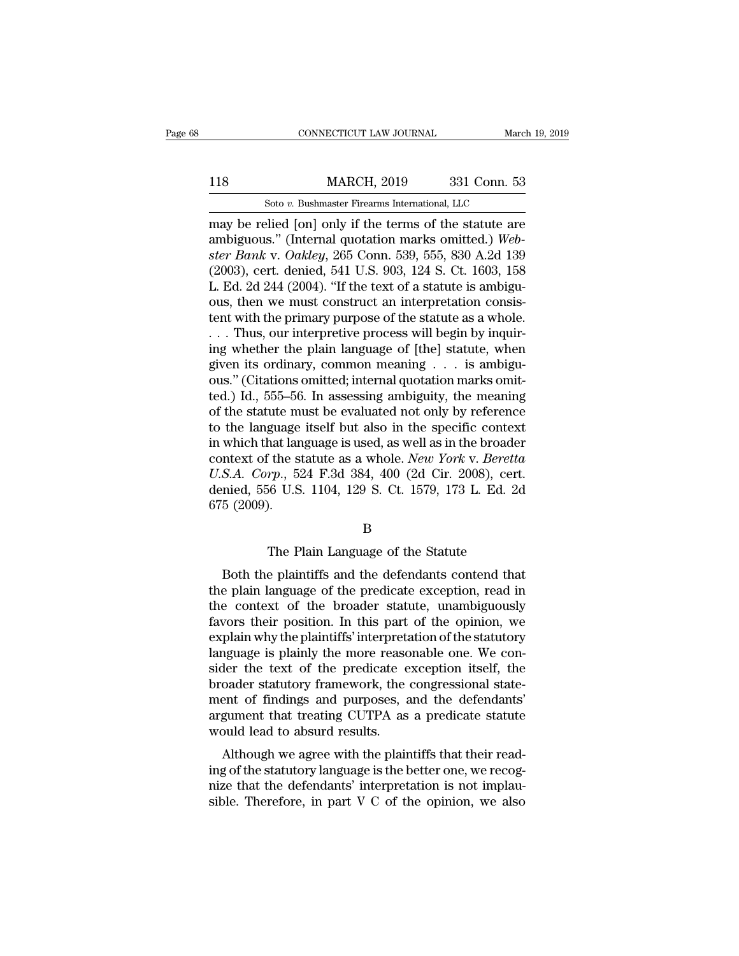# EXECUTE CONNECTICUT LAW JOURNAL March 19, 2019<br>118 MARCH, 2019 331 Conn. 53<br>500 v. Bushmaster Firearms International, LLC CONNECTICUT LAW JOURNAL March March March MARCH, 2019 331 Conn. 53<br>Soto *v.* Bushmaster Firearms International, LLC<br>Plied Jon1 only if the terms of the statute are

CONNECTICUT LAW JOURNAL March 19, 2019<br>
MARCH, 2019 331 Conn. 53<br>
Soto v. Bushmaster Firearms International, LLC<br>
may be relied [on] only if the terms of the statute are<br>
ambiguous." (Internal quotation marks omitted.) Web MARCH, 2019 331 Conn. 53<br>
Soto *v*. Bushmaster Firearms International, LLC<br>
may be relied [on] only if the terms of the statute are<br>
ambiguous.'' (Internal quotation marks omitted.) *Web-*<br> *ster Bank v. Oakley*, 265 Conn. **Solution 18.13**<br> **Solution 18.53**<br> **Solution 18.53**<br> **Solution 18.53**<br> **olution 18.53**<br> **olution 18.53**<br> **olution 18.59**<br> **olution 18.59**<br> **olution 18.59**<br> **olution 18.59**<br> **olution 18.59**<br> **olution 18.59**<br> **olution 18.59** MARCH, 2019 331 Conn. 53<br>
Soto v. Bushmaster Firearms International, LLC<br>
may be relied [on] only if the terms of the statute are<br>
ambiguous." (Internal quotation marks omitted.) Web-<br>
ster Bank v. Oakley, 265 Conn. 539, 5 Soto v. Bushmaster Firearms International, LLC<br>
may be relied [on] only if the terms of the statute are<br>
ambiguous." (Internal quotation marks omitted.) Web-<br>
ster Bank v. Oakley, 265 Conn. 539, 555, 830 A.2d 139<br>
(2003), soto v. Bushmaster Frearms International, LLC<br>
may be relied [on] only if the terms of the statute are<br>
ambiguous." (Internal quotation marks omitted.) Web-<br>
ster Bank v. Oakley, 265 Conn. 539, 555, 830 A.2d 139<br>
(2003), may be relied [on] only if the terms of the statute are<br>ambiguous." (Internal quotation marks omitted.) Web-<br>ster Bank v. Oakley, 265 Conn. 539, 555, 830 A.2d 139<br>(2003), cert. denied, 541 U.S. 903, 124 S. Ct. 1603, 158<br>L ambiguous." (Internal quotation marks omitted.) Webster Bank v. Oakley, 265 Conn. 539, 555, 830 A.2d 139 (2003), cert. denied, 541 U.S. 903, 124 S. Ct. 1603, 158 L. Ed. 2d 244 (2004). "If the text of a statute is ambiguou ster Bank v. Oakley, 265 Conn. 539, 555, 830 A.2d 139 (2003), cert. denied, 541 U.S. 903, 124 S. Ct. 1603, 158 L. Ed. 2d 244 (2004). "If the text of a statute is ambiguous, then we must construct an interpretation consiste (2003), cert. denied, 541 U.S. 903, 124 S. Ct. 1603, 158<br>L. Ed. 2d 244 (2004). "If the text of a statute is ambiguous, then we must construct an interpretation consistent with the primary purpose of the statute as a whole L. Ed. 2d 244 (2004). "If the text of a statute is ambiguous, then we must construct an interpretation consistent with the primary purpose of the statute as a whole.<br>  $\dots$  Thus, our interpretive process will begin by inqu ous, then we must construct an interpretation consistent with the primary purpose of the statute as a whole.<br>
. . . Thus, our interpretive process will begin by inquiring whether the plain language of [the] statute, when<br> tent with the primary purpose of the statute as a whole.<br>  $\dots$  Thus, our interpretive process will begin by inquiring whether the plain language of [the] statute, when<br>
given its ordinary, common meaning  $\dots$  is ambigu-<br> ... Thus, our interpretive process will begin by inquiring whether the plain language of [the] statute, when<br>given its ordinary, common meaning ... is ambiguous." (Citations omitted; internal quotation marks omit-<br>ted.) I ing whether the plain language of [the] statute, when<br>given its ordinary, common meaning . . . is ambigu-<br>ous." (Citations omitted; internal quotation marks omit-<br>ted.) Id., 555–56. In assessing ambiguity, the meaning<br>of given its ordinary, common meaning . . . is ambiguous." (Citations omitted; internal quotation marks omitted.) Id., 555–56. In assessing ambiguity, the meaning of the statute must be evaluated not only by reference to the ous." (Citations omitted; internal quotation marks omitted.) Id., 555–56. In assessing ambiguity, the meaning of the statute must be evaluated not only by reference to the language itself but also in the specific context i ted.) Id., 555–56. In assessing ambiguity, the meaning<br>of the statute must be evaluated not only by reference<br>to the language itself but also in the specific context<br>in which that language is used, as well as in the broad of the statute m<br>to the language<br>in which that lan<br>context of the st<br>U.S.A. Corp., 52<br>denied, 556 U.S<br>675 (2009). The statute as a whole. *New York v. Beretta*<br> *rp.*, 524 F.3d 384, 400 (2d Cir. 2008), cert.<br>
66 U.S. 1104, 129 S. Ct. 1579, 173 L. Ed. 2d<br> *B*<br>
The Plain Language of the Statute<br>
e plaintiffs and the defendants contend

## B

 $B$ oth the plaintiffs and the defendants contend that<br>equals be plaintiffs and the defendants contend that<br>equals plaintiffs and the defendants contend that<br>equals appear of the predicate exception, read in<br>the context of the plain language of the Statute<br>Both the plain Language of the Statute<br>Both the plaintiffs and the defendants contend that<br>the plain language of the predicate exception, read in<br>the context of the broader statute, unambi B<br>
The Plain Language of the Statute<br>
Both the plaintiffs and the defendants contend that<br>
the plain language of the predicate exception, read in<br>
the context of the broader statute, unambiguously<br>
favors their position. I B<br>
The Plain Language of the Statute<br>
Both the plaintiffs and the defendants contend that<br>
the plain language of the predicate exception, read in<br>
the context of the broader statute, unambiguously<br>
favors their position. I The Plain Language of the Statute<br>Both the plaintiffs and the defendants contend that<br>the plain language of the predicate exception, read in<br>the context of the broader statute, unambiguously<br>favors their position. In this Internal manguage of the baattle<br>Both the plaintiffs and the defendants contend that<br>the plain language of the predicate exception, read in<br>the context of the broader statute, unambiguously<br>favors their position. In this p Both the plaintiffs and the defendants contend that<br>the plain language of the predicate exception, read in<br>the context of the broader statute, unambiguously<br>favors their position. In this part of the opinion, we<br>explain wh the plain language of the predicate exception, read in<br>the context of the broader statute, unambiguously<br>favors their position. In this part of the opinion, we<br>explain why the plaintiffs' interpretation of the statutory<br>la the context of the broader statute, unambiguously<br>favors their position. In this part of the opinion, we<br>explain why the plaintiffs' interpretation of the statutory<br>language is plainly the more reasonable one. We con-<br>side favors their position. In this part of the opinion, we<br>explain why the plaintiffs' interpretation of the statutory<br>language is plainly the more reasonable one. We con-<br>sider the text of the predicate exception itself, the<br> explain why the plaintiffs' interpretainguage is plainly the more reasosider the text of the predicate ebroader statutory framework, the ment of findings and purposes, and purposes, and purposes, and would lead to absurd r reader is plainly the more reasonable one. We constructed the text of the predicate exception itself, the oader statutory framework, the congressional state-<br>ent of findings and purposes, and the defendants' gument that tr sider the text of the predicate exception itsen, the<br>broader statutory framework, the congressional state-<br>ment of findings and purposes, and the defendants'<br>argument that treating CUTPA as a predicate statute<br>would lead t

notically matter of findings and purposes, and the defendants'<br>argument that treating CUTPA as a predicate statute<br>would lead to absurd results.<br>Although we agree with the plaintiffs that their read-<br>ing of the statutory l show that treating CUTPA as a predicate statute<br>argument that treating CUTPA as a predicate statute<br>would lead to absurd results.<br>Although we agree with the plaintiffs that their read-<br>ing of the statutory language is the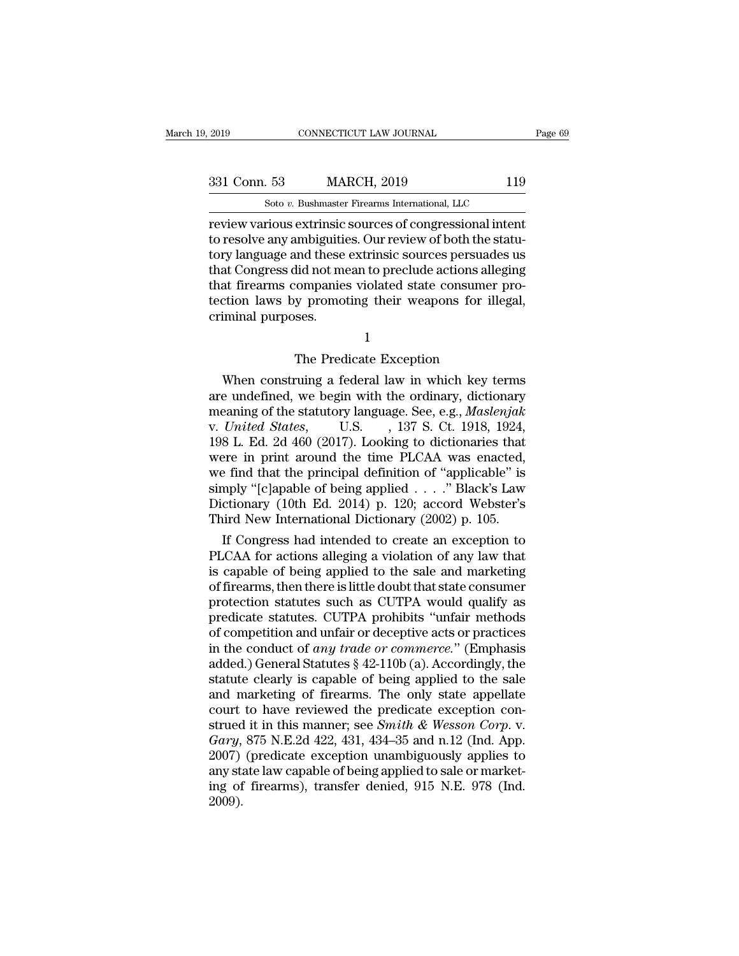| 331 Conn. 53<br><b>MARCH, 2019</b><br>119  |  |
|--------------------------------------------|--|
|                                            |  |
| 2019<br>CONNECTICUT LAW JOURNAL<br>Page 69 |  |

review various extrinsic sources persuades us<br>
119<br>
Traview various extrinsic sources of congressional intent<br>
to resolve any ambiguities. Our review of both the statu-<br>
tory language and these extrinsic sources persuades 331 Conn. 53 MARCH, 2019 119<br>
Soto  $v$ . Bushmaster Firearms International, LLC<br>
review various extrinsic sources of congressional intent<br>
to resolve any ambiguities. Our review of both the statu-<br>
tory language and these 331 Conn. 53 MARCH, 2019 119<br>
Soto v. Bushmaster Firearms International, LLC<br>
review various extrinsic sources of congressional intent<br>
to resolve any ambiguities. Our review of both the statu-<br>
tory language and these ex 331 Conn. 53 MARCH, 2019 119<br>
Soto v. Bushmaster Firearms International, LLC<br>
review various extrinsic sources of congressional intent<br>
to resolve any ambiguities. Our review of both the statu-<br>
tory language and these ex Soft Collar Companies Companies (State Collar College)<br>
That firearms International, LLC<br>
review various extrinsic sources of congressional intent<br>
to resolve any ambiguities. Our review of both the statu-<br>
tory language a Soto  $v$ . Bushmaster Firearms International, LLC<br>review various extrinsic sources of congressional intent<br>to resolve any ambiguities. Our review of both the statu-<br>tory language and these extrinsic sources persuades us<br>th review various extrinsic<br>to resolve any ambiguitio<br>tory language and these<br>that Congress did not mo<br>that firearms companie<br>tection laws by promo<br>criminal purposes. Frequences in the prediction alleged in the predictions alleged in the prediction and predictions alleged in the prediction of the predicate Exception ruing a federal law in which key ten at firearms companies violated state consumer pro-<br>
tion laws by promoting their weapons for illegal,<br>
ininal purposes.<br>
1<br>
The Predicate Exception<br>
When construing a federal law in which key terms<br>
e undefined, we begin w

## 1

tection laws by promoting their weapons for illegal,<br>criminal purposes.<br>
1<br>
The Predicate Exception<br>
When construing a federal law in which key terms<br>
are undefined, we begin with the ordinary, dictionary<br>
meaning of the s riminal purposes.<br>
The Predicate Exception<br>
When construing a federal law in which key terms<br>
are undefined, we begin with the ordinary, dictionary<br>
meaning of the statutory language. See, e.g., *Maslenjak*<br>
v. *United Sta* <sup>1</sup><br>The Predicate Exception<br>When construing a federal law in which key terms<br>are undefined, we begin with the ordinary, dictionary<br>meaning of the statutory language. See, e.g., *Maslenjak*<br>v. *United States*, U.S. , 137 S. The Predicate Exception<br>
When construing a federal law in which key terms<br>
are undefined, we begin with the ordinary, dictionary<br>
meaning of the statutory language. See, e.g., *Maslenjak*<br>
v. *United States*, U.S. , 137 S. The Predicate Exception<br>
When construing a federal law in which key terms<br>
are undefined, we begin with the ordinary, dictionary<br>
meaning of the statutory language. See, e.g., *Maslenjak*<br>
v. *United States*, U.S. , 137 S. When construing a federal law in which key terms<br>are undefined, we begin with the ordinary, dictionary<br>meaning of the statutory language. See, e.g., *Maslenjak*<br>v. *United States*, U.S. , 137 S. Ct. 1918, 1924,<br>198 L. Ed. are undefined, we begin with the ordinary, dictionary<br>meaning of the statutory language. See, e.g., *Maslenjak*<br>v. *United States*, U.S. , 137 S. Ct. 1918, 1924,<br>198 L. Ed. 2d 460 (2017). Looking to dictionaries that<br>were meaning of the statutory language. See, e.g., *Maslenjak*<br>v. *United States*, U.S., 137 S. Ct. 1918, 1924,<br>198 L. Ed. 2d 460 (2017). Looking to dictionaries that<br>were in print around the time PLCAA was enacted,<br>we find tha v. United States, U.S. , 137 S. Ct. 1918, 1924, 198 L. Ed. 2d 460 (2017). Looking to dictionaries that were in print around the time PLCAA was enacted, we find that the principal definition of "applicable" is simply "[c]ap 8 L. Ed. 2d 400 (2017). Looking to dictionaries that<br>ere in print around the time PLCAA was enacted,<br>e find that the principal definition of "applicable" is<br>uply "[c]apable of being applied . . . ." Black's Law<br>ctionary (1 were in print around the time PLCAA was enacted,<br>we find that the principal definition of "applicable" is<br>simply "[c]apable of being applied  $\ldots$ ." Black's Law<br>Dictionary (10th Ed. 2014) p. 120; accord Webster's<br>Third Ne

we find that the principal definition of "applicable" is<br>simply "[c]apable of being applied . . . ." Black's Law<br>Dictionary (10th Ed. 2014) p. 120; accord Webster's<br>Third New International Dictionary (2002) p. 105.<br>If Con simply "[c]apable of being applied . . . . " Black's Law<br>Dictionary (10th Ed. 2014) p. 120; accord Webster's<br>Third New International Dictionary (2002) p. 105.<br>If Congress had intended to create an exception to<br>PLCAA for ac Dictionary (10th Ed. 2014) p. 120; accord Webster's<br>Third New International Dictionary (2002) p. 105.<br>If Congress had intended to create an exception to<br>PLCAA for actions alleging a violation of any law that<br>is capable of Third New International Dictionary (2002) p. 105.<br>
If Congress had intended to create an exception to<br>
PLCAA for actions alleging a violation of any law that<br>
is capable of being applied to the sale and marketing<br>
of fire If Congress had intended to create an exception to<br>PLCAA for actions alleging a violation of any law that<br>is capable of being applied to the sale and marketing<br>of firearms, then there is little doubt that state consumer<br>p PLCAA for actions alleging a violation of any law that<br>is capable of being applied to the sale and marketing<br>of firearms, then there is little doubt that state consumer<br>protection statutes such as CUTPA would qualify as<br>pr is capable of being applied to the sale and marketing<br>of firearms, then there is little doubt that state consumer<br>protection statutes such as CUTPA would qualify as<br>predicate statutes. CUTPA prohibits "unfair methods<br>of co of firearms, then there is little doubt that state consumer<br>protection statutes such as CUTPA would qualify as<br>predicate statutes. CUTPA prohibits "unfair methods<br>of competition and unfair or deceptive acts or practices<br>in protection statutes such as CUTPA would qualify as<br>predicate statutes. CUTPA prohibits "unfair methods<br>of competition and unfair or deceptive acts or practices<br>in the conduct of *any trade or commerce.*" (Emphasis<br>added.) predicate statutes. CUTPA prohibits "unfair methods<br>of competition and unfair or deceptive acts or practices<br>in the conduct of *any trade or commerce*." (Emphasis<br>added.) General Statutes § 42-110b (a). Accordingly, the<br>s of competition and unfair or deceptive acts or practices<br>in the conduct of *any trade or commerce*." (Emphasis<br>added.) General Statutes § 42-110b (a). Accordingly, the<br>statute clearly is capable of being applied to the sal in the conduct of *any trade or commerce.*" (Emphasis added.) General Statutes § 42-110b (a). Accordingly, the statute clearly is capable of being applied to the sale and marketing of firearms. The only state appellate cou added.) General Statutes § 42-110b (a). Accordingly, the<br>statute clearly is capable of being applied to the sale<br>and marketing of firearms. The only state appellate<br>court to have reviewed the predicate exception con-<br>stru statute clearly is capable of being applied to the sale<br>and marketing of firearms. The only state appellate<br>court to have reviewed the predicate exception con-<br>strued it in this manner; see *Smith & Wesson Corp*. v.<br>*Gary* and marketing of firearms. The only state appellate<br>court to have reviewed the predicate exception con-<br>strued it in this manner; see *Smith & Wesson Corp.* v.<br>*Gary*, 875 N.E.2d 422, 431, 434–35 and n.12 (Ind. App.<br>2007) 2009).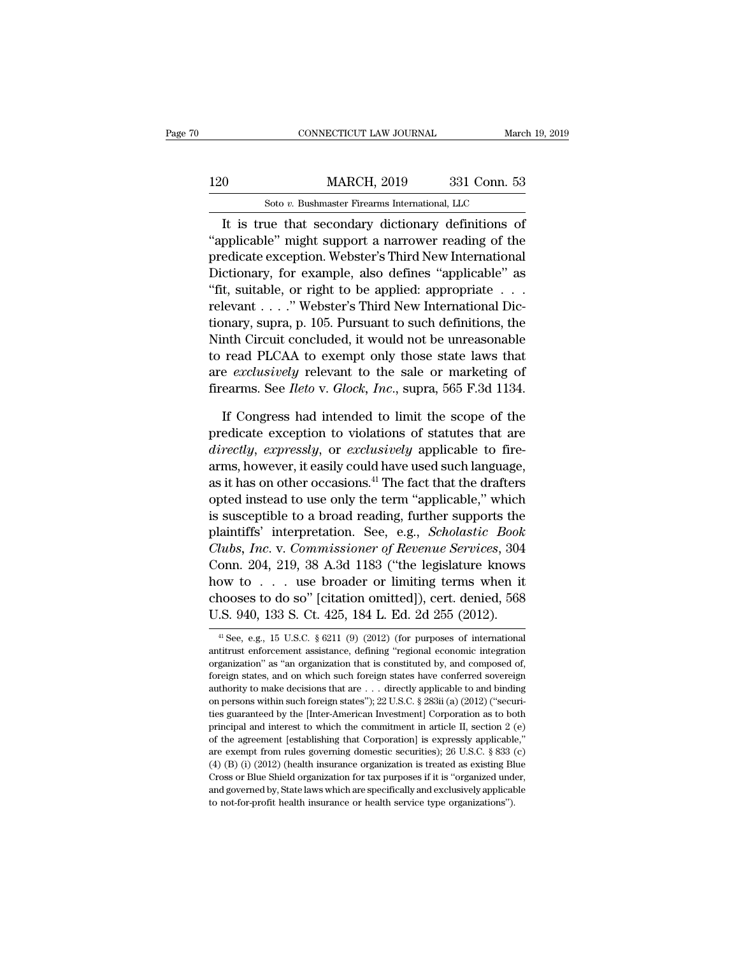# EXECUTE CONNECTICUT LAW JOURNAL March 19, 2019<br>120 MARCH, 2019 331 Conn. 53<br>500 v. Bushmaster Firearms International, LLC CONNECTICUT LAW JOURNAL March March March MARCH, 2019 331 Conn. 53<br>Soto *v.* Bushmaster Firearms International, LLC<br>Nue that secondary dictionary definitions of

CONNECTICUT LAW JOURNAL March 19, 2019<br>
0 MARCH, 2019 331 Conn. 53<br>
Soto v. Bushmaster Firearms International, LLC<br>
It is true that secondary dictionary definitions of<br>
pplicable'' might support a narrower reading of the MARCH, 2019 331 Conn. 53<br>
Soto v. Bushmaster Firearms International, LLC<br>
It is true that secondary dictionary definitions of<br>
"applicable" might support a narrower reading of the<br>
predicate exception. Webster's Third New 120 MARCH, 2019 331 Conn. 53<br>
Soto v. Bushmaster Firearms International, LLC<br>
It is true that secondary dictionary definitions of<br>
"applicable" might support a narrower reading of the<br>
predicate exception. Webster's Third MARCH, 2019 331 Conn. 53<br>
Soto v. Bushmaster Firearms International, LLC<br>
It is true that secondary dictionary definitions of<br>
"applicable" might support a narrower reading of the<br>
predicate exception. Webster's Third New Soto v. Bushmaster Firearms International, LLC<br>
It is true that secondary dictionary definitions of<br>
"applicable" might support a narrower reading of the<br>
predicate exception. Webster's Third New International<br>
Dictionary It is true that secondary dictionary definitions of<br>"applicable" might support a narrower reading of the<br>predicate exception. Webster's Third New International<br>Dictionary, for example, also defines "applicable" as<br>"fit, su It is true that secondary dictionary definitions of<br>
"applicable" might support a narrower reading of the<br>
predicate exception. Webster's Third New International<br>
Dictionary, for example, also defines "applicable" as<br>
"fit "applicable" might support a narrower reading or the<br>predicate exception. Webster's Third New International<br>Dictionary, for example, also defines "applicable" as<br>"it, suitable, or right to be applied: appropriate . . .<br>rel predicate exception. Webster's Third New International<br>Dictionary, for example, also defines "applicable" as<br>"fit, suitable, or right to be applied: appropriate . . .<br>relevant . . . ." Webster's Third New International Di Dictionary, for example, also defines "applicable" as<br>
"fit, suitable, or right to be applied: appropriate . . .<br>
relevant . . . ." Webster's Third New International Dic-<br>
tionary, supra, p. 105. Pursuant to such definitio "It, suitable, or right to be applied: appropriate . . . . relevant . . . ." Webster's Third New International Dictionary, supra, p. 105. Pursuant to such definitions, the Ninth Circuit concluded, it would not be unreasona If Congress had intended to limit the scope of the edicate exclusively relevant to the sale or marketing of earms. See *Reto* v. *Glock*, *Inc.*, supra, 565 F.3d 1134. If Congress had intended to limit the scope of the ed Ninth Circuit concluded, it would not be unreasonable<br>to read PLCAA to exempt only those state laws that<br>are *exclusively* relevant to the sale or marketing of<br>firearms. See *Ileto* v. *Glock*, *Inc.*, supra, 565 F.3d 1134

to read PLCAA to exempt only those state laws that<br>are *exclusively* relevant to the sale or marketing of<br>firearms. See *Ileto* v. *Glock*, *Inc.*, supra, 565 F.3d 1134.<br>If Congress had intended to limit the scope of the<br>p are *exclusively* relevant to the sale or marketing of<br>firearms. See *Reto* v. *Glock*, *Inc.*, supra, 565 F.3d 1134.<br>If Congress had intended to limit the scope of the<br>predicate exception to violations of statutes that ar firearms. See *Ileto* v. *Glock*, *Inc.*, supra, 565 F.3d 1134.<br>If Congress had intended to limit the scope of the<br>predicate exception to violations of statutes that are<br>*directly, expressly,* or *exclusively* applicable t If Congress had intended to limit the scope of the<br>predicate exception to violations of statutes that are<br>*directly, expressly,* or *exclusively* applicable to fire-<br>arms, however, it easily could have used such language, If Congress had intended to limit the scope of the<br>predicate exception to violations of statutes that are<br>directly, expressly, or exclusively applicable to fire-<br>arms, however, it easily could have used such language,<br>as predicate exception to violations of statutes that are *directly, expressly,* or *exclusively* applicable to fire-<br>arms, however, it easily could have used such language, as it has on other occasions.<sup>41</sup> The fact that the *Clubs, expressly,* or *exclusively* applicable to fire-<br>arms, however, it easily could have used such language,<br>as it has on other occasions.<sup>41</sup> The fact that the drafters<br>opted instead to use only the term "applicable," arms, nowever, it easily collid nave used such language,<br>as it has on other occasions.<sup>41</sup> The fact that the drafters<br>opted instead to use only the term "applicable," which<br>is susceptible to a broad reading, further suppo as it nas on other occasions.<sup>41</sup> The ract that the drafters<br>opted instead to use only the term "applicable," which<br>is susceptible to a broad reading, further supports the<br>plaintiffs' interpretation. See, e.g., *Scholasti* opted instead to use only the term "applicable," which<br>is susceptible to a broad reading, further supports the<br>plaintiffs' interpretation. See, e.g., *Scholastic Book*<br>*Clubs, Inc.* v. *Commissioner of Revenue Services*, 3 is susceptible to a broad reading, further supports the plaintiffs' interpretation. See, e.g., *Scholastic Book Clubs, Inc. v. Commissioner of Revenue Services*, 304 Conn. 204, 219, 38 A.3d 1183 ("the legislature knows ho Conn. 204, 219, 38 A.3d 1183 ("the legislature knows<br>how to . . . use broader or limiting terms when it<br>chooses to do so" [citation omitted]), cert. denied, 568<br>U.S. 940, 133 S. Ct. 425, 184 L. Ed. 2d 255 (2012).<br> $\frac{4!}{1$ how to . . . use broader or limiting terms when it chooses to do so" [citation omitted]), cert. denied, 568 U.S. 940, 133 S. Ct. 425, 184 L. Ed. 2d 255 (2012).<br>
<sup>41</sup> See, e.g., 15 U.S.C. § 6211 (9) (2012) (for purposes of

chooses to do so" [citation omitted]), cert. denied, 568<br>U.S. 940, 133 S. Ct. 425, 184 L. Ed. 2d 255 (2012).<br><sup>41</sup> See, e.g., 15 U.S.C. § 6211 (9) (2012) (for purposes of international<br>antitrust enforcement assistance, def U.S. 940, 133 S. Ct. 425, 184 L. Ed. 2d 255 (2012).<br>
<sup>41</sup> See, e.g., 15 U.S.C. § 6211 (9) (2012) (for purposes of international antitrust enforcement assistance, defining "regional economic integration organization" as "a 2.3. 340, 130 13. Oct. 42.3, 104 1. Etd. 2d 2.30 (2012).<br>
<sup>41</sup> See, e.g., 15 U.S.C. § 6211 (9) (2012) (for purposes of international antitrust enforcement assistance, defining "regional economic integration organization" <sup>41</sup> See, e.g., 15 U.S.C. § 6211 (9) (2012) (for purposes of international antitrust enforcement assistance, defining "regional economic integration organization" as "an organization that is constituted by, and composed o antitrust enforcement assistance, defining "regional economic integration organization" as "an organization that is constituted by, and composed of, foreign states, and on which such foreign states have conferred sovereig organization" as "an organization that is constituted by, and composed of, foreign states, and on which such foreign states have conferred sovereign authority to make decisions that are . . . directly applicable to and bi of the agreement and on which such foreign states have conferred sovereign authority to make decisions that are  $\ldots$  directly applicable to and binding on persons within such foreign states"); 22 U.S.C. § 283ii (a) (2012 are exempt from rules governing domestic securities); 26 U.S.C. § 833 (c) and persons within such foreign states"); 22 U.S.C. § 283ii (a) (2012) ("securities guaranteed by the [Inter-American Investment] Corporation as to both principal and interest to which the commitment in article II, section Eric surfaced by the [Inter-American Investment] Corporation as to both principal and interest to which the commitment in article II, section 2 (e) of the agreement [establishing that Corporation] is expressly applicable," principal and interest to which the commitment in article II, section 2 (e) of the agreement [establishing that Corporation] is expressly applicable," are exempt from rules governing domestic securities); 26 U.S.C. § 833 for the agreement [establishing that Corporation] is expressly applicable are exempt from rules governing domestic securities); 26 U.S.C. § 833 (4) (B) (i) (2012) (health insurance organization is treated as existing Bl Cr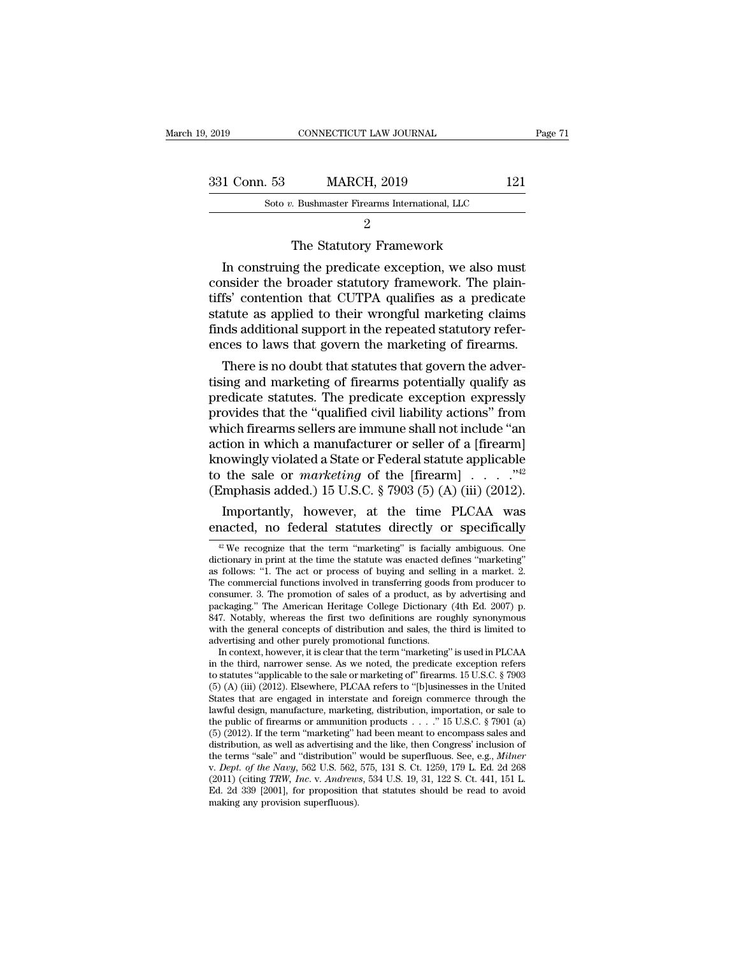| , 2019       | CONNECTICUT LAW JOURNAL                                                                                                                                              | Page 71 |
|--------------|----------------------------------------------------------------------------------------------------------------------------------------------------------------------|---------|
| 331 Conn. 53 | <b>MARCH, 2019</b>                                                                                                                                                   | 121     |
|              | Soto v. Bushmaster Firearms International, LLC                                                                                                                       |         |
|              | 2                                                                                                                                                                    |         |
|              | The Statutory Framework                                                                                                                                              |         |
|              | In construing the predicate exception, we also must<br>consider the broader statutory framework. The plain-<br>tiffs' contention that CUTDA qualifies as a prodigate |         |

## 2

Solid Constrained Solid MANCH, 2019<br>
Solid v. Bushmaster Firearms International, LLC<br>  $\frac{2}{2}$ <br>
The Statutory Framework<br>
In construing the predicate exception, we also must<br>
consider the broader statutory framework. The  $\frac{\text{Soto } v. \text{ Bushmaster Firearms International, LLC}}{2}$ <br>
The Statutory Framework<br>
In construing the predicate exception, we also must<br>
consider the broader statutory framework. The plain-<br>
tiffs' contention that CUTPA qualifies as a predicate<br>
statut <sup>2</sup><br>The Statutory Framework<br>In construing the predicate exception, we also must<br>consider the broader statutory framework. The plain-<br>tiffs' contention that CUTPA qualifies as a predicate<br>statute as applied to their wrongfu Finds and the predicate exception, we also must<br>consider the broader statutory framework. The plain-<br>tiffs' contention that CUTPA qualifies as a predicate<br>statute as applied to their wrongful marketing claims<br>finds additio In construing the predicate exception, we also must<br>consider the broader statutory framework. The plain-<br>tiffs' contention that CUTPA qualifies as a predicate<br>statute as applied to their wrongful marketing claims<br>finds add In construing the predicate exception, we also must<br>insider the broader statutory framework. The plain-<br>fs' contention that CUTPA qualifies as a predicate<br>atutte as applied to their wrongful marketing claims<br>inds additiona consider the broader statutory framework. The plain-<br>tiffs' contention that CUTPA qualifies as a predicate<br>statute as applied to their wrongful marketing claims<br>finds additional support in the repeated statutory refer-<br>enc

ture contention that CUTPA qualities as a predicate<br>statute as applied to their wrongful marketing claims<br>finds additional support in the repeated statutory refer-<br>ences to laws that govern the marketing of firearms.<br>There statute as applied to their wrongful marketing claims<br>finds additional support in the repeated statutory refer-<br>ences to laws that govern the marketing of firearms.<br>There is no doubt that statutes that govern the adver-<br>ti mas additional support in the repeated statutory references to laws that govern the marketing of firearms.<br>There is no doubt that statutes that govern the advertising and marketing of firearms potentially qualify as<br>predic ences to laws that govern the marketing or irrearms.<br>There is no doubt that statutes that govern the adver-<br>tising and marketing of firearms potentially qualify as<br>predicate statutes. The predicate exception expressly<br>prov There is no doubt that statutes that govern the advertising and marketing of firearms potentially qualify as<br>predicate statutes. The predicate exception expressly<br>provides that the "qualified civil liability actions" from tising and marketing of firearms potentially qualify as<br>predicate statutes. The predicate exception expressly<br>provides that the "qualified civil liability actions" from<br>which firearms sellers are immune shall not include predicate statutes. The predicate exception expressly<br>provides that the "qualified civil liability actions" from<br>which firearms sellers are immune shall not include "an<br>action in which a manufacturer or seller of a [firea ovides that the "qualified civil hability actions" from<br>
identificant in which a manufacturer or seller of a [firearm]<br>
identificant in which a manufacturer or seller of a [firearm]<br>
identificant contractions and the sale which investments sellers are immune shall not include "an<br>action in which a manufacturer or seller of a [firearm]<br>knowingly violated a State or Federal statute applicable<br>to the sale or *marketing* of the [firearm] . . . to the sale or *marketing* of the [firearm]  $\ldots$  .<sup>742</sup><br>(Emphasis added.) 15 U.S.C. § 7903 (5) (A) (iii) (2012).<br>Importantly, however, at the time PLCAA was<br>enacted, no federal statutes directly or specifically<br> $\frac{w}{w}$ 

<sup>(</sup>Emphasis added.) 15 U.S.C. § 7903 (5) (A) (iii) (2012).<br>
Importantly, however, at the time PLCAA was<br>
enacted, no federal statutes directly or specifically<br>
<sup>*a*</sup> We recognize that the term "marketing" is facially ambigu Importantly, however, at the time PLCAA was enacted, no federal statutes directly or specifically  $\frac{e}{e}$  We recognize that the term "marketing" is facially ambiguous. One dictionary in print at the time the statute was Importantly, nowever, at the time PLCAA was<br>enacted, no federal statutes directly or specifically<br> $\psi$  we recognize that the term "marketing" is facially ambiguous. One<br>dictionary in print at the time the statute was enac enacted, no federal statutes directly or specifically<br>
<sup>*a*</sup> We recognize that the term "marketing" is facially ambiguous. One<br>
dictionary in print at the time the statute was enacted defines "marketing"<br>
as follows: "1. <sup>42</sup> We recognize that the term "marketing" is facially ambiguous. One dictionary in print at the time the statute was enacted defines "marketing" as follows: "1. The act or process of buying and selling in a market. 2. T <sup>42</sup> We recognize that the term "marketing" is facially ambiguous. One dictionary in print at the time the statute was enacted defines "marketing" as follows: "1. The act or process of buying and selling in a market. 2. T dictionary in print at the time the statute was enacted defines "marketing"<br>as follows: "1. The act or process of buying and selling in a market. 2.<br>The commercial functions involved in transferring goods from producer to<br> The commercial functions involved in transferring goods from producer to consumer. 3. The promotion of sales of a product, as by advertising and packaging." The American Heritage College Dictionary (4th Ed. 2007) p. 847. is commercial functions involved in transferring goods from producer to measurer. 3. The promotion of sales of a product, as by advertising and ckaging." The American Heritage College Dictionary (4th Ed. 2007) p.<br>7. Notabl consumer. 3. The promotion of sales of a product, as by advertising and<br>packaging." The American Heritage College Dictionary (4th Ed. 2007) p.<br>847. Notably, whereas the first two definitions are roughly synonymous<br>with the

packaging." The American Heritage College Dictionary (4th Ed. 2007) p.<br>847. Notably, whereas the first two definitions are roughly synonymous<br>with the general concepts of distribution and sales, the third is limited to<br>adv 847. Notably, whereas the first two definitions are roughly synonymous<br>with the general concepts of distribution and sales, the third is limited to<br>advertising and other purely promotional functions.<br>In context, however, i with the general concepts of distribution and sales, the third is limited to<br>advertising and other purely promotional functions.<br>In context, however, it is clear that the term "marketing" is used in PLCAA<br>in the third, na advertising and other purely promotional functions.<br>
In context, however, it is clear that the term "marketing" is used in PLCAA<br>
in the third, narrower sense. As we noted, the predicate exception refers<br>
to statutes "appl In context, however, it is clear that the term "marketing" is used in PLCAA<br>in the third, narrower sense. As we noted, the predicate exception refers<br>to statutes "applicable to the sale or marketing of" firearms. 15 U.S.C in the third, narrower sense. As we noted, the predicate exception refers<br>to statutes "applicable to the sale or marketing of" firearms. 15 U.S.C. § 7903<br>(5) (A) (iii) (2012). Elsewhere, PLCAA refers to "[b]usinesses in t to statutes "applicable to the sale or marketing of" firearms. 15 U.S.C. § 7903 (5) (A) (iii) (2012). Elsewhere, PLCAA refers to "[b]usinesses in the United States that are engaged in interstate and foreign commerce throu (5) (A) (iii) (2012). Elsewhere, PLCAA refers to "[b]usinesses in the United States that are engaged in interstate and foreign commerce through the lawful design, manufacture, marketing, distribution, importation, or sale the public of firearms or ammunition products . . . . " 15 U.S.C. § 7901 (a) (5) (2012). If the term "marketing" had been meant to encompass sales and distribution, as well as advertising and the like, then Congress' inclu the public of firearms or ammunition products . . . ." 15 U.S.C. § 7901 (a) (5) (2012). If the term "marketing" had been meant to encompass sales and distribution, as well as advertising and the like, then Congress' inclu the terms "sale" and "distribution" would be superfluous. See, e.g., Milner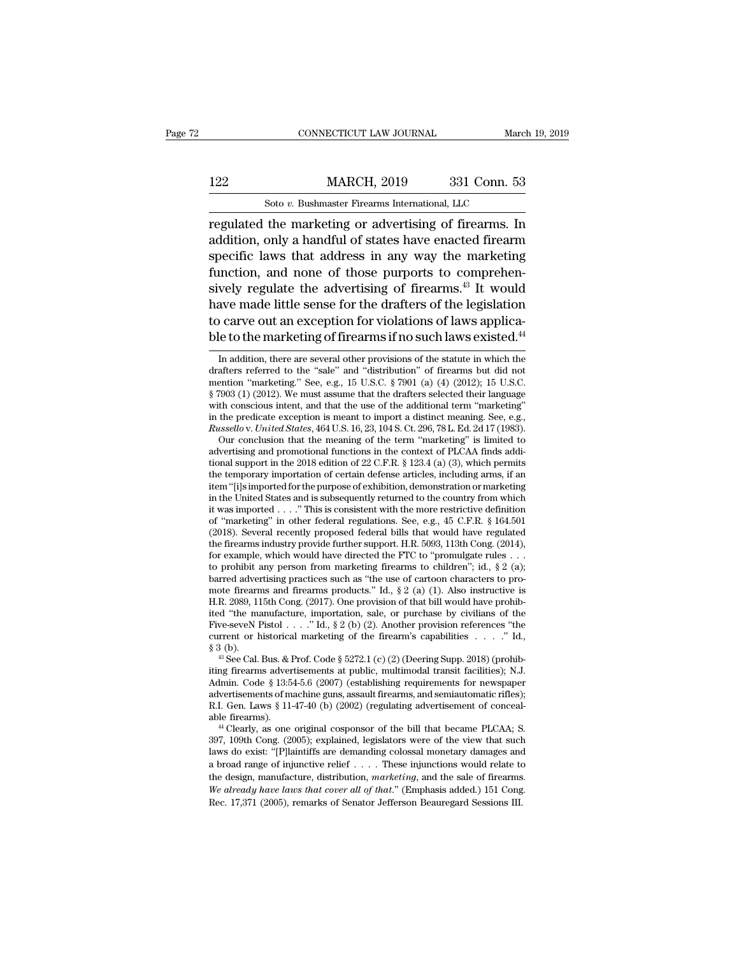# EXECUTE CONNECTICUT LAW JOURNAL March 19, 2019<br>122 MARCH, 2019 331 Conn. 53<br>500 v. Bushmaster Firearms International, LLC CONNECTICUT LAW JOURNAL March March March MARCH, 2019 331 Conn. 53<br>Soto *v.* Bushmaster Firearms International, LLC<br>the marketing or advertising of firearms In

CONNECTICUT LAW JOURNAL March 19, 2019<br>
122 MARCH, 2019 331 Conn. 53<br>
500 v. Bushmaster Firearms International, LLC<br>
regulated the marketing or advertising of firearms. In<br>
addition, only a handful of states have enacted f 122 MARCH, 2019 331 Conn. 53<br>
Soto v. Bushmaster Firearms International, LLC<br>
regulated the marketing or advertising of firearms. In<br>
addition, only a handful of states have enacted firearm<br>
specific laws that address in a 122 MARCH, 2019 331 Conn. 53<br>
soto v. Bushmaster Firearms International, LLC<br>
regulated the marketing or advertising of firearms. In<br>
addition, only a handful of states have enacted firearm<br>
specific laws that address in 122 MARCH, 2019 331 Conn. 53<br>
Soto *v*. Bushmaster Firearms International, LLC<br>
regulated the marketing or advertising of firearms. In<br>
addition, only a handful of states have enacted firearm<br>
specific laws that address i Soto v. Bushmaster Firearms International, LLC<br>regulated the marketing or advertising of firearms. In<br>addition, only a handful of states have enacted firearm<br>specific laws that address in any way the marketing<br>function, a  $\frac{1}{1000}$  and  $\frac{1}{1000}$  and  $\frac{1}{1000}$  and  $\frac{1}{1000}$  and  $\frac{1}{1000}$  and  $\frac{1}{1000}$  and  $\frac{1}{1000}$  and  $\frac{1}{1000}$  and  $\frac{1}{1000}$  and  $\frac{1}{1000}$  and  $\frac{1}{1000}$  and  $\frac{1}{1000}$  and  $\frac{1}{1000}$  and regulated the marketing or advertising of firearms. In addition, only a handful of states have enacted firearm specific laws that address in any way the marketing function, and none of those purports to comprehensively reg addition, only a handful of states have enacted firearm<br>specific laws that address in any way the marketing<br>function, and none of those purports to comprehen-<br>sively regulate the advertising of firearms.<sup>43</sup> It would<br>have Vely regulate the advertising of firearms." It would<br>ave made little sense for the drafters of the legislation<br>o carve out an exception for violations of laws applica-<br>le to the marketing of firearms if no such laws existe have made little sense for the drafters of the legislation<br>to carve out an exception for violations of laws applica-<br>ble to the marketing of firearms if no such laws existed.<sup>44</sup><br>In addition, there are several other provi

to carve out an exception for violations of laws applicable to the marketing of firearms if no such laws existed.<sup>44</sup><br>In addition, there are several other provisions of the statute in which the drafters referred to the "s ble to the marketing of firearms if no such laws existed.<sup>44</sup><br>In addition, there are several other provisions of the statute in which the<br>drafters referred to the "sale" and "distribution" of firearms but did not<br>mention ble to the marketing of firearms if no such laws existed.<sup>44</sup><br>
In addition, there are several other provisions of the statute in which the<br>
drafters referred to the "sale" and "distribution" of firearms but did not<br>
menti In addition, there are several other provisions of the statute in which the drafters referred to the "sale" and "distribution" of firearms but did not mention "marketing." See, e.g., 15 U.S.C. § 7901 (a) (4) (2012); 15 U. In addition, there are several other provisions of the statute in which the drafters referred to the "sale" and "distribution" of firearms but did not mention "marketing." See, e.g., 15 U.S.C. § 7901 (a) (4) (2012); 15 U.S afters referred to the "sale" and "distribution" of firearms but did not<br>ention "marketing." See, e.g., 15 U.S.C. § 7901 (a) (4) (2012); 15 U.S.C.<br>7903 (1) (2012). We must assume that the drafters selected their language<br> mention "marketing." See, e.g., 15 U.S.C. § 7901 (a) (4) (2012); 15 U.S.C. § 7903 (1) (2012). We must assume that the drafters selected their language with conscious intent, and that the use of the additional term "market

§ 7903 (1) (2012). We must assume that the drafters selected their language with conscious intent, and that the use of the additional term "marketing" in the predicate exception is meant to import a distinct meaning. See, with conscious intent, and that the use of the additional term "marketing"<br>in the predicate exception is meant to import a distinct meaning. See, e.g.,<br>*Russello v. United States*, 464 U.S. 16, 23, 104 S. Ct. 296, 78 L. E in the predicate exception is meant to import a distinct meaning. See, e.g.,  $Russello$  v. United States, 464 U.S. 16, 23, 104 S. Ct. 296, 78 L. Ed. 2d 17 (1983). Our conclusion that the meaning of the term "marketing" is limit *Russello v. United States*, 464 U.S. 16, 23, 104 S. Ct. 296, 78 L. Ed. 2d 17 (1983).<br>
Our conclusion that the meaning of the term "marketing" is limited to<br>
advertising and promotional functions in the context of PLCAA f Our conclusion that the meaning of the term "marketing" is limited to<br>advertising and promotional functions in the context of PLCAA finds addi-<br>tional support in the 2018 edition of 22 C.F.R. § 123.4 (a) (3), which permit advertising and promotional functions in the context of PLCAA finds additional support in the 2018 edition of 22 C.F.R. § 123.4 (a) (3), which permits the temporary importation of certain defense articles, including arms, tional support in the 2018 edition of 22 C.F.R. § 123.4 (a) (3), which permits<br>the temporary importation of certain defense articles, including arms, if an<br>item "[i]s imported for the purpose of exhibition, demonstration the temporary importation of certain defense articles, including arms, if an item "[i]s imported for the purpose of exhibition, demonstration or marketing in the United States and is subsequently returned to the country f item "[i]s imported for the purpose of exhibition, demonstration or marketing<br>in the United States and is subsequently returned to the country from which<br>it was imported . . . . " This is consistent with the more restrict in the United States and is subsequently returned to the country from which<br>it was imported . . . ." This is consistent with the more restrictive definition<br>of "marketing" in other federal regulations. See, e.g., 45 C.F.R it was imported . . . ." This is consistent with the more restrictive definition<br>of "marketing" in other federal regulations. See, e.g., 45 C.F.R. § 164.501<br>(2018). Several recently proposed federal bills that would have of "marketing" in other federal regulations. See, e.g., 45 C.F.R. § 164.501 (2018). Several recently proposed federal bills that would have regulated the firearms industry provide further support. H.R. 5093, 113th Cong. ( (2018). Several recently proposed federal bills that would have regulated<br>the firearms industry provide further support. H.R. 5093, 113th Cong. (2014),<br>for example, which would have directed the FTC to "promulgate rules . the firearms industry provide further support. H.R. 5093, 113th Cong. (2014),<br>for example, which would have directed the FTC to "promulgate rules . . . to<br>to prohibit any person from marketing firearms to children"; id., for example, which would have directed the FTC to "promulgate rules . . . to prohibit any person from marketing firearms to children"; id., § 2 (a); barred advertising practices such as "the use of cartoon characters to p to prohibit any person from marketing firearms to children"; id., § 2 (a);<br>barred advertising practices such as "the use of cartoon characters to pro-<br>mote firearms and firearms products." Id., § 2 (a) (1). Also instructi barred advertising practices such as "the use of cartoon characters to promote firearms and firearms products." Id., § 2 (a) (1). Also instructive is H.R. 2089, 115th Cong. (2017). One provision of that bill would have pr H.R. 2089, 115th Cong. (2017). One provision of that bill would have prohibited "the manufacture, importation, sale, or purchase by civilians of the Five-seveN Pistol . . . . " Id., § 2 (b) (2). Another provision referenc

ited "the manufacture, importation, sale, or purchase by civilians of the<br>Five-seveN Pistol . . . . "Id., § 2 (b) (2). Another provision references "the<br>current or historical marketing of the firearm's capabilities . . . Five-seveN Pistol . . . . " Id., § 2 (b) (2). Another provision references "the current or historical marketing of the firearm's capabilities . . . . " Id., § 3 (b).<br>
" See Cal. Bus. & Prof. Code § 5272.1 (c) (2) (Deering current or historical marketing of the firearm's capabilities . . . . . " Id., § 3 (b).<br>
" See Cal. Bus. & Prof. Code § 5272.1 (c) (2) (Deering Supp. 2018) (prohibiting firearms advertisements at public, multimodal transi § 3 (b).<br>
<sup>43</sup> See Cal. Bus. & Prof. Code § 5272.1 (c) (2) (Deering Supp. 2018) (prohibiting firearms advertisements at public, multimodal transit facilities); N.J. Admin. Code § 13:54-5.6 (2007) (establishing requirements iting firearms advertisements at public, multimodal transit facilities); N.J.<br>Admin. Code § 13:54-5.6 (2007) (establishing requirements for newspaper<br>advertisements of machine guns, assault firearms, and semiautomatic rifl

Admin. Code § 13:54-5.6 (2007) (establishing requirements for newspaper advertisements of machine guns, assault firearms, and semiautomatic rifles); R.I. Gen. Laws § 11-47-40 (b) (2002) (regulating advertisement of concea advertisements of machine guns, assault firearms, and semiautomatic rifles);<br>R.I. Gen. Laws § 11-47-40 (b) (2002) (regulating advertisement of conceal-<br>able firearms).<br><sup>44</sup> Clearly, as one original cosponsor of the bill th K.I. Gen. Laws § 11-47-40 (b) (2002) (regulating advertisement of conceal-<br>able firearms).<br><sup>44</sup> Clearly, as one original cosponsor of the bill that became PLCAA; S.<br>397, 109th Cong. (2005); explained, legislators were of t <sup>44</sup> Clearly, as one original cosponsor of the bill that became PLCAA; S. 397, 109th Cong. (2005); explained, legislators were of the view that such laws do exist: "[P]laintiffs are demanding colossal monetary damages and Cearly, as one original cosponsor of the bin that became I LOAA, 5397, 109th Cong. (2005); explained, legislators were of the view that such laws do exist: "[P]laintiffs are demanding colossal monetary damages and a broad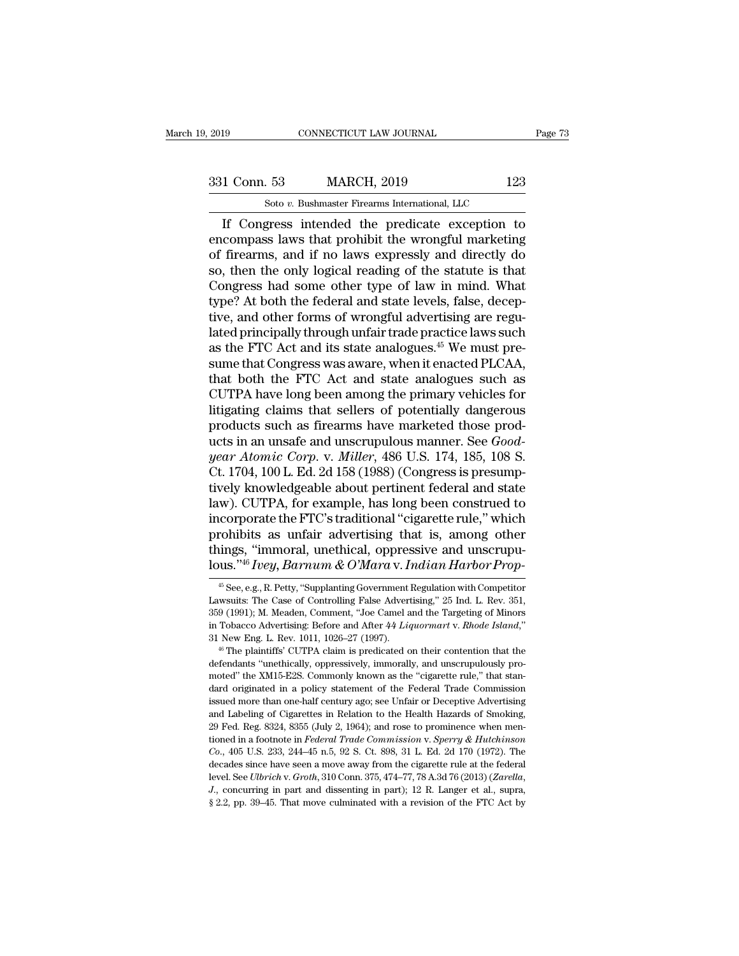# 2019 CONNECTICUT LAW JOURNAL Page 73<br>331 Conn. 53 MARCH, 2019 123<br>500 v. Bushmaster Firearms International, LLC CONNECTICUT LAW JOURNAL<br>
Soto *v.* Bushmaster Firearms International, LLC<br>
Soto *v.* Bushmaster Firearms International, LLC<br>
Press intended the predicate exception to

CONNECTICUT LAW JOURNAL Page 73<br>
1 Conn. 53 MARCH, 2019 123<br>
Soto v. Bushmaster Firearms International, LLC<br>
If Congress intended the predicate exception to<br>
compass laws that prohibit the wrongful marketing<br>
firearms and 331 Conn. 53 MARCH, 2019 123<br>
Soto v. Bushmaster Firearms International, LLC<br>
If Congress intended the predicate exception to<br>
encompass laws that prohibit the wrongful marketing<br>
of firearms, and if no laws expressly and  $\frac{\text{331 Conn. 53}}{\text{Soto } v. \text{ Bushmaster Firearms International, LLC}}$ <br>
If Congress intended the predicate exception to<br>
encompass laws that prohibit the wrongful marketing<br>
of firearms, and if no laws expressly and directly do<br>
so, then the only logical  $\frac{331 \text{ Conn. } 53}{\text{Soto } v. \text{ Bushmaster Fraarms International, LLC}}$ <br>If Congress intended the predicate exception to<br>encompass laws that prohibit the wrongful marketing<br>of firearms, and if no laws expressly and directly do<br>so, then the only logical re Sole Collar Community 2012<br>
Soto v. Bushmaster Firearms International, LLC<br>
If Congress intended the predicate exception to<br>
encompass laws that prohibit the wrongful marketing<br>
of firearms, and if no laws expressly and di Soto  $v$ . Bushmaster Firearms International, LLC<br>If Congress intended the predicate exception to<br>encompass laws that prohibit the wrongful marketing<br>of firearms, and if no laws expressly and directly do<br>so, then the only If Congress intended the predicate exception to<br>encompass laws that prohibit the wrongful marketing<br>of firearms, and if no laws expressly and directly do<br>so, then the only logical reading of the statute is that<br>Congress h encompass laws that prohibit the wrongful marketing<br>of firearms, and if no laws expressly and directly do<br>so, then the only logical reading of the statute is that<br>Congress had some other type of law in mind. What<br>type? At of firearms, and if no laws expressly and directly do<br>so, then the only logical reading of the statute is that<br>Congress had some other type of law in mind. What<br>type? At both the federal and state levels, false, decep-<br>tiv so, then the only logical reading of the statute is that<br>Congress had some other type of law in mind. What<br>type? At both the federal and state levels, false, decep-<br>tive, and other forms of wrongful advertising are regu-<br>l Congress had some other type of law in mind. What<br>type? At both the federal and state levels, false, decep-<br>tive, and other forms of wrongful advertising are regu-<br>lated principally through unfair trade practice laws such<br> type? At both the federal and state levels, false, deceptive, and other forms of wrongful advertising are regulated principally through unfair trade practice laws such as the FTC Act and its state analogues.<sup>45</sup> We must pr tive, and other forms of wrongful advertising are regulated principally through unfair trade practice laws such<br>as the FTC Act and its state analogues.<sup>45</sup> We must pre-<br>sume that Congress was aware, when it enacted PLCAA,<br> lated principally through unfair trade practice laws such<br>as the FTC Act and its state analogues.<sup>45</sup> We must pre-<br>sume that Congress was aware, when it enacted PLCAA,<br>that both the FTC Act and state analogues such as<br>CUT as the FTC Act and its state analogues.<sup>45</sup> We must pre-<br>sume that Congress was aware, when it enacted PLCAA,<br>that both the FTC Act and state analogues such as<br>CUTPA have long been among the primary vehicles for<br>litigating sume that Congress was aware, when it enacted PLCAA, that both the FTC Act and state analogues such as CUTPA have long been among the primary vehicles for litigating claims that sellers of potentially dangerous products su that both the FTC Act and state analogues such as<br>CUTPA have long been among the primary vehicles for<br>litigating claims that sellers of potentially dangerous<br>products such as firearms have marketed those prod-<br>ucts in an u CUTPA have long been among the primary vehicles for<br>litigating claims that sellers of potentially dangerous<br>products such as firearms have marketed those prod-<br>ucts in an unsafe and unscrupulous manner. See *Good-<br>year Ato* litigating claims that sellers of potentially dangerous<br>products such as firearms have marketed those prod-<br>ucts in an unsafe and unscrupulous manner. See *Good-<br>year Atomic Corp.* v. *Miller*, 486 U.S. 174, 185, 108 S.<br>Ct products such as firearms have marketed those products in an unsafe and unscrupulous manner. See *Good-<br>year Atomic Corp.* v. *Miller*, 486 U.S. 174, 185, 108 S.<br>Ct. 1704, 100 L. Ed. 2d 158 (1988) (Congress is presump-<br>tiv ucts in an unsafe and unscrupulous manner. See *Good-<br>year Atomic Corp.* v. *Miller*, 486 U.S. 174, 185, 108 S.<br>Ct. 1704, 100 L. Ed. 2d 158 (1988) (Congress is presump-<br>tively knowledgeable about pertinent federal and stat year Atomic Corp. v. Miller, 486 U.S. 174, 185, 108 S.<br>Ct. 1704, 100 L. Ed. 2d 158 (1988) (Congress is presump-<br>tively knowledgeable about pertinent federal and state<br>law). CUTPA, for example, has long been construed to<br>in Ct. 1704, 100 L. Ed. 2d 158 (1988) (Congress is presumptively knowledgeable about pertinent federal and state law). CUTPA, for example, has long been construed to incorporate the FTC's traditional "cigarette rule," which p corporate the FTC's traditional "cigarette rule," which<br>rohibits as unfair advertising that is, among other<br>iings, "immoral, unethical, oppressive and unscrupu-<br>us."<sup>46</sup> *Ivey, Barnum & O'Mara* v. *Indian Harbor Prop*-<br><sup>45</sup> prohibits as unfair advertising that is, among other things, "immoral, unethical, oppressive and unscrupu-<br>lous."<sup>46</sup> *Ivey, Barnum & O'Mara v. Indian Harbor Prop*-<br><sup>45</sup> See, e.g., R. Petty, "Supplanting Government Regula

things, "immoral, unethical, oppressive and unscrupu-<br>
lous."<sup>46</sup> *Ivey*, *Barnum & O'Mara* v. *Indian Harbor Prop*-<br>  $*$  See, e.g., R. Petty, "Supplanting Government Regulation with Competitor<br>
Lawsuits: The Case of Cont in Tobacco Advertising: Before and After 44 Liquormart v. *Rhode Island*,"<br>
<sup>45</sup> See, e.g., R. Petty, "Supplanting Government Regulation with Competitor<br>
Lawsuits: The Case of Controlling False Advertising," 25 Ind. L. Rev **31 New Eng. L. Rev. 1011, 1026–27** (1997).<br>
<sup>45</sup> See, e.g., R. Petty, "Supplanting Government Regulation with Competitor Lawsuits: The Case of Controlling False Advertising," 25 Ind. L. Rev. 351, 359 (1991); M. Meaden, Co Lawsuits: The Case of Controlling False Advertising," 25 Ind. L. Rev. 351, 359 (1991); M. Meaden, Comment, "Joe Camel and the Targeting of Minors in Tobacco Advertising: Before and After 44 Liquormart v. Rhode Island," 31

<sup>359 (1991);</sup> M. Meaden, Comment, "Joe Camel and the Targeting of Minors<br>in Tobacco Advertising: Before and After  $44$  Liquormart v. Rhode Island,"<br>31 New Eng. L. Rev. 1011, 1026–27 (1997).<br> $46$  The plaintiffs' CUTPA claim in Tobacco Advertising: Before and After  $44$  Liquormart v. Rhode Island,"<br>31 New Eng. L. Rev. 1011, 1026–27 (1997).<br><sup>46</sup> The plaintiffs' CUTPA claim is predicated on their contention that the<br>defendants "unethically, opp is New Eng. L. Rev. 1011, 1026–27 (1997).<br>
<sup>46</sup> The plaintiffs' CUTPA claim is predicated on their contention that the<br>
defendants "unethically, oppressively, immorally, and unscrupulously pro-<br>
moted" the XM15-E2S. Common <sup>46</sup> The plaintiffs' CUTPA claim is predicated on their contention that the defendants "unethically, oppressively, immorally, and unscrupulously promoted" the XM15-E2S. Commonly known as the "cigarette rule," that standard defendants "unethically, oppressively, immorally, and unscrupulously promoted" the XM15-E2S. Commonly known as the "cigarette rule," that standard originated in a policy statement of the Federal Trade Commission issued mo moted" the XM15-E2S. Commonly known as the "cigarette rule," that standard originated in a policy statement of the Federal Trade Commission issued more than one-half century ago; see Unfair or Deceptive Advertising and Lab dard originated in a policy statement of the Federal Trade Commission<br>issued more than one-half century ago; see Unfair or Deceptive Advertising<br>and Labeling of Cigarettes in Relation to the Health Hazards of Smoking,<br>29 F decades since than one-half century ago; see Unfair or Deceptive Advertising<br>and Labeling of Cigarettes in Relation to the Health Hazards of Smoking,<br>29 Fed. Reg. 8324, 8355 (July 2, 1964); and rose to prominence when men and Labeling of Cigarettes in Relation to the Health Hazards of Smoking, 29 Fed. Reg. 8324, 8355 (July 2, 1964); and rose to prominence when mentioned in a footnote in *Federal Trade Commission v. Sperry & Hutchinson Co.* tioned in a footnote in *Federal Trade Commission* v. Sperry & Hutchinson  $Co$ , 405 U.S. 233, 244–45 n.5, 92 S. Ct. 898, 31 L. Ed. 2d 170 (1972). The decades since have seen a move away from the cigarette rule at the feder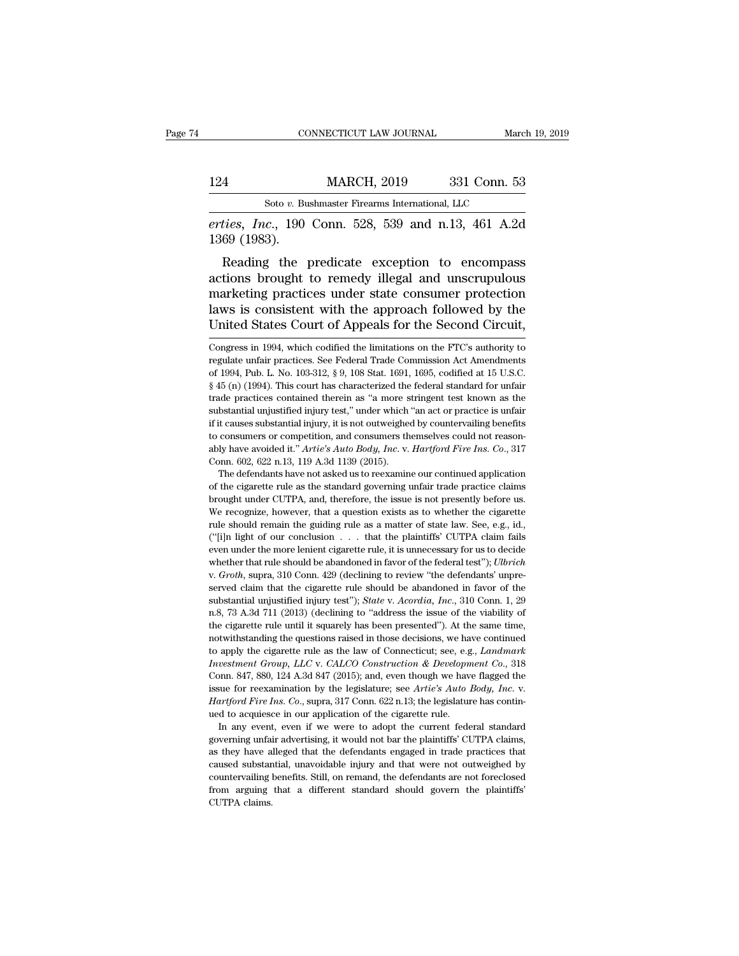# EXECUTE CONNECTICUT LAW JOURNAL March 19, 2019<br>124 MARCH, 2019 331 Conn. 53<br>500 v. Bushmaster Firearms International, LLC CONNECTICUT LAW JOURNAL March March March MARCH, 2019 331 Conn. 53<br>Soto *v.* Bushmaster Firearms International, LLC<br>C. 190 Conn. 528, 539 and n.13, 461, A.2d

**EXECUTE CONNECTICUT LAW JOURNAL** March 19, 2019<br> **EXECUTE:** MARCH, 2019 331 Conn. 53<br> **EXECUTE:** Soto v. Bushmaster Firearms International, LLC<br> **EXECUTE:** FIREAR MARCH, 190 Conn. 528, 539 and n.13, 461 A.2d<br>
1369 (1983). 124<br>
Soto v. Bu<br>
erties, *Inc.*, 190<br>
1369 (1983).<br>
Reading the 1

MARCH, 2019 331 Conn. 53<br>
soto v. Bushmaster Firearms International, LLC<br>
ties, Inc., 190 Conn. 528, 539 and n.13, 461 A.2d<br>
69 (1983).<br>
Reading the predicate exception to encompass<br>
tions brought to remedy illegal and uns 124 MARCH, 2019 331 Conn. 53<br>
soto v. Bushmaster Firearms International, LLC<br>
erties, Inc., 190 Conn. 528, 539 and n.13, 461 A.2d<br>
1369 (1983).<br>
Reading the predicate exception to encompass<br>
actions brought to remedy ille Soto v. Bushmaster Firearms International, LLC<br>
erties, Inc., 190 Conn. 528, 539 and n.13, 461 A.2d<br>
1369 (1983).<br>
Reading the predicate exception to encompass<br>
actions brought to remedy illegal and unscrupulous<br>
marketin erties, *Inc.*, 190 Conn. 528, 539 and n.13, 461 A.2d<br>1369 (1983).<br>Reading the predicate exception to encompass<br>actions brought to remedy illegal and unscrupulous<br>marketing practices under state consumer protection<br>laws is Fries, *Inc.*, 190 Collit. 328, 339 and 11.13, 401 A.2d 1369 (1983).<br>Reading the predicate exception to encompass<br>actions brought to remedy illegal and unscrupulous<br>marketing practices under state consumer protection<br>laws actions brought to remedy illegal and unscrupulous<br>marketing practices under state consumer protection<br>laws is consistent with the approach followed by the<br>United States Court of Appeals for the Second Circuit,<br>congress in marketing practices under state consumer protection<br>laws is consistent with the approach followed by the<br>United States Court of Appeals for the Second Circuit,<br>congress in 1994, which codified the limitations on the FTC's

The consumers or competitive, and consumers themselves could not reasonably have avoided it." Artie's Auto Body, Inc. v. Hartford Fire Ins. Co., 317 Conn. 602, 622 n.13, 119 A.3d 1139 (2015). The defendants have not asked ably have avoided it." *Artie's Auto Body, Inc.* v. *Hartford Fire Ins.* Co., 317 Conn. 602, 622 n.13, 119 A.3d 1139 (2015). The defendants have not asked us to reexamine our continued application of the cigarette rule as Conn. 602, 622 n.13, 119 A.3d 1139 (2015).<br>The defendants have not asked us to reexamine our continued application<br>of the cigarette rule as the standard governing unfair trade practice claims<br>brought under CUTPA, and, the The defendants have not asked us to reexamine our continued application of the cigarette rule as the standard governing unfair trade practice claims brought under CUTPA, and, therefore, the issue is not presently before u of the cigarette rule as the standard governing unfair trade practice claims brought under CUTPA, and, therefore, the issue is not presently before us. We recognize, however, that a question exists as to whether the cigar brought under CUTPA, and, therefore, the issue is not presently before us.<br>We recognize, however, that a question exists as to whether the cigarette<br>rule should remain the guiding rule as a matter of state law. See, e.g., We recognize, however, that a question exists as to whether the cigarette rule should remain the guiding rule as a matter of state law. See, e.g., id., ("[i]n light of our conclusion  $\ldots$  that the plaintiffs' CUTPA claim The should remain the guiding rule as a matter of state law. See, e.g., id., ("[i]n light of our conclusion . . . that the plaintiffs' CUTPA claim fails even under the more lenient cigarette rule, it is unnecessary for us ("[i]n light of our conclusion . . . that the plaintiffs' CUTPA claim fails<br>even under the more lenient cigarette rule, it is unnecessary for us to decide<br>whether that rule should be abandoned in favor of the federal test" Fig. 1 agent the more lenient cigarette rule, it is unnecessary for us to decide whether that rule should be abandoned in favor of the federal test"); *Ubrich* v. *Groth*, supra, 310 Conn. 429 (declining to review "the de whether that rule should be abandoned in favor of the federal test"); *Ubrich* v. *Groth*, supra, 310 Conn. 429 (declining to review "the defendants' unpreserved claim that the cigarette rule should be abandoned in favor w. *Groth*, supra, 310 Conn. 429 (declining to review "the defendants' unpreserved claim that the cigarette rule should be abandoned in favor of the substantial unjustified injury test"); *State* v. *Acordia*, *Inc.*, 310 served claim that the cigarette rule should be abandoned in favor of the substantial unjustified injury test"); *State* v. *Acordia*, *Inc.*, 310 Conn. 1, 29 n.8, 73 A.3d 711 (2013) (declining to "address the issue of the **Investment Group, LLC** v. *Calco* Construction & Development Co., 310 Conn. 1, 29 an.8, 73 A.3d 711 (2013) (declining to "address the issue of the viability of the cigarette rule until it squarely has been presented"). At n.8, 73 A.3d 711 (2013) (declining to "address the issue of the viability of the cigarette rule until it squarely has been presented"). At the same time, notwithstanding the questions raised in those decisions, we have co is the cigarette rule until it squarely has been presented"). At the same time, notwithstanding the questions raised in those decisions, we have continued to apply the cigarette rule as the law of Connecticut; see, e.g., notwithstanding the questions raised in those decisions, we have continued<br>to apply the cigarette rule as the law of Connecticut; see, e.g., *Landmark*<br>*Investment Group, LLC* v. *CALCO Construction & Development Co.*, 31 *Let any and HC v. CALCO Construction & Development Co.*, 318<br>
In an. 847, 880, 124 A.3d 847 (2015); and, even though we have flagged the<br>
sue for reexamination by the legislature; see *Artie's Auto Body, Inc. v.*<br> *inffor* Conn. 847, 880, 124 A.3d 847 (2015); and, even though we have flagged the issue for reexamination by the legislature; see *Artie's Auto Body, Inc.* v. *Hartford Fire Ins.* Co., supra, 317 Conn. 622 n. 13; the legislature

issue for reexamination by the legislature; see *Artie's Auto Body, Inc.* v. Hartford Fire Ins. Co., supra, 317 Conn. 622 n.13; the legislature has continued to acquiesce in our application of the cigarette rule. In any e *Hartford Fire Ins. Co.*, supra, 317 Conn. 622 n.13; the legislature has continued to acquiesce in our application of the cigarette rule.<br>In any event, even if we were to adopt the current federal standard governing unfair naily of the countervalling benefits. Still, on remain the defendants are not application of the cigarette rule.<br>In any event, even if we were to adopt the current federal standard governing unfair advertising, it would no as they have alleged that the defendants engaged in trade practices that caused substantial, unavoidable injury and that were not outweighed by countervailing benefits. Still, on remand, the defendants are not foreclosed f governing unfai<br>as they have a<br>caused substar<br>countervailing<br>from arguing<br>CUTPA claims.

laws is consistent with the approach followed by the United States Court of Appeals for the Second Circuit, congress in 1994, which codified the limitations on the FTC's authority to regulate unfair practices. See Federal United States Court of Appeals for the Second Circuit,<br>Congress in 1994, which codified the limitations on the FTC's authority to<br>regulate unfair practices. See Federal Trade Commission Act Amendments<br>of 1994, Pub. L. No. Critical States Court of Appears for the Second Circuit,<br>Congress in 1994, which codified the limitations on the FTC's authority to<br>regulate unfair practices. See Federal Trade Commission Act Amendments<br>of 1994, Pub. L. No Congress in 1994, which codified the limitations on the FTC's authority to<br>regulate unfair practices. See Federal Trade Commission Act Amendments<br>of 1994, Pub. L. No. 103-312, § 9, 108 Stat. 1691, 1695, codified at 15 U.S. regulate unfair practices. See Federal Trade Commission Act Amendments of 1994, Pub. L. No. 103-312, § 9, 108 Stat. 1691, 1695, codified at 15 U.S.C. § 45 (n) (1994). This court has characterized the federal standard for For the consumers or competition, and consumers themselves contained at 15 U.S.C.  $\frac{1994}{1994}$ , Pub. L. No. 103-312, § 9, 108 Stat. 1691, 1695, codified at 15 U.S.C. § 45 (n) (1994). This court has characterized the fe <sup>8</sup> 45 (n) (1994). This court has characterized the federal standard for unfair trade practices contained therein as "a more stringent test known as the substantial unjustified injury test," under which "an act or practice s Let practices contained therein as "a more state practices contained therein as "a more substantial unjustified injury test," under which if it causes substantial injury, it is not outweighed to consumers or competition bstantial unjustified injury test," under which "an act or practice is unfair it causes substantial injury, it is not outweighed by countervailing benefits consumers or competition, and consumers themselves could not reas if it causes substantial injury, it is not outweighed by countervailing benefits to consumers or competition, and consumers themselves could not reasonably have avoided it." Artie's Auto Body, Inc. v. Hartford Fire Ins. C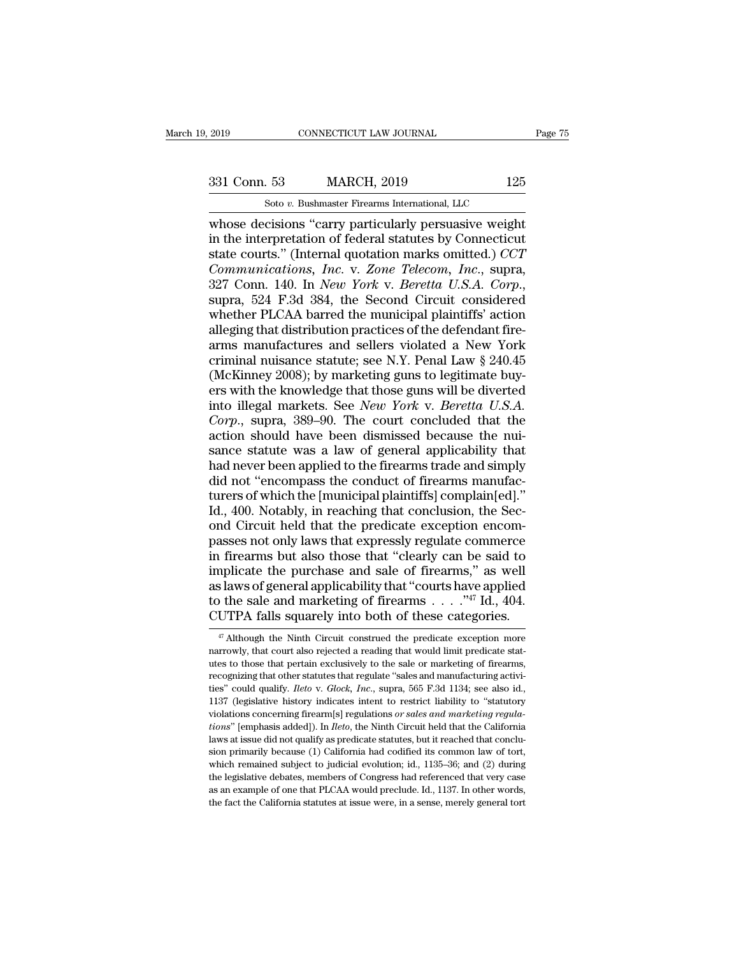2019 CONNECTICUT LAW JOURNAL Page 75<br>331 Conn. 53 MARCH, 2019 125<br>500 v. Bushmaster Firearms International, LLC

CONNECTICUT LAW JOURNAL<br>
Soto *v.* Bushmaster Firearms International, LLC<br>
Cisions "carry particularly persuasive weight 2019 CONNECTICUT LAW JOURNAL Page 7<br>
331 Conn. 53 MARCH, 2019 125<br>
360 v. Bushmaster Firearms International, LLC<br>
whose decisions "carry particularly persuasive weight<br>
in the interpretation of federal statutes by Connecti  $\begin{array}{ll} \text{331 Conn. 53} & \text{MARCH, 2019} & \text{125} \\ \text{Soto } v. \text{ Bushmaster Firearms International, LLC} \\ \text{whose decisions "carry particularly pervasive weight in the interpretation of federal statutes by Connecticut state courts." (Internal quotation marks omitted.)  $CCT \text{ Communications. Inc, V.} \text{Zone Telescope} \\ \end{array}$$ 331 Conn. 53 MARCH, 2019 125<br>
Soto *v*. Bushmaster Firearms International, LLC<br>
whose decisions "carry particularly persuasive weight<br>
in the interpretation of federal statutes by Connecticut<br>
state courts." (Internal quot <sup>231</sup> Conn. 53 MARCH, 2019 125<br>
<sup>Codo v. Bushmaster Firearms International, LLC<br>
whose decisions "carry particularly persuasive weight<br>
in the interpretation of federal statutes by Connecticut<br>
state courts." (Internal quo</sup> <sup>333</sup> Soto *v.* Bushmaster Firearms International, LLC<br>
whose decisions "carry particularly persuasive weight<br>
in the interpretation of federal statutes by Connecticut<br>
state courts." (Internal quotation marks omitted.) *C* whose decisions "carry particularly persuasive weight<br>in the interpretation of federal statutes by Connecticut<br>state courts." (Internal quotation marks omitted.) *CCT*<br>*Communications, Inc.* v. *Zone Telecom, Inc.*, supra, in the interpretation of federal statutes by Connecticut<br>state courts." (Internal quotation marks omitted.) *CCT*<br>*Communications, Inc.* v. *Zone Telecom, Inc.*, supra,<br>327 Conn. 140. In *New York* v. *Beretta U.S.A. Corp* state courts." (Internal quotation marks omitted.) *CCT*<br>Communications, *Inc.* v. Zone Telecom, *Inc.*, supra,<br>327 Conn. 140. In *New York v. Beretta U.S.A. Corp.*,<br>supra, 524 F.3d 384, the Second Circuit considered<br>wheth Communications, Inc. v. Zone Telecom, Inc., supra,<br>327 Conn. 140. In New York v. Beretta U.S.A. Corp.,<br>supra, 524 F.3d 384, the Second Circuit considered<br>whether PLCAA barred the municipal plaintiffs' action<br>alleging that 327 Conn. 140. In *New York v. Beretta U.S.A. Corp.*, supra, 524 F.3d 384, the Second Circuit considered whether PLCAA barred the municipal plaintiffs' action alleging that distribution practices of the defendant firearms supra, 524 F.3d 384, the Second Circuit considered<br>whether PLCAA barred the municipal plaintiffs' action<br>alleging that distribution practices of the defendant fire-<br>arms manufactures and sellers violated a New York<br>crimina whether PLCAA barred the municipal plaintiffs' action<br>alleging that distribution practices of the defendant fire-<br>arms manufactures and sellers violated a New York<br>criminal nuisance statute; see N.Y. Penal Law § 240.45<br>(Mc alleging that distribution practices of the defendant fire-<br>arms manufactures and sellers violated a New York<br>criminal nuisance statute; see N.Y. Penal Law § 240.45<br>(McKinney 2008); by marketing guns to legitimate buy-<br>ers arms manufactures and sellers violated a New York<br>criminal nuisance statute; see N.Y. Penal Law § 240.45<br>(McKinney 2008); by marketing guns to legitimate buy-<br>ers with the knowledge that those guns will be diverted<br>into i criminal nuisance statute; see N.Y. Penal Law  $\S$  240.45 (McKinney 2008); by marketing guns to legitimate buy-<br>ers with the knowledge that those guns will be diverted<br>into illegal markets. See *New York v. Beretta U.S.A.* (McKinney 2008); by marketing guns to legitimate buy-<br>ers with the knowledge that those guns will be diverted<br>into illegal markets. See *New York v. Beretta U.S.A.*<br>*Corp.*, supra, 389–90. The court concluded that the<br>act ers with the knowledge that those guns will be diverted<br>into illegal markets. See *New York v. Beretta U.S.A.*<br>*Corp.*, supra, 389–90. The court concluded that the<br>action should have been dismissed because the nui-<br>sance into illegal markets. See *New York v. Beretta U.S.A.*<br>Corp., supra, 389–90. The court concluded that the<br>action should have been dismissed because the nui-<br>sance statute was a law of general applicability that<br>had never b Corp., supra, 389–90. The court concluded that the<br>action should have been dismissed because the nui-<br>sance statute was a law of general applicability that<br>had never been applied to the firearms trade and simply<br>did not "e action should have been dismissed because the nuisance statute was a law of general applicability that<br>had never been applied to the firearms trade and simply<br>did not "encompass the conduct of firearms manufac-<br>turers of w sance statute was a law of general applicability that<br>had never been applied to the firearms trade and simply<br>did not "encompass the conduct of firearms manufac-<br>turers of which the [municipal plaintiffs] complain[ed]."<br>Id had never been applied to the firearms trade and simply<br>did not "encompass the conduct of firearms manufac-<br>turers of which the [municipal plaintiffs] complain[ed]."<br>Id., 400. Notably, in reaching that conclusion, the Secdid not "encompass the conduct of firearms manufacturers of which the [municipal plaintiffs] complain[ed]."<br>Id., 400. Notably, in reaching that conclusion, the Sec-<br>ond Circuit held that the predicate exception encom-<br>pas turers of which the [municipal plaintiffs] complain[ed]."<br>Id., 400. Notably, in reaching that conclusion, the Sec-<br>ond Circuit held that the predicate exception encom-<br>passes not only laws that expressly regulate commerce<br> Id., 400. Notably, in reaching that conclusion, the Second Circuit held that the predicate exception encompasses not only laws that expressly regulate commerce in firearms but also those that "clearly can be said to impli ond Circuit held that the predicate exception encom-<br>passes not only laws that expressly regulate commerce<br>in firearms but also those that "clearly can be said to<br>implicate the purchase and sale of firearms," as well<br>as l mplicate the purchase and sale of firearms," as well<br>slaws of general applicability that "courts have applied<br>the sale and marketing of firearms . . . . ."<sup>47</sup> Id., 404.<br>UTPA falls squarely into both of these categories.<br> as laws of general applicability that "courts have applied<br>to the sale and marketing of firearms . . . . ."<sup>47</sup> Id., 404.<br>CUTPA falls squarely into both of these categories.<br> $\frac{47}{47}$  Although the Ninth Circuit construe

utes to those that pertain exclusively to the sale or marketing of firearms, CUTPA falls squarely into both of these categories.<br>  $\frac{47}{4}$  Although the Ninth Circuit construed the predicate exception more narrowly, that court also rejected a reading that would limit predicate statures to those t CUTPA Tallis squarely Into DOUT OF these categories.<br>
<sup>47</sup> Although the Ninth Circuit construed the predicate exception more narrowly, that court also rejected a reading that would limit predicate statutes to those that pe <sup>47</sup> Although the Ninth Circuit construed the predicate exception more narrowly, that court also rejected a reading that would limit predicate statutes to those that pertain exclusively to the sale or marketing of firearm narrowly, that court also rejected a reading that would limit predicate stat-<br>utes to those that pertain exclusively to the sale or marketing of firearms,<br>recognizing that other statutes that regulate "sales and manufactur *these* to those that perform exclusively to the sale or marketing of firearms, recognizing that other statutes that regulate "sales and manufacturing activities" could qualify. *Ileto* v. *Glock*, *Inc.*, supra, 565 F.3d recognizing that other statutes that regulate "sales and manufacturing activities" could qualify. *Ileto* v. *Glock*, *Inc.*, supra, 565 F.3d 1134; see also id., 1137 (legislative history indicates intent to restrict liab sives" could qualify. *Ileto v. Glock, Inc.*, supra, 565 F.3d 1134; see also id., 1137 (legislative history indicates intent to restrict liability to "statutory violations concerning firearm[s] regulations *or sales and m* 1137 (legislative history indicates intent to restrict liability to "staturey violations concerning firearm[s] regulations *or sales and marketing regulations*" [emphasis added]). In *Ileto*, the Ninth Circuit held that t From the intertains concerning firearm[s] regulations *or sales and marketing regulations*" [emphasis added]). In *Ileto*, the Ninth Circuit held that the California laws at issue did not quality as predicate statutes, bu *tions*" [emphasis added]). In *Ileto*, the Ninth Circuit held that the California laws at issue did not qualify as predicate statutes, but it reached that conclusion primarily because (1) California had codified its commo haws at issue did not qualify as predicate statutes, but it reached that conclusion primarily because (1) California had codified its common law of tort, which remained subject to judicial evolution; id., 1135–36; and (2)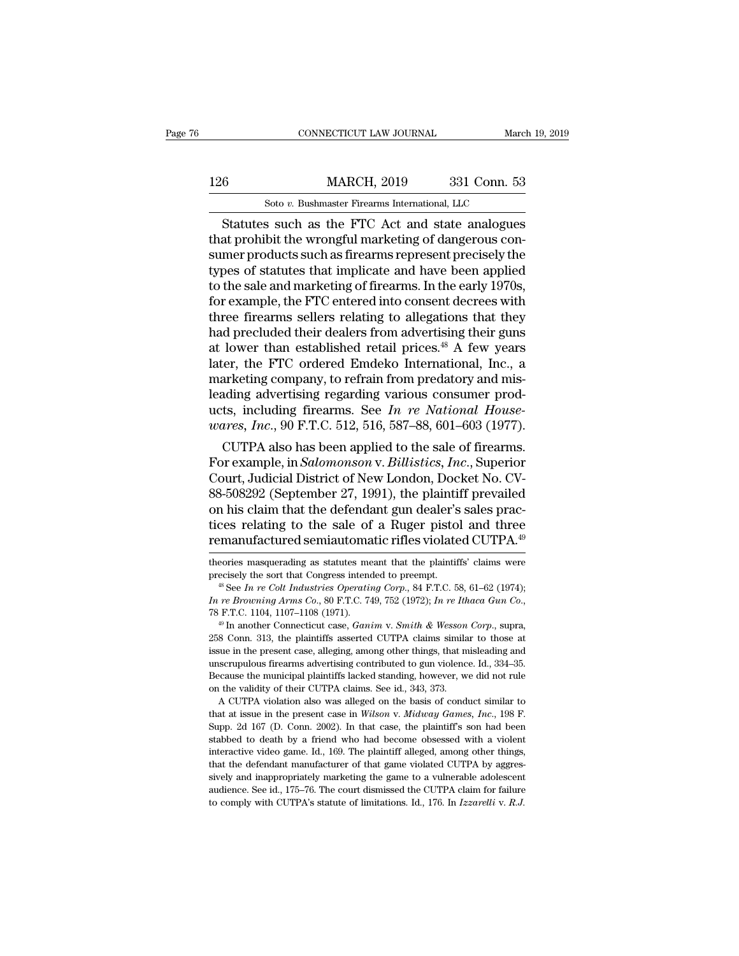# EXECUTE CONNECTICUT LAW JOURNAL March 19, 2019<br>126 MARCH, 2019 331 Conn. 53<br>500 v. Bushmaster Firearms International, LLC CONNECTICUT LAW JOURNAL March March March MARCH, 2019 331 Conn. 53<br>Soto *v.* Bushmaster Firearms International, LLC<br>Soto *v.* Bushmaster Firearms International, LLC

CONNECTICUT LAW JOURNAL March 19, 2019<br>
Statutes such as the FTC Act and state analogues<br>
at prohibit the wrongful marketing of dangerous con-<br>
mor products such as fireorms roppsont procesoly the 126 MARCH, 2019 331 Conn. 53<br>
Soto v. Bushmaster Firearms International, LLC<br>
Statutes such as the FTC Act and state analogues<br>
that prohibit the wrongful marketing of dangerous con-<br>
sumer products such as firearms repres sumer products such as firearms represent precisely the 126 MARCH, 2019 331 Conn. 53<br>
Soto v. Bushmaster Firearms International, LLC<br>
Statutes such as the FTC Act and state analogues<br>
that prohibit the wrongful marketing of dangerous con-<br>
sumer products such as firearms repres Soto *v*. Bushmaster Firearms International, LLC<br>
Statutes such as the FTC Act and state analogues<br>
that prohibit the wrongful marketing of dangerous con-<br>
sumer products such as firearms represent precisely the<br>
types of Soto  $v$ . Bushmaster Firearms International, LLC<br>
Statutes such as the FTC Act and state analogues<br>
that prohibit the wrongful marketing of dangerous con-<br>
sumer products such as firearms represent precisely the<br>
types of Statutes such as the FTC Act and state analogues<br>that prohibit the wrongful marketing of dangerous con-<br>sumer products such as firearms represent precisely the<br>types of statutes that implicate and have been applied<br>to the that prohibit the wrongful marketing of dangerous consumer products such as firearms represent precisely the<br>types of statutes that implicate and have been applied<br>to the sale and marketing of firearms. In the early 1970s, sumer products such as firearms represent precisely the<br>types of statutes that implicate and have been applied<br>to the sale and marketing of firearms. In the early 1970s,<br>for example, the FTC entered into consent decrees wi types of statutes that implicate and have been applied<br>to the sale and marketing of firearms. In the early 1970s,<br>for example, the FTC entered into consent decrees with<br>three firearms sellers relating to allegations that t to the sale and marketing of firearms. In the early 1970s, for example, the FTC entered into consent decrees with three firearms sellers relating to allegations that they had precluded their dealers from advertising their for example, the FTC entered into consent decrees with<br>three firearms sellers relating to allegations that they<br>had precluded their dealers from advertising their guns<br>at lower than established retail prices.<sup>48</sup> A few ye three firearms sellers relating to allegations that they<br>had precluded their dealers from advertising their guns<br>at lower than established retail prices.<sup>48</sup> A few years<br>later, the FTC ordered Emdeko International, Inc., a had precluded their dealers from advertising their guns<br>at lower than established retail prices.<sup>48</sup> A few years<br>later, the FTC ordered Emdeko International, Inc., a<br>marketing company, to refrain from predatory and mis-<br>le Tower than established retail prices.<sup>35</sup> A few years<br>ter, the FTC ordered Emdeko International, Inc., a<br>arketing company, to refrain from predatory and mis-<br>ading advertising regarding various consumer prod-<br>ts, includin rater, the FTC ordered Emdeko International, Inc., a<br>marketing company, to refrain from predatory and mis-<br>leading advertising regarding various consumer prod-<br>ucts, including firearms. See *In re National House-<br>wares, In* 

marketing company, to refrain from predatory and mis-<br>leading advertising regarding various consumer prod-<br>ucts, including firearms. See *In re National House-<br>wares, Inc.*, 90 F.T.C. 512, 516, 587–88, 601–603 (1977).<br>CUTP Frame and the same of the sale of a Buter nixted and the setting relations  $Inc$ ,  $90$  F.T.C. 512, 516, 587–88, 601–603 (1977).<br>CUTPA also has been applied to the sale of firearms.<br>For example, in *Salomonson* v. *Billisti* ucts, including firearms. See *In re National House-wares, Inc.*, 90 F.T.C. 512, 516, 587–88, 601–603 (1977).<br>CUTPA also has been applied to the sale of firearms.<br>For example, in *Salomonson* v. *Billistics, Inc.*, Superi wares,  $mc$ ,  $90$  F.T.C. 312, 316,  $387–38$ ,  $601–603$  (1977).<br>CUTPA also has been applied to the sale of firearms.<br>For example, in *Salomonson v. Billistics*,  $Inc$ , Superior<br>Court, Judicial District of New London, Docket N CUTPA also has been applied to the sale of firearms.<br>For example, in *Salomonson* v. *Billistics*, *Inc.*, Superior<br>Court, Judicial District of New London, Docket No. CV-<br>88-508292 (September 27, 1991), the plaintiff preva 88-508292 (September 27, 1991), the plaintiff prevailed<br>on his claim that the defendant gun dealer's sales prac-<br>tices relating to the sale of a Ruger pistol and three<br>remanufactured semiautomatic rifles violated CUTPA.<sup>4</sup> on his claim that the defendant gun dealer's sales practices relating to the sale of a Ruger pistol and three remanufactured semiautomatic rifles violated CUTPA.<sup>49</sup><br>theories masquerading as statutes meant that the plainti

precisely the sort that Congress intended to preempt.<br>
<sup>48</sup> See *In re Colt Industries Operating Corp.*, 84 F.T.C. 58, 61–62 (1974);<br> *In re Browning Arms Co.*, 80 F.T.C. 749, 752 (1972); *In re Ithaca Gun Co.*,<br>
78 F.T.C <sup>is</sup> See *In re Colt Industries Operating Corp.*, 84 F.T.C. 58, 61–62 (1974);<br> *i*n *re Browning Arms Co.*, 80 F.T.C. 749, 752 (1972); *In re Ithaca Gun Co.*,<br>
78 F.T.C. 1104, 1107–1108 (1971).<br>
<sup>49</sup> In another Connecticu In re Browning Arms Co., 80 F.T.C. 749, 752 (1972); In re Ithaca Gun Co., 78 F.T.C. 1104, 1107–1108 (1971).<br>
<sup>49</sup> In another Connecticut case, *Ganim* v. *Smith & Wesson Corp.*, supra,<br>
<sup>49</sup> In another Connecticut case, *G* 78 F.T.C. 1104, 1107–1108 (1971).<br>
<sup>49</sup> In another Connecticut case, *Ganim v. Smith & Wesson Corp.*, supra,<br>
258 Conn. 313, the plaintiffs asserted CUTPA claims similar to those at<br>
issue in the present case, alleging, a <sup>49</sup> In another Connecticut case, *Ganim v. Smith & Wesson*<br>258 Conn. 313, the plaintiffs asserted CUTPA claims similarissue in the present case, alleging, among other things, that m<br>unscrupulous firearms advertising cont A CUTPA violation also was alleged on the basis of conduct similar to those at sue in the present case, alleging, among other things, that misleading and secrupulous firearms advertising contributed to gun violence. Id., 3 In the present case, alleging, among other things, that misleading and unscrupulous firearms advertising contributed to gun violence. Id., 334–35. Because the municipal plaintiffs lacked standing, however, we did not rule

Example the municipal plaintiffs lacked standing, however, we did not rule on the validity of their CUTPA claims. See id., 343, 373.<br>
A CUTPA violation also was alleged on the basis of conduct similar to that at issue in Because the municipal plaintiffs lacked standing, however, we did not rule<br>on the validity of their CUTPA claims. See id., 343, 373.<br>A CUTPA violation also was alleged on the basis of conduct similar to<br>that at issue in th on the validity of their CUTPA claims. See id., 343, 373.<br>
A CUTPA violation also was alleged on the basis of conduct similar to<br>
that at issue in the present case in *Wilson v. Midway Games, Inc.*, 198 F.<br>
Supp. 2d 167 (D A CUTPA violation also was alleged on the basis of conduct similar to that at issue in the present case in *Wilson v. Midway Games, Inc.*, 198 F. Supp. 2d 167 (D. Conn. 2002). In that case, the plaintiff's son had been sta that at issue in the present case in *Wilson* v. *Midway Games*, *Inc.*, 198 F.<br>Supp. 2d 167 (D. Conn. 2002). In that case, the plaintiff's son had been<br>stabbed to death by a friend who had become obsessed with a violent<br>i supp. 2d 167 (D. Conn. 2002). In that case, the plaintiff's son had been stabbed to death by a friend who had become obsessed with a violent interactive video game. Id., 169. The plaintiff alleged, among other things, tha stabbed to death by a friend who had become obsessed with a violent interactive video game. Id., 169. The plaintiff alleged, among other things, that the defendant manufacturer of that game violated CUTPA by aggressively a

*In re Browning Arms Co*., 80 F.T.C. 749, 752 (1972); *In re Browning Arms Co.*, 80 F.T.C. 749, 752 (1972); *In re Ithaca Gun Co.*, 78 F.T.C. 1104, 1107–1108 (1971). 49 In another Connecticut case, *Ganim* v. *Smith & Wess*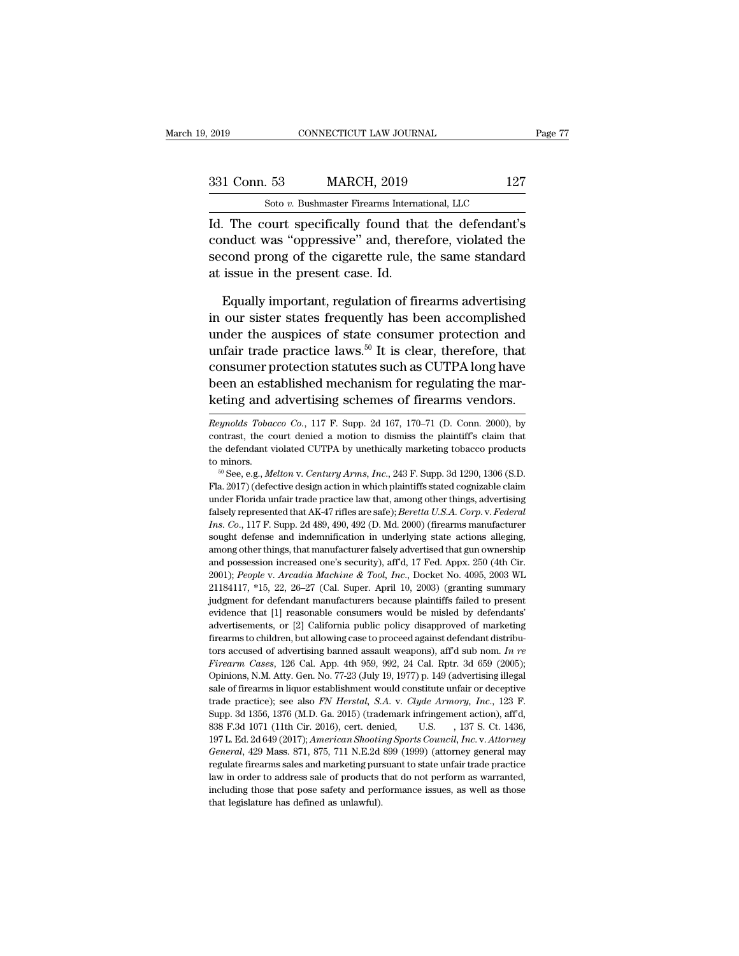| 2019         | CONNECTICUT LAW JOURNAL                              |     | Page 77 |
|--------------|------------------------------------------------------|-----|---------|
|              |                                                      |     |         |
| 331 Conn. 53 | <b>MARCH, 2019</b>                                   | 127 |         |
|              | Soto v. Bushmaster Firearms International, LLC       |     |         |
|              | Id The court specifically found that the defendant's |     |         |

2019 CONNECTICUT LAW JOURNAL Page 77<br>
331 Conn. 53 MARCH, 2019 127<br>
360 v. Bushmaster Firearms International, LLC<br>
Id. The court specifically found that the defendant's<br>
conduct was "oppressive" and, therefore, violated th 331 Conn. 53 MARCH, 2019 127<br>
Soto v. Bushmaster Firearms International, LLC<br>
Id. The court specifically found that the defendant's<br>
conduct was "oppressive" and, therefore, violated the<br>
second prong of the cigarette rule 331 Conn. 53 MARCH, 2019 127<br>
Soto v. Bushmaster Firearms International, LLC<br>
Id. The court specifically found that the defendant's<br>
conduct was "oppressive" and, therefore, violated the<br>
second prong of the cigarette rul  $\frac{331 \text{ Conn. } 53}{\text{Soto } v. \text{ Bushmaster Firearms Interna}}$ <br>Id. The court specifically found that<br>conduct was "oppressive" and, there<br>second prong of the cigarette rule, t<br>at issue in the present case. Id.<br>Equally important, regulation of fir Soto v. Bushmaster Frearms International, LLC<br>
The court specifically found that the defendant's<br>
reduct was "oppressive" and, therefore, violated the<br>
cond prong of the cigarette rule, the same standard<br>
issue in the pre Id. The court specifically found that the defendant's<br>conduct was "oppressive" and, therefore, violated the<br>second prong of the cigarette rule, the same standard<br>at issue in the present case. Id.<br>Equally important, regula

conduct was "oppressive" and, therefore, violated the<br>second prong of the cigarette rule, the same standard<br>at issue in the present case. Id.<br>Equally important, regulation of firearms advertising<br>in our sister states freq second prong of the cigarette rule, the same standard<br>at issue in the present case. Id.<br>Equally important, regulation of firearms advertising<br>in our sister states frequently has been accomplished<br>under the auspices of sta at issue in the present case. Id.<br>
Equally important, regulation of firearms advertising<br>
in our sister states frequently has been accomplished<br>
under the auspices of state consumer protection and<br>
unfair trade practice la Equally important, regulation of firearms advertising<br>in our sister states frequently has been accomplished<br>under the auspices of state consumer protection and<br>unfair trade practice laws.<sup>50</sup> It is clear, therefore, that<br> Equally important, regulation of firearms advertising<br>in our sister states frequently has been accomplished<br>under the auspices of state consumer protection and<br>unfair trade practice laws.<sup>50</sup> It is clear, therefore, that<br> consumer protection statutes such as CUTPA long have<br>been an established mechanism for regulating the mar-<br>keting and advertising schemes of firearms vendors.<br>*Reynolds Tobacco Co.*, 117 F. Supp. 2d 167, 170–71 (D. Conn. 2 consumer protection statutes such as CUTPA long have<br>been an established mechanism for regulating the mar-<br>keting and advertising schemes of firearms vendors.<br> $\frac{Reynolds \; Tobacco \; Co., 117 \; F. \; Supp. 2d\; 167, 170–71 \; (D. \; Conn. 2000), \;$ 

been an established mechanism for regulating the mar-<br>keting and advertising schemes of firearms vendors.<br>*Reynolds Tobacco Co.*, 117 F. Supp. 2d 167, 170–71 (D. Conn. 2000), by<br>contrast, the court denied a motion to dismi keting and advertising schemes of firearms vendors.<br> *Reynolds Tobacco Co.*, 117 F. Supp. 2d 167, 170–71 (D. Conn. 2000), by<br>
contrast, the court denied a motion to dismiss the plaintiff's claim that<br>
the defendant violate *Reynolds Tobacco Co.*, 117 F. Supp. 2d 167, 170–71 (D. Conn. 2000), by contrast, the court denied a motion to dismiss the plaintiff's claim that the defendant violated CUTPA by unethically marketing tobacco products to mi

European Florida unfair trade practice law that, among other things, advertising to minors.<br>
<sup>50</sup> See, e.g., *Melton v. Century Arms*, *Inc.*, 243 F. Supp. 3d 1290, 1306 (S.D.<br>
Fla. 2017) (defective design action in which falsely represented that AK-47 rifles are safe); *Beretta U.S.A. Corp.* v. *Federal*<br>Innors.<br><sup>50</sup> See, e.g., *Melton v. Century Arms, Inc.*, 243 F. Supp. 3d 1290, 1306 (S.D.<br>Fla. 2017) (defective design action in which pla <sup>I</sup> Since Community of Since Community in the minimal of Since Community of Since, e.g., *Melton v. Century Arms*, *Inc.*, 243 F. Supp. 3d 1290, 1306 (S.D. Fla. 2017) (defective design action in which plaintiffs stated cog <sup>56</sup> See, e.g., *Melton v. Century Arms, Inc.*, 243 F. Supp. 3d 1290, 1306 (S.D. Fla. 2017) (defective design action in which plaintiffs stated cognizable claim under Florida unfair trade practice law that, among other th Fla. 2017) (defective design action in which plaintiffs stated cognizable claim under Florida unfair trade practice law that, among other things, advertising falsely represented that AK-47 rifles are safe); *Beretta U.S.A* rancer Florida unfair trade practice law that, among other things, advertising falsely represented that AK-47 rifles are safe); *Beretta U.S.A. Corp.* v. *Federal Ins. Co.*, 117 F. Supp. 2d 489, 490, 492 (D. Md. 2000) (f falsely represented that AK-47 rifles are safe); *Beretta U.S.A. Corp.* v. *Federal Ins. Co.*, 117 F. Supp. 2d 489, 490, 492 (D. Md. 2000) (firearms manufacturer sought defense and indemnification in underlying state act *Ins. Co.*, 117 F. Supp. 2d 489, 490, 492 (D. Md. 2000) (firearms manufacturer sought defense and indemnification in underlying state actions alleging, among other things, that manufacturer falsely advertised that gun owne sought defense and indemnification in underlying state actions alleging, among other things, that manufacturer falsely advertised that gun ownership and possession increased one's security), aff'd, 17 Fed. Appx. 250 (4th C evaluation of the that states also allows all an overesting among other things, that manufacturer falsely advertised that gun ownership and possession increased one's security), aff'd, 17 Fed. Appx. 250 (4th Cir. 2001); *P* and possession increased one's security), aff'd, 17 Fed. Appx. 250 (4th Cir. 2001); *People v. Arcadia Machine & Tool, Inc.*, Docket No. 4095, 2003 WL 21184117, \*15, 22, 26–27 (Cal. Super. April 10, 2003) (granting summary and possession increased one's security), aff'd, 17 Fed. Appx. 250 (4th Cir. 2001); People v. Arcadia Machine & Tool, Inc., Docket No. 4095, 2003 WL 21184117, \*15, 22, 26–27 (Cal. Super. April 10, 2003) (granting summary 21184117, \*15, 22, 26–27 (Cal. Super. April 10, 2003) (granting summary<br>1184117, \*15, 22, 26–27 (Cal. Super. April 10, 2003) (granting summary<br>pidgment for defendant manufacturers because plaintiffs failed to present<br>evide First, Form Totelendant manufacturers because plaintiffs failed to present evidence that [1] reasonable consumers would be misled by defendants' advertisements, or [2] California public policy disapproved of marketing fire evidence that [1] reasonable consumers would be misled by defendants'<br>advertisements, or [2] California public policy disapproved of marketing<br>firearms to children, but allowing case to proceed against defendant distribuadvertisements, or [2] California public policy disapproved of marketing firearms to children, but allowing case to proceed against defendant distributors accused of advertising banned assault weapons), aff'd sub nom. In trearms to children, but allowing case to proceed against defendant distributors accused of advertising banned assault weapons), aff'd sub nom. *In re* Firearm Cases, 126 Cal. App. 4th 959, 992, 24 Cal. Rptr. 3d 659 (2005) tors accused of advertising banned assault weapons), aff'd sub nom. In re<br>Firearm Cases, 126 Cal. App. 4th 959, 992, 24 Cal. Rptr. 3d 659 (2005);<br>Opinions, N.M. Atty. Gen. No. 77-23 (July 19, 1977) p. 149 (advertising ill Firearm Cases, 126 Cal. App. 4th 959, 992, 24 Cal. Rptr. 3d 659 (2005);<br>
Opinions, N.M. Atty. Gen. No. 77-23 (July 19, 1977) p. 149 (advertising illegal<br>
sale of firearms in liquor establishment would constitute unfair or 197 D. Atty. Gen. 1<sub>1</sub>pp. 11 300, 302, 21 010, 1149 (advertising illegal sale of firearms in liquor establishment would constitute unfair or deceptive trade practice); see also *FN Herstal*, *S.A.* v. *Clyde Armory*, *Inc.* **General, 429 Mass. 871, 875, 711 N.E.2d 899 (1999) (attorney general may concern the practice); see also FN Herstal, S.A. v. Clyde Armory, Inc., 123 F. Supp. 3d 1356, 1376 (M.D. Ga. 2015) (trademark infringement action),** trade practice); see also *FN Herstal*, *S.A.* v. *Clyde Armory*, *Inc.*, 123 F.<br>Supp. 3d 1356, 1376 (M.D. Ga. 2015) (trademark infringement action), aff<sup>7</sup>d,<br>838 F.3d 1071 (11th Cir. 2016), cert. denied, U.S. , 137 S. Ct. Supp. 3d 1356, 1376 (M.D. Ga. 2015) (trademark infringement action), aff<sup>d</sup>, 838 F.3d 1071 (11th Cir. 2016), cert. denied, U.S. , 137 S. Ct. 1436, 197 L. Ed. 2d 649 (2017); *American Shooting Sports Council, Inc.* v. *Att* sage F.3d 1071 (11th Cir. 2016), cert. denied, U.S. , 137 S. Ct. 1436, 197 L. Ed. 2d 649 (2017); *American Shooting Sports Council, Inc.* v. *Attorney General*, 429 Mass. 871, 875, 711 N.E.2d 899 (1999) (attorney general m 197 L. Ed. 2d 649 (2017); *American Shootin*<br>General, 429 Mass. 871, 875, 711 N.E.2d<br>regulate firearms sales and marketing purs<br>tegulate firearms sales and marketing purs<br>law in order to address sale of products t<br>includin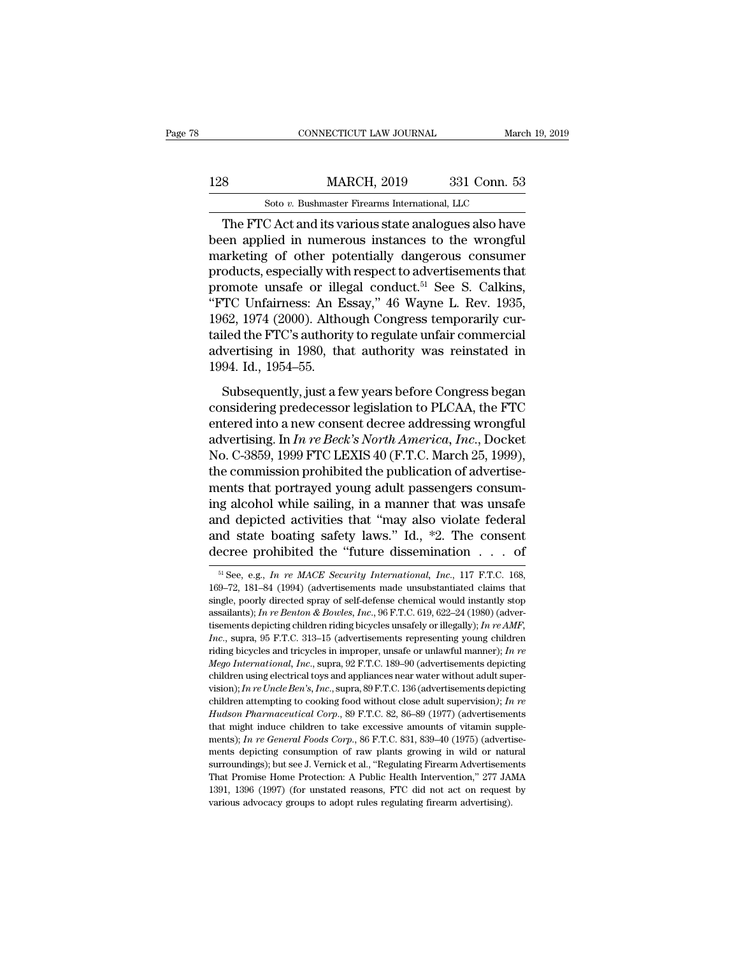# EXECUTE CONNECTICUT LAW JOURNAL March 19, 2019<br>128 MARCH, 2019 331 Conn. 53<br>500 v. Bushmaster Firearms International, LLC CONNECTICUT LAW JOURNAL March March March MARCH, 2019 331 Conn. 53<br>Soto *v.* Bushmaster Firearms International, LLC<br>C Act and its various state analogues also have

CONNECTICUT LAW JOURNAL March 19, 2019<br>
Solo v. Bushmaster Firearms International, LLC<br>
The FTC Act and its various state analogues also have<br>
en applied in numerous instances to the wrongful<br>
prikating of other potentiall 128 MARCH, 2019 331 Conn. 53<br>
Soto v. Bushmaster Firearms International, LLC<br>
The FTC Act and its various state analogues also have<br>
been applied in numerous instances to the wrongful<br>
marketing of other potentially danger 128 MARCH, 2019 331 Conn. 53<br>
Soto v. Bushmaster Firearms International, LLC<br>
The FTC Act and its various state analogues also have<br>
been applied in numerous instances to the wrongful<br>
marketing of other potentially dange 128 MARCH, 2019 331 Conn. 53<br>
Soto v. Bushmaster Firearms International, LLC<br>
The FTC Act and its various state analogues also have<br>
been applied in numerous instances to the wrongful<br>
marketing of other potentially dange Soto v. Bushmaster Firearms International, LLC<br>
The FTC Act and its various state analogues also have<br>
been applied in numerous instances to the wrongful<br>
marketing of other potentially dangerous consumer<br>
products, espec  $\frac{\text{S06.0} \cdot \text{Bussmaster Fireams mernaational, LLC}}{\text{The FTC Act and its various state analogues also have been applied in numerous instances to the wrongful marketing of other potentially dangerous consumer products, especially with respect to advertisements that promote unsafe or illegal conduct.<sup>51</sup> See S. Calkins, "FTC Unfairness: An Essay," 46 Wayne L. Rev. 1935, 1962, 1974 (2000). Although Congress temporarily cur-$ The FTC Act and its various state analogues also have<br>been applied in numerous instances to the wrongful<br>marketing of other potentially dangerous consumer<br>products, especially with respect to advertisements that<br>promote un been applied in numerous instances to the wrongful<br>marketing of other potentially dangerous consumer<br>products, especially with respect to advertisements that<br>promote unsafe or illegal conduct.<sup>51</sup> See S. Calkins,<br>"FTC Unfa marketing of other potentially dangerous consumer<br>products, especially with respect to advertisements that<br>promote unsafe or illegal conduct.<sup>51</sup> See S. Calkins,<br>"FTC Unfairness: An Essay," 46 Wayne L. Rev. 1935,<br>1962, 197 products, especially with<br>promote unsafe or ille<br>"FTC Unfairness: An E<br>1962, 1974 (2000). Altho<br>tailed the FTC's authorit<br>advertising in 1980, th<br>1994. Id., 1954–55.<br>Subsequently, just a fe TC Unfairness: An Essay," 46 Wayne L. Rev. 1935,<br>62, 1974 (2000). Although Congress temporarily cur-<br>iled the FTC's authority to regulate unfair commercial<br>vertising in 1980, that authority was reinstated in<br>94. Id., 1954– 1962, 1974 (2000). Although Congress temporarily curtailed the FTC's authority to regulate unfair commercial<br>advertising in 1980, that authority was reinstated in<br>1994. Id., 1954–55.<br>Subsequently, just a few years before

tailed the FTC's authority to regulate unfair commercial<br>advertising in 1980, that authority was reinstated in<br>1994. Id., 1954–55.<br>Subsequently, just a few years before Congress began<br>considering predecessor legislation t advertising in 1980, that authority was reinstated in<br>advertising in 1980, that authority was reinstated in<br>1994. Id., 1954–55.<br>Subsequently, just a few years before Congress began<br>considering predecessor legislation to PL 1994. Id., 1954–55.<br>
Subsequently, just a few years before Congress began<br>
considering predecessor legislation to PLCAA, the FTC<br>
entered into a new consent decree addressing wrongful<br>
advertising. In *In re Beck's North A* Subsequently, just a few years before Congress began<br>considering predecessor legislation to PLCAA, the FTC<br>entered into a new consent decree addressing wrongful<br>advertising. In In re Beck's North America, Inc., Docket<br>No. Subsequently, just a few years before Congress began considering predecessor legislation to PLCAA, the FTC entered into a new consent decree addressing wrongful advertising. In  $In$  re Beck's North America, Inc., Docket No considering predecessor legislation to PLCAA, the FTC<br>entered into a new consent decree addressing wrongful<br>advertising. In *In re Beck's North America, Inc.*, Docket<br>No. C-3859, 1999 FTC LEXIS 40 (F.T.C. March 25, 1999), entered into a new consent decree addressing wrongful<br>advertising. In *In re Beck's North America*, *Inc.*, Docket<br>No. C-3859, 1999 FTC LEXIS 40 (F.T.C. March 25, 1999),<br>the commission prohibited the publication of adverti advertising. In *In re Beck's North America, Inc.*, Docket<br>No. C-3859, 1999 FTC LEXIS 40 (F.T.C. March 25, 1999),<br>the commission prohibited the publication of advertise-<br>ments that portrayed young adult passengers consum-No. C-3859, 1999 FTC LEXIS 40 (F.T.C. March 25, 1999),<br>the commission prohibited the publication of advertise-<br>ments that portrayed young adult passengers consum-<br>ing alcohol while sailing, in a manner that was unsafe<br>and g alconol while saling, in a manner that was unsate<br>and depicted activities that "may also violate federal<br>and state boating safety laws." Id., \*2. The consent<br>ecree prohibited the "future dissemination . . . of<br> $^{51}$  See and depicted activities that "may also violate federal<br>and state boating safety laws." Id., \*2. The consent<br>decree prohibited the "future dissemination . . . of<br> $\frac{51}{169-72}$ , 181–84 (1994) (advertisements made unsubsta

and state boating safety laws." Id., \*2. The consent<br>decree prohibited the "future dissemination . . . of<br> $\frac{1}{16}$  See, e.g., *In re MACE Security International, Inc.*, 117 F.T.C. 168,<br>169–72, 181–84 (1994) (advertiseme decree prohibited the "future dissemination . . . of<br>
<sup>51</sup> See, e.g., *In re MACE Security International, Inc.*, 117 F.T.C. 168,<br>
169–72, 181–84 (1994) (advertisements made unsubstantiated claims that<br>
single, poorly direc tistaments depicting children riding bicycles unsafely or illegally); *In re AMCE* security *International, Inc.*, 117 F.T.C. 168, 169–72, 181–84 (1994) (advertisements made unsubstantiated claims that single, poorly direc <sup>51</sup> See, e.g., *In re MACE Security International, Inc.*, 117 F.T.C. 168, 169–72, 181–84 (1994) (advertisements made unsubstantiated claims that single, poorly directed spray of self-defense chemical would instantly stop 169–72, 181–84 (1994) (advertisements made unsubstantiated claims that single, poorly directed spray of self-defense chemical would instantly stop assailants); *In re Benton & Bowles, Inc.*, 96 F.T.C. 619, 622–24 (1980) ( **Example, poorly directed spray of self-defense chemical would instantly stop** assailants); *In re Benton & Bowles, Inc.*, 96 F.T.C. 619, 622–24 (1980) (advertisements depicting children riding bicycles unsafely or illegal assailants); *In re Benton & Bowles, Inc.*, 96 F.T.C. 619, 622–24 (1980) (advertisements depicting children riding bicycles unsafely or illegally); *In re AMF*, *Inc.*, supra, 95 F.T.C. 313–15 (advertisements representing ussements depicting children riding bicycles unsafely or illegally); *In re AMF*, *Inc.*, supra, 95 F.T.C. 313–15 (advertisements representing young children riding bicycles and tricycles in improper, unsafe or unlawful ma *Enc.*, supra, 95 F.T.C. 313–15 (advertisements representing young children riding bicycles and tricycles in improper, unsafe or unlawful manner); *In re Mego International, Inc.*, supra, 92 F.T.C. 189–90 (advertisements *Hudson Pharmaceutical Corp.*, 89 F.T.C. 82, 86–89 (1977) (advertisements that might inducts of the *Mego International, Inc.*, supra, 92 F.T.C. 189–90 (advertisements depicting children using electrical toys and appliance Mego International, Inc., supra, 92 F.T.C. 189–90 (advertisements depicting children using electrical toys and appliances near water without adult supervision); In re Uncle Ben's, Inc., supra, 89 F.T.C. 136 (advertisement ments); *In re Uncle Ben's*, *Inc.*, sappressive and appliances near water without adult super-<br>vision); *In re Uncle Ben's*, *Inc.*, supra, 89 F.T.C. 136 (advertisements depicting<br>children attempting to cooking food witho vision); *In re Uncle Ben's*, *Inc.*, supra, 89 F.T.C. 136 (advertisements depicting children attempting to cooking food without close adult supervision); *In re Hudson Pharmaceutical Corp.*, 89 F.T.C. 82, 86–89 (1977) (a children attempting to cooking food without close adult supervision); *In re Hudson Pharmaceutical Corp.*, 89 F.T.C. 82, 86–89 (1977) (advertisements that might induce children to take excessive amounts of vitamin suppl *Hudson Pharmaceutical Corp.*, 89 F.T.C. 82, 86–89 (1977) (advertisements that might induce children to take excessive amounts of vitamin supplements); *In re General Foods Corp.*, 86 F.T.C. 831, 839–40 (1975) (advertiseme that might induce children to take excessive amounts of vitamin supplements); *In re General Foods Corp.*, 86 F.T.C. 831, 839–40 (1975) (advertisements depicting consumption of raw plants growing in wild or natural surrou ments); *In re General Foods Corp.*, 86 F.T.C. 831, 839–40 (1975) (advertiments depicting consumption of raw plants growing in wild or natusurroundings); but see J. Vernick et al., "Regulating Firearm Advertiseme That Pro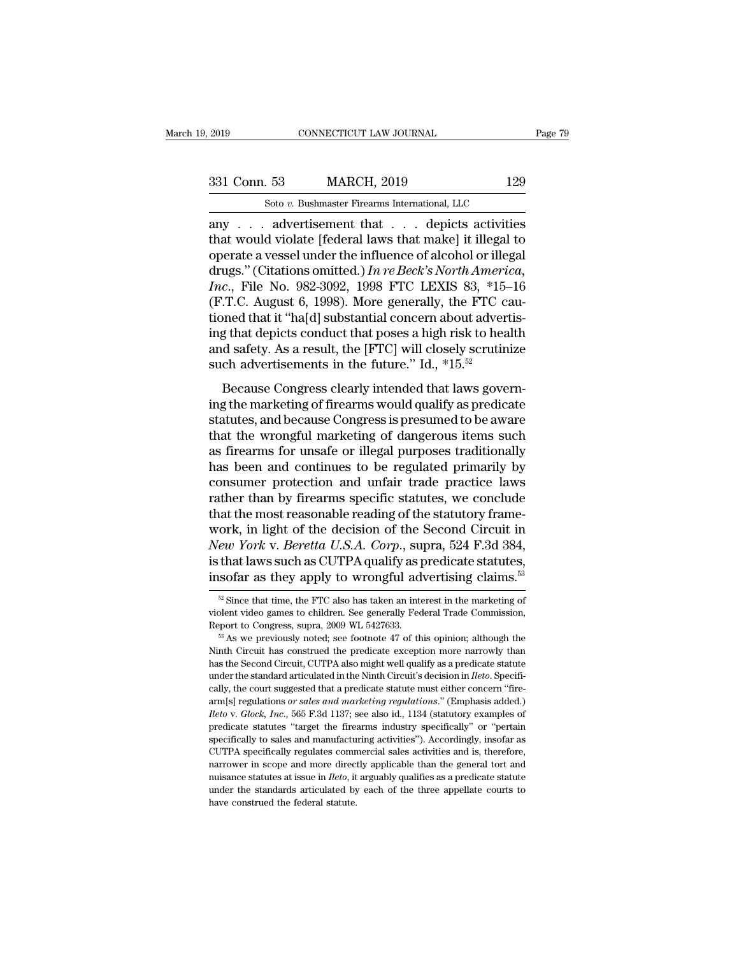# 2019 CONNECTICUT LAW JOURNAL Page 79<br>331 Conn. 53 MARCH, 2019 129<br>500 v. Bushmaster Firearms International, LLC CONNECTICUT LAW JOURNAL<br>
Soto *v.* Bushmaster Firearms International, LLC<br>
Soto *v.* Bushmaster Firearms International, LLC<br>
advertisement that denicts activities

2019 CONNECTICUT LAW JOURNAL Page 79<br>
331 Conn. 53 MARCH, 2019 129<br>
331 Conn. 53 MARCH, 2019 129<br>
331 Conn. 53 MARCH, 2019 129<br>
331 Conn. 53 MARCH, 2019 129<br>
331 Conn. 53 MARCH, 2019 120<br>
331 Conn. 53 MARCH, 2019 120<br>
331 331 Conn. 53 MARCH, 2019 129<br>
Soto v. Bushmaster Firearms International, LLC<br>
any . . . advertisement that . . . depicts activities<br>
that would violate [federal laws that make] it illegal to<br>
operate a vessel under the in 331 Conn. 53 MARCH, 2019 129<br>
Soto v. Bushmaster Firearms International, LLC<br>
any . . . advertisement that . . . depicts activities<br>
that would violate [federal laws that make] it illegal to<br>
operate a vessel under the in 331 Conn. 53 MARCH, 2019 129<br>
Soto *v*. Bushmaster Firearms International, LLC<br>
any . . . advertisement that . . . depicts activities<br>
that would violate [federal laws that make] it illegal to<br>
operate a vessel under the i *Inc*., File No. 982-3092, 1998 FTC LEXIS 83, \*15–16 Sofo *v*. Bushmaster Frearms international, LLC<br>any . . . advertisement that . . . depicts activities<br>that would violate [federal laws that make] it illegal to<br>operate a vessel under the influence of alcohol or illegal<br>dr any . . . advertisement that . . . depicts activities<br>that would violate [federal laws that make] it illegal to<br>operate a vessel under the influence of alcohol or illegal<br>drugs." (Citations omitted.) In re Beck's North Am that would violate [federal laws that make] it illegal to<br>operate a vessel under the influence of alcohol or illegal<br>drugs." (Citations omitted.) In re Beck's North America,<br>Inc., File No. 982-3092, 1998 FTC LEXIS 83, \*15 operate a vessel under the influence of alcohol or illegal<br>drugs." (Citations omitted.) In re Beck's North America,<br>Inc., File No. 982-3092, 1998 FTC LEXIS 83, \*15–16<br>(F.T.C. August 6, 1998). More generally, the FTC cau-<br> drugs." (Citations omitted.) In re Beck's North Ameri<br>Inc., File No. 982-3092, 1998 FTC LEXIS 83, \*15-<br>(F.T.C. August 6, 1998). More generally, the FTC c<br>tioned that it "ha[d] substantial concern about adver<br>ing that depi C., The Two: 382 8092, 1998). To ELANS 39, 19 16<br>T.C. August 6, 1998). More generally, the FTC cau-<br>anned that it "ha[d] substantial concern about advertis-<br>g that depicts conduct that poses a high risk to health<br>d safety (F.T.C. August 0, 1996). More generally, the FTC cautioned that it "ha[d] substantial concern about advertising that depicts conduct that poses a high risk to health and safety. As a result, the [FTC] will closely scrutin

ing that depicts conduct that poses a high risk to health<br>and safety. As a result, the [FTC] will closely scrutinize<br>such advertisements in the future." Id., \*15.<sup>52</sup><br>Because Congress clearly intended that laws govern-<br>ing and safety. As a result, the [FTC] will closely scrutinize<br>such advertisements in the future." Id.,  $*15.^{52}$ <br>Because Congress clearly intended that laws govern-<br>ing the marketing of firearms would qualify as predicate<br>s and sacty. As a result, the  $[1 \text{ } 1 \text{ } 0]$  will closely scruding<br>such advertisements in the future." Id.,  $*15.52$ <br>Because Congress clearly intended that laws govern-<br>ing the marketing of firearms would qualify as pred Because Congress clearly intended that laws governing the marketing of firearms would qualify as predicate statutes, and because Congress is presumed to be aware that the wrongful marketing of dangerous items such as firea Because Congress clearly intended that laws governing the marketing of firearms would qualify as predicate statutes, and because Congress is presumed to be aware that the wrongful marketing of dangerous items such as firea ing the marketing of firearms would qualify as predicate<br>statutes, and because Congress is presumed to be aware<br>that the wrongful marketing of dangerous items such<br>as firearms for unsafe or illegal purposes traditionally<br>h statutes, and because Congress is presumed to be aware<br>that the wrongful marketing of dangerous items such<br>as firearms for unsafe or illegal purposes traditionally<br>has been and continues to be regulated primarily by<br>consu that the wrongful marketing of dangerous items such<br>as firearms for unsafe or illegal purposes traditionally<br>has been and continues to be regulated primarily by<br>consumer protection and unfair trade practice laws<br>rather tha as firearms for unsafe or illegal purposes traditionally<br>has been and continues to be regulated primarily by<br>consumer protection and unfair trade practice laws<br>rather than by firearms specific statutes, we conclude<br>that th has been and continues to be regulated primarily by<br>consumer protection and unfair trade practice laws<br>rather than by firearms specific statutes, we conclude<br>that the most reasonable reading of the statutory frame-<br>work, i consumer protection and unfair trade practice laws<br>rather than by firearms specific statutes, we conclude<br>that the most reasonable reading of the statutory frame-<br>work, in light of the decision of the Second Circuit in<br>*N* work, in light of the decision of the Second Circuit in New York v. Beretta U.S.A. Corp., supra, 524 F.3d 384, is that laws such as CUTPA qualify as predicate statutes, insofar as they apply to wrongful advertising claims New York v. Beretta U.S.A. Corp., supra, 524 F.3d 384, is that laws such as CUTPA qualify as predicate statutes, insofar as they apply to wrongful advertising claims.<sup>53</sup>  $\approx$  Since that time, the FTC also has taken an in

is that laws such as CUTPA qualify as predicate statutes,<br>insofar as they apply to wrongful advertising claims.<sup>53</sup><br> $\frac{1}{\infty}$  Since that time, the FTC also has taken an interest in the marketing of<br>violent video games t

 $\frac{1}{\sqrt{2}}$  Since that time, the FTC also has taken an interest in the marketing of violent video games to children. See generally Federal Trade Commission, Report to Congress, supra, 2009 WL 5427633.<br>
<sup>53</sup> As we previou <sup>22</sup> Since that time, the FTC also has taken an interest in the marketing of violent video games to children. See generally Federal Trade Commission, Report to Congress, supra, 2009 WL 5427633.<br><sup>33</sup> As we previously noted violent video games to children. See generally Federal Trade Commission,<br>Report to Congress, supra, 2009 WL 5427633.<br><sup>53</sup> As we previously noted; see footnote 47 of this opinion; although the<br>Ninth Circuit has construed th Report to Congress, supra, 2009 WL 5427633.<br><sup>83</sup> As we previously noted; see footnote 47 of this opinion; although the Ninth Circuit has construed the predicate exception more narrowly than has the Second Circuit, CUTPA a <sup>83</sup> As we previously noted; see footnote 47 of this opinion; although the Ninth Circuit has construed the predicate exception more narrowly than has the Second Circuit, CUTPA also might well qualify as a predicate statute Illet Circuit has construed the predicate exception more narrowly than<br>
has the Second Circuit, CUTPA also might well qualify as a predicate statute<br>
under the standard articulated in the Ninth Circuit's decision in *Ileto* Frame is escond Circuit, CUTPA also might well qualify as a predicate statute under the standard articulated in the Ninth Circuit's decision in *Ileto*. Specifically, the court suggested that a predicate statute must eith shell the standard articulated in the Ninth Circuit's decision in *Ileto*. Specifically, the court suggested that a predicate statute must either concern "fire-<br>arm[s] regulations *or sales and marketing regulations*." (E cally, the court suggested that a predicate statute must either concern "fire-<br>arm[s] regulations *or sales and marketing regulations*." (Emphasis added.)<br>*Ileto* v. *Glock*, *Inc.*, 565 F.3d 1137; see also id., 1134 (stat carrily in equilations *or sales and marketing regulations*." (Emphasis added.) *Ileto v. Glock, Inc.*, 565 F.3d 1137; see also id., 1134 (statutory examples of predicate statutes "target the firearms industry specificall *nuto* v. *Glock*, *Inc.*, 565 F.3d 1137; see also id., 1134 (statutory examples of predicate statutes "target the firearms industry specifically" or "pertain specifically to sales and manufacturing activities"). According predicate statutes "target the firearms industry specifically" or "pertain specifically to sales and manufacturing activities"). Accordingly, insofar as CUTPA specifically regulates commercial sales activities and is, ther specifically to sales and manufactu<br>CUTPA specifically regulates commarrower in scope and more direct<br>muisance statutes at issue in *Reto*, it<br>under the standards articulated by<br>have construed the federal statute.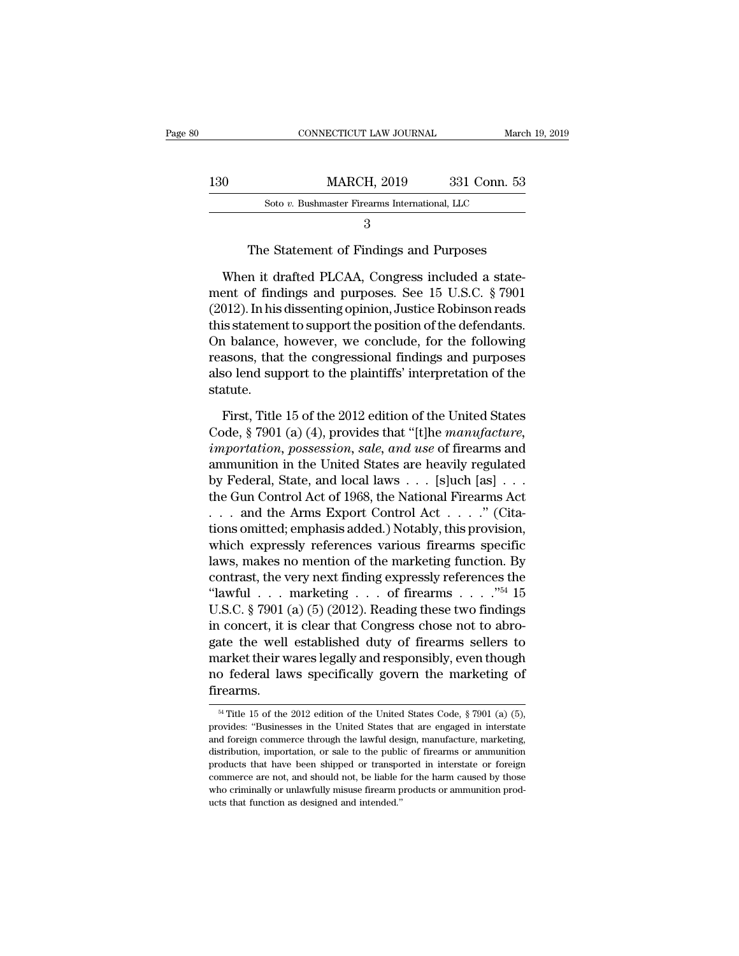|     | CONNECTICUT LAW JOURNAL                                                                                                                                                  | March 19, 2019 |
|-----|--------------------------------------------------------------------------------------------------------------------------------------------------------------------------|----------------|
| 130 | <b>MARCH, 2019</b>                                                                                                                                                       | 331 Conn. 53   |
|     | Soto v. Bushmaster Firearms International, LLC                                                                                                                           |                |
|     | З                                                                                                                                                                        |                |
|     | The Statement of Findings and Purposes                                                                                                                                   |                |
|     | When it drafted PLCAA, Congress included a state-<br>ment of findings and purposes. See 15 U.S.C. § 7901<br>$(9019)$ In his dissenting enimient Institute Pohingen reads |                |

Soto v. Bushmaster Firearms International, LLC<br>
3<br>
The Statement of Findings and Purposes<br>
When it drafted PLCAA, Congress included a statement of findings and purposes. See 15 U.S.C. § 7901<br>
(2012). In his dissenting opin <sup>3</sup><br>The Statement of Findings and Purposes<br>When it drafted PLCAA, Congress included a statement of findings and purposes. See 15 U.S.C. § 7901<br>(2012). In his dissenting opinion, Justice Robinson reads<br>this statement to sup The Statement of Findings and Purposes<br>When it drafted PLCAA, Congress included a state-<br>ment of findings and purposes. See 15 U.S.C. § 7901<br>(2012). In his dissenting opinion, Justice Robinson reads<br>this statement to suppo The Statement of Findings and Purposes<br>When it drafted PLCAA, Congress included a state-<br>ment of findings and purposes. See 15 U.S.C. § 7901<br>(2012). In his dissenting opinion, Justice Robinson reads<br>this statement to suppo When it drafted PLCAA, Congress included a statement of findings and purposes. See 15 U.S.C. § 7901 (2012). In his dissenting opinion, Justice Robinson reads this statement to support the position of the defendants. On bal When it drafted PLCAA, Congress included a state-<br>ment of findings and purposes. See 15 U.S.C. § 7901<br>(2012). In his dissenting opinion, Justice Robinson reads<br>this statement to support the position of the defendants.<br>On b statute. is statement to support the position of the defendants.<br>
a balance, however, we conclude, for the following<br>
asons, that the congressional findings and purposes<br>
so lend support to the plaintiffs' interpretation of the<br>
s On balance, however, we conclude, for the following<br>reasons, that the congressional findings and purposes<br>also lend support to the plaintiffs' interpretation of the<br>statute.<br>First, Title 15 of the 2012 edition of the Unite

reasons, that the congressional findings and purposes<br>also lend support to the plaintiffs' interpretation of the<br>statute.<br>First, Title 15 of the 2012 edition of the United States<br>Code, § 7901 (a) (4), provides that "[t]he also lend support to the plaintiffs' interpretation of the<br>statute.<br>First, Title 15 of the 2012 edition of the United States<br>Code, § 7901 (a) (4), provides that "[t]he *manufacture,<br>importation, possession, sale, and use* statute.<br>
First, Title 15 of the 2012 edition of the United States<br>
Code, § 7901 (a) (4), provides that "[t]he manufacture,<br>
importation, possession, sale, and use of firearms and<br>
ammunition in the United States are heav First, Title 15 of the 2012 edition of the United States<br>Code, § 7901 (a) (4), provides that "[t]he *manufacture,<br>importation, possession, sale, and use* of firearms and<br>ammunition in the United States are heavily regulat First, Title 15 of the 2012 edition of the United States Code, § 7901 (a) (4), provides that "[t]he *manufacture, importation, possession, sale, and use* of firearms and ammunition in the United States are heavily regulat Code, § 7901 (a) (4), provides that "[t]he *manufacture,*<br> *importation, possession, sale, and use* of firearms and<br>
ammunition in the United States are heavily regulated<br>
by Federal, State, and local laws  $\dots$  [s]uch [as *importation, possession, sale, and use* of firearms and<br>ammunition in the United States are heavily regulated<br>by Federal, State, and local laws  $\dots$  [s]uch [as]  $\dots$ <br>the Gun Control Act of 1968, the National Firearms Act ammunition in the United States are heavily regulated<br>by Federal, State, and local laws  $\ldots$  [s]uch [as]  $\ldots$ .<br>the Gun Control Act of 1968, the National Firearms Act<br> $\ldots$  and the Arms Export Control Act  $\ldots$ ." (Cita-<br> by Federal, State, and local laws  $\dots$  [s]uch [as]  $\dots$ <br>the Gun Control Act of 1968, the National Firearms Act<br> $\dots$  and the Arms Export Control Act  $\dots$ ." (Cita-<br>tions omitted; emphasis added.) Notably, this provision,<br>wh the Gun Control Act of 1968, the National Firearms Act<br>
. . . and the Arms Export Control Act . . . ." (Cita-<br>
tions omitted; emphasis added.) Notably, this provision,<br>
which expressly references various firearms specific ... and the Arms Export Control Act ...." (Citations omitted; emphasis added.) Notably, this provision, which expressly references various firearms specific laws, makes no mention of the marketing function. By contrast, t tions omitted; emphasis added.) Notably, this provision,<br>which expressly references various firearms specific<br>laws, makes no mention of the marketing function. By<br>contrast, the very next finding expressly references the<br>" which expressly references various firearms specific<br>laws, makes no mention of the marketing function. By<br>contrast, the very next finding expressly references the<br>"lawful . . . marketing . . . of firearms . . . . . . . . laws, makes no mention of the marketing function. By<br>contrast, the very next finding expressly references the<br>"lawful  $\ldots$  marketing  $\ldots$  of firearms  $\ldots$ ."<sup>54</sup> 15<br>U.S.C. § 7901 (a) (5) (2012). Reading these two findin contrast, the very next finding expressly references the<br>
"lawful . . . marketing . . . of firearms . . . . ."<sup>54</sup> 15<br>
U.S.C. § 7901 (a) (5) (2012). Reading these two findings<br>
in concert, it is clear that Congress chose firearms. gate the well established duty of firearms sellers to<br>market their wares legally and responsibly, even though<br>no federal laws specifically govern the marketing of<br>firearms.<br> $\frac{1}{12}$  of the 2012 edition of the United Sta market their wares legally and responsibly, even though<br>no federal laws specifically govern the marketing of<br>firearms.<br><sup>54</sup> Title 15 of the 2012 edition of the United States Code, § 7901 (a) (5),<br>provides: "Businesses in t

no federal laws specifically govern the marketing of<br>firearms.<br> $\frac{54 \text{ Title}}{5}$  of the 2012 edition of the United States Code, § 7901 (a) (5),<br>provides: "Businesses in the United States that are engaged in interstate<br>and f distribution, importation, or sale to the United States Code,  $\S$  7901 (a) (5), provides: "Businesses in the United States that are engaged in interstate and foreign commerce through the lawful design, manufacture, market  $\frac{1}{16}$  at the 2012 edition of the United States Code, § 7901 (a) (5), provides: "Businesses in the United States that are engaged in interstate and foreign commerce through the lawful design, manufacture, marketing, d <sup>54</sup> Title 15 of the 2012 edition of the United States Code, § 7901 (a) (5), provides: "Businesses in the United States that are engaged in interstate and foreign commerce through the lawful design, manufacture, marketing provides: "Businesses in the United States that are engaged in interstate<br>and foreign commerce through the lawful design, manufacture, marketing,<br>distribution, importation, or sale to the public of firearms or ammunition<br>p and foreign commerce through the lawful designed<br>intended intended.<br>Adistribution, importation, or sale to the publi<br>products that have been shipped or transpo<br>commerce are not, and should not, be liable if<br>who criminally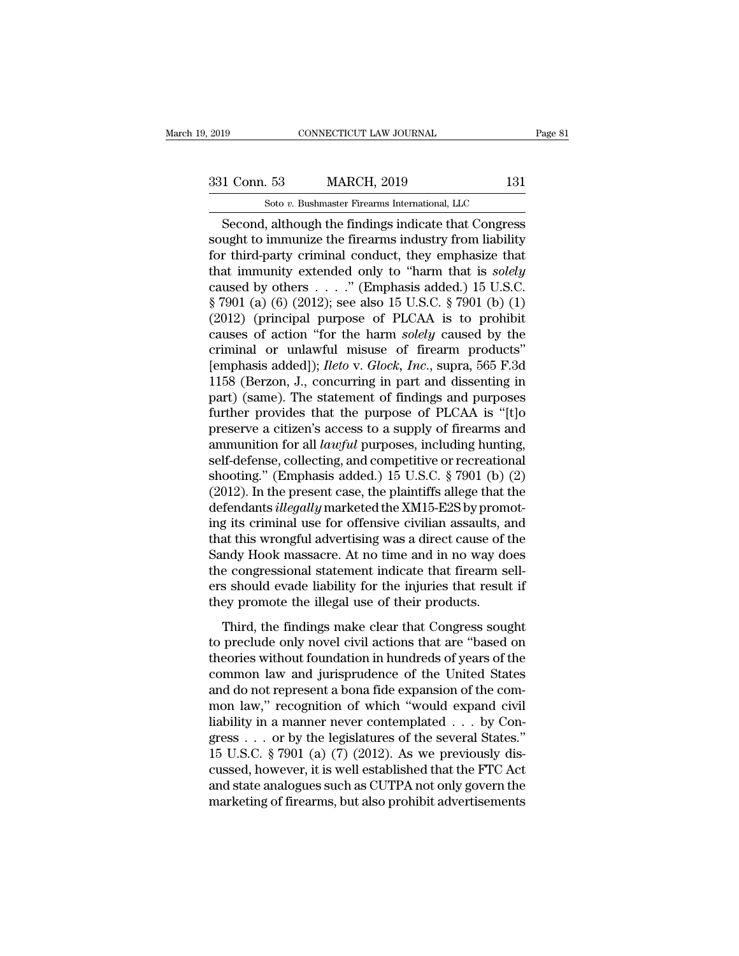Fage 81<br>
Second, although the findings indicate that Congress<br>
Second, although the findings indicate that Congress<br>
ught to immunize the firearms industry from liability<br>
r third party criminal conduct they emphasize that 331 Conn. 53 MARCH, 2019 131<br>Soto v. Bushmaster Firearms International, LLC<br>Second, although the findings indicate that Congress<br>sought to immunize the firearms industry from liability<br>for third-party criminal conduct, the  $f_{\text{st}}$   $f_{\text{tot}}$   $\frac{53}{201}$   $\frac{53}{201}$   $\frac{53}{201}$   $\frac{131}{201}$ <br> $\frac{560}{201}$   $\frac{731}{201}$   $\frac{131}{201}$ <br> $\frac{131}{201}$   $\frac{131}{201}$ <br> $\frac{131}{201}$   $\frac{131}{201}$   $\frac{131}{201}$   $\frac{131}{201}$ <br> $\frac{131}{201}$   $\frac{131}{$ 331 Conn. 53 MARCH, 2019 131<br>
soto v. Bushmaster Firearms International, LLC<br>
Second, although the findings indicate that Congress<br>
sought to immunize the firearms industry from liability<br>
for third-party criminal conduct, Soto v. Bushmaster Firearms International, LLC<br>
Second, although the findings indicate that Congress<br>
sought to immunize the firearms industry from liability<br>
for third-party criminal conduct, they emphasize that<br>
that im Soo v. Bushmaster Freams international, LLC<br>
Second, although the findings indicate that Congress<br>
sought to immunize the firearms industry from liability<br>
for third-party criminal conduct, they emphasize that<br>
that immun Second, although the findings indicate that Congress<br>sought to immunize the firearms industry from liability<br>for third-party criminal conduct, they emphasize that<br>that immunity extended only to "harm that is *solely*<br>caus sought to immunize the firearms industry from liability<br>for third-party criminal conduct, they emphasize that<br>that immunity extended only to "harm that is *solely*<br>caused by others . . . ." (Emphasis added.) 15 U.S.C.<br>§ 7 for third-party criminal conduct, they emphasize that<br>that immunity extended only to "harm that is *solely*<br>caused by others . . . . ." (Emphasis added.) 15 U.S.C.<br>§ 7901 (a) (6) (2012); see also 15 U.S.C. § 7901 (b) (1)<br> that immunity extended only to "harm that is *solely* caused by others . . . ." (Emphasis added.) 15 U.S.C.  $\S$  7901 (a) (6) (2012); see also 15 U.S.C.  $\S$  7901 (b) (1) (2012) (principal purpose of PLCAA is to prohibit ca caused by others . . . . . " (Emphasis added.) 15 U.S.C.  $\S$  7901 (a) (6) (2012); see also 15 U.S.C.  $\S$  7901 (b) (1) (2012) (principal purpose of PLCAA is to prohibit causes of action "for the harm *solely* caused by the § 7901 (a) (6) (2012); see also 15 U.S.C. § 7901 (b) (1) (2012) (principal purpose of PLCAA is to prohibit causes of action "for the harm *solely* caused by the criminal or unlawful misuse of firearm products" [emphasis a (2012) (principal purpose of PLCAA is to prohibit causes of action "for the harm *solely* caused by the criminal or unlawful misuse of firearm products" [emphasis added]); *Ileto* v. *Glock*, *Inc.*, supra, 565 F.3d 1158 causes of action "for the harm *solely* caused by the<br>criminal or unlawful misuse of firearm products"<br>[emphasis added]); *Ileto* v. *Glock*, *Inc.*, supra, 565 F.3d<br>1158 (Berzon, J., concurring in part and dissenting in<br>p criminal or unlawful misuse of firearm products"<br>[emphasis added]); *Ileto* v. *Glock*, *Inc.*, supra, 565 F.3d<br>1158 (Berzon, J., concurring in part and dissenting in<br>part) (same). The statement of findings and purposes<br>fu [emphasis added]); *Reto* v. *Glock*, *Inc.*, supra, 565 F.3d 1158 (Berzon, J., concurring in part and dissenting in part) (same). The statement of findings and purposes further provides that the purpose of PLCAA is "[t]o 1158 (Berzon, J., concurring in part and dissenting in part) (same). The statement of findings and purposes further provides that the purpose of PLCAA is "[t]o preserve a citizen's access to a supply of firearms and ammun part) (same). The statement of findings and purposes<br>further provides that the purpose of PLCAA is "[t]o<br>preserve a citizen's access to a supply of firearms and<br>ammunition for all *lawful* purposes, including hunting,<br>self further provides that the purpose of PLCAA is "[t]o<br>preserve a citizen's access to a supply of firearms and<br>ammunition for all *lawful* purposes, including hunting,<br>self-defense, collecting, and competitive or recreational preserve a citizen's access to a supply of firearms and<br>ammunition for all *lawful* purposes, including hunting,<br>self-defense, collecting, and competitive or recreational<br>shooting." (Emphasis added.) 15 U.S.C. § 7901 (b) ( ammunition for all *lawful* purposes, including hunting,<br>self-defense, collecting, and competitive or recreational<br>shooting." (Emphasis added.) 15 U.S.C. § 7901 (b) (2)<br>(2012). In the present case, the plaintiffs allege th self-defense, collecting, and competitive or recreational<br>shooting." (Emphasis added.) 15 U.S.C. § 7901 (b) (2)<br>(2012). In the present case, the plaintiffs allege that the<br>defendants *illegally* marketed the XM15-E2S by pr shooting." (Emphasis added.) 15 U.S.C. § 7901 (b) (2) (2012). In the present case, the plaintiffs allege that the defendants *illegally* marketed the XM15-E2S by promoting its criminal use for offensive civilian assaults, (2012). In the present case, the plaintiffs allege that the defendants *illegally* marketed the XM15-E2S by promoting its criminal use for offensive civilian assaults, and that this wrongful advertising was a direct cause defendants *illegally* marketed the XM15-E2S by prom<br>ing its criminal use for offensive civilian assaults, a<br>that this wrongful advertising was a direct cause of t<br>Sandy Hook massacre. At no time and in no way do<br>the congr at this wrongful advertising was a direct cause of the<br>at this wrongful advertising was a direct cause of the<br>ndy Hook massacre. At no time and in no way does<br>e congressional statement indicate that firearm sell-<br>s should Sandy Hook massacre. At no time and in no way does<br>the congressional statement indicate that firearm sell-<br>ers should evade liability for the injuries that result if<br>they promote the illegal use of their products.<br>Third, t

Early 11601 massacre. The to dimension in her way asset<br>the congressional statement indicate that firearm sell-<br>ers should evade liability for the injuries that result if<br>they promote the illegal use of their products.<br>Thi are song essential statement intriduce and in each series should evade liability for the injuries that result if<br>they promote the illegal use of their products.<br>Third, the findings make clear that Congress sought<br>to preclu and onder hashes for the hydrics and result if<br>they promote the illegal use of their products.<br>Third, the findings make clear that Congress sought<br>to preclude only novel civil actions that are "based on<br>theories without fo Third, the findings make clear that Congress sought<br>to preclude only novel civil actions that are "based on<br>theories without foundation in hundreds of years of the<br>common law and jurisprudence of the United States<br>and do Third, the findings make clear that Congress sought<br>to preclude only novel civil actions that are "based on<br>theories without foundation in hundreds of years of the<br>common law and jurisprudence of the United States<br>and do to preclude only novel civil actions that are "based on theories without foundation in hundreds of years of the common law and jurisprudence of the United States and do not represent a bona fide expansion of the common la theories without foundation in hundreds of years of the common law and jurisprudence of the United States and do not represent a bona fide expansion of the common law," recognition of which "would expand civil liability i common law and jurisprudence of the United States<br>and do not represent a bona fide expansion of the com-<br>mon law," recognition of which "would expand civil<br>liability in a manner never contemplated  $\ldots$  by Con-<br>gress  $\ldots$ and do not represent a bona fide expansion of the common law," recognition of which "would expand civil<br>liability in a manner never contemplated  $\dots$  by Congress  $\dots$  or by the legislatures of the several States."<br>15 U.S. mon law," recognition of which "would expand civil<br>liability in a manner never contemplated  $\ldots$  by Congress  $\ldots$  or by the legislatures of the several States."<br>15 U.S.C. § 7901 (a) (7) (2012). As we previously discusse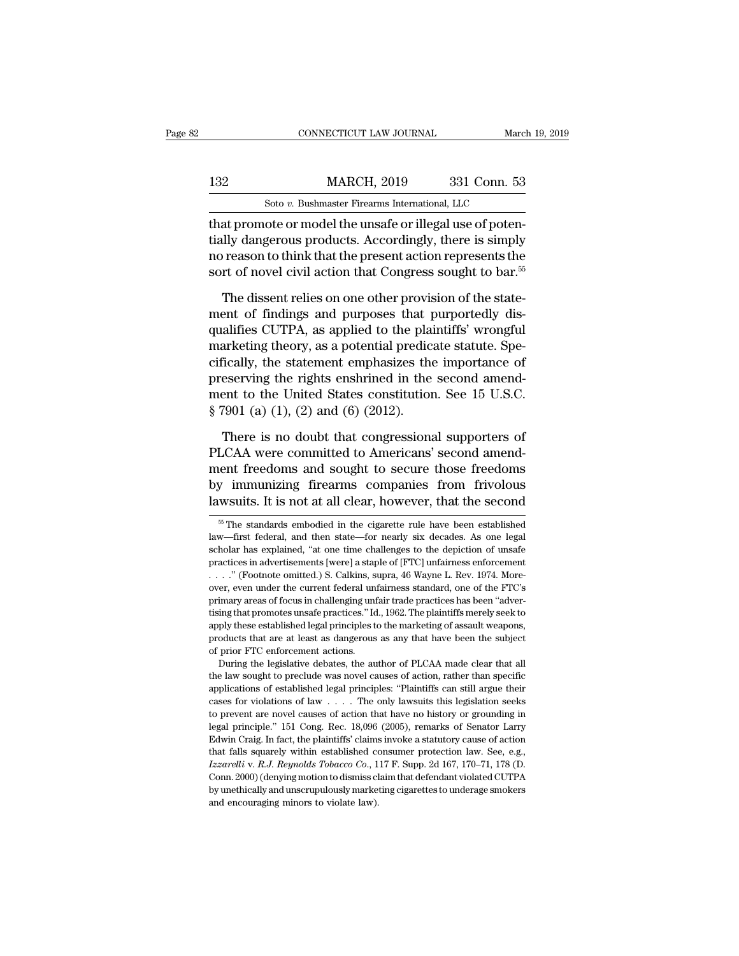# EXERCIT CONNECTICUT LAW JOURNAL March 19, 2019<br>132 MARCH, 2019 331 Conn. 53<br>500 v. Bushmaster Firearms International, LLC CONNECTICUT LAW JOURNAL March March March MARCH, 2019 331 Conn. 53<br>Soto *v.* Bushmaster Firearms International, LLC<br>Ote or model the unsafe or illegal use of noten-

CONNECTICUT LAW JOURNAL March March 2019<br>
132 MARCH, 2019 331 Conn. 53<br>
5000 v. Bushmaster Firearms International, LLC<br>
that promote or model the unsafe or illegal use of poten-<br>
tially dangerous products. Accordingly, the MARCH, 2019 331 Conn. 53<br>
Soto v. Bushmaster Firearms International, LLC<br>
that promote or model the unsafe or illegal use of potentially<br>
mo reason to think that the present action represents the<br>
sort of novel givil actio no reason to think that the present action represents the sort of novel civil action that Congress sought to bar.<sup>55</sup> Soto *v*. Bushmaster Firearms International, LLC<br>at promote or model the unsafe or illegal use of poten-<br>lly dangerous products. Accordingly, there is simply<br>reason to think that the present action represents the<br>rt of no that promote or model the unsafe or illegal use of potentially dangerous products. Accordingly, there is simply<br>no reason to think that the present action represents the<br>sort of novel civil action that Congress sought to b

tially dangerous products. Accordingly, there is simply<br>no reason to think that the present action represents the<br>sort of novel civil action that Congress sought to bar.<sup>55</sup><br>The dissent relies on one other provision of the mo reason to think that the present action represents the<br>sort of novel civil action that Congress sought to bar.<sup>55</sup><br>The dissent relies on one other provision of the state-<br>ment of findings and purposes that purportedly d sort of novel civil action that Congress sought to bar.<sup>55</sup><br>The dissent relies on one other provision of the statement of findings and purposes that purportedly dis-<br>qualifies CUTPA, as applied to the plaintiffs' wrongful<br> The dissent relies on one other provision of the state-<br>ment of findings and purposes that purportedly dis-<br>qualifies CUTPA, as applied to the plaintiffs' wrongful<br>marketing theory, as a potential predicate statute. Spe-<br> The dissent relies on one other provision of the state-<br>ment of findings and purposes that purportedly dis-<br>qualifies CUTPA, as applied to the plaintiffs' wrongful<br>marketing theory, as a potential predicate statute. Spe-<br> ment of findings and purposes that p<br>qualifies CUTPA, as applied to the plat<br>marketing theory, as a potential predic<br>cifically, the statement emphasizes the<br>preserving the rights enshrined in the<br>ment to the United States arketing theory, as a potential predicate statute. Spe-<br>
Sically, the statement emphasizes the importance of<br>
eserving the rights enshrined in the second amend-<br>
ent to the United States constitution. See 15 U.S.C.<br>
7901 ( cifically, the statement emphasizes the importance of<br>preserving the rights enshrined in the second amend-<br>ment to the United States constitution. See 15 U.S.C.<br> $\S 7901$  (a) (1), (2) and (6) (2012).<br>There is no doubt that

preserving the rights enshrined in the second amend-<br>ment to the United States constitution. See 15 U.S.C.<br>§ 7901 (a) (1), (2) and (6) (2012).<br>There is no doubt that congressional supporters of<br>PLCAA were committed to Amer ment to the United States constitution. See 15 U.S.C.<br>§ 7901 (a) (1), (2) and (6) (2012).<br>There is no doubt that congressional supporters of<br>PLCAA were committed to Americans' second amend-<br>ment freedoms and sought to secu § 7901 (a) (1), (2) and (6) (2012).<br>There is no doubt that congressional supporters of<br>PLCAA were committed to Americans' second amend-<br>ment freedoms and sought to secure those freedoms<br>by immunizing firearms companies fr LCAA were committed to Americans second amend-<br>ent freedoms and sought to secure those freedoms<br>y immunizing firearms companies from frivolous<br>wsuits. It is not at all clear, however, that the second<br> $\frac{1}{100}$ <br>for The st ment freedoms and sought to secure those freedoms<br>by immunizing firearms companies from frivolous<br>lawsuits. It is not at all clear, however, that the second<br><sup>55</sup> The standards embodied in the cigarette rule have been estab

by immunizing firearms companies from frivolous<br>lawsuits. It is not at all clear, however, that the second<br><sup>56</sup>The standards embodied in the cigarette rule have been established<br>law—first federal, and then state—for nearly **EXECUTE 20** Interacting the second as  $\frac{1}{100}$  and the cigarette rule have been established law—first federal, and then state—for nearly six decades. As one legal scholar has explained, "at one time challenges to the Law Suits. It is filot at all Clear, HOWEVET, that the second<br>  $\frac{1}{100}$  as  $\frac{1}{100}$  and then state—for nearly six decades. As one legal<br>
scholar has explained, "at one time challenges to the depiction of unsafe<br>
pra <sup>56</sup> The standards embodied in the cigarette rule have been established law—first federal, and then state—for nearly six decades. As one legal scholar has explained, "at one time challenges to the depiction of unsafe prac law—first federal, and then state—for nearly six decades. As one legal<br>law—first federal, and then state—for nearly six decades. As one legal<br>scholar has explained, "at one time challenges to the depiction of unsafe<br>practi scholar has explained, "at one time challenges to the depiction of unsafe practices in advertisements [were] a staple of [FTC] unfairness enforcement . . . ." (Footnote omitted.) S. Calkins, supra, 46 Wayne L. Rev. 1974. M practices in advertisements [were] a staple of [FTC] unfairness enforcement  $\dots$ ." (Footnote omitted.) S. Calkins, supra, 46 Wayne L. Rev. 1974. Moreover, even under the current federal unfairness standard, one of the FTC products that are at least as dangerous as any that have been the subject as dangerous.<br>
The over, even under the current federal unfairness standard, one of the FTC's<br>
primary areas of focus in challenging unfair trade pr over, even under the current federal uncertainty areas of focus in challenging untising that promotes unsafe practices." Ideaply these established legal principles to products that are at least as dangerous of prior FTC en imary areas of focus in challenging unfair trade practices has been "advering that promotes unsafe practices." Id., 1962. The plaintiffs merely seek to ply these established legal principles to the marketing of assault wea tising that promotes unsafe practices." Id., 1962. The plaintiffs merely seek to apply these established legal principles to the marketing of assault weapons, products that are at least as dangerous as any that have been t

apply these established legal principles to the marketing of assault weapons, products that are at least as dangerous as any that have been the subject of prior FTC enforcement actions.<br>
During the legislative debates, the products that are at least as dangerous as any that have been the subject<br>of prior FTC enforcement actions.<br>During the legislative debates, the author of PLCAA made clear that all<br>the law sought to preclude was novel cause for prior FTC enforcement actions.<br>
During the legislative debates, the author of PLCAA made clear that all<br>
the law sought to preclude was novel causes of action, rather than specific<br>
applications of established legal pr During the legislative debates, the author of PLCAA made clear that all the law sought to preclude was novel causes of action, rather than specific applications of established legal principles: "Plaintiffs can still argue Let a sought to preclude was novel causes of action, rather than specific applications of established legal principles: "Plaintiffs can still argue their cases for violations of law  $\ldots$ . The only lawsuits this legislati applications of established legal principles: "Plaintiffs can still argue their cases for violations of law . . . . The only lawsuits this legislation seeks to prevent are novel causes of action that have no history or gr *I*<sub>zare</sub> for violations of established egal principles. Thanking that star afgate also<br>cases for violations of law . . . . The only lawsuits this legislation seeks<br>to prevent are novel causes of action that have no histor to prevent are novel causes of action that have no history or grounding in legal principle." 151 Cong. Rec. 18,096 (2005), remarks of Senator Larry Edwin Craig. In fact, the plaintiffs' claims invoke a statutory cause of a begal principle." 151 Cong. Rec. 18,096 (2005), remarks of Senator Larry Edwin Craig. In fact, the plaintiffs' claims invoke a statutory cause of action that falls squarely within established consumer protection law. See, Edwin Craig. In fact, the plaintiffs' claims<br>that falls squarely within established contains that falls squarely within established container that the law).<br>Conn. 2000) (denying motion to dismiss clay unethically and unscr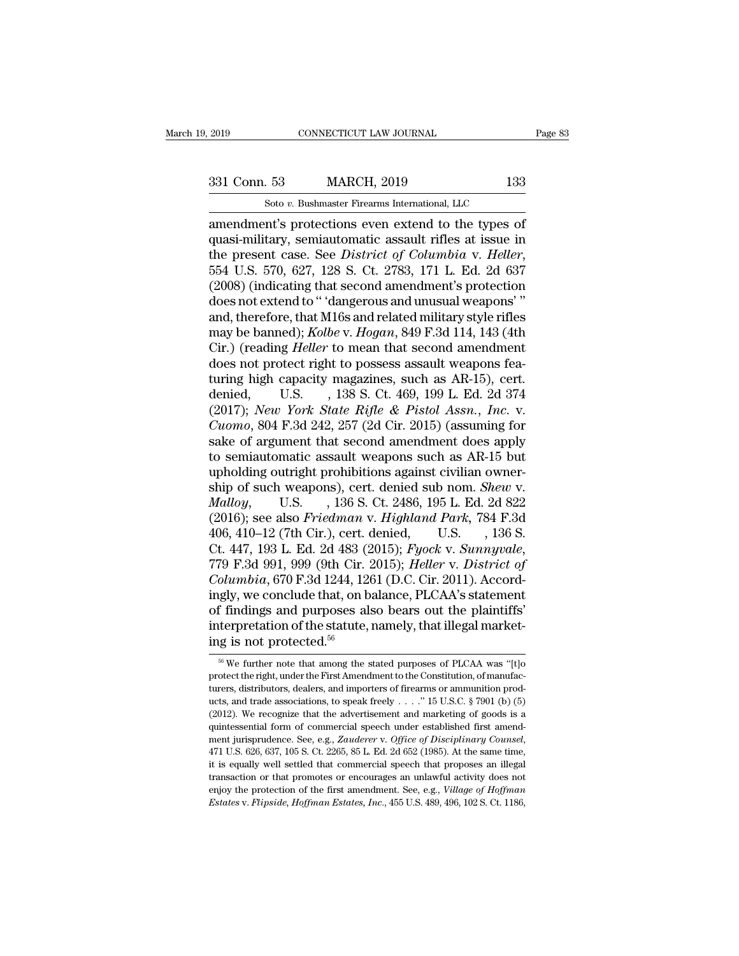# 2019 CONNECTICUT LAW JOURNAL Page 83<br>331 Conn. 53 MARCH, 2019 133<br>500 v. Bushmaster Firearms International, LLC CONNECTICUT LAW JOURNAL<br>
Soto *v.* Bushmaster Firearms International, LLC<br>
Int's protections even extend to the types of

2019 CONNECTICUT LAW JOURNAL Page 8:<br>
331 Conn. 53 MARCH, 2019 133<br>
34 Soto v. Bushmaster Firearms International, LLC<br>
2019 133<br>
2010 133<br>
2010 133<br>
2010 133<br>
2010 133<br>
2010 133<br>
2010 133<br>
2010 133<br>
2010 133<br>
2010 133<br>
201 331 Conn. 53 MARCH, 2019 133<br>
Soto v. Bushmaster Firearms International, LLC<br>
amendment's protections even extend to the types of<br>
quasi-military, semiautomatic assault rifles at issue in<br>
the present case. See *District* 1331 Conn. 53 MARCH, 2019 133<br>
Soto *v.* Bushmaster Frearms International, LLC<br>
amendment's protections even extend to the types of<br>
quasi-military, semiautomatic assault rifles at issue in<br>
the present case. See *District* Solution of the Milliam International, LLC<br>
amendment's protections even extend to the types of<br>
quasi-military, semiautomatic assault rifles at issue in<br>
the present case. See *District of Columbia v. Heller*,<br>
554 U.S. soto v. Bushmaster Frearms International, LLC<br>
amendment's protections even extend to the types of<br>
quasi-military, semiautomatic assault rifles at issue in<br>
the present case. See *District of Columbia v. Heller*,<br>
554 U. amendment's protections even extend to the types of<br>quasi-military, semiautomatic assault rifles at issue in<br>the present case. See *District of Columbia* v. *Heller*,<br>554 U.S. 570, 627, 128 S. Ct. 2783, 171 L. Ed. 2d 637<br>( quasi-military, semiautomatic assault rifles at issue in<br>the present case. See *District of Columbia v. Heller*,<br>554 U.S. 570, 627, 128 S. Ct. 2783, 171 L. Ed. 2d 637<br>(2008) (indicating that second amendment's protection<br>d the present case. See *District of Columbia v. Heller*,<br>554 U.S. 570, 627, 128 S. Ct. 2783, 171 L. Ed. 2d 637<br>(2008) (indicating that second amendment's protection<br>does not extend to "dangerous and unusual weapons"<br>and, th 554 U.S. 570, 627, 128 S. Ct. 2783, 171 L. Ed. 2d 637 (2008) (indicating that second amendment's protection does not extend to " dangerous and unusual weapons" and, therefore, that M16s and related military style rifles m (2008) (indicating that second amendment's protection<br>does not extend to " 'dangerous and unusual weapons' "<br>and, therefore, that M16s and related military style rifles<br>may be banned); *Kolbe* v. *Hogan*, 849 F.3d 114, 14 does not extend to " dangerous and unusual weapons" "<br>and, therefore, that M16s and related military style rifles<br>may be banned); *Kolbe v. Hogan*, 849 F.3d 114, 143 (4th<br>Cir.) (reading *Heller* to mean that second amendme and, therefore, that M16s and related military style rifles<br>may be banned); *Kolbe v. Hogan*, 849 F.3d 114, 143 (4th<br>Cir.) (reading *Heller* to mean that second amendment<br>does not protect right to possess assault weapons f may be banned); *Kolbe v. Hogan*, 849 F.3d 114, 143 (4th Cir.) (reading *Heller* to mean that second amendment does not protect right to possess assault weapons featuring high capacity magazines, such as AR-15), cert. deni Cir.) (reading *Heller* to mean that second amendment<br>does not protect right to possess assault weapons fea-<br>turing high capacity magazines, such as AR-15), cert.<br>denied, U.S. , 138 S. Ct. 469, 199 L. Ed. 2d 374<br>(2017); *N* does not protect right to possess assault weapons fea-<br>turing high capacity magazines, such as AR-15), cert.<br>denied, U.S. , 138 S. Ct. 469, 199 L. Ed. 2d 374<br>(2017); *New York State Rifle & Pistol Assn., Inc.* v.<br>*Cuomo*, turing high capacity magazines, such as AR-15), cert.<br>denied, U.S. , 138 S. Ct. 469, 199 L. Ed. 2d 374<br>(2017); *New York State Rifle & Pistol Assn., Inc. v.*<br>*Cuomo,* 804 F.3d 242, 257 (2d Cir. 2015) (assuming for<br>sake of denied, U.S. , 138 S. Ct. 469, 199 L. Ed. 2d 374<br>(2017); *New York State Rifle & Pistol Assn., Inc.* v.<br>*Cuomo*, 804 F.3d 242, 257 (2d Cir. 2015) (assuming for<br>sake of argument that second amendment does apply<br>to semiautom (2017); *New York State Rifle & Pistol Assn., Inc. v.*<br> *Cuomo,* 804 F.3d 242, 257 (2d Cir. 2015) (assuming for<br>
sake of argument that second amendment does apply<br>
to semiautomatic assault weapons such as AR-15 but<br>
uphold Cuomo, 804 F.3d 242, 257 (2d Cir. 2015) (assuming for<br>sake of argument that second amendment does apply<br>to semiautomatic assault weapons such as AR-15 but<br>upholding outright prohibitions against civilian owner-<br>ship of suc sake of argument that second amendment does apply<br>to semiautomatic assault weapons such as AR-15 but<br>upholding outright prohibitions against civilian owner-<br>ship of such weapons), cert. denied sub nom. *Shew* v.<br>*Malloy*, to semiautomatic assault weapons such as AR-15 but<br>upholding outright prohibitions against civilian owner-<br>ship of such weapons), cert. denied sub nom. *Shew* v.<br>*Malloy*, U.S. , 136 S. Ct. 2486, 195 L. Ed. 2d 822<br>(2016); *Columbia*, E.C. 136 S. Ct. 2486, 195 L. Ed. 2d 822<br> *Colo*; see also *Friedman v. Highland Park*, 784 F.3d<br> *Colo*; see also *Friedman v. Highland Park*, 784 F.3d<br>
406, 410–12 (7th Cir.), cert. denied, U.S. , 136 S.<br>
Ct. Malloy, U.S. , 136 S. Ct. 2486, 195 L. Ed. 2d 822<br>(2016); see also *Friedman v. Highland Park*, 784 F.3d<br>406, 410–12 (7th Cir.), cert. denied, U.S. , 136 S.<br>Ct. 447, 193 L. Ed. 2d 483 (2015); *Fyock v. Sunnyvale*,<br>779 F.3d (2016); see also *Friedman* v. *Highland Park*, 784 F.3d 406, 410–12 (7th Cir.), cert. denied, U.S. , 136 S.<br>Ct. 447, 193 L. Ed. 2d 483 (2015); *Fyock v. Sunnyvale*, 779 F.3d 991, 999 (9th Cir. 2015); *Heller v. District* 406, 410–12 (7th Cir.), cert. denied, U.S. , 136 S.<br>Ct. 447, 193 L. Ed. 2d 483 (2015); Fyock v. Sunnyvale,<br>779 F.3d 991, 999 (9th Cir. 2015); Heller v. District of<br>*Columbia*, 670 F.3d 1244, 1261 (D.C. Cir. 2011). Accord-Ct. 447, 193 L. Ed. 2d 483 (2<br>779 F.3d 991, 999 (9th Cir. 3<br>*Columbia*, 670 F.3d 1244, 12<br>ingly, we conclude that, on b<br>of findings and purposes al<br>interpretation of the statute,<br>ing is not protected.<sup>56</sup> gly, we conclude that, on balance, PLCAA's statement<br>f findings and purposes also bears out the plaintiffs'<br>terpretation of the statute, namely, that illegal market-<br>g is not protected.<sup>56</sup><br><sup>56</sup> We further note that among % of findings and purposes also bears out the plaintiffs'<br>interpretation of the statute, namely, that illegal market-<br>ing is not protected.<sup>56</sup><br> $\frac{66}{100}$  We further note that among the stated purposes of PLCAA was "[t]

interpretation of the statute, namely, that illegal market-<br>ing is not protected.<sup>56</sup><br> $\frac{1}{100}$  we further note that among the stated purposes of PLCAA was "[t]o<br>protect the right, under the First Amendment to the Const ing is not protected.<sup>56</sup><br>ing is not protected.<sup>56</sup><br><sup>66</sup> We further note that among the stated purposes of PLCAA was "[t]o<br>protect the right, under the First Amendment to the Constitution, of manufac-<br>turers, distributors <sup>66</sup> We further note that among the stated purposes of PLCAA was "[t] oprotect the right, under the First Amendment to the Constitution, of manufacturers, distributors, dealers, and importers of firearms or ammunition pro protect the right, under the First Amendment to the Constitution, of manufacturers, distributors, dealers, and importers of firearms or ammunition products, and trade associations, to speak freely . . . ." 15 U.S.C. § 790 ment further in the First Amendment to the Constitution, of manufacturers, distributors, dealers, and importers of firearms or ammunition products, and trade associations, to speak freely . . . ." 15 U.S.C. § 7901 (b) (5) it is equally well settled that commercial speech that proposes and trade associations, to speak freely . . . ." Is U.S.C. § 7901 (b) (5) (2012). We recognize that the advertisement and marketing of goods is a quintessent (2012). We recognize that the advertisement and marketing of goods is a quintessential form of commercial speech under established first amendment jurisprudence. See, e.g., Zauderer v. Office of Disciplinary Counsel, 471 ential form of connectial speech under established first amendment jurisprudence. See, e.g., *Zauderer* v. Office of Disciplinary Counsel, 471 U.S. 626, 637, 105 S. Ct. 2265, 85 L. Ed. 2d 652 (1985). At the same time, it i *Estates* v. *Flipside, e.e.g., Zauderer v. Office of Disciplinary Counsel,* 471 U.S. 626, 637, 105 S. Ct. 2265, 85 L. Ed. 2d 652 (1985). At the same time, it is equally well settled that commercial speech that proposes an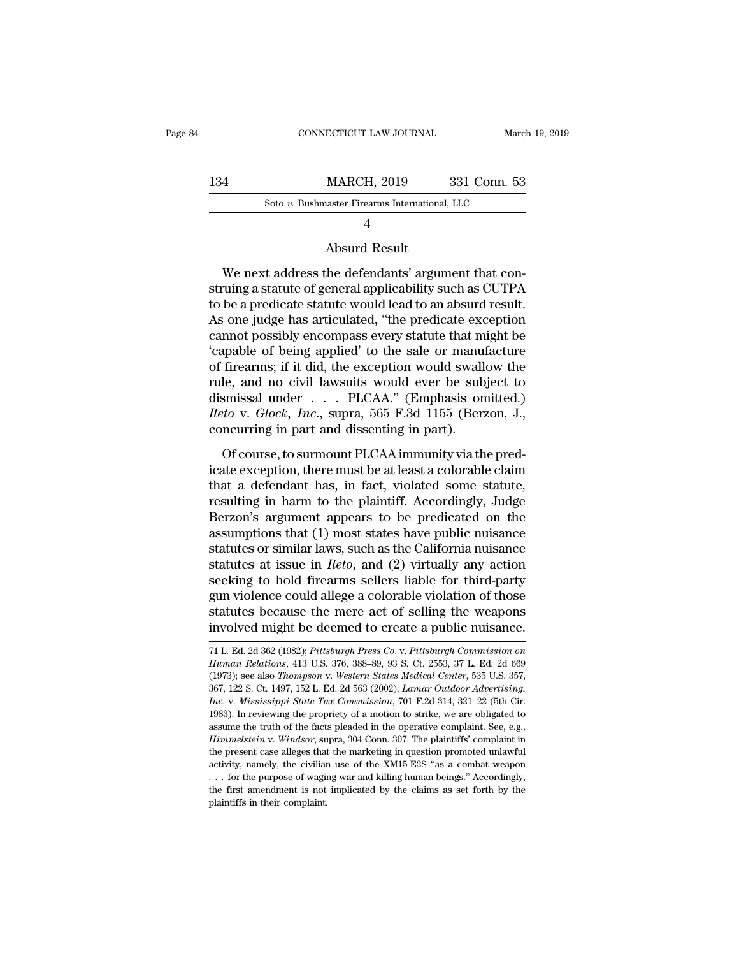|     | CONNECTICUT LAW JOURNAL                            | March 19, 2019 |
|-----|----------------------------------------------------|----------------|
| 134 | <b>MARCH, 2019</b>                                 | 331 Conn. 53   |
|     | Soto v. Bushmaster Firearms International, LLC     |                |
|     | 4                                                  |                |
|     | Absurd Result                                      |                |
|     | We next address the defendants' argument that con- |                |

### 4

MARCH, 2019 331 Conn. 53<br>
Soto v. Bushmaster Firearms International, LLC<br>
4<br>
Absurd Result<br>
We next address the defendants' argument that con-<br>
The a statute of general applicability such as CUTPA<br>
be a prodicate statute w Soto v. Bushmaster Firearms International, LLC<br>
4<br>
Absurd Result<br>
We next address the defendants' argument that construing a statute of general applicability such as CUTPA<br>
to be a predicate statute would lead to an absurd  $\frac{1}{4}$ <br>Absurd Result<br>We next address the defendants' argument that construing a statute of general applicability such as CUTPA<br>to be a predicate statute would lead to an absurd result.<br>As one judge has articulated, "th 4<br>Absurd Result<br>We next address the defendants' argument that con-<br>struing a statute of general applicability such as CUTPA<br>to be a predicate statute would lead to an absurd result.<br>As one judge has articulated, "the predi Absurd Result<br>We next address the defendants' argument that con-<br>struing a statute of general applicability such as CUTPA<br>to be a predicate statute would lead to an absurd result.<br>As one judge has articulated, "the predica <sup>1653</sup> Thosald result<br>
We next address the defendants' argument that construing a statute of general applicability such as CUTPA<br>
to be a predicate statute would lead to an absurd result.<br>
As one judge has articulated, "th We next address the defendants' argument that construing a statute of general applicability such as CUTPA<br>to be a predicate statute would lead to an absurd result.<br>As one judge has articulated, "the predicate exception<br>ca struing a statute of general applicability such as CUTPA<br>to be a predicate statute would lead to an absurd result.<br>As one judge has articulated, "the predicate exception<br>cannot possibly encompass every statute that might b to be a predicate statute would lead to an absurd result.<br>As one judge has articulated, "the predicate exception<br>cannot possibly encompass every statute that might be<br>'capable of being applied' to the sale or manufacture<br> As one judge has articulated, "the predicate exception<br>cannot possibly encompass every statute that might be<br>'capable of being applied' to the sale or manufacture<br>of firearms; if it did, the exception would swallow the<br>rul cannot possibly encompass every statute that m<br>
'capable of being applied' to the sale or manu<br>
of firearms; if it did, the exception would swall<br>
rule, and no civil lawsuits would ever be sub<br>
dismissal under . . . PLCAA firearms; if it did, the exception would swallow the<br>le, and no civil lawsuits would ever be subject to<br>smissal under  $\ldots$  PLCAA." (Emphasis omitted.)<br>*tto* v. *Glock*, *Inc.*, supra, 565 F.3d 1155 (Berzon, J.,<br>neurring or means, in it did, the exception would swallow the<br>rule, and no civil lawsuits would ever be subject to<br>dismissal under . . . PLCAA." (Emphasis omitted.)<br>*Reto* v. *Glock*, *Inc.*, supra, 565 F.3d 1155 (Berzon, J.,<br>conc

Find a defendant has, in fact, violated some statute,<br>
reduced by a Glock, Inc., supra, 565 F.3d 1155 (Berzon, J.,<br>
concurring in part and dissenting in part).<br>
Of course, to surmount PLCAA immunity via the pred-<br>
icate e *Reto v. Glock, Inc.*, supra, 565 F.3d 1155 (Berzon, J., concurring in part and dissenting in part).<br>
Of course, to surmount PLCAA immunity via the predicate exception, there must be at least a colorable claim that a defe Fraction Collection, 1997, 1997, 1997, 1997, 1997, 1997, 1998, 1998, 1998, 1998, 1998, 1998, 1998, 1998, 1998, 1998, 1998, 1998, 1998, 1998, 1998, 1999, 1999, 1999, 1999, 1999, 1999, 1999, 1999, 1999, 1999, 1999, 1999, 199 of course, to surmount PLCAA immunity via the predicate exception, there must be at least a colorable claim<br>that a defendant has, in fact, violated some statute,<br>resulting in harm to the plaintiff. Accordingly, Judge<br>Berz Of course, to surmount PLCAA immunity via the predicate exception, there must be at least a colorable claim<br>that a defendant has, in fact, violated some statute,<br>resulting in harm to the plaintiff. Accordingly, Judge<br>Berz icate exception, there must be at least a colorable claim<br>that a defendant has, in fact, violated some statute,<br>resulting in harm to the plaintiff. Accordingly, Judge<br>Berzon's argument appears to be predicated on the<br>assum that a defendant has, in fact, violated some statute,<br>resulting in harm to the plaintiff. Accordingly, Judge<br>Berzon's argument appears to be predicated on the<br>assumptions that (1) most states have public nuisance<br>statutes resulting in harm to the plaintiff. Accordingly, Judge<br>Berzon's argument appears to be predicated on the<br>assumptions that (1) most states have public nuisance<br>statutes or similar laws, such as the California nuisance<br>statu Berzon's argument appears to be predicated on the assumptions that  $(1)$  most states have public nuisance statutes or similar laws, such as the California nuisance statutes at issue in *Ileto*, and  $(2)$  virtually any act assumptions that (1) most states have public nuisance<br>statutes or similar laws, such as the California nuisance<br>statutes at issue in *Ileto*, and (2) virtually any action<br>seeking to hold firearms sellers liable for thirdseeking to hold firearms sellers liable for third-party<br>gun violence could allege a colorable violation of those<br>statutes because the mere act of selling the weapons<br>involved might be deemed to create a public nuisance.<br> $\$ gun violence could allege a colorable violation of those<br>statutes because the mere act of selling the weapons<br>involved might be deemed to create a public nuisance.<br>71 L. Ed. 2d 362 (1982); *Pittsburgh Press Co. v. Pittsbur* 

statutes because the mere act of selling the weapons<br>involved might be deemed to create a public nuisance.<br>71 L. Ed. 2d 362 (1982); *Pittsburgh Press Co. v. Pittsburgh Commission on*<br>*Human Relations*, 413 U.S. 376, 388–89 involved might be deemed to create a public nuisance.<br>
71 L. Ed. 2d 362 (1982); *Pittsburgh Press Co. v. Pittsburgh Commission on*<br> *Human Relations*, 413 U.S. 376, 388–89, 93 S. Ct. 2553, 37 L. Ed. 2d 669<br>
(1973); see als 71 L. Ed. 2d 362 (1982); *Pittsburgh Press Co. v. Pittsburgh Commission on Human Relations*, 413 U.S. 376, 388–89, 93 S. Ct. 2553, 37 L. Ed. 2d 669 (1973); see also *Thompson v. Western States Medical Center*, 535 U.S. 357 71 L. Ed. 2d 362 (1982); *Pittsburgh Press Co. v. Pittsburgh Commission on*<br>Human Relations, 413 U.S. 376, 388–89, 93 S. Ct. 2553, 37 L. Ed. 2d 669<br>(1973); see also *Thompson v. Western States Medical Center*, 535 U.S. 357 Fuman Relations, 413 U.S. 376, 388–89, 93 S. Ct. 2553, 37 L. Ed. 2d 669<br>(1973); see also *Thompson v. Western States Medical Center*, 535 U.S. 357, 367, 122 S. Ct. 1497, 152 L. Ed. 2d 563 (2002); *Lamar Outdoor Advertising Himmelstein* v. *Windsor*, *Windsor*, *Western States Medical Center*, 535 U.S. 357, 367, 122 S. Ct. 1497, 152 L. Ed. 2d 563 (2002); *Lamar Outdoor Advertising*, *Inc.* v. *Mississippi State Tax Commission*, 701 F.2d 314, (367, 122 S. Ct. 1497, 152 L. Ed. 2d 563 (2002); *Lamar Outdoor Advertising*, *Inc.* v. *Mississippi State Tax Commission*, 701 F.2d 314, 321–22 (5th Cir. 1983). In reviewing the propriety of a motion to strike, we are ob Finc. v. Mississippi State Tax Commission, 701 F.2d 314, 321–22 (5th Cir. 1983). In reviewing the propriety of a motion to strike, we are obligated to assume the truth of the facts pleaded in the operative complaint. See, 1983). In reviewing the propriety of a motion to strike, we are obligated to assume the truth of the facts pleaded in the operative complaint. See, e.g., *Himmelstein* v. *Windsor*, supra, 304 Conn. 307. The plaintiffs' c Example the truth of the facts pleaded in the operative complaint. See, e.g., *Himmelstein v. Windsor*, supra, 304 Conn. 307. The plaintiffs' complaint in the present case alleges that the marketing in question promoted u Himmelstein v. Windsor, su<br>the present case alleges that<br>activity, namely, the civiliar<br>activity, namely, the civiliar<br>... for the purpose of wagin<br>the first amendment is not<br>plaintiffs in their complaint.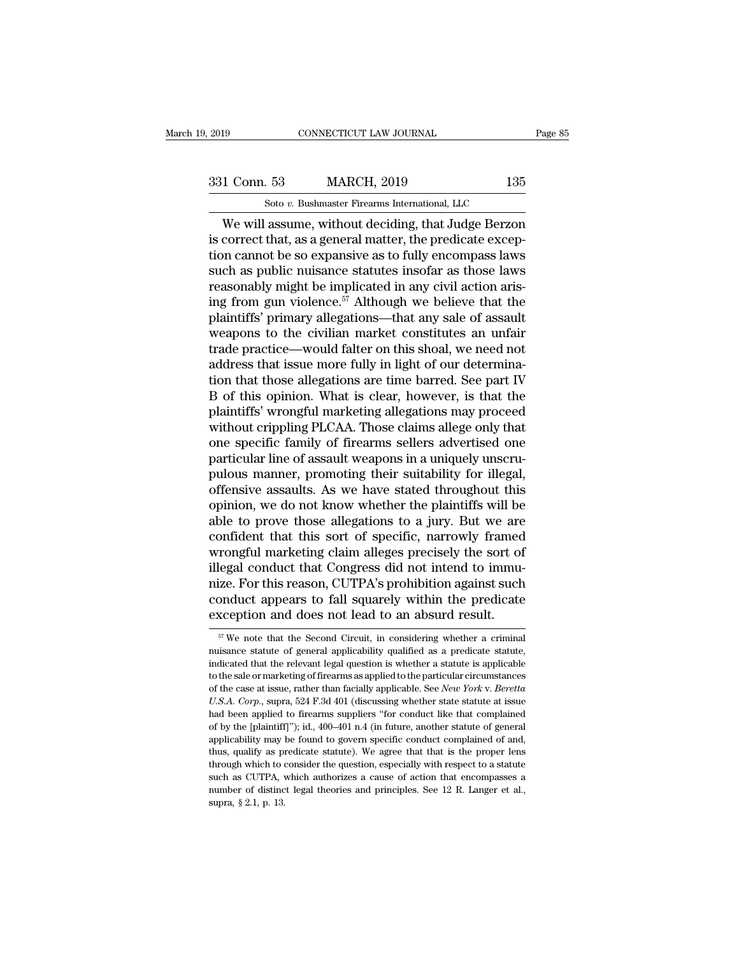# 2019 CONNECTICUT LAW JOURNAL Page 85<br>331 Conn. 53 MARCH, 2019 135<br>500 v. Bushmaster Firearms International, LLC CONNECTICUT LAW JOURNAL<br>
Soto *v.* Bushmaster Firearms International, LLC<br>
Soto *v.* Bushmaster Firearms International, LLC<br>
assume without deciding that Judge Berzon

CONNECTICUT LAW JOURNAL Page 85<br>
1 Conn. 53 MARCH, 2019 135<br>
Soto v. Bushmaster Firearms International, LLC<br>
We will assume, without deciding, that Judge Berzon<br>
correct that, as a general matter, the predicate excep-<br>
pre 331 Conn. 53 MARCH, 2019 135<br>
Soto v. Bushmaster Firearms International, LLC<br>
We will assume, without deciding, that Judge Berzon<br>
is correct that, as a general matter, the predicate excep-<br>
tion cannot be so expansive as 331 Conn. 53 MARCH, 2019 135<br>
Soto v. Bushmaster Firearms International, LLC<br>
We will assume, without deciding, that Judge Berzon<br>
is correct that, as a general matter, the predicate excep-<br>
tion cannot be so expansive as 331 Conn. 53 MARCH, 2019 135<br>
Soto v. Bushmaster Firearms International, LLC<br>
We will assume, without deciding, that Judge Berzon<br>
is correct that, as a general matter, the predicate excep-<br>
tion cannot be so expansive as Soto v. Bushmaster Firearms International, LLC<br>We will assume, without deciding, that Judge Berzon<br>is correct that, as a general matter, the predicate excep-<br>tion cannot be so expansive as to fully encompass laws<br>such as soto v. Bushmaster Firearms International, LLC<br>
We will assume, without deciding, that Judge Berzon<br>
is correct that, as a general matter, the predicate excep-<br>
tion cannot be so expansive as to fully encompass laws<br>
such We will assume, without deciding, that Judge Berzon<br>is correct that, as a general matter, the predicate excep-<br>tion cannot be so expansive as to fully encompass laws<br>such as public nuisance statutes insofar as those laws<br> is correct that, as a general matter, the predicate exception cannot be so expansive as to fully encompass laws<br>such as public nuisance statutes insofar as those laws<br>reasonably might be implicated in any civil action ari tion cannot be so expansive as to fully encompass laws<br>such as public nuisance statutes insofar as those laws<br>reasonably might be implicated in any civil action aris-<br>ing from gun violence.<sup>57</sup> Although we believe that th such as public nuisance statutes insofar as those laws<br>reasonably might be implicated in any civil action aris-<br>ing from gun violence.<sup>57</sup> Although we believe that the<br>plaintiffs' primary allegations—that any sale of assau reasonably might be implicated in any civil action aris-<br>ing from gun violence.<sup>57</sup> Although we believe that the<br>plaintiffs' primary allegations—that any sale of assault<br>weapons to the civilian market constitutes an unfair ing from gun violence.<sup>57</sup> Although we believe that the plaintiffs' primary allegations—that any sale of assault weapons to the civilian market constitutes an unfair trade practice—would falter on this shoal, we need not plaintiffs' primary allegations—that any sale of assault<br>weapons to the civilian market constitutes an unfair<br>trade practice—would falter on this shoal, we need not<br>address that issue more fully in light of our determina-<br> weapons to the civilian market constitutes an unfair<br>trade practice—would falter on this shoal, we need not<br>address that issue more fully in light of our determina-<br>tion that those allegations are time barred. See part IV<br> trade practice—would falter on this shoal, we need not<br>address that issue more fully in light of our determina-<br>tion that those allegations are time barred. See part IV<br>B of this opinion. What is clear, however, is that th address that issue more fully in light of our determination that those allegations are time barred. See part IV B of this opinion. What is clear, however, is that the plaintiffs' wrongful marketing allegations may proceed tion that those allegations are time barred. See part IV<br>B of this opinion. What is clear, however, is that the<br>plaintiffs' wrongful marketing allegations may proceed<br>without crippling PLCAA. Those claims allege only that<br> B of this opinion. What is clear, however, is that the plaintiffs' wrongful marketing allegations may proceed without crippling PLCAA. Those claims allege only that one specific family of firearms sellers advertised one pa plaintiffs' wrongful marketing allegations may proceed<br>without crippling PLCAA. Those claims allege only that<br>one specific family of firearms sellers advertised one<br>particular line of assault weapons in a uniquely unscru-<br> without crippling PLCAA. Those claims allege only that<br>one specific family of firearms sellers advertised one<br>particular line of assault weapons in a uniquely unscru-<br>pulous manner, promoting their suitability for illegal, one specific family of firearms sellers advertised one<br>particular line of assault weapons in a uniquely unscru-<br>pulous manner, promoting their suitability for illegal,<br>offensive assaults. As we have stated throughout this<br> particular line of assault weapons in a uniquely unscrupulous manner, promoting their suitability for illegal, offensive assaults. As we have stated throughout this opinion, we do not know whether the plaintiffs will be ab pulous manner, promoting their suitability for illegal, offensive assaults. As we have stated throughout this opinion, we do not know whether the plaintiffs will be able to prove those allegations to a jury. But we are con offensive assaults. As we have stated throughout this opinion, we do not know whether the plaintiffs will be able to prove those allegations to a jury. But we are confident that this sort of specific, narrowly framed wrong opinion, we do not know whether the plaintiffs will be<br>able to prove those allegations to a jury. But we are<br>confident that this sort of specific, narrowly framed<br>wrongful marketing claim alleges precisely the sort of<br>ille able to prove those allegations to a jury. But we are confident that this sort of specific, narrowly framed wrongful marketing claim alleges precisely the sort of illegal conduct that Congress did not intend to immunize. legal conduct that Congress did not intend to immu-<br>ize. For this reason, CUTPA's prohibition against such<br>ponduct appears to fall squarely within the predicate<br>is reception and does not lead to an absurd result.<br>is we not nize. For this reason, CUTPA's prohibition against such conduct appears to fall squarely within the predicate exception and does not lead to an absurd result.<br> $\frac{57}{10}$  We note that the Second Circuit, in considering wh

conduct appears to fall squarely within the predicate exception and does not lead to an absurd result.<br> $\frac{1}{100}$  We note that the Second Circuit, in considering whether a criminal nuisance statute of general applicabili exception and does not lead to an absurd result.<br>  $\frac{57}{100}$  We note that the Second Circuit, in considering whether a criminal nuisance statute of general applicability qualified as a predicate statute, indicated that **EXCEPTION AND GOES NOT TEACH OF AND ADSUTE TESTILE.**<br>
<sup>57</sup> We note that the Second Circuit, in considering whether a criminal nuisance statute of general applicability qualified as a predicate statute, indicated that the <sup>*IT*</sup> We note that the Second Circuit, in considering whether a criminal musance statute of general applicability qualified as a predicate statute, indicated that the relevant legal question is whether a statute is appli musance statute of general applicability qualified as a predicate statute, indicated that the relevant legal question is whether a statute is applicable to the sale or marketing of firearms as applied to the particular ci indicated that the relevant legal question is whether a statute is applicable to the sale or marketing of firearms as applied to the particular circumstances of the case at issue, rather than facially applicable. See *New* to the sale or marketing of frearms as applied to the particular circumstances<br>of the case at issue, rather than facially applicable. See *New York v. Beretta*<br>U.S.A. Corp., supra, 524 F.3d 401 (discussing whether state s of the case at issue, rather than facially applicable. See *New York v. Beretta* U.S.A. Corp., supra, 524 F.3d 401 (discussing whether state statute at issue had been applied to firearms suppliers "for conduct like that c U.S.A. Corp., supra, 524 F.3d 401 (discussing whether state statute at issue had been applied to firearms suppliers "for conduct like that complained of by the [plaintiff]"); id., 400–401 n.4 (in future, another statute o bad been applied to firearms suppliers "for conduct like that complained of by the [plaintiff]"); id., 400–401 n.4 (in future, another statute of general applicability may be found to govern specific conduct complained of number of by the [plaintiff]"); id., 400-401 n.4 (in future, another statute of general applicability may be found to govern specific conduct complained of and, thus, qualify as predicate statute). We agree that that is t applicability may<br>thus, qualify as providing the such as CUTPA,<br>number of distince such as CUTPA,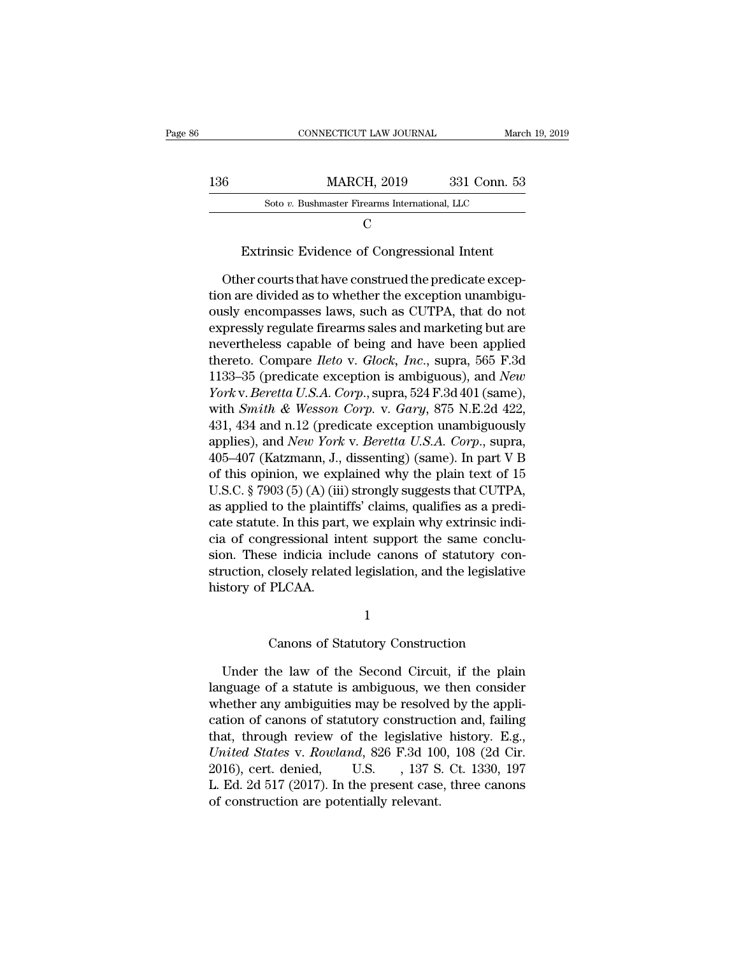|     | CONNECTICUT LAW JOURNAL                                | March 19, 2019 |
|-----|--------------------------------------------------------|----------------|
|     |                                                        |                |
| 136 | <b>MARCH, 2019</b><br>331 Conn. 53                     |                |
|     | Soto v. Bushmaster Firearms International, LLC         |                |
|     | $\mathbf{C}$                                           |                |
|     | Extrinsic Evidence of Congressional Intent             |                |
|     | Other courts that have construed the predicate excep-  |                |
|     | tion are divided as to whether the exception unambigu- |                |

Soto v. Bushmaster Firearms International, LLC<br>
C<br>
Extrinsic Evidence of Congressional Intent<br>
Other courts that have construed the predicate excep-<br>
tion are divided as to whether the exception unambigu-<br>
ously encompasse C<br>
Extrinsic Evidence of Congressional Intent<br>
Other courts that have construed the predicate excep-<br>
tion are divided as to whether the exception unambigu-<br>
ously encompasses laws, such as CUTPA, that do not<br>
expressly re Extrinsic Evidence of Congressional Intent<br>Other courts that have construed the predicate excep-<br>tion are divided as to whether the exception unambigu-<br>ously encompasses laws, such as CUTPA, that do not<br>expressly regulate Extrinsic Evidence of Congressional Intent<br>Other courts that have construed the predicate excep-<br>tion are divided as to whether the exception unambigu-<br>ously encompasses laws, such as CUTPA, that do not<br>expressly regulate Other courts that have construed the predicate exception are divided as to whether the exception unambiguously encompasses laws, such as CUTPA, that do not expressly regulate firearms sales and marketing but are neverthele Other courts that have construed the predicate excep-<br>tion are divided as to whether the exception unambigu-<br>ously encompasses laws, such as CUTPA, that do not<br>expressly regulate firearms sales and marketing but are<br>nevert tion are divided as to whether the exception unambiguously encompasses laws, such as CUTPA, that do not expressly regulate firearms sales and marketing but are nevertheless capable of being and have been applied thereto. C ously encompasses laws, such as CUTPA, that do not<br>expressly regulate firearms sales and marketing but are<br>nevertheless capable of being and have been applied<br>thereto. Compare *Ileto* v. *Glock*, *Inc.*, supra, 565 F.3d<br>11 expressly regulate firearms sales and marketing but are<br>nevertheless capable of being and have been applied<br>thereto. Compare *Reto* v. *Glock*, *Inc.*, supra, 565 F.3d<br>1133–35 (predicate exception is ambiguous), and *New* nevertheless capable of being and have been applied<br>thereto. Compare *Ileto* v. *Glock*, *Inc.*, supra, 565 F.3d<br>1133–35 (predicate exception is ambiguous), and *New*<br>York v. *Beretta U.S.A. Corp.*, supra, 524 F.3d 401 (sa thereto. Compare *Ileto* v. *Glock*, *Inc.*, supra, 565 F.3d<br>1133–35 (predicate exception is ambiguous), and *New*<br>*York* v. *Beretta U.S.A. Corp.*, supra, 524 F.3d 401 (same),<br>with *Smith & Wesson Corp.* v. *Gary*, 875 N 1133–35 (predicate exception is ambiguous), and *New*<br> *York v. Beretta U.S.A. Corp.*, supra, 524 F.3d 401 (same),<br>
with *Smith & Wesson Corp. v. Gary*, 875 N.E.2d 422,<br>
431, 434 and n.12 (predicate exception unambiguousl York v. Beretta U.S.A. Corp., supra, 524 F.3d 401 (same),<br>with *Smith & Wesson Corp.* v. *Gary*, 875 N.E.2d 422,<br>431, 434 and n.12 (predicate exception unambiguously<br>applies), and *New York v. Beretta U.S.A. Corp.*, supra, with Smith & Wesson Corp. v. Gary, 875 N.E.2d 422,<br>431, 434 and n.12 (predicate exception unambiguously<br>applies), and New York v. Beretta U.S.A. Corp., supra,<br>405–407 (Katzmann, J., dissenting) (same). In part V B<br>of this 431, 434 and n.12 (predicate exception unambiguously applies), and *New York v. Beretta U.S.A. Corp.*, supra, 405–407 (Katzmann, J., dissenting) (same). In part V B of this opinion, we explained why the plain text of 15 U applies), and *New York v. Beretta U.S.A. Corp.*, supra, 405–407 (Katzmann, J., dissenting) (same). In part V B of this opinion, we explained why the plain text of 15 U.S.C. § 7903 (5) (A) (iii) strongly suggests that CUT 405–407 (Katzmann, J., dissenting) (same). In part V B<br>of this opinion, we explained why the plain text of 15<br>U.S.C. § 7903 (5) (A) (iii) strongly suggests that CUTPA,<br>as applied to the plaintiffs' claims, qualifies as a of this opinion, we explained why the plain text of 15<br>U.S.C. § 7903 (5) (A) (iii) strongly suggests that CUTPA,<br>as applied to the plaintiffs' claims, qualifies as a predi-<br>cate statute. In this part, we explain why extrin U.S.C. § 7903 (5) (A) (iii)<br>as applied to the plainti<br>cate statute. In this part<br>cia of congressional in<br>sion. These indicia inc<br>struction, closely relate<br>history of PLCAA. Expressional and the Fighter and Tallie Construction<br>is indicial include canons of statutory conclosely related legislation, and the legislative<br>PLCAA.<br>1<br>Canons of Statutory Construction<br>he law of the Second Circuit, if th

1

Under the law of the Second Circuit, if the plain<br>Under the law of the Second Circuit, if the plain<br>uage of a statute is ambiguous, we then consider<br>asther any ambiguities may be reached by the anali l<br>
l<br>
Canons of Statutory Construction<br>
Under the law of the Second Circuit, if the plain<br>
language of a statute is ambiguous, we then consider<br>
whether any ambiguities may be resolved by the appli-<br>
action of conons of st 1<br>Canons of Statutory Construction<br>Under the law of the Second Circuit, if the plain<br>language of a statute is ambiguous, we then consider<br>whether any ambiguities may be resolved by the appli-<br>cation of canons of statutory Canons of Statutory Construction<br>Under the law of the Second Circuit, if the plain<br>language of a statute is ambiguous, we then consider<br>whether any ambiguities may be resolved by the appli-<br>cation of canons of statutory c Canons of Statutory Construction<br>Under the law of the Second Circuit, if the plain<br>language of a statute is ambiguous, we then consider<br>whether any ambiguities may be resolved by the appli-<br>cation of canons of statutory c Under the law of the Second Circuit, if the plain language of a statute is ambiguous, we then consider whether any ambiguities may be resolved by the application of canons of statutory construction and, failing that, throu Under the law of the Second Circuit, if the plain<br>language of a statute is ambiguous, we then consider<br>whether any ambiguities may be resolved by the appli-<br>cation of canons of statutory construction and, failing<br>that, th language of a statute is ambiguous, we then consider<br>whether any ambiguities may be resolved by the appli-<br>cation of canons of statutory construction and, failing<br>that, through review of the legislative history. E.g.,<br>*Uni* whether any ambiguities may be resolve<br>cation of canons of statutory constructi<br>that, through review of the legislative<br>*United States* v. *Rowland*, 826 F.3d 10<br>2016), cert. denied, U.S. , 137 S<br>L. Ed. 2d 517 (2017). In t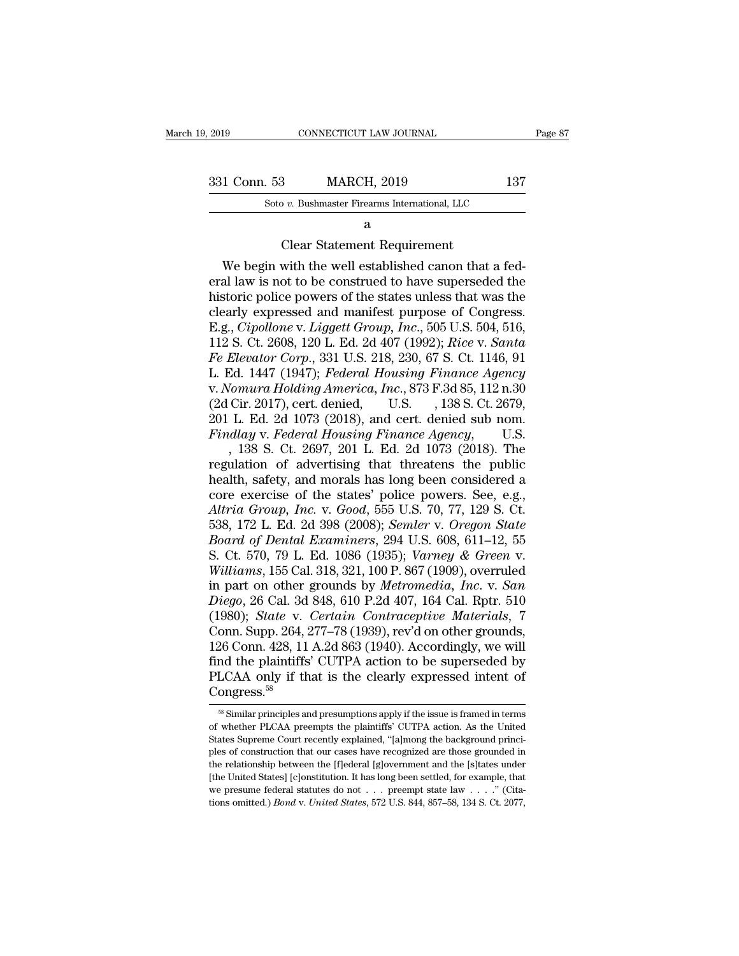# 2019 CONNECTICUT LAW JOURNAL Page 87<br>331 Conn. 53 MARCH, 2019 137<br>500 v. Bushmaster Firearms International, LLC CONNECTICUT LAW JOURNAL<br>
Soto *v.* Bushmaster Firearms International, LLC<br>
Soto *v.* Bushmaster Firearms International, LLC

### a

 $\frac{1}{2}$  MARCH, 2019<br>  $\frac{1}{2}$  M. Bushmaster Firearms International, LLC<br>  $\frac{1}{2}$ <br>
Clear Statement Requirement<br>
with the well established canon that 1 Conn. 53 MARCH, 2019 137<br>
Soto v. Bushmaster Firearms International, LLC<br>
a<br>
Clear Statement Requirement<br>
We begin with the well established canon that a fed-<br>
al law is not to be construed to have superseded the<br>
storic Solution Continuo 35 MARCH, 2019<br>
Soto v. Bushmaster Firearms International, LLC<br>
a<br>
Clear Statement Requirement<br>
We begin with the well established canon that a federal law is not to be construed to have superseded the<br> Soto *v*. Bushmaster Firearms International, LLC<br>
a<br>
Clear Statement Requirement<br>
We begin with the well established canon that a fed-<br>
eral law is not to be construed to have superseded the<br>
historic police powers of the a<br>
clear Statement Requirement<br>
We begin with the well established canon that a fed-<br>
eral law is not to be construed to have superseded the<br>
historic police powers of the states unless that was the<br>
clearly expressed and Clear Statement Requirement<br>We begin with the well established canon that a fed-<br>eral law is not to be construed to have superseded the<br>historic police powers of the states unless that was the<br>clearly expressed and manifes Clear Statement Requirement<br>We begin with the well established canon that a fed-<br>eral law is not to be construed to have superseded the<br>historic police powers of the states unless that was the<br>clearly expressed and manifes We begin with the well established canon that a federal law is not to be construed to have superseded the historic police powers of the states unless that was the clearly expressed and manifest purpose of Congress. E.g., eral law is not to be construed to have superseded the<br>historic police powers of the states unless that was the<br>clearly expressed and manifest purpose of Congress.<br>E.g., *Cipollone* v. *Liggett Group*, *Inc.*, 505 U.S. 504 historic police powers of the states unless that was the<br>clearly expressed and manifest purpose of Congress.<br>E.g., *Cipollone* v. *Liggett Group*, *Inc.*, 505 U.S. 504, 516,<br>112 S. Ct. 2608, 120 L. Ed. 2d 407 (1992); *Rice* clearly expressed and manifest purpose of Congress.<br>E.g., *Cipollone v. Liggett Group, Inc.*, 505 U.S. 504, 516,<br>112 S. Ct. 2608, 120 L. Ed. 2d 407 (1992); *Rice v. Santa<br>Fe Elevator Corp.*, 331 U.S. 218, 230, 67 S. Ct. 11 E.g., *Cipollone v. Liggett Group*, *Inc.*, 505 U.S. 504, 516,<br>112 S. Ct. 2608, 120 L. Ed. 2d 407 (1992); *Rice v. Santa<br>Fe Elevator Corp.*, 331 U.S. 218, 230, 67 S. Ct. 1146, 91<br>L. Ed. 1447 (1947); *Federal Housing Financ* 112 S. Ct. 2608, 120 L. Ed. 2d 407 (1992); *Rice v. Santa*<br>*Fe Elevator Corp.*, 331 U.S. 218, 230, 67 S. Ct. 1146, 91<br>L. Ed. 1447 (1947); *Federal Housing Finance Agency*<br>v. *Nomura Holding America*, *Inc.*, 873 F.3d 85, 1 Elevator Corp., 331 U.S. 218, 230, 67 S. Ct. 1146, 91<br>Ed. 1447 (1947); *Federal Housing Finance Agency*<br>Jomura Holding America, Inc., 873 F.3d 85, 112 n.30<br>Cir. 2017), cert. denied, U.S. , 138 S. Ct. 2679,<br>L. Ed. 2d 1073 L. Ed. 1447 (1947); *Federal Housing Finance Agency*<br>v. *Nomura Holding America*, *Inc.*, 873 F.3d 85, 112 n.30<br>(2d Cir. 2017), cert. denied, U.S. , 138 S. Ct. 2679,<br>201 L. Ed. 2d 1073 (2018), and cert. denied sub nom.<br>*Fi* 

v. Nomura Holding America, Inc., 873 F.3d 85, 112 n.30<br>
(2d Cir. 2017), cert. denied, U.S. , 138 S. Ct. 2679,<br>
201 L. Ed. 2d 1073 (2018), and cert. denied sub nom.<br>
Findlay v. Federal Housing Finance Agency, U.S.<br>
, 138 S. (2d Cir. 2017), cert. denied, U.S. , 138 S. Ct. 2679,<br>201 L. Ed. 2d 1073 (2018), and cert. denied sub nom.<br>Findlay v. Federal Housing Finance Agency, U.S.<br>, 138 S. Ct. 2697, 201 L. Ed. 2d 1073 (2018). The<br>regulation of ad 201 L. Ed. 2d 1073 (2018), and cert. denied sub nom.<br> *Findlay v. Federal Housing Finance Agency*, U.S.<br>
, 138 S. Ct. 2697, 201 L. Ed. 2d 1073 (2018). The<br>
regulation of advertising that threatens the public<br>
health, safet Findlay v. Federal Housing Finance Agency, U.S.<br>
, 138 S. Ct. 2697, 201 L. Ed. 2d 1073 (2018). The<br>
regulation of advertising that threatens the public<br>
health, safety, and morals has long been considered a<br>
core exercise *Formal Action 188 S. Ct. 2697, 201 L. Ed. 2d 1073 (2018). The*<br>regulation of advertising that threatens the public<br>health, safety, and morals has long been considered a<br>core exercise of the states' police powers. See, e.g regulation of advertising that threatens the public<br>health, safety, and morals has long been considered a<br>core exercise of the states' police powers. See, e.g.,<br>Altria Group, Inc. v. Good, 555 U.S. 70, 77, 129 S. Ct.<br>538, *Mealth, safety, and morals has long been considered a* core exercise of the states' police powers. See, e.g., *Altria Group, Inc.* v. *Good*, 555 U.S. 70, 77, 129 S. Ct. 538, 172 L. Ed. 2d 398 (2008); *Semler v. Oregon St* core exercise of the states' police powers. See, e.g.,<br>Altria Group, Inc. v. Good, 555 U.S. 70, 77, 129 S. Ct.<br>538, 172 L. Ed. 2d 398 (2008); *Semler v. Oregon State*<br>Board of Dental Examiners, 294 U.S. 608, 611–12, 55<br>S. *Altria Group, Inc. v. Good, 555 U.S. 70, 77, 129 S. Ct.*<br>538, 172 L. Ed. 2d 398 (2008); *Semler v. Oregon State*<br>*Board of Dental Examiners, 294 U.S. 608, 611–12, 55*<br>S. Ct. 570, 79 L. Ed. 1086 (1935); *Varney & Green v.* 538, 172 L. Ed. 2d 398 (2008); *Semler v. Oregon State*<br>Board of Dental Examiners, 294 U.S. 608, 611–12, 55<br>S. Ct. 570, 79 L. Ed. 1086 (1935); *Varney & Green v.<br>Williams*, 155 Cal. 318, 321, 100 P. 867 (1909), overruled<br>i Board of Dental Examiners, 294 U.S. 608, 611–12, 55<br>S. Ct. 570, 79 L. Ed. 1086 (1935); *Varney & Green v.<br>Williams*, 155 Cal. 318, 321, 100 P. 867 (1909), overruled<br>in part on other grounds by *Metromedia*, *Inc. v. San*<br>D S. Ct. 570, 79 L. Ed. 1086 (1935); *Varney & Green v.*<br>Williams, 155 Cal. 318, 321, 100 P. 867 (1909), overruled<br>in part on other grounds by *Metromedia, Inc. v. San*<br>*Diego*, 26 Cal. 3d 848, 610 P.2d 407, 164 Cal. Rptr. *Williams*, 155 Cal. 318, 321, 100 P. 867 (1909), overruled<br>in part on other grounds by *Metromedia*, *Inc.* v. *San*<br>*Diego*, 26 Cal. 3d 848, 610 P.2d 407, 164 Cal. Rptr. 510<br>(1980); *State* v. *Certain Contraceptive Mat* in part on other grounds by *Metromedia*, *Inc.* v. *San Diego*, 26 Cal. 3d 848, 610 P.2d 407, 164 Cal. Rptr. 510 (1980); *State* v. *Certain Contraceptive Materials*, 7 Conn. Supp. 264, 277–78 (1939), rev'd on other grou Congress.<sup>58</sup> 26 Conn. 428, 11 A.2d 863 (1940). Accordingly, we will<br>nd the plaintiffs' CUTPA action to be superseded by<br>LCAA only if that is the clearly expressed intent of<br>ongress.<sup>58</sup><br><sup>58</sup> Similar principles and presumptions apply if find the plaintiffs' CUTPA action to be superseded by<br>PLCAA only if that is the clearly expressed intent of<br>Congress.<sup>58</sup><br><sup>88</sup> Similar principles and presumptions apply if the issue is framed in terms<br>of whether PLCAA pree

PLCAA only if that is the clearly expressed intent of Congress.<sup>58</sup><br>
<sup>58</sup> Similar principles and presumptions apply if the issue is framed in terms of whether PLCAA preempts the plaintiffs' CUTPA action. As the United Stat **Provided in that of construction** that is the electric construction of whether PICAA preempts the plaintiffs' CUTPA action. As the United States Supreme Court recently explained, "[a]mong the background principles of con COITYESS.<br>
<sup>88</sup> Similar principles and presumptions apply if the issue is framed in terms<br>
of whether PLCAA preempts the plaintiffs' CUTPA action. As the United<br>
States Supreme Court recently explained, "[a]mong the backgr <sup>58</sup> Similar principles and presumptions apply if the issue is framed in terms of whether PLCAA preempts the plaintiffs' CUTPA action. As the United States Supreme Court recently explained, "[a]mong the background princip when PICAA preempts the plaintiffs' CUTPA action. As the United States Supreme Court recently explained, "[a]mong the background principles of construction that our cases have recognized are those grounded in the relation States Supreme Court recently explained, "[a]mong the background principles of construction that our cases have recognized are those grounded in the relationship between the [f]ederal [g]overnment and the [s]tates under [t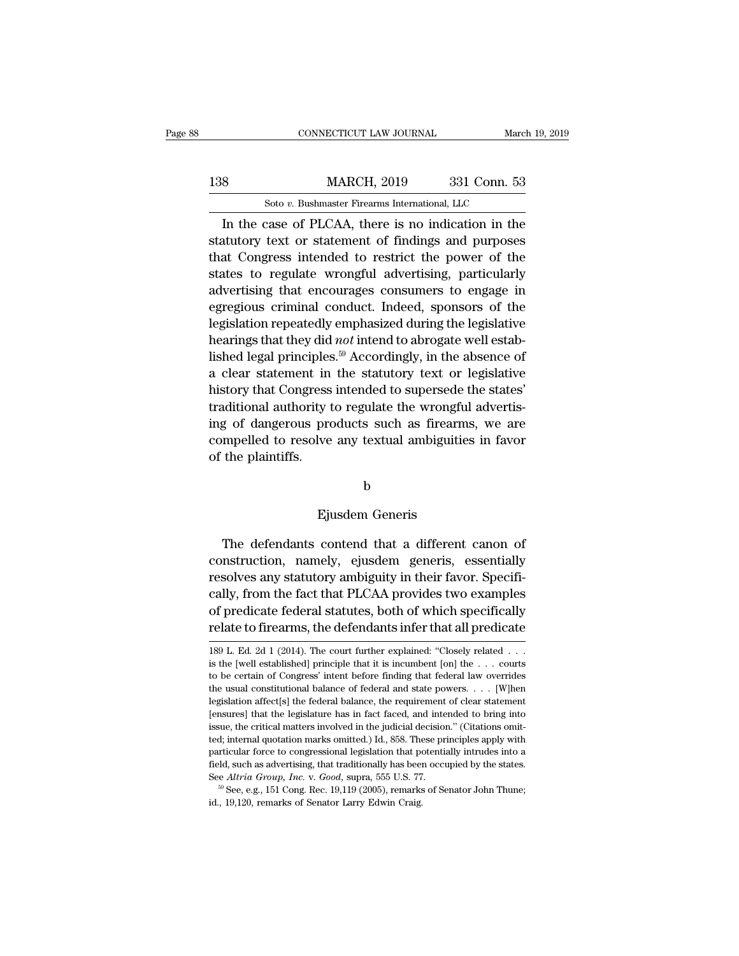# EXERCIT CONNECTICUT LAW JOURNAL March 19, 2019<br>138 MARCH, 2019 331 Conn. 53<br>500 v. Bushmaster Firearms International, LLC CONNECTICUT LAW JOURNAL March March March MARCH, 2019 331 Conn. 53<br>Soto *v.* Bushmaster Firearms International, LLC<br>Case of PLCAA, there is no indication in the

CONNECTICUT LAW JOURNAL March 19, 2019<br>
8 MARCH, 2019 331 Conn. 53<br>
Soto v. Bushmaster Firearms International, LLC<br>
In the case of PLCAA, there is no indication in the<br>
atutory text or statement of findings and purposes MARCH, 2019 331 Conn. 53<br>
Soto v. Bushmaster Firearms International, LLC<br>
In the case of PLCAA, there is no indication in the<br>
statutory text or statement of findings and purposes<br>
that Congress intended to restrict the po 138 MARCH, 2019 331 Conn. 53<br>
Soto v. Bushmaster Firearms International, LLC<br>
In the case of PLCAA, there is no indication in the<br>
statutory text or statement of findings and purposes<br>
that Congress intended to restrict t 138 MARCH, 2019 331 Conn. 53<br>
Soto *v*. Bushmaster Firearms International, LLC<br>
In the case of PLCAA, there is no indication in the<br>
statutory text or statement of findings and purposes<br>
that Congress intended to restrict Soto  $v$ . Bushmaster Firearms International, LLC<br>In the case of PLCAA, there is no indication in the<br>statutory text or statement of findings and purposes<br>that Congress intended to restrict the power of the<br>states to regul In the case of PLCAA, there is no indication in the<br>statutory text or statement of findings and purposes<br>that Congress intended to restrict the power of the<br>states to regulate wrongful advertising, particularly<br>advertising In the case of PLCAA, there is no indication in the<br>statutory text or statement of findings and purposes<br>that Congress intended to restrict the power of the<br>states to regulate wrongful advertising, particularly<br>advertisin statutory text or statement of imdings and purposes<br>that Congress intended to restrict the power of the<br>states to regulate wrongful advertising, particularly<br>advertising that encourages consumers to engage in<br>egregious cri that Congress intended to restrict the power of the<br>states to regulate wrongful advertising, particularly<br>advertising that encourages consumers to engage in<br>egregious criminal conduct. Indeed, sponsors of the<br>legislation states to regulate wronglul advertising, particularly<br>advertising that encourages consumers to engage in<br>egregious criminal conduct. Indeed, sponsors of the<br>legislation repeatedly emphasized during the legislative<br>hearings advertising that encourages consumers to engage in<br>egregious criminal conduct. Indeed, sponsors of the<br>legislation repeatedly emphasized during the legislative<br>hearings that they did *not* intend to abrogate well estab-<br>li egregious criminal conduct. Indeed, sponsors of the<br>legislation repeatedly emphasized during the legislative<br>hearings that they did *not* intend to abrogate well estab-<br>lished legal principles.<sup>59</sup> Accordingly, in the abse regisiation repeatedly emphasized during the legislative<br>hearings that they did *not* intend to abrogate well estab-<br>lished legal principles.<sup>59</sup> Accordingly, in the absence of<br>a clear statement in the statutory text or le nearings that they did *not* intend to abrogate wen established legal principles.<sup>59</sup> Accordingly, in the absence of a clear statement in the statutory text or legislative history that Congress intended to supersede the st nshed legal principles<br>a clear statement in<br>history that Congress<br>traditional authority t<br>ing of dangerous pro<br>compelled to resolve<br>of the plaintiffs. products such as firearms<br>
ive any textual ambiguities<br>
b<br>
Ejusdem Generis<br>
contend that a different

### b

The plaintiffs.<br>
b<br>
Ejusdem Generis<br>
The defendants contend that a different canon of<br>
nstruction, namely, ejusdem generis, essentially<br>
relates are detected to a bifurity in their force Spacific b<br>
Ejusdem Generis<br>
The defendants contend that a different canon of<br>
construction, namely, ejusdem generis, essentially<br>
resolves any statutory ambiguity in their favor. Specifib<br>Ejusdem Generis<br>The defendants contend that a different canon of<br>construction, namely, ejusdem generis, essentially<br>resolves any statutory ambiguity in their favor. Specifi-<br>cally, from the fact that PLCAA provides two e Ejusdem Generis<br>
The defendants contend that a different canon of<br>
construction, namely, ejusdem generis, essentially<br>
resolves any statutory ambiguity in their favor. Specifi-<br>
cally, from the fact that PLCAA provides two Ejusdem Generis<br>The defendants contend that a different canon of<br>construction, namely, ejusdem generis, essentially<br>resolves any statutory ambiguity in their favor. Specifi-<br>cally, from the fact that PLCAA provides two exa The defendants contend that a different canon of construction, namely, ejusdem generis, essentially resolves any statutory ambiguity in their favor. Specifically, from the fact that PLCAA provides two examples of predicate 189 L. Ed. 2d 1 (2014). The court further explained: ''Closely related . . .<br>189 L. Ed. 2d 1 (2014). The court further explained: ''Closely related . . . .<br>189 L. Ed. 2d 1 (2014). The court further explained: ''Closely rel cally, from the fact that PLCAA provides two examples<br>of predicate federal statutes, both of which specifically<br>relate to firearms, the defendants infer that all predicate<br> $\frac{189 \text{ L} \text{ Ed. } 2d \text{ 1 } (2014) \text{. The court further explained: "Closely related} \$ 

of predicate federal statutes, both of which specifically<br>relate to firearms, the defendants infer that all predicate<br> $\frac{189 \text{ L} \text{ Ed. } 2d \text{ 1 (2014).}}{189 \text{ L} \text{ Ed. } 2d \text{ 1 (2014).}}$  The court further explained: "Closely relate to firearms, the defendants infer that all predicate<br>189 L. Ed. 2d 1 (2014). The court further explained: "Closely related . . .<br>is the [well established] principle that it is incumbent [on] the . . . courts<br>to be relate to firearms, the defendants infer that all predicate<br>189 L. Ed. 2d 1 (2014). The court further explained: "Closely related . . .<br>is the [well established] principle that it is incumbent [on] the . . . courts<br>to be 189 L. Ed. 2d 1 (2014). The court further explained: "Closely related . . . .<br>is the [well established] principle that it is incumbent [on] the . . . courts<br>to be certain of Congress' intent before finding that federal la is the [well established] principle that it is incumbent [on] the  $\dots$  courts to be certain of Congress' intent before finding that federal law overrides the usual constitutional balance of federal and state powers.  $\dots$  to be certain of Congress' intent before finding that federal law overrides the usual constitutional balance of federal and state powers.  $\dots$  [W]hen legislation affect[s] the federal balance, the requirement of clear sta the usual constitutional balance of federal and state powers.  $\ldots$  [W]hen legislation affect[s] the federal balance, the requirement of clear statement [ensures] that the legislature has in fact faced, and intended to br degislation affect[s] the federal balance, the requirement of clear statement [ensures] that the legislature has in fact faced, and intended to bring into issue, the critical matters involved in the judicial decision." (C registration directly and the legislature has in fact faced, and intended to bring into issue, the critical matters involved in the judicial decision." (Citations omitted; internal quotation marks omitted.) Id., 858. These ided; internal quotation marks omitted.) Id., 858. The particular force to congressional legislation that positionally has been field, such as advertising, that traditionally has been See Attria Group, Inc. v. Good, supra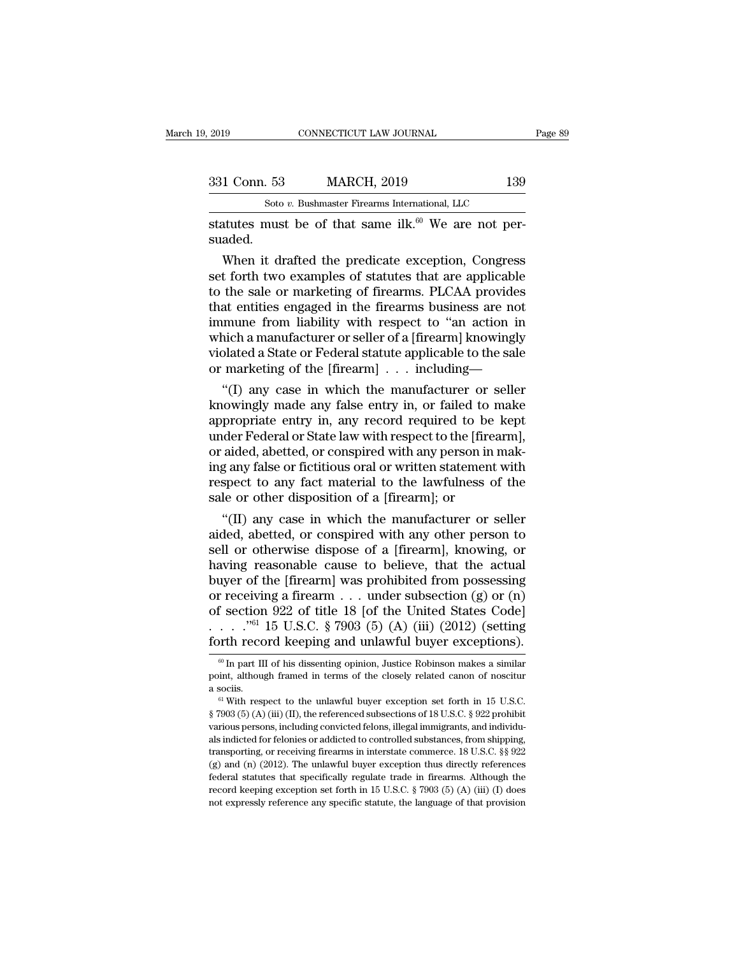| 331 Conn. 53<br><b>MARCH, 2019</b> | 139     |
|------------------------------------|---------|
|                                    |         |
| 2019<br>CONNECTICUT LAW JOURNAL    | Page 89 |

 $\begin{tabular}{l l l l} \multicolumn{1}{l}c{2019} & & & & & & & & & & \\ \hline & & & & & & & & & & 139 \\ \hline 331 & Conn. & 53 & & MARCH, & 2019 & & & 139 \\ \hline & & & & & & & & 139 \\ \hline & & & & & & & & & & 130 \\ \hline & & & & & & & & & & & 120 \\ \end{tabular}$ suaded.

1 Conn. 53 MARCH, 2019 139<br>
Soto v. Bushmaster Firearms International, LLC<br>
atutes must be of that same ilk.<sup>60</sup> We are not per-<br>
aded.<br>
When it drafted the predicate exception, Congress<br>
t forth two examples of statutes t 331 Conn. 53 MARCH, 2019 139<br>
Soto v. Bushmaster Firearms International, LLC<br>
statutes must be of that same ilk.<sup>60</sup> We are not per-<br>
suaded.<br>
When it drafted the predicate exception, Congress<br>
set forth two examples of s Soto v. Bushmaster Firearms International, LLC<br>statutes must be of that same ilk.<sup>60</sup> We are not per-<br>suaded.<br>When it drafted the predicate exception, Congress<br>set forth two examples of statutes that are applicable<br>to the statutes must be of that same ilk.<sup>60</sup> We are not per-<br>suaded.<br>When it drafted the predicate exception, Congress<br>set forth two examples of statutes that are applicable<br>to the sale or marketing of firearms. PLCAA provides<br>t statutes must be of that same lik.<sup>96</sup> We are not per-<br>suaded.<br>When it drafted the predicate exception, Congress<br>set forth two examples of statutes that are applicable<br>to the sale or marketing of firearms. PLCAA provides<br>t suaded.<br>
When it drafted the predicate exception, Congress<br>
set forth two examples of statutes that are applicable<br>
to the sale or marketing of firearms business are not<br>
immune from liability with respect to "an action in When it drafted the predicate exception, Congress<br>set forth two examples of statutes that are applicable<br>to the sale or marketing of firearms. PLCAA provides<br>that entities engaged in the firearms business are not<br>immune f set forth two examples of statutes that are applicable<br>to the sale or marketing of firearms. PLCAA provides<br>that entities engaged in the firearms business are not<br>immune from liability with respect to "an action in<br>which a the sale or marketing of firearms. PLCAA provides<br>at entities engaged in the firearms business are not<br>mune from liability with respect to "an action in<br>ich a manufacturer or seller of a [firearm] knowingly<br>blated a State that entities engaged in the firearms business are not<br>immune from liability with respect to "an action in<br>which a manufacturer or seller of a [firearm] knowingly<br>violated a State or Federal statute applicable to the sale<br>

mmune from hability with respect to "an action in<br>which a manufacturer or seller of a [firearm] knowingly<br>violated a State or Federal statute applicable to the sale<br>or marketing of the [firearm]  $\ldots$  including—<br>"(I) any which a manufacturer or seller of a [firearm] knowingly<br>violated a State or Federal statute applicable to the sale<br>or marketing of the [firearm]  $\ldots$  including—<br>"(I) any case in which the manufacturer or seller<br>knowingly violated a State or Federal statute applicable to the sale<br>or marketing of the [firearm] . . . including—<br>"(I) any case in which the manufacturer or seller<br>knowingly made any false entry in, or failed to make<br>appropriate e or marketing of the [firearm] . . . including—<br>
"(I) any case in which the manufacturer or seller<br>
knowingly made any false entry in, or failed to make<br>
appropriate entry in, any record required to be kept<br>
under Federal o "(I) any case in which the manufacturer or seller<br>knowingly made any false entry in, or failed to make<br>appropriate entry in, any record required to be kept<br>under Federal or State law with respect to the [firearm],<br>or aide knowingly made any false entry in, or failed to m<br>appropriate entry in, any record required to be  $\lfloor$ <br>under Federal or State law with respect to the [firea<br>or aided, abetted, or conspired with any person in r<br>ing any fa propriate entry in, any record required to be kept<br>
der Federal or State law with respect to the [firearm],<br>
aided, abetted, or conspired with any person in mak-<br>
g any false or fictitious oral or written statement with<br>
s under Federal or State law with respect to the [Irrearm],<br>or aided, abetted, or conspired with any person in mak-<br>ing any false or fictitious oral or written statement with<br>respect to any fact material to the lawfulness of

or aided, abetted, or conspired with any person in making any false or fictitious oral or written statement with<br>respect to any fact material to the lawfulness of the<br>sale or other disposition of a [firearm]; or<br>"(II) any ing any false or fictitious oral or written statement with<br>respect to any fact material to the lawfulness of the<br>sale or other disposition of a [firearm]; or<br>"(II) any case in which the manufacturer or seller<br>aided, abett respect to any fact material to the lawfulness of the<br>sale or other disposition of a [firearm]; or<br>"(II) any case in which the manufacturer or seller<br>aided, abetted, or conspired with any other person to<br>sell or otherwise sale or other disposition of a [tirearm]; or<br>
"(II) any case in which the manufacturer or seller<br>
aided, abetted, or conspired with any other person to<br>
sell or otherwise dispose of a [firearm], knowing, or<br>
having reason "(II) any case in which the manufacturer or seller aided, abetted, or conspired with any other person to sell or otherwise dispose of a [firearm], knowing, or having reasonable cause to believe, that the actual buyer of t aided, abetted, or conspired with any other person to<br>sell or otherwise dispose of a [firearm], knowing, or<br>having reasonable cause to believe, that the actual<br>buyer of the [firearm] was prohibited from possessing<br>or rece sell or otherwise dispose of a [firearm], knowing, or having reasonable cause to believe, that the actual buyer of the [firearm] was prohibited from possessing or receiving a firearm . . . under subsection (g) or (n) of s f section 922 of title 18 [of the United States Code]<br>  $\ldots$ ."<sup>61</sup> 15 U.S.C. § 7903 (5) (A) (iii) (2012) (setting<br>
orth record keeping and unlawful buyer exceptions).<br>
<sup>60</sup> In part III of his dissenting opinion, Justice R point, although framed in terms of the closely related canon of noscitur

comparison of the unlawful buyer exceptions).<br>  $\frac{1}{2}$  With record keeping and unlawful buyer exceptions).<br>  $\frac{1}{2}$  With respect to the unlawful buyer exception set forth in 15 U.S.C.<br>  $\frac{1}{2}$  With respect to the un

FOTTH FECOTO KEEPING and unlawful Duyer Exceptions).<br>
<sup>®</sup> In part III of his dissenting opinion, Justice Robinson makes a similar point, although framed in terms of the closely related canon of noscitur a sociis.<br>
<sup>®</sup> Wit <sup>60</sup> In part III of his dissenting opinion, Justice Robinson makes a similar point, although framed in terms of the closely related canon of noscitur a sociis.<br>
<sup>61</sup> With respect to the unlawful buyer exception set forth and through framed in terms of the closely related canon of noscitured a sociis.<br>
<sup>61</sup> With respect to the unlawful buyer exception set forth in 15 U.S.C.<br>
§ 7903 (5) (A) (iii) (II), the referenced subsections of 18 U.S.C. a sociis.<br>
a sociis.<br>
<sup>61</sup> With respect to the unlawful buyer exception set forth in 15 U.S.C. §<br>
§ 7903 (5) (A) (iii) (II), the referenced subsections of 18 U.S.C. § 922 prohibit<br>
various persons, including convicted fel <sup>61</sup> With respect to the unlawful buyer exception set forth in 15 U.S.C.  $\frac{8}{922}$  7903 (5) (A) (iii) (II), the referenced subsections of 18 U.S.C.  $\frac{8}{922}$  prohibit various persons, including convicted felons, illeg § 7903 (5) (A) (iii) (II), the referenced subsections of 18 U.S.C. § 922 prohibit various persons, including convicted felons, illegal immigrants, and individuals indicted for felonies or addicted to controlled substances record keeping exception set forth in 15 U.S.C. § 7903 (5) (A) (iii) (I) does not expressly reference any specifically regulate trade in firearms. Although the record keeping exception set forth in 15 U.S.C. § 7903 (6) (A) als indicted for felonies or addicted to controlled substances, from shipping, transporting, or receiving firearms in interstate commerce. 18 U.S.C. §§ 922 (g) and (n) (2012). The unlawful buyer exception thus directly re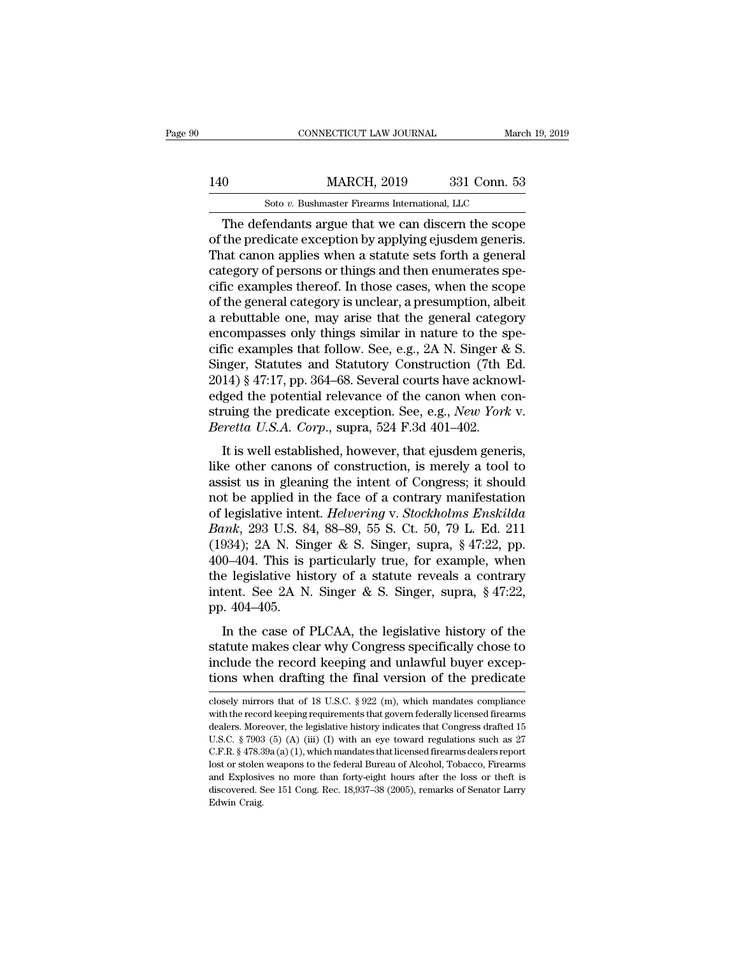# EXECUTE CONNECTICUT LAW JOURNAL March 19, 2019<br>140 MARCH, 2019 331 Conn. 53<br>500 v. Bushmaster Firearms International, LLC CONNECTICUT LAW JOURNAL March March March MARCH, 2019 331 Conn. 53<br>Soto *v.* Bushmaster Firearms International, LLC<br>Fendants argue that we can discern the scope

CONNECTICUT LAW JOURNAL March 19, 2019<br>
0 MARCH, 2019 331 Conn. 53<br>
Soto v. Bushmaster Firearms International, LLC<br>
The defendants argue that we can discern the scope<br>
the predicate exception by applying ejusdem generis.<br> MARCH, 2019 331 Conn. 53<br>
Soto v. Bushmaster Firearms International, LLC<br>
The defendants argue that we can discern the scope<br>
of the predicate exception by applying ejusdem generis.<br>
That canon applies when a statute sets  $\frac{\text{MARCH, 2019}}{\text{Soto } v. \text{ Bushmaster Firearms International, LLC}}$ <br>The defendants argue that we can discern the scope of the predicate exception by applying ejusdem generis.<br>That canon applies when a statute sets forth a general category of persons or MARCH, 2019 331 Conn. 53<br>
Soto v. Bushmaster Firearms International, LLC<br>
The defendants argue that we can discern the scope<br>
of the predicate exception by applying ejusdem generis.<br>
That canon applies when a statute sets Soto v. Bushmaster Firearms International, LLC<br>
The defendants argue that we can discern the scope<br>
of the predicate exception by applying ejusdem generis.<br>
That canon applies when a statute sets forth a general<br>
category soto v. Bushmaster Firearms International, LLC<br>
The defendants argue that we can discern the scope<br>
of the predicate exception by applying ejusdem generis.<br>
That canon applies when a statute sets forth a general<br>
category The defendants argue that we can discern the scope<br>of the predicate exception by applying ejusdem generis.<br>That canon applies when a statute sets forth a general<br>category of persons or things and then enumerates spe-<br>cifi of the predicate exception by applying ejusdem generis.<br>That canon applies when a statute sets forth a general<br>category of persons or things and then enumerates spe-<br>cific examples thereof. In those cases, when the scope<br>o That canon applies when a statute sets forth a general category of persons or things and then enumerates specific examples thereof. In those cases, when the scope of the general category is unclear, a presumption, albeit a category of persons or things and then enumerates specific examples thereof. In those cases, when the scope of the general category is unclear, a presumption, albeit a rebuttable one, may arise that the general category en cific examples thereof. In those cases, when the scope<br>of the general category is unclear, a presumption, albeit<br>a rebuttable one, may arise that the general category<br>encompasses only things similar in nature to the spe-<br> of the general category is unclear, a presumption, albeit<br>a rebuttable one, may arise that the general category<br>encompasses only things similar in nature to the spe-<br>cific examples that follow. See, e.g., 2A N. Singer & S a rebuttable one, may arise that the general category<br>encompasses only things similar in nature to the spe-<br>cific examples that follow. See, e.g., 2A N. Singer & S.<br>Singer, Statutes and Statutory Construction (7th Ed.<br>2014 encompasses only things similar in nature to the specific examples that follow. See, e.g., 2A N. Singer & Singer, Statutes and Statutory Construction (7th I 2014) § 47:17, pp. 364–68. Several courts have acknowedged the po It is well established, however, that ejusdem generis,<br>in the potential relevance of the canon when con-<br>uing the potential relevance of the canon when con-<br>ving the predicate exception. See, e.g., *New York v.*<br>*retta U.* 2014) § 47:17, pp. 364–68. Several courts have acknowledged the potential relevance of the canon when construing the predicate exception. See, e.g., *New York v.* Beretta U.S.A. Corp., supra, 524 F.3d 401–402.<br>It is well

2014)  $\S$  41.17, pp. 304–06. Several counts have acknowledged the potential relevance of the canon when construing the predicate exception. See, e.g., *New York v.* Beretta U.S.A. Corp., supra, 524 F.3d 401–402.<br>It is wel struing the predicate exception. See, e.g., *New York v.*<br>Beretta U.S.A. Corp., supra, 524 F.3d 401–402.<br>It is well established, however, that ejusdem generis,<br>like other canons of construction, is merely a tool to<br>assist *Beretta U.S.A. Corp.*, supra, 524 F.3d 401–402.<br>
It is well established, however, that ejusdem generis,<br>
like other canons of construction, is merely a tool to<br>
assist us in gleaning the intent of Congress; it should<br>
not *Beretta C.B.A.* Corp., supra, 524 P.50 401–402.<br>
It is well established, however, that ejusdem generis,<br>
like other canons of construction, is merely a tool to<br>
assist us in gleaning the intent of Congress; it should<br>
not It is well established, however, that ejusdem generis,<br>like other canons of construction, is merely a tool to<br>assist us in gleaning the intent of Congress; it should<br>not be applied in the face of a contrary manifestation<br>o like other canons of construction, is merely a tool to<br>assist us in gleaning the intent of Congress; it should<br>not be applied in the face of a contrary manifestation<br>of legislative intent. *Helvering* v. *Stockholms Enski* assist us in gleaning the intent of Congress; it should<br>not be applied in the face of a contrary manifestation<br>of legislative intent. *Helvering* v. *Stockholms Enskilda*<br>Bank, 293 U.S. 84, 88–89, 55 S. Ct. 50, 79 L. Ed. not be applied in the face of a contrary manifestation<br>of legislative intent. *Helvering* v. *Stockholms Enskilda*<br>Bank, 293 U.S. 84, 88–89, 55 S. Ct. 50, 79 L. Ed. 211<br>(1934); 2A N. Singer & S. Singer, supra, § 47:22, pp % of legislative inter<br> *Bank*, 293 U.S. 8<br>  $(1934)$ ; 2A N. Sir<br>  $400-404$ . This is j<br>
the legislative his<br>
intent. See 2A N<br>
pp.  $404-405$ .<br>
In the case of  $H_n$ , 255 0.5. 64, 66–65, 55 5. 01. 56, 75 L. Ed. 211<br>934); 2A N. Singer & S. Singer, supra, § 47:22, pp.<br>0–404. This is particularly true, for example, when<br>e legislative history of a statute reveals a contrary<br>tent. See (1554), 2A N. Singer & S. Singer, sapra,  $\frac{1}{2}$  T.22, pp.<br>400–404. This is particularly true, for example, when<br>the legislative history of a statute reveals a contrary<br>intent. See 2A N. Singer & S. Singer, supra,  $\frac{1$ 

Foo-Fo4. This is particularly the, for example, when<br>the legislative history of a statute reveals a contrary<br>intent. See 2A N. Singer & S. Singer, supra, § 47:22,<br>pp. 404–405.<br>In the case of PLCAA, the legislative history intent. See 2A N. Singer & S. Singer, supra, § 47:22, pp. 404–405.<br>In the case of PLCAA, the legislative history of the statute makes clear why Congress specifically chose to include the record keeping and unlawful buyer In the case of PLCAA, the legislative history of the<br>statute makes clear why Congress specifically chose to<br>include the record keeping and unlawful buyer excep-<br>tions when drafting the final version of the predicate<br>close statute makes clear why Congress specifically chose to<br>include the record keeping and unlawful buyer excep-<br>tions when drafting the final version of the predicate<br>closely mirrors that of 18 U.S.C. § 922 (m), which mandates

include the record keeping and unlawful buyer exceptions when drafting the final version of the predicate<br>closely mirrors that of 18 U.S.C.  $\S 922$  (m), which mandates compliance<br>with the record keeping requirements that The sum of the predicate<br>
U.S.C. steps and an extreme of the predicate<br>
closely mirrors that of 18 U.S.C. § 922 (m), which mandates compliance<br>
with the record keeping requirements that govern federally licensed firearms<br> C.F.R. § 478.39a (a) (1), which mandates that licensed firearms dealers. Moreover, the legislative history indicates that Congress drafted 15 U.S.C. § 7903 (5) (A) (iii) (I) with an eye toward regulations such as 27 C.F.R closely mirrors that of 18 U.S.C.  $\S$  922 (m), which mandates compliance with the record keeping requirements that govern federally licensed firearms dealers. Moreover, the legislative history indicates that Congress draf with the record keeping requirements that govern federally licensed firearms<br>dealers. Moreover, the legislative history indicates that Congress drafted 15<br>U.S.C. § 7903 (5) (A) (iii) (I) with an eye toward regulations such dealers. Moreover, the legislative history indicates that Congress drafted 15<br>U.S.C. § 7903 (5) (A) (iii) (I) with an eye toward regulations such as 27<br>C.F.R. § 478.39a(a) (1), which mandates that licensed firearms dealers U.S.C. § 7903<br>C.F.R. § 478.3<br>lost or stolen<br>and Explosiv<br>discovered. S<br>Edwin Craig.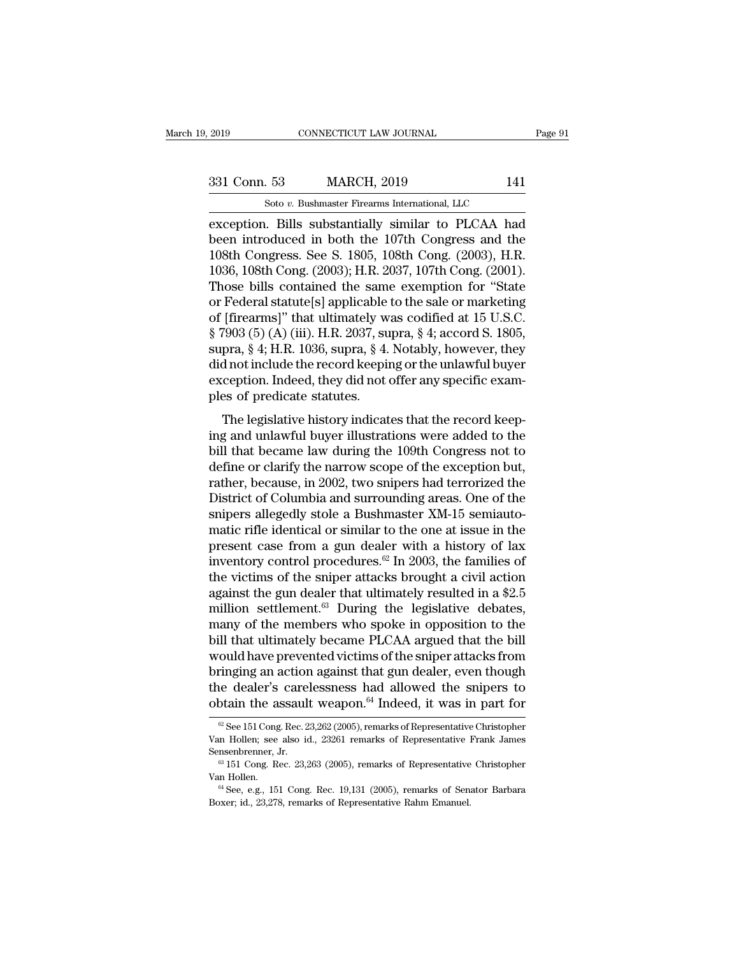2019 CONNECTICUT LAW JOURNAL Page 91<br>331 Conn. 53 MARCH, 2019 141<br>500 v. Bushmaster Firearms International, LLC

CONNECTICUT LAW JOURNAL<br>
Soto *v.* Bushmaster Firearms International, LLC<br>
Bills substantially similar to PLCAA had exception. Bills substantially similar to PLCAA had<br>been introduced in both the 107th Congress and the<br>108th Congress Soo S, 1805, 108th Congress and the<br>108th Congress Soo S, 1805, 108th Cong. (2003), H R 331 Conn. 53 MARCH, 2019 141<br>
Soto v. Bushmaster Firearms International, LLC<br>
exception. Bills substantially similar to PLCAA had<br>
been introduced in both the 107th Congress and the<br>
108th Congress. See S. 1805, 108th Cong 331 Conn. 53 MARCH, 2019 141<br>
Soto v. Bushmaster Firearms International, LLC<br>
exception. Bills substantially similar to PLCAA had<br>
been introduced in both the 107th Congress and the<br>
108th Congress. See S. 1805, 108th Cong 331 Conn. 53 MARCH, 2019 141<br>
Soto v. Bushmaster Firearms International, LLC<br>
exception. Bills substantially similar to PLCAA had<br>
been introduced in both the 107th Congress and the<br>
108th Congress. See S. 1805, 108th Cong Soto v. Bushmaster Firearms International, LLC<br>exception. Bills substantially similar to PLCAA had<br>been introduced in both the 107th Congress and the<br>108th Congress. See S. 1805, 108th Cong. (2003), H.R.<br>1036, 108th Cong. soto *v*. Bushmaster Firearms international, LLC<br>exception. Bills substantially similar to PLCAA had<br>been introduced in both the 107th Congress and the<br>108th Congress. See S. 1805, 108th Cong. (2003), H.R.<br>1036, 108th Con exception. Bills substantially similar to PLCAA had<br>been introduced in both the 107th Congress and the<br>108th Congress. See S. 1805, 108th Cong. (2003), H.R.<br>1036, 108th Cong. (2003); H.R. 2037, 107th Cong. (2001).<br>Those b been introduced in both the 107th Congress and the 108th Congress. See S. 1805, 108th Cong. (2003), H.R. 1036, 108th Cong. (2003); H.R. 2037, 107th Cong. (2001). Those bills contained the same exemption for "State or Feder 108th Congress. See S. 1805, 108th Cong. (2003), H.R.<br>1036, 108th Cong. (2003); H.R. 2037, 107th Cong. (2001).<br>Those bills contained the same exemption for "State<br>or Federal statute[s] applicable to the sale or marketing<br>o 1036, 108th Cong. (2003); H.R. 2037, 107th Cong. (2001).<br>Those bills contained the same exemption for "State<br>or Federal statute[s] applicable to the sale or marketing<br>of [firearms]" that ultimately was codified at 15 U.S.C Those bills contained the same exemption for "State<br>or Federal statute[s] applicable to the sale or marketing<br>of [firearms]" that ultimately was codified at 15 U.S.C.<br>§ 7903 (5) (A) (iii). H.R. 2037, supra, § 4; accord S. or Federal statute[s] applicable<br>of [firearms]" that ultimately w<br>§ 7903 (5) (A) (iii). H.R. 2037, su<br>supra, § 4; H.R. 1036, supra, § 4.<br>did not include the record keepin<br>exception. Indeed, they did not<br>ples of predicate s Finding That diamately was counted at 19 0.5.0.<br>7903 (5) (A) (iii). H.R. 2037, supra, § 4; accord S. 1805,<br>pra, § 4; H.R. 1036, supra, § 4. Notably, however, they<br>dnot include the record keeping or the unlawful buyer<br>cept s  $1500$  ( $5$ ) ( $K$ ) ( $m$ ). 1.1.t. 2007, supra,  $\S$  4, accord 5. 1000, supra,  $\S$  4; H.R. 1036, supra,  $\S$  4. Notably, however, they did not include the record keeping or the unlawful buyer exception. Indeed, they did not

supra,  $\S$  4, 11.1. 1090, supra,  $\S$  4. 100dby, nowever, they<br>did not include the record keeping or the unlawful buyer<br>exception. Indeed, they did not offer any specific exam-<br>ples of predicate statutes.<br>The legislative h durior include the record Keeping or the dilawiral buyer<br>exception. Indeed, they did not offer any specific exam-<br>ples of predicate statutes.<br>The legislative history indicates that the record keep-<br>ing and unlawful buyer i rate published, they are not oner any specific examples of predicate statutes.<br>The legislative history indicates that the record keeping and unlawful buyer illustrations were added to the<br>bill that became law during the 10 The legislative history indicates that the record keep-<br>ing and unlawful buyer illustrations were added to the<br>bill that became law during the 109th Congress not to<br>define or clarify the narrow scope of the exception but,<br> The legislative history indicates that the record keep-<br>ing and unlawful buyer illustrations were added to the<br>bill that became law during the 109th Congress not to<br>define or clarify the narrow scope of the exception but,<br> ing and unlawful buyer illustrations were added to the<br>bill that became law during the 109th Congress not to<br>define or clarify the narrow scope of the exception but,<br>rather, because, in 2002, two snipers had terrorized th bill that became law during the 109th Congress not to<br>define or clarify the narrow scope of the exception but,<br>rather, because, in 2002, two snipers had terrorized the<br>District of Columbia and surrounding areas. One of the define or clarify the narrow scope of the exception but,<br>rather, because, in 2002, two snipers had terrorized the<br>District of Columbia and surrounding areas. One of the<br>snipers allegedly stole a Bushmaster XM-15 semiautorather, because, in 2002, two snipers had terrorized the District of Columbia and surrounding areas. One of the snipers allegedly stole a Bushmaster XM-15 semiautomatic rifle identical or similar to the one at issue in th District of Columbia and surrounding areas. One of the<br>snipers allegedly stole a Bushmaster XM-15 semiauto-<br>matic rifle identical or similar to the one at issue in the<br>present case from a gun dealer with a history of lax<br> snipers allegedly stole a Bushmaster XM-15 semiauto-<br>matic rifle identical or similar to the one at issue in the<br>present case from a gun dealer with a history of lax<br>inventory control procedures.<sup>62</sup> In 2003, the families matic rifle identical or similar to the one at issue in the<br>present case from a gun dealer with a history of lax<br>inventory control procedures.<sup>62</sup> In 2003, the families of<br>the victims of the sniper attacks brought a civil present case from a gun dealer with a history of lax<br>inventory control procedures.<sup>62</sup> In 2003, the families of<br>the victims of the sniper attacks brought a civil action<br>against the gun dealer that ultimately resulted in a inventory control procedures.<sup>62</sup> In 2003, the families of<br>the victims of the sniper attacks brought a civil action<br>against the gun dealer that ultimately resulted in a \$2.5<br>million settlement.<sup>63</sup> During the legislative the victims of the sniper attacks brought a civil action<br>against the gun dealer that ultimately resulted in a \$2.5<br>million settlement.<sup>63</sup> During the legislative debates,<br>many of the members who spoke in opposition to the against the gun dealer that ultimately resulted in a \$2.5<br>million settlement.<sup>63</sup> During the legislative debates,<br>many of the members who spoke in opposition to the<br>bill that ultimately became PLCAA argued that the bill<br>w million settlement.<sup>63</sup> During the legislative debates,<br>many of the members who spoke in opposition to the<br>bill that ultimately became PLCAA argued that the bill<br>would have prevented victims of the sniper attacks from<br>bri 62 ould have prevented victims of the sniper attacks from ringing an action against that gun dealer, even though the dealer's carelessness had allowed the snipers to btain the assault weapon.<sup>64</sup> Indeed, it was in part fo bringing an action against that gun dealer, even though<br>the dealer's carelessness had allowed the snipers to<br>obtain the assault weapon.<sup>64</sup> Indeed, it was in part for<br> $\infty$  See 151 Cong. Rec. 23,262 (2005), remarks of Rep

the dealer's carelessness had allowed the snipers to<br>obtain the assault weapon.<sup>64</sup> Indeed, it was in part for<br> $\frac{\infty}{2}$ See 151 Cong. Rec. 23,262 (2005), remarks of Representative Christopher<br>Van Hollen, see also id., 23 WE ALT LIFE ASSAULT WEAPOLE. THREEL, IT WAS IT PATT TOT<br>
<sup>E</sup> See 151 Cong. Rec. 23,262 (2005), remarks of Representative Christopher<br>
Van Hollen; see also id., 23261 remarks of Representative Frank James<br>
Sensenbrenner, J <sup>22</sup> See 151 Cong. Rec. 23,262 (2005), remarks of Representative Christopher Van Hollen; see also id., 23261 remarks of Representative Frank James Sensenbrenner, Jr.<br><sup>33</sup> 151 Cong. Rec. 23,263 (2005), remarks of Represent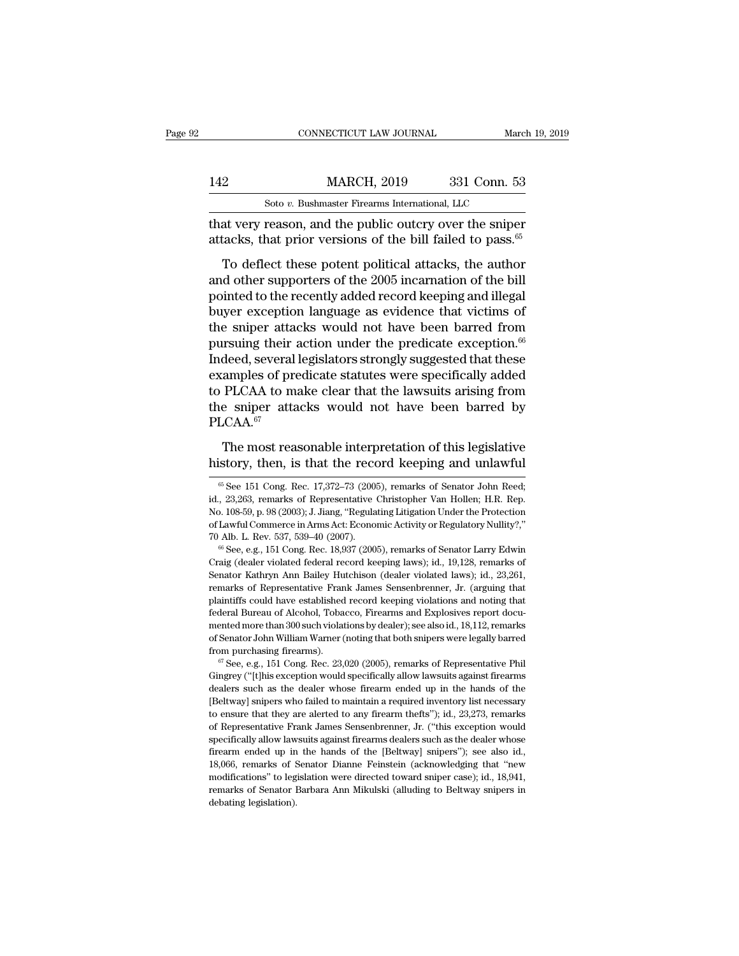|     | CONNECTICUT LAW JOURNAL                                                                                                           | March 19, 2019 |
|-----|-----------------------------------------------------------------------------------------------------------------------------------|----------------|
|     |                                                                                                                                   |                |
| 142 | <b>MARCH, 2019</b>                                                                                                                | 331 Conn. 53   |
|     | Soto v. Bushmaster Firearms International, LLC                                                                                    |                |
|     | that very reason, and the public outcry over the sniper<br>attacks, that prior versions of the bill failed to pass. <sup>65</sup> |                |
|     | To deflect these potent political attacks, the author                                                                             |                |

MARCH,  $2019$  331 Conn. 53<br>
soto *v*. Bushmaster Firearms International, LLC<br>
at very reason, and the public outcry over the sniper<br>
tacks, that prior versions of the bill failed to pass.<sup>65</sup><br>
To deflect these potent poli MARCH, 2019 331 Conn. 53<br>
soto v. Bushmaster Firearms International, LLC<br>
that very reason, and the public outcry over the sniper<br>
attacks, that prior versions of the bill failed to pass.<sup>65</sup><br>
To deflect these potent poli Soto  $v$ . Bushmaster Firearms International, LLC<br>that very reason, and the public outcry over the sniper<br>attacks, that prior versions of the bill failed to pass.<sup>65</sup><br>To deflect these potent political attacks, the author<br>a that very reason, and the public outcry over the sniper<br>attacks, that prior versions of the bill failed to pass.<sup>65</sup><br>To deflect these potent political attacks, the author<br>and other supporters of the 2005 incarnation of th attacks, that prior versions of the bill failed to pass.<sup>65</sup><br>To deflect these potent political attacks, the author<br>and other supporters of the 2005 incarnation of the bill<br>pointed to the recently added record keeping and To deflect these potent political attacks, the author<br>and other supporters of the 2005 incarnation of the bill<br>pointed to the recently added record keeping and illegal<br>buyer exception language as evidence that victims of<br> To deflect these potent political attacks, the author<br>and other supporters of the 2005 incarnation of the bill<br>pointed to the recently added record keeping and illegal<br>buyer exception language as evidence that victims of<br> and other supporters of the 2005 incarnation of the bill<br>pointed to the recently added record keeping and illegal<br>buyer exception language as evidence that victims of<br>the sniper attacks would not have been barred from<br>purs pointed to the recently added record keeping and illegal<br>buyer exception language as evidence that victims of<br>the sniper attacks would not have been barred from<br>pursuing their action under the predicate exception.<sup>66</sup><br>Inde buyer exception language as evidence that victims of<br>the sniper attacks would not have been barred from<br>pursuing their action under the predicate exception.<sup>66</sup><br>Indeed, several legislators strongly suggested that these<br>ex PLCAA.<sup>67</sup>  $\alpha$  absolved, several legislators strongly suggested that these amples of predicate statutes were specifically added PLCAA to make clear that the lawsuits arising from e sniper attacks would not have been barred by  $\alpha$ C examples of predicate statutes were specifically added<br>to PLCAA to make clear that the lawsuits arising from<br>the sniper attacks would not have been barred by<br>PLCAA.<sup>67</sup><br>The most reasonable interpretation of this legislati

Senator Kathryn Ann Bailey Hutchison (dealer violated laws); id., 23,261, remarks of Representative Prank Act: Economic Activity or Regulatory Nullity?,"<br>To Alb. L. Rev. 537, 539–40 (2007).<br>
<sup>66</sup> See, e.g., 151 Cong. Rec. remarks of Representative Frank James Sensenbrenner, Jr. (arguing that plantiffs could have established record keeping laws); id., 19,128, remarks of Senator Kathryn Ann Bailey Hutchison (dealer violated laws); id., 23,261 70 Alb. L. Rev. 537, 539–40 (2007).<br>
<sup>66</sup> See, e.g., 151 Cong. Rec. 18,937 (2005), remarks of Senator Larry Edwin Craig (dealer violated federal record keeping laws); id., 19,128, remarks of Senator Kathryn Ann Bailey Hut <sup>ee 6</sup> See, e.g., 151 Cong. Rec. 18,937 (2005), remarks of Senator Larry Edwin Craig (dealer violated federal record keeping laws); id., 19,128, remarks of Senator Kathryn Ann Bailey Hutchison (dealer violated laws); id., Craig (dealer violated federal record keeping laws); id., 19,128, remarks of Senator Kathryn Ann Bailey Hutchison (dealer violated laws); id., 23,261, remarks of Representative Frank James Sensenbrenner, Jr. (arguing that Senator Kathryn Ann Bailey Hutchison (dealer violated laws); id., 23,261,<br>Senator Kathryn Ann Bailey Hutchison (dealer violated laws); id., 23,261,<br>remarks of Representative Frank James Sensenbrenner, Jr. (arguing that<br>pla From purchasing firearms). From purchasing firearms ( $\frac{1}{2}$  and  $\frac{1}{2}$  and  $\frac{1}{2}$  plaintiffs could have established record keeping violations and noting that federal Bureau of Alcohol, Tobacco, Firearms and Explo federal Bureau of Alcohol, Tobacco, Firearms and Explosives report documented more than 300 such violations by dealer); see also id., 18,112, remarks of Senator John William Warner (noting that both snipers were legally b

mented more than 300 such violations by dealer); see also id., 18,112, remarks of Senator John William Warner (noting that both snipers were legally barred from purchasing firearms).<br>  $\sqrt[n]{\text{See}}$ , e.g., 151 Cong. Rec. 23 of Senator John William Warner (noting that both snipers were legally barred<br>from purchasing firearms).<br> $\sqrt{67}$  See, e.g., 151 Cong. Rec. 23,020 (2005), remarks of Representative Phil<br>Gingrey ("[t]his exception would spe from purchasing firearms).<br>  $\sigma$  See, e.g., 151 Cong. Rec. 23,020 (2005), remarks of Representative Phil<br>
Gingrey ("[t]his exception would specifically allow lawsuits against firearms<br>
dealers such as the dealer whose fir For Fig. e.g., 151 Cong. Rec. 23,020 (2005), remarks of Representative Phil Gingrey ("[t]his exception would specifically allow lawsuits against firearms dealers such as the dealer whose firearm ended up in the hands of t Gingrey ("[t]his exception would specifically allow lawsuits against firearms dealers such as the dealer whose firearm ended up in the hands of the [Beltway] snipers who failed to maintain a required inventory list necessa engers' coln as the dealer whose firearm ended up in the hands of the [Beltway] snipers who failed to maintain a required inventory list necessary to ensure that they are alerted to any firearm thefts"); id., 23,273, remar Telectival in the same of the maintain and the method of the senator of Beltway] snipers who failed to maintain a required inventory list necessary to ensure that they are alerted to any firearm thefts"); id., 23,273, rema modifications'' to ensure that they are alerted to any firearm thefts"); id., 23,273, remarks of Representative Frank James Sensenbrenner, Jr. ("this exception would specifically allow lawsuits against firearms dealers suc of Representative Frank James Sensenbrenner, Jr. ("this exception would specifically allow lawsuits against firearms dealers such as the dealer whose firearm ended up in the hands of the [Beltway] snipers"); see also id., specifically allow law<br>firearm ended up in<br>18,066, remarks of S<br>nodifications" to leg<br>remarks of Senator I<br>debating legislation).

LCAA.<sup>67</sup><br>The most reasonable interpretation of this legislative<br>istory, then, is that the record keeping and unlawful<br><sup>65</sup> See 151 Cong. Rec. 17,372–73 (2005), remarks of Senator John Reed;<br>, 23,263, remarks of Represent The most reasonable interpretation of this legislative<br>history, then, is that the record keeping and unlawful<br><sup>65</sup> See 151 Cong. Rec. 17,372–73 (2005), remarks of Senator John Reed;<br>id., 23,263, remarks of Representative C The most reasonable interpretation of this legislative<br>history, then, is that the record keeping and unlawful<br> $\frac{65}{100}$ <br> $\frac{65}{100}$ <br> $\frac{1}{100}$ <br> $\frac{1}{100}$ <br>Regulation Under Van Hollen; H.R. Rep.<br>No. 108-59, p. 98 (200 **history, then, is that the record keeping and unlawful**<br>
<sup>66</sup> See 151 Cong. Rec. 17,372–73 (2005), remarks of Senator John Reed;<br>
id., 23,263, remarks of Representative Christopher Van Hollen; H.R. Rep.<br>
No. 108-59, p. 98 115001y, titent, is that the Fecord Keeping and dinawidi<br>
<sup>65</sup> See 151 Cong. Rec. 17,372–73 (2005), remarks of Senator John Reed;<br>
id., 23,263, remarks of Representative Christopher Van Hollen; H.R. Rep.<br>
No. 108-59, p. 98 <sup>66</sup> See 151 Cong. Rec. 17,372–73 (2005), remarks of Senator John Reed; id., 23,263, remarks of Representative Christopher Van Hollen; H.R. Rep. No. 108-59, p. 98 (2003); J. Jiang, "Regulating Litigation Under the Protect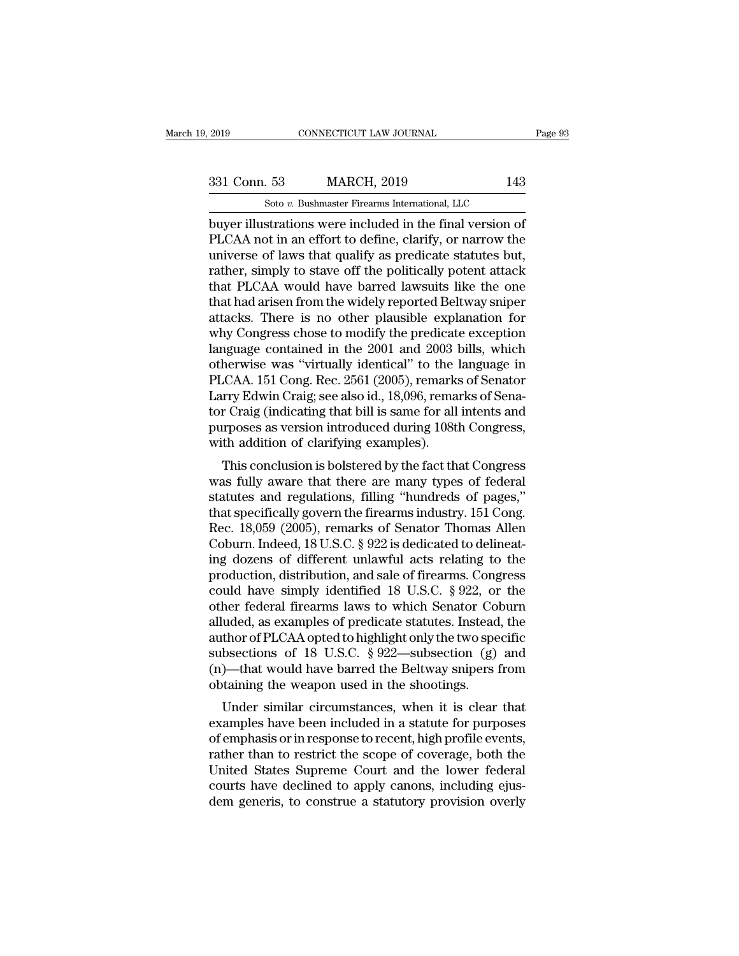2019 CONNECTICUT LAW JOURNAL Page 93<br>331 Conn. 53 MARCH, 2019 143<br>500 v. Bushmaster Firearms International, LLC

CONNECTICUT LAW JOURNAL<br>
Soto *v.* Bushmaster Firearms International, LLC<br>
Soto *v.* Bushmaster Firearms International, LLC<br>
strations were included in the final version of buyer illustrations were included in the final version of<br>
puyer illustrations were included in the final version of<br>
puyer illustrations were included in the final version of<br>
pLCAA not in an effort to define, clarify, or 331 Conn. 53 MARCH, 2019 143<br>
Soto v. Bushmaster Firearms International, LLC<br>
buyer illustrations were included in the final version of<br>
PLCAA not in an effort to define, clarify, or narrow the<br>
universe of laws that quali 331 Conn. 53 MARCH, 2019 143<br>
Soto v. Bushmaster Firearms International, LLC<br>
buyer illustrations were included in the final version of<br>
PLCAA not in an effort to define, clarify, or narrow the<br>
universe of laws that qual 331 Conn. 53 MARCH, 2019 143<br>
soto v. Bushmaster Firearms International, LLC<br>
buyer illustrations were included in the final version of<br>
PLCAA not in an effort to define, clarify, or narrow the<br>
universe of laws that qual Soto v. Bushmaster Firearms International, LLC<br>buyer illustrations were included in the final version of<br>PLCAA not in an effort to define, clarify, or narrow the<br>universe of laws that qualify as predicate statutes but,<br>rat soto *v*. Bushmaster Freams International, LLC<br>buyer illustrations were included in the final version of<br>PLCAA not in an effort to define, clarify, or narrow the<br>universe of laws that qualify as predicate statutes but,<br>rat buyer illustrations were included in the final version of<br>PLCAA not in an effort to define, clarify, or narrow the<br>universe of laws that qualify as predicate statutes but,<br>rather, simply to stave off the politically potent PLCAA not in an effort to define, clarify, or narrow the<br>universe of laws that qualify as predicate statutes but,<br>rather, simply to stave off the politically potent attack<br>that PLCAA would have barred lawsuits like the one universe of laws that qualify as predicate statutes but,<br>rather, simply to stave off the politically potent attack<br>that PLCAA would have barred lawsuits like the one<br>that had arisen from the widely reported Beltway sniper<br> rather, simply to stave off the politically potent attack<br>that PLCAA would have barred lawsuits like the one<br>that had arisen from the widely reported Beltway sniper<br>attacks. There is no other plausible explanation for<br>why that PLCAA would have barred lawsuits like the one<br>that had arisen from the widely reported Beltway sniper<br>attacks. There is no other plausible explanation for<br>why Congress chose to modify the predicate exception<br>language that had arisen from the widely reported Beltway sniper<br>attacks. There is no other plausible explanation for<br>why Congress chose to modify the predicate exception<br>language contained in the 2001 and 2003 bills, which<br>otherwi attacks. There is no other plausible explanation for<br>why Congress chose to modify the predicate exception<br>language contained in the 2001 and 2003 bills, which<br>otherwise was "virtually identical" to the language in<br>PLCAA. 1 why Congress chose to modify the predicate exception<br>language contained in the 2001 and 2003 bills, which<br>otherwise was "virtually identical" to the language in<br>PLCAA. 151 Cong. Rec. 2561 (2005), remarks of Senator<br>Larry E language contained in the 2001 and 2003 l<br>otherwise was "virtually identical" to the l<br>PLCAA. 151 Cong. Rec. 2561 (2005), remarks<br>Larry Edwin Craig; see also id., 18,096, rema<br>tor Craig (indicating that bill is same for al The Wise was Virtually identical to the fallguage in<br>CAA. 151 Cong. Rec. 2561 (2005), remarks of Senator<br>rry Edwin Craig; see also id., 18,096, remarks of Sena-<br>r Craig (indicating that bill is same for all intents and<br>rrp FLCAA. T51 Cong. Rec. 2501 (2005), rentarks of Senator<br>Larry Edwin Craig; see also id., 18,096, remarks of Senator<br>Craig (indicating that bill is same for all intents and<br>purposes as version introduced during 108th Congres

Larry Edwin Craig, see also id., 16,090, rentarks of Senator Craig (indicating that bill is same for all intents and purposes as version introduced during 108th Congress, with addition of clarifying examples).<br>This conclus tor Craig (indicating that ohr is same for an intents and<br>purposes as version introduced during 108th Congress,<br>with addition of clarifying examples).<br>This conclusion is bolstered by the fact that Congress<br>was fully aware purposes as version introduced during room Congress,<br>with addition of clarifying examples).<br>This conclusion is bolstered by the fact that Congress<br>was fully aware that there are many types of federal<br>statutes and regulatio with addition of clarifying examples).<br>This conclusion is bolstered by the fact that Congress<br>was fully aware that there are many types of federal<br>statutes and regulations, filling "hundreds of pages,"<br>that specifically go This conclusion is bolstered by the fact that Congress<br>was fully aware that there are many types of federal<br>statutes and regulations, filling "hundreds of pages,"<br>that specifically govern the firearms industry. 151 Cong.<br> was fully aware that there are many types of federal<br>statutes and regulations, filling "hundreds of pages,"<br>that specifically govern the firearms industry. 151 Cong.<br>Rec. 18,059 (2005), remarks of Senator Thomas Allen<br>Cobu statutes and regulations, filling "hundreds of pages,"<br>that specifically govern the firearms industry. 151 Cong.<br>Rec. 18,059 (2005), remarks of Senator Thomas Allen<br>Coburn. Indeed, 18 U.S.C. § 922 is dedicated to delineatthat specifically govern the firearms industry. 151 Cong.<br>Rec. 18,059 (2005), remarks of Senator Thomas Allen<br>Coburn. Indeed, 18 U.S.C. § 922 is dedicated to delineat-<br>ing dozens of different unlawful acts relating to the<br> Rec. 18,059 (2005), remarks of Senator Thomas Allen<br>Coburn. Indeed, 18 U.S.C. § 922 is dedicated to delineat-<br>ing dozens of different unlawful acts relating to the<br>production, distribution, and sale of firearms. Congress<br> Coburn. Indeed, 18 U.S.C. § 922 is dedicated to delineating dozens of different unlawful acts relating to the production, distribution, and sale of firearms. Congress could have simply identified 18 U.S.C. § 922, or the o ing dozens of different unlawful acts relating to the<br>production, distribution, and sale of firearms. Congress<br>could have simply identified 18 U.S.C. § 922, or the<br>other federal firearms laws to which Senator Coburn<br>allude production, distribution, and sale of firearms. Congress<br>could have simply identified 18 U.S.C. § 922, or the<br>other federal firearms laws to which Senator Coburn<br>alluded, as examples of predicate statutes. Instead, the<br>aut could have simply identified 18 U.S.C.  $\S$  922, or other federal firearms laws to which Senator Co alluded, as examples of predicate statutes. Instead author of PLCAA opted to highlight only the two spesubsections of 18 U ther rederar meants raws to which senator Cobum<br>uded, as examples of predicate statutes. Instead, the<br>thor of PLCAA opted to highlight only the two specific<br>bsections of 18 U.S.C. § 922—subsection (g) and<br>)—that would have andeed, as examples of predicate statutes. Instead, the<br>author of PLCAA opted to highlight only the two specific<br>subsections of 18 U.S.C. § 922—subsection (g) and<br>(n)—that would have barred the Beltway snipers from<br>obtaini

aturior of FLCAA opted to rightight only the two specific<br>subsections of 18 U.S.C. § 922—subsection (g) and<br>(n)—that would have barred the Beltway snipers from<br>obtaining the weapon used in the shootings.<br>Under similar circ subsections of To U.S.U.  $\frac{9}{222}$ —subsection (g) and (n)—that would have barred the Beltway snipers from obtaining the weapon used in the shootings.<br>Under similar circumstances, when it is clear that examples have been (ii)—that would have barred the Behway shipers from<br>obtaining the weapon used in the shootings.<br>Under similar circumstances, when it is clear that<br>examples have been included in a statute for purposes<br>of emphasis or in re Under similar circumstances, when it is clear that examples have been included in a statute for purposes of emphasis or in response to recent, high profile events, rather than to restrict the scope of coverage, both the Un Under similar circumstances, when it is clear that examples have been included in a statute for purposes of emphasis or in response to recent, high profile events, rather than to restrict the scope of coverage, both the Un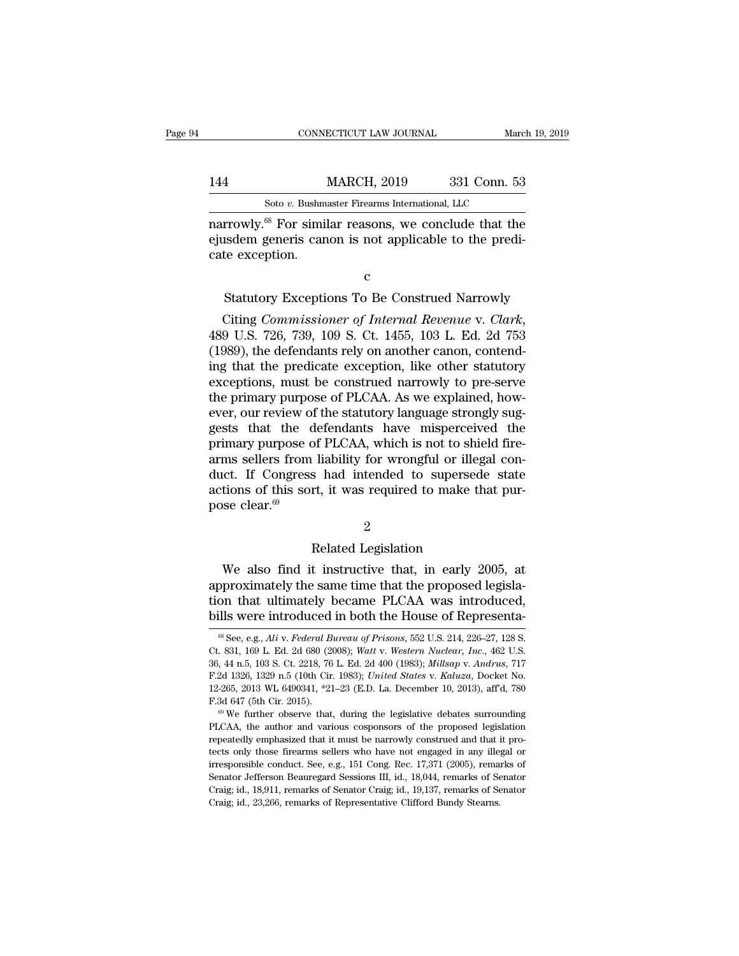# EXECUTE CONNECTICUT LAW JOURNAL March 19, 2019<br>144 MARCH, 2019 331 Conn. 53<br>800 v. Bushmaster Firearms International, LLC CONNECTICUT LAW JOURNAL March March March MARCH, 2019 331 Conn. 53<br>Soto *v.* Bushmaster Firearms International, LLC 68 For similar reasons we conclude that the

CONNECTICUT LAW JOURNAL March 19, 2019<br>
144 MARCH, 2019 331 Conn. 53<br>
500 v. Bushmaster Firearms International, LLC<br>
narrowly.<sup>68</sup> For similar reasons, we conclude that the<br>
ejusdem generis canon is not applicable to the p 144 MARCH, 2019 331 Conn. 53<br>
Soto v. Bushmaster Firearms International, LLC<br>
narrowly.<sup>68</sup> For similar reasons, we conclude that the<br>
ejusdem generis canon is not applicable to the predi-<br>
cate exception.  $\begin{array}{c}\n \textcolor{blue}{\textbf{144}} \quad \textcolor{blue}{\textcolor{blue}{\textbf{Soto } v. \textbf{ Bushm}}} \\
 \textcolor{blue}{\textbf{narrowly.}}\textcolor{blue}{\textcolor{blue}{\textbf{68}}\textbf{For simi}} \\
 \textcolor{blue}{\textbf{ejusdem generis can}}\textcolor{blue}{\textbf{cate exception}}.\n \end{array}$ Soto  $v$ . Bushmaster Firearms International, LLC<br>
rrowly.<sup>68</sup> For similar reasons, we conclude that the<br>
isdem generis canon is not applicable to the predi-<br>
te exception.<br>
c<br>
Statutory Exceptions To Be Construed Narrowly

c and the contract of the contract of the contract of the contract of the contract of the contract of the contract of the contract of the contract of the contract of the contract of the contract of the contract of the cont

narrowly.<sup>68</sup> For similar reasons, we conclude that the<br>ejusdem generis canon is not applicable to the predi-<br>cate exception.<br>C<br>Statutory Exceptions To Be Construed Narrowly<br>Citing *Commissioner of Internal Revenue* v. *Cl* cate exception.<br>
c<br>
Statutory Exceptions To Be Construed Narrowly<br>
Citing Commissioner of Internal Revenue v. Clark,<br>
489 U.S. 726, 739, 109 S. Ct. 1455, 103 L. Ed. 2d 753<br>
(1989), the defendants rely on another canon, con c<br>
Statutory Exceptions To Be Construed Narrowly<br>
Citing Commissioner of Internal Revenue v. Clark,<br>
489 U.S. 726, 739, 109 S. Ct. 1455, 103 L. Ed. 2d 753<br>
(1989), the defendants rely on another canon, contend-<br>
ing that t Statutory Exceptions To Be Construed Narrowly<br>Citing Commissioner of Internal Revenue v. Clark,<br>489 U.S. 726, 739, 109 S. Ct. 1455, 103 L. Ed. 2d 753<br>(1989), the defendants rely on another canon, contend-<br>ing that the pred statutory Exceptions To Be Construed Narrowiy<br>Citing *Commissioner of Internal Revenue v. Clark*,<br>489 U.S. 726, 739, 109 S. Ct. 1455, 103 L. Ed. 2d 753<br>(1989), the defendants rely on another canon, contend-<br>ing that the pr Citing Commissioner of Internal Revenue v. Clark,<br>489 U.S. 726, 739, 109 S. Ct. 1455, 103 L. Ed. 2d 753<br>(1989), the defendants rely on another canon, contend-<br>ing that the predicate exception, like other statutory<br>exceptio 489 U.S. 726, 739, 109 S. Ct. 1455, 103 L. Ed. 2d 753<br>(1989), the defendants rely on another canon, contend-<br>ing that the predicate exception, like other statutory<br>exceptions, must be construed narrowly to pre-serve<br>the pr (1989), the defendants rely on another canon, contending that the predicate exception, like other statutory exceptions, must be construed narrowly to pre-serve the primary purpose of PLCAA. As we explained, however, our re ing that the predicate exception, like other statutory<br>exceptions, must be construed narrowly to pre-serve<br>the primary purpose of PLCAA. As we explained, how-<br>ever, our review of the statutory language strongly sug-<br>gests exceptions, must be construed narrowly to pre-serve<br>the primary purpose of PLCAA. As we explained, how-<br>ever, our review of the statutory language strongly sug-<br>gests that the defendants have misperceived the<br>primary purp the primary purpose of PLCAA. As we explained, however, our review of the statutory language strongly suggests that the defendants have misperceived the primary purpose of PLCAA, which is not to shield firearms sellers fro ever, our review of<br>gests that the d<br>primary purpose o<br>arms sellers from<br>duct. If Congress<br>actions of this sor<br>pose clear.<sup>69</sup> Example 1 iability for wrongful or illegated in the last shad intended to supersedent, it was required to make that  $\frac{2}{3}$ <br>Related Legislation tinstructive that, in early 20 % and intended to supersede state<br>tions of this sort, it was required to make that pur-<br>se clear.<sup>69</sup><br> $\frac{2}{3}$ <br>Related Legislation<br>We also find it instructive that, in early 2005, at<br>proximately the same time that the pr

### 2

actions of this sort, it was required to make that pur-<br>pose clear.<sup>69</sup><br> $2$ <br>Related Legislation<br>We also find it instructive that, in early 2005, at<br>approximately the same time that the proposed legisla-<br>tion that ultimatel pose clear.<sup>69</sup><br>
<sup>2</sup><br>
Related Legislation<br>
We also find it instructive that, in early 2005, at<br>
approximately the same time that the proposed legisla-<br>
tion that ultimately became PLCAA was introduced,<br>
bills were introduc <sup>2</sup><br>
Related Legislation<br>
We also find it instructive that, in early 2005, at<br>
approximately the same time that the proposed legisla-<br>
tion that ultimately became PLCAA was introduced,<br>
bills were introduced in both the H We also find it instructive that, in early 2005, at<br>oproximately the same time that the proposed legisla-<br>on that ultimately became PLCAA was introduced,<br>ills were introduced in both the House of Representa-<br><sup>68</sup> See, e.g. approximately the same time that the proposed legislation that ultimately became PLCAA was introduced, bills were introduced in both the House of Representa-<br><sup>68</sup> See, e.g., *Ali* v. *Federal Bureau of Prisons*, 552 U.S. 2

<sup>11</sup> tion that ultimately became PLCAA was introduced,<br>bills were introduced in both the House of Representa-<br><sup>88</sup> See, e.g., *Ali v. Federal Bureau of Prisons*, 552 U.S. 214, 226–27, 128 S.<br>Ct. 831, 169 L. Ed. 2d 680 (2008) F.2011 State of Representations were introduced in both the House of Representations of Prisons, 552 U.S. 214, 226–27, 128 S.<br>
E. 831, 169 L. Ed. 2d 680 (2008); *Watt v. Western Nuclear, Inc.*, 462 U.S. 36, 44 n.5, 103 S. 1115 were introduced in both the House of Representa-<br>
<sup>88</sup> See, e.g., Ali v. Federal Bureau of Prisons, 552 U.S. 214, 226–27, 128 S.<br>
Ct. 831, 169 L. Ed. 2d 680 (2008); Watt v. Western Nuclear, Inc., 462 U.S.<br>
36, 44 n.5, <sup>68</sup> See, e.g., Ali v. *Federal Bureau of Prisons*, 552 U.S. 214, 226–27, 128 S.<br>Ct. 831, 169 L. Ed. 2d 680 (2008); *Watt v. Western Nuclear, Inc.*, 462 U.S.<br>36, 44 n.5, 103 S. Ct. 2218, 76 L. Ed. 2d 400 (1983); *Millsap* 36, 44 n.5, 103 S. Ct. 2218, 76 L. Ed. 2d 400 (1983); *Millsap v. Andrus*, 717<br>F.2d 1326, 1329 n.5 (10th Cir. 1983); *United States v. Kaluza*, Docket No.<br>12-265, 2013 WL 6490341, \*21-23 (E.D. La. December 10, 2013), affd

F.2d 1326, 1329 n.5 (10th Cir. 1983); *United States v. Kaluza*, Docket No.<br>12-265, 2013 WL 6490341, \*21–23 (E.D. La. December 10, 2013), aff<sup>d</sup>, 780<br>F.3d 647 (5th Cir. 2015).<br><sup>®</sup> We further observe that, during the legis 12-265, 2013 WL 6490341, \*21-23 (E.D. La. December 10, 2013), aff'd, 780 F.3d 647 (5th Cir. 2015).<br>
<sup>®</sup> We further observe that, during the legislative debates surrounding PLCAA, the author and various cosponsors of the p F.3d 647 (5th Cir. 2015).<br>
<sup>®</sup> We further observe that, during the legislative debates surrounding PLCAA, the author and various cosponsors of the proposed legislation repeatedly emphasized that it must be narrowly constru <sup>69</sup> We further observe that, during the legislative debates surrounding PLCAA, the author and various cosponsors of the proposed legislation repeatedly emphasized that it must be narrowly construed and that it protects on PLCAA, the author and various cosponsors of the proposed legislation<br>repeatedly emphasized that it must be narrowly construed and that it pro-<br>tects only those firearms sellers who have not engaged in any illegal or<br>irresp repeatedly emphasized that it must be narrowly construed and that it ects only those firearms sellers who have not engaged in any ille irresponsible conduct. See, e.g., 151 Cong. Rec. 17,371 (2005), remarks of Secraig; id.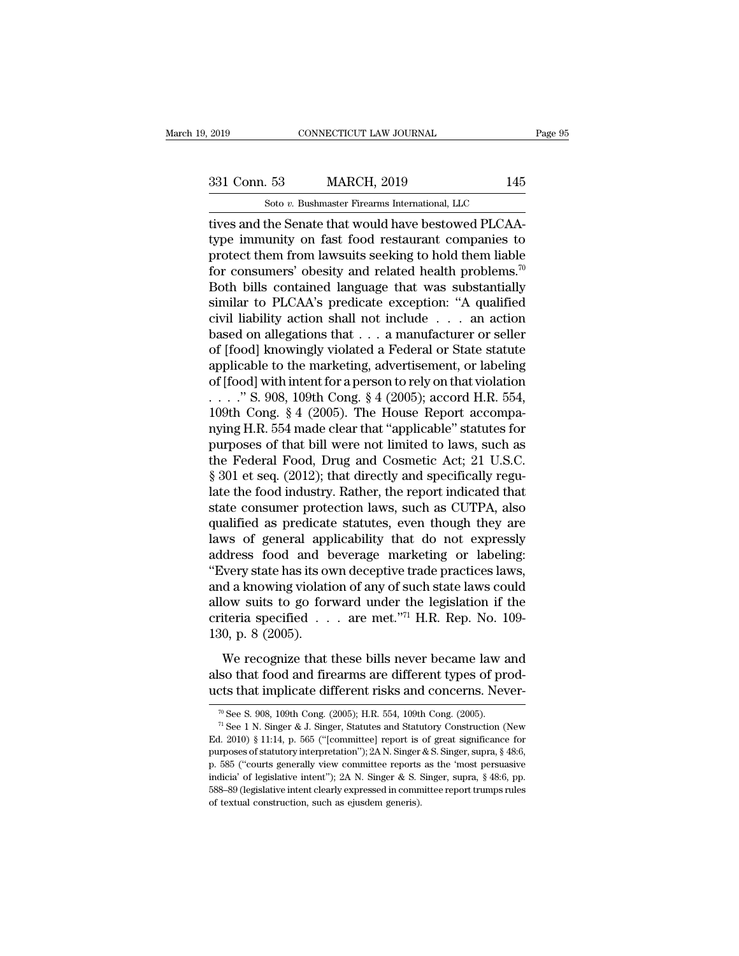2019 CONNECTICUT LAW JOURNAL Page 95<br>331 Conn. 53 MARCH, 2019 145<br>500 v. Bushmaster Firearms International, LLC

CONNECTICUT LAW JOURNAL<br>
Soto *v.* Bushmaster Firearms International, LLC<br>
Soto *v.* Bushmaster Firearms International, LLC<br>
the Senate that would have bestowed PLCAA-The Senate Connecticut CAW JOURNAL<br>
Solometer Connection Connection Connection Connection Connection Connection Case of The Senate that would have bestowed PLCAA-<br>
type immunity on fast food restaurant companies to<br>
the Se 331 Conn. 53 MARCH, 2019 145<br>
Soto v. Bushmaster Firearms International, LLC<br>
tives and the Senate that would have bestowed PLCAA-<br>
type immunity on fast food restaurant companies to<br>
protect them from lawsuits seeking to 331 Conn. 53 MARCH, 2019 145<br>
Soto v. Bushmaster Firearms International, LLC<br>
tives and the Senate that would have bestowed PLCAA-<br>
type immunity on fast food restaurant companies to<br>
protect them from lawsuits seeking to 331 Conn. 53 MARCH, 2019 145<br>
Soto v. Bushmaster Firearms International, LLC<br>
tives and the Senate that would have bestowed PLCAA-<br>
type immunity on fast food restaurant companies to<br>
protect them from lawsuits seeking to Soto v. Bushmaster Firearms International, LLC<br>tives and the Senate that would have bestowed PLCAA-<br>type immunity on fast food restaurant companies to<br>protect them from lawsuits seeking to hold them liable<br>for consumers' sofo v. Bushmaster Firearms international, LLC<br>tives and the Senate that would have bestowed PLCAA-<br>type immunity on fast food restaurant companies to<br>protect them from lawsuits seeking to hold them liable<br>for consumers' tives and the Senate that would have bestowed PLCAA-<br>type immunity on fast food restaurant companies to<br>protect them from lawsuits seeking to hold them liable<br>for consumers' obesity and related health problems.<sup>70</sup><br>Both b type immunity on fast food restaurant companies to<br>protect them from lawsuits seeking to hold them liable<br>for consumers' obesity and related health problems.<sup>70</sup><br>Both bills contained language that was substantially<br>simila protect them from lawsuits seeking to hold them liable<br>for consumers' obesity and related health problems.<sup>70</sup><br>Both bills contained language that was substantially<br>similar to PLCAA's predicate exception: "A qualified<br>civi for consumers' obesity and related health problems.<sup>70</sup><br>Both bills contained language that was substantially<br>similar to PLCAA's predicate exception: "A qualified<br>civil liability action shall not include . . . an action<br>ba Both bills contained language that was substantially<br>similar to PLCAA's predicate exception: "A qualified<br>civil liability action shall not include . . . an action<br>based on allegations that . . . a manufacturer or seller<br>o similar to PLCAA's predicate exception: "A qualified<br>civil liability action shall not include . . . an action<br>based on allegations that . . . a manufacturer or seller<br>of [food] knowingly violated a Federal or State statut civil liability action shall not include . . . an action<br>based on allegations that . . . a manufacturer or seller<br>of [food] knowingly violated a Federal or State statute<br>applicable to the marketing, advertisement, or labe based on allegations that  $\ldots$  a manufacturer or seller<br>of [food] knowingly violated a Federal or State statute<br>applicable to the marketing, advertisement, or labeling<br>of [food] with intent for a person to rely on that v of [food] knowingly violated a Federal or State statute<br>applicable to the marketing, advertisement, or labeling<br>of [food] with intent for a person to rely on that violation<br> $\ldots$  ." S. 908, 109th Cong. § 4 (2005); accord applicable to the marketing, advertisement, or labeling<br>of [food] with intent for a person to rely on that violation<br>....." S. 908, 109th Cong. § 4 (2005); accord H.R. 554,<br>109th Cong. § 4 (2005). The House Report accompa-% of [food] with intent for a person to rely on that violation . . . . ." S. 908, 109th Cong. § 4 (2005); accord H.R. 554, 109th Cong. § 4 (2005). The House Report accompanying H.R. 554 made clear that "applicable" statut . . . . . " S. 908, 109th Cong. § 4 (2005); accord H.R. 554, 109th Cong. § 4 (2005). The House Report accompa-<br>nying H.R. 554 made clear that "applicable" statutes for<br>purposes of that bill were not limited to laws, such 109th Cong. § 4 (2005). The House Report accompa-<br>nying H.R. 554 made clear that "applicable" statutes for<br>purposes of that bill were not limited to laws, such as<br>the Federal Food, Drug and Cosmetic Act; 21 U.S.C.<br>§ 301 et nying H.R. 554 made clear that "applicable" statutes for<br>purposes of that bill were not limited to laws, such as<br>the Federal Food, Drug and Cosmetic Act; 21 U.S.C.<br>§ 301 et seq. (2012); that directly and specifically regupurposes of that bill were not limited to laws, such as<br>the Federal Food, Drug and Cosmetic Act; 21 U.S.C.<br>§ 301 et seq. (2012); that directly and specifically regu-<br>late the food industry. Rather, the report indicated tha the Federal Food, Drug and Cosmetic Act; 21 U.S.C.<br>§ 301 et seq. (2012); that directly and specifically regulate the food industry. Rather, the report indicated that<br>state consumer protection laws, such as CUTPA, also<br>qual § 301 et seq. (2012); that directly and specifically regulate the food industry. Rather, the report indicated that state consumer protection laws, such as CUTPA, also qualified as predicate statutes, even though they are l late the food industry. Rather, the report indicated that<br>state consumer protection laws, such as CUTPA, also<br>qualified as predicate statutes, even though they are<br>laws of general applicability that do not expressly<br>addre state consumer protection laws, such as CUTPA, also<br>qualified as predicate statutes, even though they are<br>laws of general applicability that do not expressly<br>address food and beverage marketing or labeling:<br>"Every state h qualified as predicate statutes, even though they are laws of general applicability that do not expressly address food and beverage marketing or labeling: "Every state has its own deceptive trade practices laws, and a kno laws of general app<br>address food and t<br>"Every state has its ov<br>and a knowing violati<br>allow suits to go for<br>criteria specified . .<br>130, p. 8 (2005).<br>We recognize that Wery state has its own deceptive trade practices laws,<br>d a knowing violation of any of such state laws could<br>ow suits to go forward under the legislation if the<br>iteria specified  $\ldots$  are met."<sup>71</sup> H.R. Rep. No. 109-<br>0, p also that food and firearms are different types of products and a knowing violation of any of such state laws could allow suits to go forward under the legislation if the criteria specified  $\ldots$  are met."<sup>71</sup> H.R. Rep. N allow suits to go forward under the legislation if the criteria specified . . . are met."<sup>71</sup> H.R. Rep. No. 109-<br>130, p. 8 (2005).<br>We recognize that these bills never became law and also that food and firearms are differe

We recognize that these bills never became law and<br>so that food and firearms are different types of prod-<br>ts that implicate different risks and concerns. Never-<br><sup>70</sup> See S. 908, 109th Cong. (2005); H.R. 554, 109th Cong. (

also that food and firearms are different types of products that implicate different risks and concerns. Never-<br><sup>70</sup> See S. 908, 109th Cong. (2005); H.R. 554, 109th Cong. (2005).<br><sup>71</sup> See 1 N. Singer & J. Singer, Statutes ucts that implicate different risks and concerns. Never-<br>
<sup>70</sup> See S. 908, 109th Cong. (2005); H.R. 554, 109th Cong. (2005).<br>
<sup>71</sup> See 1 N. Singer & J. Singer, Statutes and Statutory Construction (New<br>
Ed. 2010) § 11:14, The Strate Intervent 115KS and Concerns. IVever-<br>
<sup>70</sup> See S. 908, 109th Cong. (2005); H.R. 554, 109th Cong. (2005).<br>
<sup>71</sup> See 1 N. Singer & J. Singer, Statutes and Statutory Construction (New<br>
Ed. 2010) § 11:14, p. 565 ( <sup>70</sup> See S. 908, 109th Cong. (2005); H.R. 554, 109th Cong. (2005).<br><sup>71</sup> See 1 N. Singer & J. Singer, Statutes and Statutory Construction (New Ed. 2010) § 11:14, p. 565 ("[committee] report is of great significance for pur <sup>71</sup> See 1 N. Singer & J. Singer, Statutes and Statutory Construction (New Ed. 2010) § 11:14, p. 565 ("[committee] report is of great significance for purposes of statutory interpretation"); 2A N. Singer & S. Singer, supr Ed. 2010) § 11:14, p. 565 ("[committee] report is of great significance for purposes of statutory interpretation"); 2A N. Singer & S. Singer, supra, § 48:6, p. 585 ("courts generally view committee reports as the 'most pe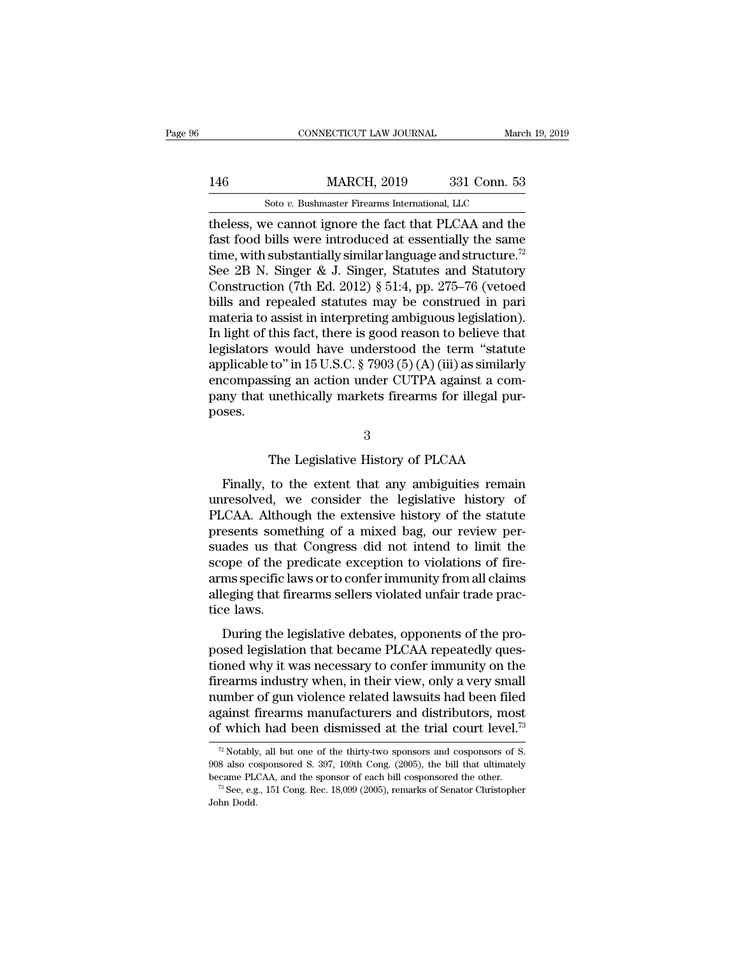# EXECUTE CONNECTICUT LAW JOURNAL March 19, 2019<br>146 MARCH, 2019 331 Conn. 53<br>500 v. Bushmaster Firearms International, LLC CONNECTICUT LAW JOURNAL March March March MARCH, 2019 331 Conn. 53<br>Soto *v.* Bushmaster Firearms International, LLC<br>The cannot ignore the fact that PLCAA and the

CONNECTICUT LAW JOURNAL March 19, 2019<br>  $146$  MARCH, 2019 331 Conn. 53<br>
Soto v. Bushmaster Firearms International, LLC<br>
theless, we cannot ignore the fact that PLCAA and the<br>
fast food bills were introduced at essentially MARCH, 2019 331 Conn. 53<br>
Soto v. Bushmaster Firearms International, LLC<br>
theless, we cannot ignore the fact that PLCAA and the<br>
fast food bills were introduced at essentially the same<br>
time, with substantially similar lan 146 MARCH, 2019 331 Conn. 53<br>
Soto v. Bushmaster Firearms International, LLC<br>
theless, we cannot ignore the fact that PLCAA and the<br>
fast food bills were introduced at essentially the same<br>
time, with substantially simila 146 MARCH, 2019 331 Conn. 53<br>
Soto v. Bushmaster Firearms International, LLC<br>
theless, we cannot ignore the fact that PLCAA and the<br>
fast food bills were introduced at essentially the same<br>
time, with substantially simila Soto v. Bushmaster Firearms International, LLC<br>theless, we cannot ignore the fact that PLCAA and the<br>fast food bills were introduced at essentially the same<br>time, with substantially similar language and structure.<sup>72</sup><br>See soto *v*. Bushmaster Freams International, LLC<br>theless, we cannot ignore the fact that PLCAA and the<br>fast food bills were introduced at essentially the same<br>time, with substantially similar language and structure.<sup>72</sup><br>See theless, we cannot ignore the fact that PLCAA and the<br>fast food bills were introduced at essentially the same<br>time, with substantially similar language and structure.<sup>72</sup><br>See 2B N. Singer & J. Singer, Statutes and Statutor fast food bills were introduced at essentially the same<br>time, with substantially similar language and structure.<sup>72</sup><br>See 2B N. Singer & J. Singer, Statutes and Statutory<br>Construction (7th Ed. 2012) § 51:4, pp. 275–76 (vet time, with substantially similar language and structure.<sup>72</sup><br>See 2B N. Singer & J. Singer, Statutes and Statutory<br>Construction (7th Ed. 2012) § 51:4, pp. 275–76 (vetoed<br>bills and repealed statutes may be construed in pari See 2B N. Singer & J. Singer, Statutes and Statutory<br>Construction (7th Ed. 2012) § 51:4, pp. 275–76 (vetoed<br>bills and repealed statutes may be construed in pari<br>materia to assist in interpreting ambiguous legislation).<br>In Construction (7th Ed. 2012) § 51:4, pp. 275–76 (vetoed<br>bills and repealed statutes may be construed in pari<br>materia to assist in interpreting ambiguous legislation).<br>In light of this fact, there is good reason to believe bills and repealed statutes may be construed in parimateria to assist in interpreting ambiguous legislation).<br>In light of this fact, there is good reason to believe that<br>legislators would have understood the term "statute<br> poses. to" in 15 U.S.C. § 7903 (5) (A) (iii) as similarly<br>sing an action under CUTPA against a com-<br>unethically markets firearms for illegal pur-<br>3<br>The Legislative History of PLCAA<br>to the extent that any ambiguities remain

3

Following an action and the external deal pur-<br>ny that unethically markets firearms for illegal pur-<br>ses.<br>The Legislative History of PLCAA<br>Finally, to the extent that any ambiguities remain<br>resolved, we consider the legisl poses.<br>
3<br>
The Legislative History of PLCAA<br>
Finally, to the extent that any ambiguities remain<br>
unresolved, we consider the legislative history of<br>
PLCAA. Although the extensive history of the statute<br>
presents semething 3<br>
The Legislative History of PLCAA<br>
Finally, to the extent that any ambiguities remain<br>
unresolved, we consider the legislative history of<br>
PLCAA. Although the extensive history of the statute<br>
presents something of a mix 3<br>
The Legislative History of PLCAA<br>
Finally, to the extent that any ambiguities remain<br>
unresolved, we consider the legislative history of<br>
PLCAA. Although the extensive history of the statute<br>
presents something of a mix The Legislative History of PLCAA<br>Finally, to the extent that any ambiguities remain<br>unresolved, we consider the legislative history of<br>PLCAA. Although the extensive history of the statute<br>presents something of a mixed bag, Finally, to the extent that any ambiguities remain<br>unresolved, we consider the legislative history of<br>PLCAA. Although the extensive history of the statute<br>presents something of a mixed bag, our review per-<br>suades us that C Finally, to the extent that any ambiguities remain<br>unresolved, we consider the legislative history of<br>PLCAA. Although the extensive history of the statute<br>presents something of a mixed bag, our review per-<br>suades us that C unresolved, we consider the legislative history of PLCAA. Although the extensive history of the statute presents something of a mixed bag, our review persuades us that Congress did not intend to limit the scope of the pred PLCAA. Althou<br>presents some<br>suades us that<br>scope of the p<br>arms specific la<br>alleging that fit<br>tice laws.<br>During the le Essens solidening of a nillact bag, our fevrew per<br>ades us that Congress did not intend to limit the<br>ope of the predicate exception to violations of fire-<br>ms specific laws or to confer immunity from all claims<br>eging that f because as that congress and not michal to mint the<br>scope of the predicate exception to violations of fire-<br>arms specific laws or to confer immunity from all claims<br>alleging that firearms sellers violated unfair trade prac

scope of the predicate exception to violations of increasing arms specific laws or to confer immunity from all claims alleging that firearms sellers violated unfair trade practice laws.<br>During the legislative debates, oppo firms specific raws of to conter minimary from an erams<br>alleging that firearms sellers violated unfair trade prac-<br>tice laws.<br>During the legislative debates, opponents of the pro-<br>posed legislation that became PLCAA repeat First pair of an internal sensity violated dinamitate practice laws.<br>
During the legislative debates, opponents of the pro-<br>
posed legislation that became PLCAA repeatedly ques-<br>
tioned why it was necessary to confer immu During the legislative debates, opponents of the proposed legislation that became PLCAA repeatedly questioned why it was necessary to confer immunity on the firearms industry when, in their view, only a very small number o During the legislative debates, opponents of the proposed legislation that became PLCAA repeatedly questioned why it was necessary to confer immunity on the firearms industry when, in their view, only a very small number rearms industry when, in their view, only a very small<br>umber of gun violence related lawsuits had been filed<br>gainst firearms manufacturers and distributors, most<br>f which had been dismissed at the trial court level.<sup>73</sup><br><sup>72</sup> number of gun violence related lawsuits had been filed<br>against firearms manufacturers and distributors, most<br>of which had been dismissed at the trial court level.<sup>73</sup><br> $\frac{1}{2}$  Notably, all but one of the thirty-two spons

against firearms manufacturers and distributors, most<br>of which had been dismissed at the trial court level.<sup>73</sup><br> $\frac{1}{\sqrt{2}}$  Notably, all but one of the thirty-two sponsors and cosponsors of S.<br>908 also cosponsored S. 397  $\frac{1}{2}$  Notably<br>908 also co<br>became PLC<br> $\frac{1}{2}$  See, e.g<br>John Dodd.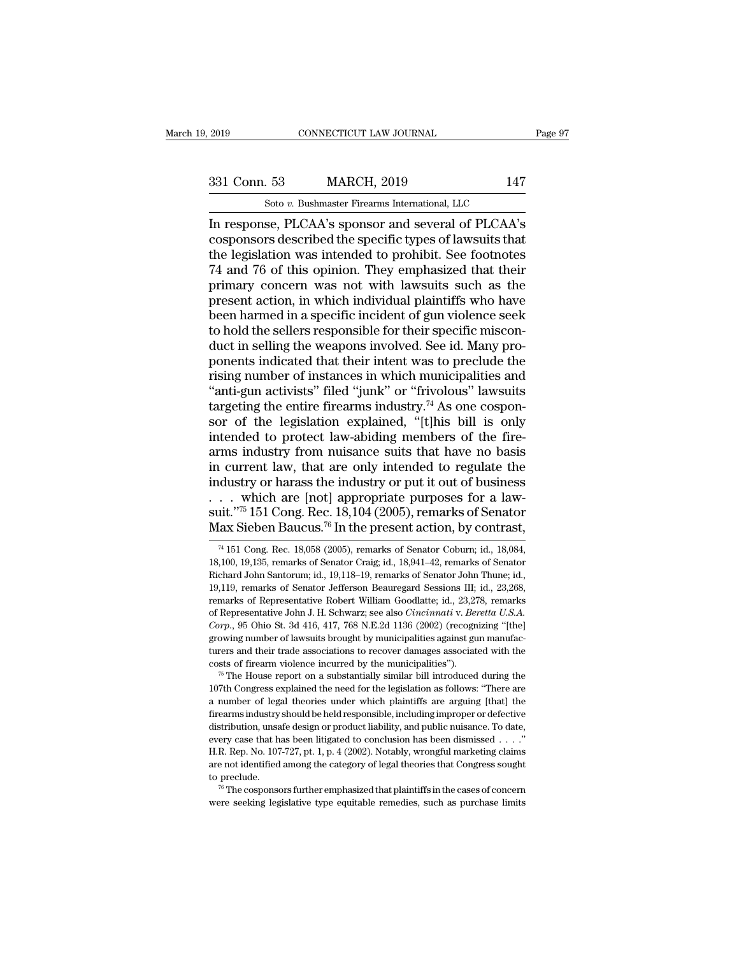2019 CONNECTICUT LAW JOURNAL Page 97<br>
331 Conn. 53 MARCH, 2019 147<br>
Soto v. Bushmaster Firearms International, LLC<br>
In response, PLCAA's sponsor and several of PLCAA's<br>
cosponsors described the specific types of lawsuits t 331 Conn. 53 MARCH, 2019 147<br>
Soto v. Bushmaster Firearms International, LLC<br>
In response, PLCAA's sponsor and several of PLCAA's<br>
cosponsors described the specific types of lawsuits that<br>
the legislation was intended to p 331 Conn. 53 MARCH, 2019 147<br>
Soto v. Bushmaster Firearms International, LLC<br>
In response, PLCAA's sponsor and several of PLCAA's<br>
cosponsors described the specific types of lawsuits that<br>
the legislation was intended to 331 Conn. 53 MARCH, 2019 147<br>
Soto v. Bushmaster Firearms International, LLC<br>
In response, PLCAA's sponsor and several of PLCAA's<br>
cosponsors described the specific types of lawsuits that<br>
the legislation was intended to Solution was not with lawsuits such as the present of  $v$ . Bushmaster Firearms International, LLC<br>In response, PLCAA's sponsor and several of PLCAA's<br>cosponsors described the specific types of lawsuits that<br>the legislatio Soto v. Bushmaster Firearms International, LLC<br>In response, PLCAA's sponsor and several of PLCAA's<br>cosponsors described the specific types of lawsuits that<br>the legislation was intended to prohibit. See footnotes<br>74 and 76 In response, PLCAA's sponsor and several of PLCAA's<br>cosponsors described the specific types of lawsuits that<br>the legislation was intended to prohibit. See footnotes<br>74 and 76 of this opinion. They emphasized that their<br>pri cosponsors described the specific types of lawsuits that<br>the legislation was intended to prohibit. See footnotes<br>74 and 76 of this opinion. They emphasized that their<br>primary concern was not with lawsuits such as the<br>prese the legislation was intended to prohibit. See footnotes 74 and 76 of this opinion. They emphasized that their primary concern was not with lawsuits such as the present action, in which individual plaintiffs who have been h 74 and 76 of this opinion. They emphasized that their<br>primary concern was not with lawsuits such as the<br>present action, in which individual plaintiffs who have<br>been harmed in a specific incident of gun violence seek<br>to hol primary concern was not with lawsuits such as the<br>present action, in which individual plaintiffs who have<br>been harmed in a specific incident of gun violence seek<br>to hold the sellers responsible for their specific miscon-<br> The present action, in which individual plaintiffs who have<br>been harmed in a specific incident of gun violence seek<br>to hold the sellers responsible for their specific miscon-<br>duct in selling the weapons involved. See id. been harmed in a specific incident of gun violence seek<br>to hold the sellers responsible for their specific miscon-<br>duct in selling the weapons involved. See id. Many pro-<br>ponents indicated that their intent was to preclud to hold the sellers responsible for their specific misconduct in selling the weapons involved. See id. Many proponents indicated that their intent was to preclude the rising number of instances in which municipalities and duct in selling the weapons involved. See id. Many pro-<br>ponents indicated that their intent was to preclude the<br>rising number of instances in which municipalities and<br>"anti-gun activists" filed "junk" or "frivolous" lawsui ponents indicated that their intent was to preclude the<br>rising number of instances in which municipalities and<br>"anti-gun activists" filed "junk" or "frivolous" lawsuits<br>targeting the entire firearms industry.<sup>74</sup> As one c Trising number of instances in which municipalities and<br>
"anti-gun activists" filed "junk" or "frivolous" lawsuits<br>
targeting the entire firearms industry.<sup>74</sup> As one cospon-<br>
sor of the legislation explained, "[t]his bil "anti-gun activists" filed "junk" or "frivolous" lawsuits<br>targeting the entire firearms industry.<sup>74</sup> As one cospon-<br>sor of the legislation explained, "[t]his bill is only<br>intended to protect law-abiding members of the fi targeting the entire firearms industry.<sup>74</sup> As one cosponsor of the legislation explained, "[t]his bill is only intended to protect law-abiding members of the firearms industry from nuisance suits that have no basis in cu sor of the legislation explained, "[t]his bill is only<br>intended to protect law-abiding members of the fire-<br>arms industry from nuisance suits that have no basis<br>in current law, that are only intended to regulate the<br>indus intended to protect law-abiding members of the fire-<br>arms industry from nuisance suits that have no basis<br>in current law, that are only intended to regulate the<br>industry or harass the industry or put it out of business<br> $\d$ dustry or harass the industry or put it out of business<br>
. . which are [not] appropriate purposes for a law-<br>
iit."<sup>75</sup> 151 Cong. Rec. 18,104 (2005), remarks of Senator<br>
lax Sieben Baucus.<sup>76</sup> In the present action, by con . . . which are [not] appropriate purposes for a lawsuit."<sup>75</sup> 151 Cong. Rec. 18,104 (2005), remarks of Senator Max Sieben Baucus.<sup>76</sup> In the present action, by contrast,  $\frac{1}{151}$  Cong. Rec. 18,058 (2005), remarks of S

a number of lawsuits brought by municipalities against gun manufacturers and their trade associations to recover damages associated with the costs of firearm violence incurred by the municipalities").<br>
<sup>76</sup> The House repor firems and their trade associations to recover damages associated with the costs of firearm violence incurred by the municipalities").<br>
<sup>75</sup> The House report on a substantially similar bill introduced during the 107th Con costs of firearm violence incurred by the municipalities").<br>
<sup>75</sup> The House report on a substantially similar bill introduced during the<br>
107th Congress explained the need for the legislation as follows: "There are<br>
a num <sup>75</sup> The House report on a substantially similar bill introduced during the 107th Congress explained the need for the legislation as follows: "There are a number of legal theories under which plaintiffs are arguing [that] 107th Congress explained the need for the legislation as follows: "There are a number of legal theories under which plaintiffs are arguing [that] the firearms industry should be held responsible, including improper or defe a number of legal theories under which plaintiffs are arguing [that] the firearms industry should be held responsible, including improper or defective distribution, unsafe design or product liability, and public nuisance. Firearms industry should be held responsible, including improper or defective distribution, unsafe design or product liability, and public nuisance. To date, every case that has been litigated to conclusion has been dismi every case that has been litigated to conclusion has been dismissed . . . ."<br>H.R. Rep. No. 107-727, pt. 1, p. 4 (2002). Notably, wrongful marketing claims<br>are not identified among the category of legal theories that Congr

suit."<sup>75</sup> 151 Cong. Rec. 18,104 (2005), remarks of Senator Max Sieben Baucus.<sup>76</sup> In the present action, by contrast,<br> $\frac{1}{151}$  Cong. Rec. 18,058 (2005), remarks of Senator Coburn; id., 18,084, 18,100, 19,135, remarks Max Sieben Baucus.<sup>76</sup> In the present action, by contrast,<br><sup>74</sup> 151 Cong. Rec. 18,058 (2005), remarks of Senator Coburn; id., 18,084, 18,100, 19,135, remarks of Senator Craig; id., 18,941–42, remarks of Senator<br>Richard Jo France Representative Robert Milliam Goodlatte; id., 23,278, remarks of Representative Robert William Goodlatte; id., 23,278, remarks of Representative Robert William Goodlatte; id., 23,278, remarks of Representative Robe <sup>74</sup> 151 Cong. Rec. 18,058 (2005), remarks of Senator Coburn; id., 18,084, 18,100, 19,135, remarks of Senator Craig; id., 18,941–42, remarks of Senator Richard John Santorum; id., 19,118–19, remarks of Senator John Thune; 18,100, 19,135, remarks of Senator Craig; id., 18,941–42, remarks of Senator Richard John Santorum; id., 19,118–19, remarks of Senator John Thune; id., 19,119, remarks of Senator Jefferson Beauregard Sessions III; id., 23, Express, 1990, 1990, 1990, 1990, 1991, 1991, 1991, 1991, 1991, 1991, 1991, 1991, 1991, 1991, 1991, 1991, 1991, 1991, 1991, 1991, 1991, 1991, 1991, 1991, 1991, 1991, 1991, 1991, 1991, 1991, 1991, 1991, 1991, 1991, 1991, 199 19,119, remarks of Senator Jefferson Beauregard Sessions III; id., 23,268, remarks of Representative Robert William Goodlatte; id., 23,278, remarks of Representative John J. H. Schwarz; see also *Cincinnativ. Beretta U.S.A* remarks of Representative Robert William Goodlatte; id., 23,278, remarks of Representative John J. H. Schwarz; see also *Cincinnative*. *Beretta U.S.A. Corp.*, 95 Ohio St. 3d 416, 417, 768 N.E.2d 1136 (2002) (recognizin Corp., 95 Ohio St. 3d 416, 417, 768 N.E.2d 1136 (2002) (recognizing "[the] growing number of lawsuits brought by municipalities against gun manufacturers and their trade associations to recover damages associated with the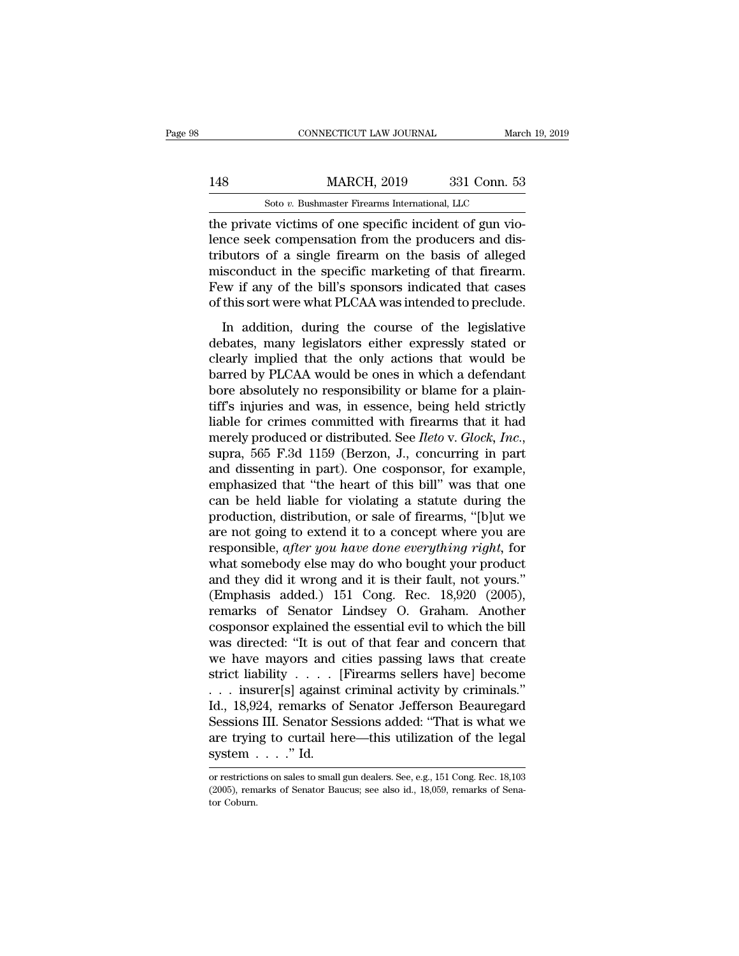# EXECUTE CONNECTICUT LAW JOURNAL March 19, 2019<br>148 MARCH, 2019 331 Conn. 53<br>500 v. Bushmaster Firearms International, LLC CONNECTICUT LAW JOURNAL March March March MARCH, 2019 331 Conn. 53<br>Soto *v.* Bushmaster Firearms International, LLC<br>Perictims of one specific incident of gun vio-

CONNECTICUT LAW JOURNAL March March March MARCH, 2019 331 Conn. 53<br>
Soto v. Bushmaster Firearms International, LLC<br>
the private victims of one specific incident of gun vio-<br>
lence seek compensation from the producers and d 148 MARCH, 2019 331 Conn. 53<br>
Soto v. Bushmaster Firearms International, LLC<br>
the private victims of one specific incident of gun vio-<br>
lence seek compensation from the producers and dis-<br>
tributors of a single firearm on 148 MARCH, 2019 331 Conn. 53<br>
Soto v. Bushmaster Firearms International, LLC<br>
the private victims of one specific incident of gun vio-<br>
lence seek compensation from the producers and dis-<br>
tributors of a single firearm on MARCH, 2019 331 Conn. 53<br>
soto v. Bushmaster Firearms International, LLC<br>
the private victims of one specific incident of gun vio-<br>
lence seek compensation from the producers and dis-<br>
tributors of a single firearm on the Soto  $v$ . Bushmaster Firearms International, LLC<br>the private victims of one specific incident of gun vio-<br>lence seek compensation from the producers and dis-<br>tributors of a single firearm on the basis of alleged<br>misconduc sort *v*. Busnmaster Firearms international, LLC<br>the private victims of one specific incident of gun vio-<br>lence seek compensation from the producers and dis-<br>tributors of a single firearm on the basis of alleged<br>misconduct In a single firem the producers and dis-<br>
butors of a single firearm on the basis of alleged<br>
isconduct in the specific marketing of that firearm.<br>
we if any of the bill's sponsors indicated that cases<br>
this sort were what tributors of a single firearm on the basis of alleged<br>misconduct in the specific marketing of that firearm.<br>Few if any of the bill's sponsors indicated that cases<br>of this sort were what PLCAA was intended to preclude.<br>In a

clusted of a slight meant of the basis of alleged<br>misconduct in the specific marketing of that firearm.<br>Few if any of the bill's sponsors indicated that cases<br>of this sort were what PLCAA was intended to preclude.<br>In addit Few if any of the bill's sponsors indicated that cases<br>of this sort were what PLCAA was intended to preclude.<br>In addition, during the course of the legislative<br>debates, many legislators either expressly stated or<br>clearly i bore absolutely no responsible interacted that eases<br>of this sort were what PLCAA was intended to preclude.<br>In addition, during the course of the legislative<br>debates, many legislators either expressly stated or<br>clearly imp In addition, during the course of the legislative<br>debates, many legislators either expressly stated or<br>clearly implied that the only actions that would be<br>barred by PLCAA would be ones in which a defendant<br>bore absolutely In addition, during the course of the legislative<br>debates, many legislators either expressly stated or<br>clearly implied that the only actions that would be<br>barred by PLCAA would be ones in which a defendant<br>bore absolutely debates, many legislators either expressly stated or clearly implied that the only actions that would be barred by PLCAA would be ones in which a defendant bore absolutely no responsibility or blame for a plaintiff's injur barred by PLCAA would be ones in which a defendant<br>bore absolutely no responsibility or blame for a plain-<br>tiff's injuries and was, in essence, being held strictly<br>liable for crimes committed with firearms that it had<br>mere bore absolutely no responsibility or blame for a plain-<br>tiff's injuries and was, in essence, being held strictly<br>liable for crimes committed with firearms that it had<br>merely produced or distributed. See *Ileto* v. *Glock*, tiff's injuries and was, in essence, being held strictly<br>liable for crimes committed with firearms that it had<br>merely produced or distributed. See *Ileto* v. *Glock*, *Inc.*,<br>supra, 565 F.3d 1159 (Berzon, J., concurring i liable for crimes committed with firearms that it had<br>merely produced or distributed. See *Ileto* v. *Glock*, *Inc.*,<br>supra, 565 F.3d 1159 (Berzon, J., concurring in part<br>and dissenting in part). One cosponsor, for example merely produced or distributed. See *Ileto* v. *Glock*, *Inc.*, supra, 565 F.3d 1159 (Berzon, J., concurring in part and dissenting in part). One cosponsor, for example, emphasized that "the heart of this bill" was that on supra, 565 F.3d 1159 (Berzon, J., concurring in part<br>and dissenting in part). One cosponsor, for example,<br>emphasized that "the heart of this bill" was that one<br>can be held liable for violating a statute during the<br>producti and dissenting in part). One cosponsor, for example,<br>emphasized that "the heart of this bill" was that one<br>can be held liable for violating a statute during the<br>production, distribution, or sale of firearms, "[b]ut we<br>are emphasized that "the heart of this bill" was that one<br>can be held liable for violating a statute during the<br>production, distribution, or sale of firearms, "[b]ut we<br>are not going to extend it to a concept where you are<br>re can be held liable for violating a statute during the<br>production, distribution, or sale of firearms, "[b]ut we<br>are not going to extend it to a concept where you are<br>responsible, *after you have done everything right*, for<br> production, distribution, or sale of firearms, "[b]ut we<br>are not going to extend it to a concept where you are<br>responsible, *after you have done everything right*, for<br>what somebody else may do who bought your product<br>and are not going to extend it to a concept where you are<br>responsible, *after you have done everything right*, for<br>what somebody else may do who bought your product<br>and they did it wrong and it is their fault, not yours."<br>(Emp responsible, *after you have done everything right*, for<br>what somebody else may do who bought your product<br>and they did it wrong and it is their fault, not yours."<br>(Emphasis added.) 151 Cong. Rec. 18,920 (2005),<br>remarks of what somebody else may do who bought your product<br>and they did it wrong and it is their fault, not yours."<br>(Emphasis added.) 151 Cong. Rec. 18,920 (2005),<br>remarks of Senator Lindsey O. Graham. Another<br>cosponsor explained and they did it wrong and it is their fault, not yours."<br>(Emphasis added.) 151 Cong. Rec. 18,920 (2005),<br>remarks of Senator Lindsey O. Graham. Another<br>cosponsor explained the essential evil to which the bill<br>was directed: (Emphasis added.) 151 Cong. Rec. 18,920 (2005),<br>remarks of Senator Lindsey O. Graham. Another<br>cosponsor explained the essential evil to which the bill<br>was directed: "It is out of that fear and concern that<br>we have mayors a remarks of Senator Lindsey O. Graham. Another<br>cosponsor explained the essential evil to which the bill<br>was directed: "It is out of that fear and concern that<br>we have mayors and cities passing laws that create<br>strict liabil cosponsor explained the essential evil to which the bill<br>was directed: "It is out of that fear and concern that<br>we have mayors and cities passing laws that create<br>strict liability . . . . [Firearms sellers have] become<br>. . was directed: "It is out of that fear and concern that<br>we have mayors and cities passing laws that create<br>strict liability . . . . [Firearms sellers have] become<br>. . . insurer[s] against criminal activity by criminals."<br>I we have mayors and of<br>strict liability . . . . [<br>. . . insurer[s] against<br>Id., 18,924, remarks of<br>Sessions III. Senator Se<br>are trying to curtail he<br>system . . . . " Id.<br>or restrictions on sales to small ; Id., 18,924, remarks of Senator Jefferson Beauregard<br>Sessions III. Senator Sessions added: "That is what we<br>are trying to curtail here—this utilization of the legal<br>system . . . . " Id.<br>or restrictions on sales to small g Sessions III. Senator Sessions added: "That is what we are trying to curtail here—this utilization of the legal system . . . . ." Id.<br>or restrictions on sales to small gun dealers. See, e.g., 151 Cong. Rec. 18,103 (2005),

are tryin<br>system<br>or restrictio<br>(2005), rem<br>tor Coburn.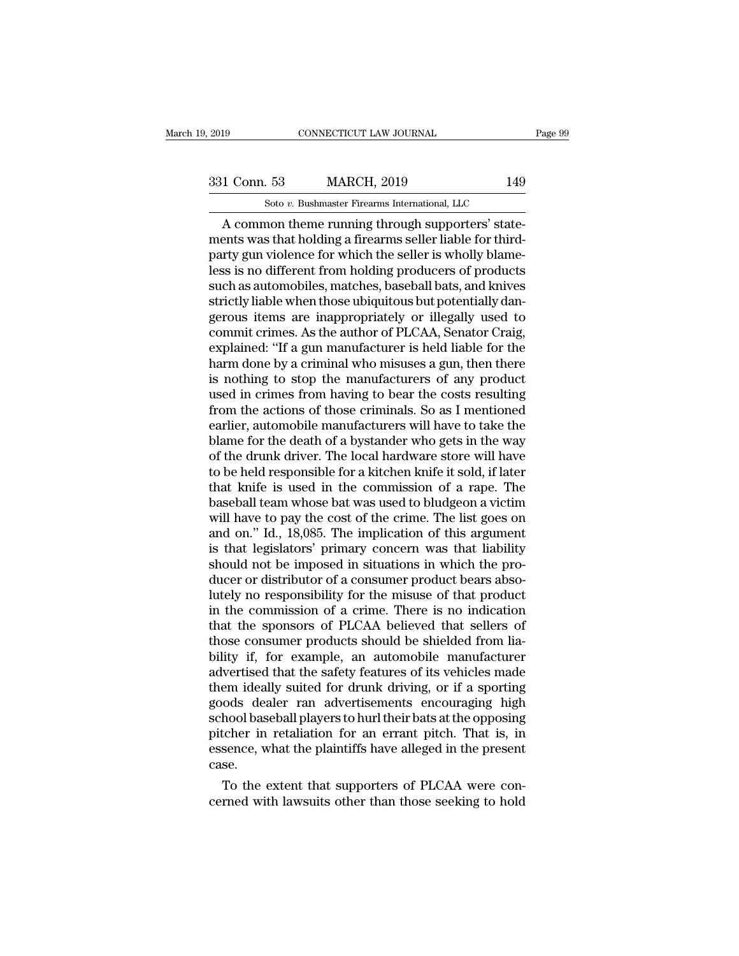# 2019 CONNECTICUT LAW JOURNAL Page 99<br>331 Conn. 53 MARCH, 2019 149<br>500 v. Bushmaster Firearms International, LLC CONNECTICUT LAW JOURNAL<br>
Soto *v.* Bushmaster Firearms International, LLC<br>
non theme running through supporters' state-

CONNECTICUT LAW JOURNAL<br>
1 Conn. 53 MARCH, 2019 149<br>
Soto v. Bushmaster Firearms International, LLC<br>
A common theme running through supporters' state-<br>
ents was that holding a firearms seller liable for third-<br>
rty gun vio 331 Conn. 53 MARCH, 2019 149<br>Soto v. Bushmaster Firearms International, LLC<br>A common theme running through supporters' state-<br>ments was that holding a firearms seller liable for third-<br>party gun violence for which the sell  $\frac{331 \text{ Conn. } 53}{\text{Soto } v. \text{ Bushmaster Firearms International, LLC}}$ <br>A common theme running through supporters' statements was that holding a firearms seller liable for third-<br>party gun violence for which the seller is wholly blame-<br>less is no differe 331 Conn. 53 MARCH, 2019 149<br>
Soto v. Bushmaster Firearms International, LLC<br>
A common theme running through supporters' state-<br>
ments was that holding a firearms seller liable for third-<br>
party gun violence for which the such as a set of the summer of the summer summer<br>A common theme running through supporters' state-<br>ments was that holding a firearms seller liable for third-<br>party gun violence for which the seller is wholly blame-<br>less is Soto v. Bushmaster Firearms International, LLC<br>
A common theme running through supporters' state-<br>
ments was that holding a firearms seller liable for third-<br>
party gun violence for which the seller is wholly blame-<br>
less A common theme running through supporters' statements was that holding a firearms seller liable for third-<br>party gun violence for which the seller is wholly blame-<br>less is no different from holding producers of products<br>su ments was that holding a firearms seller liable for third-<br>party gun violence for which the seller is wholly blame-<br>less is no different from holding producers of products<br>such as automobiles, matches, baseball bats, and k party gun violence for which the seller is wholly blame-<br>less is no different from holding producers of products<br>such as automobiles, matches, baseball bats, and knives<br>strictly liable when those ubiquitous but potentially less is no different from holding producers of products<br>such as automobiles, matches, baseball bats, and knives<br>strictly liable when those ubiquitous but potentially dan-<br>gerous items are inappropriately or illegally used such as automobiles, matches, baseball bats, and knives<br>strictly liable when those ubiquitous but potentially dan-<br>gerous items are inappropriately or illegally used to<br>commit crimes. As the author of PLCAA, Senator Craig, strictly liable when those ubiquitous but potentially dangerous items are inappropriately or illegally used to commit crimes. As the author of PLCAA, Senator Craig, explained: "If a gun manufacturer is held liable for the gerous items are inappropriately or illegally used to<br>commit crimes. As the author of PLCAA, Senator Craig,<br>explained: "If a gun manufacturer is held liable for the<br>harm done by a criminal who misuses a gun, then there<br>is commit crimes. As the author of PLCAA, Senator Craig,<br>explained: "If a gun manufacturer is held liable for the<br>harm done by a criminal who misuses a gun, then there<br>is nothing to stop the manufacturers of any product<br>used explained: "If a gun manufacturer is held liable for the<br>harm done by a criminal who misuses a gun, then there<br>is nothing to stop the manufacturers of any product<br>used in crimes from having to bear the costs resulting<br>from harm done by a criminal who misuses a gun, then there<br>is nothing to stop the manufacturers of any product<br>used in crimes from having to bear the costs resulting<br>from the actions of those criminals. So as I mentioned<br>earlie is nothing to stop the manufacturers of any product<br>used in crimes from having to bear the costs resulting<br>from the actions of those criminals. So as I mentioned<br>earlier, automobile manufacturers will have to take the<br>blam used in crimes from having to bear the costs resulting<br>from the actions of those criminals. So as I mentioned<br>earlier, automobile manufacturers will have to take the<br>blame for the death of a bystander who gets in the way<br>o from the actions of those criminals. So as I mentioned<br>earlier, automobile manufacturers will have to take the<br>blame for the death of a bystander who gets in the way<br>of the drunk driver. The local hardware store will have<br> earlier, automobile manufacturers will have to take the blame for the death of a bystander who gets in the way of the drunk driver. The local hardware store will have to be held responsible for a kitchen knife it sold, if blame for the death of a bystander who gets in the way<br>of the drunk driver. The local hardware store will have<br>to be held responsible for a kitchen knife it sold, if later<br>that knife is used in the commission of a rape. Th of the drunk driver. The local hardware store will have<br>to be held responsible for a kitchen knife it sold, if later<br>that knife is used in the commission of a rape. The<br>baseball team whose bat was used to bludgeon a victim to be held responsible for a kitchen knife it sold, if later<br>that knife is used in the commission of a rape. The<br>baseball team whose bat was used to bludgeon a victim<br>will have to pay the cost of the crime. The list goes o that knife is used in the commission of a rape. The baseball team whose bat was used to bludgeon a victim will have to pay the cost of the crime. The list goes on and on." Id., 18,085. The implication of this argument is t baseball team whose bat was used to bludgeon a victim<br>will have to pay the cost of the crime. The list goes on<br>and on." Id., 18,085. The implication of this argument<br>is that legislators' primary concern was that liability<br> will have to pay the cost of the crime. The list goes on<br>and on." Id., 18,085. The implication of this argument<br>is that legislators' primary concern was that liability<br>should not be imposed in situations in which the pro-<br> and on." Id., 18,085. The implication of this argument<br>is that legislators' primary concern was that liability<br>should not be imposed in situations in which the pro-<br>ducer or distributor of a consumer product bears abso-<br>lu is that legislators' primary concern was that liability<br>should not be imposed in situations in which the pro-<br>ducer or distributor of a consumer product bears abso-<br>lutely no responsibility for the misuse of that product<br>i should not be imposed in situations in which the pro-<br>ducer or distributor of a consumer product bears abso-<br>lutely no responsibility for the misuse of that product<br>in the commission of a crime. There is no indication<br>that ducer or distributor of a consumer product bears absolutely no responsibility for the misuse of that product<br>in the commission of a crime. There is no indication<br>that the sponsors of PLCAA believed that sellers of<br>those co lutely no responsibility for the misuse of that product<br>in the commission of a crime. There is no indication<br>that the sponsors of PLCAA believed that sellers of<br>those consumer products should be shielded from lia-<br>bility i in the commission of a crime. There is no indication<br>that the sponsors of PLCAA believed that sellers of<br>those consumer products should be shielded from lia-<br>bility if, for example, an automobile manufacturer<br>advertised th that the sponsors of PLCAA believed that sellers of<br>those consumer products should be shielded from lia-<br>bility if, for example, an automobile manufacturer<br>advertised that the safety features of its vehicles made<br>them idea those consumer products should be shielded from liability if, for example, an automobile manufacturer advertised that the safety features of its vehicles made them ideally suited for drunk driving, or if a sporting goods d bility if, for example, an automobile manufacturer<br>advertised that the safety features of its vehicles made<br>them ideally suited for drunk driving, or if a sporting<br>goods dealer ran advertisements encouraging high<br>school ba case. em ideally suited for drunk driving, or if a sporting<br>ods dealer ran advertisements encouraging high<br>hool baseball players to hurl their bats at the opposing<br>tcher in retaliation for an errant pitch. That is, in<br>sence, wha goods dealer ran advertisements encouraging high<br>school baseball players to hurl their bats at the opposing<br>pitcher in retaliation for an errant pitch. That is, in<br>essence, what the plaintiffs have alleged in the present<br>c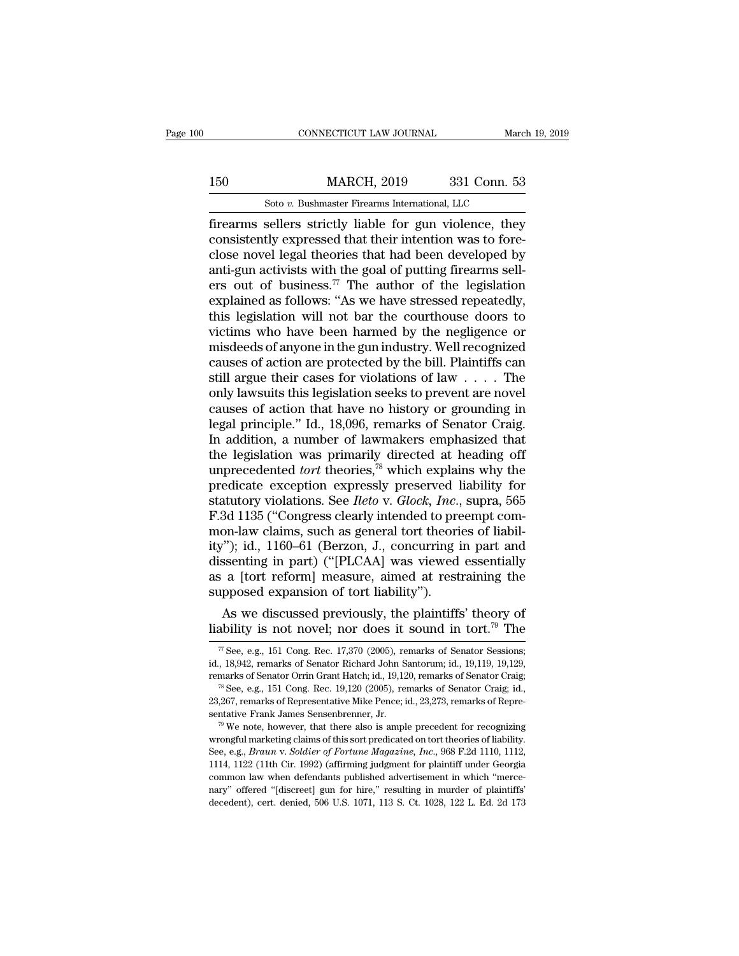# EXECUTE CONNECTICUT LAW JOURNAL March 19, 2019<br>150 MARCH, 2019 331 Conn. 53<br>800 v. Bushmaster Firearms International, LLC CONNECTICUT LAW JOURNAL March March March MARCH, 2019 331 Conn. 53<br>Soto *v.* Bushmaster Firearms International, LLC<br>Sellers strictly liable for gun violence, they

FIRM CONNECTICUT LAW JOURNAL March 19, 2019<br>
150 MARCH, 2019 331 Conn. 53<br>
500 v. Bushmaster Firearms International, LLC<br>
firearms sellers strictly liable for gun violence, they<br>
consistently expressed that their intention 150 MARCH, 2019 331 Conn. 53<br>
Soto v. Bushmaster Firearms International, LLC<br>
firearms sellers strictly liable for gun violence, they<br>
consistently expressed that their intention was to fore-<br>
close novel legal theories th 150 MARCH, 2019 331 Conn. 53<br>
Soto v. Bushmaster Frearms International, LLC<br>
firearms sellers strictly liable for gun violence, they<br>
consistently expressed that their intention was to fore-<br>
close novel legal theories th 150 MARCH, 2019 331 Conn. 53<br>
Soto v. Bushmaster Firearms International, LLC<br>
firearms sellers strictly liable for gun violence, they<br>
consistently expressed that their intention was to fore-<br>
close novel legal theories t Soto v. Bushmaster Firearms International, LLC<br>
firearms sellers strictly liable for gun violence, they<br>
consistently expressed that their intention was to fore-<br>
close novel legal theories that had been developed by<br>
ant Soto v. Bushmaster Firearms International, LLC<br>
firearms sellers strictly liable for gun violence, they<br>
consistently expressed that their intention was to fore-<br>
close novel legal theories that had been developed by<br>
ant firearms sellers strictly liable for gun violence, they consistently expressed that their intention was to fore-<br>close novel legal theories that had been developed by<br>anti-gun activists with the goal of putting firearms s consistently expressed that their intention was to fore-<br>close novel legal theories that had been developed by<br>anti-gun activists with the goal of putting firearms sell-<br>ers out of business.<sup>77</sup> The author of the legislati close novel legal theories that had been developed by<br>anti-gun activists with the goal of putting firearms sell-<br>ers out of business.<sup>77</sup> The author of the legislation<br>explained as follows: "As we have stressed repeatedly, anti-gun activists with the goal of putting firearms sell-<br>ers out of business.<sup>77</sup> The author of the legislation<br>explained as follows: "As we have stressed repeatedly,<br>this legislation will not bar the courthouse doors t ers out of business.<sup>77</sup> The author of the legislation explained as follows: "As we have stressed repeatedly, this legislation will not bar the courthouse doors to victims who have been harmed by the negligence or misdeed explained as follows: "As we have stressed repeatedly,<br>this legislation will not bar the courthouse doors to<br>victims who have been harmed by the negligence or<br>misdeeds of anyone in the gun industry. Well recognized<br>causes this legislation will not bar the courthouse doors to<br>victims who have been harmed by the negligence or<br>misdeeds of anyone in the gun industry. Well recognized<br>causes of action are protected by the bill. Plaintiffs can<br>st victims who have been harmed by the negligence or<br>misdeeds of anyone in the gun industry. Well recognized<br>causes of action are protected by the bill. Plaintiffs can<br>still argue their cases for violations of law . . . . The misdeeds of anyone in the gun industry. Well recognized<br>causes of action are protected by the bill. Plaintiffs can<br>still argue their cases for violations of law . . . . The<br>only lawsuits this legislation seeks to prevent causes of action are protected by the bill. Plaintiffs can<br>still argue their cases for violations of law . . . . The<br>only lawsuits this legislation seeks to prevent are novel<br>causes of action that have no history or groun still argue their cases for violations of law . . . . The<br>only lawsuits this legislation seeks to prevent are novel<br>causes of action that have no history or grounding in<br>legal principle." Id., 18,096, remarks of Senator Cr only lawsuits this legislation seeks to prevent are novel<br>causes of action that have no history or grounding in<br>legal principle." Id., 18,096, remarks of Senator Craig.<br>In addition, a number of lawmakers emphasized that<br>th causes of action that have no history or grounding in<br>legal principle." Id., 18,096, remarks of Senator Craig.<br>In addition, a number of lawmakers emphasized that<br>the legislation was primarily directed at heading off<br>unprec legal principle." Id., 18,096, remarks of Senator Craig.<br>In addition, a number of lawmakers emphasized that<br>the legislation was primarily directed at heading off<br>unprecedented *tort* theories,<sup>78</sup> which explains why the<br>p In addition, a number of law<br>makers emphasized that<br>the legislation was primarily directed at heading off<br>unprecedented *tort* theories,<sup>78</sup> which explains why the<br>predicate exception expressly preserved liability for<br>sta the legislation was primarily directed at heading off<br>unprecedented *tort* theories,<sup>78</sup> which explains why the<br>predicate exception expressly preserved liability for<br>statutory violations. See *Ileto* v. *Glock*, *Inc.*, su unprecedented *tort* theories,<sup>78</sup> which explains why the<br>predicate exception expressly preserved liability for<br>statutory violations. See *Ileto* v. *Glock*, *Inc.*, supra, 565<br>F.3d 1135 ("Congress clearly intended to pree predicate exception expressly preserved liability for<br>statutory violations. See *Reto* v. Glock, *Inc.*, supra, 565<br>F.3d 1135 ("Congress clearly intended to preempt com-<br>mon-law claims, such as general tort theories of lia statutory violations. See *Ileto* v. *Glock*, *Inc.*, F.3d 1135 ("Congress clearly intended to premon-law claims, such as general tort theority"); id., 1160–61 (Berzon, J., concurring idissenting in part) ("[PLCAA] was vie 3d 1135 ("Congress clearly intended to preempt com-<br>on-law claims, such as general tort theories of liabil-<br>"); id., 1160–61 (Berzon, J., concurring in part and<br>ssenting in part) ("[PLCAA] was viewed essentially<br>a [tort r mon-law claims, such as general tort theories of liability"); id., 1160–61 (Berzon, J., concurring in part and dissenting in part) ("[PLCAA] was viewed essentially as a [tort reform] measure, aimed at restraining the supp

*Fore the all terms* and the upposed expansion of tort liability").<br>As we discussed previously, the plaintiffs' theory of ability is not novel; nor does it sound in tort.<sup>79</sup> The  $\pi$  See, e.g., 151 Cong. Rec. 17,370 (200

supposed expansion of tort hability").<br>
As we discussed previously, the plaintiffs' theory of<br>
liability is not novel; nor does it sound in tort.<sup>79</sup> The<br>
<sup>77</sup> See, e.g., 151 Cong. Rec. 17,370 (2005), remarks of Senator S As we discussed previously, the plaintiffs' theory of liability is not novel; nor does it sound in tort.<sup>79</sup> The  $\pi$  See, e.g., 151 Cong. Rec. 17,370 (2005), remarks of Senator Sessions; id., 18,942, remarks of Senator R

**liability is not novel; nor does it sound in tort.**<sup>79</sup> The  $\pi$  See, e.g., 151 Cong. Rec. 17,370 (2005), remarks of Senator Sessions; id., 18,942, remarks of Senator Richard John Santorum; id., 19,119, 19,129, remarks o <sup>77</sup> See, e.g., 151 Cong. Rec. 17,370 (2005), remarks of Senator Sessions;<br>id., 18,942, remarks of Senator Richard John Santorum; id., 19,119, 19,129,<br>remarks of Senator Orrin Grant Hatch; id., 19,120, remarks of Senator

why is the Softenborrow Grand Hatch; id., 19,120, remarks of Senator Craig;  $\frac{1}{100}$  marketing claims of Senator Craig;  $\frac{1}{100}$  marketing claims of Representative Mike Pence; id., 23,273, remarks of Representative <sup>8</sup> See, e.g., 151 Cong. Rec. 19,120 (2005), remarks of Senator Craig; id., 23,267, remarks of Representative Mike Pence; id., 23,273, remarks of Representative Frank James Sensenbrenner, Jr.<br><sup>79</sup> We note, however, that th 23,267, remarks of Representative Mike Pence; id., 23,273, remarks of Representative Frank James Sensenbrenner, Jr.<br>
<sup>79</sup> We note, however, that there also is ample precedent for recognizing wrongful marketing claims of t sentative Frank James Sensenbrenner, Jr.<br>
<sup>79</sup> We note, however, that there also is ample precedent for recognizing<br>
<sup>79</sup> We note, however, that there also is ample precedent for recognizing<br>
strongful marketing claims of <sup>79</sup> We note, however, that there also is ample precedent for recognizing wrongful marketing claims of this sort predicated on tort theories of liability. See, e.g., *Braun v. Soldier of Fortune Magazine, Inc.*, 968 F.2d wrongful marketing claims of this sort predicated on tort theories of liability.<br>See, e.g., *Braun v. Soldier of Fortune Magazine*, *Inc.*, 968 F.2d 1110, 1112,<br>1114, 1122 (11th Cir. 1992) (affirming judgment for plaintiff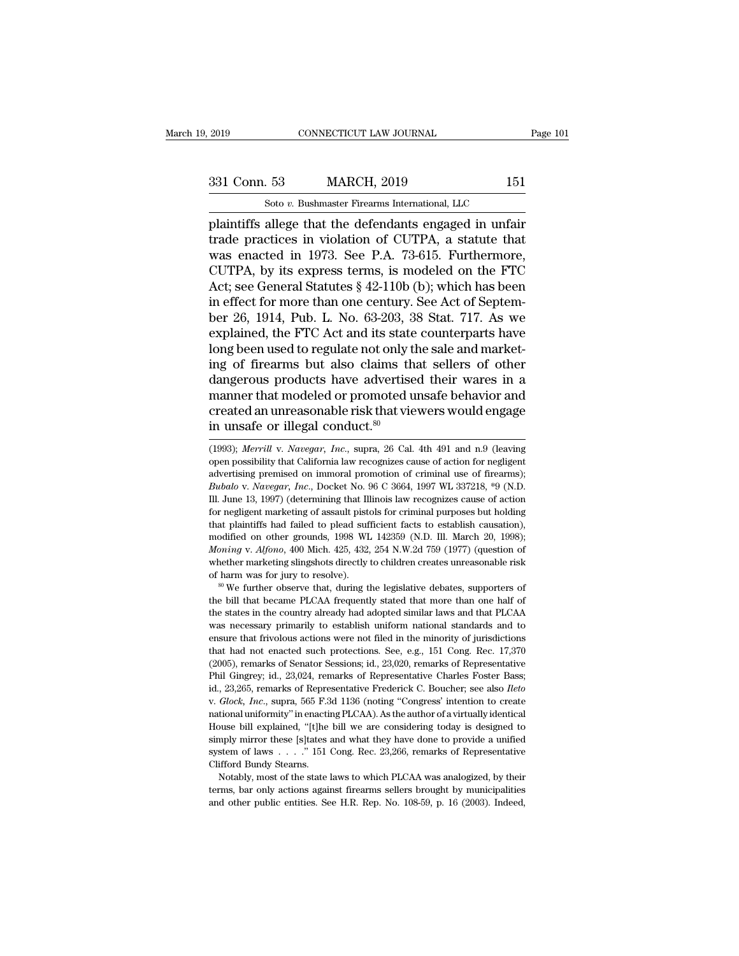# 2019 CONNECTICUT LAW JOURNAL Page 101<br>331 Conn. 53 MARCH, 2019 151<br>500 v. Bushmaster Firearms International, LLC

CONNECTICUT LAW JOURNAL<br>Soto *v.* Bushmaster Firearms International, LLC<br>Rilege that the defendants engaged in unfair Page 101<br>
2019 CONNECTICUT LAW JOURNAL Page 101<br>
331 Conn. 53 MARCH, 2019 151<br>
500 v. Bushmaster Firearms International, LLC<br>
plaintiffs allege that the defendants engaged in unfair<br>
trade practices in violation of CUTPA, 331 Conn. 53 MARCH, 2019 151<br>
Soto v. Bushmaster Firearms International, LLC<br>
plaintiffs allege that the defendants engaged in unfair<br>
trade practices in violation of CUTPA, a statute that<br>
was enacted in 1973. See P.A. 73 331 Conn. 53 MARCH, 2019 151<br>
Soto v. Bushmaster Firearms International, LLC<br>
plaintiffs allege that the defendants engaged in unfair<br>
trade practices in violation of CUTPA, a statute that<br>
was enacted in 1973. See P.A. 7 331 Conn. 53 MARCH, 2019 151<br>
soto v. Bushmaster Firearms International, LLC<br>
plaintiffs allege that the defendants engaged in unfair<br>
trade practices in violation of CUTPA, a statute that<br>
was enacted in 1973. See P.A. 7 Soto v. Bushmaster Firearms International, LLC<br>plaintiffs allege that the defendants engaged in unfair<br>trade practices in violation of CUTPA, a statute that<br>was enacted in 1973. See P.A. 73-615. Furthermore,<br>CUTPA, by its soto *v*. Bushmaster Freams International, LLC<br>plaintiffs allege that the defendants engaged in unfair<br>trade practices in violation of CUTPA, a statute that<br>was enacted in 1973. See P.A. 73-615. Furthermore,<br>CUTPA, by its plaintiffs allege that the defendants engaged in unfair<br>trade practices in violation of CUTPA, a statute that<br>was enacted in 1973. See P.A. 73-615. Furthermore,<br>CUTPA, by its express terms, is modeled on the FTC<br>Act; see G trade practices in violation of CUTPA, a statute that<br>was enacted in 1973. See P.A. 73-615. Furthermore,<br>CUTPA, by its express terms, is modeled on the FTC<br>Act; see General Statutes § 42-110b (b); which has been<br>in effect was enacted in 1973. See P.A. 73-615. Furthermore,<br>CUTPA, by its express terms, is modeled on the FTC<br>Act; see General Statutes § 42-110b (b); which has been<br>in effect for more than one century. See Act of Septem-<br>ber 26, CUTPA, by its express terms, is modeled on the FTC<br>Act; see General Statutes  $\S$  42-110b (b); which has been<br>in effect for more than one century. See Act of Septem-<br>ber 26, 1914, Pub. L. No. 63-203, 38 Stat. 717. As we<br>ex Act; see General Statutes  $\S$  42-110b (b); which has been<br>in effect for more than one century. See Act of Septem-<br>ber 26, 1914, Pub. L. No. 63-203, 38 Stat. 717. As we<br>explained, the FTC Act and its state counterparts hav in effect for more than one century. See Act of Septem-<br>ber 26, 1914, Pub. L. No. 63-203, 38 Stat. 717. As we<br>explained, the FTC Act and its state counterparts have<br>long been used to regulate not only the sale and marketber 26, 1914, Pub. L. No. 63-203, 38 Stat. 717. As we<br>explained, the FTC Act and its state counterparts have<br>long been used to regulate not only the sale and market-<br>ing of firearms but also claims that sellers of other<br>da explained, the FTC Act and its state<br>long been used to regulate not only tl<br>ing of firearms but also claims th<br>dangerous products have advertise<br>manner that modeled or promoted u<br>created an unreasonable risk that vie<br>in un dangerous products have advertised their wares in a<br>manner that modeled or promoted unsafe behavior and<br>created an unreasonable risk that viewers would engage<br>in unsafe or illegal conduct.<sup>80</sup><br>(1993); *Merrill* v. *Navegar* manner that modeled or promoted unsafe behavior and<br>created an unreasonable risk that viewers would engage<br>in unsafe or illegal conduct.<sup>80</sup><br>(1993); *Merrill v. Navegar*, *Inc.*, supra, 26 Cal. 4th 491 and n.9 (leaving<br>ope

created an unreasonable risk that viewers would engage<br>in unsafe or illegal conduct.<sup>80</sup><br>(1993); *Merrill v. Navegar, Inc.*, supra, 26 Cal. 4th 491 and n.9 (leaving<br>open possibility that California law recognizes cause of *Bubaloo v. Navegar, Inc.*, supra, 26 Cal. 4th 491 and n.9 (leaving the mossibility that California law recognizes cause of action for negligent advertising premised on immoral promotion of criminal use of firearms); *Buba* III UIISate Of IIIegat CONQUCt.<br>
(1993); *Merrill v. Navegar, Inc.*, supra, 26 Cal. 4th 491 and n.9 (leaving<br>
open possibility that California law recognizes cause of action for negligent<br>
advertising premised on immoral p (1993); *Merrill v. Navegar*, *Inc.*, supra, 26 Cal. 4th 491 and n.9 (leaving open possibility that California law recognizes cause of action for negligent advertising premised on immoral promotion of criminal use of fire (open possibility that California law recognizes cause of action for negligent advertising premised on immoral promotion of criminal use of firearms); *Bubalo v. Navegar, Inc.*, Docket No. 96 C 3664, 1997 WL 337218, \*9 (N. advertising premised on immoral promotion of criminal use of firearms);<br>Bubalo v. Navegar, Inc., Docket No. 96 C 3664, 1997 WL 337218, <sup>\*9</sup> (N.D.<br>Ill. June 13, 1997) (determining that Illinois law recognizes cause of actio *Hubalo v. Navegar, Inc.*, Docket No. 96 C 3664, 1997 WL 337218, \*9 (N.D.<br>Ill. June 13, 1997) (determining that Illinois law recognizes cause of action<br>for negligent marketing of assault pistols for criminal purposes but h EU. June 13, 1997) (determining that Illinois law recognizes cause of action<br>for negligent marketing of assault pistols for criminal purposes but holding<br>that plaintiffs had failed to plead sufficient facts to establish ca for negligent marketing of assault pistols for criminal purposes but holding<br>that plaintiffs had failed to plead sufficient facts to establish causation),<br>modified on other grounds, 1998 WL 142359 (N.D. Ill. March 20, 1998 modified on other grounds, 1998 WL 142359 (N.D. Ill. March 20, 1998);<br> *Moning* v. *Alfono*, 400 Mich. 425, 432, 254 N.W.2d 759 (1977) (question of<br>
whether marketing slingshots directly to children creates unreasonable ri

*Moning* v.  $Alfono$ , 400 Mich. 425, 432, 254 N.W.2d 759 (1977) (question of whether marketing slingshots directly to children creates unreasonable risk of harm was for jury to resolve).<br><sup>80</sup> We further observe that, during whether marketing slingshots directly to children creates unreasonable risk<br>of harm was for jury to resolve).<br><sup>80</sup> We further observe that, during the legislative debates, supporters of<br>the bill that became PLCAA frequentl of harm was for jury to resolve).<br>
<sup>80</sup> We further observe that, during the legislative debates, supporters of<br>
the bill that became PLCAA frequently stated that more than one half of<br>
the states in the country already ha <sup>s w</sup> We further observe that, during the legislative debates, supporters of the bill that became PLCAA frequently stated that more than one half of the states in the country already had adopted similar laws and that PLCA the bill that became PLCAA frequently stated that more than one half of the states in the country already had adopted similar laws and that PLCAA was necessary primarily to establish uniform national standards and to ensur the states in the country already had adopted similar laws and that PLCAA was necessary primarily to establish uniform national standards and to ensure that frivolous actions were not filed in the minority of jurisdictions was necessary primarily to establish uniform national standards and to<br>ensure that frivolous actions were not filed in the minority of jurisdictions<br>that had not enacted such protections. See, e.g., 151 Cong. Rec. 17,370<br>( <sup>o</sup> ensure that frivolous actions were not filed in the minority of jurisdictions that had not enacted such protections. See, e.g., 151 Cong. Rec. 17,370 (2005), remarks of Senator Sessions; id., 23,020, remarks of Represe that had not enacted such protections. See, e.g., 151 Cong. Rec. 17,370 (2005), remarks of Senator Sessions; id., 23,020, remarks of Representative Phil Gingrey; id., 23,024, remarks of Representative Charles Foster Bass; (2005), remarks of Senator Sessions; id., 23,020, remarks of Representative Phil Gingrey; id., 23,024, remarks of Representative Charles Foster Bass; id., 23,265, remarks of Representative Frederick C. Boucher; see also Phil Gingrey; id., 23,024, remarks of Representative Charles Foster Bass; id., 23,265, remarks of Representative Frederick C. Boucher; see also *Ileto* v. *Glock*, *Inc.*, supra, 565 F.3d 1136 (noting "Congress' intention sid., 23,265, remarks of Representative Frederick C. Boucher; see also *Ileto* v. *Glock*, *Inc.*, supra, 565 F.3d 1136 (noting "Congress' intention to create national uniformity" in enacting PLCAA). As the author of a vir Clifford Bundy Stearns. The state laws of the state laws to which PLCAA was analogized, by their discusses bill explained, "[t]he bill we are considering today is designed to mply mirror these [s]tates and what they have done to provide a unifie House bill explained, "[the bill we are considering today is designed to simply mirror these [s]tates and what they have done to provide a unified system of laws  $\ldots$ ." 151 Cong. Rec. 23,266, remarks of Representative Cl simply mirror these [s]tates and what they have done to provide a unified system of laws  $\ldots$ ." 151 Cong. Rec. 23,266, remarks of Representative Clifford Bundy Steams.<br>Clifford Bundy Steams.<br>Notably, most of the state la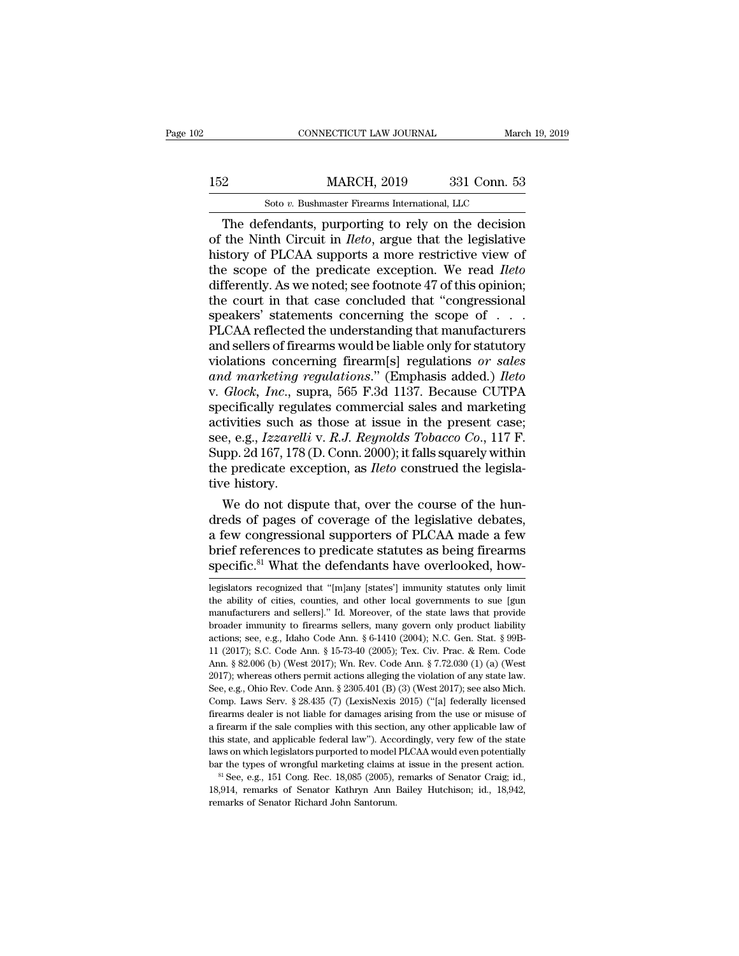# EXECUTE CONNECTICUT LAW JOURNAL March 19, 2019<br>152 MARCH, 2019 331 Conn. 53<br>800 v. Bushmaster Firearms International, LLC CONNECTICUT LAW JOURNAL March March March MARCH, 2019 331 Conn. 53<br>Soto *v.* Bushmaster Firearms International, LLC<br>Fendants purporting to rely on the decision

CONNECTICUT LAW JOURNAL March 19, 2019<br>
2 MARCH, 2019 331 Conn. 53<br>
Soto v. Bushmaster Firearms International, LLC<br>
The defendants, purporting to rely on the decision<br>
the Ninth Circuit in *Reto*, argue that the legislativ **Example 152** MARCH, 2019 331 Conn. 53<br>
Soto v. Bushmaster Firearms International, LLC<br>
The defendants, purporting to rely on the decision<br>
of the Ninth Circuit in *Ileto*, argue that the legislative<br>
history of PLCAA supp  $\frac{\text{MARCH, 2019}}{\text{Soto } v. \text{ Bushmaster Firearms International, LLC}}$ <br>The defendants, purporting to rely on the decision<br>of the Ninth Circuit in *Reto*, argue that the legislative<br>history of PLCAA supports a more restrictive view of<br>the scope of the predi MARCH, 2019 331 Conn. 53<br>
Soto *v*. Bushmaster Firearms International, LLC<br>
The defendants, purporting to rely on the decision<br>
of the Ninth Circuit in *Ileto*, argue that the legislative<br>
history of PLCAA supports a more Soto v. Bushmaster Firearms International, LLC<br>
The defendants, purporting to rely on the decision<br>
of the Ninth Circuit in *Reto*, argue that the legislative<br>
history of PLCAA supports a more restrictive view of<br>
the sco Soto *v*. Bushmaster Firearms International, LLC<br>
The defendants, purporting to rely on the decision<br>
of the Ninth Circuit in *Ileto*, argue that the legislative<br>
history of PLCAA supports a more restrictive view of<br>
the The defendants, purporting to rely on the decision<br>of the Ninth Circuit in *Reto*, argue that the legislative<br>history of PLCAA supports a more restrictive view of<br>the scope of the predicate exception. We read *Reto*<br>diffe of the Ninth Circuit in *Ileto*, argue that the legislative<br>history of PLCAA supports a more restrictive view of<br>the scope of the predicate exception. We read *Ileto*<br>differently. As we noted; see footnote 47 of this opin history of PLCAA supports a more restrictive view of<br>the scope of the predicate exception. We read *Ileto*<br>differently. As we noted; see footnote 47 of this opinion;<br>the court in that case concluded that "congressional<br>spe the scope of the predicate exception. We read *Ileto*<br>differently. As we noted; see footnote 47 of this opinion;<br>the court in that case concluded that "congressional<br>speakers' statements concerning the scope of . . .<br>PLCAA differently. As we noted; see footnote 47 of this opinion;<br>the court in that case concluded that "congressional<br>speakers' statements concerning the scope of . . .<br>PLCAA reflected the understanding that manufacturers<br>and se the court in that case concluded that "congressional<br>speakers' statements concerning the scope of . . .<br>PLCAA reflected the understanding that manufacturers<br>and sellers of firearms would be liable only for statutory<br>violat speakers' statements concerning the scope of . . . . PLCAA reflected the understanding that manufacturers<br>and sellers of firearms would be liable only for statutory<br>violations concerning firearm[s] regulations *or sales<br>a* PLCAA reflected the understanding that manufacturers<br>and sellers of firearms would be liable only for statutory<br>violations concerning firearm[s] regulations *or sales*<br>and marketing regulations." (Emphasis added.) *Ileto* and sellers of firearms would be liable only for statutory<br>violations concerning firearm[s] regulations *or sales*<br>and marketing regulations." (Emphasis added.) *Ileto*<br>v. *Glock, Inc.*, supra, 565 F.3d 1137. Because CUTPA violations concerning firearm[s] regulations *or sales*<br>and marketing regulations." (Emphasis added.) *Ileto*<br>v. *Glock, Inc.*, supra, 565 F.3d 1137. Because CUTPA<br>specifically regulates commercial sales and marketing<br>acti and marketing regulations." (Emphasis added.) *Ileto* v. *Glock, Inc.*, supra, 565 F.3d 1137. Because CUTPA specifically regulates commercial sales and marketing activities such as those at issue in the present case; see, v. *Glock, Inc.*, su<br>specifically regul<br>activities such as<br>see, e.g., *Izzarell*<br>Supp. 2d 167, 178<br>the predicate exc<br>tive history.<br>We do not disp ecifically regulates commercial sales and marketing<br>tivities such as those at issue in the present case;<br>e, e.g., *Izzarelli* v. *R.J. Reynolds Tobacco Co.*, 117 F.<br>pp. 2d 167, 178 (D. Conn. 2000); it falls squarely within activities such as those at issue in the present case;<br>see, e.g., *Izzarelli* v. *R.J. Reynolds Tobacco Co.*, 117 F.<br>Supp. 2d 167, 178 (D. Conn. 2000); it falls squarely within<br>the predicate exception, as *Ileto* construed

see, e.g., *Izzarelli v. R.J. Reynolds Tobacco Co.*, 117 F.<br>Supp. 2d 167, 178 (D. Conn. 2000); it falls squarely within<br>the predicate exception, as *Ileto* construed the legisla-<br>tive history.<br>We do not dispute that, over Supp. 2d 167, 178 (D. Conn. 2000); it falls squarely within<br>the predicate exception, as *Reto* construed the legisla-<br>tive history.<br>We do not dispute that, over the course of the hun-<br>dreds of pages of coverage of the legi the predicate exception, as *lleto* construed the legislative history.<br>We do not dispute that, over the course of the hundreds of pages of coverage of the legislative debates,<br>a few congressional supporters of PLCAA made a dreds of pages of coverage of the legislative debates,<br>a few congressional supporters of PLCAA made a few<br>brief references to predicate statutes as being firearms<br>specific.<sup>81</sup> What the defendants have overlooked, how-<br>leg a few congressional supporters of PLCAA made a few<br>brief references to predicate statutes as being firearms<br>specific.<sup>81</sup> What the defendants have overlooked, how-<br>legislators recognized that "[m]any [states'] immunity sta

brief references to predicate statutes as being firearms<br>specific.<sup>81</sup> What the defendants have overlooked, how-<br>legislators recognized that "[m]any [states'] immunity statutes only limit<br>the ability of cities, counties, a specific.<sup>81</sup> What the defendants have overlooked, how-<br>legislators recognized that "[m]any [states'] immunity statutes only limit<br>the ability of cities, counties, and other local governments to sue [gun<br>manufacturers and spectric.<sup>--</sup> Wriat trie dereridants have overlooked, how-<br>legislators recognized that "[m]any [states'] immunity statutes only limit<br>the ability of cities, counties, and other local governments to sue [gun<br>manufacturers a legislators recognized that "[m]any [states'] immunity statutes only limit<br>the ability of cities, counties, and other local governments to sue [gun<br>manufacturers and sellers]." Id. Moreover, of the state laws that provide<br> the ability of cities, counties, and other local governments to sue [gun manufacturers and sellers]." Id. Moreover, of the state laws that provide broader immunity to firearms sellers, many govern only product liability ac manufacturers and sellers]." Id. Moreover, of the state laws that provide<br>broader immunity to firearms sellers, many govern only product liability<br>actions; see, e.g., Idaho Code Ann. § 6-1410 (2004); N.C. Gen. Stat. § 99B broader immunity to firearms sellers, many govern only product liability<br>actions; see, e.g., Idaho Code Ann. § 6-1410 (2004); N.C. Gen. Stat. § 99B-<br>11 (2017); S.C. Code Ann. § 15-73-40 (2005); Tex. Civ. Prac. & Rem. Code<br> actions; see, e.g., Idaho Code Ann. § 6-1410 (2004); N.C. Gen. Stat. § 99B-<br>11 (2017); S.C. Code Ann. § 15-73-40 (2005); Tex. Civ. Prac. & Rem. Code<br>Ann. § 82.006 (b) (West 2017); Wn. Rev. Code Ann. § 7.72.030 (1) (a) (Wes are set of the sale of the sale of the sale of the sale of the sale of damages are set of damages are set of damages are set of damages are set of damages are set of damages arising from the use of the use of the use of t Fraces, 1982.006 (b) (West 2017); Wn. Rev. Code Ann. § 7.72.030 (1) (a) (West 2017); whereas others permit actions alleging the violation of any state law. See, e.g., Ohio Rev. Code Ann. § 2305.401 (B) (3) (West 2017); see 2017); whereas others permit actions alleging the violation of any state law.<br>See, e.g., Ohio Rev. Code Ann. § 2305.401 (B) (3) (West 2017); see also Mich.<br>Comp. Laws Serv. § 28.435 (7) (LexisNexis 2015) ("[a] federally l See, e.g., Ohio Rev. Code Ann. § 2305.401 (B) (3) (West 2017); see also Mich.<br>Comp. Laws Serv. § 28.435 (7) (LexisNexis 2015) ("[a] federally licensed<br>firearms dealer is not liable for damages arising from the use or misu bare types of wrongful marketing claims at issue in the present actiom. The same of a firearms dealer is not liable for damages arising from the use or misuse of a firearm if the sale complies with this section, any other a firearm if the sale complies with this section, any other applicable law of this state, and applicable federal law"). Accordingly, very few of the state laws on which legislators purported to model PLCAA would even poten remarks of Senator Richard II aw"). Accelaws on which legislators purported to model<br>bar the types of wrongful marketing claims<br><sup>81</sup> See, e.g., 151 Cong. Rec. 18,085 (2005),<br>18,914, remarks of Senator Kathryn Ann l<br>remarks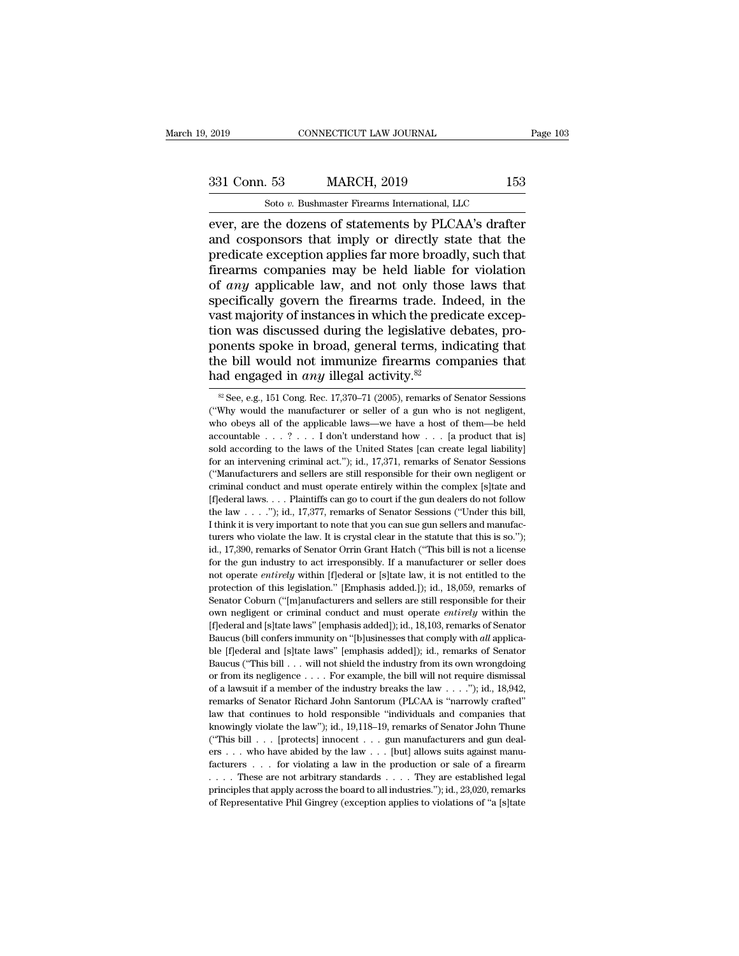# 2019 CONNECTICUT LAW JOURNAL Page 103<br>331 Conn. 53 MARCH, 2019 153<br>500 v. Bushmaster Firearms International, LLC CONNECTICUT LAW JOURNAL<br>
Soto *v.* Bushmaster Firearms International, LLC<br>
Soto *v.* Bushmaster Firearms International, LLC<br>
the dozens of statements by PLCAA's drafter

ever, are the dozens of statements by PLCAA's drafter<br>and cosponsors that imply or directly state that the<br>predicate exception applies far more broadly such that 331 Conn. 53 MARCH, 2019 153<br>
Soto v. Bushmaster Firearms International, LLC<br>
ever, are the dozens of statements by PLCAA's drafter<br>
and cosponsors that imply or directly state that the<br>
predicate exception applies far mor  $\frac{331 \text{ Conn. } 53}{\text{Soto } v. \text{ Bushmaster Firearms International, LLC}}$ <br>  $\frac{153}{\text{ever, are the dozens of statements by PLCAA's drafter}}$ <br>
and cosponsors that imply or directly state that the<br>
predicate exception applies far more broadly, such that<br>
firearms companies may be held liable for v  $f(331 \text{ Conn. } 53$  MARCH, 2019 153<br>
Soto v. Bushmaster Firearms International, LLC<br>
ever, are the dozens of statements by PLCAA's drafter<br>
and cosponsors that imply or directly state that the<br>
predicate exception applies fa sold both. 80 **any** applicable law, and the discussed ever, are the dozens of statements by PLCAA's drafter and cosponsors that imply or directly state that the predicate exception applies far more broadly, such that firea Soto v. Bushmaster Firearms International, LLC<br>ever, are the dozens of statements by PLCAA's drafter<br>and cosponsors that imply or directly state that the<br>predicate exception applies far more broadly, such that<br>firearms co ever, are the dozens of statements by PLCAA's drafter<br>and cosponsors that imply or directly state that the<br>predicate exception applies far more broadly, such that<br>firearms companies may be held liable for violation<br>of *any* and cosponsors that imply or directly state that the predicate exception applies far more broadly, such that firearms companies may be held liable for violation of *any* applicable law, and not only those laws that specifi predicate exception applies far more broadly, such that<br>firearms companies may be held liable for violation<br>of *any* applicable law, and not only those laws that<br>specifically govern the firearms trade. Indeed, in the<br>vast firearms companies may be held liable for violation<br>of *any* applicable law, and not only those laws that<br>specifically govern the firearms trade. Indeed, in the<br>vast majority of instances in which the predicate excep-<br>tio of *any* applicable law, and not only thos<br>specifically govern the firearms trade. Inc<br>vast majority of instances in which the pred<br>tion was discussed during the legislative d<br>ponents spoke in broad, general terms, inc<br>the % on was discussed during the legislative debates, pro-<br>onents spoke in broad, general terms, indicating that<br>the bill would not immunize firearms companies that<br>ad engaged in *any* illegal activity.<sup>82</sup><br> $R_{\text{see, e.g., 151 Cong.$ ponents spoke in broad, general terms, indicating that<br>the bill would not immunize firearms companies that<br>had engaged in *any* illegal activity.<sup>82</sup><br> $\frac{\infty}{\infty}$  See, e.g., 151 Cong. Rec. 17,370–71 (2005), remarks of Sen

the bill would not immunize firearms companies that<br>had engaged in *any* illegal activity.<sup>82</sup><br> $\frac{1}{\infty}$  See, e.g., 151 Cong. Rec. 17,370-71 (2005), remarks of Senator Sessions<br>("Why would the manufacturer or seller of and engaged in *any* illegal activity.<sup>82</sup><br>
<sup>82</sup> See, e.g., 151 Cong. Rec. 17,370-71 (2005), remarks of Senator Sessions<br>
("Why would the manufacturer or seller of a gun who is not negligent,<br>
who obeys all of the applica Fiatal engaged III *anty* Inegal activity.<sup>--</sup><br>
<sup>8</sup> See, e.g., 151 Cong. Rec. 17,370-71 (2005), remarks of Senator Sessions<br>
("Why would the manufacturer or seller of a gun who is not negligent,<br>
who obeys all of the appl <sup>82</sup> See, e.g., 151 Cong. Rec. 17,370–71 (2005), remarks of Senator Sessions ("Why would the manufacturer or seller of a gun who is not negligent, who obeys all of the applicable laws—we have a host of them—be held accoun ("Why would the manufacturer or seller of a gun who is not negligent, who obeys all of the applicable laws—we have a host of them—be held accountable  $\ldots$ ?  $\ldots$  I don't understand how  $\ldots$  [a product that is] sold acco who obeys all of the applicable laws—we have a host of them—be held accountable . . . ? . . . I don't understand how . . . [a product that is] sold according to the laws of the United States [can create legal liability] f accountable . . . ? . . . I don't understand how . . . [a product that is] sold according to the laws of the United States [can create legal liability] for an intervening criminal act."); id., 17,371, remarks of Senator S sold according to the laws of the United States [can create legal liability]<br>for an intervening criminal act."); id., 17,371, remarks of Senator Sessions<br>("Manufacturers and sellers are still responsible for their own negl for an intervening criminal act."); id., 17,371, remarks of Senator Sessions ("Manufacturers and sellers are still responsible for their own negligent or criminal conduct and must operate entirely within the complex [s]ta "Wanufacturers and sellers are still responsible for their own negligent or criminal conduct and must operate entirely within the complex [s]tate and [f]ederal laws. . . . Plaintiffs can go to court if the gun dealers do criminal conduct and must operate entirely within the complex [s]tate and [f]ederal laws. . . . Plaintiffs can go to court if the gun dealers do not follow the law  $\ldots$  ."); id., 17,377, remarks of Senator Sessions ("Und Filederal laws. . . . Plaintiffs can go to court if the gun dealers do not follow<br>the law . . . . "); id., 17,377, remarks of Senator Sessions ("Under this bill,<br>I think it is very important to note that you can sue gun s From the law . . . ."); id., 17,377, remarks of Senator Sessions ("Under this bill, I think it is very important to note that you can sue gun sellers and manufacturers who violate the law. It is crystal clear in the statue If think it is very important to note that you can sue gun sellers and manufacturers who violate the law. It is crystal clear in the statute that this is so."); id., 17,390, remarks of Senator Orrin Grant Hatch ("This bill Furnsy who violate the law. It is crystal clear in the statute that this is so."); id., 17,390, remarks of Senator Orrin Grant Hatch ("This bill is not a license for the gun industry to act irresponsibly. If a manufacturer id., 17,390, remarks of Senator Orrin Grant Hatch ("This bill is not a license<br>for the gun industry to act irresponsibly. If a manufacturer or seller does<br>not operate *entirely* within [f]ederal or [s]tate law, it is not e Entry the gun industry to act irresponsibly. If a manufacturer or seller does not operate *entirely* within [f]ederal or [s]tate law, it is not entitled to the protection of this legislation." [Emphasis added.]); id., 18,0 For any gair *and typerate entirely within* [f]ederal or [s]tate law, it is not entitled to the protection of this legislation." [Emphasis added.]); id., 18,059, remarks of Senator Coburn ("[m]anufacturers and sellers are protection of this legislation." [Emphasis added.]); id., 18,059, remarks of Senator Coburn ("[m]anufacturers and sellers are still responsible for their own negligent or criminal conduct and must operate *entirely* withi Senator Coburn ("[m]anufacturers and sellers are still responsible for their own negligent or criminal conduct and must operate *entirely* within the [f]ederal and [s]tate laws" [emphasis added]); id., 18,103, remarks of own negligent or criminal conduct and must operate *entirely* within the [f]ederal and [s]tate laws" [emphasis added]); id., 18,103, remarks of Senator Baucus (bill confers immunity on "[b]usinesses that comply with *all* [f] ederal and [s] tate laws" [emphasis added]); id., 18,103, remarks of Senator Baucus (bill confers immunity on "[b] usinesses that comply with *all* applica-<br>ble [f] ederal and [s] tate laws" [emphasis added]); id., rem Following Characterical Trumminity on "[b]usinesses that comply with *all* applica-<br>Baucus (bill confers immunity on "[b]usinesses that comply with *all* applica-<br>ble [f]ederal and [s]tate laws" [emphasis added]); id., re ble [f]ederal and [s]tate laws" [emphasis added]); id., remarks of Senator Baucus ("This bill  $\ldots$  will not shield the industry from its own wrongdoing or from its negligence  $\ldots$ . For example, the bill will not require Baucus ("This bill . . . will not shield the industry from its own wrongdoing<br>or from its negligence . . . . For example, the bill will not require dismissal<br>of a lawsuit if a member of the industry breaks the law  $\ldots$ ") % or from its negligence . . . . For example, the bill will not require dismissal of a lawsuit if a member of the industry breaks the law . . . ."); id., 18,942, remarks of Senator Richard John Santorum (PLCAA is "narrowl of a lawsuit if a member of the industry breaks the law  $\ldots$ "); id., 18,942, remarks of Senator Richard John Santorum (PLCAA is "narrowly crafted" law that continues to hold responsible "individuals and companies that kn Facturers of Senator Richard John Santorum (PLCAA is "narrowly crafted"<br>law that continues to hold responsible "individuals and companies that<br>knowingly violate the law"); id., 19,118–19, remarks of Senator John Thune<br>("T Law that continues to hold responsible "individuals and companies that knowingly violate the law"); id., 19,118–19, remarks of Senator John Thune ("This bill . . . [protects] innocent . . . gun manufacturers and gun deale knowingly violate the law"); id., 19,118–19, remarks of Senator John Thune ("This bill . . . [protects] innocent . . . gun manufacturers and gun dealers . . . who have abided by the law . . . [but] allows suits against ma ("This bill . . . [protects] innocent . . . gun manufacturers and gun dealers . . . who have abided by the law . . . [but] allows suits against manufacturers . . . for violating a law in the production or sale of a firear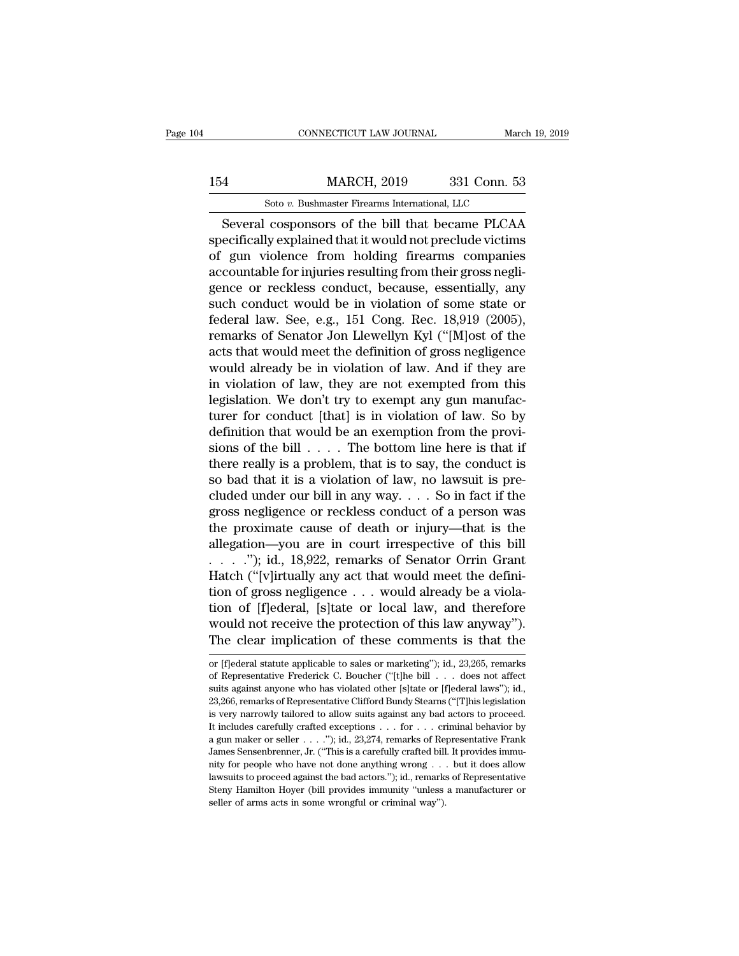# EXECUTE CONNECTICUT LAW JOURNAL March 19, 2019<br>154 MARCH, 2019 331 Conn. 53<br>800 v. Bushmaster Firearms International, LLC CONNECTICUT LAW JOURNAL March March March MARCH, 2019 331 Conn. 53<br>Soto *v.* Bushmaster Firearms International, LLC<br>COSDODSOTS of the bill that became PLCAA

CONNECTICUT LAW JOURNAL March 19, 2019<br>
MARCH, 2019 331 Conn. 53<br>
Soto v. Bushmaster Firearms International, LLC<br>
Several cosponsors of the bill that became PLCAA<br>
ecifically explained that it would not preclude victims<br>
T 154 MARCH, 2019 331 Conn. 53<br>
Soto v. Bushmaster Firearms International, LLC<br>
Several cosponsors of the bill that became PLCAA<br>
specifically explained that it would not preclude victims<br>
of gun violence from holding firear MARCH, 2019 331 Conn. 53<br>
Soto v. Bushmaster Firearms International, LLC<br>
Several cosponsors of the bill that became PLCAA<br>
specifically explained that it would not preclude victims<br>
of gun violence from holding firearms c MARCH, 2019 331 Conn. 53<br>
Soto v. Bushmaster Firearms International, LLC<br>
Several cosponsors of the bill that became PLCAA<br>
specifically explained that it would not preclude victims<br>
of gun violence from holding firearms c Soto v. Bushmaster Firearms International, LLC<br>
Several cosponsors of the bill that became PLCAA<br>
specifically explained that it would not preclude victims<br>
of gun violence from holding firearms companies<br>
accountable for Solo *v*. Busingster Frieams intenational, ELC<br>Several cosponsors of the bill that became PLCAA<br>specifically explained that it would not preclude victims<br>of gun violence from holding firearms companies<br>accountable for inj Several cosponsors of the bill that became PLCAA<br>specifically explained that it would not preclude victims<br>of gun violence from holding firearms companies<br>accountable for injuries resulting from their gross negli-<br>gence or specifically explained that it would not preclude victims<br>of gun violence from holding firearms companies<br>accountable for injuries resulting from their gross negli-<br>gence or reckless conduct, because, essentially, any<br>such of gun violence from holding firearms companies<br>accountable for injuries resulting from their gross negli-<br>gence or reckless conduct, because, essentially, any<br>such conduct would be in violation of some state or<br>federal la accountable for injuries resulting from their gross negli-<br>gence or reckless conduct, because, essentially, any<br>such conduct would be in violation of some state or<br>federal law. See, e.g., 151 Cong. Rec. 18,919 (2005),<br>rema gence or reckless conduct, because, essentially, any<br>such conduct would be in violation of some state or<br>federal law. See, e.g., 151 Cong. Rec. 18,919 (2005),<br>remarks of Senator Jon Llewellyn Kyl ("[M]ost of the<br>acts that such conduct would be in violation of some state or<br>federal law. See, e.g., 151 Cong. Rec. 18,919 (2005),<br>remarks of Senator Jon Llewellyn Kyl ("[M]ost of the<br>acts that would meet the definition of gross negligence<br>would a federal law. See, e.g., 151 Cong. Rec. 18,919 (2005),<br>remarks of Senator Jon Llewellyn Kyl ("[M]ost of the<br>acts that would meet the definition of gross negligence<br>would already be in violation of law. And if they are<br>in vi remarks of Senator Jon Llewellyn Kyl ("[M]ost of the acts that would meet the definition of gross negligence would already be in violation of law. And if they are in violation of law, they are not exempted from this legis acts that would meet the definition of gross negligence<br>would already be in violation of law. And if they are<br>in violation of law, they are not exempted from this<br>legislation. We don't try to exempt any gun manufac-<br>turer would already be in violation of law. And if they are<br>in violation of law, they are not exempted from this<br>legislation. We don't try to exempt any gun manufac-<br>turer for conduct [that] is in violation of law. So by<br>defini in violation of law, they are not exempted from this<br>legislation. We don't try to exempt any gun manufac-<br>turer for conduct [that] is in violation of law. So by<br>definition that would be an exemption from the provi-<br>sions legislation. We don't try to exempt any gun manufacturer for conduct [that] is in violation of law. So by definition that would be an exemption from the provisions of the bill . . . . The bottom line here is that if there turer for conduct [that] is in violation of law. So by<br>definition that would be an exemption from the provi-<br>sions of the bill . . . . The bottom line here is that if<br>there really is a problem, that is to say, the conduct definition that would be an exemption from the provisions of the bill . . . . The bottom line here is that if there really is a problem, that is to say, the conduct is so bad that it is a violation of law, no lawsuit is p sions of the bill . . . . The bottom line here is that if<br>there really is a problem, that is to say, the conduct is<br>so bad that it is a violation of law, no lawsuit is pre-<br>cluded under our bill in any way. . . . So in fa there really is a problem, that is to say, the conduct is<br>so bad that it is a violation of law, no lawsuit is pre-<br>cluded under our bill in any way.... So in fact if the<br>gross negligence or reckless conduct of a person wa so bad that it is a violation of law, no lawsuit is pre-<br>cluded under our bill in any way. . . . So in fact if the<br>gross negligence or reckless conduct of a person was<br>the proximate cause of death or injury—that is the<br>al cluded under our bill in any way.... So in fact if the<br>gross negligence or reckless conduct of a person was<br>the proximate cause of death or injury—that is the<br>allegation—you are in court irrespective of this bill<br>..."); i gross negligence or reckless conduct of a person was<br>the proximate cause of death or injury—that is the<br>allegation—you are in court irrespective of this bill<br> $\dots$ ."); id., 18,922, remarks of Senator Orrin Grant<br>Hatch ("[v the proximate cause of death or injury—that is the allegation—you are in court irrespective of this bill . . . . . ."); id., 18,922, remarks of Senator Orrin Grant Hatch ("[v]irtually any act that would meet the definitio allegation—you are in court irrespective of this bill<br>  $\ldots$  ."); id., 18,922, remarks of Senator Orrin Grant<br>
Hatch ("[v]irtually any act that would meet the defini-<br>
tion of gross negligence  $\ldots$  would already be a vio tion of gross negigence  $\ldots$  would arready be a violation of [f]ederal, [s]tate or local law, and therefore would not receive the protection of this law anyway"). The clear implication of these comments is that the or [f tion of [f]ederal, [s]tate or local law, and therefore would not receive the protection of this law anyway").<br>The clear implication of these comments is that the or [f]ederal statute applicable to sales or marketing"); id

would not receive the protection of this law anyway").<br>The clear implication of these comments is that the<br>or [f]ederal statute applicable to sales or marketing"); id., 23,265, remarks<br>of Representative Frederick C. Bouche The clear implication of these comments is that the<br>or [f]ederal statute applicable to sales or marketing"); id., 23,265, remarks<br>of Representative Frederick C. Boucher ("[t]he bill . . . does not affect<br>suits against anyo The clear implication of these comments is that the or [f]ederal statute applicable to sales or marketing"); id., 23,265, remarks of Representative Frederick C. Boucher ("[t]he bill . . . does not affect suits against any or [f]ederal statute applicable to sales or marketing"); id., 23,265, remarks of Representative Frederick C. Boucher ("[t]he bill . . . does not affect suits against anyone who has violated other [s]tate or [f]ederal laws a gun maker or seller . . . .''); id., 23,274, remarks of Representative Frank suits against anyone who has violated other [s]tate or [f]ederal laws"); id., 23,266, remarks of Representative Clifford Bundy Stearns ("[T]his legislation is very narrowly tailored to allow suits against any bad actors t 23,266, remarks of Representative Clifford Bundy Stearns ("[T]his legislation is very narrowly tailored to allow suits against any bad actors to proceed. It includes carefully crafted exceptions . . . for . . . criminal b Lawsum and the bad actors to proceed.<br>
It includes carefully crafted exceptions . . . for . . . criminal behavior by<br>
a gun maker or seller . . . ."); id., 23,274, remarks of Representative Frank<br>
James Sensenbrenner, Jr. Ending the increase of the increase of the includes carefully crafted exceptions . . . for . . . criminal behavior by a gun maker or seller . . . ."); id., 23,274, remarks of Representative Frank James Sensenbrenner, Jr. seller of arms acts in some again maker or seller  $\dots$ ."); id., 23,274, remarks of Re<br>James Sensenbrenner, Jr. ("This is a carefully crafted bill<br>nity for people who have not done anything wrong . .<br>lawsuits to proceed aga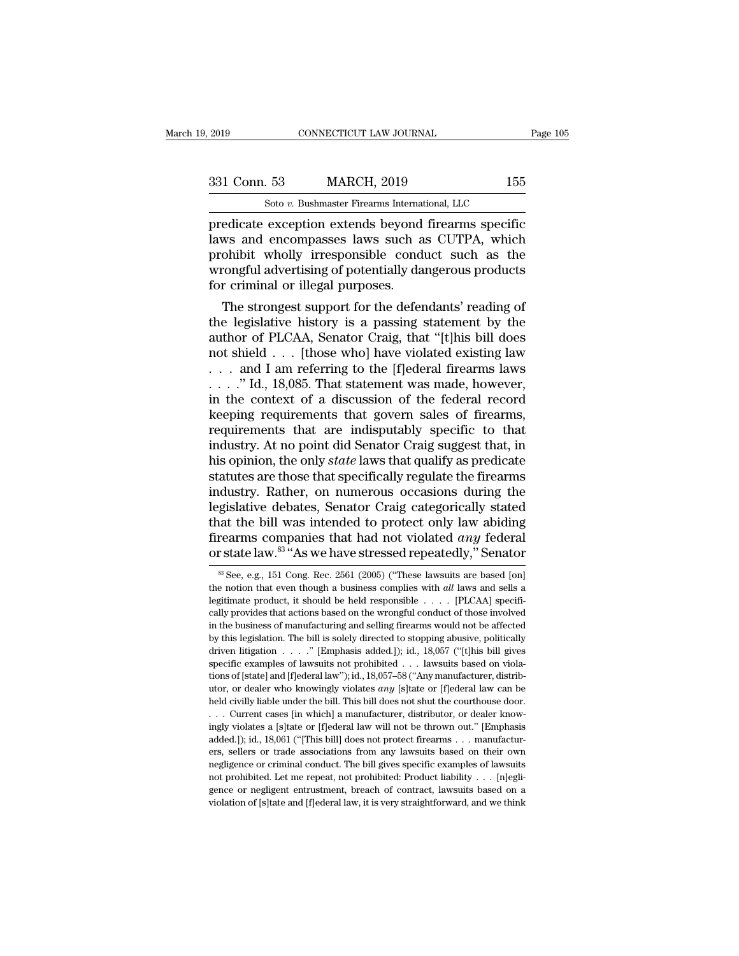| 2019         | CONNECTICUT LAW JOURNAL                              | Page 105 |  |
|--------------|------------------------------------------------------|----------|--|
|              |                                                      |          |  |
| 331 Conn. 53 | <b>MARCH, 2019</b>                                   | 155      |  |
|              | Soto v. Bushmaster Firearms International, LLC       |          |  |
|              | predicate exception extends beyond firearms specific |          |  |

Page 105<br>
2019 CONNECTICUT LAW JOURNAL Page 105<br>
331 Conn. 53 MARCH, 2019 155<br>
500 v. Bushmaster Firearms International, LLC<br>
predicate exception extends beyond firearms specific<br>
laws and encompasses laws such as CUTPA, w 331 Conn. 53 MARCH, 2019 155<br>Soto v. Bushmaster Firearms International, LLC<br>predicate exception extends beyond firearms specific<br>laws and encompasses laws such as CUTPA, which<br>prohibit wholly irresponsible conduct such as  $\frac{\text{331 Conn. 53}}{\text{Soto } v. \text{ Bushmaster Firearms International, LLC}}$ <br>  $\frac{\text{Soto } v. \text{ Bushmaster Firearms International, LLC}}{\text{predictate exception extends beyond firearms specific}|\text{laws and encompasses laws such as CUTPA, which prohibit wholly irresponsible conduct such as the wrongful advertising of potentially dangerous products for criminal or illegal purposes}\n$  $331$  Conn. 53 MARCH, 2019 155<br>
Soto v. Bushmaster Firearms International, LLC<br>
predicate exception extends beyond firearms specific<br>
laws and encompasses laws such as CUTPA, which<br>
prohibit wholly irresponsible conduct s Sole Collin 30 The Harloca, 2010<br>
Sole v. Bushmaster Firearms Internal<br>
predicate exception extends beyond<br>
laws and encompasses laws such a<br>
prohibit wholly irresponsible cond<br>
wrongful advertising of potentially da<br>
for edicate exception extends beyond firearms specific<br>ws and encompasses laws such as CUTPA, which<br>ohibit wholly irresponsible conduct such as the<br>rongful advertising of potentially dangerous products<br>r criminal or illegal pu predicate exception extends beyond firearms specific<br>laws and encompasses laws such as CUTPA, which<br>prohibit wholly irresponsible conduct such as the<br>wrongful advertising of potentially dangerous products<br>for criminal or i

have and encompasses laws such as CUTPA, which<br>prohibit wholly irresponsible conduct such as the<br>wrongful advertising of potentially dangerous products<br>for criminal or illegal purposes.<br>The strongest support for the defend prohibit wholly irresponsible conduct such as the<br>wrongful advertising of potentially dangerous products<br>for criminal or illegal purposes.<br>The strongest support for the defendants' reading of<br>the legislative history is a p wrongtul advertising of potentially dangerous products<br>for criminal or illegal purposes.<br>The strongest support for the defendants' reading of<br>the legislative history is a passing statement by the<br>author of PLCAA, Senator C for criminal or illegal purposes.<br>
The strongest support for the defendants' reading of<br>
the legislative history is a passing statement by the<br>
author of PLCAA, Senator Craig, that "[t]his bill does<br>
not shield . . . [thos The strongest support for the defendants' reading of<br>the legislative history is a passing statement by the<br>author of PLCAA, Senator Craig, that "[t]his bill does<br>not shield . . . [those who] have violated existing law<br> $\dots$ the legislative history is a passing statement by the author of PLCAA, Senator Craig, that "[t]his bill does not shield . . . [those who] have violated existing law . . . and I am referring to the [f]ederal firearms laws requirements that are indisputably specific to that not shield . . . [those who] have violated existing law . . . . and I am referring to the [f]ederal firearms laws . . . . ." Id., 18,085. That statement was made, however, in the context of a discussion of the federal rec heren is a contributed in the context of a discussion of the federal record, in the context of a discussion of the federal record keeping requirements that govern sales of firearms, requirements that are indisputably speci statutes are those that specifically regulate the firearms in the context of a discussion of the federal record<br>keeping requirements that govern sales of firearms,<br>requirements that are indisputably specific to that<br>industry. At no point did Senator Craig suggest that, in<br>his opin keeping requirements that govern sales of firearms,<br>requirements that are indisputably specific to that<br>industry. At no point did Senator Craig suggest that, in<br>his opinion, the only *state* laws that qualify as predicate<br> requirements that are indisputably specific to that<br>industry. At no point did Senator Craig suggest that, in<br>his opinion, the only *state* laws that qualify as predicate<br>statutes are those that specifically regulate the f industry. At no point did Senator Craig suggest that, in<br>his opinion, the only *state* laws that qualify as predicate<br>statutes are those that specifically regulate the firearms<br>industry. Rather, on numerous occasions durin his opinion, the only *state* laws that qualify as predicate statutes are those that specifically regulate the firearms industry. Rather, on numerous occasions during the legislative debates, Senator Craig categorically s gislative debates, Senator Craig categorically stated<br>nat the bill was intended to protect only law abiding<br>rearms companies that had not violated *any* federal<br>r state law.<sup>83</sup> "As we have stressed repeatedly," Senator<br>that the bill was intended to protect only law abiding<br>firearms companies that had not violated *any* federal<br>or state law.<sup>83</sup> "As we have stressed repeatedly," Senator<br><sup>83</sup> See, e.g., 151 Cong. Rec. 2561 (2005) ("These

the product are trade associations from any lawsuits based on the held civilly liable under the bill. This bill does not shut the courthouse door.<br>
. . . Current cases [in which] a manufacturer, distributor, or dealer kno held civilly liable under the bill. This bill does not shut the courthouse door.<br>
... Current cases [in which] a manufacturer, distributor, or dealer know-<br>
ingly violates a [s]tate or [f]ederal law will not be thrown out not compute the mean and intuitively increase in which a manufacturer, distributor, or dealer knowingly violates a [s]tate or [f]ederal law will not be thrown out." [Emphasis added.]); id., 18,061 ("[This bill] does not pr ingly violates a [s] tate or [f]ederal law will not be thrown out." [Emphasis added.]); id., 18,061 ("[This bill] does not protect firearms . . . manufacturers, sellers or trade associations from any lawsuits based on the added.]); id., 18,061 ("[This bill] does not protect firearms  $\ldots$  manufacturers, sellers or trade associations from any lawsuits based on their own negligence or criminal conduct. The bill gives specific examples of law

firearms companies that had not violated *any* federal<br>or state law.<sup>83</sup> "As we have stressed repeatedly," Senator<br><sup>83</sup> See, e.g., 151 Cong. Rec. 2561 (2005) ("These lawsuits are based [on]<br>the notion that even though a b or state law.<sup>83</sup> "As we have stressed repeatedly," Senator  $\frac{1}{100}$  and  $\frac{1}{100}$  and  $\frac{1}{100}$  are  $\frac{1}{100}$  and  $\frac{1}{100}$  and  $\frac{1}{100}$  and  $\frac{1}{100}$  and  $\frac{1}{100}$  and  $\frac{1}{100}$  and  $\frac{1}{100}$  and In the business of manufacturing and selling firearms would not be affected by this legislation. The business of manufacturing and sells are business of manufacturing and selling firearms would not be affected by this leg <sup>88</sup> See, e.g., 151 Cong. Rec. 2561 (2005) ("These lawsuits are based [on] the notion that even though a business complies with *all* laws and sells a legitimate product, it should be held responsible . . . . [PLCAA] spec the notion that even though a business complies with *all* laws and sells a legitimate product, it should be held responsible . . . . [PLCAA] specifically provides that actions based on the wrongful conduct of those invol legitimate product, it should be held responsible . . . . [PLCAA] specifically provides that actions based on the wrongful conduct of those involved in the business of manufacturing and selling firearms would not be affect cally provides that actions based on the wrongful conduct of those involved<br>in the business of manufacturing and selling firearms would not be affected<br>by this legislation. The bill is solely directed to stopping abusive, in the business of manufacturing and selling firearms would not be affected by this legislation. The bill is solely directed to stopping abusive, politically driven litigation  $\ldots$  " [Emphasis added.]); id., 18,057 ("[t] held civilly allow the bill is solely directed to stopping abusive, politically driven litigation . . . . " [Emphasis added.]); id., 18,057 ("[t]his bill gives specific examples of lawsuits not prohibited . . . lawsuits b by the ligation  $\ldots$  ... " [Emphasis added.]); id., 18,057 ("[t]his bill gives specific examples of lawsuits not prohibited  $\ldots$  lawsuits based on violations of [state] and [f]ederal law"); id., 18,057–58 ("Any manufact specific examples of law<br>suits not prohibited . . . law<br>suits based on violations of [state] and [f]ederal law"); id., 18,<br>057–58 ("Any manufacturer, distributor, or dealer who knowingly violates<br> $any$  [s]tate or [f]ederal tions of [state] and [f]ederal law"); id.,  $18,057-58$  ("Any manufacturer, distrib-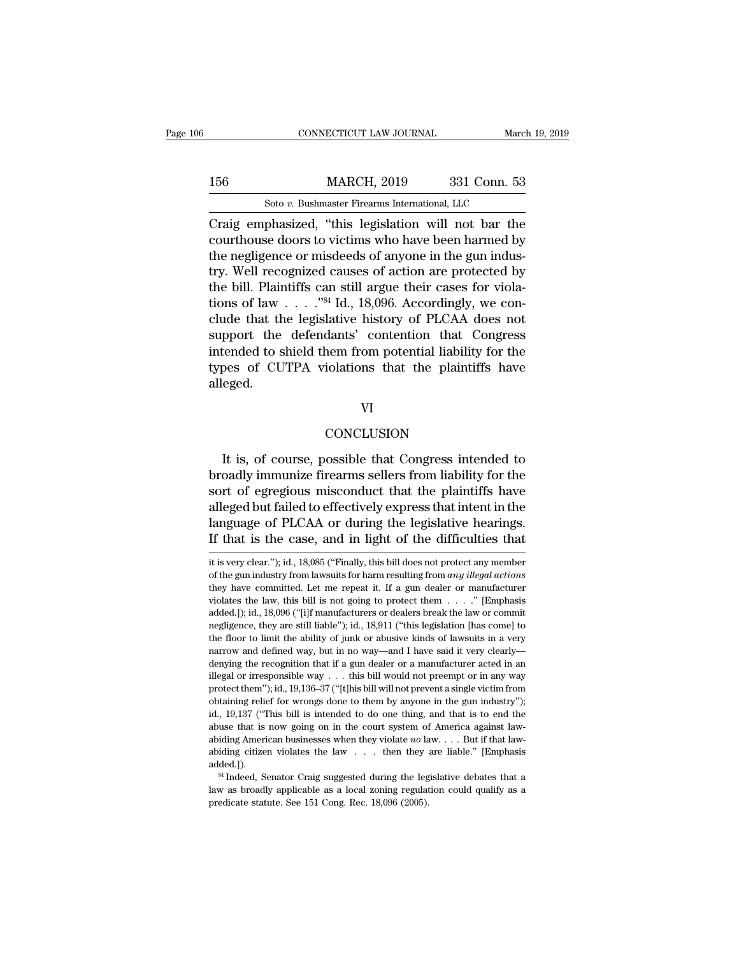|     | CONNECTICUT LAW JOURNAL                             | March 19, 2019 |
|-----|-----------------------------------------------------|----------------|
| 156 | <b>MARCH, 2019</b>                                  | 331 Conn. 53   |
|     | Soto v. Bushmaster Firearms International, LLC      |                |
|     | Craig emphasized "this legislation will not har the |                |

CONNECTICUT LAW JOURNAL March 19, 2019<br>
156 MARCH, 2019 331 Conn. 53<br>
500 v. Bushmaster Firearms International, LLC<br>
Craig emphasized, "this legislation will not bar the<br>
courthouse doors to victims who have been harmed by MARCH, 2019 331 Conn. 53<br>
Soto v. Bushmaster Firearms International, LLC<br>
Craig emphasized, "this legislation will not bar the<br>
courthouse doors to victims who have been harmed by<br>
the negligence or misdeeds of anyone in t 156 MARCH, 2019 331 Conn. 53<br>
Soto v. Bushmaster Firearms International, LLC<br>
Craig emphasized, "this legislation will not bar the<br>
courthouse doors to victims who have been harmed by<br>
the negligence or misdeeds of anyone 156 MARCH, 2019 331 Conn. 53<br>
Soto v. Bushmaster Firearms International, LLC<br>
Craig emphasized, "this legislation will not bar the<br>
courthouse doors to victims who have been harmed by<br>
the negligence or misdeeds of anyone Soto *v*. Bushmaster Firearms International, LLC<br>Craig emphasized, "this legislation will not bar the<br>courthouse doors to victims who have been harmed by<br>the negligence or misdeeds of anyone in the gun indus-<br>try. Well re soo v. Bushmaster Freams memational, LLC<br>Craig emphasized, "this legislation will not bar the<br>courthouse doors to victims who have been harmed by<br>the negligence or misdeeds of anyone in the gun indus-<br>try. Well recognized Craig emphasized, "this legislation will not bar the courthouse doors to victims who have been harmed by the negligence or misdeeds of anyone in the gun industry. Well recognized causes of action are protected by the bill courthouse doors to victims who have been harmed by<br>the negligence or misdeeds of anyone in the gun indus-<br>try. Well recognized causes of action are protected by<br>the bill. Plaintiffs can still argue their cases for violathe negligence or misdeeds of anyone in the gun indus-<br>try. Well recognized causes of action are protected by<br>the bill. Plaintiffs can still argue their cases for viola-<br>tions of law  $\ldots$ ."<sup>84</sup> Id., 18,096. Accordingly, try. Well recognized causes of action are protected by<br>the bill. Plaintiffs can still argue their cases for viola-<br>tions of law  $\ldots$ . "<sup>84</sup> Id., 18,096. Accordingly, we con-<br>clude that the legislative history of PLCAA do alleged.

VI

### **CONCLUSION**

Figure 1 and the plaintiffs have<br>eged.<br>We conclude that the plaintiffs have<br> $\frac{1}{2}$  CONCLUSION<br>It is, of course, possible that Congress intended to<br>oadly immunize firearms sellers from liability for the<br>rt of egreciaus m VI<br>CONCLUSION<br>It is, of course, possible that Congress intended to<br>broadly immunize firearms sellers from liability for the<br>sort of egregious misconduct that the plaintiffs have<br>alloged but foiled to effectively express th VI<br>CONCLUSION<br>It is, of course, possible that Congress intended to<br>broadly immunize firearms sellers from liability for the<br>sort of egregious misconduct that the plaintiffs have<br>alleged but failed to effectively express th V1<br>CONCLUSION<br>It is, of course, possible that Congress intended to<br>broadly immunize firearms sellers from liability for the<br>sort of egregious misconduct that the plaintiffs have<br>alleged but failed to effectively express th CONCLUSION<br>It is, of course, possible that Congress intended to<br>broadly immunize firearms sellers from liability for the<br>sort of egregious misconduct that the plaintiffs have<br>alleged but failed to effectively express that It is, of course, possible that Congress intended to<br>broadly immunize firearms sellers from liability for the<br>sort of egregious misconduct that the plaintiffs have<br>alleged but failed to effectively express that intent in t sort of egregious misconduct that the plaintiffs have alleged but failed to effectively express that intent in the language of PLCAA or during the legislative hearings. If that is the case, and in light of the difficultie alleged but failed to effectively express that intent in the language of PLCAA or during the legislative hearings.<br>If that is the case, and in light of the difficulties that<br>it is very clear."); id., 18,085 ("Finally, this

language of PLCAA or during the legislative hearings.<br>If that is the case, and in light of the difficulties that<br>it is very clear."); id., 18,085 ("Finally, this bill does not protect any member<br>of the gun industry from l If that is the case, and in light of the difficulties that<br>it is very clear."); id., 18,085 ("Finally, this bill does not protect any member<br>of the gun industry from lawsuits for harm resulting from *any illegal actions*<br> and the case, and in fight of the unificulties that<br>it is very clear."); id., 18,085 ("Finally, this bill does not protect any member<br>of the gun industry from lawsuits for harm resulting from *any illegal actions*<br>they ha it is very clear."); id., 18,085 ("Finally, this bill does not protect any member of the gun industry from lawsuits for harm resulting from *any illegal actions* they have committed. Let me repeat it. If a gun dealer or m for the gun industry from lawsuits for harm resulting from *any illegal actions* they have committed. Let me repeat it. If a gun dealer or manufacturer violates the law, this bill is not going to protect them  $\ldots$ . " [Em they have committed. Let me repeat it. If a gun dealer or manufacturer violates the law, this bill is not going to protect them  $\ldots$ . " [Emphasis added.]); id., 18,096 ("[i]f manufacturers or dealers break the law or com wiolates the law, this bill is not going to protect them  $\ldots$ .  $\ldots$  [Emphasis added.]); id., 18,096 ("[i]f manufacturers or dealers break the law or commit negligence, they are still liable"); id., 18,911 ("this legisla added.]); id., 18,096 ("[i]f manufacturers or dealers break the law or commit megligence, they are still liable"); id., 18,911 ("this legislation [has come] to the floor to limit the ability of junk or abusive kinds of law negligence, they are still liable"); id., 18,911 ("this legislation [has come] to the floor to limit the ability of junk or abusive kinds of lawsuits in a very narrow and defined way, but in no way—and I have said it very relief for wrongs done to them by anyone in the gun industry''); the floor to limit the ability of junk or abusive kinds of lawsuits in a very narrow and defined way, but in no way—and I have said it very clearly—denying marrow and defined way, but in no way—and I have said it very clearly—<br>denying the recognition that if a gun dealer or a manufacturer acted in an<br>illegal or irresponsible way . . . this bill would not preempt or in any way narrow and defined way, but in no way—and I have said it very clearly—denying the recognition that if a gun dealer or a manufacturer acted in an illegal or irresponsible way . . . this bill would not preempt or in any way abiliegal or irresponsible way . . . this bill would not preempt or in any way protect them"); id., 19,136-37 ("[t]his bill will not preempt or in any way protect them"); id., 19,136-37 ("[t]his bill will not prevent a si metect them"); id., 19,136–37 ("[t]his bill will not prevent a single victim from obtaining relief for wrongs done to them by anyone in the gun industry"); id., 19,137 ("This bill is intended to do one thing, and that is added.]). 49.137 ("This bill is intended to do one thing, and that is to end the use that is now going on in the court system of America against law-<br>iding American businesses when they violate *no* law.... But if that law-<br>iding c has broadly applied as a local zoning with the court system of America against law-<br>abiding American businesses when they violate *no* law. . . . But if that law-<br>abiding citizen violates the law . . . then they are liabl abiding American businesses when they violate *no* labiding citizen violates the law  $\ldots$  then they added.]).<br>added.]).<br><sup>84</sup> Indeed, Senator Craig suggested during the leg law as broadly applicable as a local zoning regu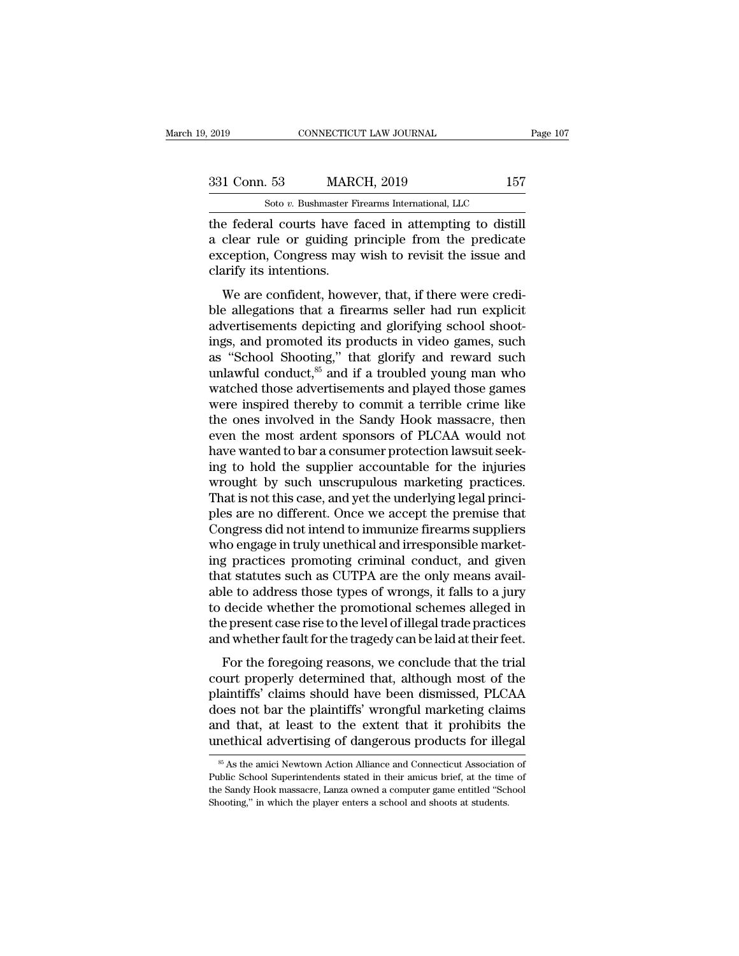| 2019         | CONNECTICUT LAW JOURNAL                                | Page 107 |
|--------------|--------------------------------------------------------|----------|
| 331 Conn. 53 | <b>MARCH, 2019</b>                                     | 157      |
|              | Soto v. Bushmaster Firearms International, LLC         |          |
|              | the federal courts have faced in attempting to distill |          |

The federal connective states have faced in attempting to distill<br>a clear rule or guiding principle from the predicate<br>exception Congress may wish to revisit the issue and 331 Conn. 53 MARCH, 2019 157<br>
Soto v. Bushmaster Firearms International, LLC<br>
the federal courts have faced in attempting to distill<br>
a clear rule or guiding principle from the predicate<br>
exception, Congress may wish to re 331 Conn. 53 MARCH, 2019 157<br>
Soto v. Bushmaster Firearms International, LLC<br>
the federal courts have faced in attempting to distill<br>
a clear rule or guiding principle from the predicate<br>
exception, Congress may wish to r 331 Conn. 53 MARC<br>
Soto v. Bushmaster Fi<br>
the federal courts have f<br>
a clear rule or guiding p<br>
exception, Congress may<br>
clarify its intentions.<br>
We are confident, howe Soto *v*. Bushmaster Firearms International, LLC<br>
e federal courts have faced in attempting to distill<br>
clear rule or guiding principle from the predicate<br>
ception, Congress may wish to revisit the issue and<br>
arify its int the federal courts have faced in attempting to distill<br>a clear rule or guiding principle from the predicate<br>exception, Congress may wish to revisit the issue and<br>clarify its intentions.<br>We are confident, however, that, if

a clear rule or guiding principle from the predicate<br>exception, Congress may wish to revisit the issue and<br>clarify its intentions.<br>We are confident, however, that, if there were credi-<br>ble allegations that a firearms selle a clear rule or guiding principle from the predicate<br>exception, Congress may wish to revisit the issue and<br>clarify its intentions.<br>We are confident, however, that, if there were credi-<br>ble allegations that a firearms sell Execption, congress may wish to revisit the issue and<br>clarify its intentions.<br>We are confident, however, that, if there were credi-<br>ble allegations that a firearms seller had run explicit<br>advertisements depicting and glor We are confident, however, that, if there were credi-<br>ble allegations that a firearms seller had run explicit<br>advertisements depicting and glorifying school shoot-<br>ings, and promoted its products in video games, such<br>as " We are confident, however, that, if there were credi-<br>ble allegations that a firearms seller had run explicit<br>advertisements depicting and glorifying school shoot-<br>ings, and promoted its products in video games, such<br>as " ble allegations that a firearms seller had run explicit<br>advertisements depicting and glorifying school shoot-<br>ings, and promoted its products in video games, such<br>as "School Shooting," that glorify and reward such<br>unlawful advertisements depicting and glorifying school shootings, and promoted its products in video games, such as "School Shooting," that glorify and reward such unlawful conduct,<sup>85</sup> and if a troubled young man who watched thos ings, and promoted its products in video games, such<br>as "School Shooting," that glorify and reward such<br>unlawful conduct,<sup>85</sup> and if a troubled young man who<br>watched those advertisements and played those games<br>were inspire as "School Shooting," that glorify and reward such unlawful conduct, $^{85}$  and if a troubled young man who watched those advertisements and played those games were inspired thereby to commit a terrible crime like the ones unlawful conduct,<sup>85</sup> and if a troubled young man who<br>watched those advertisements and played those games<br>were inspired thereby to commit a terrible crime like<br>the ones involved in the Sandy Hook massacre, then<br>even the mo watched those advertisements and played those games<br>were inspired thereby to commit a terrible crime like<br>the ones involved in the Sandy Hook massacre, then<br>even the most ardent sponsors of PLCAA would not<br>have wanted to b were inspired thereby to commit a terrible crime like<br>the ones involved in the Sandy Hook massacre, then<br>even the most ardent sponsors of PLCAA would not<br>have wanted to bar a consumer protection lawsuit seek-<br>ing to hold t the ones involved in the Sandy Hook massacre, then<br>even the most ardent sponsors of PLCAA would not<br>have wanted to bar a consumer protection lawsuit seek-<br>ing to hold the supplier accountable for the injuries<br>wrought by su even the most ardent sponsors of PLCAA would not<br>have wanted to bar a consumer protection lawsuit seek-<br>ing to hold the supplier accountable for the injuries<br>wrought by such unscrupulous marketing practices.<br>That is not th have wanted to bar a consumer protection lawsuit seeking to hold the supplier accountable for the injuries<br>wrought by such unscrupulous marketing practices.<br>That is not this case, and yet the underlying legal princi-<br>ples ing to hold the supplier accountable for the injuries<br>wrought by such unscrupulous marketing practices.<br>That is not this case, and yet the underlying legal princi-<br>ples are no different. Once we accept the premise that<br>Con wrought by such unscrupulous marketing practices.<br>That is not this case, and yet the underlying legal princi-<br>ples are no different. Once we accept the premise that<br>Congress did not intend to immunize firearms suppliers<br>wh That is not this case, and yet the underlying legal principles are no different. Once we accept the premise that<br>Congress did not intend to immunize firearms suppliers<br>who engage in truly unethical and irresponsible market ples are no different. Once we accept the premise that<br>Congress did not intend to immunize firearms suppliers<br>who engage in truly unethical and irresponsible market-<br>ing practices promoting criminal conduct, and given<br>that Congress did not intend to immunize firearms suppliers<br>who engage in truly unethical and irresponsible market-<br>ing practices promoting criminal conduct, and given<br>that statutes such as CUTPA are the only means avail-<br>able who engage in truly unethical and irresponsible market-<br>ing practices promoting criminal conduct, and given<br>that statutes such as CUTPA are the only means avail-<br>able to address those types of wrongs, it falls to a jury<br>to g practices promoting criminal conduct, and given<br>at statutes such as CUTPA are the only means avail-<br>le to address those types of wrongs, it falls to a jury<br>decide whether the promotional schemes alleged in<br>epresent case and statucs such as CCTTA are the only incans available to address those types of wrongs, it falls to a jury to decide whether the promotional schemes alleged in the present case rise to the level of illegal trade practice

able to address those types of wrongs, it tans to a jury<br>to decide whether the promotional schemes alleged in<br>the present case rise to the level of illegal trade practices<br>and whether fault for the tragedy can be laid at t do decide whether the prohodobial schemes andged in<br>the present case rise to the level of illegal trade practices<br>and whether fault for the tragedy can be laid at their feet.<br>For the foregoing reasons, we conclude that the and whether fault for the tragedy can be laid at their feet.<br>For the foregoing reasons, we conclude that the trial<br>court properly determined that, although most of the<br>plaintiffs' claims should have been dismissed, PLCAA<br>d For the foregoing reasons, we conclude that the trial<br>court properly determined that, although most of the<br>plaintiffs' claims should have been dismissed, PLCAA<br>does not bar the plaintiffs' wrongful marketing claims<br>and tha depend and that, at least to the extent that it prohibits the amethical advertising of dangerous products for illegal as a set amici Newtown Action Alliance and Connecticut Association of the School Superintendents stated does not bar the plaintiffs' wrongful marketing claims<br>and that, at least to the extent that it prohibits the<br>unethical advertising of dangerous products for illegal<br><sup>85</sup> As the amici Newtown Action Alliance and Connecticu

and that, at least to the extent that it prohibits the unethical advertising of dangerous products for illegal  $^{86}$  As the amici Newtown Action Alliance and Connecticut Association of Public School Superintendents stated Shooting, and vertising of dangerous products for ille<br>
Shooting, it also alliance and Connecticut Association<br>
Public School Superintendents stated in their amicus brief, at the time<br>
the Sandy Hook massacre, Lanza owned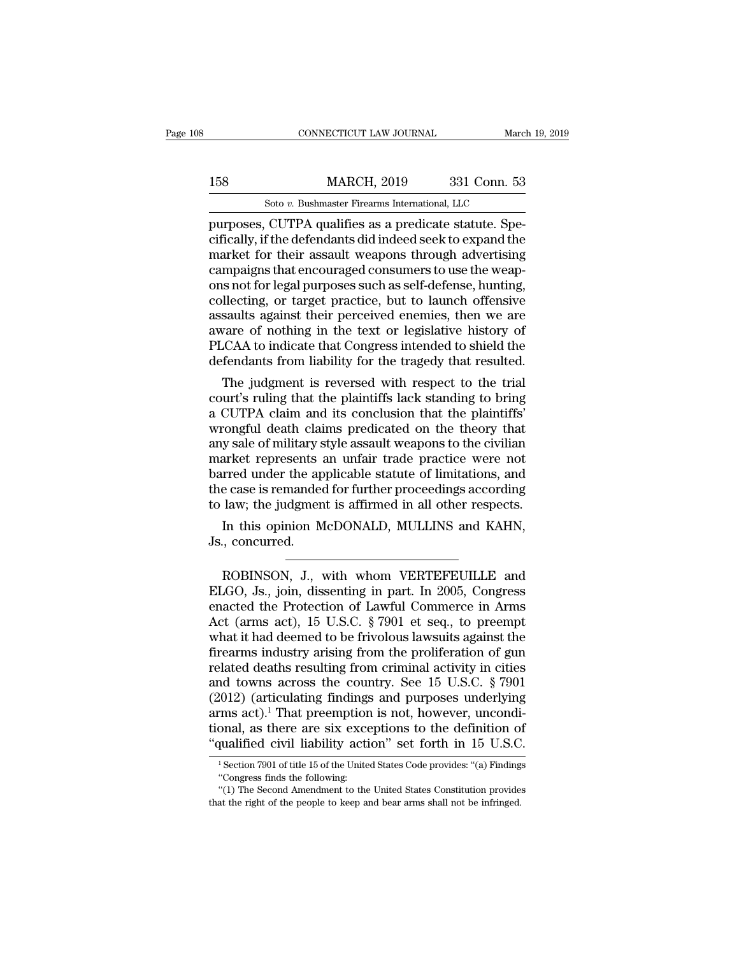# EXECUTE CONNECTICUT LAW JOURNAL March 19, 2019<br>158 MARCH, 2019 331 Conn. 53<br>500 v. Bushmaster Firearms International, LLC CONNECTICUT LAW JOURNAL March March March MARCH, 2019 331 Conn. 53<br>Soto *v.* Bushmaster Firearms International, LLC<br>CUTPA qualifies as a predicate statute Spe-

CONNECTICUT LAW JOURNAL March March March (158 MARCH, 2019 331 Conn. 53<br>
Soto v. Bushmaster Firearms International, LLC<br>
purposes, CUTPA qualifies as a predicate statute. Spe-<br>
cifically, if the defendants did indeed seek 158 MARCH, 2019 331 Conn. 53<br>
Soto v. Bushmaster Firearms International, LLC<br>
purposes, CUTPA qualifies as a predicate statute. Specifically, if the defendants did indeed seek to expand the<br>
market for their assault weapon  $\frac{\text{MARCH}}{\text{Sto } v. \text{ Bushmaster Firearms International, LLC}}$ <br>  $\frac{\text{Sto } v. \text{ Bushmaster Firearms International, LLC}}{\text{purposes, CUTPA qualities as a predicate statue. Specifically, if the defendants did indeed seek to expand the market for their assault weapons through advertising campaigns that encouraged consumers to use the weapons not for legal purposes such as self-defense, hunting.}$ 158 MARCH, 2019 331 Conn. 53<br>
Soto v. Bushmaster Firearms International, LLC<br>
purposes, CUTPA qualifies as a predicate statute. Specifically, if the defendants did indeed seek to expand the<br>
market for their assault weapon solary and the contract of the market of the purposes, CUTPA qualifies as a predicate statute. Specifically, if the defendants did indeed seek to expand the market for their assault weapons through advertising campaigns th Soto v. Bushmaster Firearms International, LLC<br>purposes, CUTPA qualifies as a predicate statute. Specifically, if the defendants did indeed seek to expand the<br>market for their assault weapons through advertising<br>campaigns purposes, CUTPA qualifies as a predicate statute. Specifically, if the defendants did indeed seek to expand the<br>market for their assault weapons through advertising<br>campaigns that encouraged consumers to use the weap-<br>ons cifically, if the defendants did indeed seek to expand the<br>market for their assault weapons through advertising<br>campaigns that encouraged consumers to use the weap-<br>ons not for legal purposes such as self-defense, hunting, market for their assault weapons through advertising<br>campaigns that encouraged consumers to use the weap-<br>ons not for legal purposes such as self-defense, hunting,<br>collecting, or target practice, but to launch offensive<br>as campaigns that encouraged consumers to use the weap-<br>ons not for legal purposes such as self-defense, hunting,<br>collecting, or target practice, but to launch offensive<br>assaults against their perceived enemies, then we are<br>a is not for legal purposes such as self-defense, hunting,<br>llecting, or target practice, but to launch offensive<br>saults against their perceived enemies, then we are<br>vare of nothing in the text or legislative history of<br>CAA t collecting, or target practice, but to launch offensive<br>assaults against their perceived enemies, then we are<br>aware of nothing in the text or legislative history of<br>PLCAA to indicate that Congress intended to shield the<br>de

assaults against their perceived enemies, then we are<br>aware of nothing in the text or legislative history of<br>PLCAA to indicate that Congress intended to shield the<br>defendants from liability for the tragedy that resulted.<br>T aware of nothing in the text or legislative history of<br>PLCAA to indicate that Congress intended to shield the<br>defendants from liability for the tragedy that resulted.<br>The judgment is reversed with respect to the trial<br>cour PLCAA to indicate that Congress intended to shield the<br>defendants from liability for the tragedy that resulted.<br>The judgment is reversed with respect to the trial<br>court's ruling that the plaintiffs lack standing to bring<br>a defendants from liability for the tragedy that resulted.<br>
The judgment is reversed with respect to the trial<br>
court's ruling that the plaintiffs lack standing to bring<br>
a CUTPA claim and its conclusion that the plaintiffs' The judgment is reversed with respect to the trial<br>court's ruling that the plaintiffs lack standing to bring<br>a CUTPA claim and its conclusion that the plaintiffs'<br>wrongful death claims predicated on the theory that<br>any sal court's ruling that the plaintiffs lack standing to bring<br>a CUTPA claim and its conclusion that the plaintiffs'<br>wrongful death claims predicated on the theory that<br>any sale of military style assault weapons to the civilian a CUTPA claim and its conclusion that the plaintiffs'<br>wrongful death claims predicated on the theory that<br>any sale of military style assault weapons to the civilian<br>market represents an unfair trade practice were not<br>barre rongful death claims predicated on the theory that<br>y sale of military style assault weapons to the civilian<br>arket represents an unfair trade practice were not<br>rred under the applicable statute of limitations, and<br>e case is any sale of military s<br>market represents :<br>barred under the ap<br>the case is remanded<br>to law; the judgmen<br>In this opinion M<br>Js., concurred.

red under the applicable statute of initiations, and<br>e case is remanded for further proceedings according<br>law; the judgment is affirmed in all other respects.<br>In this opinion McDONALD, MULLINS and KAHN,<br>., concurred.<br>..... to law; the judgment is affirmed in all other respects.<br>
In this opinion McDONALD, MULLINS and KAHN,<br>
Js., concurred.<br> **ELGO, Js., join, dissenting in part. In 2005, Congress**<br>
enacted the Protection of Lawful Commerce in to law, the judgment is annihed in an other respects.<br>
In this opinion McDONALD, MULLINS and KAHN,<br>
Js., concurred.<br>
ROBINSON, J., with whom VERTEFEUILLE and<br>
ELGO, Js., join, dissenting in part. In 2005, Congress<br>
enacted In this opinion McDONALD, MULLINS and KAHN,<br>Js., concurred.<br>ROBINSON, J., with whom VERTEFEUILLE and<br>ELGO, Js., join, dissenting in part. In 2005, Congress<br>enacted the Protection of Lawful Commerce in Arms<br>Act (arms act), Js., concurred.<br> **ELGO, Js., join, dissenting in part.** In 2005, Congress<br>
enacted the Protection of Lawful Commerce in Arms<br>
Act (arms act), 15 U.S.C. § 7901 et seq., to preempt<br>
what it had deemed to be frivolous lawsuit FIRE TO RESONATE:<br>FIRENDINSON, J., with whom VERTEFEUILLE and<br>ELGO, Js., join, dissenting in part. In 2005, Congress<br>enacted the Protection of Lawful Commerce in Arms<br>Act (arms act), 15 U.S.C. § 7901 et seq., to preempt<br>wh ROBINSON, J., with whom VERTEFEUILLE and<br>ELGO, Js., join, dissenting in part. In 2005, Congress<br>enacted the Protection of Lawful Commerce in Arms<br>Act (arms act), 15 U.S.C. § 7901 et seq., to preempt<br>what it had deemed to ELGO, Js., join, dissenting in part. In 2005, Congress<br>enacted the Protection of Lawful Commerce in Arms<br>Act (arms act), 15 U.S.C. § 7901 et seq., to preempt<br>what it had deemed to be frivolous lawsuits against the<br>firearm enacted the Protection of Lawful Commerce in Arms<br>Act (arms act), 15 U.S.C. § 7901 et seq., to preempt<br>what it had deemed to be frivolous lawsuits against the<br>firearms industry arising from the proliferation of gun<br>relate Act (arms act), 15 U.S.C. § 7901 et seq., to preempt<br>what it had deemed to be frivolous lawsuits against the<br>firearms industry arising from the proliferation of gun<br>related deaths resulting from criminal activity in citie what it had deemed to be frivolous lawsuits against the firearms industry arising from the proliferation of gun related deaths resulting from criminal activity in cities and towns across the country. See 15 U.S.C.  $\S$  790 firearms industry arising from the proliferation of gun<br>related deaths resulting from criminal activity in cities<br>and towns across the country. See 15 U.S.C. § 7901<br>(2012) (articulating findings and purposes underlying<br>ar 2012) (articulating findings and purposes underlying  $\text{rms act}$ ).<sup>1</sup> That preemption is not, however, uncondional, as there are six exceptions to the definition of qualified civil liability action" set forth in 15 U.S.C.  $\$ rms act).<sup>1</sup> That preemption<br>onal, as there are six exce<br>qualified civil liability activalistic following:<br> $\frac{1}{2}$  Section 7901 of title 15 of the Unite<br>"Congress finds the following:<br>"(1) The Second Amendment to the onal, as there are six exceptions to the definition of qualified civil liability action" set forth in 15 U.S.C.<br><sup>1</sup> Section 7901 of title 15 of the United States Code provides: "(a) Findings "Congress finds the following:

<sup>&</sup>quot;qualified civil liability action" set forth in 15 U.S.C<br>
"section 7901 of title 15 of the United States Code provides: "(a) Finding<br>
"Congress finds the following:<br>
"(1) The Second Amendment to the United States Constitu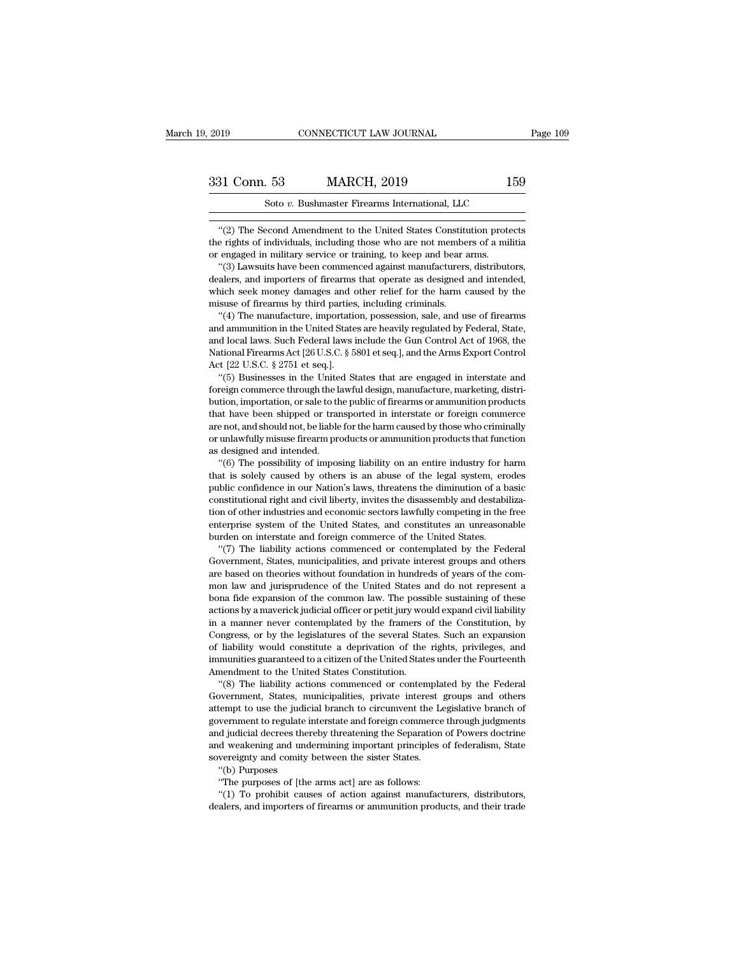<sup>31</sup> Conn. 53 MARCH, 2019 159<br>
Soto v. Bushmaster Firearms International, LLC<br>
(2) The Second Amendment to the United States Constitution protects<br>
e rights of individuals, including those who are not members of a militia 159<br>
Soto v. Bushmaster Firearms International, LLC<br>
(2) The Second Amendment to the United States Constitution protects<br>
the rights of individuals, including those who are not members of a militia<br>
or engaged in military SOL COIII. 55 MARCH, 2019<br>
Soto v. Bushmaster Firearms International, LLC<br>
(2) The Second Amendment to the United States Constitution prote<br>
the rights of individuals, including those who are not members of a mi<br>
or engage Soto v. Bushmaster Firearms International, LLC<br>
"(2) The Second Amendment to the United States Constitution protects<br>
e rights of individuals, including those who are not members of a militia<br>
engaged in military service o

The Second Amendment to the United States Constitution protects<br>the rights of individuals, including those who are not members of a militia<br>or engaged in military service or training, to keep and bear arms.<br>"(3) Lawsuits h "(2) The Second Amendment to the United States Constitution protects<br>the rights of individuals, including those who are not members of a militia<br>or engaged in military service or training, to keep and bear arms.<br>"(3) Laws "(2) The Second Amendment to the United States Constitution protects<br>the rights of individuals, including those who are not members of a militia<br>or engaged in military service or training, to keep and bear arms.<br>"(3) Laws <sup>2</sup> English of individuals, including those who are not intenders of a numia engaged in military service or training, to keep and bear arms.<br>
"(3) Lawsuits have been commenced against manufacturers, distributors, alers, an and ammunition in the United States are heavily regulated by Federal, State, and importers of firearms that operate as designed and intended, which seek money damages and other relief for the harm caused by the misuse of f

(b) Lawsuns have been confinenced against manufacturers, distributors, dealers, and importers of firearms that operate as designed and intended, which seek money damages and other relief for the harm caused by the misuse o dealers, and importers of inearns that operate as designed and intended,<br>which seek money damages and other relief for the harm caused by the<br>misuse of firearms by third parties, including criminals.<br>"(4) The manufacture, which seek hioney danlages and Comissue of firearms by third parties<br>
"(4) The manufacture, importation<br>
and ammunition in the United State<br>
and local laws. Such Federal laws is<br>
National Firearms Act [26 U.S.C. § 5<br>
Act [ "(4) The manufacture, importation, possession, sale, and use of firearms dammunition in the United States are heavily regulated by Federal, State, d local laws. Such Federal laws include the Gun Control Act of 1968, the ut (\*) The manufacture, importation, possession, safe, and use of meanins<br>and ammunition in the United States are heavily regulated by Federal, State,<br>and local laws. Such Federal laws include the Gun Control Act of 1968, the

and annimum in the cinted states are neavily regulated by rederal, state,<br>and local laws. Such Federal laws include the Gun Control Act of 1968, the<br>National Firearms Act [26 U.S.C. § 5801 et seq.], and the Arms Export Con and focal faws. Such Federal aws include the ould control Act of 1500, the<br>National Firearms Act [26 U.S.C. § 5801 et seq.], and the Arms Export Control<br>Act [22 U.S.C. § 2751 et seq.].<br>"(5) Businesses in the United States National Priearms Act [20 U.S.U. 8 9801 et seq.], and the Arms Export Control<br>Act [22 U.S.C. 8 2751 et seq.].<br>"(5) Businesses in the United States that are engaged in interstate and<br>foreign commerce through the lawful desi Act [22 0.3.C. § 2791 et seq.].<br>
"(5) Businesses in the United States that are engaged in interstate and<br>
foreign commerce through the lawful design, manufacture, marketing, distri-<br>
bution, importation, or sale to the pub foreign commerce through the lawful design, manufacture, marketing, distribution, importation, or sale to the public of firearms or ammunition products that have been shipped or transported in interstate or foreign commerc The possibility of imposing liability on an entire industry for harmonic products at have been shipped or transported in interstate or foreign commerce enot, and should not, be liable for the harm caused by those who crimi bution, importation, or sale to the public of interartis or annihilation products<br>that have been shipped or transported in interstate or foreign commerce<br>are not, and should not, be liable for the harm caused by those who

mat have been supped of transported in meastate of foreign continence are not, and should not, be liable for the harm caused by those who criminally or unlawfully misuse firearm products or ammunition products that functio or unlawfully misuse firearm products or ammunition products that function<br>as designed and intended.<br>"(6) The possibility of imposing liability on an entire industry for harm<br>that is solely caused by others is an abuse of of unlawfully insuse inearly products of an<br>infudion products that function as designed and intended.<br>"(6) The possibility of imposing liability on an entire industry for harm<br>that is solely caused by others is an abuse of "(6) The possibility of imposing liability on an entire industry for harm that is solely caused by others is an abuse of the legal system, erodes public confidence in our Nation's laws, threatens the diminution of a basic (b) The possibility of imposing itability of air effide inductively for in<br>that is solely caused by others is an abuse of the legal system, ere<br>public confidence in our Nation's laws, threatens the diminution of a b<br>consti at is solely caused by outers is an abuse of the legal system, erotes<br>bilic confidence in our Nation's laws, threatens the diminution of a basic<br>mstitutional right and civil liberty, invites the disassembly and destabiliza public connuence in our Nation's laws, uneaters the diminution of a basic<br>constitutional right and civil liberty, invites the disassembly and destabiliza-<br>tion of other industries and economic sectors lawfully competing in

constitutional right and civil identity, invites the disassembly and destabilization of other industries and economic sectors lawfully competing in the free enterprise system of the United States, and constitutes an unreas mon of outer mutsures and economic sectors law tiny competing in the free enterprise system of the United States, and constitutes an unreasonable burden on interstate and foreign commence of the United States. "(7) The lia enterprise system of the cinted states, and constitutes an unreasonable<br>burden on interstate and foreign commerce of the United States.<br>"(7) The liability actions commenced or contemplated by the Federal<br>Government, States <sup>2</sup> "(7) The liability actions commenced or contemplated by the Federal Government, States, municipalities, and private interest groups and others are based on theories without foundation in hundreds of years of the common ( $i$ ) The habing actions commented of contemplated by the Federal Government, States, municipalities, and private interest groups and others are based on theories without foundation in hundreds of years of the common law Covernment, states, muncipanties, and private mielest groups and others<br>are based on theories without foundation in hundreds of years of the com-<br>mon law and jurisprudence of the United States and do not represent a<br>bona f are based on theories whilout foldudation in infiniteles of years of the conte-<br>mon law and jurisprudence of the United States and do not represent a<br>bona fide expansion of the common law. The possible sustaining of these<br> inon law and jurisprudence of the United States and do not represent a bona fide expansion of the common law. The possible sustaining of these actions by a maverick judicial officer or petit jury would expand civil liabili bona fide expansion of the common law. The possible sustaining of these actions by a maverick judicial officer or petit jury would expand civil liability in a manner never contemplated by the framers of the Constitution, The liability actions of the several States. Such an expansion a manner never contemplated by the framers of the Constitution, by ongress, or by the legislatures of the several States. Such an expansion liability would con In a manner never contempated by the Hamers of the Constitution, by<br>Congress, or by the legislatures of the several States. Such an expansion<br>of liability would constitute a deprivation of the rights, privileges, and<br>immun

congress, or by the regislatures of the several states. Such an expansion<br>of liability would constitute a deprivation of the rights, privileges, and<br>immunities guaranteed to a citizen of the United States under the Fourtee or maninty would consult<br>alle a deptivation of the United States under the Fourteenth<br>Amendment to the United States Constitution.<br>"(8) The liability actions commenced or contemplated by the Federal<br>Government, States, mun Infinituatives grad anteed to a critizen of the United States under the Fourteenin Amendment to the United States Constitution.<br>
"(8) The liability actions commenced or contemplated by the Federal Government, States, munic And weakening to the United States Constitution.<br>
"(8) The liability actions commenced or contemplated by the Federal<br>
Government, States, municipalities, private interest groups and others<br>
attempt to use the judicial bra Government, States, municipalities, private interest groups and others<br>attempt to use the judicial branch to circumvent the Legislative branch of<br>government to regulate interstate and foreign commerce through judgments<br>and Vernment, states, mu<br>
tempt to use the judicial<br>
vernment to regulate in<br>
d judicial decrees there<br>
d weakening and unde<br>
vereignty and comity b<br>
"The purposes of [the a Extreme to regulate interstate and foreign commerced judicial decrees thereby threatening the Separation d weakening and undermining important principles vereignty and comity between the sister States.<br>"(b) Purposes of [th Merinheim to regulate interstate and intergrit continente uriough Judgments<br>
d judicial decrees thereby threatening the Separation of Powers doctrine<br>
d weakening and undermining important principles of federalism, State<br>

"(1) To prohibit causes of action against manufacturers, distributors, dealers, and importers of firearms or ammunition products, and their trade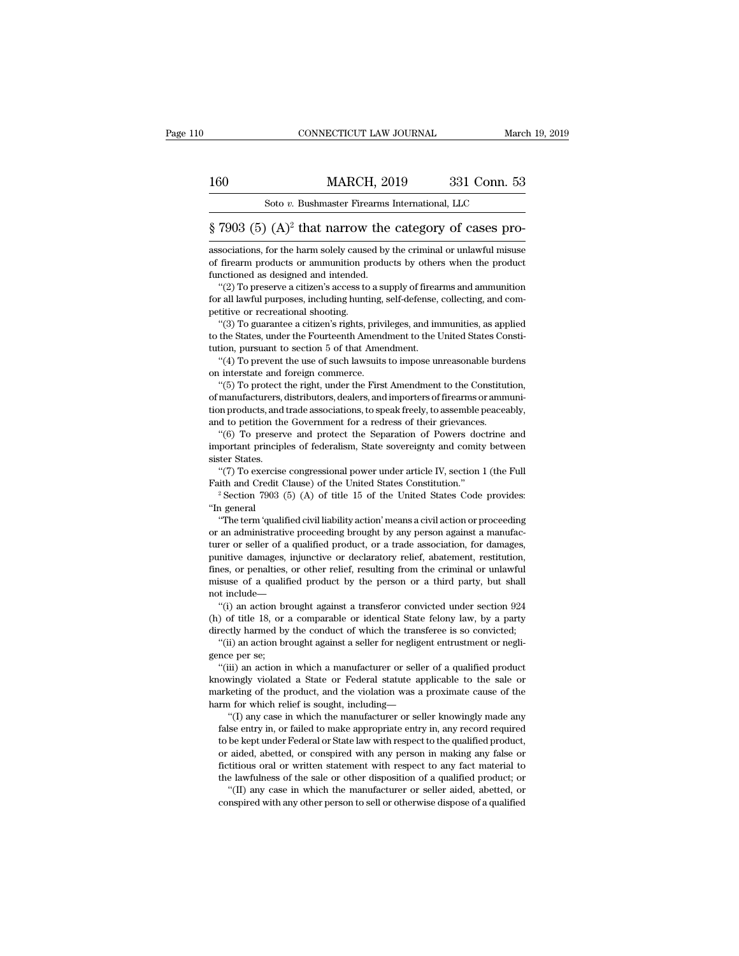# EXECUTE CONNECTICUT LAW JOURNAL March 19, 2019<br>160 MARCH, 2019 331 Conn. 53<br>500 v. Bushmaster Firearms International, LLC CONNECTICUT LAW JOURNAL March March March 2019 331 Conn. 53<br>Soto *v.* Bushmaster Firearms International, LLC

EXERCTI CUT LAW JOURNAL March MARCH, 2019 331 Conn. 53<br>
Soto v. Bushmaster Firearms International, LLC<br>
§ 7903 (5) (A)<sup>2</sup> that narrow the category of cases pro-<br>
associations, for the harm solely caused by the criminal or 160 MARCH, 2019 331 Conn. 53<br>Soto v. Bushmaster Firearms International, LLC<br> $\frac{8}{7903}$  (5) (A)<sup>2</sup> that narrow the category of cases pro-<br>associations, for the harm solely caused by the criminal or unlawful misuse<br>of fir Soto v. Bushmaster Firearms International, LLC<br>  $\frac{8}{9}$  7903 (5) (A)<sup>2</sup> that narrow the category of cases pro-<br>
associations, for the harm solely caused by the criminal or unlawful misuse<br>
of firearm products or ammunit soto v. Bushmaster Firearms<br>
§ 7903 (5)  $(A)^2$  that narrow the<br>
associations, for the harm solely caused by<br>
of firearm products or ammunition product<br>
functioned as designed and intended.<br>
"(2) To preserve a citizen's acc  $7903$  (5) (A)<sup>2</sup> that narrow the category of cases prosociations, for the harm solely caused by the criminal or unlawful misuse firearm products or ammunition products by others when the product metioned as designed and  $f(903 \text{ (}5) \text{ (}A)^2$  that narrow the category of cases pro-<br>associations, for the harm solely caused by the criminal or unlawful misuse<br>of firearm products or ammunition products by others when the product<br>functioned as associations, for the harm solely cause<br>of firearm products or ammunition pi<br>functioned as designed and intended.<br>"(2) To preserve a citizen's access to<br>for all lawful purposes, including hunti<br>petitive or recreational sho

Sociations, for the name solely caused by the criminal of untawnth misster<br>firearm products or ammunition products by others when the product<br>"(2) To preserve a citizen's access to a supply of firearms and ammunition<br>r all functioned as designed and intended.<br>
"(2) To preserve a citizen's access to a supply of firearms and ammunition<br>
for all lawful purposes, including hunting, self-defense, collecting, and com-<br>
petitive or recreational sho "(2) To preserve a citizen's access to a supply of firear<br>for all lawful purposes, including hunting, self-defense,<br>petitive or recreational shooting.<br>"(3) To guarantee a citizen's rights, privileges, and in<br>to the States,

(2) To preserve a cluzent stacess to a supply of meants and annihilation<br>
rall lawful purposes, including hunting, self-defense, collecting, and com-<br>
titive or recreational shooting.<br>
"(3) To guarantee a citizen's rights, or an lawful purposes, including<br>
"(3) To guarantee a citizen's rights, privito the States, under the Fourteenth Amend<br>
tution, pursuant to section 5 of that Amee<br>
"(4) To prevent the use of such lawsuits<br>
on interstate an "(3) To guarantee a citizen's rights, privileges, and immunities, as applied<br>the States, under the Fourteenth Amendment to the United States Constition, pursuant to section 5 of that Amendment.<br>"(4) To prevent the use of s

(3) To guarantee a citizent strights, privileges, and immunities, as applied<br>to the States, under the Fourteenth Amendment to the United States Consti-<br>tution, pursuant to section 5 of that Amendment.<br>"(4) To prevent the to the states, under the Fourteenth Amendment to the United states Construction, pursuant to section 5 of that Amendment.<br>
"(4) To prevent the use of such lawsuits to impose unreasonable burdens<br>
on interstate and foreign and to persuant to section 5 or that Americanient.<br>
"(4) To prevent the use of such lawsuits to impose unreasonable burd<br>
on interstate and foreign commerce.<br>
"(5) To protect the right, under the First Amendment to the Con (4) To prevent the use of such lawsums to impose unreasonable burdens<br>
interstate and foreign commerce.<br>
"(5) To protect the right, under the First Amendment to the Constitution,<br>
manufacturers, distributors, dealers, and <sup>or</sup> (5) To protect the right, under the First Amendment to the Constitution,<br>of manufacturers, distributors, dealers, and importers of firearms or ammuni-<br>tion products, and trade associations, to speak freely, to assemb (b) To protect<br>of manufacturers,<br>tion products, and<br>"(6) To preserved important princip<br>sister States.<br>"(7) To exercise

tion products, and trade associations, to speak freely, to assemble peaceably,<br>and to petition the Government for a redress of their grievances.<br>"(6) To preserve and protect the Separation of Powers doctrine and<br>important Faith and to perform the Government for a redress of their grievances.<br>
"(6) To preserve and protect the Separation of Powers doctrine and<br>
important principles of federalism, State sovereignty and comity between<br>
sister S important principles of federalism, State sovereignty and comity between<br>sister States.<br>
"(7) To exercise congressional power under article IV, section 1 (the Full<br>
Faith and Credit Clause) of the United States Constituti

for States.<br>
"(7) To exercise congressional power under article IV, section 1 (the Full<br>
ith and Credit Clause) of the United States Constitution."<br>
"Section 7903 (5) (A) of title 15 of the United States Code provides:<br>
1 <sup>2</sup> Section 7903 (5) (A) of title 15 of the United States Code provides:<br>
"In general "The term 'qualified civil liability action' means a civil action or proceeding or an administrative proceeding brought by any person a (*t*) to exercise congressional power under article  $\mathbf{r}$ , section 1 (the Fun<br>Faith and Credit Clause) of the United States Constitution."<br>
"The term 'qualified civil liability action' means a civil action or proceedin punitive damages, injunctive or declaratory relief, abatement, restitution.<br>
"Section 7903 (5) (A) of title 15 of the United States Code provides:<br>
"In general "The term 'qualified civil liability action' means a civil ac Figure 1500 (3) (A) or due 15 or die onded states code provides.<br>
"In general "The term 'qualified civil liability action' means a civil action or proceeding<br>
or an administrative proceeding brought by any person against a "The term 'qualified civil liability action' means a civil action or proceeding<br>or an administrative proceeding brought by any person against a manufac-<br>turer or seller of a qualified product, or a trade association, for d In the term quantied Civil nability<br>or an administrative proceeding b<br>turer or seller of a qualified productive or d<br>fines, or penalties, or other relief,<br>misuse of a qualified product by<br>not include—<br>"(i) an action brough an administrative proceeding brought by any person against a manufac-<br>
rer or seller of a qualified product, or a trade association, for damages,<br>
mitive damages, injunctive or declaratory relief, abatement, restitution,<br> ture or sener or a quanned product, or a trade association, for dantages, punitive damages, injunctive or declaratory relief, abatement, restitution, fines, or penalties, or other relief, resulting from the criminal or unl puntuve dantages, infunctive of declaratory renet, abatement, resultution, fines, or penalties, or other relief, resulting from the criminal or unlawful misuse of a qualified product by the person or a third party, but sha

the contract of which produces of a qualified product by the person or a third party, but shall tinclude—"(i) an action brought against a transferor convicted under section 924) of title 18, or a comparable or identical St misuse of a qualified product by the person or a third party, but shall<br>not include—<br>"(i) an action brought against a transferor convicted under section 924<br>(h) of title 18, or a comparable or identical State felony law, "(i) an action brought against a transferor convicted under section 924<br>
"(i) an action brought against a transferor convicted like, by a party<br>
rectly harmed by the conduct of which the transferee is so convicted;<br>
"(ii)

(i) an action brought against a transferor convicted under section  $324$ <br>(h) of title 18, or a comparable or identical State felony law, by a party<br>directly harmed by the conduct of which the transferee is so convicted;<br>" (ii) of the 16, of a comparable of defined state felony faw, by a party<br>directly harmed by the conduct of which the transferee is so convicted;<br>"(ii) an action brought against a seller for negligent entrustment or negli-<br>g difference per se;<br>
"(ii) an action brought against a seller for negligent entrustmer<br>
gence per se;<br>
"(iii) an action in which a manufacturer or seller of a qualifie<br>
knowingly violated a State or Federal statute applicab figure the manufacturer of seller different in the manufacture of legisles.<br>
The per se;<br>
ii) an action in which a manufacturer or seller of a qualified product<br>
vingly violated a State or Federal statute applicable to the false entry in, or failed to make appropriate entry in, and the violation was a proximate cause of the sale or arketing of the product, and the violation was a proximate cause of the rm for which relief is sought, includin

(iii) an action in which a manufacturer or seller or a qualified product<br>cowingly violated a State or Federal statute applicable to the sale or<br>arketing of the product, and the violation was a proximate cause of the<br>rm for owingly violated a state of Federal statute applicable to the sate of a<br>raketing of the product, and the violation was a proximate cause of the<br>rm for which relief is sought, including—<br>"(I) any case in which the manufactu fictious oral or written statement with respect to any factor or written statement of the manufacturer or seller knowingly made any false entry in, or failed to make appropriate entry in, any record required to be kept und "(I) any case in which the manufacturer or seller knowingly made any false entry in, or failed to make appropriate entry in, any record required to be kept under Federal or State law with respect to the qualified product, (1) any case in which the manufacturer or seller knowingly made any<br>se entry in, or failed to make appropriate entry in, any record required<br>be kept under Federal or State law with respect to the qualified product,<br>aided, to be kept under Federal or State law with respect to the qualified product, or aided, abetted, or conspired with any person in making any false or fictitious oral or written statement with respect to any fact material to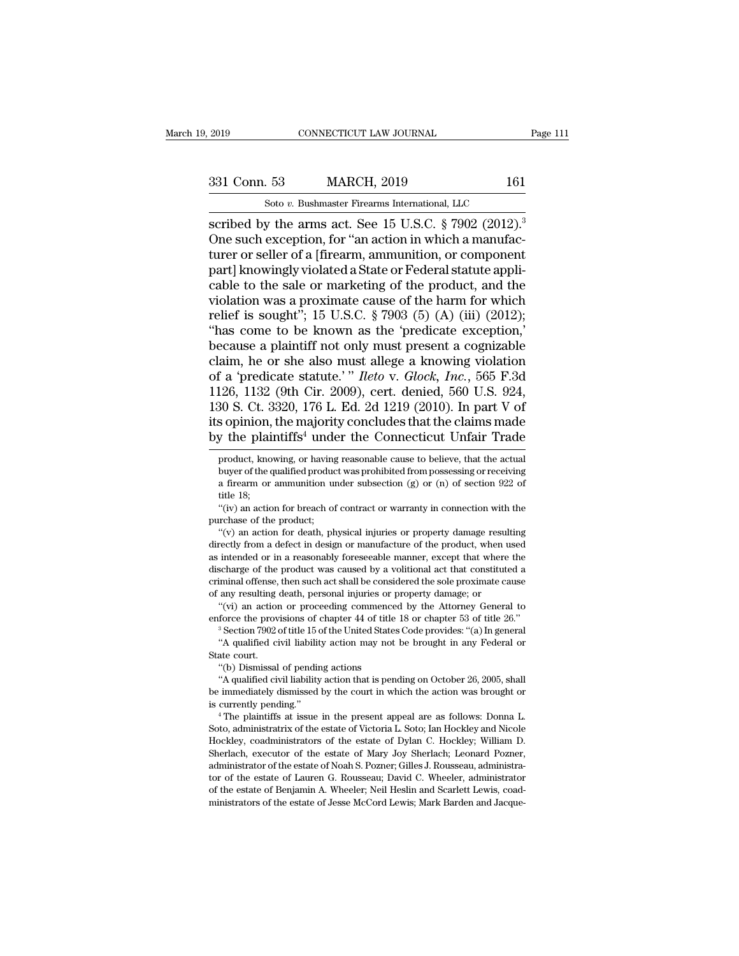# 2019 CONNECTICUT LAW JOURNAL Page 111<br>331 Conn. 53 MARCH, 2019 161<br>Soto v. Bushmaster Firearms International, LLC

CONNECTICUT LAW JOURNAL<br>
Soto *v.* Bushmaster Firearms International, LLC<br>
Soto *v.* Bushmaster Firearms International, LLC<br>
v the arms act. See 15 U.S.C. § 7902 (2012)<sup>3</sup> Fage 11<br>
Scribed by the arms act. See 15 U.S.C. § 7902 (2012).<sup>3</sup><br>
One such exception, for "an action in which a manufacturer or seller of a firearm ammunition or component 331 Conn. 53 MARCH, 2019 161<br>Soto v. Bushmaster Firearms International, LLC<br>scribed by the arms act. See 15 U.S.C. § 7902 (2012).<sup>3</sup><br>One such exception, for "an action in which a manufac-<br>turer or seller of a [firearm, amm 331 Conn. 53 MARCH, 2019 161<br>
Soto v. Bushmaster Firearms International, LLC<br>
scribed by the arms act. See 15 U.S.C.  $\S$  7902 (2012).<sup>3</sup><br>
One such exception, for "an action in which a manufac-<br>
turer or seller of a [firea 331 Conn. 53 MARCH, 2019 161<br>
Soto v. Bushmaster Firearms International, LLC<br>
scribed by the arms act. See 15 U.S.C. § 7902 (2012).<sup>3</sup><br>
One such exception, for "an action in which a manufac-<br>
turer or seller of a [firearm Solution to the sale of the sale of the sale of the same state of the same scale of the same scale of a [firearm, ammunition, or component part] knowingly violated a State or Federal statute applicable to the sale or mark Soto v. Bushmaster Firearms International, LLC<br>scribed by the arms act. See 15 U.S.C. § 7902 (2012).<sup>3</sup><br>One such exception, for "an action in which a manufac-<br>turer or seller of a [firearm, ammunition, or component<br>part] scribed by the arms act. See 15 U.S.C. § 7902 (2012).<sup>3</sup><br>One such exception, for "an action in which a manufac-<br>turer or seller of a [firearm, ammunition, or component<br>part] knowingly violated a State or Federal statute ap One such exception, for "an action in which a manufacturer or seller of a [firearm, ammunition, or component<br>part] knowingly violated a State or Federal statute applicable to the sale or marketing of the product, and the<br>v turer or seller of a [firearm, ammunition, or component<br>part] knowingly violated a State or Federal statute appli-<br>cable to the sale or marketing of the product, and the<br>violation was a proximate cause of the harm for whi part] knowingly violated a State or Federal statute applicable to the sale or marketing of the product, and the violation was a proximate cause of the harm for which relief is sought"; 15 U.S.C. § 7903 (5) (A) (iii) (2012 cable to the sale or marketing of the product, and the violation was a proximate cause of the harm for which relief is sought"; 15 U.S.C.  $\S$  7903 (5) (A) (iii) (2012); "has come to be known as the 'predicate exception,' violation was a proximate cause of the harm for which<br>relief is sought"; 15 U.S.C. § 7903 (5) (A) (iii) (2012);<br>"has come to be known as the 'predicate exception,'<br>because a plaintiff not only must present a cognizable<br>cl relief is sought"; 15 U.S.C. § 7903 (5) (A) (iii) (2012);<br>
"has come to be known as the 'predicate exception,'<br>
because a plaintiff not only must present a cognizable<br>
claim, he or she also must allege a knowing violation "has come to be known as the 'predicate exception,'<br>because a plaintiff not only must present a cognizable<br>claim, he or she also must allege a knowing violation<br>of a 'predicate statute.' " *Ileto* v. *Glock*, *Inc.*, 565 because a plaintiff not only must present a cognizable<br>claim, he or she also must allege a knowing violation<br>of a 'predicate statute.' " *Ileto* v. *Glock*, *Inc.*, 565 F.3d<br>1126, 1132 (9th Cir. 2009), cert. denied, 560 U. 126, 1132 (9th Cir. 2009), cert. denied, 560 U.S. 924,<br>30 S. Ct. 3320, 176 L. Ed. 2d 1219 (2010). In part V of<br>s opinion, the majority concludes that the claims made<br>y the plaintiffs<sup>4</sup> under the Connecticut Unfair Trade<br>p 30 S. Ct. 3320, 176 L. Ed. 2d 1219 (2010). In part V of<br>s opinion, the majority concludes that the claims made<br>y the plaintiffs<sup>4</sup> under the Connecticut Unfair Trade<br>product, knowing, or having reasonable cause to believe

<sup>3</sup> Section 7902 of title 15 of the United States Code provides: "(a) In general "A qualified civil liability action may not be brought in any Federal or State court.<br>"(b) Dismissal of pending actions "A qualified civil li any resulting death, personal injuries of p<br>
"(vi) an action or proceeding commenced<br>
force the provisions of chapter 44 of title<br>
<sup>3</sup> Section 7902 of title 15 of the United States<br>
"A qualified civil liability action may

(vi) an action of proceeding commenced by the Attorney deneration.<br>
force the provisions of chapter 44 of title 18 or chapter 53 of title 26."<br>
"A qualified civil liability action may not be brought in any Federal or<br>
"A <sup>3</sup> Section 7902 of title 15 of the United States Code provides: "(a) In general<br><sup>3</sup> Section 7902 of title 15 of the United States Code provides: "(a) In general<br>"A qualified civil liability action may not be brought in an <sup>2</sup> "Secuon 1992 of the FI of the child states code provides. (a) if general<br>
<sup>4</sup> A qualified civil liability action may not be brought in any Federal or<br>
<sup>4</sup> A qualified civil liability action that is pending on October 2

"(b) Dismissal of pending actions<br>"A qualified civil liability action that is pending on October 26, 2005, shall<br>be immediately dismissed by the court in which the action was brought or<br>is currently pending."<br>"The plaintif (b) Disilissal of pentity actions<br>
"A qualified civil liability action that is pending on October 26, 2005, shall<br>
be immediately dismissed by the court in which the action was brought or<br>
is currently pending."<br>
<sup>4</sup> The p A quantied civil nabiny action that is penting on October 20, 2000, shan<br>be immediately dismissed by the court in which the action was brought or<br>is currently pending."<br><sup>4</sup> The plaintiffs at issue in the present appeal are be inineurately usinssed by the court in which the action was brought of<br>is currently pending."<br><sup>4</sup> The plaintiffs at issue in the present appeal are as follows: Donna L.<br>Soto, administratrix of the estate of Victoria L. S <sup>4</sup> The plaintiffs at issue in the present appeal are as follows: Donna L.<br>Soto, administratrix of the estate of Victoria L. Soto; Ian Hockley and Nicole<br>Hockley, coadministrators of the estate of Dylan C. Hockley; William The plantinis at issue in the present appear are as follows. Dolnia L.<br>Soto, administratrix of the estate of Victoria L. Soto; Ian Hockley and Nicole<br>Hockley, coadministrators of the estate of Mary Joy Sherlach; Leonard Po Boot, administrative of the estate of Victoria L. Soto, tan Hockiey and Nicole Hockley, coadministrators of the estate of Mary Joy Sherlach; Leonard Pozner, administrator of the estate of Noah S. Pozner; Gilles J. Rousseau

a firearm or ammunition under subsection (g) or (n) of section 922 of title 18;<br>the plaintiffs<sup>4</sup> under the Connecticut Unfair Trade<br>product, knowing, or having reasonable cause to believe, that the actual<br>buyer of the qu y the plai<br>product, kno<br>buyer of the c<br>a firearm or<br>title 18;<br>"(iv) an actic y the plaintiffs' under the Connecticut Unfair Trade<br>
product, knowing, or having reasonable cause to believe, that the actual<br>
buyer of the qualified product was prohibited from possessing or receiving<br>
a firearm or ammun product, knowing, or having<br>buyer of the qualified product a firearm or ammunition un<br>title 18;<br>"(iv) an action for breach of<br>purchase of the product;<br>"(v) an action for death, p product, knowing, or having reasonable cause to beneve, that the actual<br>buyer of the qualified product was prohibited from possessing or receiving<br>a firearm or ammunition under subsection (g) or (n) of section 922 of<br>title

directly from a defect in design or manufacture of the product, when used as intended or in a reasonably foreseeable manner, except that where the product as intended or in a reasonably foreseeable manner, except that whe a meant of annual<br>number subsection (g) or (n) of section  $322$  or<br>title 18;<br>"(iv) an action for breach of contract or warranty in connection with the<br>purchase of the product;<br>"(v) an action for death, physical injuries o "(iv) an action for breach of contract or warranty in connection with the purchase of the product;<br>" $($ v) an action for death, physical injuries or property damage resulting<br>directly from a defect in design or manufacture (iv) an action for breach of contract of warranty in connection with the<br>purchase of the product;<br>"(v) an action for death, physical injuries or property damage resulting<br>directly from a defect in design or manufacture of purchase of the product;<br>"(v) an action for death, physical injuries or property damage resulting<br>directly from a defect in design or manufacture of the product, when used<br>as intended or in a reasonably foreseeable manner (v) an action for death, physical nyuries or property dantage resulting<br>rectly from a defect in design or manufacture of the product, when used<br>intended or in a reasonably foreseeable manner, except that where the<br>scharge enforce the provisions of chapter 44 of title 18 or chapter 33 of title 26."<br>
discharge of the product was caused by a volitional act that constituted a<br>
criminal offense, then such act shall be considered the sole proxima Scharge of the product was caused by a volutional act that constituted a<br>
iminal offense, then such act shall be considered the sole proximate cause<br>
any resulting death, personal injuries or property damage; or<br>
"(vi) an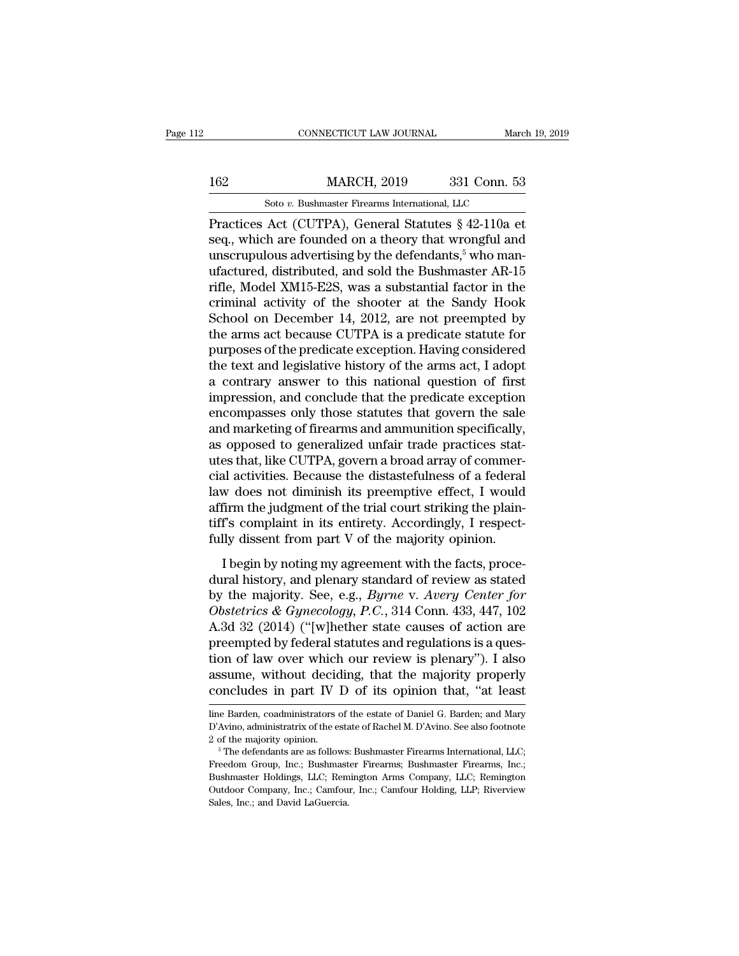## EXECUTE CONNECTICUT LAW JOURNAL March 19, 2019<br>162 MARCH, 2019 331 Conn. 53<br>500 v. Bushmaster Firearms International, LLC CONNECTICUT LAW JOURNAL March March March MARCH, 2019 331 Conn. 53<br>Soto *v.* Bushmaster Firearms International, LLC<br>Act. (CUTPA). General Statutes § 42-110a et

CONNECTICUT LAW JOURNAL March 19, 2019<br>
MARCH, 2019 331 Conn. 53<br>
Soto v. Bushmaster Firearms International, LLC<br>
Practices Act (CUTPA), General Statutes § 42-110a et<br>
seq., which are founded on a theory that wrongful and<br> MARCH, 2019 331 Conn. 53<br>
Soto v. Bushmaster Firearms International, LLC<br>
Practices Act (CUTPA), General Statutes § 42-110a et<br>
seq., which are founded on a theory that wrongful and<br>
unscrupulous advertising by the defenda 162 MARCH, 2019 331 Conn. 53<br>
Soto v. Bushmaster Firearms International, LLC<br>
Practices Act (CUTPA), General Statutes § 42-110a et<br>
seq., which are founded on a theory that wrongful and<br>
unscrupulous advertising by the def 162 MARCH, 2019 331 Conn. 53<br>
Soto v. Bushmaster Firearms International, LLC<br>
Practices Act (CUTPA), General Statutes § 42-110a et<br>
seq., which are founded on a theory that wrongful and<br>
unscrupulous advertising by the de Soto v. Bushmaster Firearms International, LLC<br>
Practices Act (CUTPA), General Statutes § 42-110a et<br>
seq., which are founded on a theory that wrongful and<br>
unscrupulous advertising by the defendants,<sup>5</sup> who man-<br>
ufactur sofo v. Bushmaster Firearms international, LLC<br>
Practices Act (CUTPA), General Statutes § 42-110a et<br>
seq., which are founded on a theory that wrongful and<br>
unscrupulous advertising by the defendants,<sup>5</sup> who man-<br>
ufactur Practices Act (CUTPA), General Statutes § 42-110a et<br>seq., which are founded on a theory that wrongful and<br>unscrupulous advertising by the defendants,<sup>5</sup> who man-<br>ufactured, distributed, and sold the Bushmaster AR-15<br>rifl seq., which are founded on a theory that wrongful and<br>unscrupulous advertising by the defendants,<sup>5</sup> who man-<br>ufactured, distributed, and sold the Bushmaster AR-15<br>rifle, Model XM15-E2S, was a substantial factor in the<br>cri unscrupulous advertising by the defendants,<sup>5</sup> who man-<br>ufactured, distributed, and sold the Bushmaster AR-15<br>rifle, Model XM15-E2S, was a substantial factor in the<br>criminal activity of the shooter at the Sandy Hook<br>School ufactured, distributed, and sold the Bushmaster AR-15<br>rifle, Model XM15-E2S, was a substantial factor in the<br>criminal activity of the shooter at the Sandy Hook<br>School on December 14, 2012, are not preempted by<br>the arms act rifle, Model XM15-E2S, was a substantial factor in the criminal activity of the shooter at the Sandy Hook School on December 14, 2012, are not preempted by the arms act because CUTPA is a predicate statute for purposes of criminal activity of the shooter at the Sandy Hook<br>School on December 14, 2012, are not preempted by<br>the arms act because CUTPA is a predicate statute for<br>purposes of the predicate exception. Having considered<br>the text and School on December 14, 2012, are not preempted by<br>the arms act because CUTPA is a predicate statute for<br>purposes of the predicate exception. Having considered<br>the text and legislative history of the arms act, I adopt<br>a con the arms act because CUTPA is a predicate statute for<br>purposes of the predicate exception. Having considered<br>the text and legislative history of the arms act, I adopt<br>a contrary answer to this national question of first<br>im purposes of the predicate exception. Having considered<br>the text and legislative history of the arms act, I adopt<br>a contrary answer to this national question of first<br>impression, and conclude that the predicate exception<br>en the text and legislative history of the arms act, I adopt<br>a contrary answer to this national question of first<br>impression, and conclude that the predicate exception<br>encompasses only those statutes that govern the sale<br>and a contrary answer to this national question of first<br>impression, and conclude that the predicate exception<br>encompasses only those statutes that govern the sale<br>and marketing of firearms and ammunition specifically,<br>as oppo impression, and conclude that the predicate exception<br>encompasses only those statutes that govern the sale<br>and marketing of firearms and ammunition specifically,<br>as opposed to generalized unfair trade practices stat-<br>utes encompasses only those statutes that govern the sale<br>and marketing of firearms and ammunition specifically,<br>as opposed to generalized unfair trade practices stat-<br>utes that, like CUTPA, govern a broad array of commer-<br>cial and marketing of firearms and ammunition specifically, as opposed to generalized unfair trade practices statures that, like CUTPA, govern a broad array of commercial activities. Because the distastefulness of a federal law as opposed to generalized unfair trade practices statures that, like CUTPA, govern a broad array of commercial activities. Because the distastefulness of a federal law does not diminish its preemptive effect, I would affir utes that, like CUTPA, govern a broad array of commercial activities. Because the distastefulness of a federal law does not diminish its preemptive effect, I would affirm the judgment of the trial court striking the plain law does not diminish its preemptive effect, I would<br>affirm the judgment of the trial court striking the plain-<br>tiff's complaint in its entirety. Accordingly, I respect-<br>fully dissent from part V of the majority opinion.<br>

ation the judgment of the trial court striking the plain-<br>tiff's complaint in its entirety. Accordingly, I respect-<br>fully dissent from part V of the majority opinion.<br>I begin by noting my agreement with the facts, proce-<br>d *Complaint in its entirety. Accordingly, I respect-fully dissent from part V of the majority opinion.*<br> *Degin by noting my agreement with the facts, procedural history, and plenary standard of review as stated by the majo* fully dissent from part V of the majority opinion.<br>
I begin by noting my agreement with the facts, proce-<br>
dural history, and plenary standard of review as stated<br>
by the majority. See, e.g., *Byrne* v. *Avery Center for* I begin by noting my agreement with the facts, procedural history, and plenary standard of review as stated by the majority. See, e.g., *Byrne v. Avery Center for Obstetrics & Gynecology, P.C.*, 314 Conn. 433, 447, 102 A.3 I begin by noting my agreement with the facts, proce-<br>dural history, and plenary standard of review as stated<br>by the majority. See, e.g., *Byrne* v. *Avery Center for*<br>*Obstetrics & Gynecology, P.C.*, 314 Conn. 433, 447, dural history, and plenary standard of review as stated<br>by the majority. See, e.g., *Byrne* v. *Avery Center for*<br>Obstetrics & Gynecology, P.C., 314 Conn. 433, 447, 102<br>A.3d 32 (2014) ("[w]hether state causes of action are by the majority. See, e.g., *Byrne* v. *Avery Center for* Obstetrics & Gynecology, P.C., 314 Conn. 433, 447, 102 A.3d 32 (2014) ("[w]hether state causes of action are preempted by federal statutes and regulations is a ques preempted by tederal statutes and regulations is a question of law over which our review is plenary"). I also<br>assume, without deciding, that the majority properly<br>concludes in part IV D of its opinion that, "at least<br>line tion of law over which our review is plenary"). I also<br>assume, without deciding, that the majority properly<br>concludes in part IV D of its opinion that, "at least<br>line Barden, coadministrators of the estate of Daniel G. Bar

assume, without deciding, that the majority properly<br>concludes in part IV D of its opinion that, "at least<br>line Barden, coadministrators of the estate of Daniel G. Barden; and Mary<br>D'Avino, administratrix of the estate of EXECUTE THE PATE TO THE SUPPRIDIT THAT, AT TEAST<br>Ine Barden, coadministrators of the estate of Daniel G. Barden; and Mary<br>D'Avino, administratrix of the estate of Rachel M. D'Avino. See also footnote<br>2 of the majority opin Ine Barden, coadministrators of the estate of Daniel G. Barden; and Mary D'Avino, administratrix of the estate of Rachel M. D'Avino. See also footnote 2 of the majority opinion.<br>
<sup>5</sup> The defendants are as follows: Bushmast D'Avino, administratrix of the estate of Rachel M. D'Avino. See also footnote 2 of the majority opinion.<br>
<sup>5</sup> The defendants are as follows: Bushmaster Firearms International, LLC; Freedom Group, Inc.; Bushmaster Firearms; 2 of the majority opinion.<br>
<sup>5</sup> The defendants are as follows<br>
Freedom Group, Inc.; Bushmast<br>
Bushmaster Holdings, LLC; Rem<br>
Outdoor Company, Inc.; Camfou<br>
Sales, Inc.; and David LaGuercia.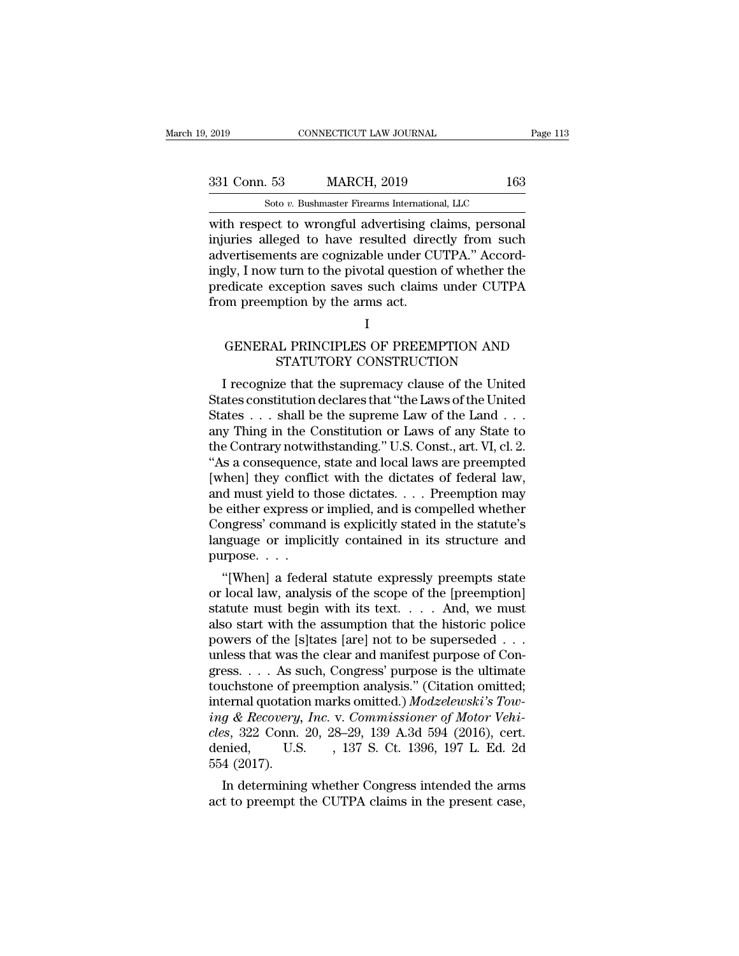| 331 Conn. 53<br><b>MARCH, 2019</b><br>163   |  |
|---------------------------------------------|--|
|                                             |  |
| 2019<br>CONNECTICUT LAW JOURNAL<br>Page 113 |  |

Page 1<br>
2019 CONNECTICUT LAW JOURNAL Page 1<br>
331 Conn. 53 MARCH, 2019 163<br>
351 Soto v. Bushmaster Firearms International, LLC<br>
with respect to wrongful advertising claims, personal<br>
injuries alleged to have resulted direct 331 Conn. 53 MARCH, 2019 163<br>
Soto v. Bushmaster Firearms International, LLC<br>
with respect to wrongful advertising claims, personal<br>
injuries alleged to have resulted directly from such<br>
advertisements are cognizable under  $\frac{\text{331} \text{ Conn. } 53}{\text{Soto } v. \text{ Bushmaster Fraams International, LLC}}$ <br>with respect to wrongful advertising claims, personal<br>injuries alleged to have resulted directly from such<br>advertisements are cognizable under CUTPA." Accord-<br>ingly, I now turn to 331 Conn. 53 MARCH, 2019 163<br>
Soto v. Bushmaster Firearms International, LLC<br>
with respect to wrongful advertising claims, personal<br>
injuries alleged to have resulted directly from such<br>
advertisements are cognizable under Soto v. Bushmaster Firearms International, LLC<br>with respect to wrongful advertising claims, personal<br>injuries alleged to have resulted directly from such<br>advertisements are cognizable under CUTPA." Accord-<br>ingly, I now tur  $\frac{\text{Soto } v. \text{ Bushmaster Firearms Internator}}{\text{with respect to wrongful advertising c}}$ <br>injuries alleged to have resulted direadvertisements are cognizable under CI<br>ingly, I now turn to the pivotal question<br>predicate exception saves such claims<br>from preemption by the arms Wertisements are cognizable under CUTPA." Accord-<br>Ely, I now turn to the pivotal question of whether the<br>edicate exception saves such claims under CUTPA<br>m preemption by the arms act.<br>I<br>GENERAL PRINCIPLES OF PREEMPTION AND<br> The value of whether the<br>
state of pivotal question of whether the<br>
state of claims under CUTPA<br>
ption by the arms act.<br>
I<br>
L PRINCIPLES OF PREEMPTION AND<br>
STATUTORY CONSTRUCTION<br>
ze that the supremacy clause of the United

### I

Example of the suppressed of the suppressed of the United STATUTORY CONSTRUCTION<br>
I GENERAL PRINCIPLES OF PREEMPTION AND<br>
STATUTORY CONSTRUCTION<br>
I recognize that the supremacy clause of the United<br>
ates constitution decla I<br>
States constitution of the States constitution declares that 'the Laws of the United<br>
States constitution declares that ''the Laws of the United<br>
States . . . shall be the supreme Law of the Land<br>
. . . . . . . . . . . I<br>
GENERAL PRINCIPLES OF PREEMPTION AND<br>
STATUTORY CONSTRUCTION<br>
I recognize that the supremacy clause of the United<br>
States constitution declares that "the Laws of the United<br>
States . . . shall be the supreme Law of the GENERAL PRINCIPLES OF PREEMPTION AND<br>STATUTORY CONSTRUCTION<br>I recognize that the supremacy clause of the United<br>States constitution declares that "the Laws of the United<br>States . . . shall be the supreme Law of the Land . GENERAL PRINCIPLES OF PREEMPTION AND<br>STATUTORY CONSTRUCTION<br>I recognize that the supremacy clause of the United<br>States constitution declares that "the Laws of the United<br>States . . . shall be the supreme Law of the Land .  $\footnotesize{SIAI}$  and  $\footnotesize{OIN}$  construction<br>  $\footnotesize{I}$  recognize that the supremacy clause of the United<br>
States  $\footnotesize{...}$  shall be the supreme Law of the Land  $\footnotesize{...}$ <br>
any Thing in the Constitution or Laws of any State to<br> I recognize that the supremacy clause of the United<br>States constitution declares that "the Laws of the United<br>States . . . shall be the supreme Law of the Land . . .<br>any Thing in the Constitution or Laws of any State to<br>t States constitution declares that "the Laws of the United<br>States . . . shall be the supreme Law of the Land . . .<br>any Thing in the Constitution or Laws of any State to<br>the Contrary notwithstanding." U.S. Const., art. VI, States . . . shall be the supreme Law of the Land . . .<br>any Thing in the Constitution or Laws of any State to<br>the Contrary notwithstanding." U.S. Const., art. VI, cl. 2.<br>"As a consequence, state and local laws are preempt any Thing in the Constitution or Laws of any State to<br>the Contrary notwithstanding." U.S. Const., art. VI, cl. 2.<br>"As a consequence, state and local laws are preempted<br>[when] they conflict with the dictates of federal law, the Contrary notwithstanding." U.S. Const., art. VI, cl. 2.<br>"As a consequence, state and local laws are preempted<br>[when] they conflict with the dictates of federal law,<br>and must yield to those dictates. . . . Preemption ma "As a consequence."<br>
[when] they confli<br>
and must yield to t<br>
be either express o<br>
Congress' comman<br>
language or implic<br>
purpose....<br>
"[When] a feder: Then<br>
I mey conflict with the dictates of rederal law,<br>
d must yield to those dictates.... Preemption may<br>
either express or implied, and is compelled whether<br>
ongress' command is explicitly stated in the statute's<br>
state and must yield to those dictates. . . . . Preemption may<br>be either express or implied, and is compelled whether<br>Congress' command is explicitly stated in the statute's<br>language or implicitly contained in its structure and<br>

be either express or implied, and is competied whether<br>Congress' command is explicitly stated in the statute's<br>language or implicitly contained in its structure and<br>purpose. . . .<br>"[When] a federal statute expressly preemp Congress command is explicitly stated in the statute's<br>language or implicitly contained in its structure and<br>purpose...<br>"[When] a federal statute expressly preempts state<br>or local law, analysis of the scope of the [preemp purpose. . . .<br>
"[When] a federal statute expressly preempts state<br>
or local law, analysis of the scope of the [preemption]<br>
statute must begin with its text. . . . And, we must<br>
also start with the assumption that the hi purpose. . . .<br>"[When] a federal statute expressly preempts state<br>or local law, analysis of the scope of the [preemption]<br>statute must begin with its text. . . . And, we must<br>also start with the assumption that the histori "[When] a federal statute expressly preempts state<br>or local law, analysis of the scope of the [preemption]<br>statute must begin with its text. . . . . And, we must<br>also start with the assumption that the historic police<br>pow or local law, analysis of the scope of the [preemption]<br>statute must begin with its text. . . . . And, we must<br>also start with the assumption that the historic police<br>powers of the [s]tates [are] not to be superseded . . statute must begin with its text. . . . . And, we must<br>also start with the assumption that the historic police<br>powers of the [s]tates [are] not to be superseded . . .<br>unless that was the clear and manifest purpose of Con-<br> also start with the assumption that the historic police<br>powers of the [s]tates [are] not to be superseded . . .<br>unless that was the clear and manifest purpose of Con-<br>gress. . . . As such, Congress' purpose is the ultimate powers of the [s]tates [are] not to be superseded . . . unless that was the clear and manifest purpose of Congress. . . . As such, Congress' purpose is the ultimate touchstone of preemption analysis." (Citation omitted; in unless that was the clear and manifest purpose of Congress. . . . As such, Congress' purpose is the ultimate<br>touchstone of preemption analysis." (Citation omitted;<br>internal quotation marks omitted.) Modzelewski's Tow-<br>ing gress. . . . As st<br>touchstone of pi<br>internal quotatio<br>*ing & Recovery,<br>cles*, 322 Conn.<br>denied, U.S<br>554 (2017).<br>In determining uch stone of preemption analysis. (Citation omitted;<br>ternal quotation marks omitted.) Modzelewski's Tow-<br>g & Recovery, Inc. v. Commissioner of Motor Vehi-<br>ss, 322 Conn. 20, 28–29, 139 A.3d 594 (2016), cert.<br>nied, U.S. , 13 mernal quotation marks omitted.) Modzelewski s Tow-<br>ing & Recovery, Inc. v. Commissioner of Motor Vehi-<br>cles, 322 Conn. 20, 28–29, 139 A.3d 594 (2016), cert.<br>denied, U.S., 137 S. Ct. 1396, 197 L. Ed. 2d<br>554 (2017).<br>In dete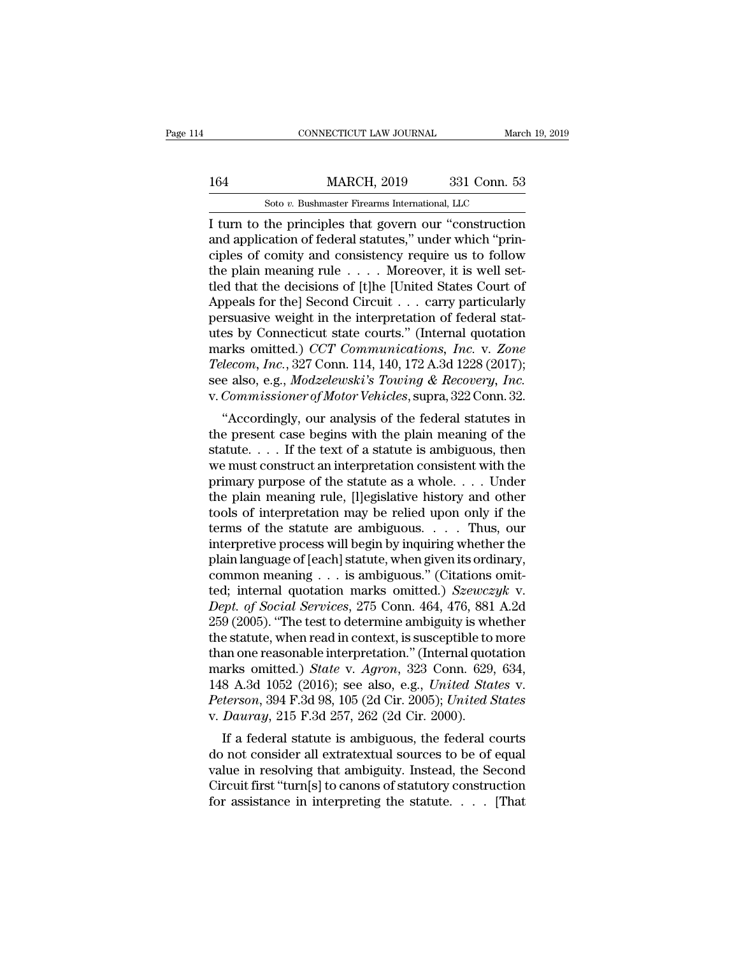## EXERCIT CONNECTICUT LAW JOURNAL March 19, 2019<br>164 MARCH, 2019 331 Conn. 53<br>500 v. Bushmaster Firearms International, LLC CONNECTICUT LAW JOURNAL March March March MARCH, 2019 331 Conn. 53<br>Soto *v.* Bushmaster Firearms International, LLC<br>the principles that govern our "construction"

CONNECTICUT LAW JOURNAL March 19, 2019<br>
164 MARCH, 2019 331 Conn. 53<br>
Soto v. Bushmaster Firearms International, LLC<br>
I turn to the principles that govern our "construction<br>
and application of federal statutes," under whic 164 MARCH, 2019 331 Conn. 53<br>
Soto v. Bushmaster Firearms International, LLC<br>
I turn to the principles that govern our "construction<br>
and application of federal statutes," under which "prin-<br>
ciples of comity and consisten MARCH, 2019 331 Conn. 53<br>
Soto v. Bushmaster Firearms International, LLC<br>
I turn to the principles that govern our "construction<br>
and application of federal statutes," under which "prin-<br>
ciples of comity and consistency r MARCH, 2019 331 Conn. 53<br>
Soto v. Bushmaster Firearms International, LLC<br>
I turn to the principles that govern our "construction<br>
and application of federal statutes," under which "prin-<br>
ciples of comity and consistency r Soto v. Bushmaster Firearms International, LLC<br>
I turn to the principles that govern our "construction<br>
and application of federal statutes," under which "prin-<br>
ciples of comity and consistency require us to follow<br>
the Sofo *v*. Bushmaster Firearms International, LLC<br>
I turn to the principles that govern our "construction<br>
and application of federal statutes," under which "prin-<br>
ciples of comity and consistency require us to follow<br>
the I turn to the principles that govern our "construction<br>and application of federal statutes," under which "prin-<br>ciples of comity and consistency require us to follow<br>the plain meaning rule  $\ldots$ . Moreover, it is well setand application of federal statutes," under which "principles of comity and consistency require us to follow<br>the plain meaning rule  $\ldots$ . Moreover, it is well set-<br>tled that the decisions of [t]he [United States Court of ciples of comity and consistency require us to follow<br>the plain meaning rule  $\ldots$ . Moreover, it is well set-<br>tled that the decisions of [t]he [United States Court of<br>Appeals for the] Second Circuit  $\ldots$  carry particular *The plain meaning rule* . . . . Moreover, it is well settled that the decisions of [t]he [United States Court of Appeals for the] Second Circuit . . . carry particularly persuasive weight in the interpretation of federal tled that the decisions of [t]he [United States Court of Appeals for the] Second Circuit . . . carry particularly persuasive weight in the interpretation of federal statures by Connecticut state courts." (Internal quotatio Appeals for the] Second Circuit . . . carry particularly<br>persuasive weight in the interpretation of federal stat-<br>utes by Connecticut state courts." (Internal quotation<br>marks omitted.) *CCT Communications*, *Inc.* v. *Zone* Example 11 The Interpretation of Federal states by Connecticut state courts." (Internal quotation arks omitted.) *CCT Communications, Inc.* v. *Zone lecom, Inc.*, 327 Conn. 114, 140, 172 A.3d 1228 (2017); e also, e.g., the present case begins. (Internal quotation<br>marks omitted.) *CCT Communications, Inc. v. Zone*<br>*Telecom, Inc.*, 327 Conn. 114, 140, 172 A.3d 1228 (2017);<br>see also, e.g., *Modzelewski's Towing & Recovery, Inc.*<br>v. *Commiss* 

Telecom, Inc., 327 Conn. 114, 140, 172 A.3d 1228 (2017);<br>
see also, e.g., *Modzelewski's Towing & Recovery, Inc.*<br>
v. *Commissioner of Motor Vehicles*, supra, 322 Conn. 32.<br>
"Accordingly, our analysis of the federal statut Tetecom, Thc., 527 Contr. 114, 140, 172 A.5d 1225 (2017),<br>see also, e.g., *Modzelewski's Towing & Recovery, Inc.*<br>v. *Commissioner of Motor Vehicles*, supra, 322 Conn. 32.<br>"Accordingly, our analysis of the federal statute be also, e.g., *modzelewski* s Towing & Recoverg, Thc.<br>v. Commissioner of Motor Vehicles, supra, 322 Conn. 32.<br>"Accordingly, our analysis of the federal statutes in<br>the present case begins with the plain meaning of the<br>st Thus of the statute are ambiguous. Thus our terms of the statute of the statute in the present case begins with the plain meaning of the statute.... If the text of a statute is ambiguous, then we must construct an interpr "Accordingly, our analysis of the federal statutes in<br>the present case begins with the plain meaning of the<br>statute.... If the text of a statute is ambiguous, then<br>we must construct an interpretation consistent with the<br>p the present case begins with the plain meaning of the<br>statute.... If the text of a statute is ambiguous, then<br>we must construct an interpretation consistent with the<br>primary purpose of the statute as a whole.... Under<br>the statute. . . . If the text of a statute is ambiguous, then<br>we must construct an interpretation consistent with the<br>primary purpose of the statute as a whole. . . . Under<br>the plain meaning rule, [l]egislative history and o we must construct an interpretation consistent with the primary purpose of the statute as a whole.... Under the plain meaning rule, [l]egislative history and other tools of interpretation may be relied upon only if the te primary purpose of the statute as a whole.... Under<br>the plain meaning rule, [l]egislative history and other<br>tools of interpretation may be relied upon only if the<br>terms of the statute are ambiguous.... Thus, our<br>interpret the plain meaning rule, [l]egislative history and other<br>tools of interpretation may be relied upon only if the<br>terms of the statute are ambiguous. . . . . Thus, our<br>interpretive process will begin by inquiring whether the<br> *Dept. of interpretation may be relied upon only if the terms of the statute are ambiguous..... Thus, our interpretive process will begin by inquiring whether the plain language of [each] statute, when given its ordinary,* terms of the statute are ambiguous. . . . Thus, our<br>interpretive process will begin by inquiring whether the<br>plain language of [each] statute, when given its ordinary,<br>common meaning . . . is ambiguous." (Citations omit-<br> interpretive process will begin by inquiring whether the<br>plain language of [each] statute, when given its ordinary,<br>common meaning . . . is ambiguous." (Citations omit-<br>ted; internal quotation marks omitted.) *Szewczyk* v plain language of [each] statute, when given its ordinary,<br>common meaning . . . is ambiguous." (Citations omit-<br>ted; internal quotation marks omitted.) *Szewczyk v.*<br>Dept. of Social Services, 275 Conn. 464, 476, 881 A.2d<br> common meaning . . . is ambiguous." (Citations omit-<br>ted; internal quotation marks omitted.) *Szewczyk v.*<br>*Dept. of Social Services*, 275 Conn. 464, 476, 881 A.2d<br>259 (2005). "The test to determine ambiguity is whether<br>th ted; internal quotation marks omitted.) *Szewczyk v.*<br> *Dept. of Social Services*, 275 Conn. 464, 476, 881 A.2d<br>
259 (2005). "The test to determine ambiguity is whether<br>
the statute, when read in context, is susceptible to *Pept. of Social Services*, 275 Conn. 464, 476, 881 A.2d<br>259 (2005). "The test to determine ambiguity is whether<br>the statute, when read in context, is susceptible to more<br>than one reasonable interpretation." (Internal quot 259 (2005). "The test to determine ambiguity is wh<br>the statute, when read in context, is susceptible to<br>than one reasonable interpretation." (Internal quot<br>marks omitted.) *State* v. *Agron*, 323 Conn. 629,<br>148 A.3d 1052 ( Estatue, when Fead in Collext, is susceptible to hlore<br>an one reasonable interpretation." (Internal quotation<br>arks omitted.) *State* v. *Agron*, 323 Conn. 629, 634,<br>8 A.3d 1052 (2016); see also, e.g., *United States* v.<br>*t* do not consider all extractual marks omitted.) *State* v. *Agron*, 323 Conn. 629, 634, 148 A.3d 1052 (2016); see also, e.g., *United States v. Peterson*, 394 F.3d 98, 105 (2d Cir. 2005); *United States v. Dauray*, 215 F.3d

marks onlined.) *State V. Ayron*, 323 Colin. 028, 034,<br>148 A.3d 1052 (2016); see also, e.g., *United States v.*<br>*Peterson*, 394 F.3d 98, 105 (2d Cir. 2005); *United States*<br>v. *Dauray*, 215 F.3d 257, 262 (2d Cir. 2000).<br>If The A.5d To52 (2010), see also, e.g., *Ohited States v.*<br>Peterson, 394 F.3d 98, 105 (2d Cir. 2005); *United States* v. *Dauray*, 215 F.3d 257, 262 (2d Cir. 2000).<br>If a federal statute is ambiguous, the federal courts<br>do n Feterson, 394 F.3d 98, 109 (2d Cli. 2005), United States<br>v. Dauray, 215 F.3d 257, 262 (2d Cir. 2000).<br>If a federal statute is ambiguous, the federal courts<br>do not consider all extratextual sources to be of equal<br>value in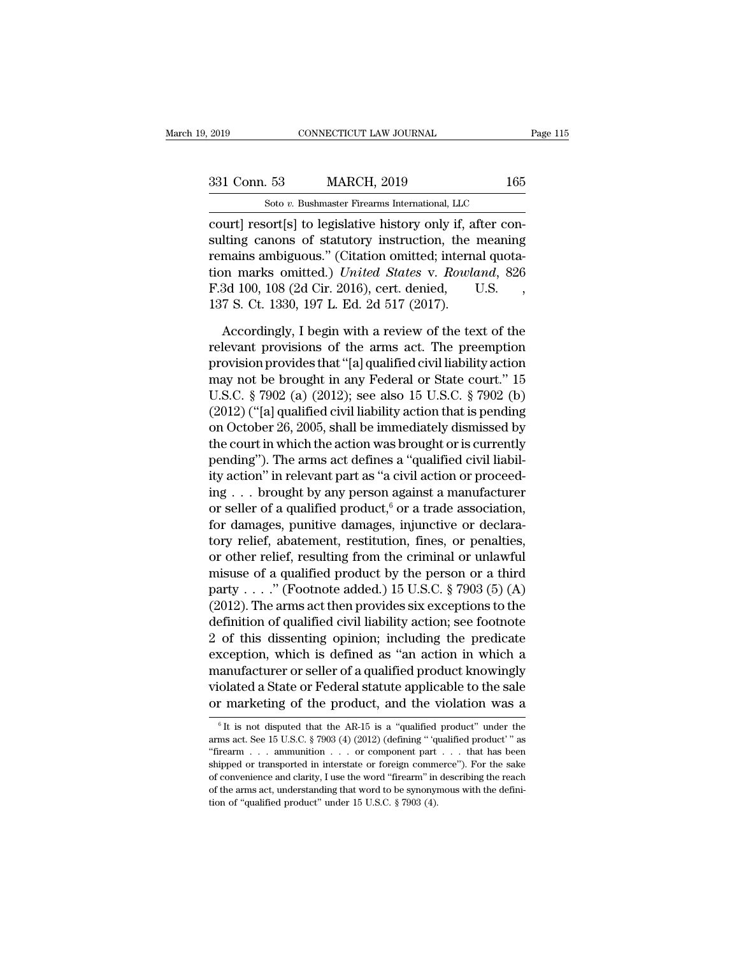| 331 Conn. 53<br><b>MARCH, 2019</b><br>165 |      | Soto v. Bushmaster Firearms International, LLC<br>courtl resorts to legislative history only if after con- |          |
|-------------------------------------------|------|------------------------------------------------------------------------------------------------------------|----------|
|                                           |      |                                                                                                            |          |
|                                           | 2019 | CONNECTICUT LAW JOURNAL                                                                                    | Page 115 |

connectricut LAW JOURNAL<br>
2019 conn. 53 MARCH, 2019 165<br>
331 Conn. 53 MARCH, 2019 165<br>
35 Soto v. Bushmaster Firearms International, LLC<br>
court] resort[s] to legislative history only if, after con-<br>
sulting canons of statu 331 Conn. 53 MARCH, 2019 165<br>Soto v. Bushmaster Firearms International, LLC<br>court] resort[s] to legislative history only if, after con-<br>sulting canons of statutory instruction, the meaning<br>remains ambiguous." (Citation omi 331 Conn. 53 MARCH, 2019 165<br>
Soto v. Bushmaster Firearms International, LLC<br>
court] resort[s] to legislative history only if, after consulting canons of statutory instruction, the meaning<br>
remains ambiguous." (Citation o 165<br>
165<br>
165<br>
165<br>
165<br>
165<br>
2010<br>
2011<br>
2011<br>
2011<br>
2013<br>
2013<br>
2013<br>
2013<br>
2013<br>
2013<br>
2014<br>
2015<br>
2015<br>
2014<br>
2015<br>
2015<br>
2015<br>
2015<br>
2015<br>
2015<br>
2015<br>
2015<br>
2015<br>
2015<br>
2016<br>
2016<br>
2016<br>
2016<br>
2016<br>
2016<br>
2016<br>
2016<br> Soto v. Bushmaster Firearms International, LLC<br>
court] resort[s] to legislative history only if, after con-<br>
sulting canons of statutory instruction, the meaning<br>
remains ambiguous." (Citation omitted; internal quota-<br>
tio sold *e*. Bashinaster Preams International, ELC<br>court] resort[s] to legislative history only if, at<br>sulting canons of statutory instruction, the 1<br>remains ambiguous." (Citation omitted; internation marks omitted.) United S Iting canons of statutory instruction, the meaning<br>mains ambiguous." (Citation omitted; internal quota-<br>on marks omitted.) United States v. Rowland, 826<br>3d 100, 108 (2d Cir. 2016), cert. denied, U.S.,<br>7 S. Ct. 1330, 197 L. remains ambiguous." (Citation omitted; internal quotation marks omitted.) *United States v. Rowland*, 826<br>F.3d 100, 108 (2d Cir. 2016), cert. denied, U.S.<br>137 S. Ct. 1330, 197 L. Ed. 2d 517 (2017).<br>Accordingly, I begin wit

tion marks omitted.) United States v. Rowland, 826<br>F.3d 100, 108 (2d Cir. 2016), cert. denied, U.S.<br>137 S. Ct. 1330, 197 L. Ed. 2d 517 (2017).<br>Accordingly, I begin with a review of the text of the<br>relevant provisions of t F.3d 100, 108 (2d Cir. 2016), cert. denied, U.S. , 137 S. Ct. 1330, 197 L. Ed. 2d 517 (2017).<br>Accordingly, I begin with a review of the text of the relevant provisions of the arms act. The preemption<br>provision provides th 137 S. Ct. 1330, 197 L. Ed. 2d 517 (2017).<br>
Accordingly, I begin with a review of the text of the<br>
relevant provisions of the arms act. The preemption<br>
provision provides that "[a] qualified civil liability action<br>
may no Accordingly, I begin with a review of the text of the relevant provisions of the arms act. The preemption provision provides that "[a] qualified civil liability action may not be brought in any Federal or State court." 15 Accordingly, I begin with a review of the text of the<br>relevant provisions of the arms act. The preemption<br>provision provides that "[a] qualified civil liability action<br>may not be brought in any Federal or State court." 15 relevant provisions of the arms act. The preemption<br>provision provides that "[a] qualified civil liability action<br>may not be brought in any Federal or State court." 15<br>U.S.C. § 7902 (a) (2012); see also 15 U.S.C. § 7902 (b provision provides that "[a] qualified civil liability action<br>may not be brought in any Federal or State court." 15<br>U.S.C. § 7902 (a) (2012); see also 15 U.S.C. § 7902 (b)<br>(2012) ("[a] qualified civil liability action that may not be brought in any Federal or State court." 15<br>U.S.C. § 7902 (a) (2012); see also 15 U.S.C. § 7902 (b)<br>(2012) ("[a] qualified civil liability action that is pending<br>on October 26, 2005, shall be immediately dismiss U.S.C. § 7902 (a) (2012); see also 15 U.S.C. § 7902 (b)<br>(2012) ("[a] qualified civil liability action that is pending<br>on October 26, 2005, shall be immediately dismissed by<br>the court in which the action was brought or is (2012) ("[a] qualified civil liability action that is pending<br>on October 26, 2005, shall be immediately dismissed by<br>the court in which the action was brought or is currently<br>pending"). The arms act defines a "qualified c on October 26, 2005, shall be immediately dismissed by<br>the court in which the action was brought or is currently<br>pending"). The arms act defines a "qualified civil liabil-<br>ity action" in relevant part as "a civil action o the court in which the action was brought or is currently<br>pending"). The arms act defines a "qualified civil liabil-<br>ity action" in relevant part as "a civil action or proceed-<br>ing . . . brought by any person against a man pending"). The arms act defines a "qualified civil liability action" in relevant part as "a civil action or proceeding . . . brought by any person against a manufacturer or seller of a qualified product,<sup>6</sup> or a trade ass ity action" in relevant part as "a civil action or proceed-<br>ing . . . brought by any person against a manufacturer<br>or seller of a qualified product,<sup>6</sup> or a trade association,<br>for damages, punitive damages, injunctive or ing . . . brought by any person against a manufacturer<br>or seller of a qualified product,<sup>6</sup> or a trade association,<br>for damages, punitive damages, injunctive or declara-<br>tory relief, abatement, restitution, fines, or pena or seller of a qualified product,<sup>6</sup> or a trade association,<br>for damages, punitive damages, injunctive or declara-<br>tory relief, abatement, restitution, fines, or penalties,<br>or other relief, resulting from the criminal or for damages, punitive damages, injunctive or declara-<br>tory relief, abatement, restitution, fines, or penalties,<br>or other relief, resulting from the criminal or unlawful<br>misuse of a qualified product by the person or a thi tory relief, abatement, restitution, fines, or penalties,<br>or other relief, resulting from the criminal or unlawful<br>misuse of a qualified product by the person or a third<br>party . . . ." (Footnote added.) 15 U.S.C. § 7903 ( or other relief, resulting from the criminal or unlawful<br>misuse of a qualified product by the person or a third<br>party . . . . " (Footnote added.) 15 U.S.C. § 7903 (5) (A)<br>(2012). The arms act then provides six exceptions misuse of a qualified product by the person or a third<br>party . . . ." (Footnote added.) 15 U.S.C. § 7903 (5) (A)<br>(2012). The arms act then provides six exceptions to the<br>definition of qualified civil liability action; see party  $\dots$  " (Footnote added.) 15 U.S.C. § 7903 (5) (A) (2012). The arms act then provides six exceptions to the definition of qualified civil liability action; see footnote 2 of this dissenting opinion; including the pre (2012). The arms act then provides six exceptions to the definition of qualified civil liability action; see footnote 2 of this dissenting opinion; including the predicate exception, which is defined as "an action in whic exception, which is defined as "an action in which a<br>manufacturer or seller of a qualified product knowingly<br>violated a State or Federal statute applicable to the sale<br>or marketing of the product, and the violation was a<br> manufacturer or seller of a qualified product knowingly<br>violated a State or Federal statute applicable to the sale<br>or marketing of the product, and the violation was a<br> $\frac{1}{10}$ <br>fit is not disputed that the AR-15 is a "q

violated a State or Federal statute applicable to the sale<br>or marketing of the product, and the violation was a<br> $\frac{1}{10}$  it is not disputed that the AR-15 is a "qualified product" under the<br>arms act. See 15 U.S.C. § 790 or marketing of the product, and the violation was a<br>  $\frac{1}{6}$  It is not disputed that the AR-15 is a "qualified product" under the<br>
arms act. See 15 U.S.C. § 7903 (4) (2012) (defining "'qualified product'' as<br>
"firearm of final netting of the product, and the violation was a<br>
<sup>6</sup> It is not disputed that the AR-15 is a "qualified product" under the<br>
arms act. See 15 U.S.C. § 7903 (4) (2012) (defining "'qualified product'" as<br>
"firearm  $\$ <sup>6</sup> It is not disputed that the AR-15 is a "qualified product" under the arms act. See 15 U.S.C. § 7903 (4) (2012) (defining "'qualified product'" as "firearm . . . ammunition . . . or component part . . . that has been s arms act. See 15 U.S.C. § 7903 (4) (2012) (defining " $q$  "firearm . . . ammunition . . . or component part shipped or transported in interstate or foreign common for convenience and clarity, I use the word "firearm" in of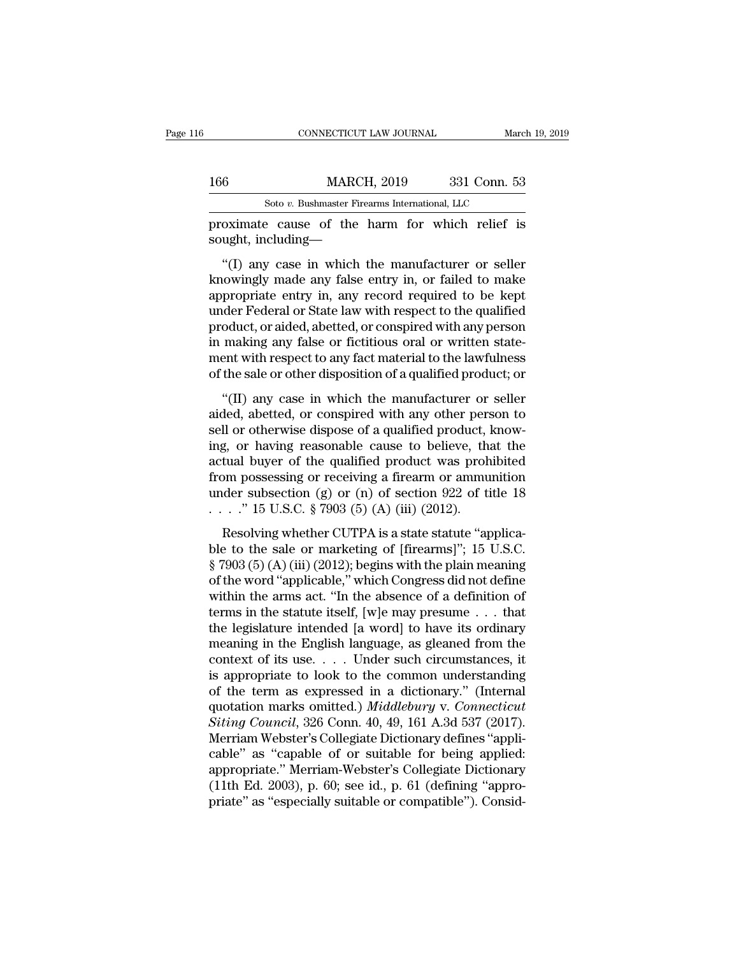|     | CONNECTICUT LAW JOURNAL                         | March 19, 2019 |
|-----|-------------------------------------------------|----------------|
| 166 | <b>MARCH, 2019</b>                              | 331 Conn. 53   |
|     | Soto v. Bushmaster Firearms International, LLC  |                |
|     | proximate cause of the harm for which relief is |                |

CONNECTICUT LAW JOURNAL March 19, 2019<br>
166 MARCH, 2019 331 Conn. 53<br>
5000 v. Bushmaster Firearms International, LLC<br>
proximate cause of the harm for which relief is<br>
sought, including— MARCH, 2019<br>
Soto v. Bushmaster Firearms Internations<br>
proximate cause of the harm for w<br>
sought, including—<br>
"(I) any case in which the manufact

 $\frac{\text{MARCH}}{\text{Soto } v. \text{ Bushmaster Firearms International, LLC}}$ <br>  $\frac{\text{Cost } v. \text{ Bushmaster Firearms International, LLC}}{\text{output, including—}}$ <br>
"(I) any case in which the manufacturer or seller<br>
nowingly made any false entry in, or failed to make Know MARCH, 2019 331 Conn. 53<br>
Soto v. Bushmaster Firearms International, LLC<br>
proximate cause of the harm for which relief is<br>
sought, including—<br>
"(I) any case in which the manufacturer or seller<br>
knowingly made any fals soto v. Bushmaster Firearms International, LLC<br>proximate cause of the harm for which relief is<br>sought, including—<br>"(I) any case in which the manufacturer or seller<br>knowingly made any false entry in, or failed to make<br>appr proximate cause of the harm for which relief is<br>sought, including—<br>"(I) any case in which the manufacturer or seller<br>knowingly made any false entry in, or failed to make<br>appropriate entry in, any record required to be kept sought, including—<br>
"(I) any case in which the manufacturer or seller<br>
knowingly made any false entry in, or failed to make<br>
appropriate entry in, any record required to be kept<br>
under Federal or State law with respect to "(I) any case in which the manufacturer or seller<br>knowingly made any false entry in, or failed to make<br>appropriate entry in, any record required to be kept<br>under Federal or State law with respect to the qualified<br>product, "(I) any case in which the manufacturer or seller<br>knowingly made any false entry in, or failed to make<br>appropriate entry in, any record required to be kept<br>under Federal or State law with respect to the qualified<br>product, knowingly made any false entry in, or failed to make<br>appropriate entry in, any record required to be kept<br>under Federal or State law with respect to the qualified<br>product, or aided, abetted, or conspired with any person<br>in propriate entry in, any record required to be kept<br>
der Federal or State law with respect to the qualified<br>
oduct, or aided, abetted, or conspired with any person<br>
making any false or fictitious oral or written state-<br>
ent ander I ederlar of state flaw what respect to the qualified<br>product, or aided, abetted, or conspired with any person<br>in making any false or fictitious oral or written state-<br>ment with respect to any fact material to the la

in making any false or fictitious oral or written statement with respect to any fact material to the lawfulness<br>of the sale or other disposition of a qualified product; or<br>"(II) any case in which the manufacturer or seller In making any hase of helaloas order of while bake<br>ment with respect to any fact material to the lawfulness<br>of the sale or other disposition of a qualified product; or<br>"(II) any case in which the manufacturer or seller<br>aid action what respect to any fact material to the famoulation<br>of the sale or other disposition of a qualified product; or<br>"(II) any case in which the manufacturer or seller<br>aided, abetted, or conspired with any other person "(II) any case in which the manufacturer or seller<br>aided, abetted, or conspired with any other person to<br>sell or otherwise dispose of a qualified product, know-<br>ing, or having reasonable cause to believe, that the<br>actual "(II) any case in which the manufacturer or seller aided, abetted, or conspired with any other person to sell or otherwise dispose of a qualified product, knowing, or having reasonable cause to believe, that the actual bu aided, abetted, or conspired with any other pers<br>sell or otherwise dispose of a qualified product, ing, or having reasonable cause to believe, th<br>actual buyer of the qualified product was proh<br>from possessing or receiving g, or having reasonable cause to believe, that the<br>tual buyer of the qualified product was prohibited<br>om possessing or receiving a firearm or ammunition<br>der subsection (g) or (n) of section 922 of title 18<br> $\therefore$  15 U.S.C. ble to the qualified product was prohibited<br>from possessing or receiving a firearm or ammunition<br>under subsection (g) or (n) of section 922 of title 18<br> $\dots$ ." 15 U.S.C. § 7903 (5) (A) (iii) (2012).<br>Resolving whether CUTPA

from possessing or receiving a firearm or ammunition<br>their subsection (g) or (n) of section 922 of title 18<br> $\ldots$ ." 15 U.S.C. § 7903 (5) (A) (iii) (2012).<br>Resolving whether CUTPA is a state statute "applica-<br>ble to the sa mom possessing of recently a meanin of an<br>annualization under subsection (g) or (n) of section 922 of title 18<br>
. . . . " 15 U.S.C. § 7903 (5) (A) (iii) (2012).<br>
Resolving whether CUTPA is a state statute "applica-<br>
ble t which the subsection (g) of (n) of section  $622$  of are to<br>...." 15 U.S.C. § 7903 (5) (A) (iii) (2012).<br>Resolving whether CUTPA is a state statute "applica-<br>ble to the sale or marketing of [firearms]"; 15 U.S.C.<br>§ 7903 (5 Resolving whether CUTPA is a state statute "applica-<br>ble to the sale or marketing of [firearms]"; 15 U.S.C.<br>§ 7903 (5) (A) (iii) (2012); begins with the plain meaning<br>of the word "applicable," which Congress did not defin Resolving whether CUTPA is a state statute "applica-<br>ble to the sale or marketing of [firearms]"; 15 U.S.C.<br>§ 7903 (5) (A) (iii) (2012); begins with the plain meaning<br>of the word "applicable," which Congress did not defin ble to the sale or marketing of [firearms]"; 15 U.S.C.<br>§ 7903 (5) (A) (iii) (2012); begins with the plain meaning<br>of the word "applicable," which Congress did not define<br>within the arms act. "In the absence of a definitio § 7903 (5) (A) (iii) (2012); begins with the plain meaning<br>of the word "applicable," which Congress did not define<br>within the arms act. "In the absence of a definition of<br>terms in the statute itself, [w]e may presume . . of the word "applicable," which Congress did not define<br>within the arms act. "In the absence of a definition of<br>terms in the statute itself, [w]e may presume . . . that<br>the legislature intended [a word] to have its ordina within the arms act. "In the absence of a definition of<br>terms in the statute itself, [w]e may presume . . . that<br>the legislature intended [a word] to have its ordinary<br>meaning in the English language, as gleaned from the<br> terms in the statute itself, [w]e may presume . . . that<br>the legislature intended [a word] to have its ordinary<br>meaning in the English language, as gleaned from the<br>context of its use. . . . Under such circumstances, it<br>is the legislature intended [a word] to have its ordinary<br>meaning in the English language, as gleaned from the<br>context of its use. . . . Under such circumstances, it<br>is appropriate to look to the common understanding<br>of the t meaning in the English language, as gleaned from the context of its use. . . . Under such circumstances, it is appropriate to look to the common understanding of the term as expressed in a dictionary." (Internal quotation context of its use. . . . Under such circumstances, it<br>is appropriate to look to the common understanding<br>of the term as expressed in a dictionary." (Internal<br>quotation marks omitted.) *Middlebury* v. Connecticut<br>Siting C is appropriate to look to the common understanding<br>
of the term as expressed in a dictionary." (Internal<br>
quotation marks omitted.) *Middlebury* v. Connecticut<br>
Siting Council, 326 Conn. 40, 49, 161 A.3d 537 (2017).<br>
Merri of the term as expressed in a dictionary." (Internal quotation marks omitted.) *Middlebury* v. *Connecticut* Siting Council, 326 Conn. 40, 49, 161 A.3d 537 (2017). Merriam Webster's Collegiate Dictionary defines "applicabl quotation marks omitted.) Middlebury v. Connecticut<br>Siting Council, 326 Conn. 40, 49, 161 A.3d 537 (2017).<br>Merriam Webster's Collegiate Dictionary defines "appli-<br>cable" as "capable of or suitable for being applied:<br>approp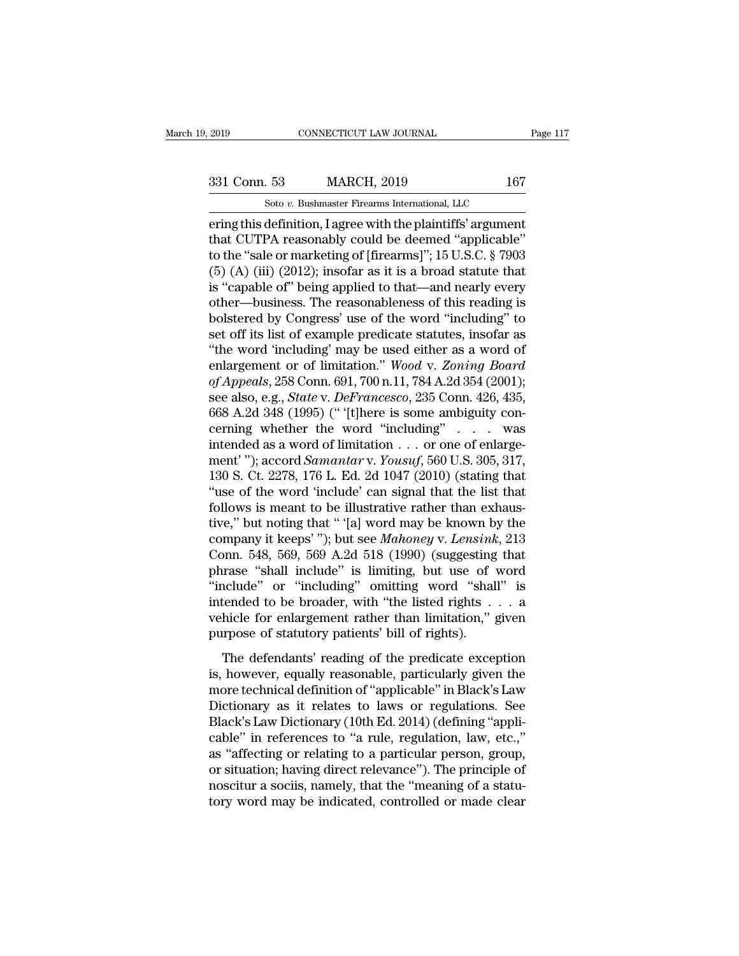# 2019 CONNECTICUT LAW JOURNAL Page 117<br>331 Conn. 53 MARCH, 2019 167<br>500 v. Bushmaster Firearms International, LLC

CONNECTICUT LAW JOURNAL<br>
Soto *v.* Bushmaster Firearms International, LLC<br>
definition I agree with the plaintiffs' argument ering this definition, I agree with the plaintiffs' argument<br>
that CUTPA reasonably could be deemed "applicable"<br>
the "sale or marketing of ffinormal": 15 U S C & 7003 331 Conn. 53 MARCH, 2019 167<br>Soto v. Bushmaster Firearms International, LLC<br>ering this definition, I agree with the plaintiffs' argument<br>that CUTPA reasonably could be deemed "applicable"<br>to the "sale or marketing of [fir 331 Conn. 53 MARCH, 2019 167<br>
Soto v. Bushmaster Firearms International, LLC<br>
ering this definition, I agree with the plaintiffs' argument<br>
that CUTPA reasonably could be deemed "applicable"<br>
to the "sale or marketing of (5)  $\frac{\text{531}}{\text{C} \cdot \text{C} \cdot \text{C} \cdot \text{C} \cdot \text{C} \cdot \text{C} \cdot \text{C} \cdot \text{C} \cdot \text{C} \cdot \text{C} \cdot \text{C} \cdot \text{C} \cdot \text{C} \cdot \text{C} \cdot \text{C} \cdot \text{C} \cdot \text{C} \cdot \text{C} \cdot \text{C} \cdot \text{C} \cdot \text{C} \cdot \text{C} \cdot \text{C} \cdot \text{C} \cdot \text{C} \cdot \text{C} \cdot \text{C} \cdot \text{C} \cdot \text{C} \cdot \text{C$ Soto v. Bushmaster Firearms International, LLC<br>
ering this definition, I agree with the plaintiffs' argument<br>
that CUTPA reasonably could be deemed "applicable"<br>
to the "sale or marketing of [firearms]"; 15 U.S.C. § 7903<br> soto v. Bushmaster Firearms international, LLC<br>
ering this definition, I agree with the plaintiffs' argument<br>
that CUTPA reasonably could be deemed "applicable"<br>
to the "sale or marketing of [firearms]"; 15 U.S.C. § 7903<br> ering this definition, I agree with the plaintiffs' argument<br>that CUTPA reasonably could be deemed "applicable"<br>to the "sale or marketing of [firearms]"; 15 U.S.C. § 7903<br>(5) (A) (iii) (2012); insofar as it is a broad stat that CUTPA reasonably could be deemed "applicable"<br>to the "sale or marketing of [firearms]"; 15 U.S.C. § 7903<br>(5) (A) (iii) (2012); insofar as it is a broad statute that<br>is "capable of" being applied to that—and nearly ev to the "sale or marketing of [firearms]"; 15 U.S.C. § 7903<br>
(5) (A) (iii) (2012); insofar as it is a broad statute that<br>
is "capable of" being applied to that—and nearly every<br>
other—business. The reasonableness of this r (5) (A) (iii) (2012); insofar as it is a broad statute that<br>is "capable of" being applied to that—and nearly every<br>other—business. The reasonableness of this reading is<br>bolstered by Congress' use of the word "including" t is "capable of" being applied to that—and nearly every<br>other—business. The reasonableness of this reading is<br>bolstered by Congress' use of the word "including" to<br>set off its list of example predicate statutes, insofar as<br> other—business. The reasonableness of this reading is<br>bolstered by Congress' use of the word "including" to<br>set off its list of example predicate statutes, insofar as<br>"the word "including" may be used either as a word of<br>e bolstered by Congress' use of the word "including" to<br>set off its list of example predicate statutes, insofar as<br>"the word 'including' may be used either as a word of<br>enlargement or of limitation." *Wood v. Zoning Board*<br> set off its list of example predicate statutes, insofar as<br>
"the word 'including' may be used either as a word of<br>
enlargement or of limitation." *Wood v. Zoning Board*<br>
of *Appeals*, 258 Conn. 691, 700 n.11, 784 A.2d 354 "the word 'including' may be used either as a word of enlargement or of limitation." *Wood v. Zoning Board* of *Appeals*, 258 Conn. 691, 700 n.11, 784 A.2d 354 (2001); see also, e.g., *State v. DeFrancesco*, 235 Conn. 426 enlargement or of limitation." *Wood v. Zoning Board*<br>of *Appeals*, 258 Conn. 691, 700 n.11, 784 A.2d 354 (2001);<br>see also, e.g., *State v. DeFrancesco*, 235 Conn. 426, 435,<br>668 A.2d 348 (1995) (" '[t]here is some ambiguit of Appeals, 258 Conn. 691, 700 n.11, 784 A.2d 354 (2001);<br>see also, e.g., *State* v. *DeFrancesco*, 235 Conn. 426, 435,<br>668 A.2d 348 (1995) (" '[t]here is some ambiguity con-<br>cerning whether the word "including" . . . was see also, e.g., *State* v. *DeFrancesco*, 235 Conn. 426, 435, 668 A.2d 348 (1995) (" '[t]here is some ambiguity concerning whether the word "including" . . . was intended as a word of limitation . . . or one of enlargemen 668 A.2d 348 (1995) (" '[t]here is some ambiguity concerning whether the word "including" . . . . was<br>intended as a word of limitation . . . or one of enlarge-<br>ment' "); accord *Samantar* v. *Yousuf*, 560 U.S. 305, 317,<br>1 cerning whether the word "including" . . . was<br>intended as a word of limitation . . . or one of enlarge-<br>ment'"); accord *Samantar* v. *Yousuf*, 560 U.S. 305, 317,<br>130 S. Ct. 2278, 176 L. Ed. 2d 1047 (2010) (stating that<br> intended as a word of limitation . . . or one of enlarge-<br>ment' "); accord *Samantar* v. *Yousuf*, 560 U.S. 305, 317,<br>130 S. Ct. 2278, 176 L. Ed. 2d 1047 (2010) (stating that<br>"use of the word 'include' can signal that the ment'"); accord *Samantar* v. *Yousuf*, 560 U.S. 305, 317, 130 S. Ct. 2278, 176 L. Ed. 2d 1047 (2010) (stating that "use of the word 'include' can signal that the list that follows is meant to be illustrative rather than e 130 S. Ct. 2278, 176 L. Ed. 2d 1047 (2010) (stating that<br>
"use of the word 'include' can signal that the list that<br>
follows is meant to be illustrative rather than exhaus-<br>
tive," but noting that " '[a] word may be known "use of the word 'include' can signal that the list that<br>follows is meant to be illustrative rather than exhaus-<br>tive," but noting that "'[a] word may be known by the<br>company it keeps' "); but see *Mahoney* v. *Lensink*, follows is meant to be illustrative rather than exhaustive," but noting that "'[a] word may be known by the company it keeps' "); but see *Mahoney* v. *Lensink*, 213 Conn. 548, 569, 569 A.2d 518 (1990) (suggesting that ph tive," but noting that " '[a] word may be known by the<br>company it keeps' "); but see *Mahoney* v. *Lensink*, 213<br>Conn. 548, 569, 569 A.2d 518 (1990) (suggesting that<br>phrase "shall include" is limiting, but use of word<br>"inc company it keeps' "); but see *Mahoney* v. Lensink<br>Conn. 548, 569, 569 A.2d 518 (1990) (suggesting<br>phrase "shall include" is limiting, but use of<br>"include" or "including" omitting word "shal<br>intended to be broader, with "t The defendants' reading of the predicate exception<br>The defendant of the product of the product of the predicate exception<br>the propose of statutory patients' bill of rights... a<br>The defendants' reading of the predicate exc Finally or "including" omitting word "shall" is<br>
intended to be broader, with "the listed rights  $\dots$  a<br>
vehicle for enlargement rather than limitation," given<br>
purpose of statutory patients' bill of rights).<br>
The defenda

intended to be broader, with "the listed rights  $\dots$  a<br>vehicle for enlargement rather than limitation," given<br>purpose of statutory patients' bill of rights).<br>The defendants' reading of the predicate exception<br>is, however, metrical of the discussion in the material regime.<br>
The defendants' reading of the predicate exception<br>
is, however, equally reasonable, particularly given the<br>
more technical definition of "applicable" in Black's Law<br>
Dic For the contribution of the predicate exception<br>purpose of statutory patients' bill of rights).<br>The defendants' reading of the predicate exception<br>is, however, equally reasonable, particularly given the<br>more technical defi Furpose of statutery pattents sin of rights).<br>
The defendants' reading of the predicate exception<br>
is, however, equally reasonable, particularly given the<br>
more technical definition of "applicable" in Black's Law<br>
Dictiona The defendants' reading of the predicate exception<br>is, however, equally reasonable, particularly given the<br>more technical definition of "applicable" in Black's Law<br>Dictionary as it relates to laws or regulations. See<br>Black is, however, equally reasonable, particularly given the<br>more technical definition of "applicable" in Black's Law<br>Dictionary as it relates to laws or regulations. See<br>Black's Law Dictionary (10th Ed. 2014) (defining "applimore technical definition of "applicable" in Black's Law<br>Dictionary as it relates to laws or regulations. See<br>Black's Law Dictionary (10th Ed. 2014) (defining "appli-<br>cable" in references to "a rule, regulation, law, etc., Dictionary as it relates to laws or regulations. See Black's Law Dictionary (10th Ed. 2014) (defining "applicable" in references to "a rule, regulation, law, etc.," as "affecting or relating to a particular person, group,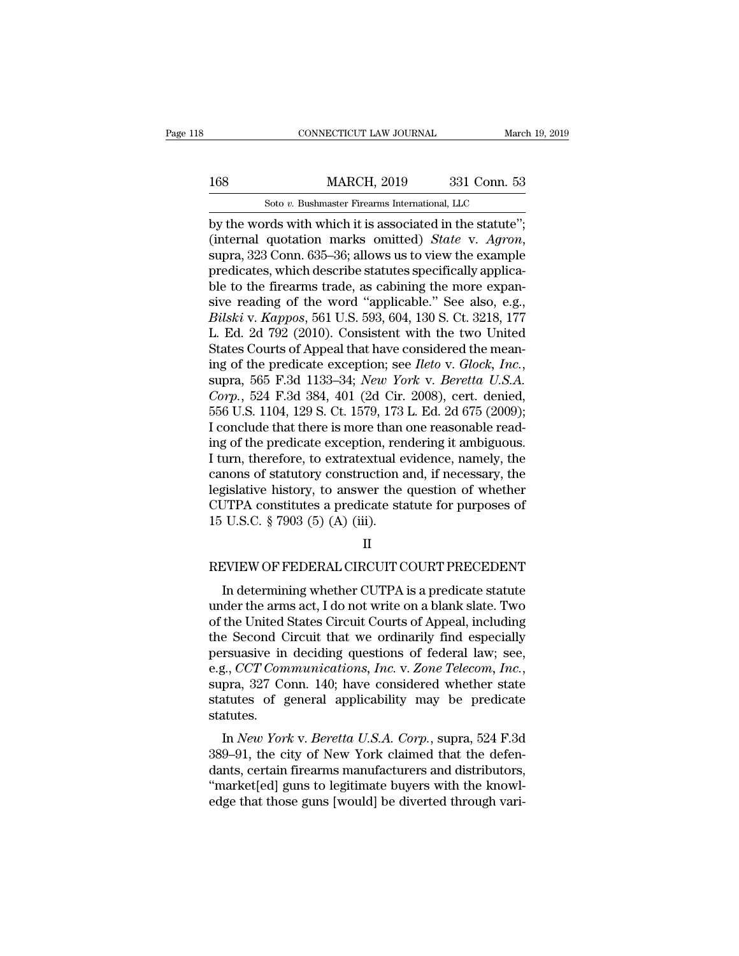## EXECUTE CONNECTICUT LAW JOURNAL March 19, 2019<br>168 MARCH, 2019 331 Conn. 53<br>500 v. Bushmaster Firearms International, LLC CONNECTICUT LAW JOURNAL March March March MARCH, 2019 331 Conn. 53<br>Soto *v.* Bushmaster Firearms International, LLC<br>rds with which it is associated in the statute"

CONNECTICUT LAW JOURNAL March 19, 2<br>
168 MARCH, 2019 331 Conn. 53<br>
500 v. Bushmaster Firearms International, LLC<br>
by the words with which it is associated in the statute'';<br>
(internal quotation marks omitted) *State v. Agr* (internal quotation marks omitted) *State* v. *Agron*, supra, 323 Conn. 635–36; allows us to view the example predicates, which describe statutes specifically applicable to the firearms trade as cabining the more example MARCH, 2019 331 Conn. 53<br>
Soto v. Bushmaster Firearms International, LLC<br>
by the words with which it is associated in the statute";<br>
(internal quotation marks omitted) *State* v. *Agron*,<br>
supra, 323 Conn. 635–36; allows u Soto v. Bushmaster Firearms International, LLC<br>by the words with which it is associated in the statute";<br>(internal quotation marks omitted) *State* v. *Agron*,<br>supra, 323 Conn. 635–36; allows us to view the example<br>predic soto v. Bushmaster Firearms international, LLC<br>by the words with which it is associated in the statute";<br>(internal quotation marks omitted) *State* v. *Agron*,<br>supra, 323 Conn. 635–36; allows us to view the example<br>predic by the words with which it is associated in the statute";<br>(internal quotation marks omitted) *State* v. *Agron*,<br>supra, 323 Conn. 635–36; allows us to view the example<br>predicates, which describe statutes specifically appli (internal quotation marks omitted) *State* v. *Agron*,<br>supra, 323 Conn. 635–36; allows us to view the example<br>predicates, which describe statutes specifically applica-<br>ble to the firearms trade, as cabining the more expan supra, 323 Conn. 635–36; allows us to view the example<br>predicates, which describe statutes specifically applica-<br>ble to the firearms trade, as cabining the more expan-<br>sive reading of the word "applicable." See also, e.g. predicates, which describe statutes specifically applica-<br>ble to the firearms trade, as cabining the more expan-<br>sive reading of the word "applicable." See also, e.g.,<br>*Bilski* v. *Kappos*, 561 U.S. 593, 604, 130 S. Ct. 32 sive reading of the word "applicable." See also, e.g.,<br>*Bilski* v. *Kappos*, 561 U.S. 593, 604, 130 S. Ct. 3218, 177<br>L. Ed. 2d 792 (2010). Consistent with the two United<br>States Courts of Appeal that have considered the mea Bilski v. Kappos, 561 U.S. 593, 604, 130 S. Ct. 3218, 177<br>L. Ed. 2d 792 (2010). Consistent with the two United<br>States Courts of Appeal that have considered the mean-<br>ing of the predicate exception; see *Ileto* v. *Glock*, L. Ed. 2d 792 (2010). Consistent with the two United States Courts of Appeal that have considered the meaning of the predicate exception; see *Ileto* v. *Glock*, *Inc.*, supra, 565 F.3d 1133–34; *New York* v. *Beretta U.S* States Courts of Appeal that have considered the mean-<br>ing of the predicate exception; see *Ileto* v. *Glock*, *Inc.*,<br>supra, 565 F.3d 1133–34; *New York* v. *Beretta U.S.A.*<br>*Corp.*, 524 F.3d 384, 401 (2d Cir. 2008), cert ing of the predicate exception; see *Ileto* v. *Glock*, *Inc.*, supra, 565 F.3d 1133–34; *New York* v. *Beretta U.S.A. Corp.*, 524 F.3d 384, 401 (2d Cir. 2008), cert. denied, 556 U.S. 1104, 129 S. Ct. 1579, 173 L. Ed. 2d supra, 565 F.3d 1133–34; *New York v. Beretta U.S.A.*<br>Corp., 524 F.3d 384, 401 (2d Cir. 2008), cert. denied,<br>556 U.S. 1104, 129 S. Ct. 1579, 173 L. Ed. 2d 675 (2009);<br>I conclude that there is more than one reasonable read-Corp., 524 F.3d 384, 401 (2d Cir. 2008), cert. denied,<br>556 U.S. 1104, 129 S. Ct. 1579, 173 L. Ed. 2d 675 (2009);<br>I conclude that there is more than one reasonable read-<br>ing of the predicate exception, rendering it ambiguo 556 U.S. 1104, 129 S. Ct. 1579, 173 L. Ed. 2d 675 (2009);<br>I conclude that there is more than one reasonable read-<br>ing of the predicate exception, rendering it ambiguous.<br>I turn, therefore, to extratextual evidence, namely, I conclude that there is more than<br>ing of the predicate exception, ren<br>I turn, therefore, to extratextual e<br>canons of statutory construction a<br>legislative history, to answer the<br>CUTPA constitutes a predicate sta<br>15 U.S.C. canons of statutory construction and, if necessary, the<br>legislative history, to answer the question of whether<br>CUTPA constitutes a predicate statute for purposes of<br>15 U.S.C. § 7903 (5) (A) (iii).<br>II<br>REVIEW OF FEDERAL CIRC ITPA constitutes a predicate statute for purposes of<br>U.S.C. § 7903 (5) (A) (iii).<br>II<br>EVIEW OF FEDERAL CIRCUIT COURT PRECEDENT<br>In determining whether CUTPA is a predicate statute<br>der the arms act, I do not write on a blank

### II

UCTTA CONSTRUMES a predicate statute for purposes of<br>15 U.S.C. § 7903 (5) (A) (iii).<br>II<br>REVIEW OF FEDERAL CIRCUIT COURT PRECEDENT<br>In determining whether CUTPA is a predicate statute<br>under the arms act, I do not write on a ID U.S.C. § 1905 (5) (A) (III).<br>
II<br>
REVIEW OF FEDERAL CIRCUIT COURT PRECEDENT<br>
In determining whether CUTPA is a predicate statute<br>
under the arms act, I do not write on a blank slate. Two<br>
of the United States Circuit Co II<br>
REVIEW OF FEDERAL CIRCUIT COURT PRECEDENT<br>
In determining whether CUTPA is a predicate statute<br>
under the arms act, I do not write on a blank slate. Two<br>
of the United States Circuit Courts of Appeal, including<br>
the Se REVIEW OF FEDERAL CIRCUIT COURT PRECEDENT<br>In determining whether CUTPA is a predicate statute<br>under the arms act, I do not write on a blank slate. Two<br>of the United States Circuit Courts of Appeal, including<br>the Second Cir EVEW OF FEDERAL CIRCOTT COOKT FRECEDENT<br>In determining whether CUTPA is a predicate statute<br>under the arms act, I do not write on a blank slate. Two<br>of the United States Circuit Courts of Appeal, including<br>the Second Circu under the arms act, I do not write on a blank slate. Two<br>of the United States Circuit Courts of Appeal, including<br>the Second Circuit that we ordinarily find especially<br>persuasive in deciding questions of federal law; see,<br> statutes. is expecially reacting that we ordinarily find especially<br>
resuasive in deciding questions of federal law; see,<br> *g., CCT Communications, Inc.* v. *Zone Telecom, Inc.*,<br>
pra, 327 Conn. 140; have considered whether state<br>
a bersuasive in declaing questions of federal faw, see,<br>e.g., *CCT Communications, Inc.* v. *Zone Telecom, Inc.*,<br>supra, 327 Conn. 140; have considered whether state<br>statutes of general applicability may be predicate<br>statute

e.g., CCT Communications, The. v. Zone Telecom, The.,<br>supra, 327 Conn. 140; have considered whether state<br>statutes.<br>In New York v. Beretta U.S.A. Corp., supra, 524 F.3d<br>389–91, the city of New York claimed that the defen-<br> supra, 527 Collii. 140, have considered whether state<br>statutes of general applicability may be predicate<br>statutes.<br>In *New York* v. *Beretta U.S.A. Corp.*, supra, 524 F.3d<br>389–91, the city of New York claimed that the defe statutes of general applicability hay be predicate<br>statutes.<br>In *New York v. Beretta U.S.A. Corp.*, supra, 524 F.3d<br>389–91, the city of New York claimed that the defen-<br>dants, certain firearms manufacturers and distributor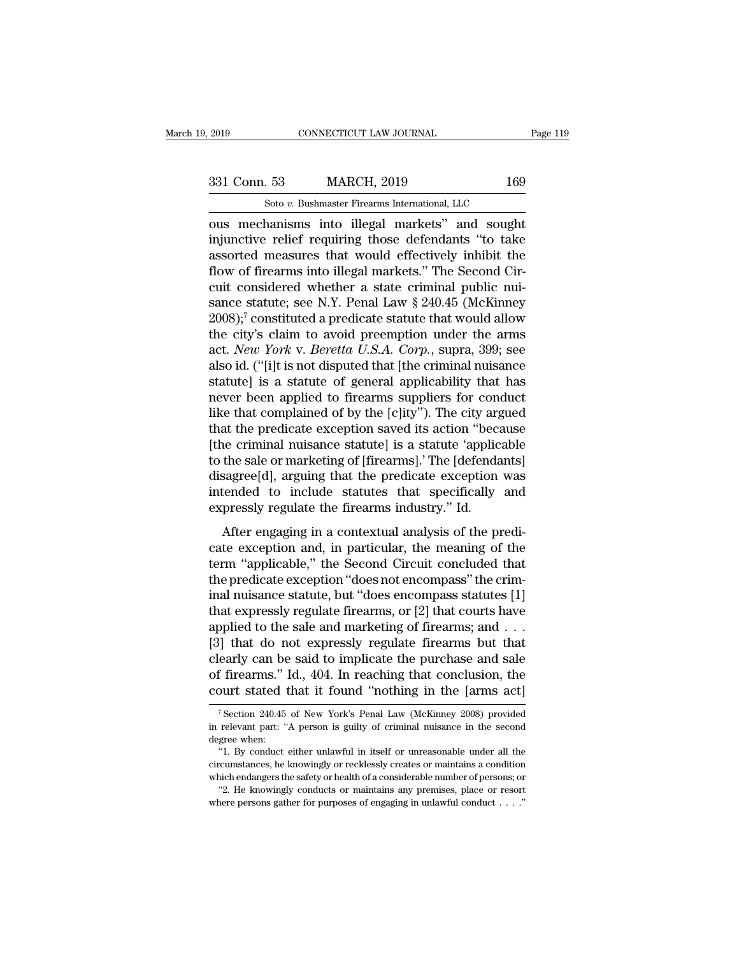# 2019 CONNECTICUT LAW JOURNAL Page 119<br>331 Conn. 53 MARCH, 2019 169<br>500 v. Bushmaster Firearms International, LLC

CONNECTICUT LAW JOURNAL<br>
Soto *v.* Bushmaster Firearms International, LLC<br>
Soto *v.* Bushmaster Firearms International, LLC<br>
hanisms into illegal markets'' and sought ous connecticut LAW JOURNAL Page 11:<br>
331 Conn. 53 MARCH, 2019 169<br>
500 v. Bushmaster Firearms International, LLC<br>
2019 169<br>
500 v. Bushmaster Firearms International, LLC<br>
2019 169<br>
2019 169<br>
2019 169<br>
2019 169<br>
2019 169<br> 331 Conn. 53 MARCH, 2019 169<br>
Soto v. Bushmaster Firearms International, LLC<br>
ous mechanisms into illegal markets" and sought<br>
injunctive relief requiring those defendants "to take<br>
assorted measures that would effectively  $\frac{\text{331} \text{ Conn. } 53}{\text{Soto } v. \text{ Bushmaster Firearms International, LLC}}$ <br>
ous mechanisms into illegal markets" and sought<br>
injunctive relief requiring those defendants "to take<br>
assorted measures that would effectively inhibit the<br>
flow of firearms into  $f_{\text{Soto }v}$  MARCH, 2019 169<br>
Soto *v*. Bushmaster Firearms International, LLC<br>
ous mechanisms into illegal markets'' and sought<br>
injunctive relief requiring those defendants "to take<br>
assorted measures that would effecti Soto v. Bushmaster Firearms International, LLC<br>
ous mechanisms into illegal markets" and sought<br>
injunctive relief requiring those defendants "to take<br>
assorted measures that would effectively inhibit the<br>
flow of firearm soto *v*. Bushmaster Freams international, LLC<br>ous mechanisms into illegal markets" and sought<br>injunctive relief requiring those defendants "to take<br>assorted measures that would effectively inhibit the<br>flow of firearms int ous mechanisms into illegal markets" and sought<br>injunctive relief requiring those defendants "to take<br>assorted measures that would effectively inhibit the<br>flow of firearms into illegal markets." The Second Cir-<br>cuit consi injunctive relief requiring those defendants "to take<br>assorted measures that would effectively inhibit the<br>flow of firearms into illegal markets." The Second Cir-<br>cuit considered whether a state criminal public nui-<br>sance assorted measures that would effectively inhibit the<br>flow of firearms into illegal markets." The Second Cir-<br>cuit considered whether a state criminal public nui-<br>sance statute; see N.Y. Penal Law § 240.45 (McKinney<br>2008);<sup></sup> flow of firearms into illegal markets." The Second Circuit considered whether a state criminal public nuisance statute; see N.Y. Penal Law  $\S 240.45$  (McKinney 2008);<sup>7</sup> constituted a predicate statute that would allow th cuit considered whether a state criminal public nuisance statute; see N.Y. Penal Law  $\S 240.45$  (McKinney 2008);<sup>7</sup> constituted a predicate statute that would allow the city's claim to avoid preemption under the arms act. sance statute; see N.Y. Penal Law § 240.45 (McKinney 2008);<sup>7</sup> constituted a predicate statute that would allow<br>the city's claim to avoid preemption under the arms<br>act. *New York* v. *Beretta U.S.A. Corp.*, supra, 399; se 2008);<sup>7</sup> constituted a predicate statute that would allow<br>the city's claim to avoid preemption under the arms<br>act. *New York v. Beretta U.S.A. Corp.*, supra, 399; see<br>also id. ("[i]t is not disputed that [the criminal nu the city's claim to avoid preemption under the arms<br>act. New York v. Beretta U.S.A. Corp., supra, 399; see<br>also id. ("[i]t is not disputed that [the criminal nuisance<br>statute] is a statute of general applicability that has act. *New York* v. *Beretta U.S.A. Corp.*, supra, 399; see<br>also id. ("[i]t is not disputed that [the criminal nuisance<br>statute] is a statute of general applicability that has<br>never been applied to firearms suppliers for c also id. ("[i]t is not disputed that [the criminal nuisance<br>statute] is a statute of general applicability that has<br>never been applied to firearms suppliers for conduct<br>like that complained of by the [c]ity"). The city arg statute] is a statute of general applicability that has<br>never been applied to firearms suppliers for conduct<br>like that complained of by the [c]ity"). The city argued<br>that the predicate exception saved its action "because<br>[ never been applied to firearms suppliers for conduct<br>like that complained of by the [c]ity"). The city argued<br>that the predicate exception saved its action "because<br>[the criminal nuisance statute] is a statute 'applicable<br> like that complained of by the [c]ity"). The city argent that the predicate exception saved its action "because (the criminal nuisance statute) is a statute 'applic to the sale or marketing of [firearms].' The [defendare d at the predicate enception stated its denotified the content of the sale or marketing of [firearms]. The [defendants] sagree[d], arguing that the predicate exception was tended to include statutes that specifically and pre particular, in and, in particular, the meaning of the meaning disagree[d], arguing that the predicate exception was<br>intended to include statutes that specifically and<br>expressly regulate the firearms industry." Id.<br>After en

the state of marketing of privarially. The predictation disagree[d], arguing that the predicate exception was<br>intended to include statutes that specifically and<br>expressly regulate the firearms industry." Id.<br>After engaging intended to include statutes that specifically and<br>expressly regulate the firearms industry." Id.<br>After engaging in a contextual analysis of the predi-<br>cate exception and, in particular, the meaning of the<br>term "applicabl expressly regulate the firearms industry." Id.<br>
After engaging in a contextual analysis of the predi-<br>
cate exception and, in particular, the meaning of the<br>
term "applicable," the Second Circuit concluded that<br>
the predic After engaging in a contextual analysis of the predicate exception and, in particular, the meaning of the term "applicable," the Second Circuit concluded that the predicate exception "does not encompass" the criminal nuis After engaging in a contextual analysis of the predicate exception and, in particular, the meaning of the term "applicable," the Second Circuit concluded that the predicate exception "does not encompass" the criminal nuis cate exception and, in particular, the meaning of the<br>term "applicable," the Second Circuit concluded that<br>the predicate exception "does not encompass" the crim-<br>inal nuisance statute, but "does encompass statutes [1]<br>tha term "applicable," the Second Circuit concluded that<br>the predicate exception "does not encompass" the crim-<br>inal nuisance statute, but "does encompass statutes [1]<br>that expressly regulate firearms, or [2] that courts have<br> the predicate exception "does not encompass" the criminal nuisance statute, but "does encompass statutes [1] that expressly regulate firearms, or [2] that courts have applied to the sale and marketing of firearms; and . . inal nuisance statute, but "does encompass statutes [1]<br>that expressly regulate firearms, or [2] that courts have<br>applied to the sale and marketing of firearms; and . . .<br>[3] that do not expressly regulate firearms but th For the said to implicate the purchase and sale f firearms." Id., 404. In reaching that conclusion, the burt stated that it found "nothing in the [arms act]<br><sup>7</sup> Section 240.45 of New York's Penal Law (McKinney 2008) provi clearly can be said to implicate the purchase and sale<br>of firearms." Id., 404. In reaching that conclusion, the<br>court stated that it found "nothing in the [arms act]<br><sup>7</sup> Section 240.45 of New York's Penal Law (McKinney 200

of firearms."<br>
court stated<br>
<sup>7</sup> Section 240.45<br>
in relevant part: "<br>
degree when:<br>
"1. By conduct Functional in the term is act.<br>
The section 240.45 of New York's Penal Law (McKinney 2008) provided<br>
relevant part: "A person is guilty of criminal nuisance in the second<br>
gree when:<br>
"I. By conduct either unlawful in its

The court stated that it found filoting in the [arms act]<br>
The court stated that it found filoting in the carries act]<br>
in relevant part: "A person is guilty of criminal nuisance in the second<br>
degree when:<br>
"1. By conduct <sup>7</sup> Section 240.45 of New York's Penal Law (McKinney 2008) provided<br>in relevant part: "A person is guilty of criminal nuisance in the second<br>degree when:<br>"1. By conduct either unlawful in itself or unreasonable under all <sup>7</sup> Section 240.45 of New York's Penal Law (McKinney 2008) provided in relevant part: "A person is guilty of criminal nuisance in the second degree when: "1. By conduct either unlawful in itself or unreasonable under all degree when:<br>
"1. By conduct either unlawful in itself or unreasonable under all the<br>
circumstances, he knowingly or recklessly creates or maintains a condition<br>
which endangers the safety or health of a considerable numbe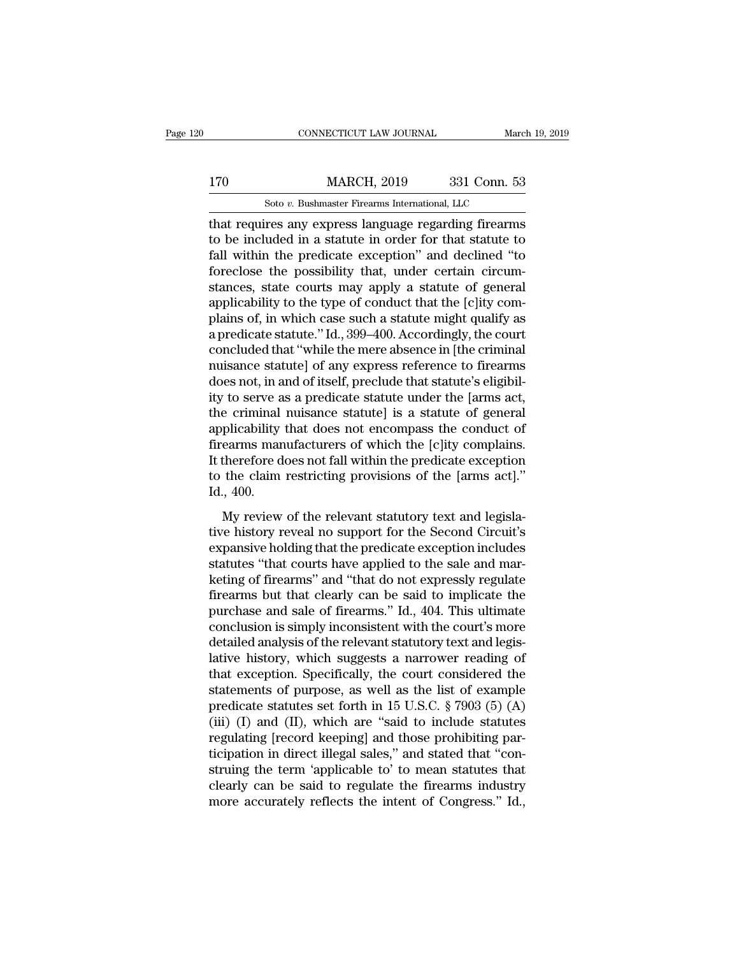## EXECUTE CONNECTICUT LAW JOURNAL March 19, 2019<br>170 MARCH, 2019 331 Conn. 53<br>Soto v. Bushmaster Firearms International, LLC CONNECTICUT LAW JOURNAL March March March MARCH, 2019 331 Conn. 53<br>Soto *v.* Bushmaster Firearms International, LLC<br>res any express language regarding firearms

CONNECTICUT LAW JOURNAL March 19, 2019<br>170 MARCH, 2019 331 Conn. 53<br>5000 v. Bushmaster Firearms International, LLC<br>that requires any express language regarding firearms<br>to be included in a statute in order for that statute 170 MARCH, 2019 331 Conn. 53<br>
Soto v. Bushmaster Firearms International, LLC<br>
that requires any express language regarding firearms<br>
to be included in a statute in order for that statute to<br>
fall within the predicate excep  $\frac{\text{MARCH}}{\text{Soto } v. \text{ Bushmaster Firearms International, LLC}}$ <br>
that requires any express language regarding firearms<br>
to be included in a statute in order for that statute to<br>
fall within the predicate exception'' and declined "to<br>
foreclose the possib  $\frac{\text{MARCH}}{\text{170}}$  MARCH, 2019 331 Conn. 53<br>
soto *v*. Bushmaster Firearms International, LLC<br>
that requires any express language regarding firearms<br>
to be included in a statute in order for that statute to<br>
fall within th Soto v. Bushmaster Firearms International, LLC<br>
that requires any express language regarding firearms<br>
to be included in a statute in order for that statute to<br>
fall within the predicate exception" and declined "to<br>
forec  $\frac{\text{3000 v. Bussmaster Firearms International, LL}}{\text{that requires any express language regarding firearms}}$ <br>that requires any express language regarding firearms<br>to be included in a statute in order for that statute to<br>fall within the predicate exception" and declined "to<br>foreclose the possib that requires any express language regarding firearms<br>to be included in a statute in order for that statute to<br>fall within the predicate exception" and declined "to<br>foreclose the possibility that, under certain circum-<br>sta to be included in a statute in order for that statute to<br>fall within the predicate exception" and declined "to<br>foreclose the possibility that, under certain circum-<br>stances, state courts may apply a statute of general<br>appl fall within the predicate exception" and declined "to<br>foreclose the possibility that, under certain circum-<br>stances, state courts may apply a statute of general<br>applicability to the type of conduct that the [c]ity com-<br>pla foreclose the possibility that, under certain circum-<br>stances, state courts may apply a statute of general<br>applicability to the type of conduct that the [c]ity com-<br>plains of, in which case such a statute might qualify as<br> stances, state courts may apply a statute of general<br>applicability to the type of conduct that the [c]ity com-<br>plains of, in which case such a statute might qualify as<br>a predicate statute." Id., 399–400. Accordingly, the c applicability to the type of conduct that the [c]ity complains of, in which case such a statute might qualify as a predicate statute." Id., 399–400. Accordingly, the court concluded that "while the mere absence in [the cri plains of, in which case such a statute might qualify as<br>a predicate statute." Id., 399–400. Accordingly, the court<br>concluded that "while the mere absence in [the criminal<br>nuisance statute] of any express reference to fire a predicate statute." Id., 399–400. Accordingly, the court<br>concluded that "while the mere absence in [the criminal<br>nuisance statute] of any express reference to firearms<br>does not, in and of itself, preclude that statute's concluded that "while the mere absence in [the criminal<br>nuisance statute] of any express reference to firearms<br>does not, in and of itself, preclude that statute's eligibil-<br>ity to serve as a predicate statute under the [ar nuisance statute] of any express reference to firearms<br>does not, in and of itself, preclude that statute's eligibil-<br>ity to serve as a predicate statute under the [arms act,<br>the criminal nuisance statute] is a statute of g does not, in and of itself, preclude that statute's eligibility to serve as a predicate statute under the [arms act, the criminal nuisance statute] is a statute of general applicability that does not encompass the conduct ity to serve a<br>the criminal<br>applicability<br>firearms man<br>It therefore d<br>to the claim<br>Id., 400.<br>My review determinar massacreed status of the relevant of the conduct of<br>plicability that does not encompass the conduct of<br>earms manufacturers of which the [c]ity complains.<br>therefore does not fall within the predicate exception<br>th depricating that accs not chompass are conduct of<br>firearms manufacturers of which the [c]ity complains.<br>It therefore does not fall within the predicate exception<br>to the claim restricting provisions of the [arms act]."<br>Id.,

It therefore does not fall within the predicate exception<br>to the claim restricting provisions of the [arms act]."<br>Id., 400.<br>My review of the relevant statutory text and legisla-<br>tive history reveal no support for the Secon statutes to the claim restricting provisions of the [arms act]."<br>Id., 400.<br>My review of the relevant statutory text and legisla-<br>tive history reveal no support for the Second Circuit's<br>expansive holding that the predicate keting provisions of the particular dost.<br>Id., 400.<br>My review of the relevant statutory text and legislative history reveal no support for the Second Circuit's<br>expansive holding that the predicate exception includes<br>statut firely review of the relevant statutory text and legislative history reveal no support for the Second Circuit's expansive holding that the predicate exception includes statutes "that courts have applied to the sale and mar My review of the relevant statutory text and legislative history reveal no support for the Second Circuit's expansive holding that the predicate exception includes statutes "that courts have applied to the sale and marketi tive history reveal no support for the Second Circuit's<br>expansive holding that the predicate exception includes<br>statutes "that courts have applied to the sale and mar-<br>keting of firearms" and "that do not expressly regulat expansive holding that the predicate exception includes<br>statutes "that courts have applied to the sale and mar-<br>keting of firearms" and "that do not expressly regulate<br>firearms but that clearly can be said to implicate the statutes "that courts have applied to the sale and marketing of firearms" and "that do not expressly regulate firearms but that clearly can be said to implicate the purchase and sale of firearms." Id., 404. This ultimate c keting of firearms" and "that do not expressly regulate<br>firearms but that clearly can be said to implicate the<br>purchase and sale of firearms." Id., 404. This ultimate<br>conclusion is simply inconsistent with the court's mor firearms but that clearly can be said to implicate the<br>purchase and sale of firearms." Id., 404. This ultimate<br>conclusion is simply inconsistent with the court's more<br>detailed analysis of the relevant statutory text and l purchase and sale of firearms." Id., 404. This ultimate<br>conclusion is simply inconsistent with the court's more<br>detailed analysis of the relevant statutory text and legis-<br>lative history, which suggests a narrower reading conclusion is simply inconsistent with the court's more<br>detailed analysis of the relevant statutory text and legis-<br>lative history, which suggests a narrower reading of<br>that exception. Specifically, the court considered th detailed analysis of the relevant statutory text and legis-<br>lative history, which suggests a narrower reading of<br>that exception. Specifically, the court considered the<br>statements of purpose, as well as the list of example<br> lative history, which suggests a narrower reading of<br>that exception. Specifically, the court considered the<br>statements of purpose, as well as the list of example<br>predicate statutes set forth in 15 U.S.C. § 7903 (5) (A)<br>(ii that exception. Specifically, the court considered the<br>statements of purpose, as well as the list of example<br>predicate statutes set forth in 15 U.S.C. § 7903 (5) (A)<br>(iii) (I) and (II), which are "said to include statutes statements of purpose, as well as the list of example<br>predicate statutes set forth in 15 U.S.C. § 7903 (5) (A)<br>(iii) (I) and (II), which are "said to include statutes<br>regulating [record keeping] and those prohibiting par-<br> predicate statutes set forth in 15 U.S.C. § 7903 (5) (A) (iii) (I) and (II), which are "said to include statutes regulating [record keeping] and those prohibiting participation in direct illegal sales," and stated that "co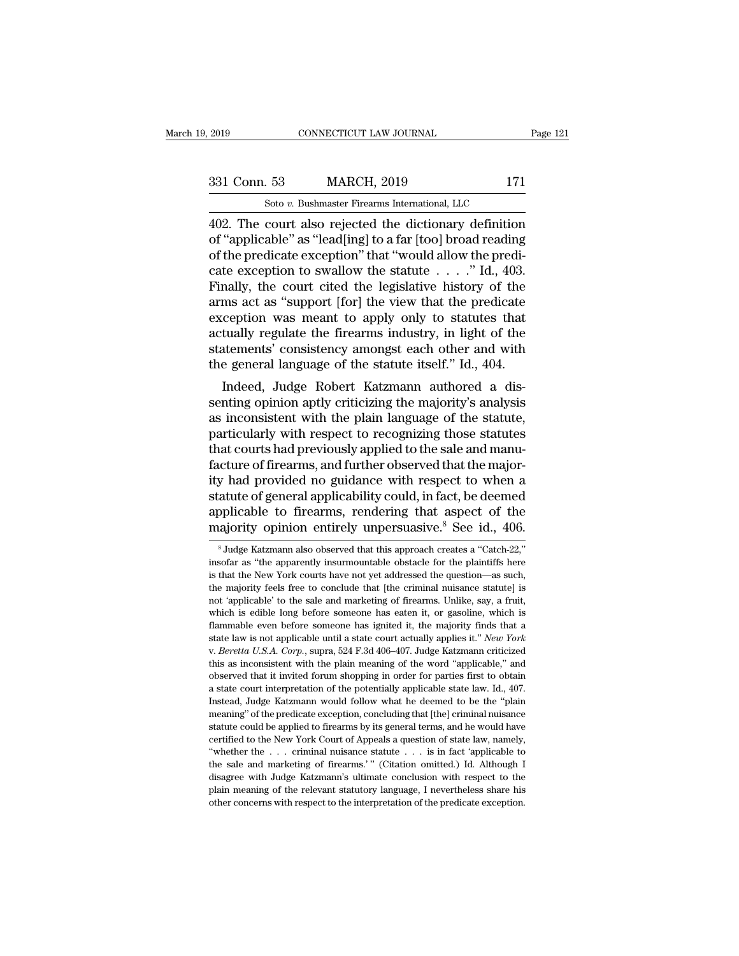## 2019 CONNECTICUT LAW JOURNAL Page 121<br>331 Conn. 53 MARCH, 2019 171<br>Soto v. Bushmaster Firearms International, LLC CONNECTICUT LAW JOURNAL<br>
Soto *v.* Bushmaster Firearms International, LLC<br>
COUTT also rejected the dictionary definition

2019 CONNECTICUT LAW JOURNAL Page 121<br>
331 Conn. 53 MARCH, 2019 171<br>
500 v. Bushmaster Firearms International, LLC<br>
402. The court also rejected the dictionary definition<br>
of "applicable" as "lead[ing] to a far [too] broad 331 Conn. 53 MARCH, 2019 171<br>
Soto v. Bushmaster Firearms International, LLC<br>
402. The court also rejected the dictionary definition<br>
of "applicable" as "lead[ing] to a far [too] broad reading<br>
of the predicate exception" 331 Conn. 53 MARCH, 2019 171<br>
Soto v. Bushmaster Freams International, LLC<br>
402. The court also rejected the dictionary definition<br>
of "applicable" as "lead[ing] to a far [too] broad reading<br>
of the predicate exception " 331 Conn. 53 MARCH, 2019 171<br>
soto v. Bushmaster Firearms International, LLC<br>
402. The court also rejected the dictionary definition<br>
of "applicable" as "lead[ing] to a far [too] broad reading<br>
of the predicate exception" Soto v. Bushmaster Firearms International, LLC<br>402. The court also rejected the dictionary definition<br>of "applicable" as "lead[ing] to a far [too] broad reading<br>of the predicate exception" that "would allow the predi-<br>cate soto v. Bushmaster Freams International, LLC<br>402. The court also rejected the dictionary definition<br>of "applicable" as "lead[ing] to a far [too] broad reading<br>of the predicate exception" that "would allow the predi-<br>cate 402. The court also rejected the dictionary definition<br>of "applicable" as "lead[ing] to a far [too] broad reading<br>of the predicate exception" that "would allow the predi-<br>cate exception to swallow the statute  $\ldots$ ." Id., of "applicable" as "lead[ing] to a far [too] broad reading<br>of the predicate exception" that "would allow the predi-<br>cate exception to swallow the statute  $\dots$ ." Id., 403.<br>Finally, the court cited the legislative history o of the predicate exception" that "would allow the predicate exception to swallow the statute  $\ldots$ ." Id., 403.<br>Finally, the court cited the legislative history of the arms act as "support [for] the view that the predicate cate exception to swallow the statute  $\ldots$ ." Id., 403.<br>Finally, the court cited the legislative history of the<br>arms act as "support [for] the view that the predicate<br>exception was meant to apply only to statutes that<br>act India, the court ched the regislative history of the<br>ms act as "support [for] the view that the predicate<br>ception was meant to apply only to statutes that<br>tually regulate the firearms industry, in light of the<br>atements' co arms act as support [for] the view that the predicate<br>exception was meant to apply only to statutes that<br>actually regulate the firearms industry, in light of the<br>statements' consistency amongst each other and with<br>the gene

exception was meant to apply only to statutes that<br>actually regulate the firearms industry, in light of the<br>statements' consistency amongst each other and with<br>the general language of the statute itself." Id., 404.<br>Indeed, actuany regulate the mearins muustry, in fight of the<br>statements' consistency amongst each other and with<br>the general language of the statute itself." Id., 404.<br>Indeed, Judge Robert Katzmann authored a dis-<br>senting opinion statements consistency amongst each other and with<br>the general language of the statute itself." Id., 404.<br>Indeed, Judge Robert Katzmann authored a dis-<br>senting opinion aptly criticizing the majority's analysis<br>as inconsist Indeed, Judge Robert Katzmann authored a dissenting opinion aptly criticizing the majority's analysis<br>as inconsistent with the plain language of the statute,<br>particularly with respect to recognizing those statutes<br>that cou Indeed, Judge Robert Katzmann authored a dissenting opinion aptly criticizing the majority's analysis<br>as inconsistent with the plain language of the statute,<br>particularly with respect to recognizing those statutes<br>that cou senting opinion aptly criticizing the majority's analysis<br>as inconsistent with the plain language of the statute,<br>particularly with respect to recognizing those statutes<br>that courts had previously applied to the sale and m as inconsistent with the plain language of the statute,<br>particularly with respect to recognizing those statutes<br>that courts had previously applied to the sale and manu-<br>facture of firearms, and further observed that the ma particularly with respect to recognizing those statutes<br>that courts had previously applied to the sale and manu-<br>facture of firearms, and further observed that the major-<br>ity had provided no guidance with respect to when a y had provided no guidance with respect to when a<br>atute of general applicability could, in fact, be deemed<br>oplicable to firearms, rendering that aspect of the<br>ajority opinion entirely unpersuasive.<sup>8</sup> See id., 406.<br><sup>8</sup>Judg statute of general applicability could, in fact, be deemed<br>applicable to firearms, rendering that aspect of the<br>majority opinion entirely unpersuasive.<sup>8</sup> See id., 406.<br><sup>8</sup> Judge Katzmann also observed that this approach c

applicable to firearms, rendering that aspect of the majority opinion entirely unpersuasive.<sup>8</sup> See id., 406.<br><sup>8</sup> Judge Katzmann also observed that this approach creates a "Catch-22," insofar as "the apparently insurmount majority opinion entirely unpersuasive.<sup>8</sup> See id., 406.<br><sup>8</sup> Judge Katzmann also observed that this approach creates a "Catch-22,"<br>insofar as "the apparently insurmountable obstacle for the plaintiffs here<br>is that the New nual orthology of the sales and marketing terms of the sales and marketing in solar as "the apparently insurmountable obstacle for the plaintiffs here is that the New York courts have not yet addressed the question—as suc  $\,^8$  Judge Katzmann also observed that this approach creates a "Catch-22," insofar as "the apparently insurmountable obstacle for the plaintiffs here is that the New York courts have not yet addressed the question—as su insofar as "the apparently insurmountable obstacle for the plaintiffs here is that the New York courts have not yet addressed the question—as such, the majority feels free to conclude that [the criminal nuisance statute] is that the New York courts have not yet addressed the question—as such, the majority feels free to conclude that [the criminal nuisance statute] is not 'applicable' to the sale and marketing of firearms. Unlike, say, a fr be a may over the majority feels free to conclude that [the criminal nuisance statute] is not 'applicable' to the sale and marketing of firearms. Unlike, say, a fruit, which is edible long before someone has eaten it, or g not 'applicable' to the sale and marketing of firearms. Unlike, say, a fruit, which is edible long before someone has eaten it, or gasoline, which is flammable even before someone has ignited it, the majority finds that a which is edible long before someone has eaten it, or gasoline, which is flammable even before someone has ignited it, the majority finds that a state law is not applicable until a state court actually applies it." *New Yo* which is edible long before someone has eaten it, or gasoline, which is flammable even before someone has ignited it, the majority finds that a state law is not applicable until a state court actually applies it." *New Yo* istate law is not applicable until a state court actually applies it." New York v. Beretta U.S.A. Corp., supra, 524 F.3d 406–407. Judge Katzmann criticized this as inconsistent with the plain meaning of the word "applicabl out *D. Beretta U.S.A. Corp.*, supra, 524 F.3d 406–407. Judge Katzmann criticized this as inconsistent with the plain meaning of the word "applicable," and observed that it invited forum shopping in order for parties first This as inconsistent with the plain meaning of the word "applicable," and observed that it invited forum shopping in order for parties first to obtain a state court interpretation of the potentially applicable state law. I chouse that it invited form shopping in order for parties first to obtain<br>a state court interpretation of the potentially applicable state law. Id., 407.<br>Instead, Judge Katzmann would follow what he deemed to be the "plain a state court interpretation of the potentially applicable state law. Id., 407.<br>
Instead, Judge Katzmann would follow what he deemed to be the "plain<br>
meaning" of the predicate exception, concluding that [the] criminal nu Instead, Judge Katzmann would follow what he deemed to be the "plain meaning" of the predicate exception, concluding that [the] criminal nuisance statute could be applied to firearms by its general terms, and he would have meaning" of the predicate exception, concluding that [the] criminal nuisance statute could be applied to firearms by its general terms, and he would have certified to the New York Court of Appeals a question of state law, meaning of the relevant statute could be applied to firearms by its general terms, and he would have certified to the New York Court of Appeals a question of state law, namely, "whether the  $\dots$  criminal nuisance statute certified to the New York Court of Appeals a question of state law, namely, "whether the . . . criminal nuisance statute . . . is in fact 'applicable to the sale and marketing of firearms.'" (Citation omitted.) Id. Althoug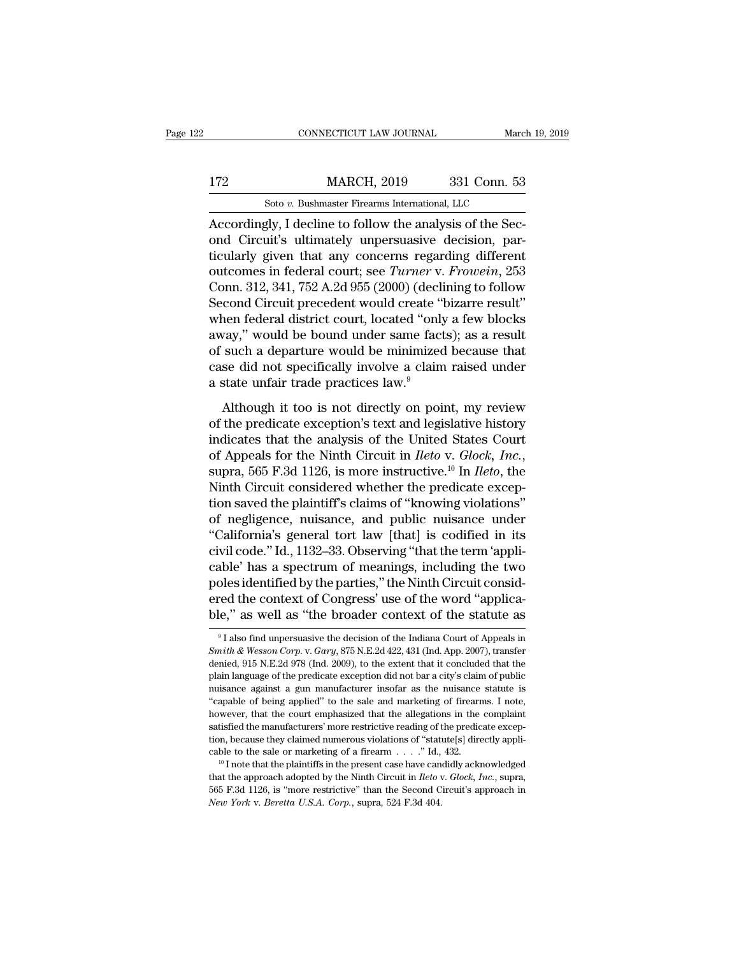## EXECUTE CONNECTICUT LAW JOURNAL March 19, 2019<br>172 MARCH, 2019 331 Conn. 53<br>500 v. Bushmaster Firearms International, LLC CONNECTICUT LAW JOURNAL March March March MARCH, 2019 331 Conn. 53<br>Soto *v.* Bushmaster Firearms International, LLC<br>Ply I decline to follow the analysis of the Sec-

CONNECTICUT LAW JOURNAL March March March March (1992)<br>
ACCORD Sofo v. Bushmaster Firearms International, LLC<br>
Accordingly, I decline to follow the analysis of the Sec-<br>
cond Circuit's ultimately unpersuasive decision, par 172 MARCH, 2019 331 Conn. 53<br>
Soto v. Bushmaster Firearms International, LLC<br>
Accordingly, I decline to follow the analysis of the Sec-<br>
ond Circuit's ultimately unpersuasive decision, par-<br>
ticularly given that any concer 172 MARCH, 2019 331 Conn. 53<br>
Soto v. Bushmaster Firearms International, LLC<br>
Accordingly, I decline to follow the analysis of the Sec-<br>
ond Circuit's ultimately unpersuasive decision, par-<br>
ticularly given that any concer MARCH, 2019 331 Conn. 53<br>
soto *v*. Bushmaster Firearms International, LLC<br>
Accordingly, I decline to follow the analysis of the Sec-<br>
ond Circuit's ultimately unpersuasive decision, par-<br>
ticularly given that any concerns Soto v. Bushmaster Firearms International, LLC<br>Accordingly, I decline to follow the analysis of the Sec-<br>ond Circuit's ultimately unpersuasive decision, par-<br>ticularly given that any concerns regarding different<br>outcomes i solo *v*. Bushinaster Firearnis international, LLC<br>Accordingly, I decline to follow the analysis of the Sec-<br>ond Circuit's ultimately unpersuasive decision, par-<br>ticularly given that any concerns regarding different<br>outcom Accordingly, I decline to follow the analysis of the Second Circuit's ultimately unpersuasive decision, particularly given that any concerns regarding different outcomes in federal court; see *Turner v. Frowein*, 253 Conn. ond Circuit's ultimately unpersuasive decision, particularly given that any concerns regarding different outcomes in federal court; see *Turner* v. Frowein, 253 Conn. 312, 341, 752 A.2d 955 (2000) (declining to follow Seco ticularly given that any concerns regarding different<br>outcomes in federal court; see *Turner* v. *Frowein*, 253<br>Conn. 312, 341, 752 A.2d 955 (2000) (declining to follow<br>Second Circuit precedent would create "bizarre resul outcomes in federal court; see *Turner* v. *Frowein*, 253<br>Conn. 312, 341, 752 A.2d 955 (2000) (declining to follow<br>Second Circuit precedent would create "bizarre result"<br>when federal district court, located "only a few blo Conn. 312, 341, 752 A.2d 955 (2000) (decli<br>Second Circuit precedent would create "l<br>when federal district court, located "only<br>away," would be bound under same fact<br>of such a departure would be minimized<br>case did not speci Freedom world create when the state of the blocks<br>have," would be bound under same facts); as a result<br>such a departure would be minimized because that<br>se did not specifically involve a claim raised under<br>state unfair trad away," would be bound under same facts); as a result<br>of such a departure would be minimized because that<br>case did not specifically involve a claim raised under<br>a state unfair trade practices law.<sup>9</sup><br>Although it too is not

individually involve a claim raised under<br>of such a departure would be minimized because that<br>case did not specifically involve a claim raised under<br>a state unfair trade practices law.<sup>9</sup><br>Although it too is not directly o of Bach a departate would be inhinimed because and<br>case did not specifically involve a claim raised under<br>a state unfair trade practices law.<sup>9</sup><br>Although it too is not directly on point, my review<br>of the predicate exceptio Although it too is not directly on point, my review<br>of the predicate exception's text and legislative history<br>indicates that the analysis of the United States Court<br>of Appeals for the Ninth Circuit in *Ileto* v. *Glock*, Although it too is not directly on point, my review<br>of the predicate exception's text and legislative history<br>indicates that the analysis of the United States Court<br>of Appeals for the Ninth Circuit in *Ileto* v. *Glock*, of the predicate exception's text and legislative history<br>indicates that the analysis of the United States Court<br>of Appeals for the Ninth Circuit in *Reto* v. Glock, *Inc.*,<br>supra, 565 F.3d 1126, is more instructive.<sup>10</sup> indicates that the analysis of the United States Court<br>
of Appeals for the Ninth Circuit in *Ileto* v. *Glock*, *Inc.*,<br>
supra, 565 F.3d 1126, is more instructive.<sup>10</sup> In *Ileto*, the<br>
Ninth Circuit considered whether the of Appeals for the Ninth Circuit in *Ileto* v. *Glock*, *Inc.*, supra, 565 F.3d 1126, is more instructive.<sup>10</sup> In *Ileto*, the Ninth Circuit considered whether the predicate exception saved the plaintiff's claims of "knowi supra, 565 F.3d 1126, is more instructive.<sup>10</sup> In *Ileto*, the<br>Ninth Circuit considered whether the predicate excep-<br>tion saved the plaintiff's claims of "knowing violations"<br>of negligence, nuisance, and public nuisance un Ninth Circuit considered whether the predicate exception saved the plaintiff's claims of "knowing violations"<br>of negligence, nuisance, and public nuisance under<br>"California's general tort law [that] is codified in its<br>civi tion saved the plaintiff's claims of "knowing violations"<br>of negligence, nuisance, and public nuisance under<br>"California's general tort law [that] is codified in its<br>civil code." Id., 1132–33. Observing "that the term 'app of negligence, nuisance, and public nuisance under<br>
"California's general tort law [that] is codified in its<br>
civil code." Id., 1132–33. Observing "that the term 'appli-<br>
cable' has a spectrum of meanings, including the tw cable' has a spectrum of meanings, including the two<br>poles identified by the parties," the Ninth Circuit consid-<br>ered the context of Congress' use of the word "applica-<br>ble," as well as "the broader context of the statute poles identified by the parties," the Ninth Circuit considered the context of Congress' use of the word "applica-<br>ble," as well as "the broader context of the statute as<br><sup>9</sup>I also find unpersuasive the decision of the Indi

ered the context of Congress' use of the word "applica-<br>ble," as well as "the broader context of the statute as<br> $\frac{9}{1}$  also find unpersuasive the decision of the Indiana Court of Appeals in<br> $Smith \& Wesson \: Corp. v. Gary, 875 N.E.2d 422,$ ble," as well as "the broader context of the statute as  $\frac{1}{2}$  is a comparable of the predicate exception of the Indiana Court of Appeals in Smith & Wesson Corp. v. Gary, 875 N.E.2d 422, 431 (Ind. App. 2007), transfer The statute as<br>
<sup>9</sup> I also find unpersuasive the decision of the Indiana Court of Appeals in<br>
Smith & Wesson Corp. v. Gary, 875 N.E.2d 422, 431 (Ind. App. 2007), transfer<br>
denied, 915 N.E.2d 978 (Ind. 2009), to the extent <sup>9</sup> I also find unpersuasive the decision of the Indiana Court of Appeals in *Smith & Wesson Corp.* v. *Gary*, 875 N.E.2d 422, 431 (Ind. App. 2007), transfer denied, 915 N.E.2d 978 (Ind. 2009), to the extent that it concl Smith & Wesson Corp. v. Gary, 875 N.E.2d 422, 431 (Ind. App. 2007), transfer denied, 915 N.E.2d 978 (Ind. 2009), to the extent that it concluded that the plain language of the predicate exception did not bar a city's clai denied,  $915$  N.E.2d  $978$  (Ind.  $2009$ ), to the extent that it concluded that the plain language of the predicate exception did not bar a city's claim of public nuisance against a gun manufacturer insofar as the nuisance plain language of the predicate exception did not bar a city's claim of public nuisance against a gun manufacturer insofar as the nuisance statute is "capable of being applied" to the sale and marketing of firectly applie pair and sales of a firearm is the muisance against a gun manufacturer insofar as the muisance statute is "capable of being applied" to the sale and marketing of firearms. I note, however, that the court emphasized that t cable to the sale or marketing of a firearm . . . . " Id., 432.

that the approach adopted by the Ninth Circuit in *Ileto* v. *Glock, Inc.*, supra, 565 F.3d 1126, is "more restrictive" than the Second Circuit's approach in *New York* v. *Beretta U.S.A. Corp.*, supra, 524 F.3d 404. satisfied the manufacturers' more restrictive reading of the predicate exception, because they claimed numerous violations of "statute[s] directly applicable to the sale or marketing of a firearm . . . . " Id., 432.<br><sup>10</sup>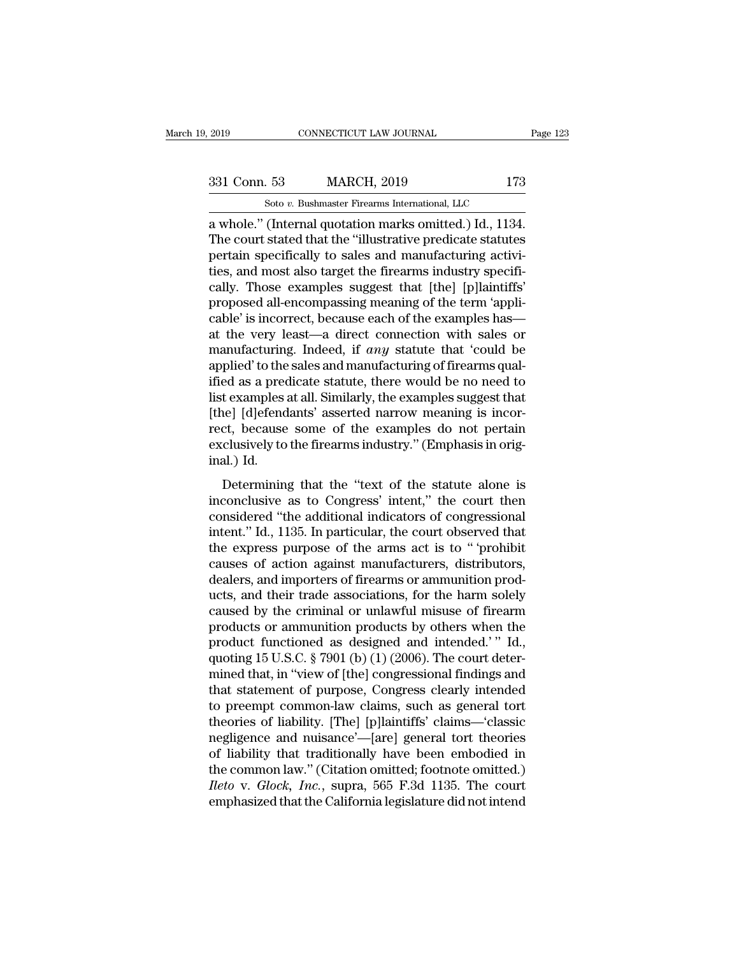2019 CONNECTICUT LAW JOURNAL Page 123<br>331 Conn. 53 MARCH, 2019 173<br>500 v. Bushmaster Firearms International, LLC

CONNECTICUT LAW JOURNAL<br>
Soto *v.* Bushmaster Firearms International, LLC<br>
(Internal quotation marks omitted ) Id. 1134 2019 CONNECTICUT LAW JOURNAL Page<br>
331 Conn. 53 MARCH, 2019 173<br>
34 Soto v. Bushmaster Firearms International, LLC<br>
a whole." (Internal quotation marks omitted.) Id., 1134.<br>
The court stated that the "illustrative predicat 331 Conn. 53 MARCH, 2019 173<br>
Soto v. Bushmaster Firearms International, LLC<br>
a whole." (Internal quotation marks omitted.) Id., 1134.<br>
The court stated that the "illustrative predicate statutes<br>
pertain specifically to sa  $\frac{331 \text{ Conn. } 53}{\text{Soto } v. \text{ Bushmaster Fraams International, LLC}}$ <br>a whole." (Internal quotation marks omitted.) Id., 1134.<br>The court stated that the "illustrative predicate statutes<br>pertain specifically to sales and manufacturing activi-<br>ties, and m 331 Conn. 53 MARCH, 2019 173<br>
Soto v. Bushmaster Firearms International, LLC<br>
a whole." (Internal quotation marks omitted.) Id., 1134.<br>
The court stated that the "illustrative predicate statutes<br>
pertain specifically to s Soto v. Bushmaster Firearms International, LLC<br>
a whole." (Internal quotation marks omitted.) Id., 1134.<br>
The court stated that the "illustrative predicate statutes<br>
pertain specifically to sales and manufacturing activisoto *v*. Bushmaster Freams intenational, LLC<br>a whole." (Internal quotation marks omitted.) Id., 1134.<br>The court stated that the "illustrative predicate statutes<br>pertain specifically to sales and manufacturing activi-<br>ties a whole." (Internal quotation marks omitted.) Id., 1134.<br>The court stated that the "illustrative predicate statutes<br>pertain specifically to sales and manufacturing activi-<br>ties, and most also target the firearms industry s The court stated that the "illustrative predicate statutes<br>pertain specifically to sales and manufacturing activi-<br>ties, and most also target the firearms industry specifi-<br>cally. Those examples suggest that [the] [p]laint pertain specifically to sales and manufacturing activities, and most also target the firearms industry specifically. Those examples suggest that [the] [p]laintiffs'<br>proposed all-encompassing meaning of the term 'appli-<br>cab ties, and most also target the firearms industry specifically. Those examples suggest that [the] [p]laintiffs'<br>proposed all-encompassing meaning of the term 'appli-<br>cable' is incorrect, because each of the examples has—<br>at cally. Those examples suggest that [the] [p]laintiffs'<br>proposed all-encompassing meaning of the term 'appli-<br>cable' is incorrect, because each of the examples has—<br>at the very least—a direct connection with sales or<br>manufa proposed all-encompassing meaning of the term 'applicable' is incorrect, because each of the examples has—<br>at the very least—a direct connection with sales or<br>manufacturing. Indeed, if *any* statute that 'could be<br>applied' cable' is incorrect, because each of the examples has—<br>at the very least—a direct connection with sales or<br>manufacturing. Indeed, if *any* statute that 'could be<br>applied' to the sales and manufacturing of firearms qual-<br>i at the very least—a direct connection with sales or<br>manufacturing. Indeed, if *any* statute that 'could be<br>applied' to the sales and manufacturing of firearms qual-<br>ified as a predicate statute, there would be no need to<br>l manufacturing. Indeed, if *any* statute that 'could be applied' to the sales and manufacturing of firearms qualified as a predicate statute, there would be no need to list examples at all. Similarly, the examples suggest t applied' to the<br>ified as a prec<br>list examples<br>[the] [d]efend<br>rect, because<br>exclusively to<br>inal.) Id.<br>Determinin Examples at all. Similarly, the examples suggest that<br>texamples at all. Similarly, the examples suggest that<br>nel [d]efendants' asserted narrow meaning is incor-<br>ct, because some of the examples do not pertain<br>clusively to Instruments at all solutions, the calingress suggest and<br>
[the] [d]efendants' asserted narrow meaning is incor-<br>
rect, because some of the examples do not pertain<br>
exclusively to the firearms industry." (Emphasis in origin

rect, because some of the examples do not pertain<br>exclusively to the firearms industry." (Emphasis in original.) Id.<br>Determining that the "text of the statute alone is<br>inconclusive as to Congress' intent," the court then<br> recet, because some of are champles as not perturn<br>exclusively to the firearms industry." (Emphasis in original.) Id.<br>Determining that the "text of the statute alone is<br>inconclusive as to Congress' intent," the court then<br> the expressively contributed in the "text of the statute alone is<br>inconclusive as to Congress' intent," the court then<br>considered "the additional indicators of congressional<br>intent." Id., 1135. In particular, the court obs Determining that the "text of the statute alone is<br>inconclusive as to Congress' intent," the court then<br>considered "the additional indicators of congressional<br>intent." Id., 1135. In particular, the court observed that<br>the Determining that the "text of the statute alone is<br>inconclusive as to Congress' intent," the court then<br>considered "the additional indicators of congressional<br>intent." Id., 1135. In particular, the court observed that<br>the inconclusive as to Congress' intent," the court then<br>considered "the additional indicators of congressional<br>intent." Id., 1135. In particular, the court observed that<br>the express purpose of the arms act is to "prohibit<br>cau considered "the additional indicators of congressional<br>intent." Id., 1135. In particular, the court observed that<br>the express purpose of the arms act is to "prohibit<br>causes of action against manufacturers, distributors,<br>de intent." Id., 1135. In particular, the court observed that<br>the express purpose of the arms act is to "prohibit<br>causes of action against manufacturers, distributors,<br>dealers, and importers of firearms or ammunition prod-<br>u the express purpose of the arms act is to "'prohibit causes of action against manufacturers, distributors, dealers, and importers of firearms or ammunition products, and their trade associations, for the harm solely cause causes of action against manufacturers, distributors,<br>dealers, and importers of firearms or ammunition products, and their trade associations, for the harm solely<br>caused by the criminal or unlawful misuse of firearm<br>produc dealers, and importers of firearms or ammunition products, and their trade associations, for the harm solely caused by the criminal or unlawful misuse of firearm products or ammunition products by others when the product f ucts, and their trade associations, for the harm solely<br>caused by the criminal or unlawful misuse of firearm<br>products or ammunition products by others when the<br>product functioned as designed and intended.' " Id.,<br>quoting 1 caused by the criminal or unlawful misuse of firearm<br>products or ammunition products by others when the<br>product functioned as designed and intended.'" Id.,<br>quoting 15 U.S.C. § 7901 (b) (1) (2006). The court deter-<br>mined th products or ammunition products by others when the<br>product functioned as designed and intended.'" Id.,<br>quoting 15 U.S.C. § 7901 (b) (1) (2006). The court deter-<br>mined that, in "view of [the] congressional findings and<br>that product functioned as designed and intended.'" Id.,<br>quoting 15 U.S.C. § 7901 (b) (1) (2006). The court deter-<br>mined that, in "view of [the] congressional findings and<br>that statement of purpose, Congress clearly intended<br>to quoting 15 U.S.C. § 7901 (b) (1) (2006). The court deter-<br>mined that, in "view of [the] congressional findings and<br>that statement of purpose, Congress clearly intended<br>to preempt common-law claims, such as general tort<br>th mined that, in "view of [the] congressional findings and<br>that statement of purpose, Congress clearly intended<br>to preempt common-law claims, such as general tort<br>theories of liability. [The] [p]laintiffs' claims—'classic<br>ne that statement of purpose, Congress clearly intended<br>to preempt common-law claims, such as general tort<br>theories of liability. [The] [p]laintiffs' claims—'classic<br>negligence and nuisance'—[are] general tort theories<br>of lia to preempt common-law claims, such as general tort<br>theories of liability. [The] [p]laintiffs' claims—'classic<br>negligence and nuisance'—[are] general tort theories<br>of liability that traditionally have been embodied in<br>the c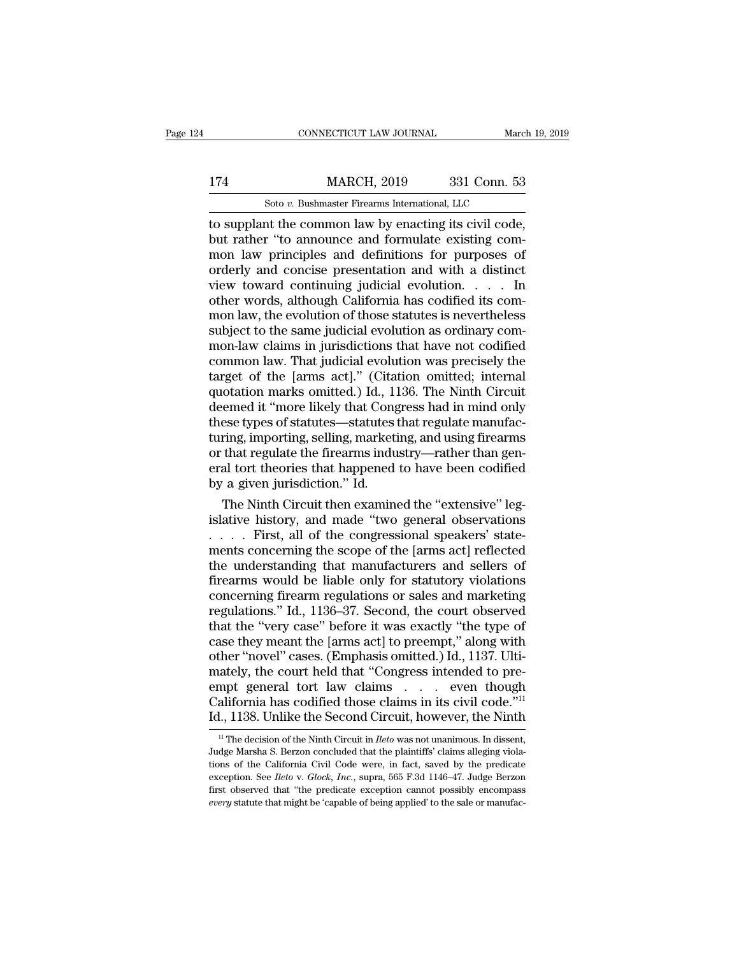## EXECUTE CONNECTICUT LAW JOURNAL March 19, 2019<br>174 MARCH, 2019 331 Conn. 53<br>Soto v. Bushmaster Firearms International, LLC CONNECTICUT LAW JOURNAL March March March MARCH, 2019 331 Conn. 53<br>Soto *v.* Bushmaster Firearms International, LLC<br>nt the common law by enacting its civil code

CONNECTICUT LAW JOURNAL March 19, 2<br>
174 MARCH, 2019 331 Conn. 53<br>
500 v. Bushmaster Firearms International, LLC<br>
to supplant the common law by enacting its civil code,<br>
but rather "to announce and formulate existing com-<br> 174 MARCH, 2019 331 Conn. 53<br>
Soto v. Bushmaster Firearms International, LLC<br>
to supplant the common law by enacting its civil code,<br>
but rather "to announce and formulate existing com-<br>
mon law principles and definitions MARCH, 2019 331 Conn. 53<br>
Soto v. Bushmaster Firearms International, LLC<br>
to supplant the common law by enacting its civil code,<br>
but rather "to announce and formulate existing com-<br>
mon law principles and definitions for 174 MARCH, 2019 331 Conn. 53<br>
soto v. Bushmaster Firearms International, LLC<br>
to supplant the common law by enacting its civil code,<br>
but rather "to announce and formulate existing com-<br>
mon law principles and definitions soto v. Bushmaster Firearms International, LLC<br>to supplant the common law by enacting its civil code,<br>but rather "to announce and formulate existing com-<br>mon law principles and definitions for purposes of<br>orderly and conc Soto *v*. Bushmaster Firearms International, LLC<br>to supplant the common law by enacting its civil code,<br>but rather "to announce and formulate existing com-<br>mon law principles and definitions for purposes of<br>orderly and co to supplant the common law by enacting its civil code,<br>but rather "to announce and formulate existing com-<br>mon law principles and definitions for purposes of<br>orderly and concise presentation and with a distinct<br>view toward but rather "to announce and formulate existing com-<br>mon law principles and definitions for purposes of<br>orderly and concise presentation and with a distinct<br>view toward continuing judicial evolution. . . . . In<br>other words, mon-law principles and definitions for purposes of orderly and concise presentation and with a distinct<br>view toward continuing judicial evolution.  $\dots$  In<br>other words, although California has codified its com-<br>mon-law, th orderly and concise presentation and with a distinct<br>view toward continuing judicial evolution. . . . . In<br>other words, although California has codified its com-<br>mon law, the evolution of those statutes is nevertheless<br>su view toward continuing judicial evolution. . . . . In<br>other words, although California has codified its com-<br>mon law, the evolution of those statutes is nevertheless<br>subject to the same judicial evolution as ordinary com-<br> other words, although California has codified its common law, the evolution of those statutes is nevertheless<br>subject to the same judicial evolution as ordinary common-law claims in jurisdictions that have not codified<br>com mon law, the evolution of those statutes is nevertheless<br>subject to the same judicial evolution as ordinary com-<br>mon-law claims in jurisdictions that have not codified<br>common law. That judicial evolution was precisely the<br> subject to the same judicial evolution as ordinary common-law claims in jurisdictions that have not codified common law. That judicial evolution was precisely the target of the [arms act]." (Citation omitted; internal quot mon-law claims in jurisdictions that have not codified<br>common law. That judicial evolution was precisely the<br>target of the [arms act]." (Citation omitted; internal<br>quotation marks omitted.) Id., 1136. The Ninth Circuit<br>dee common law. That judicial evolution was precisely the<br>target of the [arms act]." (Citation omitted; internal<br>quotation marks omitted.) Id., 1136. The Ninth Circuit<br>deemed it "more likely that Congress had in mind only<br>thes target of the [arms act]." (Citation omitted; internal quotation marks omitted.) Id., 1136. The Ninth Circuit deemed it "more likely that Congress had in mind only these types of statutes—statutes that regulate manufacturi quotation marks omitted.) Id., 1<br>deemed it "more likely that Cong<br>these types of statutes—statutes<br>turing, importing, selling, market<br>or that regulate the firearms indu<br>eral tort theories that happened<br>by a given jurisdict deemed it "more likely that Congress had in mind only<br>these types of statutes—statutes that regulate manufac-<br>turing, importing, selling, marketing, and using firearms<br>or that regulate the firearms industry—rather than gen these types of statutes—statutes that regulate manufacturing, importing, selling, marketing, and using firearms<br>or that regulate the firearms industry—rather than general tort theories that happened to have been codified<br>b

turing, importing, selling, marketing, and using firearms<br>or that regulate the firearms industry—rather than gen-<br>eral tort theories that happened to have been codified<br>by a given jurisdiction." Id.<br>The Ninth Circuit then or that regulate the firearms industry—rather than general tort theories that happened to have been codified<br>by a given jurisdiction." Id.<br>The Ninth Circuit then examined the "extensive" leg-<br>islative history, and made "tw eral tort theories that happened to have been codified<br>by a given jurisdiction." Id.<br>The Ninth Circuit then examined the "extensive" leg-<br>islative history, and made "two general observations<br>. . . . . First, all of the con by a given jurisdiction." Id.<br>
The Ninth Circuit then examined the "extensive" leg-<br>
islative history, and made "two general observations<br>
. . . . . First, all of the congressional speakers' state-<br>
ments concerning the sc The Ninth Circuit then examined the "extensive" legislative history, and made "two general observations<br>
. . . . . First, all of the congressional speakers' state-<br>
ments concerning the scope of the [arms act] reflected<br> islative history, and made "two general observations<br>.....First, all of the congressional speakers' statements concerning the scope of the [arms act] reflected<br>the understanding that manufacturers and sellers of<br>firearms .... First, all of the congressional speakers' statements concerning the scope of the [arms act] reflected<br>the understanding that manufacturers and sellers of<br>firearms would be liable only for statutory violations<br>concern ments concerning the scope of the [arms act] reflected<br>the understanding that manufacturers and sellers of<br>firearms would be liable only for statutory violations<br>concerning firearm regulations or sales and marketing<br>regula the understanding that manufacturers and sellers of<br>firearms would be liable only for statutory violations<br>concerning firearm regulations or sales and marketing<br>regulations." Id., 1136–37. Second, the court observed<br>that t firearms would be liable only for statutory violations<br>concerning firearm regulations or sales and marketing<br>regulations." Id., 1136–37. Second, the court observed<br>that the "very case" before it was exactly "the type of<br>ca concerning firearm regulations or sales and marketing<br>regulations." Id., 1136–37. Second, the court observed<br>that the "very case" before it was exactly "the type of<br>case they meant the [arms act] to preempt," along with<br>ot regulations." Id., 1136–37. Second, the court observed<br>that the "very case" before it was exactly "the type of<br>case they meant the [arms act] to preempt," along with<br>other "novel" cases. (Emphasis omitted.) Id., 1137. Ulti that the "very case" before it was exactly "the type of<br>case they meant the [arms act] to preempt," along with<br>other "novel" cases. (Emphasis omitted.) Id., 1137. Ulti-<br>mately, the court held that "Congress intended to pr ately, the court held that "Congress intended to pre-<br>mpt general tort law claims . . . even though<br>alifornia has codified those claims in its civil code."<sup>11</sup><br>l., 1138. Unlike the Second Circuit, however, the Ninth<br><sup>11</sup> T empt general tort law claims . . . . even though California has codified those claims in its civil code."<sup>11</sup> Id., 1138. Unlike the Second Circuit, however, the Ninth  $\frac{1}{1}$  The decision of the Ninth Circuit in *Reto*

California has codified those claims in its civil code."<sup>11</sup><br>Id., 1138. Unlike the Second Circuit, however, the Ninth<br> $\frac{1}{10}$  The decision of the Ninth Circuit in *Ileto* was not unanimous. In dissent,<br>Judge Marsha S. Example 1138. Unlike the Second Circuit, however, the Ninth<br>
<sup>11</sup> The decision of the Ninth Circuit in *Reto* was not unanimous. In dissent,<br>
Judge Marsha S. Berzon concluded that the plaintiffs' claims alleging viola-<br>
ti 10., 1150. UTHIKE THE SECOND CITCUIT, HOWEVET, THE INITED THE READ TO THE READ THE READ SURVEY THE READ SURVEY THE PRESENT SURVEY THE PRESENT SURVEY THAT SURVEY THAT AND SO THE CALIFORNIA CIVIL Code were, in fact, saved b <sup>11</sup> The decision of the Ninth Circuit in *Ileto* was not unanimous. In dissent, Judge Marsha S. Berzon concluded that the plaintiffs' claims alleging violations of the California Civil Code were, in fact, saved by the pr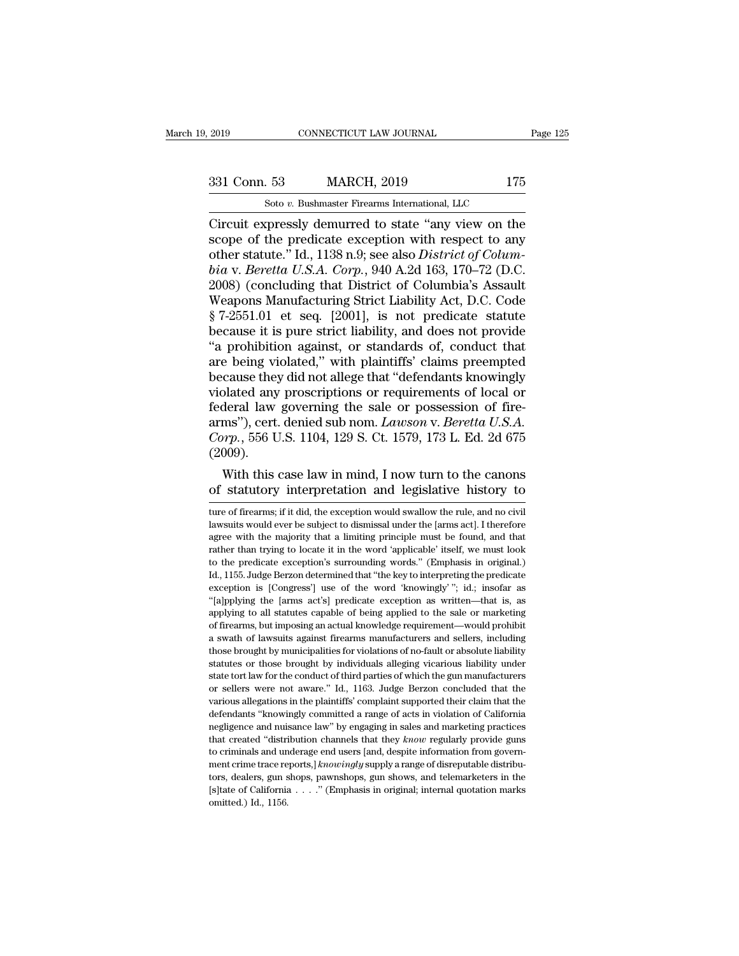# 2019 CONNECTICUT LAW JOURNAL Page 125<br>331 Conn. 53 MARCH, 2019 175<br>500 v. Bushmaster Firearms International, LLC

CONNECTICUT LAW JOURNAL<br>
Soto *v.* Bushmaster Firearms International, LLC<br>
Soto *v.* Bushmaster Firearms International, LLC<br>
Trivers international, CDC CONTERENT CONTERENT OF THE CONTERN CONNECTICUT LAW JOURNAL Page 125<br>
2019 CONNECTICUT LAW JOURNAL Page 125<br>
231 Conn. 53 MARCH, 2019 175<br>
2010 Circuit expressly demurred to state "any view on the<br>
2010 Circuit expressly demurred to state "any view on the<br>
2 331 Conn. 53 MARCH, 2019 175<br>
Soto v. Bushmaster Firearms International, LLC<br>
Circuit expressly demurred to state "any view on the<br>
scope of the predicate exception with respect to any<br>
other statute." Id., 1138 n.9; see a <sup>331</sup> Conn. 53 MARCH, 2019 175<br>
<sup>Soto v. Bushmaster Firearms International, LLC<br>
Circuit expressly demurred to state "any view on the<br>
scope of the predicate exception with respect to any<br>
other statute." Id., 1138 n.9; se</sup> <sup>931</sup> Conn. 53 MARCH, 2019 175<br>
<sup>boto v. Bushmaster Firearms International, LLC<br>
Circuit expressly demurred to state "any view on the<br>
scope of the predicate exception with respect to any<br>
other statute." Id., 1138 n.9; se</sup> Solution Collars Solution Columbian, 2010<br>
2008) (Circuit expressly demurred to state "any view on the<br>
scope of the predicate exception with respect to any<br>
other statute." Id., 1138 n.9; see also *District of Colum-*<br>
b Soto v. Bushmaster Firearms International, LLC<br>Circuit expressly demurred to state "any view on the<br>scope of the predicate exception with respect to any<br>other statute." Id., 1138 n.9; see also *District of Colum-*<br>bia v. Circuit expressly demurred to state "any view on the<br>scope of the predicate exception with respect to any<br>other statute." Id., 1138 n.9; see also *District of Colum-*<br>bia v. *Beretta U.S.A. Corp.*, 940 A.2d 163, 170–72 (D. scope of the predicate exception with respect to any<br>other statute." Id., 1138 n.9; see also *District of Colum-*<br>bia v. *Beretta U.S.A. Corp.*, 940 A.2d 163, 170–72 (D.C.<br>2008) (concluding that District of Columbia's Assa other statute." Id., 1138 n.9; see also *District of Colum-*<br>bia v. *Beretta U.S.A. Corp.*, 940 A.2d 163, 170–72 (D.C.<br>2008) (concluding that District of Columbia's Assault<br>Weapons Manufacturing Strict Liability Act, D.C. bia v. Beretta U.S.A. Corp., 940 A.2d 163, 170–72 (D.C.<br>2008) (concluding that District of Columbia's Assault<br>Weapons Manufacturing Strict Liability Act, D.C. Code<br>§ 7-2551.01 et seq. [2001], is not predicate statute<br>becau 2008) (concluding that District of Columbia's Assault<br>Weapons Manufacturing Strict Liability Act, D.C. Code<br>§ 7-2551.01 et seq. [2001], is not predicate statute<br>because it is pure strict liability, and does not provide<br>"a Weapons Manufacturing Strict Liability Act, D.C. Code  $\S$  7-2551.01 et seq. [2001], is not predicate statute because it is pure strict liability, and does not provide "a prohibition against, or standards of, conduct that § 7-2551.01 et seq. [2001], is not predicate statute<br>because it is pure strict liability, and does not provide<br>"a prohibition against, or standards of, conduct that<br>are being violated," with plaintiffs' claims preempted<br>b because it is pure strict liability, and does not provide<br>"a prohibition against, or standards of, conduct that<br>are being violated," with plaintiffs' claims preempted<br>because they did not allege that "defendants knowingly<br> "a prohibition against, or standards of, conduct that are being violated," with plaintiffs' claims preempted because they did not allege that "defendants knowingly violated any proscriptions or requirements of local or fed (2009). cause they did not allege that "defendants knowingly<br>plated any proscriptions or requirements of local or<br>deral law governing the sale or possession of fire-<br>ms"), cert. denied sub nom. *Lawson* v. *Beretta U.S.A.*<br>prp., 5 violated any proscriptions or requirements of local or<br>federal law governing the sale or possession of fire-<br>arms"), cert. denied sub nom. *Lawson* v. *Beretta U.S.A.*<br>*Corp.*, 556 U.S. 1104, 129 S. Ct. 1579, 173 L. Ed. 2

<sup>(2009).&</sup>lt;br>(2009). With this case law in mind, I now turn to the canons of statutory interpretation and legislative history to ture of firearms; if it did, the exception would swallow the rule, and no civil lawsuits would ev (2009).<br>With this case law in mind, I now turn to the canons<br>of statutory interpretation and legislative history to<br>ture of firearms; if it did, the exception would swallow the rule, and no civil<br>lawsuits would ever be sub With this case law in mind, I now turn to the canons<br>of statutory interpretation and legislative history to<br>ture of firearms; if it did, the exception would swallow the rule, and no civil<br>lawsuits would ever be subject to of statutory interpretation and legislative history to<br>of statutory interpretation and legislative history to<br>ture of firearms; if it idd, the exception would swallow the rule, and no civil<br>lawsuits would ever be subject t or Statutory Interpretation and Tegislative history to<br>ture of firearms; if it did, the exception would swallow the rule, and no civil<br>lawsuits would ever be subject to dismissal under the [arms act]. I therefore<br>agree wit It the of firearms; if it did, the exception would swallow the rule, and no civil<br>lawsuits would ever be subject to dismissal under the [arms act]. I therefore<br>agree with the majority that a limiting principle must be foun lawsuits would ever be subject to dismissal under the [arms act]. I therefore agree with the majority that a limiting principle must be found, and that rather than trying to locate it in the word 'applicable' itself, we mu agree with the majority that a limiting principle must be found, and that rather than trying to locate it in the word 'applicable' itself, we must look to the predicate exception's surrounding words." (Emphasis in original Fracther than trying to locate it in the word 'applicable' itself, we must look<br>to the predicate exception's surrounding words." (Emphasis in original.)<br>Id., 1155. Judge Berzon determined that "the key to interpreting the From the predicate exception's surrounding words." (Emphasis in original.)<br>Id., 1155. Judge Berzon determined that "the key to interpreting the predicate<br>exception is [Congress'] use of the word 'knowingly'"; id.; insofar a state is a swath of lawsuits against firearms were interpreting the predicate exception is [Congress'] use of the word 'knowingly' "; id.; insofar as "(alpplying the [arms act's] predicate exception as written—that is, a exception is [Congress'] use of the word 'knowingly' "; id.; insofar as<br>"(alpplying the [arms act's] predicate exception as written—that is, as<br>applying to all statutes capable of being applied to the sale or marketing<br>of "(alpplying the [arms act's] predicate exception as written—that is, as applying to all statutes capable of being applied to the sale or marketing of firearms, but imposing an actual knowledge requirement—would prohibit a Figure to all statutes capable of being applied to the sale or marketing of firearms, but imposing an actual knowledge requirement—would prohibit a swath of lawsuits against firearms manufacturers and sellers, including th or firearms, but imposing an actual knowledge requirement—would prohibit a swath of lawsuits against firearms manufacturers and sellers, including those brought by municipalities for violations of no-fault or absolute liab a swath of lawsuits against firearms manufacturers and sellers, including those brought by municipalities for violations of no-fault or absolute liability statutes or those brought by individuals alleging vicarious liabili definite throw incomplete throw in the base brought by municipalities for violations of no-fault or absolute liability statutes or those brought by individuals alleging vicarious liability under state tort law for the cond statutes or those brought by individuals alleging vicarious liability under<br>state tort law for the conduct of third parties of which the gun manufacturers<br>or sellers were not aware." Id., 1163. Judge Berzon concluded that state tort law for the conduct of third parties of which the gun manufacturers or sellers were not aware." Id., 1163. Judge Berzon concluded that the various allegations in the plaintiffs' complaint supported their claim t state tort law for the conduct of third parties of which the gun manufacturers or sellers were not aware." Id., 1163. Judge Berzon concluded that the various allegations in the plaintiffs' complaint supported their claim negligence and nuisance law" by engaging in sales and marketing practices defendants "knowingly committed a range of acts in violation of California<br>negligence and nuisance law" by engaging in sales and marketing practices<br>that created "distribution channels that they *know* regularly provide g negligence and nuisance law" by engaging in sales and marketing practices<br>that created "distribution channels that they *know* regularly provide guns<br>to criminals and underage end users [and, despite information from gove may dented "distrito criminals and under<br>that created "distrito criminals and under<br>tors, dealers, gun s<br>[s]tate of California<br>omitted.) Id., 1156.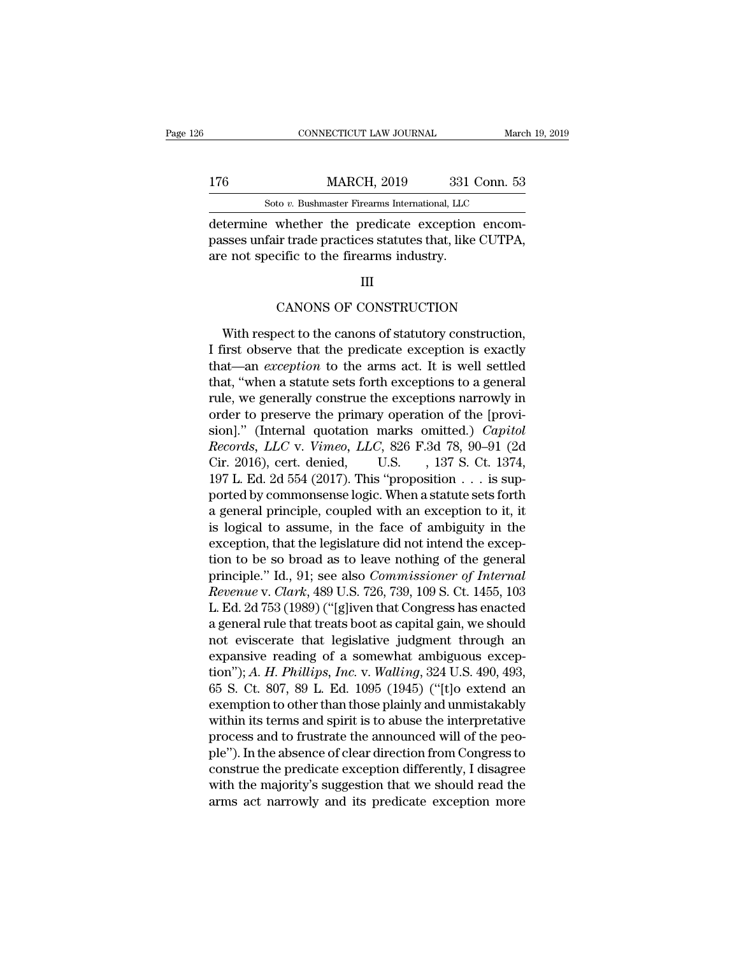## EXECUTE CONNECTICUT LAW JOURNAL March 19, 2019<br>176 MARCH, 2019 331 Conn. 53<br>Soto v. Bushmaster Firearms International, LLC CONNECTICUT LAW JOURNAL March March March MARCH, 2019 331 Conn. 53<br>Soto *v.* Bushmaster Firearms International, LLC<br>Whether the predicate exception encom-

CONNECTICUT LAW JOURNAL<br>
MARCH, 2019 331 Conn. 53<br>
Soto v. Bushmaster Firearms International, LLC<br>
determine whether the predicate exception encom-<br>
passes unfair trade practices statutes that, like CUTPA, 176 MARCH, 2019 331 Conn. 53<br>
Soto v. Bushmaster Firearms International, LLC<br>
determine whether the predicate exception encompasses unfair trade practices statutes that, like CUTPA,<br>
are not specific to the firearms indust 176 MARCH, 2019 331 0<br>
Soto v. Bushmaster Firearms International, LLC<br>
determine whether the predicate exception<br>
passes unfair trade practices statutes that, like<br>
are not specific to the firearms industry.<br>
III Whether the predicate exception encom-<br>
ir trade practices statutes that, like CUTPA,<br>
cific to the firearms industry.<br>
III<br>
CANONS OF CONSTRUCTION<br>
ect to the canons of statutory construction,

### III

sses unfair trade practices statutes that, like CUTPA,<br>e not specific to the firearms industry.<br>III<br>CANONS OF CONSTRUCTION<br>With respect to the canons of statutory construction,<br>irst observe that the predicate exception is III<br>
III<br>
CANONS OF CONSTRUCTION<br>
With respect to the canons of statutory construction,<br>
I first observe that the predicate exception is exactly<br>
that—an *exception* to the arms act. It is well settled<br>
that "when a statut III<br>
CANONS OF CONSTRUCTION<br>
With respect to the canons of statutory construction,<br>
I first observe that the predicate exception is exactly<br>
that—an *exception* to the arms act. It is well settled<br>
that, "when a statute se THE CANONS OF CONSTRUCTION<br>
With respect to the canons of statutory construction,<br>
I first observe that the predicate exception is exactly<br>
that—an *exception* to the arms act. It is well settled<br>
that, "when a statute set CANONS OF CONSTRUCTION<br>With respect to the canons of statutory construction,<br>I first observe that the predicate exception is exactly<br>that—an *exception* to the arms act. It is well settled<br>that, "when a statute sets forth With respect to the canons of statutory construction,<br>I first observe that the predicate exception is exactly<br>that—an *exception* to the arms act. It is well settled<br>that, "when a statute sets forth exceptions to a genera With respect to the canons of statutory construction,<br>I first observe that the predicate exception is exactly<br>that—an *exception* to the arms act. It is well settled<br>that, "when a statute sets forth exceptions to a general *Records, LLC* v. *Vimeo, LLC*, 826 F.3d 78, 00-91 (2d Cir. 2016), F.4 24 554 (2017). This "proposition is exactly that that, "when a statute sets forth exceptions to a general rule, we generally construe the exceptions na that—an *exception* to the arms act. It is well settled<br>that, "when a statute sets forth exceptions to a general<br>rule, we generally construe the exceptions narrowly in<br>order to preserve the primary operation of the [provi that, "when a statute sets forth exceptions to a general<br>rule, we generally construe the exceptions narrowly in<br>order to preserve the primary operation of the [provi-<br>sion]." (Internal quotation marks omitted.) *Capitol*<br> rule, we generally construe the exceptions narrowly in<br>order to preserve the primary operation of the [provi-<br>sion]." (Internal quotation marks omitted.) *Capitol*<br>Records, LLC v. Vimeo, LLC, 826 F.3d 78, 90–91 (2d<br>Cir. 20 order to preserve the primary operation of the [provision]." (Internal quotation marks omitted.) *Capitol* Records, *LLC* v. *Vimeo*, *LLC*, 826 F.3d 78, 90–91 (2d Cir. 2016), cert. denied, U.S. , 137 S. Ct. 1374, 197 L. sion]." (Internal quotation marks omitted.) *Capitol*<br>Records, LLC v. Vimeo, LLC, 826 F.3d 78, 90–91 (2d<br>Cir. 2016), cert. denied, U.S. , 137 S. Ct. 1374,<br>197 L. Ed. 2d 554 (2017). This "proposition . . . is sup-<br>ported b Records, LLC v. Vimeo, LLC, 826 F.3d 78, 90–91 (2d<br>Cir. 2016), cert. denied, U.S. , 137 S. Ct. 1374,<br>197 L. Ed. 2d 554 (2017). This "proposition . . . is sup-<br>ported by commonsense logic. When a statute sets forth<br>a gener Cir. 2016), cert. denied, U.S. , 137 S. Ct. 1374,<br>197 L. Ed. 2d 554 (2017). This "proposition . . . is sup-<br>ported by commonsense logic. When a statute sets forth<br>a general principle, coupled with an exception to it, it<br>i 197 L. Ed. 2d 554 (2017). This "proposition  $\ldots$  is supported by commonsense logic. When a statute sets forth a general principle, coupled with an exception to it, it is logical to assume, in the face of ambiguity in the ported by commonsense logic. When a statute sets forth<br>a general principle, coupled with an exception to it, it<br>is logical to assume, in the face of ambiguity in the<br>exception, that the legislature did not intend the excep a general principle, coupled with an exception to it, it<br>is logical to assume, in the face of ambiguity in the<br>exception, that the legislature did not intend the excep-<br>tion to be so broad as to leave nothing of the genera is logical to assume, in the face of ambiguity in the<br>exception, that the legislature did not intend the excep-<br>tion to be so broad as to leave nothing of the general<br>principle." Id., 91; see also *Commissioner of Interna* exception, that the legislature did not intend the exception to be so broad as to leave nothing of the general<br>principle." Id., 91; see also *Commissioner of Internal*<br>*Revenue* v. *Clark*, 489 U.S. 726, 739, 109 S. Ct. 1 tion to be so broad as to leave nothing of the general<br>principle." Id., 91; see also *Commissioner of Internal*<br>*Revenue* v. *Clark*, 489 U.S. 726, 739, 109 S. Ct. 1455, 103<br>L. Ed. 2d 753 (1989) ("[g]iven that Congress ha principle." Id., 91; see also *Commissioner of Internal*<br>*Revenue* v. *Clark*, 489 U.S. 726, 739, 109 S. Ct. 1455, 103<br>L. Ed. 2d 753 (1989) ("[g]iven that Congress has enacted<br>a general rule that treats boot as capital gai *Revenue* v. *Clark*, 489 U.S. 726, 739, 109 S. Ct. 1455, 103<br>L. Ed. 2d 753 (1989) ("[g]iven that Congress has enacted<br>a general rule that treats boot as capital gain, we should<br>not eviscerate that legislative judgment thr L. Ed. 2d 753 (1989) ("[g]iven that Congress has enacted<br>a general rule that treats boot as capital gain, we should<br>not eviscerate that legislative judgment through an<br>expansive reading of a somewhat ambiguous excep-<br>tion a general rule that treats boot as capital gain, we should<br>not eviscerate that legislative judgment through an<br>expansive reading of a somewhat ambiguous excep-<br>tion"); A. H. Phillips, Inc. v. Walling, 324 U.S. 490, 493,<br>65 not eviscerate that legislative judgment through an expansive reading of a somewhat ambiguous exception"); *A. H. Phillips, Inc.* v. *Walling*, 324 U.S. 490, 493, 65 S. Ct. 807, 89 L. Ed. 1095 (1945) ("[t]o extend an exemp expansive reading of a somewhat ambiguous excep-<br>tion"); A. H. Phillips, Inc. v. Walling, 324 U.S. 490, 493,<br>65 S. Ct. 807, 89 L. Ed. 1095 (1945) ("[t]o extend an<br>exemption to other than those plainly and unmistakably<br>with tion"); A. H. Phillips, Inc. v. Walling, 324 U.S. 490, 493, 65 S. Ct. 807, 89 L. Ed. 1095 (1945) ("[t]o extend an exemption to other than those plainly and unmistakably within its terms and spirit is to abuse the interpre 65 S. Ct. 807, 89 L. Ed. 1095 (1945) ("[t]o extend an exemption to other than those plainly and unmistakably within its terms and spirit is to abuse the interpretative process and to frustrate the announced will of the pe exemption to other than those plainly and unmistakably<br>within its terms and spirit is to abuse the interpretative<br>process and to frustrate the announced will of the peo-<br>ple"). In the absence of clear direction from Congre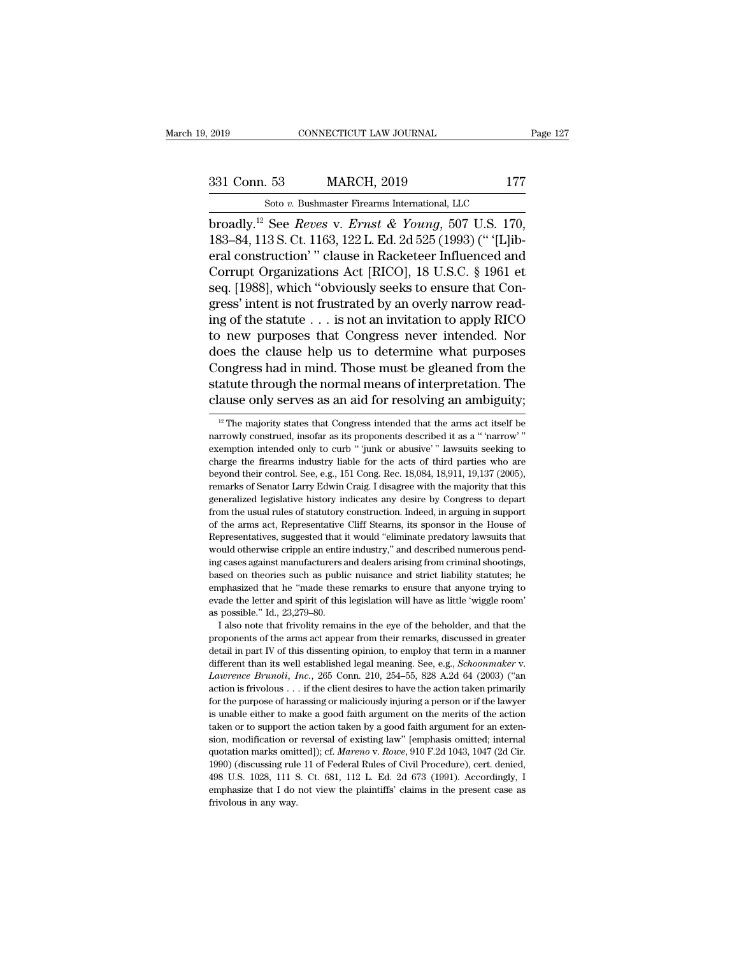CONNECTICUT LAW JOURNAL<br>
Soto *v.* Bushmaster Firearms International, LLC<br>
See Reves v. Ernst. & Young. 507 U.S. 170 broadly.<sup>12</sup> See *Reves* v. *Ernst & Young*, 507 U.S. 170,<br>1331 Conn. 53 MARCH, 2019 177<br>broadly.<sup>12</sup> See *Reves* v. *Ernst & Young*, 507 U.S. 170,<br>183–84, 113 S. Ct. 1163, 122 L. Ed. 2d 525 (1993) (" '[L]ib-331 Conn. 53 MARCH, 2019 177<br>
Soto v. Bushmaster Firearms International, LLC<br>
broadly.<sup>12</sup> See *Reves* v. *Ernst & Young*, 507 U.S. 170,<br>
183–84, 113 S. Ct. 1163, 122 L. Ed. 2d 525 (1993) (" '[L]ib-<br>
eral construction' " 331 Conn. 53 MARCH, 2019 177<br>
Soto v. Bushmaster Firearms International, LLC<br>
broadly.<sup>12</sup> See *Reves* v. *Ernst & Young*, 507 U.S. 170,<br>
183–84, 113 S. Ct. 1163, 122 L. Ed. 2d 525 (1993) (" '[L]iberal construction' " cla 331 Conn. 53 MARCH, 2019 177<br>
Soto v. Bushmaster Firearms International, LLC<br>
broadly.<sup>12</sup> See *Reves* v. *Ernst & Young*, 507 U.S. 170,<br>
183–84, 113 S. Ct. 1163, 122 L. Ed. 2d 525 (1993) (" '[L]ib-<br>
eral construction' " soto v. Bushmaster Firearms International, LLC<br>broadly.<sup>12</sup> See *Reves* v. *Ernst & Young*, 507 U.S. 170,<br>183–84, 113 S. Ct. 1163, 122 L. Ed. 2d 525 (1993) (" '[L]ib-<br>eral construction' " clause in Racketeer Influenced and  $\frac{360 \text{ } v. \text{ Bdshilaster Fineanis International, LLC}}{\text{broadly.}^{12} \text{ See } \text{Reves v. Ernst & Young, 507 U.S. 170,}$ <br>183–84, 113 S. Ct. 1163, 122 L. Ed. 2d 525 (1993) ("'[L]iberal construction'" clause in Racketeer Influenced and<br>Corrupt Organizations Act [RICO], broadly.<sup>12</sup> See *Reves* v. *Ernst & Young*, 507 U.S. 170,<br>183–84, 113 S. Ct. 1163, 122 L. Ed. 2d 525 (1993) (" '[L]ib-<br>eral construction' " clause in Racketeer Influenced and<br>Corrupt Organizations Act [RICO], 18 U.S.C. § 183–84, 113 S. Ct. 1163, 122 L. Ed. 2d 525 (1993) (" '[L]iberal construction' " clause in Racketeer Influenced and<br>Corrupt Organizations Act [RICO], 18 U.S.C. § 1961 et<br>seq. [1988], which "obviously seeks to ensure that C eral construction'" clause in Racketeer Influenced and<br>Corrupt Organizations Act [RICO], 18 U.S.C. § 1961 et<br>seq. [1988], which "obviously seeks to ensure that Con-<br>gress' intent is not frustrated by an overly narrow read-Corrupt Organizations Act [RICO], 18 U.S.C. § 1961 et<br>seq. [1988], which "obviously seeks to ensure that Congress' intent is not frustrated by an overly narrow read-<br>ing of the statute . . . is not an invitation to apply R seq. [1988], which "obviously seeks to ensure that Congress' intent is not frustrated by an overly narrow reading of the statute . . . is not an invitation to apply RICO to new purposes that Congress never intended. Nor do gress' intent is not frustrated by an overly narrow reading of the statute . . . is not an invitation to apply RICO to new purposes that Congress never intended. Nor does the clause help us to determine what purposes Cong does the clause help us to determine what purposes<br>Congress had in mind. Those must be gleaned from the<br>statute through the normal means of interpretation. The<br>clause only serves as an aid for resolving an ambiguity;<br> $\frac{$ Congress had in mind. Those must be gleaned from the statute through the normal means of interpretation. The clause only serves as an aid for resolving an ambiguity;  $\frac{12}{12}$  The majority states that Congress intended

statute through the normal means of interpretation. The clause only serves as an aid for resolving an ambiguity;<br> $\frac{12}{12}$  The majority states that Congress intended that the arms act itself be narrowly construed, insof clause only serves as an aid for resolving an ambiguity;<br>  $\frac{12 \text{ The majority states that Congress intended that the arms act itself be  
\nnarrowly constructed, insofar as its proponents described it as a "narrow"  
\nexemption intended only to curb "junk or abusive" lawsuits seeking to  
\ncharge the firearms industry liable for the acts of third parties who are  
\nbeyond their control. See, e.g., 151 Cong. Rec. 18,084, 18,911, 19,137 (2005),  
\nremarks of Senator Larry Edwin Craig. I disagree with the majority that this$ Clause Offly Serves as art and for resorving an amonguity,<br>
<sup>12</sup> The majority states that Congress intended that the arms act itself be<br>
narrowly construed, insofar as its proponents described it as a " narrow"<br>
exemption <sup>12</sup> The majority states that Congress intended that the arms act itself be narrowly construed, insofar as its proponents described it as a " 'narrow' " exemption intended only to curb " 'junk or abusive' " lawsuits seeki marrowly construed, insofar as its proponents described it as a " narrow" exemption intended only to curb " junk or abusive" lawsuits seeking to charge the firearms industry liable for the acts of third parties who are bey exemption intended only to curb ""junk or abusive" " lawsuits seeking to charge the firearms industry liable for the acts of third parties who are beyond their control. See, e.g., 151 Cong. Rec. 18,084, 18,911, 19,137 (200 charge the firearms industry liable for the acts of third parties who are beyond their control. See, e.g., 151 Cong. Rec. 18,084, 18,911, 19,137 (2005), remarks of Senator Larry Edwin Craig. I disagree with the majority th beyond their control. See, e.g., 151 Cong. Rec. 18,084, 18,911, 19,137 (2005), remarks of Senator Larry Edwin Craig. I disagree with the majority that this generalized legislative history indicates any desire by Congress t generalized legislative history indicates any desire by Congress to depart from the usual rules of statutory construction. Indeed, in arguing in support of the arms act, Representative Cliff Steams, its sponsor in the Hous inferentiated legislative history indicates any desire by Congress to depart from the usual rules of statutory construction. Indeed, in arguing in support of the arms act, Representative Cliff Stearns, its sponsor in the H based on the usual rules of statutory construction. Indeed, in arguing in support of the arms act, Representative Cliff Stearns, its sponsor in the House of Representatives, suggested that it would "eliminate predatory law For the arms act, Representative Cliff Stearns, its sponsor in the House of Representatives, suggested that it would "eliminate predatory lawsuits that would otherwise cripple an entire industry," and described numerous pe evaluate the letter and spirit of this legislation will have as little virtually cheresentatives, suggested that it would "eliminate predatory lawsuits that would otherwise cripple an entire industry," and described numero % would otherwise cripple an entire industry," and described numerous pending cases against manufacturers and dealers arising from criminal shootings, based on theories such as public nuisance and strict liability statute By cases against manufacturers and dealers arising from criminal shootings, sed on theories such as public nuisance and strict liability statutes; he pphasized that he "made these remarks to ensure that anyone trying to ad based on theories such as public nuisance and strict liability statutes; he emphasized that he "made these remarks to ensure that anyone trying to evade the letter and spirit of this legislation will have as little 'wiggl

emphasized that he "made these remarks to ensure that anyone trying to evade the letter and spirit of this legislation will have as little 'wiggle room' as possible." Id., 23,279–80.<br>I also note that frivolity remains in evade the letter and spirit of this legislation will have as little 'wiggle room'<br>as possible." Id., 23,279–80.<br>I also note that frivolity remains in the eye of the beholder, and that the<br>proponents of the arms act appear I also note that frivolity remains in the eye of the beholder, and that the proponents of the arms act appear from their remarks, discussed in greater detail in part IV of this dissenting opinion, to employ that term in a For the purpose of the arms act appear from their remarks, discussed in greater detail in part IV of this dissenting opinion, to employ that term in a manner different than its well established legal meaning. See, e.g., detail in part IV of this dissenting opinion, to employ that term in a manner different than its well established legal meaning. See, e.g., *Schoonmaker* v. *Lawrence Brunoli*, *Inc.*, 265 Conn. 210, 254–55, 828 A.2d 64 ( different than its well established legal meaning. See, e.g., *Schoonmaker v.*<br>Lawrence Brunoli, Inc., 265 Conn. 210, 254–55, 828 A.2d 64 (2003) ("an<br>action is frivolous . . . if the client desires to have the action taken *Lawrence Brunoli, Inc.*, 265 Conn. 210, 254–55, 828 A.2d 64 (2003) ("an action is frivolous . . . if the client desires to have the action taken primarily for the purpose of harassing or maliciously injuring a person or action is frivolous . . . if the client desires to have the action taken primarily<br>for the purpose of harassing or maliciously injuring a person or if the lawyer<br>is unable either to make a good faith argument on the merits for the purpose of harassing or maliciously injuring a person or if the lawyer is unable either to make a good faith argument on the merits of the action taken or to support the action taken by a good faith argument for a <sup>1</sup> is unable either to make a good faith argument on the merits of the action<br>is unable either to make a good faith argument on the merits of the action<br>sion, modification or reversal of existing law" [emphasis omitted; taken or to support the action taken by a good faith argument for an extension, modification or reversal of existing law" [emphasis omitted; internal quotation marks omitted]); cf. *Mareno* v. *Rowe*, 910 F.2d 1043, 1047 Frivolon, modification or<br>quotation marks omit<br>1990) (discussing rule<br>498 U.S. 1028, 111 S<br>emphasize that I do<br>frivolous in any way.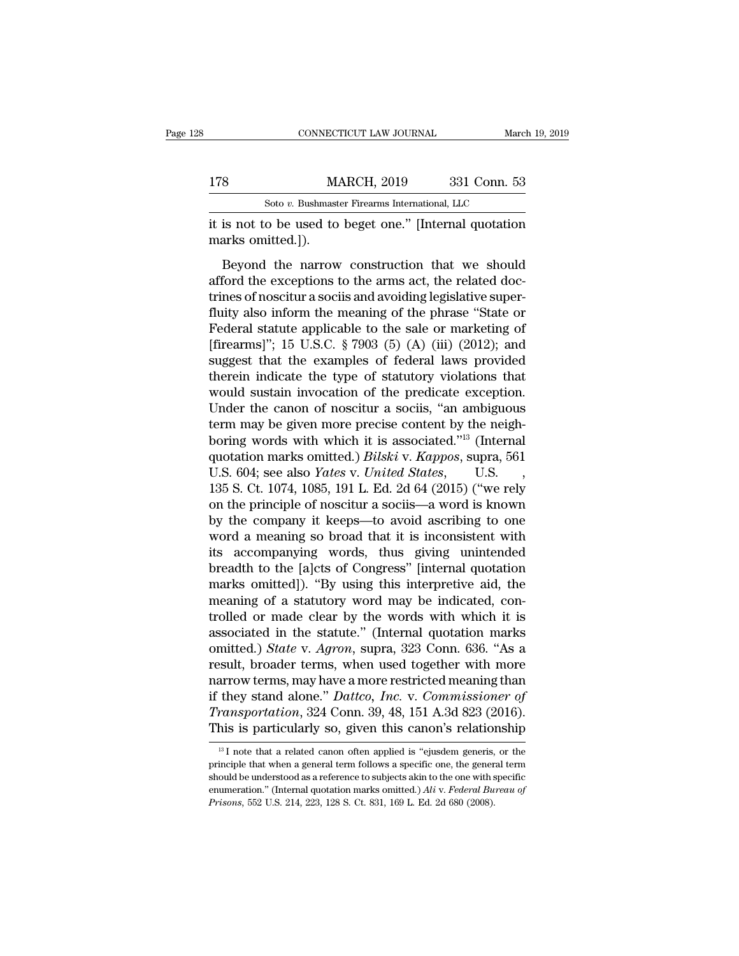|     | CONNECTICUT LAW JOURNAL                                 | March 19, 2019 |  |
|-----|---------------------------------------------------------|----------------|--|
| 178 | <b>MARCH, 2019</b>                                      | 331 Conn. 53   |  |
|     | Soto v. Bushmaster Firearms International, LLC          |                |  |
|     | it is not to be used to beget one " [Internal quotation |                |  |

CONNECTICUT LAW JOURNAL March 19, 2019<br>
178 MARCH, 2019 331 Conn. 53<br>
500 v. Bushmaster Firearms International, LLC<br>
it is not to be used to beget one.'' [Internal quotation<br>
marks omitted.]). M<br>
178 M<br>
Soto v. Bushmast<br>
it is not to be used to<br>
marks omitted.]).<br>
Beyond the narrow

 $B$  MARCH, 2019 331 Conn. 53<br>
Soto *v*. Bushmaster Firearms International, LLC<br>
is not to be used to beget one." [Internal quotation<br>
arks omitted.]).<br>
Beyond the narrow construction that we should<br>
ford the exceptions to  $\frac{178}{2018}$  and  $\frac{178}{2018}$  and  $\frac{178}{2018}$  and  $\frac{178}{2018}$  and  $\frac{178}{2018}$  and  $\frac{178}{2018}$  and  $\frac{178}{2018}$  and  $\frac{178}{2018}$  and  $\frac{178}{2018}$  are soluted.]).<br>Beyond the narrow construction that we Soto  $v$ . Bushmaster Firearms International, LLC<br>it is not to be used to beget one." [Internal quotation<br>marks omitted.]).<br>Beyond the narrow construction that we should<br>afford the exceptions to the arms act, the related d it is not to be used to beget one." [Internal quotation marks omitted.]).<br>Beyond the narrow construction that we should afford the exceptions to the arms act, the related doctrines of noscitur a sociis and avoiding legisl Federal statute applicable to the sales of the should<br>afford the exceptions to the arms act, the related doc-<br>trines of noscitur a sociis and avoiding legislative super-<br>fluity also inform the meaning of the phrase "State Export of the narrow construction that we should<br>afford the exceptions to the arms act, the related doc-<br>trines of noscitur a sociis and avoiding legislative super-<br>fluity also inform the meaning of the phrase "State or<br>Fe Beyond the narrow construction that we should<br>afford the exceptions to the arms act, the related doc-<br>trines of noscitur a sociis and avoiding legislative super-<br>fluity also inform the meaning of the phrase "State or<br>Fede afford the exceptions to the arms act, the related doctrines of noscitur a sociis and avoiding legislative superfluity also inform the meaning of the phrase "State or Federal statute applicable to the sale or marketing of trines of noscitur a sociis and avoiding legislative super-<br>fluity also inform the meaning of the phrase "State or<br>Federal statute applicable to the sale or marketing of<br>[firearms]"; 15 U.S.C. § 7903 (5) (A) (iii) (2012); fluity also inform the meaning of the phrase "State or<br>Federal statute applicable to the sale or marketing of<br>[firearms]"; 15 U.S.C. § 7903 (5) (A) (iii) (2012); and<br>suggest that the examples of federal laws provided<br>ther Federal statute applicable to the sale or marketing of [firearms]"; 15 U.S.C. § 7903 (5) (A) (iii) (2012); and suggest that the examples of federal laws provided therein indicate the type of statutory violations that woul [firearms]"; 15 U.S.C. § 7903 (5) (A) (iii) (2012); and<br>suggest that the examples of federal laws provided<br>therein indicate the type of statutory violations that<br>would sustain invocation of the predicate exception.<br>Under suggest that the examples of federal laws provided<br>therein indicate the type of statutory violations that<br>would sustain invocation of the predicate exception.<br>Under the canon of noscitur a sociis, "an ambiguous<br>term may be therein indicate the type of statutory violations that<br>would sustain invocation of the predicate exception.<br>Under the canon of noscitur a sociis, "an ambiguous<br>term may be given more precise content by the neigh-<br>boring wo would sustain invocation of the predicate exception.<br>Under the canon of noscitur a sociis, "an ambiguous<br>term may be given more precise content by the neigh-<br>boring words with which it is associated."<sup>13</sup> (Internal<br>quotati Under the canon of noscitur a sociis, "an ambiguous<br>term may be given more precise content by the neigh-<br>boring words with which it is associated."<sup>13</sup> (Internal<br>quotation marks omitted.) *Bilski* v. *Kappos*, supra, 561<br> term may be given more precise content by the neighboring words with which it is associated."<sup>13</sup> (Internal quotation marks omitted.) *Bilski* v. *Kappos*, supra, 561 U.S. 604; see also *Yates* v. *United States*, U.S., 1 boring words with which it is associated."<sup>13</sup> (Internal quotation marks omitted.) *Bilski* v. *Kappos*, supra, 561 U.S. 604; see also *Yates* v. *United States*, U.S. , 135 S. Ct. 1074, 1085, 191 L. Ed. 2d 64 (2015) ("we quotation marks omitted.) *Bilski* v. *Kappos*, supra, 561<br>U.S. 604; see also *Yates* v. *United States*, U.S.<br>135 S. Ct. 1074, 1085, 191 L. Ed. 2d 64 (2015) ("we rely<br>on the principle of noscitur a sociis—a word is known U.S. 604; see also *Yates* v. *United States*, U.S., 135 S. Ct. 1074, 1085, 191 L. Ed. 2d 64 (2015) ("we rely on the principle of noscitur a sociis—a word is known by the company it keeps—to avoid ascribing to one word a m 135 S. Ct. 1074, 1085, 191 L. Ed. 2d 64 (2015) ("we rely<br>on the principle of noscitur a sociis—a word is known<br>by the company it keeps—to avoid ascribing to one<br>word a meaning so broad that it is inconsistent with<br>its acc on the principle of noscitur a sociis—a word is known<br>by the company it keeps—to avoid ascribing to one<br>word a meaning so broad that it is inconsistent with<br>its accompanying words, thus giving unintended<br>breadth to the [a] by the company it keeps—to avoid ascribing to one<br>word a meaning so broad that it is inconsistent with<br>its accompanying words, thus giving unintended<br>breadth to the [a]cts of Congress" [internal quotation<br>marks omitted]). word a meaning so broad that it is inconsistent with<br>its accompanying words, thus giving unintended<br>breadth to the [a]cts of Congress" [internal quotation<br>marks omitted]). "By using this interpretive aid, the<br>meaning of a its accompanying words, thus giving unintended<br>breadth to the [a]cts of Congress" [internal quotation<br>marks omitted]). "By using this interpretive aid, the<br>meaning of a statutory word may be indicated, con-<br>trolled or made breadth to the [a]cts of Congress" [internal quotation<br>marks omitted]). "By using this interpretive aid, the<br>meaning of a statutory word may be indicated, con-<br>trolled or made clear by the words with which it is<br>associated marks omitted]). "By using this interpretive aid, the<br>meaning of a statutory word may be indicated, con-<br>trolled or made clear by the words with which it is<br>associated in the statute." (Internal quotation marks<br>omitted.) meaning of a statutory word may be indicated, controlled or made clear by the words with which it is<br>associated in the statute." (Internal quotation marks<br>omitted.) *State* v. *Agron*, supra, 323 Conn. 636. "As a<br>result, b trolled or made clear by the words with which it is<br>associated in the statute." (Internal quotation marks<br>omitted.) *State* v. *Agron*, supra, 323 Conn. 636. "As a<br>result, broader terms, when used together with more<br>narrow associated in the statute." (Internal quotation marks<br>omitted.) *State* v. *Agron*, supra, 323 Conn. 636. "As a<br>result, broader terms, when used together with more<br>narrow terms, may have a more restricted meaning than<br>if narrow terms, may have a more restricted meaning than<br>if they stand alone." Dattco, Inc. v. Commissioner of<br>Transportation, 324 Conn. 39, 48, 151 A.3d 823 (2016).<br>This is particularly so, given this canon's relationship<br>if they stand alone." *Dattco*, *Inc.* v. *Commissioner of Transportation*, 324 Conn. 39, 48, 151 A.3d 823 (2016). This is particularly so, given this canon's relationship  $\frac{13}{1}$  note that a related canon often appl This is particularly so, given this canon's relationship

Transportation, 324 Conn. 39, 48, 151 A.3d 823 (2016).<br>This is particularly so, given this canon's relationship<br> $\frac{13}{1}$  note that a related canon often applied is "ejusdem generis, or the<br>principle that when a general <sup>13</sup> I note that a related canon often applied is "ejusdem generis, or the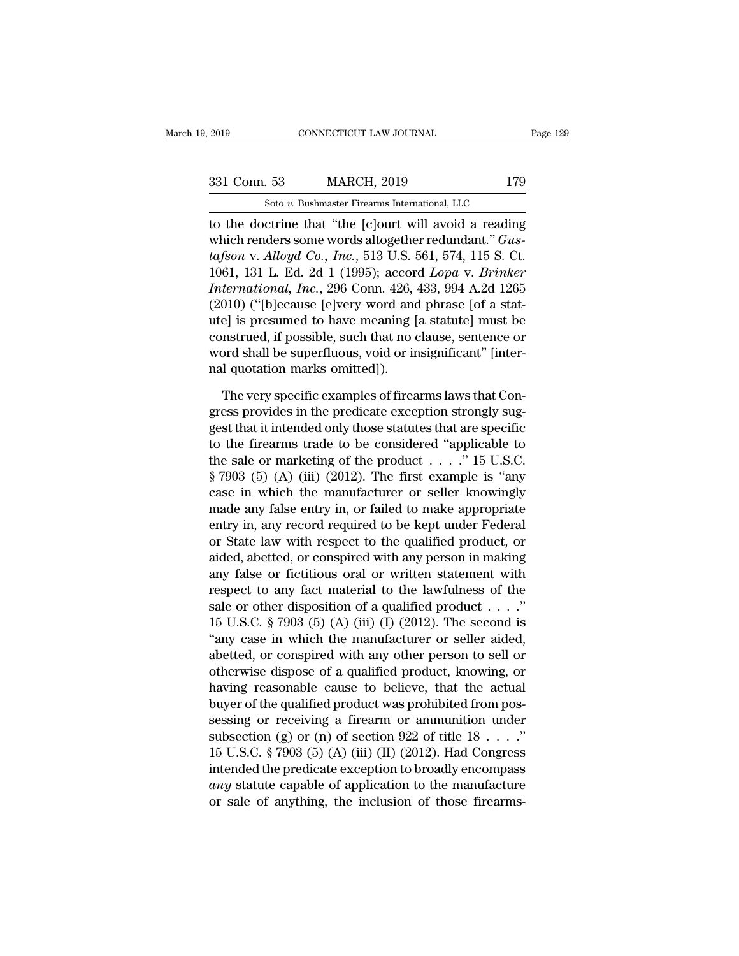| 2019         | CONNECTICUT LAW JOURNAL                        | Page 129 |
|--------------|------------------------------------------------|----------|
| 331 Conn. 53 | <b>MARCH, 2019</b>                             | 179      |
|              | Soto v. Bushmaster Firearms International, LLC |          |

For 2019 CONNECTICUT LAW JOURNAL<br>
Soto *v.* Bushmaster Firearms International, LLC<br>
to the doctrine that "the [c]ourt will avoid a reading<br>
which renders some words altogether redundant." *Gus-<br>
tafson v. Alloyd Co., Inc.* 2019 CONNECTICUT LAW JOURNAL Page 129<br>
331 Conn. 53 MARCH, 2019 179<br>
500 v. Bushmaster Firearms International, LLC<br>
to the doctrine that "the [c]ourt will avoid a reading<br>
which renders some words altogether redundant." Gu <sup>331</sup> Conn. 53 MARCH, 2019 179<br>
<sup>53</sup> Soto *v*. Bushmaster Firearms International, LLC<br> **to the doctrine that "the [c]ourt will avoid a reading**<br>
which renders some words altogether redundant." *Gus-<br>
tafson* v. *Alloyd Co.* 1061, 131 L. Ed. 2d 1 (1995); accord *Lopa* v. *Brinker Soto v. Bushmaster Firearms International, LLC*<br> **IO** the doctrine that "the [c]ourt will avoid a reading<br>
which renders some words altogether redundant." *Gus-*<br> *tafson v. Alloyd Co., Inc.,* 513 U.S. 561, 574, 115 S. Ct  $\frac{360}{2}$  of  $\ell$ . Bashmaster Freams intentational, ELC<br>to the doctrine that "the [c]ourt will avoid a reading<br>which renders some words altogether redundant." Gus-<br>tafson v. Alloyd Co., Inc., 513 U.S. 561, 574, 115 S. C to the doctrine that "the [c]ourt will avoid a reading<br>which renders some words altogether redundant." *Gus-<br>tafson* v. *Alloyd Co.*, *Inc.*, 513 U.S. 561, 574, 115 S. Ct.<br>1061, 131 L. Ed. 2d 1 (1995); accord *Lopa* v. *B* which renders some words altogether redundant."  $Gus-tafson$  v.  $Alloyd$  Co., Inc., 513 U.S. 561, 574, 115 S. Ct. 1061, 131 L. Ed. 2d 1 (1995); accord  $Lopa$  v. Brinker International, Inc., 296 Conn. 426, 433, 994 A.2d 1265 (2010) tafson v. Alloyd Co., Inc., 513 U.S. 561, 574, 115 S. Ct.<br>1061, 131 L. Ed. 2d 1 (1995); accord *Lopa* v. *Brinker*<br>International, Inc., 296 Conn. 426, 433, 994 A.2d 1265<br>(2010) ("[b]ecause [e]very word and phrase [of a st 1061, 131 L. Ed. 2d 1 (1995); accor<br>
International, Inc., 296 Conn. 426,<br>
(2010) ("[b]ecause [e]very word and<br>
ute] is presumed to have meaning [<br>
construed, if possible, such that no c<br>
word shall be superfluous, void or 010) ("[b]ecause [e]very word and phrase [of a stat-<br>e] is presumed to have meaning [a statute] must be<br>nstrued, if possible, such that no clause, sentence or<br>ord shall be superfluous, void or insignificant" [inter-<br>I quot ute] is presumed to have meaning [a statute] must be construed, if possible, such that no clause, sentence or word shall be superfluous, void or insignificant" [internal quotation marks omitted]).<br>The very specific example

construed, if possible, such that no clause, sentence or<br>word shall be superfluous, void or insignificant" [inter-<br>nal quotation marks omitted]).<br>The very specific examples of firearms laws that Con-<br>gress provides in the word shall be superfluous, void or insignificant" [inter-<br>nal quotation marks omitted]).<br>The very specific examples of firearms laws that Con-<br>gress provides in the predicate exception strongly sug-<br>gest that it intended nal quotation marks omitted]).<br>The very specific examples of firearms laws that Congress provides in the predicate exception strongly suggest that it intended only those statutes that are specific<br>to the firearms trade to The very specific examples of firearms laws that Congress provides in the predicate exception strongly suggest that it intended only those statutes that are specific to the firearms trade to be considered "applicable to t The very specific examples of firearms laws that Congress provides in the predicate exception strongly suggest that it intended only those statutes that are specific to the firearms trade to be considered "applicable to t gress provides in the predicate exception strongly suggest that it intended only those statutes that are specific<br>to the firearms trade to be considered "applicable to<br>the sale or marketing of the product  $\dots$ ." 15 U.S.C. gest that it intended only those statutes that are specific<br>to the firearms trade to be considered "applicable to<br>the sale or marketing of the product . . . . " 15 U.S.C.<br>§ 7903 (5) (A) (iii) (2012). The first example is " to the firearms trade to be considered "applicable to<br>the sale or marketing of the product  $\dots$ " 15 U.S.C.<br>§ 7903 (5) (A) (iii) (2012). The first example is "any<br>case in which the manufacturer or seller knowingly<br>made any the sale or marketing of the product  $\ldots$  and  $15$  U.S.C.<br>§ 7903 (5) (A) (iii) (2012). The first example is "any<br>case in which the manufacturer or seller knowingly<br>made any false entry in, or failed to make appropriate<br>e  $\S$  7903 (5) (A) (iii) (2012). The first example is "any<br>case in which the manufacturer or seller knowingly<br>made any false entry in, or failed to make appropriate<br>entry in, any record required to be kept under Federal<br>or case in which the manufacturer or seller knowingly<br>made any false entry in, or failed to make appropriate<br>entry in, any record required to be kept under Federal<br>or State law with respect to the qualified product, or<br>aided made any false entry in, or failed to make appropriate<br>entry in, any record required to be kept under Federal<br>or State law with respect to the qualified product, or<br>aided, abetted, or conspired with any person in making<br>a entry in, any record required to be kept under Federal<br>or State law with respect to the qualified product, or<br>aided, abetted, or conspired with any person in making<br>any false or fictitious oral or written statement with<br>r or State law with respect to the qualified product, or aided, abetted, or conspired with any person in making any false or fictitious oral or written statement with respect to any fact material to the lawfulness of the sa aided, abetted, or conspired with any person in making<br>any false or fictitious oral or written statement with<br>respect to any fact material to the lawfulness of the<br>sale or other disposition of a qualified product  $\dots$ ."<br>1 any false or fictitious oral or written statement with<br>respect to any fact material to the lawfulness of the<br>sale or other disposition of a qualified product . . . ."<br>15 U.S.C. § 7903 (5) (A) (iii) (I) (2012). The second respect to any fact material to the lawfulness of the<br>sale or other disposition of a qualified product  $\dots$ ."<br>15 U.S.C. § 7903 (5) (A) (iii) (I) (2012). The second is<br>"any case in which the manufacturer or seller aided,<br>a sale or other disposition of a qualified product  $\dots$  ."<br>15 U.S.C. § 7903 (5) (A) (iii) (I) (2012). The second is<br>"any case in which the manufacturer or seller aided,<br>abetted, or conspired with any other person to sell or 15 U.S.C. § 7903 (5) (A) (iii) (1) (2012). The second is<br>
"any case in which the manufacturer or seller aided,<br>
abetted, or conspired with any other person to sell or<br>
otherwise dispose of a qualified product, knowing, or "any case in which the manufacturer or seller aided,<br>abetted, or conspired with any other person to sell or<br>otherwise dispose of a qualified product, knowing, or<br>having reasonable cause to believe, that the actual<br>buyer o abetted, or conspired with any other person to sell or<br>otherwise dispose of a qualified product, knowing, or<br>having reasonable cause to believe, that the actual<br>buyer of the qualified product was prohibited from pos-<br>sessi otherwise dispose of a qualified product, knowing, or<br>having reasonable cause to believe, that the actual<br>buyer of the qualified product was prohibited from pos-<br>sessing or receiving a firearm or ammunition under<br>subsecti having reasonable cause to believe, that the actual<br>buyer of the qualified product was prohibited from pos-<br>sessing or receiving a firearm or ammunition under<br>subsection (g) or (n) of section 922 of title 18 . . . ."<br>15 U buyer of the qualified product was prohibited from possessing or receiving a firearm or ammunition under subsection (g) or (n) of section 922 of title  $18...$ ."<br>15 U.S.C. § 7903 (5) (A) (iii) (II) (2012). Had Congress inten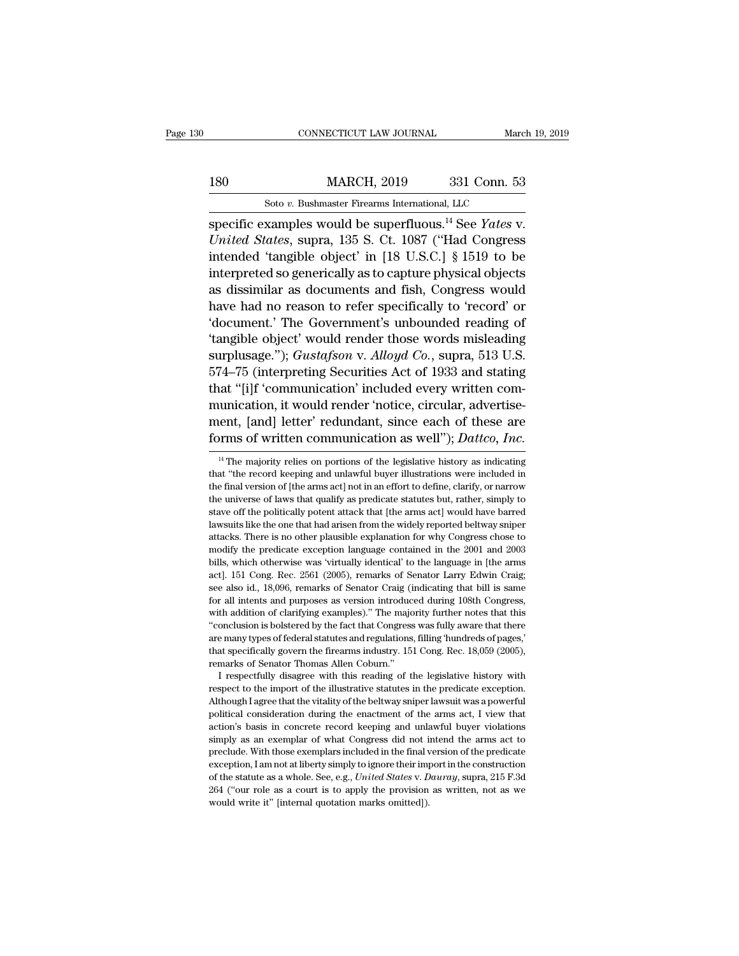## EXECUTE CONNECTICUT LAW JOURNAL March 19, 2019<br>180 MARCH, 2019 331 Conn. 53<br>500 v. Bushmaster Firearms International, LLC CONNECTICUT LAW JOURNAL March March March MARCH, 2019 331 Conn. 53<br>Soto *v.* Bushmaster Firearms International, LLC<br>xamples would be superfluous <sup>14</sup> See *Yates* v

Specific examples would be superfluous.<sup>14</sup> See *Yates* v.<br>
United States, supra, 135 S. Ct. 1087 ("Had Congress")<br>
Channel and the superfluous.<sup>14</sup> See *Yates* v.<br>
United States, supra, 135 S. Ct. 1087 ("Had Congress") *MARCH*, 2019 331 Conn. 53<br> *Soto v. Bushmaster Firearms International, LLC*<br>
specific examples would be superfluous.<sup>14</sup> See *Yates* v.<br> *United States*, supra, 135 S. Ct. 1087 ("Had Congress<br>
intended 'tangible object' i 180 MARCH, 2019 331 Conn. 53<br>
Soto v. Bushmaster Firearms International, LLC<br>
specific examples would be superfluous.<sup>14</sup> See *Yates v.*<br>
United States, supra, 135 S. Ct. 1087 ("Had Congress<br>
intended 'tangible object' in 180 MARCH, 2019 331 Conn. 53<br>
Soto v. Bushmaster Firearms International, LLC<br>
specific examples would be superfluous.<sup>14</sup> See *Yates v.*<br>
United States, supra, 135 S. Ct. 1087 ("Had Congress<br>
intended 'tangible object' in Soto v. Bushmaster Firearms International, LLC<br>specific examples would be superfluous.<sup>14</sup> See *Yates* v.<br>United States, supra, 135 S. Ct. 1087 ("Had Congress<br>intended 'tangible object' in [18 U.S.C.] § 1519 to be<br>interpr specific examples would be superfluous.<sup>14</sup> See *Yates v.*<br>
United States, supra, 135 S. Ct. 1087 ("Had Congress<br>
intended 'tangible object' in [18 U.S.C.] § 1519 to be<br>
interpreted so generically as to capture physical o specific examples would be superfluous.<sup>44</sup> See *Yates v.*<br>
United States, supra, 135 S. Ct. 1087 ("Had Congress<br>
intended 'tangible object' in [18 U.S.C.] § 1519 to be<br>
interpreted so generically as to capture physical o United States, supra, 135 S. Ct. 1087 ("Had Congress<br>
intended 'tangible object' in [18 U.S.C.] § 1519 to be<br>
interpreted so generically as to capture physical objects<br>
as dissimilar as documents and fish, Congress would<br> intended 'tangible object' in [18 U.S.C.] § 1519 to be<br>interpreted so generically as to capture physical objects<br>as dissimilar as documents and fish, Congress would<br>have had no reason to refer specifically to 'record' or<br>' Interpreted so generically as to capture physical objects<br>as dissimilar as documents and fish, Congress would<br>have had no reason to refer specifically to 'record' or<br>'document.' The Government's unbounded reading of<br>'tangi as dissimilar as documents and rish, Congress would<br>have had no reason to refer specifically to 'record' or<br>'document.' The Government's unbounded reading of<br>'tangible object' would render those words misleading<br>surplusage mave nad no reason to reter specifically to record or<br>
"document." The Government's unbounded reading of<br>
"tangible object" would render those words misleading<br>
surplusage."); *Gustafson v. Alloyd Co.*, supra, 513 U.S.<br>
57 Frame the Government's unbounded reading of<br>
"tangible object" would render those words misleading<br>
surplusage."); *Gustafson* v. *Alloyd Co.*, supra, 513 U.S.<br>
574–75 (interpreting Securities Act of 1933 and stating<br>
tha Tangible object would render those words misleading<br>surplusage."); *Gustafson v. Alloyd Co.*, supra, 513 U.S.<br>574–75 (interpreting Securities Act of 1933 and stating<br>that "[i]f 'communication' included every written com-<br>m that "[i]f 'communication' included every written communication, it would render 'notice, circular, advertisement, [and] letter' redundant, since each of these are forms of written communication as well"); *Dattco, Inc.*<br> munication, it would render 'notice, circular, advertisement, [and] letter' redundant, since each of these are forms of written communication as well''); *Dattco, Inc.*<br><sup>14</sup> The majority relies on portions of the legislati

ment, [and] letter' redundant, since each of these are<br>forms of written communication as well''); *Dattco, Inc.*<br> $\frac{14}{100}$  The majority relies on portions of the legislative history as indicating<br>that "the record keepi forms of written communication as well"); *Dattco*, *Inc.*<br><sup>14</sup> The majority relies on portions of the legislative history as indicating that "the record keeping and unlawful buyer illustrations were included in the final <sup>14</sup> The majority relies on portions of the legislative history as indicating that "the record keeping and unlawful buyer illustrations were included in the final version of [the arms act] not in an effort to define, clar <sup>14</sup> The majority relies on portions of the legislative history as indicating that "the record keeping and unlawful buyer illustrations were included in the final version of [the arms act] not in an effort to define, clar that "the record keeping and unlawful buyer illustrations were included in the final version of [the arms act] not in an effort to define, clarify, or narrow the universe of laws that qualify as predicate statutes but, rat the final version of [the arms act] not in an effort to define, clarify, or narrow<br>the universe of laws that qualify as predicate statutes but, rather, simply to<br>stave off the politically potent attack that [the arms act] the universe of laws that qualify as predicate statutes but, rather, simply to stave off the politically potent attack that [the arms act] would have barred lawsuits like the one that had arisen from the widely reported be action of the politically potent attack that [the arms act] would have barred lawsuits like the one that had arisen from the widely reported beltway sniper attacks. There is no other plausible explanation for why Congress see also id., 18,096, remarks of Senator Craig (indicating that bill is same for all interacts. There is no other plausible explanation for why Congress chose to modify the predicate exception language contained in the 200 attacks. There is no other plausible explanation for why Congress chose to modify the predicate exception language contained in the 2001 and 2003 bills, which otherwise was 'virtually identical' to the language in [the arm wholfly the predicate exception language contained in the 2001 and 2003<br>bills, which otherwise was 'virtually identical' to the language in [the arms<br>act]. 151 Cong. Rec. 2561 (2005), remarks of Senator Larry Edwin Craig;<br> Findian, which otherwise was 'virtually identical' to the language in [the arms act]. 151 Cong. Rec. 2561 (2005), remarks of Senator Larry Edwin Craig; see also id., 18,096, remarks of Senator Craig (indicating that bill i are many types of federal statutes and regulations, filling that statutes and regulations, see also id., 18,096, remarks of Senator Craig (indicating that bill is same for all intents and purposes as version introduced dur see also id., 18,096, remarks of Senator Craig (indicating that bill is same<br>for all intents and purposes as version introduced during 108th Congress,<br>with addition of clarifying examples)." The majority further notes that for all intents and purposes as version introduction<br>for all intents and purposes as version introductively." The majority<br>"conclusion is bolstered by the fact that Congress<br>are many types of federal statutes and regulatio It respectively assumed by the fact that Congress was fully aware that this onclusion is bolstered by the fact that Congress was fully aware that there e many types of federal statutes and regulations, filling 'hundreds of "conclusion is bolstered by the fact that Congress was fully aware that there are many types of federal statutes and regulations, filling 'hundreds of pages,'<br>that specifically govern the firearms industry. 151 Cong. Rec.

From the video of federal statutes and regulations, filling 'hundreds of pages,'<br>that specifically govern the firearms industry. 151 Cong. Rec. 18,059 (2005),<br>remarks of Senator Thomas Allen Coburn."<br>I respectfully disagre mat specifically govern the firearms industry. 151 Cong. Rec. 18,059 (2005), remarks of Senator Thomas Allen Coburn."<br>
I respectfully disagree with this reading of the legislative history with<br>
respect to the import of the action-window and the many concrete record keeping and unlawful buyer violation's single respectfully disagree with this reading of the legislative history with respect to the import of the illustrative statutes in the pre I respectfully disagree with this reading of the legislative history with<br>I respect to the import of the illustrative statutes in the predicate exception.<br>Although I agree that the vitality of the beltway sniper lawsuit wa respect to the import of the illustrative statutes in the predicate exception.<br>Although I agree that the vitality of the beltway sniper lawsuit was a powerful<br>political consideration during the enactment of the arms act, I Exception, I am not at liberty simply to ignore their import in the constrained consideration during the enactment of the arms act, I view that action's basis in concrete record keeping and unlawful buyer violations simply Individual consideration during the enactment of the arms act, I view that action's basis in concrete record keeping and unlawful buyer violations simply as an exemplar of what Congress did not intend the arms act to precl action's basis in concrete record keeping and unlawful buyer violations simply as an exemplar of what Congress did not intend the arms act to preclude. With those exemplars included in the final version of the predicate ex action's basis in concrete record keeping and unlawful buyer violations<br>simply as an exemplar of what Congress did not intend the arms act to<br>preclude. With those exemplars included in the final version of the predicate<br>e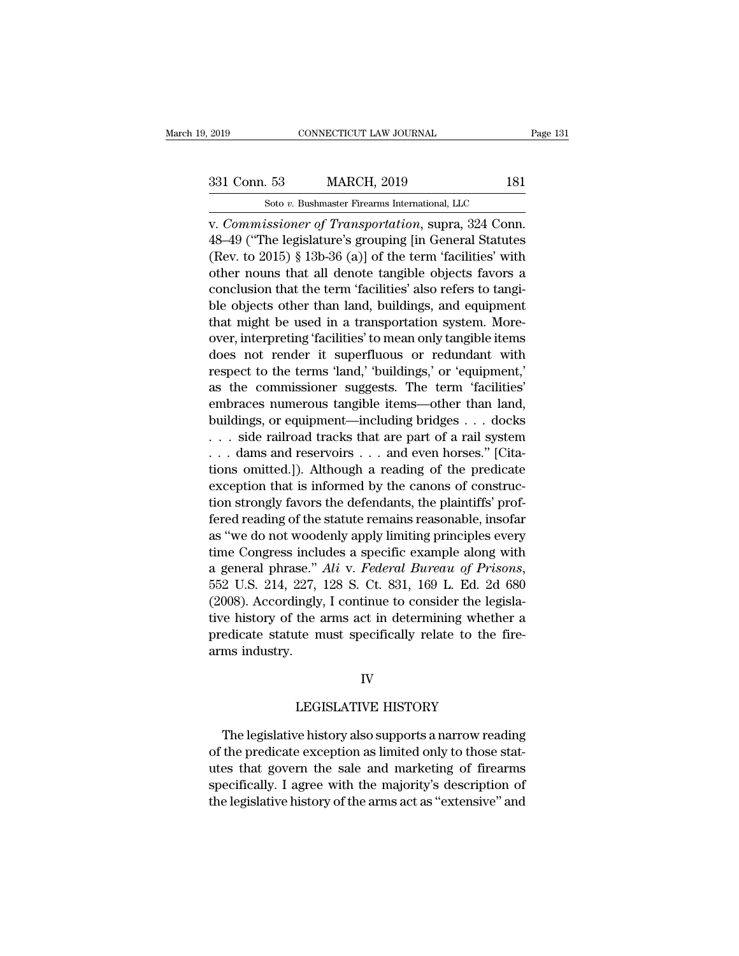# 2019 CONNECTICUT LAW JOURNAL Page 131<br>331 Conn. 53 MARCH, 2019 181<br>500 v. Bushmaster Firearms International, LLC

CONNECTICUT LAW JOURNAL<br>
Soto *v.* Bushmaster Firearms International, LLC<br>
Soto *v.* Bushmaster Firearms International, LLC<br>
Sissioner of Transportation. supra. 324 Conn 2019 CONNECTICUT LAW JOURNAL Page<br>
331 Conn. 53 MARCH, 2019 181<br>
<sup>Soto v.</sup> Bushmaster Firearms International, LLC<br>
v. *Commissioner of Transportation*, supra, 324 Conn.<br>
48–49 ("The legislature's grouping [in General Statu 331 Conn. 53 MARCH, 2019 181<br>
Soto v. Bushmaster Firearms International, LLC<br>
v. Commissioner of Transportation, supra, 324 Conn.<br>
48–49 ("The legislature's grouping [in General Statutes<br>
(Rev. to 2015) § 13b-36 (a)] of th 331 Conn. 53 MARCH, 2019 181<br>
Soto v. Bushmaster Firearms International, LLC<br>
v. Commissioner of Transportation, supra, 324 Conn.<br>
48–49 ("The legislature's grouping [in General Statutes<br>
(Rev. to 2015) § 13b-36 (a)] of t 331 Conn. 53 MARCH, 2019 181<br>
Soto v. Bushmaster Firearms International, LLC<br>
v. Commissioner of Transportation, supra, 324 Conn.<br>
48–49 ("The legislature's grouping [in General Statutes<br>
(Rev. to 2015) § 13b-36 (a)] of t Soto v. Bushmaster Firearms International, LLC<br>v. Commissioner of Transportation, supra, 324 Conn.<br>48–49 ("The legislature's grouping [in General Statutes<br>(Rev. to 2015) § 13b-36 (a)] of the term 'facilities' with<br>other n ble other and than landscale, and the set of Transportation, supra, 324 Conn.<br>48–49 ("The legislature's grouping [in General Statutes (Rev. to 2015) § 13b-36 (a)] of the term 'facilities' with<br>other nouns that all denote v. Commissioner of Transportation, supra, 324 Conn.<br>48–49 ("The legislature's grouping [in General Statutes<br>(Rev. to 2015) § 13b-36 (a)] of the term 'facilities' with<br>other nouns that all denote tangible objects favors a<br>c  $48-49$  ("The legislature's grouping [in General Statutes<br>(Rev. to 2015) § 13b-36 (a)] of the term 'facilities' with<br>other nouns that all denote tangible objects favors a<br>conclusion that the term 'facilities' also refers (Rev. to 2015) § 13b-36 (a)] of the term 'facilities' with<br>other nouns that all denote tangible objects favors a<br>conclusion that the term 'facilities' also refers to tangi-<br>ble objects other than land, buildings, and equi other nouns that all denote tangible objects favors a<br>conclusion that the term 'facilities' also refers to tangi-<br>ble objects other than land, buildings, and equipment<br>that might be used in a transportation system. More-<br>o conclusion that the term 'facilities' also refers to tangible objects other than land, buildings, and equipment<br>that might be used in a transportation system. More-<br>over, interpreting 'facilities' to mean only tangible ite ble objects other than land, buildings, and equipment<br>that might be used in a transportation system. More-<br>over, interpreting 'facilities' to mean only tangible items<br>does not render it superfluous or redundant with<br>respec that might be used in a transportation system. Moreover, interpreting 'facilities' to mean only tangible items<br>does not render it superfluous or redundant with<br>respect to the terms 'land,' 'buildings,' or 'equipment,'<br>as over, interpreting Taclities' to mean only tangible items<br>does not render it superfluous or redundant with<br>respect to the terms 'land,' 'buildings,' or 'equipment,'<br>as the commissioner suggests. The term 'facilities'<br>embra does not render it superfluous or redundant with<br>respect to the terms 'land,' 'buildings,' or 'equipment,'<br>as the commissioner suggests. The term 'facilities'<br>embraces numerous tangible items—other than land,<br>buildings, o respect to the terms 'land, 'buildings,' or 'equipment,'<br>as the commissioner suggests. The term 'facilities'<br>embraces numerous tangible items—other than land,<br>buildings, or equipment—including bridges . . . docks<br>. . . sid as the commissioner suggests. The term 'facilities'<br>embraces numerous tangible items—other than land,<br>buildings, or equipment—including bridges  $\dots$  docks<br> $\dots$  side railroad tracks that are part of a rail system<br> $\dots$  dams embraces numerous tangube items—other than iand,<br>buildings, or equipment—including bridges  $\dots$  docks<br> $\dots$  side railroad tracks that are part of a rail system<br> $\dots$  dams and reservoirs  $\dots$  and even horses." [Cita-<br>tions o buildings, or equipment—including bridges . . . docks<br>
. . . side railroad tracks that are part of a rail system<br>
. . . dams and reservoirs . . . and even horses." [Cita-<br>
tions omitted.]). Although a reading of the predic . . . side railroad tracks that are part of a rail system<br>
. . . dams and reservoirs . . . and even horses." [Cita-<br>
tions omitted.]). Although a reading of the predicate<br>
exception that is informed by the canons of const ... aams and reservoirs ... and even norses." [Citations omitted.]). Although a reading of the predicate exception that is informed by the canons of construction strongly favors the defendants, the plaintiffs' proffered r tions omitted.]). Although a reading of the predicate<br>exception that is informed by the canons of construc-<br>tion strongly favors the defendants, the plaintiffs' prof-<br>fered reading of the statute remains reasonable, insofa tion strongly ravors the derendants, the plaintiffs proferred reading of the statute remains reasonable, insofar<br>as "we do not woodenly apply limiting principles every<br>time Congress includes a specific example along with<br>a rered reading of the statute remains reasonable, insofar<br>as "we do not woodenly apply limiting principles every<br>time Congress includes a specific example along with<br>a general phrase." Ali v. Federal Bureau of Prisons,<br>552 as "we do not woodenly apply limiting principles every<br>time Congress includes a specific example along with<br>a general phrase." Ali v. Federal Bureau of Prisons,<br>552 U.S. 214, 227, 128 S. Ct. 831, 169 L. Ed. 2d 680<br>(2008). time Congress include<br>a general phrase."<br>552 U.S. 214, 227,<br>(2008). Accordingly<br>tive history of the a<br>predicate statute m<br>arms industry. the arms act in determining whether<br>the must specifically relate to the fir<br>IV<br>LEGISLATIVE HISTORY<br>re history also supports a narrow readi

### IV

Equivale in the legislative history also supports a narrow reading<br>the legislative history also supports a narrow reading<br>the predicate exception as limited only to those stat-<br>as that says the sale and manking of finance IV<br>
IV<br>
LEGISLATIVE HISTORY<br>
The legislative history also supports a narrow reading<br>
of the predicate exception as limited only to those stat-<br>
utes that govern the sale and marketing of firearms<br>
reading also with the maj IV<br>LEGISLATIVE HISTORY<br>The legislative history also supports a narrow reading<br>of the predicate exception as limited only to those stat-<br>utes that govern the sale and marketing of firearms<br>specifically. I agree with the maj LEGISLATIVE HISTORY<br>The legislative history also supports a narrow reading<br>of the predicate exception as limited only to those stat-<br>utes that govern the sale and marketing of firearms<br>specifically. I agree with the majori LEGISLATIVE HISTORY<br>The legislative history also supports a narrow reading<br>of the predicate exception as limited only to those stat-<br>utes that govern the sale and marketing of firearms<br>specifically. I agree with the majori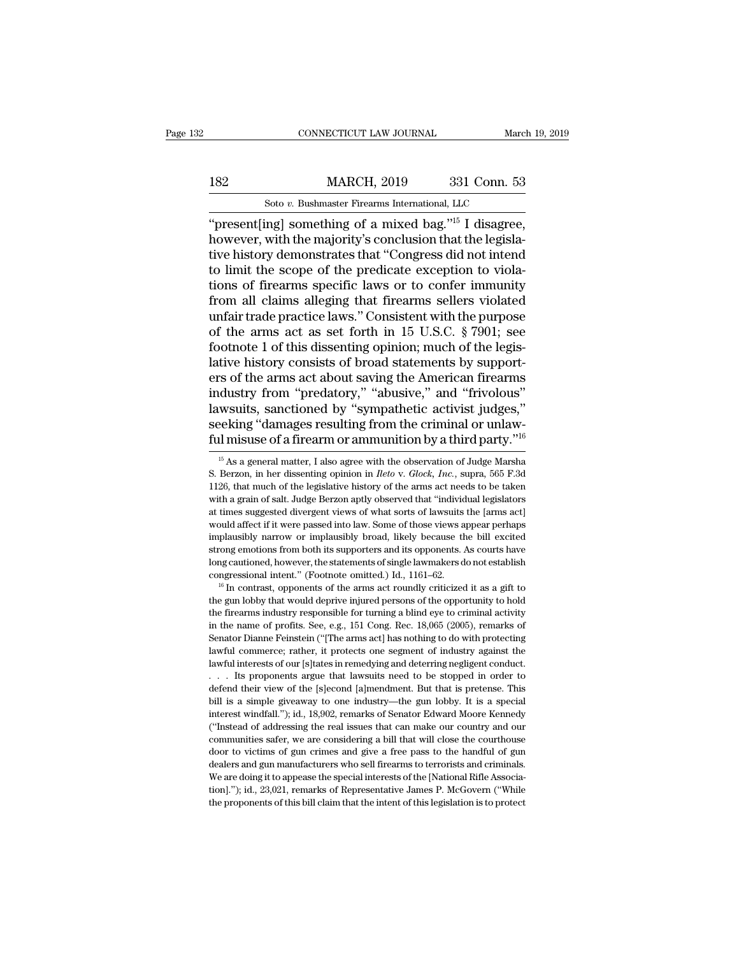## EXECUTE CONNECTICUT LAW JOURNAL March 19, 2019<br>182 MARCH, 2019 331 Conn. 53<br>500 v. Bushmaster Firearms International, LLC CONNECTICUT LAW JOURNAL March March March MARCH, 2019 331 Conn. 53<br>Soto *v.* Bushmaster Firearms International, LLC<br>ngl something of a mixed bag "<sup>15</sup> I disagree

CONNECTICUT LAW JOURNAL March 19, 2<br>
182 MARCH, 2019 331 Conn. 53<br>
Soto v. Bushmaster Firearms International, LLC<br>
"present[ing] something of a mixed bag."<sup>15</sup> I disagree,<br>
however, with the majority's conclusion that the 182 MARCH, 2019 331 Conn. 53<br>
Soto v. Bushmaster Firearms International, LLC<br>
"present[ing] something of a mixed bag."<sup>15</sup> I disagree,<br>
however, with the majority's conclusion that the legisla-<br>
tive history demonstrates t 182 MARCH, 2019 331 Conn. 53<br>
Soto v. Bushmaster Firearms International, LLC<br>
"present[ing] something of a mixed bag."<sup>15</sup> I disagree,<br>
however, with the majority's conclusion that the legisla-<br>
tive history demonstrates MARCH, 2019 331 Conn. 53<br>
Soto *v*. Bushmaster Firearms International, LLC<br>
"present[ing] something of a mixed bag."<sup>15</sup> I disagree,<br>
however, with the majority's conclusion that the legisla-<br>
tive history demonstrates tha Soto v. Bushmaster Firearms International, LLC<br>
"present[ing] something of a mixed bag."<sup>15</sup> I disagree,<br>
however, with the majority's conclusion that the legisla-<br>
tive history demonstrates that "Congress did not intend<br> Soto v. Bushmaster Firearms International, LLC<br>
"present[ing] something of a mixed bag."<sup>15</sup> I disagree,<br>
however, with the majority's conclusion that the legisla-<br>
tive history demonstrates that "Congress did not intend<br> "present[ing] something of a mixed bag."<sup>15</sup> I disagree,<br>however, with the majority's conclusion that the legisla-<br>tive history demonstrates that "Congress did not intend<br>to limit the scope of the predicate exception to v however, with the majority's conclusion that the legislative history demonstrates that "Congress did not intend<br>to limit the scope of the predicate exception to viola-<br>tions of firearms specific laws or to confer immunity<br> tive history demonstrates that "Congress did not intend<br>to limit the scope of the predicate exception to viola-<br>tions of firearms specific laws or to confer immunity<br>from all claims alleging that firearms sellers violated<br> to limit the scope of the predicate exception to violations of firearms specific laws or to confer immunity from all claims alleging that firearms sellers violated unfair trade practice laws." Consistent with the purpose o tions of firearms specific laws or to confer immunity<br>from all claims alleging that firearms sellers violated<br>unfair trade practice laws." Consistent with the purpose<br>of the arms act as set forth in 15 U.S.C. § 7901; see<br>f from all claims alleging that firearms sellers violated<br>unfair trade practice laws." Consistent with the purpose<br>of the arms act as set forth in 15 U.S.C. § 7901; see<br>footnote 1 of this dissenting opinion; much of the legi unfair trade practice laws." Consistent with the purpose<br>of the arms act as set forth in 15 U.S.C. § 7901; see<br>footnote 1 of this dissenting opinion; much of the legis-<br>lative history consists of broad statements by suppor of the arms act as set forth in 15 U.S.C. § 7901; see<br>footnote 1 of this dissenting opinion; much of the legis-<br>lative history consists of broad statements by support-<br>ers of the arms act about saving the American firearm footnote 1 of this dissenting opinion; much of the legis-<br>lative history consists of broad statements by support-<br>ers of the arms act about saving the American firearms<br>industry from "predatory," "abusive," and "frivolous dustry from "predatory," "abusive," and "frivolous"<br>wsuits, sanctioned by "sympathetic activist judges,"<br>eeking "damages resulting from the criminal or unlaw-<br>il misuse of a firearm or ammunition by a third party."<sup>16</sup><br><sup>15</sup> lawsuits, sanctioned by "sympathetic activist judges,"<br>seeking "damages resulting from the criminal or unlaw-<br>ful misuse of a firearm or ammunition by a third party."<sup>16</sup><br><sup>15</sup> As a general matter, I also agree with the obs

seeking "damages resulting from the criminal or unlaw-<br>ful misuse of a firearm or ammunition by a third party."<sup>16</sup><br> $^{16}$  As a general matter, I also agree with the observation of Judge Marsha<br>S. Berzon, in her dissentin ful misuse of a firearm or ammunition by a third party."<sup>16</sup><br>
<sup>15</sup> As a general matter, I also agree with the observation of Judge Marsha<br>
S. Berzon, in her dissenting opinion in *Ileto* v. *Glock*, *Inc.*, supra, 565 F.3 The Hussuse of a fired into antificant of an interaction by a third party.<br>
<sup>15</sup> As a general matter, I also agree with the observation of Judge Marsha<br>
S. Berzon, in her dissenting opinion in *Ileto* v. *Glock, Inc.*, su <sup>15</sup> As a general matter, I also agree with the observation of Judge Marsha S. Berzon, in her dissenting opinion in *Ileto* v. *Glock*, *Inc.*, supra, 565 F.3d 1126, that much of the legislative history of the arms act ne S. Berzon, in her dissenting opinion in *Ileto* v. *Glock, Inc.*, supra, 565 F.3d 1126, that much of the legislative history of the arms act needs to be taken with a grain of salt. Judge Berzon aptly observed that "individ 1126, that much of the legislative history of the arms act needs to be taken with a grain of salt. Judge Berzon aptly observed that "individual legislators at times suggested divergent views of what sorts of lawsuits the [ **Example 12** and a grain of salt. Judge Berzon aptly observed that "individual legislators at times suggested divergent views of what sorts of lawsuits the [arms act] would affect if it were passed into law. Some of those and times suggested divergent views of what sorts of lawsuits the [arms act] would affect if it were passed into law. Some of those views appear perhaps implausibly narrow or implausibly broad, likely because the bill exc implausibly narrow or implausibly broad, likely because the bill excited<br>strong emotions from both its supporters and its opponents. As courts have<br>long cautioned, however, the statements of single lawmakers do not establ

the firearms industry responsible for turning a blind eye to criminal activity in the name of profits. See, e.g., 151 Cong. Rec. 18,065 (2005), remarks of the name of profits. See, e.g., 151 Cong. Rec. 18,065 (2005), rema ing cautioned, however, the statements of single law<br>makers do not establish congressional intent." (Footnote omitted.) Id., 1161–62.<br><sup>16</sup> In contrast, opponents of the arms act roundly criticized it as a gift to<br>the gun l France Senator Intent." (Footnote omitted.) Id., 1161–62.<br>
<sup>16</sup> In contrast, opponents of the arms act roundly criticized it as a gift to<br>
the gun lobby that would deprive injured persons of the opportunity to hold<br>
the fi <sup>16</sup> In contrast, opponents of the arms act roundly criticized it as a gift to the gun lobby that would deprive injured persons of the opportunity to hold the firearms industry responsible for turning a blind eye to crimi the gun lobby that would deprive injured persons of the opportunity to hold<br>the firearms industry responsible for turning a blind eye to criminal activity<br>in the name of profits. See, e.g., 151 Cong. Rec. 18,065 (2005), re the firearms industry responsible for turning a blind eye to criminal activity in the name of profits. See, e.g., 151 Cong. Rec. 18,065 (2005), remarks of Senator Dianne Feinstein ("[The arms act] has nothing to do with pr in the name of profits. See, e.g., 151 Cong. Rec. 18,065 (2005), remarks of Senator Dianne Feinstein ("[The arms act] has nothing to do with protecting lawful commerce; rather, it protects one segment of industry against t bill is a simple giveaway to one industry—the gun lobby. It is a special interest simple givea in the simple givear of industry against the lawful interests of our [s] tates in remedying and deterring negligent conduct.<br>
. Lawful commerce; rather, it protects one segment of industry against the lawful interests of our [s]tates in remedying and deterring negligent conduct.<br>
... Its proponents argue that lawsuits need to be stopped in order t lawful commerce; rather, it protects one segment of industry against the lawful interests of our [s]<br>tates in remedying and deterring negligent conduct.<br>. . . Its proponents argue that law<br>suits need to be stopped in orde Example 1.1 Its proponents argue that lawsuits need to be stopped in order to defend their view of the [s]econd [a]mendment. But that is pretense. This bill is a simple giveaway to one industry—the gun lobby. It is a spec defend their view of the [s]econd [a]mendment. But that is pretense. This bill is a simple giveaway to one industry—the gun lobby. It is a special interest windfall."); id., 18,902, remarks of Senator Edward Moore Kennedy bell is a simple giveaway to one industry—the gun lobby. It is a special interest windfall."); id., 18,902, remarks of Senator Edward Moore Kennedy ("Instead of addressing the real issues that can make our country and our Enterest windfall."); id., 18,902, remarks of Senator Edward Moore Kennedy<br>("Instead of addressing the real issues that can make our country and our<br>communities safer, we are considering a bill that will close the courtho the "time of and of addressing the real issues that can make our country and our communities safer, we are considering a bill that will close the courthouse door to victims of gun crimes and give a free pass to the handful communities safer, we are considering a bill that will close the courthouse<br>door to victims of gun crimes and give a free pass to the handful of gun<br>dealers and gun manufacturers who sell firearms to terrorists and crimina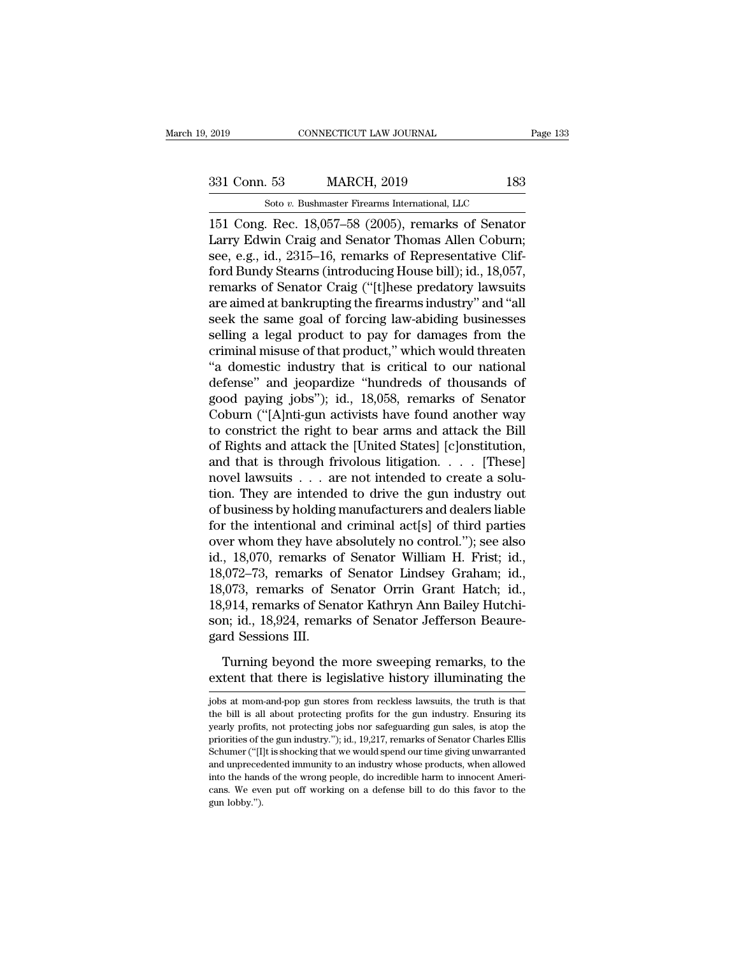# 2019 CONNECTICUT LAW JOURNAL Page 133<br>331 Conn. 53 MARCH, 2019 183<br>500 v. Bushmaster Firearms International, LLC

CONNECTICUT LAW JOURNAL<br>
Soto *v.* Bushmaster Firearms International, LLC<br>
Soto *v.* Bushmaster Firearms International, LLC<br>
Rec. 18 057–58 (2005), remarks of Senator 2019 CONNECTICUT LAW JOURNAL Page 133<br>
331 Conn. 53 MARCH, 2019 183<br>
500 v. Bushmaster Firearms International, LLC<br>
151 Cong. Rec. 18,057–58 (2005), remarks of Senator<br>
Larry Edwin Craig and Senator Thomas Allen Coburn; 331 Conn. 53 MARCH, 2019 183<br>
Soto v. Bushmaster Firearms International, LLC<br>
151 Cong. Rec. 18,057–58 (2005), remarks of Senator<br>
Larry Edwin Craig and Senator Thomas Allen Coburn;<br>
see, e.g., id., 2315–16, remarks of Rep 331 Conn. 53 MARCH, 2019 183<br>
Soto v. Bushmaster Firearms International, LLC<br>
151 Cong. Rec. 18,057–58 (2005), remarks of Senator<br>
Larry Edwin Craig and Senator Thomas Allen Coburn;<br>
see, e.g., id., 2315–16, remarks of Rep Ford Bundy Stearns (introducing House bill); id., 18,057<br>
Ford Bushmaster Firearms International, LLC<br>
151 Cong. Rec. 18,057–58 (2005), remarks of Senator<br>
Larry Edwin Craig and Senator Thomas Allen Coburn;<br>
see, e.g., id. Soto v. Bushmaster Firearms International, LLC<br>
151 Cong. Rec. 18,057–58 (2005), remarks of Senator<br>
Larry Edwin Craig and Senator Thomas Allen Coburn;<br>
see, e.g., id., 2315–16, remarks of Representative Clif-<br>
ford Bundy solo *v*. Bushmaster Friearns international, Lt.<br>
151 Cong. Rec. 18,057–58 (2005), remarks of Senator<br>
Larry Edwin Craig and Senator Thomas Allen Coburn;<br>
see, e.g., id., 2315–16, remarks of Representative Clif-<br>
ford Bun 151 Cong. Rec. 18,057–58 (2005), remarks of Senator<br>Larry Edwin Craig and Senator Thomas Allen Coburn;<br>see, e.g., id., 2315–16, remarks of Representative Clif-<br>ford Bundy Stearns (introducing House bill); id., 18,057,<br>rema Larry Edwin Craig and Senator Thomas Allen Coburn;<br>see, e.g., id., 2315–16, remarks of Representative Clif-<br>ford Bundy Stearns (introducing House bill); id., 18,057,<br>remarks of Senator Craig ("[t]hese predatory lawsuits<br>ar see, e.g., id., 2315–16, remarks of Representative Clif-<br>ford Bundy Stearns (introducing House bill); id., 18,057,<br>remarks of Senator Craig ("[t]hese predatory lawsuits<br>are aimed at bankrupting the firearms industry" and " ford Bundy Stearns (introducing House bill); id., 18,057,<br>remarks of Senator Craig ("[t]hese predatory lawsuits<br>are aimed at bankrupting the firearms industry" and "all<br>seek the same goal of forcing law-abiding businesses<br> remarks of Senator Craig ("[t]hese predatory lawsuits<br>are aimed at bankrupting the firearms industry" and "all<br>seek the same goal of forcing law-abiding businesses<br>selling a legal product to pay for damages from the<br>crimin are aimed at bankrupting the firearms industry" and "all<br>seek the same goal of forcing law-abiding businesses<br>selling a legal product to pay for damages from the<br>criminal misuse of that product," which would threaten<br>"a do seek the same goal of forcing law-abiding businesses<br>selling a legal product to pay for damages from the<br>criminal misuse of that product," which would threaten<br>"a domestic industry that is critical to our national<br>defense" selling a legal product to pay for damages from the<br>criminal misuse of that product," which would threaten<br>"a domestic industry that is critical to our national<br>defense" and jeopardize "hundreds of thousands of<br>good paying criminal misuse of that product," which would threaten<br>"a domestic industry that is critical to our national<br>defense" and jeopardize "hundreds of thousands of<br>good paying jobs"); id., 18,058, remarks of Senator<br>Coburn ("[A "a domestic industry that is critical to our national defense" and jeopardize "hundreds of thousands of good paying jobs"); id., 18,058, remarks of Senator Coburn ("[A]nti-gun activists have found another way to constrict defense" and jeopardize "hundreds of thousands of good paying jobs"); id., 18,058, remarks of Senator Coburn ("[A]nti-gun activists have found another way to constrict the right to bear arms and attack the Bill of Rights a good paying jobs"); id., 18,058, remarks of Senator<br>Coburn ("[A]nti-gun activists have found another way<br>to constrict the right to bear arms and attack the Bill<br>of Rights and attack the [United States] [c]onstitution,<br>and Coburn ("[A]nti-gun activists have found another way<br>to constrict the right to bear arms and attack the Bill<br>of Rights and attack the [United States] [c]onstitution,<br>and that is through frivolous litigation. . . . [These] to constrict the right to bear arms and attack the Bill<br>of Rights and attack the [United States] [c]onstitution,<br>and that is through frivolous litigation. . . . [These]<br>novel lawsuits . . . are not intended to create a so of Rights and attack the [United States] [c]onstitution,<br>and that is through frivolous litigation. . . . [These]<br>novel lawsuits . . . are not intended to create a solu-<br>tion. They are intended to drive the gun industry ou and that is through frivolous litigation. . . . . [These]<br>novel lawsuits . . . are not intended to create a solu-<br>tion. They are intended to drive the gun industry out<br>of business by holding manufacturers and dealers liab novel lawsuits . . . are not intended to create a solution. They are intended to drive the gun industry out of business by holding manufacturers and dealers liable for the intentional and criminal act[s] of third parties o tion. They are intended to drive the gun industry out<br>of business by holding manufacturers and dealers liable<br>for the intentional and criminal act[s] of third parties<br>over whom they have absolutely no control."); see also<br> of business by holding manufacturers and dealers liable<br>for the intentional and criminal act[s] of third parties<br>over whom they have absolutely no control."); see also<br>id., 18,070, remarks of Senator William H. Frist; id., for the intentional and criminal act[s] of third parties<br>over whom they have absolutely no control."); see also<br>id., 18,070, remarks of Senator William H. Frist; id.,<br>18,072–73, remarks of Senator Lindsey Graham; id.,<br>18,0 over whom they have a<br>id., 18,070, remarks of<br>18,072–73, remarks of<br>18,914, remarks of Sen<br>18,914, remarks of Sen<br>son; id., 18,924, remar<br>gard Sessions III.<br>Turning beyond the 1,072–73, remarks of Senator Lindsey Graham; id.,<br>
1,072–73, remarks of Senator Orrin Grant Hatch; id.,<br>
1,914, remarks of Senator Kathryn Ann Bailey Hutchin; id., 18,924, remarks of Senator Jefferson Beaure-<br>
1,18,924, re 18,073, remarks of Senator Orrin Grant Hatch; id., 18,914, remarks of Senator Kathryn Ann Bailey Hutchison; id., 18,924, remarks of Senator Jefferson Beauregard Sessions III.<br>Turning beyond the more sweeping remarks, to th

gard Sessions III.<br>Turning beyond the more sweeping remarks, to the<br>extent that there is legislative history illuminating the<br>jobs at mom-and-pop gun stores from reckless lawsuits, the truth is that<br>the bill is all about p

Turning beyond the more sweeping remarks, to the extent that there is legislative history illuminating the jobs at mom-and-pop gun stores from reckless lawsuits, the truth is that the bill is all about protecting profits f Turning beyond the more sweeping remarks, to the extent that there is legislative history illuminating the jobs at mom-and-pop gun stores from reckless lawsuits, the truth is that the bill is all about protecting profits f extent that there is legislative history illuminating the<br>jobs at mom-and-pop gun stores from reckless lawsuits, the truth is that<br>the bill is all about protecting profits for the gun industry. Ensuring its<br>yearly profits, EXTENT THAT THET IS TEGISIALIVE HISTOLY INTUITHIRING THE<br>jobs at mom-and-pop gun stores from reckless lawsuits, the truth is that<br>the bill is all about protecting profits for the gun industry. Ensuring its<br>yearly profits, jobs at mom-and-pop gun stores from reckless lawsuits, the truth is that<br>the bill is all about protecting profits for the gun industry. Ensuring its<br>yearly profits, not protecting jobs nor safeguarding gun sales, is atop t be the hand said about protecting profits for the gun industry. Ensuring its yearly profits, not protecting profits for the gun industry. Ensuring its yearly profits, not protecting jobs nor safeguarding gun sales, is ato wearly profits, not protecting jobs nor safeguarding gun sales, is atop the priorities of the gun industry."); id., 19,217, remarks of Senator Charles Ellis Schumer ("[I]t is shocking that we would spend our time giving un priorities of t<br>Schumer ("[I]<br>and unpreced<br>into the hand<br>cans. We eve<br>gun lobby.").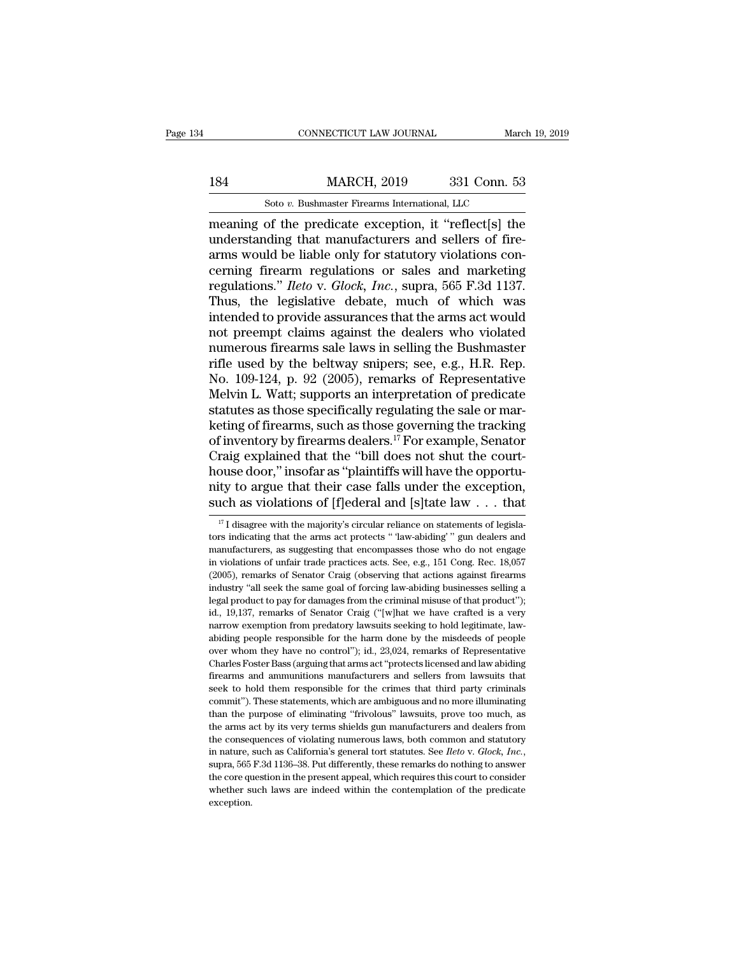## EXECUTE CONNECTICUT LAW JOURNAL March 19, 2019<br>184 MARCH, 2019 331 Conn. 53<br>500 v. Bushmaster Firearms International, LLC CONNECTICUT LAW JOURNAL March March March MARCH, 2019 331 Conn. 53<br>Soto *v.* Bushmaster Firearms International, LLC<br>of the predicate exception, it "reflect[s] the

CONNECTICUT LAW JOURNAL March 19, 2019<br>
184 MARCH, 2019 331 Conn. 53<br>
500 v. Bushmaster Firearms International, LLC<br>
meaning of the predicate exception, it "reflect[s] the<br>
understanding that manufacturers and sellers of f 184 MARCH, 2019 331 Conn. 53<br>
Soto v. Bushmaster Firearms International, LLC<br>
meaning of the predicate exception, it "reflect[s] the<br>
understanding that manufacturers and sellers of fire-<br>
arms would be liable only for sta 184 MARCH, 2019 331 Conn. 53<br>
Soto v. Bushmaster Firearms International, LLC<br>
meaning of the predicate exception, it "reflect[s] the<br>
understanding that manufacturers and sellers of fire-<br>
arms would be liable only for st MARCH, 2019 331 Conn. 53<br>
Soto v. Bushmaster Firearms International, LLC<br>
meaning of the predicate exception, it "reflect[s] the<br>
understanding that manufacturers and sellers of fire-<br>
arms would be liable only for statuto Soto *v.* Bushmaster Firearms International, LLC<br>
meaning of the predicate exception, it "reflect[s] the<br>
understanding that manufacturers and sellers of fire-<br>
arms would be liable only for statutory violations con-<br>
cern Soto v. Bushmaster Firearms International, LLC<br>
meaning of the predicate exception, it "reflect[s] the<br>
understanding that manufacturers and sellers of fire-<br>
arms would be liable only for statutory violations con-<br>
cerni meaning of the predicate exception, it "reflect[s] the<br>understanding that manufacturers and sellers of fire-<br>arms would be liable only for statutory violations con-<br>cerning firearm regulations or sales and marketing<br>regula understanding that manufacturers and sellers of fire-<br>arms would be liable only for statutory violations con-<br>cerning firearm regulations or sales and marketing<br>regulations." *Ileto* v. *Glock*, *Inc.*, supra, 565 F.3d 11 arms would be liable only for statutory violations concerning firearm regulations or sales and marketing<br>regulations." *Ileto* v. *Glock*, *Inc.*, supra, 565 F.3d 1137.<br>Thus, the legislative debate, much of which was<br>inte cerning firearm regulations or sales and marketing<br>regulations." *Ileto* v. *Glock*, *Inc.*, supra, 565 F.3d 1137.<br>Thus, the legislative debate, much of which was<br>intended to provide assurances that the arms act would<br>not regulations." *Ileto* v. *Glock*, *Inc.*, supra, 565 F.3d 1137.<br>Thus, the legislative debate, much of which was<br>intended to provide assurances that the arms act would<br>not preempt claims against the dealers who violated<br>num Thus, the legislative debate, much of which was<br>intended to provide assurances that the arms act would<br>not preempt claims against the dealers who violated<br>numerous firearms sale laws in selling the Bushmaster<br>rifle used by intended to provide assurances that the arms act would<br>not preempt claims against the dealers who violated<br>numerous firearms sale laws in selling the Bushmaster<br>rifle used by the beltway snipers; see, e.g., H.R. Rep.<br>No. 1 not preempt claims against the dealers who violated<br>numerous firearms sale laws in selling the Bushmaster<br>rifle used by the beltway snipers; see, e.g., H.R. Rep.<br>No. 109-124, p. 92 (2005), remarks of Representative<br>Melvin numerous firearms sale laws in selling the Bushmaster<br>rifle used by the beltway snipers; see, e.g., H.R. Rep.<br>No. 109-124, p. 92 (2005), remarks of Representative<br>Melvin L. Watt; supports an interpretation of predicate<br>st rifle used by the beltway snipers; see, e.g., H.R. Rep.<br>No. 109-124, p. 92 (2005), remarks of Representative<br>Melvin L. Watt; supports an interpretation of predicate<br>statutes as those specifically regulating the sale or mar No. 109-124, p. 92 (2005), remarks of Representative<br>Melvin L. Watt; supports an interpretation of predicate<br>statutes as those specifically regulating the sale or mar-<br>keting of firearms, such as those governing the tracki Melvin L. Watt; supports an interpretation of predicate<br>statutes as those specifically regulating the sale or mar-<br>keting of firearms, such as those governing the tracking<br>of inventory by firearms dealers.<sup>17</sup> For example statutes as those specifically regulating the sale or marketing of firearms, such as those governing the tracking<br>of inventory by firearms dealers.<sup>17</sup> For example, Senator<br>Craig explained that the "bill does not shut the raig explained that the "bill does not shut the court-<br>buse door," insofar as "plaintiffs will have the opportu-<br>ity to argue that their case falls under the exception,<br>ich as violations of [f]ederal and [s]tate  $law \dots$  tha house door," insofar as "plaintiffs will have the opportunity to argue that their case falls under the exception, such as violations of [f]ederal and [s]tate  $law \dots$  that  $\frac{17}{17}$  I disagree with the majority's circular

mity to argue that their case falls under the exception,<br>such as violations of [f]ederal and [s]tate  $law \dots$  that<br> $\frac{17}{16}$  isagree with the majority's circular reliance on statements of legisla-<br>tors indicating that the in violations of  $[f]$ ederal and  $[s]$ tate law . . . that<br>
<sup>17</sup>I disagree with the majority's circular reliance on statements of legisla-<br>
tors indicating that the arms act protects " law-abiding" gun dealers and<br>
manufactu (2005), remarks of Senator Craig (observing that actions against firearms <sup>17</sup> I disagree with the majority's circular reliance on statements of legislators indicating that the arms act protects " law-abiding' " gun dealers and manufacturers, as suggesting that encompasses those who do not enga for indicating that the arms act protects " law-abiding" " gun dealers and manufacturers, as suggesting that encompasses those who do not engage in violations of unfair trade practices acts. See, e.g., 151 Cong. Rec. 18,05 manufacturers, as suggesting that encompasses those who do not engage<br>in violations of unfair trade practices acts. See, e.g., 151 Cong. Rec. 18,057<br>(2005), remarks of Senator Craig (observing that actions against firearms manufacturers, as suggesting that encompasses those who do not engage in violations of unfair trade practices acts. See, e.g., 151 Cong. Rec. 18,057 (2005), remarks of Senator Craig (observing that actions against firearm (2005), remarks of Senator Craig (observing that actions against firearms industry "all seek the same goal of forcing law-abiding businesses selling a legal product to pay for damages from the criminal misuse of that prod industry "all seek the same goal of forcing law-abiding businesses selling a legal product to pay for damages from the criminal misuse of that product"); id., 19,137, remarks of Senator Craig ("[w]hat we have crafted is a legal product to pay for damages from the criminal misuse of that product");<br>id., 19,137, remarks of Senator Craig ("[w]hat we have crafted is a very<br>narrow exemption from predatory lawsuits seeking to hold legitimate, law id, 19,137, remarks of Senator Craig ("[w]hat we have crafted is a very narrow exemption from predatory lawsuits seeking to hold legitimate, law-<br>abiding people responsible for the harm done by the misdeeds of people<br>over seeking to hold legitimate, law-<br>narrow exemption from predatory lawsuits seeking to hold legitimate, law-<br>abiding people responsible for the harm done by the misdeeds of people<br>over whom they have no control"); id., 23,02 abiding people responsible for the harm done by the misdeeds of people<br>abiding people responsible for the harm done by the misdeeds of people<br>over whom they have no control"); id., 23,024, remarks of Representative<br>Charles sover whom they have no control"); id., 23,024, remarks of Representative Charles Foster Bass (arguing that arms act "protects licensed and law abiding firearms and ammunitions manufacturers and sellers from lawsuits that Charles Foster Bass (arguing that arms act "protects licensed and law abiding<br>Thearms and ammunitions manufacturers and sellers from lawsuits that<br>seek to hold them responsible for the crimes that third party criminals<br>com Frearms and ammunitions manufacturers and sellers from lawsuits that seek to hold them responsible for the crimes that third party criminals commit"). These statements, which are ambiguous and no more illuminating than th in the purpose of eliminations was califored as California's general to hold them responsible for the crimes that third party criminals commit"). These statements, which are ambiguous and no more illuminating than the purp commit"). These statements, which are ambiguous and no more illuminating than the purpose of eliminating "frivolous" lawsuits, prove too much, as the arms act by its very terms shields gun manufacturers and dealers from t the arms act by its very terms shields gun manufacturers and dealers from<br>the consequences of violating numerous laws, both common and statutory<br>in nature, such as California's general tort statutes. See *Ileto* v. *Glock* exception.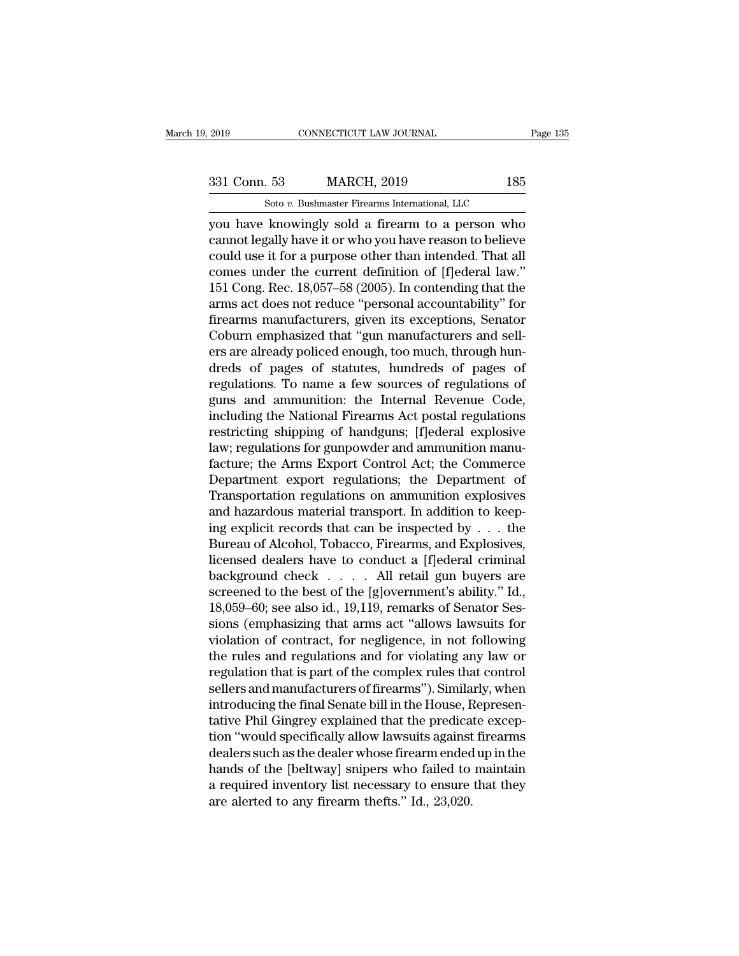2019 CONNECTICUT LAW JOURNAL Page 135<br>331 Conn. 53 MARCH, 2019 185<br>500 v. Bushmaster Firearms International, LLC

CONNECTICUT LAW JOURNAL<br>
Soto *v.* Bushmaster Firearms International, LLC<br>
Soto *v.* Bushmaster Firearms International, LLC<br>
knowingly sold a firearm to a person who 2019 CONNECTICUT LAW JOURNAL Page 135<br>
331 Conn. 53 MARCH, 2019 185<br>
301 Soto v. Bushmaster Firearms International, LLC<br>
you have knowingly sold a firearm to a person who<br>
cannot legally have it or who you have reason to b 331 Conn. 53 MARCH, 2019 185<br>Soto v. Bushmaster Firearms International, LLC<br>you have knowingly sold a firearm to a person who<br>cannot legally have it or who you have reason to believe<br>could use it for a purpose other than i 331 Conn. 53 MARCH, 2019 185<br>
Soto v. Bushmaster Firearms International, LLC<br>
you have knowingly sold a firearm to a person who<br>
cannot legally have it or who you have reason to believe<br>
could use it for a purpose other t 331 Conn. 53 MARCH, 2019 185<br>
soto v. Bushmaster Firearms International, LLC<br>
you have knowingly sold a firearm to a person who<br>
cannot legally have it or who you have reason to believe<br>
could use it for a purpose other t Soto v. Bushmaster Firearms International, LLC<br>you have knowingly sold a firearm to a person who<br>cannot legally have it or who you have reason to believe<br>could use it for a purpose other than intended. That all<br>comes unde solo *v*. Bushinaster Frieams intentational, ELC<br>you have knowingly sold a firearm to a person who<br>cannot legally have it or who you have reason to believe<br>could use it for a purpose other than intended. That all<br>comes und you have knowingly sold a firearm to a person who<br>cannot legally have it or who you have reason to believe<br>could use it for a purpose other than intended. That all<br>comes under the current definition of [f]ederal law."<br>151 cannot legally have it or who you have reason to believe<br>could use it for a purpose other than intended. That all<br>comes under the current definition of [f]ederal law."<br>151 Cong. Rec. 18,057–58 (2005). In contending that th could use it for a purpose other than intended. That all<br>comes under the current definition of [f]ederal law."<br>151 Cong. Rec. 18,057–58 (2005). In contending that the<br>arms act does not reduce "personal accountability" for<br> comes under the current definition of [f]ederal law."<br>151 Cong. Rec. 18,057–58 (2005). In contending that the<br>arms act does not reduce "personal accountability" for<br>firearms manufacturers, given its exceptions, Senator<br>Cob 151 Cong. Rec. 18,057–58 (2005). In contending that the<br>arms act does not reduce "personal accountability" for<br>firearms manufacturers, given its exceptions, Senator<br>Coburn emphasized that "gun manufacturers and sell-<br>ers a arms act does not reduce "personal accountability" for<br>firearms manufacturers, given its exceptions, Senator<br>Coburn emphasized that "gun manufacturers and sell-<br>ers are already policed enough, too much, through hun-<br>dreds firearms manufacturers, given its exceptions, Senator<br>Coburn emphasized that "gun manufacturers and sell-<br>ers are already policed enough, too much, through hun-<br>dreds of pages of statutes, hundreds of pages of<br>regulations. Coburn emphasized that "gun manufacturers and sell-<br>ers are already policed enough, too much, through hun-<br>dreds of pages of statutes, hundreds of pages of<br>regulations. To name a few sources of regulations of<br>guns and ammu ers are already policed enough, too much, through hundreds of pages of statutes, hundreds of pages of regulations. To name a few sources of regulations of guns and ammunition: the Internal Revenue Code, including the Natio dreds of pages of statutes, hundreds of pages of<br>regulations. To name a few sources of regulations of<br>guns and ammunition: the Internal Revenue Code,<br>including the National Firearms Act postal regulations<br>restricting shipp regulations. To name a few sources of regulations of<br>guns and ammunition: the Internal Revenue Code,<br>including the National Firearms Act postal regulations<br>restricting shipping of handguns; [f]ederal explosive<br>law; regulat guns and ammunition: the Internal Revenue Code,<br>including the National Firearms Act postal regulations<br>restricting shipping of handguns; [f]ederal explosive<br>law; regulations for gunpowder and ammunition manu-<br>facture; the including the National Firearms Act postal regulations<br>restricting shipping of handguns; [f]ederal explosive<br>law; regulations for gunpowder and ammunition manu-<br>facture; the Arms Export Control Act; the Commerce<br>Department restricting shipping of handguns; [f]ederal explosive<br>law; regulations for gunpowder and ammunition manu-<br>facture; the Arms Export Control Act; the Commerce<br>Department export regulations; the Department of<br>Transportation r law; regulations for gunpowder and ammunition manu-<br>facture; the Arms Export Control Act; the Commerce<br>Department export regulations; the Department of<br>Transportation regulations on ammunition explosives<br>and hazardous mate facture; the Arms Export Control Act; the Commerce<br>Department export regulations; the Department of<br>Transportation regulations on ammunition explosives<br>and hazardous material transport. In addition to keep-<br>ing explicit re Department export regulations; the Department of<br>Transportation regulations on ammunition explosives<br>and hazardous material transport. In addition to keep-<br>ing explicit records that can be inspected by  $\dots$  the<br>Bureau of Transportation regulations on ammunition explosives<br>and hazardous material transport. In addition to keep-<br>ing explicit records that can be inspected by  $\dots$  the<br>Bureau of Alcohol, Tobacco, Firearms, and Explosives,<br>licen and hazardous material transport. In addition to keep-<br>ing explicit records that can be inspected by  $\dots$  the<br>Bureau of Alcohol, Tobacco, Firearms, and Explosives,<br>licensed dealers have to conduct a [f]ederal criminal<br>bac ing explicit records that can be inspected by  $\ldots$  the Bureau of Alcohol, Tobacco, Firearms, and Explosives, licensed dealers have to conduct a [f]ederal criminal background check  $\ldots$  . All retail gun buyers are screen Bureau of Alcohol, Tobacco, Firearms, and Explosives,<br>licensed dealers have to conduct a [f]ederal criminal<br>background check . . . . . All retail gun buyers are<br>screened to the best of the [g]overnment's ability." Id.,<br>18, licensed dealers have to conduct a [f]ederal criminal<br>background check  $\dots$  . All retail gun buyers are<br>screened to the best of the [g]overnment's ability." Id.,<br>18,059–60; see also id., 19,119, remarks of Senator Ses-<br>si background check  $\ldots$  . All retail gun buyers are<br>screened to the best of the [g]overnment's ability." Id.,<br>18,059–60; see also id., 19,119, remarks of Senator Ses-<br>sions (emphasizing that arms act "allows lawsuits for<br>v screened to the best of the [g]overnment's ability." Id.,<br>18,059–60; see also id., 19,119, remarks of Senator Sessions (emphasizing that arms act "allows lawsuits for<br>violation of contract, for negligence, in not following 18,059–60; see also id., 19,119, remarks of Senator Sessions (emphasizing that arms act "allows lawsuits for violation of contract, for negligence, in not following the rules and regulations and for violating any law or re sions (emphasizing that arms act "allows lawsuits for<br>violation of contract, for negligence, in not following<br>the rules and regulations and for violating any law or<br>regulation that is part of the complex rules that control violation of contract, for negligence, in not following<br>the rules and regulations and for violating any law or<br>regulation that is part of the complex rules that control<br>sellers and manufacturers of firearms"). Similarly, w the rules and regulations and for violating any law or<br>regulation that is part of the complex rules that control<br>sellers and manufacturers of firearms"). Similarly, when<br>introducing the final Senate bill in the House, Repr regulation that is part of the complex rules that control<br>sellers and manufacturers of firearms"). Similarly, when<br>introducing the final Senate bill in the House, Represen-<br>tative Phil Gingrey explained that the predicate sellers and manufacturers of firearms"). Similarly, when<br>introducing the final Senate bill in the House, Represen-<br>tative Phil Gingrey explained that the predicate excep-<br>tion "would specifically allow lawsuits against fir introducing the final Senate bill in the House, Representative Phil Gingrey explained that the predicate exception "would specifically allow lawsuits against firearms dealers such as the dealer whose firearm ended up in th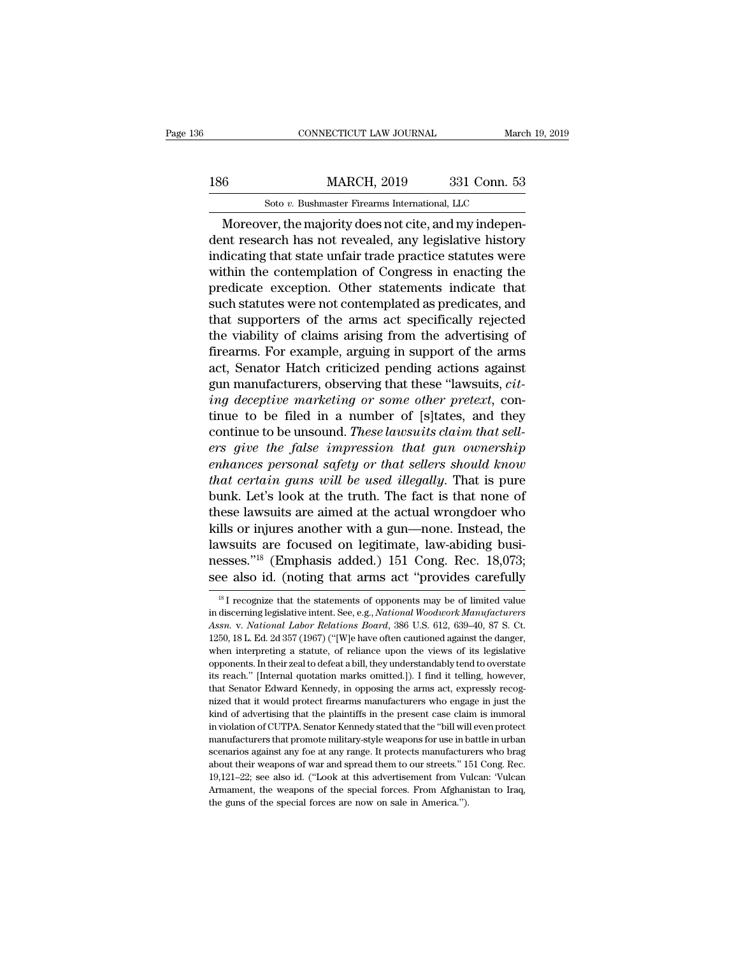## EXECUTE CONNECTICUT LAW JOURNAL March 19, 2019<br>186 MARCH, 2019 331 Conn. 53<br>500 v. Bushmaster Firearms International, LLC CONNECTICUT LAW JOURNAL March March March MARCH, 2019 331 Conn. 53<br>Soto *v.* Bushmaster Firearms International, LLC<br>For the majority does not cite, and my indepen-

CONNECTICUT LAW JOURNAL<br>
March, 2019 331 Conn. 53<br>
Soto v. Bushmaster Firearms International, LLC<br>
Moreover, the majority does not cite, and my indepen-<br>
Int research has not revealed, any legislative history<br>
discrime tha 186 MARCH, 2019 331 Conn. 53<br>
Soto v. Bushmaster Firearms International, LLC<br>
Moreover, the majority does not cite, and my independent research has not revealed, any legislative history<br>
indicating that state unfair trade  $\begin{tabular}{ll} \bf 186 & MARCH, 2019 & 331 Conn. 53 \\ \hline & \bf 53 & 566 v. Bushmaster Firearms International, LLC \\ \hline \bf 16 & \bf 17 & 53 & 544 \\ \bf 27 & \bf 18 & 544 & 554 \\ \bf 28 & \bf 19 & \bf 19 & 574 \\ \bf 29 & \bf 10 & \bf 17 & \bf 18 & 574 \\ \bf 20 & \bf 17 & \bf 18 & \bf 19 & \bf 19 & \bf 19 \\ \bf 21 & \bf 18 & \bf 19 & \bf 19 & \bf 1$ MARCH, 2019 331 Conn. 53<br>
Soto v. Bushmaster Firearms International, LLC<br>
Moreover, the majority does not cite, and my independent research has not revealed, any legislative history<br>
indicating that state unfair trade prac  $\frac{1}{2}$  Soto  $v$ . Bushmaster Firearms International, LLC<br>
Moreover, the majority does not cite, and my independent research has not revealed, any legislative history<br>
indicating that state unfair trade practice statutes sou *e* busineser rieans memational, ELC<br>Moreover, the majority does not cite, and my indepen-<br>dent research has not revealed, any legislative history<br>indicating that state unfair trade practice statutes were<br>within the co Moreover, the majority does not cite, and my independent research has not revealed, any legislative history indicating that state unfair trade practice statutes were within the contemplation of Congress in enacting the pre dent research has not revealed, any legislative history<br>indicating that state unfair trade practice statutes were<br>within the contemplation of Congress in enacting the<br>predicate exception. Other statements indicate that<br>suc indicating that state unfair trade practice statutes were<br>within the contemplation of Congress in enacting the<br>predicate exception. Other statements indicate that<br>such statutes were not contemplated as predicates, and<br>that within the contemplation of Congress in enacting the<br>predicate exception. Other statements indicate that<br>such statutes were not contemplated as predicates, and<br>that supporters of the arms act specifically rejected<br>the viab predicate exception. Other statements indicate that<br>such statutes were not contemplated as predicates, and<br>that supporters of the arms act specifically rejected<br>the viability of claims arising from the advertising of<br>firea such statutes were not contemplated as predicates, and<br>that supporters of the arms act specifically rejected<br>the viability of claims arising from the advertising of<br>firearms. For example, arguing in support of the arms<br>act that supporters of the arms act specifically rejected<br>the viability of claims arising from the advertising of<br>firearms. For example, arguing in support of the arms<br>act, Senator Hatch criticized pending actions against<br>gun the viability of claims arising from the advertising of<br>firearms. For example, arguing in support of the arms<br>act, Senator Hatch criticized pending actions against<br>gun manufacturers, observing that these "lawsuits, *cit-*<br> firearms. For example, arguing in support of the arms<br>act, Senator Hatch criticized pending actions against<br>gun manufacturers, observing that these "lawsuits, *cit-*<br>ing deceptive marketing or some other pretext, con-<br>tinu act, Senator Hatch criticized pending actions against<br>gun manufacturers, observing that these "lawsuits, *cit-*<br>ing deceptive marketing or some other pretext, con-<br>tinue to be filed in a number of [s]tates, and they<br>contin gun manufacturers, observing that these "lawsuits, *cit-*<br>*ing deceptive marketing or some other pretext*, con-<br>tinue to be filed in a number of [s]tates, and they<br>continue to be unsound. These lawsuits claim that sell-<br>er ing deceptive marketing or some other pretext, con-<br>tinue to be filed in a number of [s]tates, and they<br>continue to be unsound. These lawsuits claim that sell-<br>ers give the false impression that gun ownership<br>enhances pers tinue to be filed in a number of [s]tates, and they<br>continue to be unsound. These lawsuits claim that sell-<br>ers give the false impression that gun ownership<br>enhances personal safety or that sellers should know<br>that certain continue to be unsound. These lawsuits claim that sell-<br>ers give the false impression that gun ownership<br>enhances personal safety or that sellers should know<br>that certain guns will be used illegally. That is pure<br>bunk. Le ers give the false impression that gun ownership<br>enhances personal safety or that sellers should know<br>that certain guns will be used illegally. That is pure<br>bunk. Let's look at the truth. The fact is that none of<br>these law enhances personal safety or that sellers should know<br>that certain guns will be used illegally. That is pure<br>bunk. Let's look at the truth. The fact is that none of<br>these lawsuits are aimed at the actual wrongdoer who<br>kills that certain guns will be used illegally. That is pure<br>bunk. Let's look at the truth. The fact is that none of<br>these lawsuits are aimed at the actual wrongdoer who<br>kills or injures another with a gun—none. Instead, the<br>la IIIs or Injures another with a gun—none. Instead, the<br>wsuits are focused on legitimate, law-abiding busi-<br>esses."<sup>18</sup> (Emphasis added.) 151 Cong. Rec. 18,073;<br>ee also id. (noting that arms act "provides carefully<br><sup>18</sup> I re lawsuits are focused on legitimate, law-abiding businesses."<sup>18</sup> (Emphasis added.) 151 Cong. Rec. 18,073;<br>see also id. (noting that arms act "provides carefully<br><sup>18</sup> I recognize that the statements of opponents may be of l

nesses."<sup>18</sup> (Emphasis added.) 151 Cong. Rec. 18,073;<br>see also id. (noting that arms act "provides carefully<br><sup>18</sup>I recognize that the statements of opponents may be of limited value<br>in discerning legislative intent. See, e 1250, 18 L. Ed. 2d 357 (1967) ("[W]e have often cautioned against the danger, when interpreting a statute, of reliance upon the views of its legislative when interpreting a statute, of reliance upon the views of its legisl See also Id. (Hoting that arms act provides carefully<br>
<sup>18</sup> I recognize that the statements of opponents may be of limited value<br>
in discerning legislative intert. See, e.g., *National Woodwork Manufacturers*<br> *Assn.* v. <sup>18</sup> I recognize that the statements of opponents may be of limited value in discerning legislative intent. See, e.g., *National Woodwork Manufacturers Assn.* v. *National Labor Relations Board*, 386 U.S. 612, 639–40, 8 in discerning legislative intent. See, e.g., *National Woodwork Manufacturers Assn.* v. *National Labor Relations Board*, 386 U.S. 612, 639–40, 87 S. Ct. 1250, 18 L. Ed. 2d 357 (1967) ("[W]e have often cautioned against *Assn.* v. *National Labor Relations Board*, 386 U.S. 612, 639–40, 87 S. Ct. 1250, 18 L. Ed. 2d 357 (1967) ("[W]e have often cautioned against the danger, when interpreting a statute, of reliance upon the views of its legi 1250, 18 L. Ed. 2d 357 (1967) ("[W]e have often cautioned against the danger, when interpreting a statute, of reliance upon the views of its legislative opponents. In their zeal to defeat a bill, they understandably tend From interpreting a statute, of reliance upon the views of its legislative opponents. In their zeal to defeat a bill, they understandably tend to overstate its reach." [Internal quotation marks omitted.]). I find it tellin in violation of CUTPA. Senator Kennedy stated that the ''bill will even proponents. In their zeal to defeat a bill, they understandably tend to overstate its reach." [Internal quotation marks omitted.]). I find it telling, its reach." Internal quotation marks omitted.]). I find it telling, however, that Senator Edward Kennedy, in opposing the arms act, expressly recognized that it would protect firearms manufacturers who engage in just the k school that Senator Edward Kennedy, in opposing the arms act, expressly recognized that it would protect firearms manufacturers who engage in just the kind of advertising that the plaintiffs in the present case claim is im mized that it would protect frearms manufacturers who engage in just the kind of advertising that the plaintiffs in the present case claim is immoral in violation of CUTPA. Senator Kennedy stated that the "bill will even p hand of advertising that the plaintiffs in the present case claim is immoral<br>in violation of CUTPA. Senator Kennedy stated that the "bill will even protect<br>manufacturers that promote military-style weapons for use in battl in violation of CUTPA. Senator Kennedy stated that the "bill will even protect manufacturers that promote military-style weapons for use in battle in urban scenarios against any foe at any range. It protects manufacturers manufacturers that promote military-style weapons for use in b<br>scenarios against any foe at any range. It protects manufactur<br>about their weapons of war and spread them to our streets." 1<br>19,121–22; see also id. ("Look at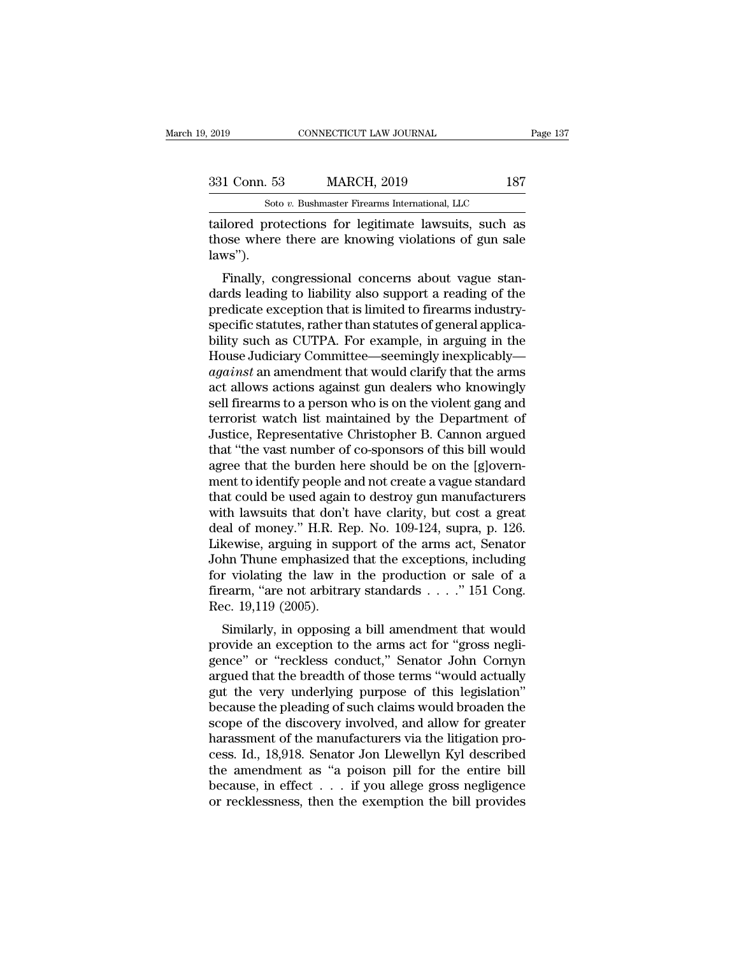|              | Soto v. Bushmaster Firearms International, LLC |          |  |
|--------------|------------------------------------------------|----------|--|
| 331 Conn. 53 | <b>MARCH, 2019</b>                             | 187      |  |
| 2019         | CONNECTICUT LAW JOURNAL                        | Page 137 |  |
|              |                                                |          |  |

tailored protections for legitimate lawsuits, such as 331 Conn. 53 MARCH, 2019 187<br>Soto v. Bushmaster Firearms International, LLC<br>tailored protections for legitimate lawsuits, such as<br>those where there are knowing violations of gun sale<br>laws"). laws''). 1 Conn. 53 MARCH, 2019 187<br>
Soto *v*. Bushmaster Firearms International, LLC<br>
ilored protections for legitimate lawsuits, such as<br>
ose where there are knowing violations of gun sale<br>
ws").<br>
Finally, congressional concerns

 $\frac{1}{100}$  Soto v. Bushmaster Firearms International, LLC<br>tailored protections for legitimate lawsuits, such as<br>those where there are knowing violations of gun sale<br>laws").<br>Finally, congressional concerns about vague sta tailored protections for legitimate lawsuits, such as<br>those where there are knowing violations of gun sale<br>laws").<br>Finally, congressional concerns about vague stan-<br>dards leading to liability also support a reading of the<br> specific statutes for eigeninate awsults, such as<br>those where there are knowing violations of gun sale<br>laws").<br>Finally, congressional concerns about vague stan-<br>dards leading to liability also support a reading of the<br>pred hose where there are knowing violations or guit sate<br>laws").<br>Finally, congressional concerns about vague stan-<br>dards leading to liability also support a reading of the<br>predicate exception that is limited to firearms indust Finally, congressional concerns about vague stan-<br>dards leading to liability also support a reading of the<br>predicate exception that is limited to firearms industry-<br>specific statutes, rather than statutes of general applic Finally, congressional concerns about vague stan-<br>dards leading to liability also support a reading of the<br>predicate exception that is limited to firearms industry-<br>specific statutes, rather than statutes of general applic dards leading to liability also support a reading of the<br>predicate exception that is limited to firearms industry-<br>specific statutes, rather than statutes of general applica-<br>bility such as CUTPA. For example, in arguing i predicate exception that is limited to firearms industry-<br>specific statutes, rather than statutes of general applica-<br>bility such as CUTPA. For example, in arguing in the<br>House Judiciary Committee—seemingly inexplicably—<br>a specific statutes, rather than statutes of general applicability such as CUTPA. For example, in arguing in the House Judiciary Committee—seemingly inexplicably—<br>against an amendment that would clarify that the arms act all bility such as CUTPA. For example, in arguing in the<br>House Judiciary Committee—seemingly inexplicably—<br>against an amendment that would clarify that the arms<br>act allows actions against gun dealers who knowingly<br>sell firearm House Judiciary Committee—seemingly inexplicably—<br>against an amendment that would clarify that the arms<br>act allows actions against gun dealers who knowingly<br>sell firearms to a person who is on the violent gang and<br>terroris against an amendment that would clarify that the arms<br>act allows actions against gun dealers who knowingly<br>sell firearms to a person who is on the violent gang and<br>terrorist watch list maintained by the Department of<br>Justi act allows actions against gun dealers who knowingly<br>sell firearms to a person who is on the violent gang and<br>terrorist watch list maintained by the Department of<br>Justice, Representative Christopher B. Cannon argued<br>that " sell firearms to a person who is on the violent gang and<br>terrorist watch list maintained by the Department of<br>Justice, Representative Christopher B. Cannon argued<br>that "the vast number of co-sponsors of this bill would<br>agr terrorist watch list maintained by the Department of<br>Justice, Representative Christopher B. Cannon argued<br>that "the vast number of co-sponsors of this bill would<br>agree that the burden here should be on the [g]overn-<br>ment t Justice, Representative Christopher B. Cannon argued<br>that "the vast number of co-sponsors of this bill would<br>agree that the burden here should be on the [g]overn-<br>ment to identify people and not create a vague standard<br>tha that "the vast number of co-sponsors of this bill would<br>agree that the burden here should be on the [g]overn-<br>ment to identify people and not create a vague standard<br>that could be used again to destroy gun manufacturers<br>wi agree that the burden here should be on the [g]overnment to identify people and not create a vague standard<br>that could be used again to destroy gun manufacturers<br>with lawsuits that don't have clarity, but cost a great<br>deal ment to identify people and not create a vague standard<br>that could be used again to destroy gun manufacturers<br>with lawsuits that don't have clarity, but cost a great<br>deal of money." H.R. Rep. No. 109-124, supra, p. 126.<br>Li that could be used again to destroy gun manufacturers<br>with lawsuits that don't have clarity, but cost a great<br>deal of money." H.R. Rep. No. 109-124, supra, p. 126.<br>Likewise, arguing in support of the arms act, Senator<br>John with lawsuits that don't<br>deal of money." H.R. R.<br>Likewise, arguing in sup<br>John Thune emphasized<br>for violating the law ir<br>firearm, "are not arbitra<br>Rec. 19,119 (2005).<br>Similarly, in opposing at of noney. T.K. Rep. No. 109-124, supra, p. 120.<br>kewise, arguing in support of the arms act, Senator<br>the Thune emphasized that the exceptions, including<br>r violating the law in the production or sale of a<br>earm, "are not a Likewise, argung in support of the arms act, senator<br>John Thune emphasized that the exceptions, including<br>for violating the law in the production or sale of a<br>firearm, "are not arbitrary standards . . . ." 151 Cong.<br>Rec. 1

Form violating the law in the production or sale of a<br>firearm, "are not arbitrary standards . . . ." 151 Cong.<br>Rec. 19,119 (2005).<br>Similarly, in opposing a bill amendment that would<br>provide an exception to the arms act for firearm, "are not arbitrary standards  $\dots$ ." 151 Cong.<br>Rec. 19,119 (2005).<br>Similarly, in opposing a bill amendment that would<br>provide an exception to the arms act for "gross negli-<br>gence" or "reckless conduct," Senator Jo meann, are not annually standards . . . . . 151 Cong.<br>Rec. 19,119 (2005).<br>Similarly, in opposing a bill amendment that would<br>provide an exception to the arms act for "gross negli-<br>gence" or "reckless conduct," Senator John Similarly, in opposing a bill amendment that would<br>provide an exception to the arms act for "gross negli-<br>gence" or "reckless conduct," Senator John Cornyn<br>argued that the breadth of those terms "would actually<br>gut the ver Similarly, in opposing a bill amendment that would<br>provide an exception to the arms act for "gross negli-<br>gence" or "reckless conduct," Senator John Cornyn<br>argued that the breadth of those terms "would actually<br>gut the ver provide an exception to the arms act for "gross negli-<br>gence" or "reckless conduct," Senator John Cornyn<br>argued that the breadth of those terms "would actually<br>gut the very underlying purpose of this legislation"<br>because t gence" or "reckless conduct," Senator John Cornyn<br>argued that the breadth of those terms "would actually<br>gut the very underlying purpose of this legislation"<br>because the pleading of such claims would broaden the<br>scope of t argued that the breadth of those terms "would actually<br>gut the very underlying purpose of this legislation"<br>because the pleading of such claims would broaden the<br>scope of the discovery involved, and allow for greater<br>haras gut the very underlying purpose of this legislation"<br>because the pleading of such claims would broaden the<br>scope of the discovery involved, and allow for greater<br>harassment of the manufacturers via the litigation pro-<br>cess because the pleading of such claims would broaden the scope of the discovery involved, and allow for greater harassment of the manufacturers via the litigation process. Id., 18,918. Senator Jon Llewellyn Kyl described the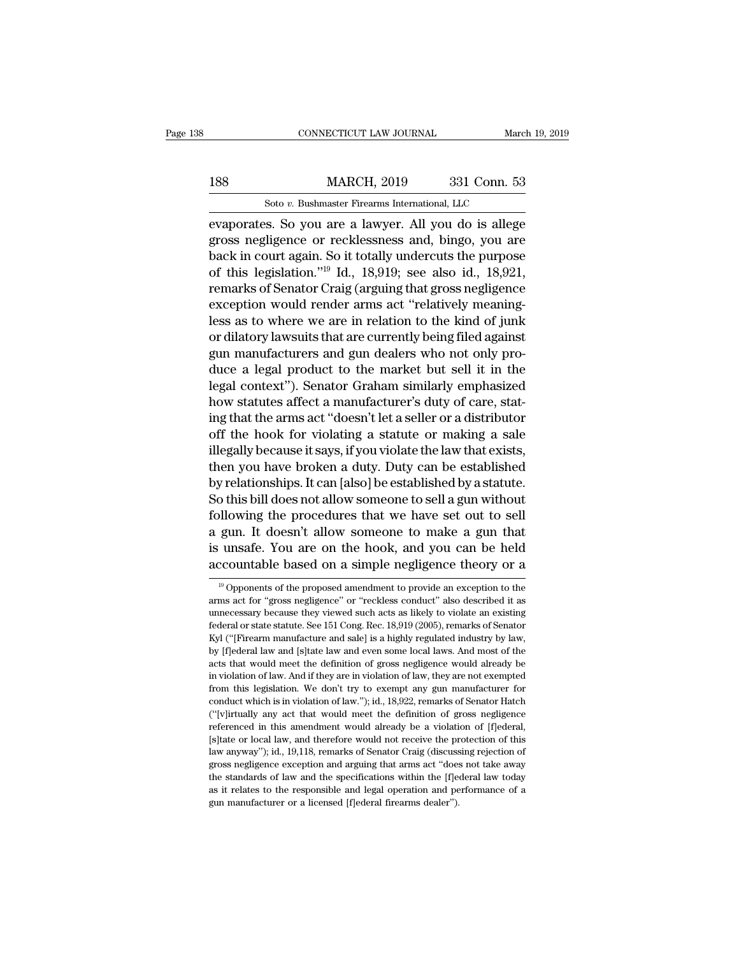## EXECUTE CONNECTICUT LAW JOURNAL March 19, 2019<br>188 MARCH, 2019 331 Conn. 53<br>500 v. Bushmaster Firearms International, LLC CONNECTICUT LAW JOURNAL March March March MARCH, 2019 331 Conn. 53<br>Soto *v.* Bushmaster Firearms International, LLC<br>Soto *v.* Bushmaster Firearms International, LLC<br>Soto you are a lawyer All you do is allege

EVALUATE CONNECTICUT LAW JOURNAL March 19, 2019<br>
188 MARCH, 2019 331 Conn. 53<br>
Soto v. Bushmaster Firearms International, LLC<br>
evaporates. So you are a lawyer. All you do is allege<br>
gross negligence or recklessness and, bi MARCH, 2019 331 Conn. 53<br>
Soto v. Bushmaster Firearms International, LLC<br>
evaporates. So you are a lawyer. All you do is allege<br>
gross negligence or recklessness and, bingo, you are<br>
back in court again. So it totally unde 188 MARCH, 2019 331 Conn. 53<br>
Soto v. Bushmaster Firearms International, LLC<br>
evaporates. So you are a lawyer. All you do is allege<br>
gross negligence or recklessness and, bingo, you are<br>
back in court again. So it totally 188 MARCH, 2019 331 Conn. 53<br>
Soto *v*. Bushmaster Firearms International, LLC<br>
evaporates. So you are a lawyer. All you do is allege<br>
gross negligence or recklessness and, bingo, you are<br>
back in court again. So it total Soto *v*. Bushmaster Firearms International, LLC<br>evaporates. So you are a lawyer. All you do is allege<br>gross negligence or recklessness and, bingo, you are<br>back in court again. So it totally undercuts the purpose<br>of this soo v. Bashmaster Frieanis International, EEC<br>evaporates. So you are a lawyer. All you do is allege<br>gross negligence or recklessness and, bingo, you are<br>back in court again. So it totally undercuts the purpose<br>of this legi evaporates. So you are a lawyer. All you do is allege<br>gross negligence or recklessness and, bingo, you are<br>back in court again. So it totally undercuts the purpose<br>of this legislation."<sup>19</sup> Id., 18,919; see also id., 18,92 gross negligence or recklessness and, bingo, you are<br>back in court again. So it totally undercuts the purpose<br>of this legislation."<sup>19</sup> Id., 18,919; see also id., 18,921,<br>remarks of Senator Craig (arguing that gross neglig back in court again. So it totally undercuts the purpose<br>of this legislation."<sup>19</sup> Id., 18,919; see also id., 18,921,<br>remarks of Senator Craig (arguing that gross negligence<br>exception would render arms act "relatively mean of this legislation."<sup>19</sup> Id., 18,919; see also id., 18,921,<br>remarks of Senator Craig (arguing that gross negligence<br>exception would render arms act "relatively meaning-<br>less as to where we are in relation to the kind of j remarks of Senator Craig (arguing that gross negligence<br>exception would render arms act "relatively meaning-<br>less as to where we are in relation to the kind of junk<br>or dilatory lawsuits that are currently being filed again exception would render arms act "relatively meaning-<br>less as to where we are in relation to the kind of junk<br>or dilatory lawsuits that are currently being filed against<br>gun manufacturers and gun dealers who not only pro-<br>d less as to where we are in relation to the kind of junk<br>or dilatory lawsuits that are currently being filed against<br>gun manufacturers and gun dealers who not only pro-<br>duce a legal product to the market but sell it in the<br> or dilatory lawsuits that are currently being filed against<br>gun manufacturers and gun dealers who not only pro-<br>duce a legal product to the market but sell it in the<br>legal context"). Senator Graham similarly emphasized<br>how gun manufacturers and gun dealers who not only pro-<br>duce a legal product to the market but sell it in the<br>legal context"). Senator Graham similarly emphasized<br>how statutes affect a manufacturer's duty of care, stat-<br>ing th duce a legal product to the market but sell it in the<br>legal context"). Senator Graham similarly emphasized<br>how statutes affect a manufacturer's duty of care, stat-<br>ing that the arms act "doesn't let a seller or a distribut legal context"). Senator Graham similarly emphasized<br>how statutes affect a manufacturer's duty of care, stat-<br>ing that the arms act "doesn't let a seller or a distributor<br>off the hook for violating a statute or making a sa how statutes affect a manufacturer's duty of care, stating that the arms act "doesn't let a seller or a distributor<br>off the hook for violating a statute or making a sale<br>illegally because it says, if you violate the law th ing that the arms act "doesn't let a seller or a distributor<br>off the hook for violating a statute or making a sale<br>illegally because it says, if you violate the law that exists,<br>then you have broken a duty. Duty can be est off the hook for violating a statute or making a sale<br>illegally because it says, if you violate the law that exists,<br>then you have broken a duty. Duty can be established<br>by relationships. It can [also] be established by a illegally because it says, if you violate the law that exists,<br>then you have broken a duty. Duty can be established<br>by relationships. It can [also] be established by a statute.<br>So this bill does not allow someone to sell a then you have broken a duty. Duty can be established<br>by relationships. It can [also] be established by a statute.<br>So this bill does not allow someone to sell a gun without<br>following the procedures that we have set out to following the procedures that we have set out to sell<br>a gun. It doesn't allow someone to make a gun that<br>is unsafe. You are on the hook, and you can be held<br>accountable based on a simple negligence theory or a<br> $\frac{19}{10}$ a gun. It doesn't allow someone to make a gun that<br>is unsafe. You are on the hook, and you can be held<br>accountable based on a simple negligence theory or a<br><sup>19</sup> Opponents of the proposed amendment to provide an exception t

is unsafe. You are on the hook, and you can be held<br>accountable based on a simple negligence theory or a<br> $\frac{10}{10}$ Opponents of the proposed amendment to provide an exception to the<br>arms act for "gross negligence" or "re accountable based on a simple negligence theory or a<br><sup>19</sup> Opponents of the proposed amendment to provide an exception to the<br>arms act for "gross negligence" or "reckless conduct" also described it as<br>unnecessary because th  $\frac{19}{19}$  Opponents of the proposed amendment to provide an exception to the arms act for "gross negligence" or "reckless conduct" also described it as unnecessary because they viewed such acts as likely to violate an e <sup>19</sup> Opponents of the proposed amendment to provide an exception to the arms act for "gross negligence" or "reckless conduct" also described it as unnecessary because they viewed such acts as likely to violate an existing arms act for "gross negligence" or "reckless conduct" also described it as unnecessary because they viewed such acts as likely to violate an existing federal or state statute. See 151 Cong. Rec. 18,919 (2005), remarks of S unnecessary because they viewed such acts as likely to violate an existing federal or state statute. See 151 Cong. Rec. 18,919 (2005), remarks of Senator Kyl ("[Firearm manufacture and sale] is a highly regulated industry federal or state statute. See 151 Cong. Rec. 18,919 (2005), remarks of Senator Kyl ("[Firearm manufacture and sale] is a highly regulated industry by law, by [f]ederal law and [s]tate law and even some local laws. And most Kyl ("[Firearm manufacture and sale] is a highly regulated industry by law, by [f]ederal law and [s]tate law and even some local laws. And most of the acts that would meet the definition of gross negligence would already b Expect that would meet the definition of gross negligence would already by [f]ederal law and [s]tate law and even some local laws. And most of the acts that would meet the definition of gross negligence would already be i For exact that would meet the definition of gross negligence would already be in violation of law. And if they are in violation of law, they are not exempted from this legislation. We don't try to exempt any gun manufactu in violation of law. And if they are in violation of law, they are not exempted<br>from this legislation. We don't try to exempt any gun manufacturer for<br>conduct which is in violation of law."); id., 18,922, remarks of Senat from this legislation. We don't try to exempt any gun manufacturer for conduct which is in violation of law."); id., 18,922, remarks of Senator Hatch ("[v]irtually any act that would meet the definition of gross negligence conduct which is in violation of law."); id., 18,922, remarks of Senator Hatch ("[v]irtually any act that would meet the definition of gross negligence referenced in this amendment would already be a violation of [f]edera "("[v]irtually any act that would meet the definition of gross negligence referenced in this amendment would already be a violation of [f]ederal, [s]tate or local law, and therefore would not receive the protection of thi referenced in this amendment would already be a violation of [f]ederal, [s]tate or local law, and therefore would not receive the protection of this law anyway"); id., 19,118, remarks of Senator Craig (discussing rejectio [s]tate or local law, and therefore would not receive the pr<br>law anyway"); id., 19,118, remarks of Senator Craig (discuss<br>gross negligence exception and arguing that arms act "does<br>the standards of law and the specificatio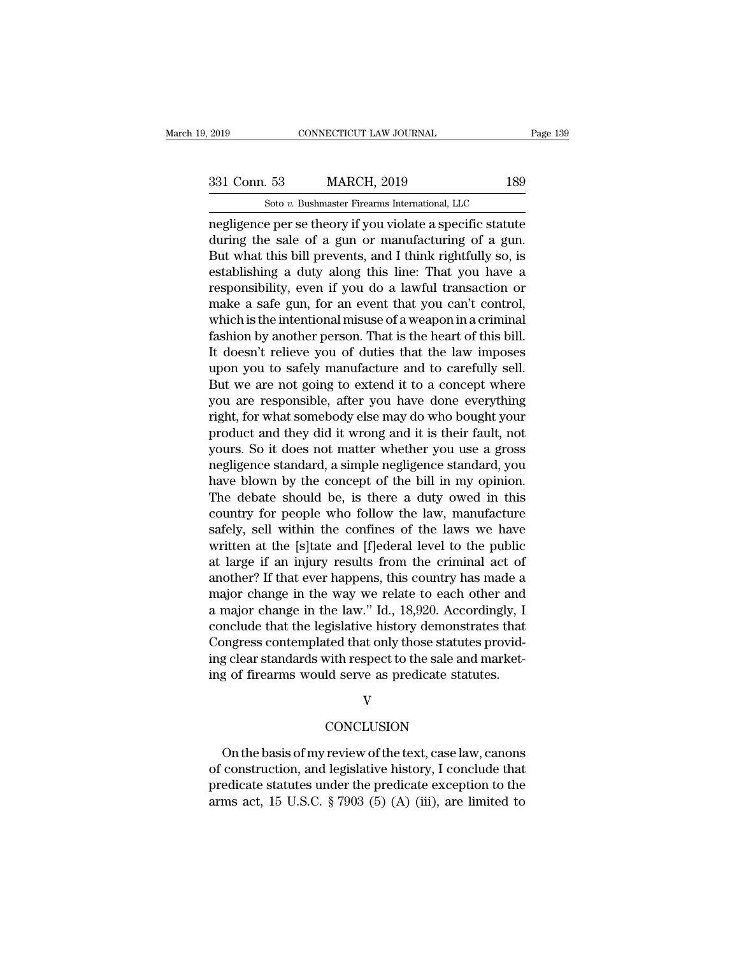## 2019 CONNECTICUT LAW JOURNAL Page 139<br>331 Conn. 53 MARCH, 2019 189<br>500 v. Bushmaster Firearms International, LLC CONNECTICUT LAW JOURNAL<br>
Soto *v.* Bushmaster Firearms International, LLC<br>
Soto *v.* Bushmaster Firearms International, LLC<br>
e per se theory if you violate a specific statute

2019 CONNECTICUT LAW JOURNAL Page 139<br>
331 Conn. 53 MARCH, 2019 189<br>
500 v. Bushmaster Firearms International, LLC<br>
negligence per se theory if you violate a specific statute<br>
during the sale of a gun or manufacturing of a  $\begin{array}{ll}\n 331 \text{ Conn. } 53 \quad \text{MARCH, } 2019 \quad \text{189} \\
 \text{Soto } v. \text{ Bushmaster Firearms International, LLC} \\
 \text{negligence per se theory if you violate a specific statue} \\
 \text{during the sale of a gun or manufacturing of a gun.} \\
 \text{But what this bill prevents, and I think rightfully so, is  
establishing a duty along this line: That you have a$  $331$  Conn. 53 MARCH, 2019 189<br>
Soto v. Bushmaster Firearms International, LLC<br>
negligence per se theory if you violate a specific statute<br>
during the sale of a gun or manufacturing of a gun.<br>
But what this bill prevents, 331 Conn. 53 MARCH, 2019 189<br>
Soto v. Bushmaster Firearms International, LLC<br>
negligence per se theory if you violate a specific statute<br>
during the sale of a gun or manufacturing of a gun.<br>
But what this bill prevents, a Soto v. Bushmaster Firearms International, LLC<br>
negligence per se theory if you violate a specific statute<br>
during the sale of a gun or manufacturing of a gun.<br>
But what this bill prevents, and I think rightfully so, is<br> solo *i*. Bushmaster Frieams memational, ELC<br>negligence per se theory if you violate a specific statute<br>during the sale of a gun or manufacturing of a gun.<br>But what this bill prevents, and I think rightfully so, is<br>establ negligence per se theory if you violate a specific statute<br>during the sale of a gun or manufacturing of a gun.<br>But what this bill prevents, and I think rightfully so, is<br>establishing a duty along this line: That you have a during the sale of a gun or manufacturing of a gun.<br>But what this bill prevents, and I think rightfully so, is<br>establishing a duty along this line: That you have a<br>responsibility, even if you do a lawful transaction or<br>mak But what this bill prevents, and I think rightfully so, is<br>establishing a duty along this line: That you have a<br>responsibility, even if you do a lawful transaction or<br>make a safe gun, for an event that you can't control,<br>w establishing a duty along this line: That you have a<br>responsibility, even if you do a lawful transaction or<br>make a safe gun, for an event that you can't control,<br>which is the intentional misuse of a weapon in a criminal<br>fa responsibility, even if you do a lawful transaction or<br>make a safe gun, for an event that you can't control,<br>which is the intentional misuse of a weapon in a criminal<br>fashion by another person. That is the heart of this bi make a safe gun, for an event that you can't control,<br>which is the intentional misuse of a weapon in a criminal<br>fashion by another person. That is the heart of this bill.<br>It doesn't relieve you of duties that the law impos which is the intentional misuse of a weapon in a criminal<br>fashion by another person. That is the heart of this bill.<br>It doesn't relieve you of duties that the law imposes<br>upon you to safely manufacture and to carefully sel fashion by another person. That is the heart of this bill.<br>It doesn't relieve you of duties that the law imposes<br>upon you to safely manufacture and to carefully sell.<br>But we are not going to extend it to a concept where<br>yo It doesn't relieve you of duties that the law imposes<br>upon you to safely manufacture and to carefully sell.<br>But we are not going to extend it to a concept where<br>you are responsible, after you have done everything<br>right, fo upon you to safely manufacture and to carefully sell.<br>But we are not going to extend it to a concept where<br>you are responsible, after you have done everything<br>right, for what somebody else may do who bought your<br>product an But we are not going to extend it to a concept where<br>you are responsible, after you have done everything<br>right, for what somebody else may do who bought your<br>product and they did it wrong and it is their fault, not<br>yours. you are responsible, after you have done everything<br>right, for what somebody else may do who bought your<br>product and they did it wrong and it is their fault, not<br>yours. So it does not matter whether you use a gross<br>neglige right, for what somebody else may do who bought your<br>product and they did it wrong and it is their fault, not<br>yours. So it does not matter whether you use a gross<br>negligence standard, a simple negligence standard, you<br>have product and they did it wrong and it is their fault, not<br>yours. So it does not matter whether you use a gross<br>negligence standard, a simple negligence standard, you<br>have blown by the concept of the bill in my opinion.<br>The yours. So it does not matter whether you use a gross<br>negligence standard, a simple negligence standard, you<br>have blown by the concept of the bill in my opinion.<br>The debate should be, is there a duty owed in this<br>country fo negligence standard, a simple negligence standard, you<br>have blown by the concept of the bill in my opinion.<br>The debate should be, is there a duty owed in this<br>country for people who follow the law, manufacture<br>safely, sell have blown by the concept of the bill in my opinion.<br>The debate should be, is there a duty owed in this<br>country for people who follow the law, manufacture<br>safely, sell within the confines of the laws we have<br>written at the The debate should be, is there a duty owed in this<br>country for people who follow the law, manufacture<br>safely, sell within the confines of the laws we have<br>written at the [s]tate and [f]ederal level to the public<br>at large i country for people who follow the law, manufacture<br>safely, sell within the confines of the laws we have<br>written at the [s]tate and [f]ederal level to the public<br>at large if an injury results from the criminal act of<br>anothe safely, sell within the confines of the laws we have<br>written at the [s]tate and [f]ederal level to the public<br>at large if an injury results from the criminal act of<br>another? If that ever happens, this country has made a<br>ma written at the [s]tate and [f]ederal level to the public<br>at large if an injury results from the criminal act of<br>another? If that ever happens, this country has made a<br>major change in the way we relate to each other and<br>a m at large if an injury results from the criminal act of another? If that ever happens, this country has made a<br>major change in the way we relate to each other and<br>a major change in the law." Id., 18,920. Accordingly, I<br>conc another? If that ever happens, this country has made a<br>major change in the way we relate to each other and<br>a major change in the law." Id., 18,920. Accordingly, I<br>conclude that the legislative history demonstrates that<br>Con

### V

### **CONCLUSION**

g clear standards with respect to the sale and market-<br>g of firearms would serve as predicate statutes.<br>V<br>CONCLUSION<br>On the basis of my review of the text, case law, canons<br>construction, and legislative history, I conclude ing of firearms would serve as predicate statutes.<br>
V<br>
CONCLUSION<br>
On the basis of my review of the text, case law, canons<br>
of construction, and legislative history, I conclude that<br>
predicate statutes under the predicate V<br>CONCLUSION<br>On the basis of my review of the text, case law, canons<br>of construction, and legislative history, I conclude that<br>predicate statutes under the predicate exception to the<br>arms act, 15 U.S.C. § 7903 (5) (A) (iii CONCLUSION<br>
On the basis of my review of the text, case law, canons<br>
of construction, and legislative history, I conclude that<br>
predicate statutes under the predicate exception to the<br>
arms act, 15 U.S.C. § 7903 (5) (A) (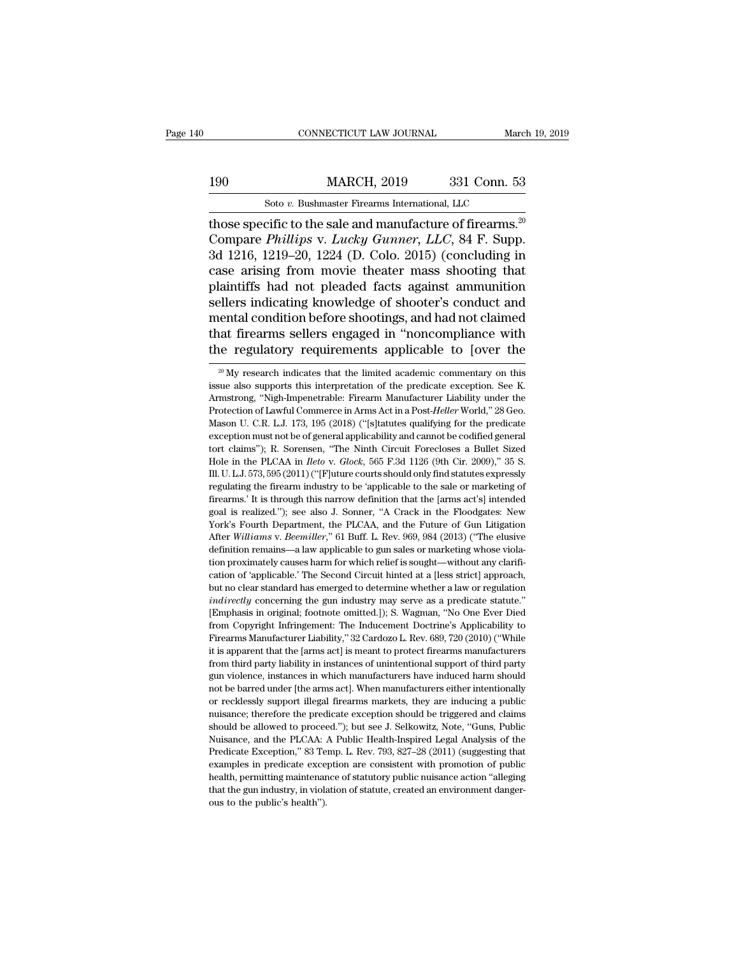## EXECUTE CONNECTICUT LAW JOURNAL March 19, 2019<br>190 MARCH, 2019 331 Conn. 53<br>800 v. Bushmaster Firearms International, LLC CONNECTICUT LAW JOURNAL March March March MARCH, 2019 331 Conn. 53<br>Soto *v.* Bushmaster Firearms International, LLC<br>Cific to the sale and manufacture of firearms  $^{20}$

CONNECTICUT LAW JOURNAL March 19, 201<br>
190 MARCH, 2019 331 Conn. 53<br>
500 v. Bushmaster Firearms International, LLC<br>
those specific to the sale and manufacture of firearms.<sup>20</sup><br>
Compare *Phillips v. Lucky Gunner*, *LLC*, 84 MARCH, 2019 331 Conn. 53<br>
Soto *v*. Bushmaster Firearms International, LLC<br>
those specific to the sale and manufacture of firearms.<sup>20</sup><br>
Compare *Phillips* v. *Lucky Gunner*, *LLC*, 84 F. Supp.<br>
3d 1216, 1219–20, 1224 (D. MARCH, 2019 331 Conn. 53<br>
Soto v. Bushmaster Firearms International, LLC<br>
those specific to the sale and manufacture of firearms.<sup>20</sup><br>
Compare *Phillips v. Lucky Gunner*, *LLC*, 84 F. Supp.<br>
3d 1216, 1219–20, 1224 (D. Colo 190 MARCH, 2019 331 Conn. 53<br>
Soto v. Bushmaster Firearms International, LLC<br>
those specific to the sale and manufacture of firearms.<sup>20</sup><br>
Compare *Phillips v. Lucky Gunner*, *LLC*, 84 F. Supp.<br>
3d 1216, 1219–20, 1224 (D. Soto v. Bushmaster Firearms International, LLC<br>those specific to the sale and manufacture of firearms.<sup>20</sup><br>Compare *Phillips v. Lucky Gunner*, *LLC*, 84 F. Supp.<br>3d 1216, 1219–20, 1224 (D. Colo. 2015) (concluding in<br>case soto v. Bushmaster Firearms International, LLC<br>those specific to the sale and manufacture of firearms.<sup>20</sup><br>Compare *Phillips v. Lucky Gunner*, *LLC*, 84 F. Supp.<br>3d 1216, 1219–20, 1224 (D. Colo. 2015) (concluding in<br>case those specific to the sale and manufacture of firearms.<sup>20</sup><br>Compare *Phillips v. Lucky Gunner*, *LLC*, 84 F. Supp.<br>3d 1216, 1219–20, 1224 (D. Colo. 2015) (concluding in<br>case arising from movie theater mass shooting that<br>pl Compare Phillips v. Lucky Gunner, LLC, 84 F. Supp.<br>3d 1216, 1219–20, 1224 (D. Colo. 2015) (concluding in<br>case arising from movie theater mass shooting that<br>plaintiffs had not pleaded facts against ammunition<br>sellers indica 3d 1216, 1219–20, 1224 (D. Colo. 2015) (concluding in case arising from movie theater mass shooting that plaintiffs had not pleaded facts against ammunition sellers indicating knowledge of shooter's conduct and mental con sellers indicating knowledge of shooter's conduct and<br>mental condition before shootings, and had not claimed<br>that firearms sellers engaged in "noncompliance with<br>the regulatory requirements applicable to [over the<br> $\frac{1}{2$ 

that firearms sellers engaged in "noncompliance with<br>the regulatory requirements applicable to [over the<br> $\frac{20 \text{ My research indicates that the limited academic commentary on this<br>issue also supports this interpretation of the predicate exception. See K.<br>Armstrong, "Nigh-Impenetrable: Firearm Manufacturing$ **Laplication** $of the predicate exception. See K.  
Protection of La$ that firearms sellers engaged in "noncompliance with<br>the regulatory requirements applicable to [over the<br><sup>20</sup>My research indicates that the limited academic commentary on this<br>issue also supports this interpretation of the the regulatory requirements applicable to [over the<br>
<sup>20</sup> My research indicates that the limited academic commentary on this<br>
issue also supports this interpretation of the predicate exception. See K.<br>
Armstrong, "Nigh-Imp <sup>20</sup> My research indicates that the limited academic commentary on this issue also supports this interpretation of the predicate exception. See K. Armstrong, "Nigh-Impenetrable: Firearm Manufacturer Liability under the Pr <sup>20</sup> My research indicates that the limited academic commentary on this issue also supports this interpretation of the predicate exception. See K. Armstrong, "Nigh-Impenetrable: Firearm Manufacturer Liability under the Pr tort claims''); R. Sorensen, "The Ninth Circuit Forecloses a Bullet Sized Robert Chapter and Protection of Lawful Commerce in Arms Act in a Post-*Heller* World," 28 Geo. Mason U. C.R. L.J. 173, 195 (2018) ("[s]tatutes qua Extraction of Lawful Commerce in Arms Act in a Post-Heller World," 28 Geo.<br>Armstrong, "Nigh-Impenetrable: Firearm Manufacturer Liability under the<br>Protection of Lawful Commerce in Arms Act in a Post-Heller World," 28 Geo.<br> Protection of Lawful Commerce in Arms Act in a Post-*Heller* World," 28 Geo.<br>Mason U. C.R. L.J. 173, 195 (2018) ("[s]tatutes qualifying for the predicate<br>exception must not be of general applicability and cannot be codifie Mason U. C.R. L.J. 173, 195 (2018) ("[s]tatutes qualifying for the predicate exception must not be of general applicability and cannot be codified general tort claims"); R. Sorensen, "The Ninth Circuit Forecloses a Bullet exception must not be of general applicability and cannot be codified general<br>tort claims"); R. Sorensen, "The Ninth Circuit Forecloses a Bullet Sized<br>Hole in the PLCAA in *Ileto* v. *Glock*, 565 F.3d 1126 (9th Cir. 2009), for claims"); R. Sorensen, "The Ninth Circuit Forecloses a Bullet Sized Hole in the PLCAA in *Ileto* v. *Glock*, 565 F.3d 1126 (9th Cir. 2009)," 35 S. Ill. U.L.J. 573, 595 (2011) ("[F]uture courts should only find statutes York's Fourth Department, the PLCAA, and the Future of Gun Litigation<br>Hole in the PLCAA in *Reto* v. Glock, 565 F.3d 1126 (9th Cir. 2009)," 35 S.<br>Ill. U. L.J. 573, 595 (2011) ("[F]uture courts should only find statutes exp III. U.L.J. 573, 595 (2011) ("[F]uture courts should only find statutes expressly regulating the firearm industry to be 'applicable to the sale or marketing of firearms.' It is through this narrow definition that the [arms regulating the firearm industry to be 'applicable to the sale or marketing of firearms.' It is through this narrow definition that the [arms act's] intended goal is realized."); see also J. Sonner, "A Crack in the Floodgat Figure 1. It is through this narrow definition that the [arms act's] intended goal is realized."); see also J. Sonner, "A Crack in the Floodgates: New York's Fourth Department, the PLCAA, and the Future of Gun Litigation A goal is realized."); see also J. Sonner, "A Crack in the Floodgates: New York's Fourth Department, the PLCAA, and the Future of Gun Litigation After Williams v. Beemiller," 61 Buff. L. Rev. 969, 984 (2013) ("The elusive de But The Normalistic Haster and the PLCAA, and the Future of Gun Litigation After Williams v. Beemiller," 61 Buff. L. Rev. 969, 984 (2013) ("The elusive definition remains—a law applicable to gun sales or marketing whose v After *Williams v. Beemiller,*" 61 Buff. L. Rev. 969, 984 (2013) ("The elusive definition remains—a law applicable to gun sales or marketing whose violation proximately causes harm for which relief is sought—without any cl definition remains—a law applicable to gun sales or marketing whose violatefinition remains—a law applicable to gun sales or marketing whose violation proximately causes harm for which relief is sought—without any clarific tion proximately causes harm for which relief is sought—without any clarification of 'applicable.' The Second Circuit hinted at a [less strict] approach, but no clear standard has emerged to determine whether a law or regu extion of 'applicable.' The Second Circuit hinted at a [less strict] approach, but no clear standard has emerged to determine whether a law or regulation *indirectly* concerning the gun industry may serve as a predicate st cation of 'applicable.' The Second Circuit hinted at a [less strict] approach, but no clear standard has emerged to determine whether a law or regulation *indirectly* concerning the gun industry may serve as a predicate s *indirectly* concerning the gun industry may serve as a predicate statute."<br>[Emphasis in original; footnote omitted.]); S. Wagman, "No One Ever Died<br>from Copyright Infringement: The Inducement Doctrine's Applicability to<br>F [Emphasis in original; footnote omitted.]); S. Wagman, "No One Ever Died from Copyright Infringement: The Inducement Doctrine's Applicability to Firearms Manufacturer Liability," 32 Cardozo L. Rev. 689, 720 (2010) ("While from Copyright Infringement: The Inducement Doctrine's Applicability to Firearms Manufacturer Liability," 32 Cardozo L. Rev. 689, 720 (2010) ("While it is apparent that the [arms act] is meant to protect firearms manufactu Firearms Manufacturer Liability," 32 Cardozo L. Rev. 689, 720 (2010) ("While it is apparent that the [arms act] is meant to protect firearms manufacturers from third party liability in instances of unintentional support of numism is apparent that the [arms act] is meant to protect firearms manufacturers from third party liability in instances of unintentional support of third party gun violence, instances in which manufacturers have induced shown third party liability in instances of unintentional support of third party gun violence, instances in which manufacturers have induced harm should not be barred under [the arms act]. When manufacturers either intenti num violence, instances in which manufacturers have induced harm should<br>not be barred under [the arms act]. When manufacturers either intentionally<br>or recklessly support illegal firearms markets, they are inducing a public gaar velocity and the barred under [the arms act]. When manufacturers either intentionally or recklessly support illegal firearms markets, they are inducing a public nuisance; therefore the predicate exception should be tr for recklessly support illegal firearms markets, they are inducing a public nuisance; therefore the predicate exception should be triggered and claims should be allowed to proceed."); but see J. Selkowitz, Note, "Guns, Pub or usance; therefore the predicate exception should be triggered and claims should be allowed to proceed."); but see J. Selkowitz, Note, "Guns, Public Nuisance, and the PLCAA: A Public Health-Inspired Legal Analysis of the should be allowed to proceed."); but see J. Selkowitz, Note, "Guns, Public Nuisance, and the PLCAA: A Public Health-Inspired Legal Analysis of the Predicate Exception," 83 Temp. L. Rev. 793, 827–28 (2011) (suggesting that Nuisance, and the PLCAA:<br>Predicate Exception," 83 Te<br>examples in predicate exce<br>health, permitting maintenar<br>that the gun industry, in viola<br>ous to the public's health").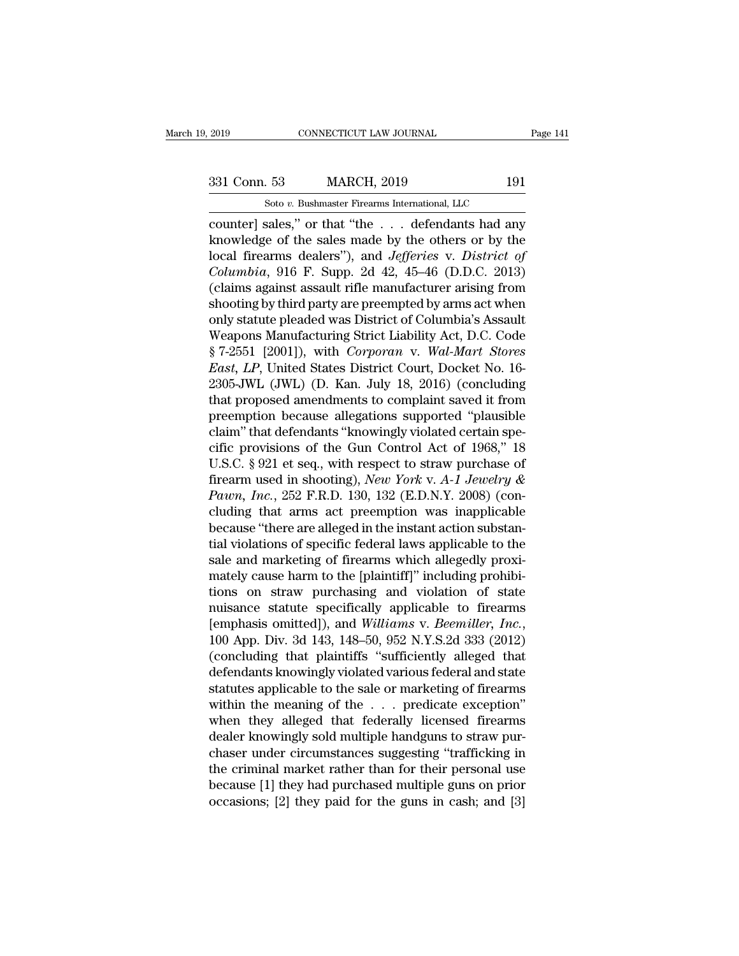CONNECTICUT LAW JOURNAL<br>
Soto *v.* Bushmaster Firearms International, LLC<br>
Soto *v.* Bushmaster Firearms International, LLC<br>
sales " or that "the defendants had any connectricut LAW JOURNAL Page 141<br>
331 Conn. 53 MARCH, 2019 191<br>
500 v. Bushmaster Firearms International, LLC<br>
counter] sales," or that "the . . . defendants had any<br>
knowledge of the sales made by the others or by the<br>
l 331 Conn. 53 MARCH, 2019 191<br>
Soto v. Bushmaster Firearms International, LLC<br>
counter] sales," or that "the . . . defendants had any<br>
knowledge of the sales made by the others or by the<br>
local firearms dealers"), and *Jef* 1911<br>
Soto v. Bushmaster Firearms International, LLC<br>
counter] sales," or that "the . . . defendants had any<br>
knowledge of the sales made by the others or by the<br>
local firearms dealers"), and *Jefferies* v. *District of*<br> <sup>231</sup> Conn. 53 **MARCH**, 2019 191<br>
<sup>261</sup> Soto *v*. Bushmaster Firearms International, LLC<br> **Counter**] sales," or that "the . . . defendants had any<br>
knowledge of the sales made by the others or by the<br>
local firearms dealer Soto v. Bushmaster Firearms International, LLC<br>
counter] sales," or that "the . . . defendants had any<br>
knowledge of the sales made by the others or by the<br>
local firearms dealers"), and *Jefferies* v. *District of*<br> *Col* soo *b*. Businester Friearns interlational, ELC<br>
counter] sales," or that "the . . . defendants had any<br>
knowledge of the sales made by the others or by the<br>
local firearms dealers"), and *Jefferies* v. *District of*<br> *Co* counter] sales," or that "the . . . defendants had any<br>knowledge of the sales made by the others or by the<br>local firearms dealers"), and *Jefferies* v. *District of*<br>*Columbia*, 916 F. Supp. 2d 42, 45–46 (D.D.C. 2013)<br>(cl knowledge of the sales made by the others or by the<br>local firearms dealers"), and *Jefferies* v. *District of*<br>*Columbia*, 916 F. Supp. 2d 42, 45–46 (D.D.C. 2013)<br>(claims against assault rifle manufacturer arising from<br>sh local firearms dealers"), and *Jefferies* v. *District of*<br>Columbia, 916 F. Supp. 2d 42, 45–46 (D.D.C. 2013)<br>(claims against assault rifle manufacturer arising from<br>shooting by third party are preempted by arms act when<br>on *Columbia*, 916 F. Supp. 2d 42, 45–46 (D.D.C. 2013)<br>
(claims against assault rifle manufacturer arising from<br>
shooting by third party are preempted by arms act when<br>
only statute pleaded was District of Columbia's Assault<br> (claims against assault rifle manufacturer arising from<br>shooting by third party are preempted by arms act when<br>only statute pleaded was District of Columbia's Assault<br>Weapons Manufacturing Strict Liability Act, D.C. Code<br>§ shooting by third party are preempted by arms act when<br>only statute pleaded was District of Columbia's Assault<br>Weapons Manufacturing Strict Liability Act, D.C. Code<br>§ 7-2551 [2001]), with *Corporan* v. *Wal-Mart Stores<br>Eas* only statute pleaded was District of Columbia's Assault<br>Weapons Manufacturing Strict Liability Act, D.C. Code<br>§ 7-2551 [2001]), with *Corporan* v. *Wal-Mart Stores*<br>*East, LP*, United States District Court, Docket No. 16-<br> Weapons Manufacturing Strict Liability Act, D.C. Code § 7-2551 [2001]), with *Corporan v. Wal-Mart Stores East, LP*, United States District Court, Docket No. 16-2305-JWL (JWL) (D. Kan. July 18, 2016) (concluding that pro § 7-2551 [2001]), with *Corporan* v. *Wal-Mart Stores*<br>*East, LP*, United States District Court, Docket No. 16-<br>2305-JWL (JWL) (D. Kan. July 18, 2016) (concluding<br>that proposed amendments to complaint saved it from<br>preemp East, LP, United States District Court, Docket No. 16-<br>2305-JWL (JWL) (D. Kan. July 18, 2016) (concluding<br>that proposed amendments to complaint saved it from<br>preemption because allegations supported "plausible<br>claim" that 2305-JWL (JWL) (D. Kan. July 18, 2016) (concluding<br>that proposed amendments to complaint saved it from<br>preemption because allegations supported "plausible<br>claim" that defendants "knowingly violated certain spe-<br>cific provi that proposed amendments to complaint saved it from<br>preemption because allegations supported "plausible<br>claim" that defendants "knowingly violated certain spe-<br>cific provisions of the Gun Control Act of 1968," 18<br>U.S.C. § preemption because allegations supported "plausible<br>claim" that defendants "knowingly violated certain spe-<br>cific provisions of the Gun Control Act of 1968," 18<br>U.S.C. § 921 et seq., with respect to straw purchase of<br>fire claim" that defendants "knowingly violated certain specific provisions of the Gun Control Act of 1968," 18<br>U.S.C. § 921 et seq., with respect to straw purchase of<br>firearm used in shooting), *New York v. A-1 Jewelry &*<br>*Pa* cific provisions of the Gun Control Act of 1968," 18<br>U.S.C. § 921 et seq., with respect to straw purchase of<br>firearm used in shooting), *New York v. A-1 Jewelry &*<br>*Pawn, Inc.*, 252 F.R.D. 130, 132 (E.D.N.Y. 2008) (con-<br>c U.S.C. § 921 et seq., with respect to straw purchase of<br>firearm used in shooting), *New York v. A-1 Jewelry &*<br>*Pawn, Inc.*, 252 F.R.D. 130, 132 (E.D.N.Y. 2008) (con-<br>cluding that arms act preemption was inapplicable<br>beca firearm used in shooting), *New York v. A-1 Jewelry & Pawn, Inc.*, 252 F.R.D. 130, 132 (E.D.N.Y. 2008) (concluding that arms act preemption was inapplicable because "there are alleged in the instant action substantial v Pawn, Inc., 252 F.R.D. 130, 132 (E.D.N.Y. 2008) (concluding that arms act preemption was inapplicable because "there are alleged in the instant action substantial violations of specific federal laws applicable to the sale cluding that arms act preemption was inapplicable<br>because "there are alleged in the instant action substan-<br>tial violations of specific federal laws applicable to the<br>sale and marketing of firearms which allegedly proxi-<br> because "there are alleged in the instant action substantial violations of specific federal laws applicable to the sale and marketing of firearms which allegedly proximately cause harm to the [plaintiff]" including prohibi sale and marketing of firearms which allegedly proximately cause harm to the [plaintiff]" including prohibitions on straw purchasing and violation of state nuisance statute specifically applicable to firearms [emphasis omi mately cause harm to the [plaintiff]" including prohibitions on straw purchasing and violation of state<br>nuisance statute specifically applicable to firearms<br>[emphasis omitted]), and *Williams v. Beemiller, Inc.*,<br>100 App. tions on straw purchasing and violation of state<br>nuisance statute specifically applicable to firearms<br>[emphasis omitted]), and *Williams* v. *Beemiller*, *Inc.*,<br>100 App. Div. 3d 143, 148–50, 952 N.Y.S.2d 333 (2012)<br>(conc nuisance statute specifically applicable to firearms<br>[emphasis omitted]), and *Williams v. Beemiller, Inc.*,<br>100 App. Div. 3d 143, 148–50, 952 N.Y.S.2d 333 (2012)<br>(concluding that plaintiffs "sufficiently alleged that<br>defe [emphasis omitted]), and *Williams* v. *Beemiller*, *Inc.*, 100 App. Div. 3d 143, 148–50, 952 N.Y.S.2d 333 (2012) (concluding that plaintiffs "sufficiently alleged that defendants knowingly violated various federal and st 100 App. Div. 3d 143, 148–50, 952 N.Y.S.2d 333 (2012)<br>(concluding that plaintiffs "sufficiently alleged that<br>defendants knowingly violated various federal and state<br>statutes applicable to the sale or marketing of firearms<br> (concluding that plaintiffs "sufficiently alleged that<br>defendants knowingly violated various federal and state<br>statutes applicable to the sale or marketing of firearms<br>within the meaning of the  $\ldots$  predicate exception"<br> defendants knowingly violated various federal and state<br>statutes applicable to the sale or marketing of firearms<br>within the meaning of the . . . predicate exception"<br>when they alleged that federally licensed firearms<br>deale statutes applicable to the sale or marketing of firearms<br>within the meaning of the  $\ldots$  predicate exception"<br>when they alleged that federally licensed firearms<br>dealer knowingly sold multiple handguns to straw pur-<br>chaser within the meaning of the  $\ldots$  predicate exception"<br>when they alleged that federally licensed firearms<br>dealer knowingly sold multiple handguns to straw pur-<br>chaser under circumstances suggesting "trafficking in<br>the crimi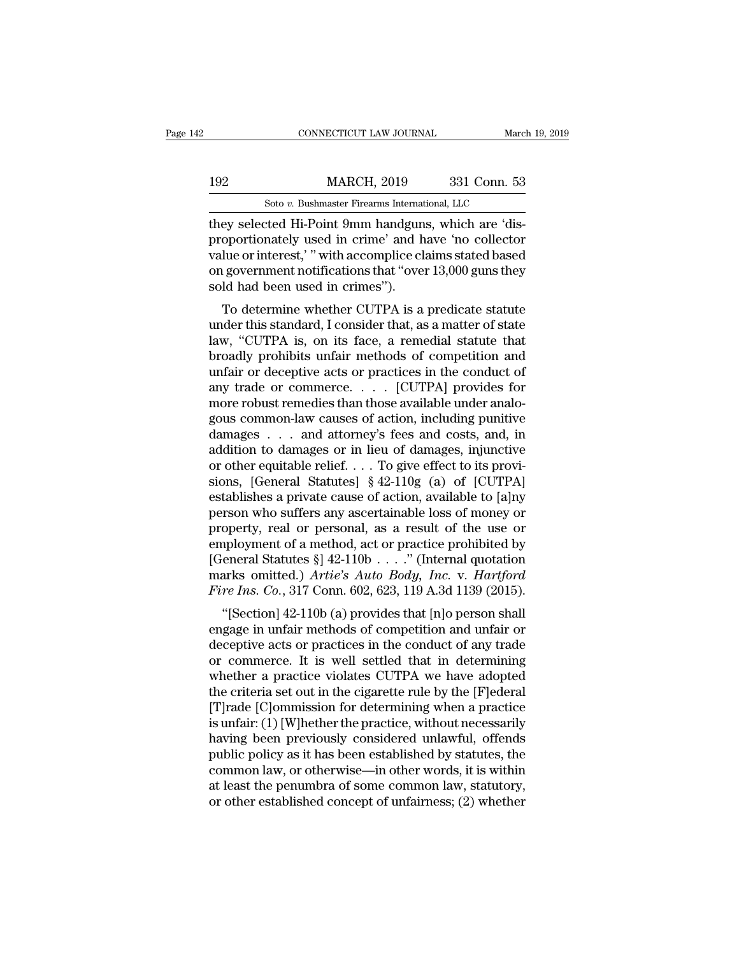## EXERCIT CONNECTICUT LAW JOURNAL March 19, 2019<br>192 MARCH, 2019 331 Conn. 53<br>800 v. Bushmaster Firearms International, LLC CONNECTICUT LAW JOURNAL March March March MARCH, 2019 331 Conn. 53<br>Soto *v.* Bushmaster Firearms International, LLC<br>Ted Hi-Point 9mm handguns which are 'dis-

CONNECTICUT LAW JOURNAL<br>
MARCH, 2019 331 Conn. 53<br>
Soto v. Bushmaster Firearms International, LLC<br>
they selected Hi-Point 9mm handguns, which are 'dis-<br>
proportionately used in crime' and have 'no collector<br>
value or inter MARCH, 2019 331 Conn. 53<br>
Soto v. Bushmaster Firearms International, LLC<br>
they selected Hi-Point 9mm handguns, which are 'dis-<br>
proportionately used in crime' and have 'no collector<br>
value or interest,' " with accomplice c MARCH, 2019 331 Conn. 53<br>
Soto v. Bushmaster Firearms International, LLC<br>
they selected Hi-Point 9mm handguns, which are 'dis-<br>
proportionately used in crime' and have 'no collector<br>
value or interest,' " with accomplice c MARCH, 2019 331 Conn. 53<br>
Soto v. Bushmaster Firearms International, LLC<br>
they selected Hi-Point 9mm handguns, which are 'dis-<br>
proportionately used in crime' and have 'no collector<br>
value or interest,' " with accomplice c Solo v. Bushmaster Firearms Internat<br>they selected Hi-Point 9mm handgun<br>proportionately used in crime' and h<br>value or interest,' " with accomplice cl<br>on government notifications that "ove-<br>sold had been used in crimes").<br>T ey selected Hi-Point 9mm handguns, which are 'dis-<br>oportionately used in crime' and have 'no collector<br>lue or interest,' " with accomplice claims stated based<br>government notifications that "over 13,000 guns they<br>ld had bee they selected In-1 off a standard, which are dis-<br>proportionately used in crime' and have 'no collector<br>value or interest,' " with accomplice claims stated based<br>on government notifications that "over 13,000 guns they<br>sold

proportionately used in Critic and have no conector<br>value or interest,' " with accomplice claims stated based<br>on government notifications that "over 13,000 guns they<br>sold had been used in crimes").<br>To determine whether CUT value of interest, whilad complice claims stated based<br>on government notifications that "over 13,000 guns they<br>sold had been used in crimes").<br>To determine whether CUTPA is a predicate statute<br>under this standard, I consid on government notincations that over 15,000 guis they<br>sold had been used in crimes").<br>To determine whether CUTPA is a predicate statute<br>under this standard, I consider that, as a matter of state<br>law, "CUTPA is, on its face Fo determine whether CUTPA is a predicate statute<br>under this standard, I consider that, as a matter of state<br>law, "CUTPA is, on its face, a remedial statute that<br>broadly prohibits unfair methods of competition and<br>unfair To determine whether CUTPA is a predicate statute<br>under this standard, I consider that, as a matter of state<br>law, "CUTPA is, on its face, a remedial statute that<br>broadly prohibits unfair methods of competition and<br>unfair o under this standard, I consider that, as a matter of state<br>law, "CUTPA is, on its face, a remedial statute that<br>broadly prohibits unfair methods of competition and<br>unfair or deceptive acts or practices in the conduct of<br>a law, "CUTPA is, on its face, a remedial statute that<br>broadly prohibits unfair methods of competition and<br>unfair or deceptive acts or practices in the conduct of<br>any trade or commerce. . . . [CUTPA] provides for<br>more robust broadly prohibits unfair methods of competition and<br>unfair or deceptive acts or practices in the conduct of<br>any trade or commerce. . . . . [CUTPA] provides for<br>more robust remedies than those available under analo-<br>gous c unfair or deceptive acts or practices in the conduct of<br>any trade or commerce. . . . . [CUTPA] provides for<br>more robust remedies than those available under analo-<br>gous common-law causes of action, including punitive<br>damag any trade or commerce. . . . . [CUTPA] provides for<br>more robust remedies than those available under analo-<br>gous common-law causes of action, including punitive<br>damages . . . and attorney's fees and costs, and, in<br>addition more robust remedies than those available under analogous common-law causes of action, including punitive damages  $\ldots$  and attorney's fees and costs, and, in addition to damages or in lieu of damages, injunctive or other gous common-law causes of action, including punitive<br>damages  $\dots$  and attorney's fees and costs, and, in<br>addition to damages or in lieu of damages, injunctive<br>or other equitable relief.  $\dots$  To give effect to its provi-<br>s damages . . . . and attorney's fees and costs, and, in<br>addition to damages or in lieu of damages, injunctive<br>or other equitable relief. . . . To give effect to its provi-<br>sions, [General Statutes] § 42-110g (a) of [CUTPA] addition to damages or in lieu of damages, injunctive<br>or other equitable relief. . . . To give effect to its provi-<br>sions, [General Statutes] § 42-110g (a) of [CUTPA]<br>establishes a private cause of action, available to [a or other equitable relief. . . . To give effect to its provisions, [General Statutes] § 42-110g (a) of [CUTPA]<br>establishes a private cause of action, available to [a]ny<br>person who suffers any ascertainable loss of money o sions, [General Statutes] § 42-110g (a) of [CUTPA]<br>establishes a private cause of action, available to [a]ny<br>person who suffers any ascertainable loss of money or<br>property, real or personal, as a result of the use or<br>emplo establishes a private cause of action, available to [a]ny<br>person who suffers any ascertainable loss of money or<br>property, real or personal, as a result of the use or<br>employment of a method, act or practice prohibited by<br>[G The same of the same is any asternation of the use or apployment of a method, act or practice prohibited by eneral Statutes  $\S$ ] 42-110b  $\ldots$  " (Internal quotation arks omitted.) *Artie's Auto Body, Inc.* v. *Hartford* property, rear or personal, as a result of the use of<br>employment of a method, act or practice prohibited by<br>[General Statutes §] 42-110b . . . ." (Internal quotation<br>marks omitted.) Artie's Auto Body, Inc. v. Hartford<br>Fir

Employment of a method, act of practice promined by<br>
[General Statutes §] 42-110b . . . ." (Internal quotation<br>
marks omitted.) Artie's Auto Body, Inc. v. Hartford<br>
Fire Ins. Co., 317 Conn. 602, 623, 119 A.3d 1139 (2015). peneral statutes  $y_1$  42-1100  $\ldots$  (internal quotation<br>marks omitted.) *Artie's Auto Body, Inc.* v. *Hartford*<br>*Fire Ins. Co.*, 317 Conn. 602, 623, 119 A.3d 1139 (2015).<br>"[Section] 42-110b (a) provides that [n]o person Fire Ins. Co., 317 Conn. 602, 623, 119 A.3d 1139 (2015).<br>
"[Section] 42-110b (a) provides that [n]o person shall<br>
engage in unfair methods of competition and unfair or<br>
deceptive acts or practices in the conduct of any tr Fire this. Co., 517 Collit. 002, 025, 119 A.5d 1159 (2015).<br>
"[Section] 42-110b (a) provides that [n]o person shall<br>
engage in unfair methods of competition and unfair or<br>
deceptive acts or practices in the conduct of any "[Section]  $42-110b$  (a) provides that [n]o person shall<br>engage in unfair methods of competition and unfair or<br>deceptive acts or practices in the conduct of any trade<br>or commerce. It is well settled that in determining<br>wh engage in unfair methods of competition and unfair or<br>deceptive acts or practices in the conduct of any trade<br>or commerce. It is well settled that in determining<br>whether a practice violates CUTPA we have adopted<br>the criter deceptive acts or practices in the conduct of any trade<br>or commerce. It is well settled that in determining<br>whether a practice violates CUTPA we have adopted<br>the criteria set out in the cigarette rule by the [F]ederal<br>[T]r or commerce. It is well settled that in determining<br>whether a practice violates CUTPA we have adopted<br>the criteria set out in the cigarette rule by the [F]ederal<br>[T]rade [C]ommission for determining when a practice<br>is unfa whether a practice violates CUTPA we have adopted<br>the criteria set out in the cigarette rule by the [F]ederal<br>[T]rade [C]ommission for determining when a practice<br>is unfair: (1) [W]hether the practice, without necessarily<br> the criteria set out in the cigarette rule by the [F]ederal [T]rade [C]ommission for determining when a practice is unfair: (1) [W]hether the practice, without necessarily having been previously considered unlawful, offend [T]rade [C]ommission for determining when a practice<br>is unfair: (1) [W]hether the practice, without necessarily<br>having been previously considered unlawful, offends<br>public policy as it has been established by statutes, the<br>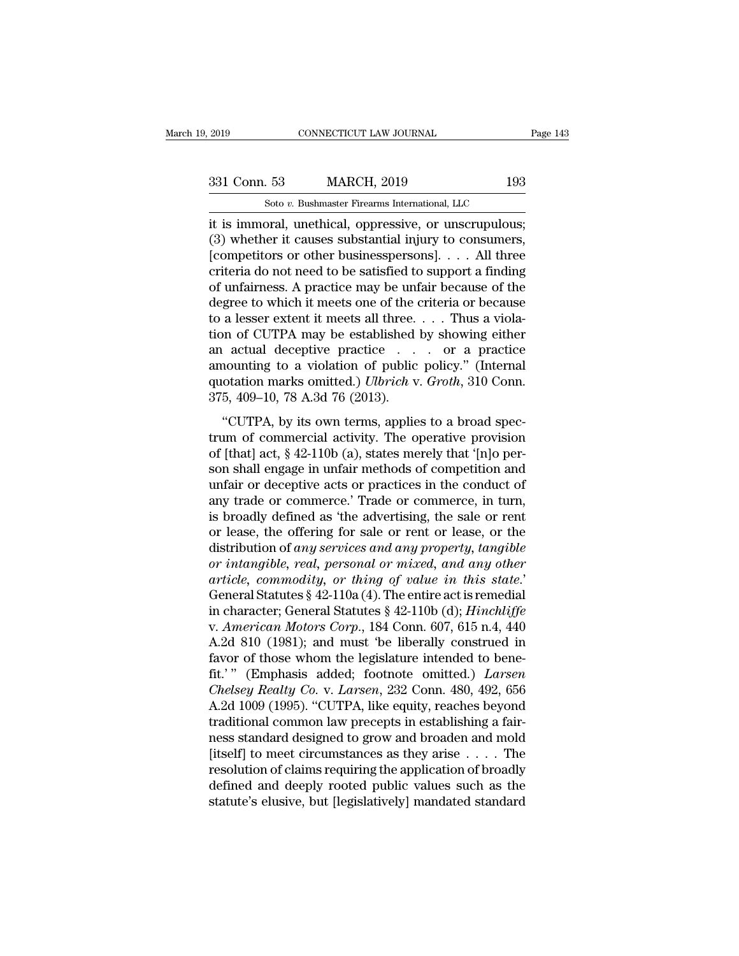2019 CONNECTICUT LAW JOURNAL Page 143<br>331 Conn. 53 MARCH, 2019 193<br>500 v. Bushmaster Firearms International, LLC

CONNECTICUT LAW JOURNAL<br>
Soto *v.* Bushmaster Firearms International, LLC<br>
Soto *v.* Bushmaster Firearms International, LLC<br>
Oral Unterhical Oppressive or Uniscripulous: 2019 CONNECTICUT LAW JOURNAL Page<br>
331 Conn. 53 MARCH, 2019 193<br>
500 v. Bushmaster Firearms International, LLC<br>
it is immoral, unethical, oppressive, or unscrupulous;<br>
(3) whether it causes substantial injury to consumers, (3)  $\frac{331 \text{ Conn. } 53}{\text{Soto } v. \text{ Bushmaster Firearms International, LLC}}$ <br>
it is immoral, unethical, oppressive, or unscrupulous;<br>
(3) whether it causes substantial injury to consumers,<br>
[competitors or other businesspersons].... All three<br>
criteria do  $\frac{331 \text{ Conn. } 53}{\text{Soto } v. \text{ Bushmaster Firearms International, LLC}}$ <br>it is immoral, unethical, oppressive, or unscrupulous;<br>(3) whether it causes substantial injury to consumers,<br>[competitors or other businesspersons].... All three<br>criteria do not nee 331 Conn. 53 MARCH, 2019 193<br>
Soto v. Bushmaster Firearms International, LLC<br>
it is immoral, unethical, oppressive, or unscrupulous;<br>
(3) whether it causes substantial injury to consumers,<br>
[competitors or other businessp Soto v. Bushmaster Firearms International, LLC<br>it is immoral, unethical, oppressive, or unscrupulous;<br>(3) whether it causes substantial injury to consumers,<br>[competitors or other businesspersons]. . . . All three<br>criteria soto *v*. Bushmaster Freams international, LLC<br>it is immoral, unethical, oppressive, or unscrupulous;<br>(3) whether it causes substantial injury to consumers,<br>[competitors or other businesspersons]. . . . All three<br>criteria it is immoral, unethical, oppressive, or unscrupulous;<br>(3) whether it causes substantial injury to consumers,<br>[competitors or other businesspersons]. . . . All three<br>criteria do not need to be satisfied to support a findi (3) whether it causes substantial injury to consumers,<br>[competitors or other businesspersons]. . . . All three<br>criteria do not need to be satisfied to support a finding<br>of unfairness. A practice may be unfair because of t [competitors or other businesspersons].... All three<br>criteria do not need to be satisfied to support a finding<br>of unfairness. A practice may be unfair because of the<br>degree to which it meets one of the criteria or because criteria do not need to be satisfied to support a finding<br>of unfairness. A practice may be unfair because of the<br>degree to which it meets one of the criteria or because<br>to a lesser extent it meets all three.... Thus a vio of unfairness. A practice may be unfair because of the degree to which it meets one of the criteria or because to a lesser extent it meets all three. . . . Thus a violation of CUTPA may be established by showing either an degree to which it meets one of the to a lesser extent it meets all three.<br>tion of CUTPA may be established<br>an actual deceptive practice . .<br>amounting to a violation of public<br>quotation marks omitted.) *Ulbrich* v<br>375, 409 a research is measured in ance.  $\ldots$  in the a violation of CUTPA may be established by showing either actual deceptive practice  $\ldots$  or a practice nounting to a violation of public policy." (Internal otation marks omitt an actual deceptive practice  $\ldots$  or a practice<br>amounting to a violation of public policy." (Internal<br>quotation marks omitted.) *Ulbrich* v. *Groth*, 310 Conn.<br>375, 409–10, 78 A.3d 76 (2013).<br>"CUTPA, by its own terms, ap

an actual acceptive practice  $\cdot$   $\cdot$   $\cdot$  or  $\alpha$  practice<br>amounting to a violation of public policy." (Internal<br>quotation marks omitted.) *Ulbrich* v. *Groth*, 310 Conn.<br>375, 409–10, 78 A.3d 76 (2013).<br>"CUTPA, by its o quotation marks omitted.) *Ulbrich* v. *Groth*, 310 Conn.<br>375, 409–10, 78 A.3d 76 (2013).<br>"CUTPA, by its own terms, applies to a broad spec-<br>trum of commercial activity. The operative provision<br>of [that] act, § 42-110b (a 375, 409–10, 78 A.3d 76 (2013).<br>
"CUTPA, by its own terms, applies to a broad spec-<br>
trum of commercial activity. The operative provision<br>
of [that] act, § 42-110b (a), states merely that '[n]o per-<br>
son shall engage in u "CUTPA, by its own terms, applies to a broad spec-<br>trum of commercial activity. The operative provision<br>of [that] act, § 42-110b (a), states merely that '[n]o per-<br>son shall engage in unfair methods of competition and<br>unf "CUTPA, by its own terms, applies to a broad spectrum of commercial activity. The operative provision of [that] act,  $§ 42-110b$  (a), states merely that '[n]o person shall engage in unfair methods of competition and unfai trum of commercial activity. The operative provision<br>of [that] act, § 42-110b (a), states merely that '[n]o per-<br>son shall engage in unfair methods of competition and<br>unfair or deceptive acts or practices in the conduct o of [that] act, § 42-110b (a), states merely that '[n]o per-<br>son shall engage in unfair methods of competition and<br>unfair or deceptive acts or practices in the conduct of<br>any trade or commerce.' Trade or commerce, in turn,<br> son shall engage in unfair methods of competition and<br>unfair or deceptive acts or practices in the conduct of<br>any trade or commerce.' Trade or commerce, in turn,<br>is broadly defined as 'the advertising, the sale or rent<br>or *article* and the commoding or deceptive acts or practices in the conduct of any trade or commerce.' Trade or commerce, in turn, is broadly defined as 'the advertising, the sale or rent or lease, or the distribution of *an* any trade or commerce.' Trade or commerce, in turn,<br>is broadly defined as 'the advertising, the sale or rent<br>or lease, the offering for sale or rent or lease, or the<br>distribution of *any services and any property, tangibl* is broadly defined as 'the advertising, the sale or rent<br>or lease, the offering for sale or rent or lease, or the<br>distribution of *any services and any property, tangible*<br>or *intangible, real, personal or mixed, and any o* or lease, the offering for sale or rent or lease, or the<br>distribution of *any services and any property, tangible*<br>or *intangible, real, personal or mixed, and any other*<br>article, commodity, or thing of value in this state distribution of any services and any property, tangible<br>or intangible, real, personal or mixed, and any other<br>article, commodity, or thing of value in this state.'<br>General Statutes § 42-110a (4). The entire act is remedia or intangible, real, personal or mixed, and any other<br>article, commodity, or thing of value in this state.'<br>General Statutes § 42-110a (4). The entire act is remedial<br>in character; General Statutes § 42-110b (d); *Hinchli* article, commodity, or thing of value in this state.'<br>General Statutes § 42-110a (4). The entire act is remedial<br>in character; General Statutes § 42-110b (d); *Hinchliffe*<br>v. American Motors Corp., 184 Conn. 607, 615 n.4, General Statutes § 42-110a (4). The entire act is remedial<br>in character; General Statutes § 42-110b (d); *Hinchliffe*<br>v. *American Motors Corp.*, 184 Conn. 607, 615 n.4, 440<br>A.2d 810 (1981); and must 'be liberally construe in character; General Statutes § 42-110b (d); *Hinchliffe*<br>v. *American Motors Corp.*, 184 Conn. 607, 615 n.4, 440<br>A.2d 810 (1981); and must 'be liberally construed in<br>favor of those whom the legislature intended to bene-<br> v. American Motors Corp., 184 Conn. 607, 615 n.4, 440<br>A.2d 810 (1981); and must 'be liberally construed in<br>favor of those whom the legislature intended to bene-<br>fit.'" (Emphasis added; footnote omitted.) *Larsen*<br>*Chelsey* A.2d 810 (1981); and must 'be liberally construed in favor of those whom the legislature intended to bene-<br>fit.'" (Emphasis added; footnote omitted.) *Larsen*<br>*Chelsey Realty Co.* v. *Larsen*, 232 Conn. 480, 492, 656<br>A.2d favor of those whom the legislature intended to bene-<br>fit.'" (Emphasis added; footnote omitted.) *Larsen*<br>*Chelsey Realty Co.* v. *Larsen*, 232 Conn. 480, 492, 656<br>A.2d 1009 (1995). "CUTPA, like equity, reaches beyond<br>tra fit.'" (Emphasis added; footnote omitted.) *Larsen*<br>Chelsey Realty Co. v. Larsen, 232 Conn. 480, 492, 656<br>A.2d 1009 (1995). "CUTPA, like equity, reaches beyond<br>traditional common law precepts in establishing a fair-<br>ness s Chelsey Realty Co. v. Larsen, 232 Conn. 480, 492, 656<br>A.2d 1009 (1995). "CUTPA, like equity, reaches beyond<br>traditional common law precepts in establishing a fair-<br>ness standard designed to grow and broaden and mold<br>[itse A.2d 1009 (1995). "CUTPA, like equity, reaches beyond traditional common law precepts in establishing a fairness standard designed to grow and broaden and mold [itself] to meet circumstances as they arise . . . . The resol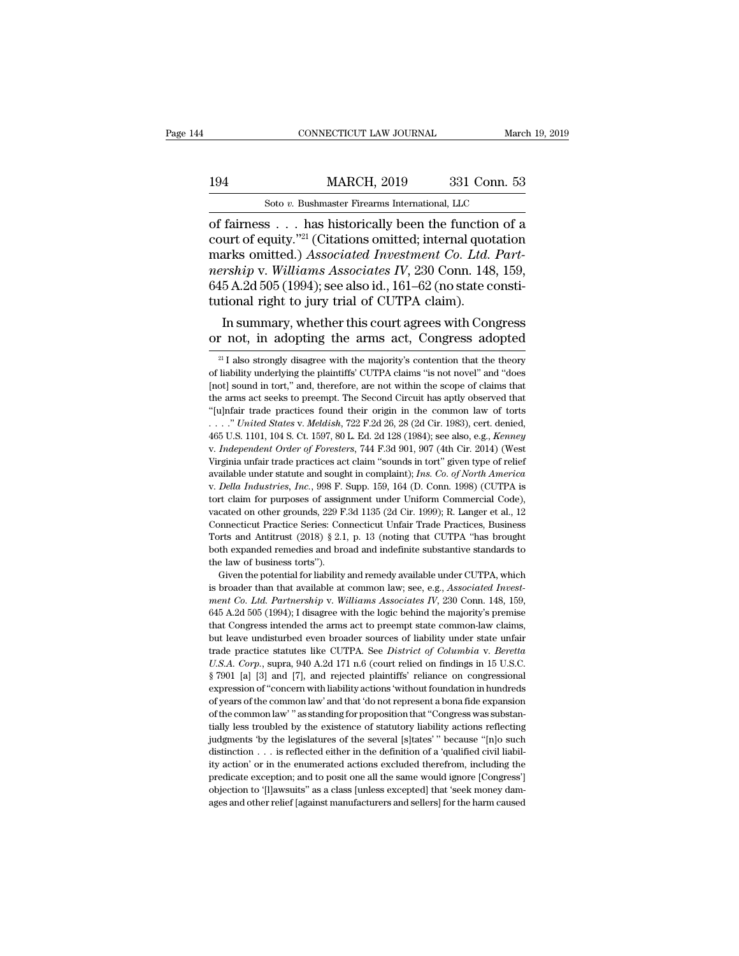## EXERCIT CONNECTICUT LAW JOURNAL March 19, 2019<br>194 MARCH, 2019 331 Conn. 53<br>800 v. Bushmaster Firearms International, LLC CONNECTICUT LAW JOURNAL March March March MARCH, 2019 331 Conn. 53<br>Soto *v.* Bushmaster Firearms International, LLC<br>Subsets and Soto international, LLC

CONNECTICUT LAW JOURNAL March 19, 2019<br>
194 MARCH, 2019 331 Conn. 53<br>
500 v. Bushmaster Firearms International, LLC<br>
of fairness . . . has historically been the function of a<br>
court of equity."<sup>21</sup> (Citations omitted; int MARCH, 2019 331 Conn. 53<br>
Soto v. Bushmaster Firearms International, LLC<br>
of fairness . . . has historically been the function of a<br>
court of equity.''<sup>21</sup> (Citations omitted; internal quotation<br>
marks omitted.) Associated MARCH, 2019 331 Conn. 53<br>
Soto *v.* Bushmaster Firearms International, LLC<br>
of fairness . . . has historically been the function of a<br>
court of equity."<sup>21</sup> (Citations omitted; internal quotation<br>
marks omitted.) *Associat MARCH*, 2019 331 Conn. 53<br> *Soto v. Bushmaster Firearms International, LLC*<br> *of fairness* . . . has historically been the function of a<br>
court of equity."<sup>21</sup> (Citations omitted; internal quotation<br>
marks omitted.) *Asso* Soto v. Bushmaster Firearms International, LLC<br>
of fairness . . . has historically been the function of a<br>
court of equity."<sup>21</sup> (Citations omitted; internal quotation<br>
marks omitted.) Associated Investment Co. Ltd. Part-<br> Sofo v. Bushmaster Firearms International, LLC<br>
of fairness . . . has historically been the function<br>
court of equity."<sup>21</sup> (Citations omitted; internal quot<br>
marks omitted.) Associated Investment Co. Ltd.<br>
nership v. Wil rairness . . . has historically been the function of a<br>urt of equity."<sup>21</sup> (Citations omitted; internal quotation<br>arks omitted.) Associated Investment Co. Ltd. Part-<br>rship v. Williams Associates IV, 230 Conn. 148, 159,<br>5 court of equity."" (Citations omitted; internal quotation<br>marks omitted.) Associated Investment Co. Ltd. Part-<br>nership v. Williams Associates IV, 230 Conn. 148, 159,<br>645 A.2d 505 (1994); see also id., 161–62 (no state con

## 21 I also strongly disagree with the majority's contention that the theory<br>
21 I also strongly disagree with the majority's contention that the theory<br>
22 I also strongly disagree with the majority's contention that the t

Forts and Antitrust (2018) § 2.1, p. 13 (noting that CUTPA "has brought both expanded remedies and broad and indefinite substantive standards to the law of business torts").<br>
Given the potential for liability and remedy av For a carrier and broad and indefinite substantive standards to the law of business torts").<br>
Given the potential for liability and remedy available under CUTPA, which<br>
is broader than that available at common law; see, e. the law of business torts").<br>
Given the potential for liability and remedy available under CUTPA, which<br>
is broader than that available at common law; see, e.g., Associated Invest-<br>
ment Co. Ltd. Partnership v. Williams A Given the potential for liability and remedy available under CUTPA, which<br>is broader than that available at common law; see, e.g., Associated Invest-<br>ment Co. Ltd. Partnership v. Williams Associates IV, 230 Conn. 148, 159 trade process has a common law; see, e.g., *Associated Investment Co. Ltd. Partnership v. Williams Associates IV*, 230 Conn. 148, 159, 645 A.2d 505 (1994); I disagree with the logic behind the majority's premise that Congr *Ment Co. Ltd. Partnership v. Williams Associates IV, 230 Conn.* 148, 159, 645 A.2d 505 (1994); I disagree with the logic behind the majority's premise that Congress intended the arms act to preempt state common-law claims 645 A.2d 505 (1994); I disagree with the logic behind the majority's premise that Congress intended the arms act to preempt state common-law claims, but leave undisturbed even broader sources of liability under state unfa that Congress intended the arms act to preempt state common-law claims,<br>but leave undisturbed even broader sources of liability under state unfair<br>trade practice statutes like CUTPA. See *District of Columbia* v. *Beretta* but leave undisturbed even broader sources of liability under state unfair<br>trade practice statutes like CUTPA. See *District of Columbia* v. *Beretta*<br>U.S.A. Corp., supra, 940 A.2d 171 n.6 (court relied on findings in 15 U brack practice statutes like CUTPA. See *District of Columbia v. Beretta U.S.A. Corp.*, supra, 940 A.2d 171 n.6 (court relied on findings in 15 U.S.C. § 7901 [a] [3] and [7], and rejected plaintiffs' reliance on congressi U.S.A. Corp., supra, 940 A.2d 171 n.6 (court relied on findings in 15 U.S.C.<br>U.S.A. Corp., supra, 940 A.2d 171 n.6 (court relied on findings in 15 U.S.C.<br>§ 7901 [a] [3] and [7], and rejected plaintiffs' reliance on congres  $\frac{1}{2}$  901 [a] [3] and [7], and rejected plaintiffs' reliance on congressional expression of "concern with liability actions 'without foundation in hundreds of years of the common law' and that 'do not represent a bona given by the legisliative actions 'without foundation in hundreds of years of the common law' and that 'do not represent a bona fide expansion of the common law' as standing for proposition that "Congress was substantiall for years of the common law' and that 'do not represent a bona fide expansion of the common law' as standing for proposition that "Congress was substantially less troubled by the existence of statutory liability actions re of the common law' "as standing for proposition that "Congress was substantially less troubled by the existence of statutory liability actions reflecting judgments 'by the legislatures of the several [s]tates' " because "[ by the existence of statutory liability actions reflecting judgments 'by the existence of statutory liability actions reflecting judgments 'by the legislatures of the several [s]tates' " because "[n]o such distinction  $\ld$ independent of the legislatures of the several [s]<br>tates' "because "[n]o such distinction  $\ldots$  is reflected either in the definition of a 'qualified civil liabil-<br>ity action' or in the enumerated actions excluded therefr

In summary, whether this court agrees with Congress<br>or not, in adopting the arms act, Congress adopted<br> $\frac{1}{2}$  I also strongly disagree with the majority's contention that the theory<br>of liability underlying the plaintif In summary, whether this court agrees with Congress<br>or not, in adopting the arms act, Congress adopted<br> $\frac{2!}{1}$  also strongly disagree with the majority's contention that the theory<br>of liability underlying the plaintiff or not, in adopting the arms act, Congress Mari Congress<br>or not, in adopting the arms act, Congress adopted<br> $\frac{2!}{1!}$  also strongly disagree with the majority's contention that the theory<br>of liability underlying the pla Or Tiot, In adopting the arms act, Congress adopted<br>
<sup>21</sup> I also strongly disagree with the majority's contention that the theory<br>
of liability underlying the plaintiffs' CUTPA claims "is not novel" and "does<br>
[not] sound <sup>21</sup> I also strongly disagree with the majority's contention that the theory of liability underlying the plaintiffs' CUTPA claims "is not novel" and "does [not] sound in tort," and, therefore, are not within the scope of of liability underlying the plaintiffs' CUTPA claims "is not novel" and "does<br>[not] sound in tort," and, therefore, are not within the scope of claims that<br>the arms act seeks to preempt. The Second Circuit has aptly observ Intertual interty. and perfect of Foresters, are not within the scope of claims that the arms act seeks to preempt. The Second Circuit has aptly observed that "[u]nfair trade practices found their origin in the common law From an act seeks to preempt. The Second Circuit has aptly observed that the arms act seeks to preempt. The Second Circuit has aptly observed that "[u]nfair trade practices found their origin in the common law of torts .. available under statute and sought in complaint); *Ins. Co. of North America*<br>available under states v. *Meldish*, 722 F.2d 26, 28 (2d Cir. 1983), cert. denied,<br>465 U.S. 1101, 104 S. Ct. 1597, 80 L. Ed. 2d 128 (1984); see v. *. . . " United States v. Melaish, 722 F.2d 26, 28 (2d Cir. 1983), cert. denied,*<br>*A65 U.S. 1101, 104 S. Ct. 1597, 80 L. Ed. 2d 128 (1984); see also, e.g., Kenney*<br>*v. Independent Order of Foresters, 744 F.3d 901, 907 (* 465 U.S. 1101, 104 S. Ct. 1597, 80 L. Ed. 2d 128 (1984); see also, e.g., *Kenney*<br>465 U.S. 1101, 104 S. Ct. 1597, 80 L. Ed. 2d 128 (1984); see also, e.g., *Kenney*<br>v. *Independent Order of Foresters*, 744 F.3d 901, 907 (4 v. *Independent Order of Foresters*, 744 F.3d 901, 907 (4th Cir. 2014) (West<br>Virginia unfair trade practices act claim "sounds in tort" given type of relief<br>available under statute and sought in complaint); *Ins. Co. of No* Virginia unfair trade practices act claim "sounds in tort" given type of relief available under statute and sought in complaint); *Ins. Co. of North America* v. *Della Industries, Inc.*, 998 F. Supp. 159, 164 (D. Conn. 19 available under statute and sought in complaint); *Ins. Co. of North America* v. *Della Industries, Inc.*, 998 F. Supp. 159, 164 (D. Conn. 1998) (CUTPA is tort claim for purposes of assignment under Uniform Commercial Cod v. *Della Industries, Inc.*, 998 F. Supp. 159, 164 (D. Conn. 1998) (CUTPA is<br>tort claim for purposes of assignment under Uniform Commercial Code),<br>vacated on other grounds, 229 F.3d 1135 (2d Cir. 1999); R. Langer et al., 1 v. *Della Industries, Inc.*, 998 F. Supp. 159, 164 (D. Conn. 1998) (CUTPA is tort claim for purposes of assignment under Uniform Commercial Code), vacated on other grounds, 229 F.3d 1135 (2d Cir. 1999); R. Langer et al., cated on other grounds, 229 F.3d 1135 (2d Cir. 1999); R. Langer et al., 12<br>cated on other grounds, 229 F.3d 1135 (2d Cir. 1999); R. Langer et al., 12<br>pnnecticut Practice Series: Connecticut Unfair Trade Practices, Business Connecticut Practice Series: Connecticut Unfair Trade Practices, Business<br>Connecticut Practice Series: Connecticut Unfair Trade Practices, Business<br>Torts and Antitrust (2018) § 2.1, p. 13 (noting that CUTPA "has brought<br>bo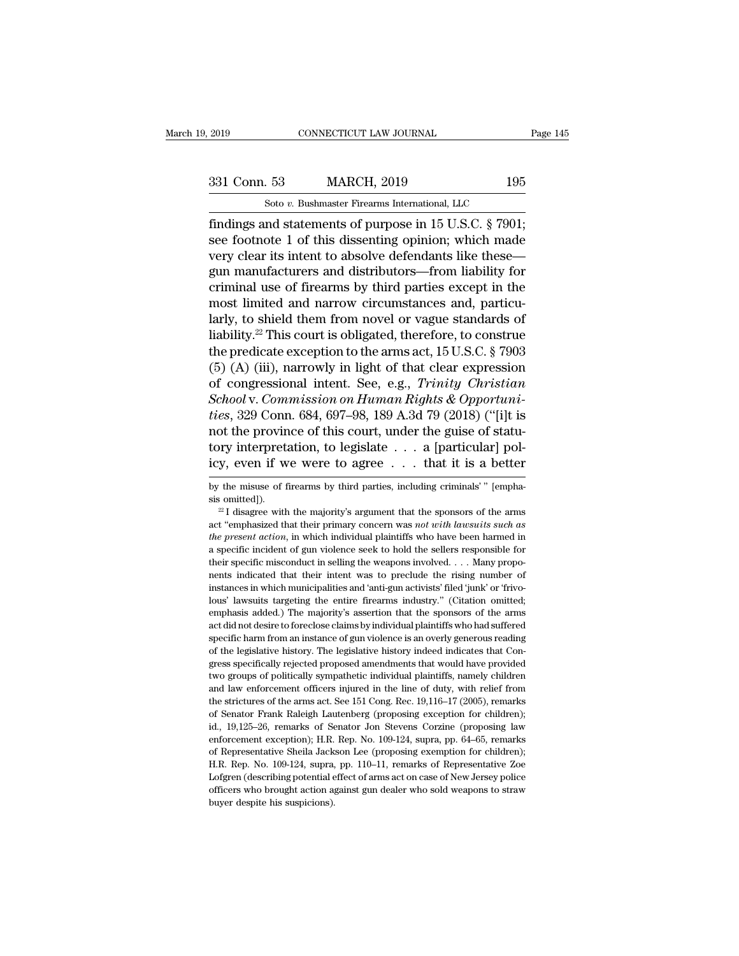2019 CONNECTICUT LAW JOURNAL Page 145<br>331 Conn. 53 MARCH, 2019 195<br>500 v. Bushmaster Firearms International, LLC

CONNECTICUT LAW JOURNAL<br>
Soto *v.* Bushmaster Firearms International, LLC<br>
nd statements of nurnose in 15 U S C & 7901: Fage<br>
Fage<br>
Fage<br>
S31 Conn. 53 MARCH, 2019 195<br>
Soto v. Bushmaster Firearms International, LLC<br>
findings and statements of purpose in 15 U.S.C. § 7901;<br>
see footnote 1 of this dissenting opinion; which made<br>
Now clear its 331 Conn. 53 MARCH, 2019 195<br>Soto v. Bushmaster Firearms International, LLC<br>findings and statements of purpose in 15 U.S.C. § 7901;<br>see footnote 1 of this dissenting opinion; which made<br>very clear its intent to absolve def 331 Conn. 53 MARCH, 2019 195<br>
soto v. Bushmaster Firearms International, LLC<br>
findings and statements of purpose in 15 U.S.C. § 7901;<br>
see footnote 1 of this dissenting opinion; which made<br>
very clear its intent to absolv 331 Conn. 53 MARCH, 2019 195<br>
soto v. Bushmaster Firearms International, LLC<br>
findings and statements of purpose in 15 U.S.C. § 7901;<br>
see footnote 1 of this dissenting opinion; which made<br>
very clear its intent to absolv Soto v. Bushmaster Firearms International, LLC<br>
findings and statements of purpose in 15 U.S.C. § 7901;<br>
see footnote 1 of this dissenting opinion; which made<br>
very clear its intent to absolve defendants like these—<br>
gun solo *v*. Bushmaster Freams intenational, LLC<br>
findings and statements of purpose in 15 U.S.C. § 7901;<br>
see footnote 1 of this dissenting opinion; which made<br>
very clear its intent to absolve defendants like these<br>
gun ma findings and statements of purpose in 15 U.S.C. § 7901;<br>see footnote 1 of this dissenting opinion; which made<br>very clear its intent to absolve defendants like these—<br>gun manufacturers and distributors—from liability for<br>c see footnote 1 of this dissenting opinion; which made<br>very clear its intent to absolve defendants like these—<br>gun manufacturers and distributors—from liability for<br>criminal use of firearms by third parties except in the<br>mo very clear its intent to absolve defendants like these—<br>gun manufacturers and distributors—from liability for<br>criminal use of firearms by third parties except in the<br>most limited and narrow circumstances and, particu-<br>larl gun manufacturers and distributors—from liability for<br>criminal use of firearms by third parties except in the<br>most limited and narrow circumstances and, particu-<br>larly, to shield them from novel or vague standards of<br>liabi criminal use of firearms by third parties except in the<br>most limited and narrow circumstances and, particu-<br>larly, to shield them from novel or vague standards of<br>liability.<sup>22</sup> This court is obligated, therefore, to const most limited and narrow circumstances and, particularly, to shield them from novel or vague standards of liability.<sup>22</sup> This court is obligated, therefore, to construe the predicate exception to the arms act, 15 U.S.C. § 7 *therefore, to shield them from novel or vague standards of*<br>*tiability.<sup>22</sup> This court is obligated, therefore, to construe*<br>*the predicate exception to the arms act, 15 U.S.C.* § 7903<br>*(5)* (A) (iii), narrowly in light o liability.<sup>22</sup> This court is obligated, therefore, to construe<br>the predicate exception to the arms act, 15 U.S.C. § 7903<br>(5) (A) (iii), narrowly in light of that clear expression<br>of congressional intent. See, e.g., *Trini* the predicate exception to the arms act,  $15 \text{ U.S.C.}$  § 7903 (5) (A) (iii), narrowly in light of that clear expression of congressional intent. See, e.g., *Trinity Christian School* v. *Commission on Human Rights & Opport* (5) (A) (iii), narrowly in light of that clear expression<br>of congressional intent. See, e.g., *Trinity Christian*<br>School v. Commission on Human Rights & Opportuni-<br>ties, 329 Conn. 684, 697–98, 189 A.3d 79 (2018) ("[i]t is ties, 329 Conn. 684, 697–98, 189 A.3d 79 (2018) ("[i]t is<br>not the province of this court, under the guise of statu-<br>tory interpretation, to legislate . . . a [particular] pol-<br>icy, even if we were to agree . . . that it i not the province of this court, under the guise of statu-<br>tory interpretation, to legislate . . . a [particular] pol-<br>icy, even if we were to agree . . . that it is a better<br>by the misuse of firearms by third parties, inc

icy, even if we were to agree  $\ldots$  that it is a better<br>by the misuse of firearms by third parties, including criminals'" [emphasis omitted]).<br><sup>2</sup> I disagree with the majority's argument that the sponsors of the arms<br>act **the present action**, in which individual plaintiffs who have been harmed in a specific incident of gun violence seek to hold the sellers responsible for a specific incident of gun violence seek to hold the sellers respons by the misuse of firearms by third parties, including criminals'" [emphasis omitted]).<br>
<sup>22</sup> I disagree with the majority's argument that the sponsors of the arms act "emphasized that their primary concern was *not with l* si somitted]).<br>
Si somitted]).<br>  $2^{\circ}$  I disagree with the majority's argument that the sponsors of the arms<br>
act "emphasized that their primary concern was *not with lawsuits such as*<br>
the present action, in which indiv  $\frac{2}{\sqrt{2}}$  I disagree with the majority's argument that the sponsors of the arms act "emphasized that their primary concern was *not with lawsuits such as* the present action, in which individual plaintiffs who have bee act "emphasized that their primary concern was *not with lawsuits such as* the present action, in which individual plaintiffs who have been harmed in a specific incident of gun violence seek to hold the sellers responsible the *present action*, in which individual plaintiffs who have been harmed in a specific incident of gun violence seek to hold the sellers responsible for their specific misconduct in selling the weapons involved. . . . Man as a specific incident of gun violence seek to hold the sellers responsible for their specific misconduct in selling the weapons involved. . . . Many proponents indicated that their intent was to preclude the rising numbe action specific misconduct in selling the weapons involved. . . . Many proposition is indicated that their intent was to preclude the rising number of instances in which municipalities and 'anti-gun activists' filed 'junk' nents indicated that their intent was to preclude the rising number of instances in which municipalities and 'anti-gun activists' filed 'junk' or 'frivolous' lawsuits targeting the entire firearms industry." (Citation omit instances in which municipalities and 'anti-gun activists' filed 'junk' or 'frivo-<br>lous' lawsuits targeting the entire firearms industry." (Citation omitted;<br>emphasis added.) The majority's assertion that the sponsors of t lous' lawsuits targeting the entire firearms industry." (Citation omitted; emphasis added.) The majority's assertion that the sponsors of the arms act did not desire to foreclose claims by individual plaintiffs who had suf emphasis added.) The majority's assertion that the sponsors of the arms act did not desire to foreclose claims by individual plaintiffs who had suffered specific harm from an instance of gun violence is an overly generous and divident in the law enforcement officers in the line of duty, with relief of the legislative history. The legislative history indeed indicates that Congress specifically rejected proposed amendments that would have pro specific harm from an instance of gun violence is an overly generous reading<br>of the legislative history. The legislative history indeed indicates that Congress specifically rejected proposed amendments that would have prov of the legislative history. The legislative history indeed indicates that Congress specifically rejected proposed amendments that would have provided two groups of politically sympathetic individual plaintiffs, namely chil gress specifically rejected proposed amendments that would have provided<br>two groups of politically sympathetic individual plaintiffs, namely children<br>and law enforcement officers injured in the line of duty, with relief fr grow of politically sympathetic individual plaintiffs, namely children<br>two groups of politically sympathetic individual plaintiffs, namely children<br>and law enforcement officers injured in the line of duty, with relief from of Representative Sheila Jackson Lee (proposing exemption for children); and law enforcement officers injured in the line of duty, with relief from the strictures of the arms act. See 151 Cong. Rec. 19,116–17 (2005), remar the strictures of the arms act. See 151 Cong. Rec. 19,116–17 (2005), remarks of Senator Frank Raleigh Lautenberg (proposing exception for children); id., 19,125–26, remarks of Senator Jon Stevens Corzine (proposing law enf of Senator Frank Raleigh Lautenberg (proposing exception for children);<br>id., 19,125–26, remarks of Senator Jon Stevens Corzine (proposing law<br>enforcement exception); H.R. Rep. No. 109-124, supra, pp. 64–65, remarks<br>of Repr of Senator Jon Stevens Corzine (proposing law<br>id., 19,125–26, remarks of Senator Jon Stevens Corzine (proposing law<br>enforcement exception); H.R. Rep. No. 109-124, supra, pp. 64–65, remarks<br>of Representative Sheila Jackson id., 19,125–26, remarks of Senator Jon Stevens Corzine (proposing law<br>enforcement exception); H.R. Rep. No. 109-124, supra, pp. 64–65, remarks<br>of Representative Sheila Jackson Lee (proposing exemption for children);<br>H.R. R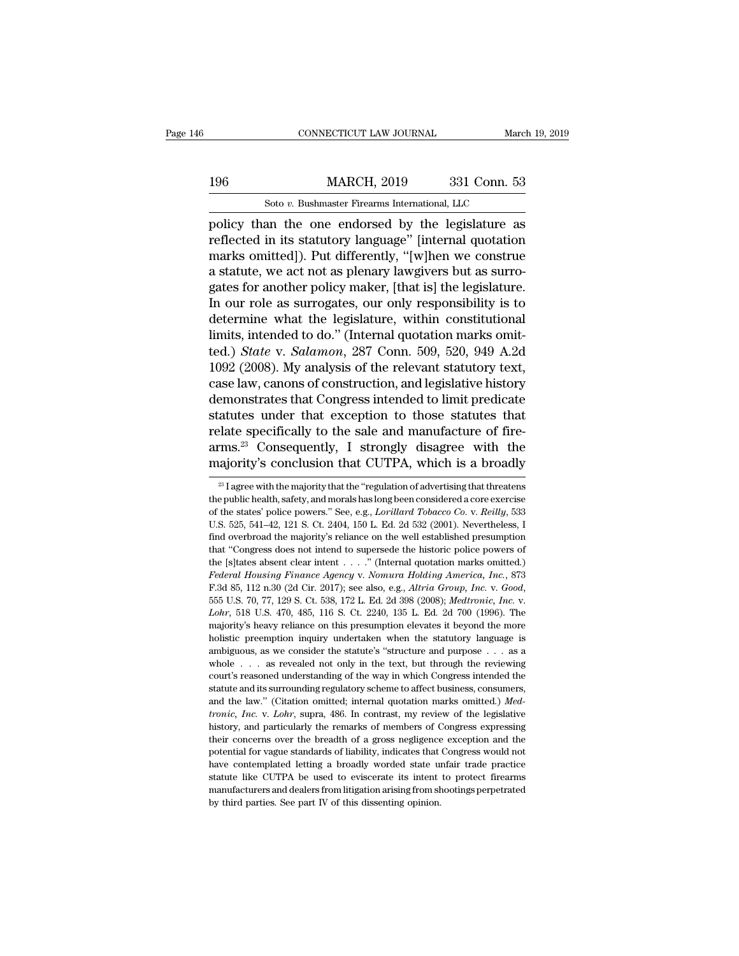## EXECUTE CONNECTICUT LAW JOURNAL March 19, 2019<br>196 MARCH, 2019 331 Conn. 53<br>800 v. Bushmaster Firearms International, LLC CONNECTICUT LAW JOURNAL March March March MARCH, 2019 331 Conn. 53<br>Soto *v.* Bushmaster Firearms International, LLC<br>an the one endorsed by the legislature as

policy than the one endorsed by the legislature as MARCH, 2019 331 Conn. 53<br>Soto v. Bushmaster Firearms International, LLC<br>policy than the one endorsed by the legislature as<br>reflected in its statutory language'' [internal quotation<br>marks omitted]). Put differently, "[w]hen 196 MARCH, 2019 331 Conn. 53<br>
Soto v. Bushmaster Firearms International, LLC<br>
policy than the one endorsed by the legislature as<br>
reflected in its statutory language" [internal quotation<br>
marks omitted]). Put differently, 196 MARCH, 2019 331 Conn. 53<br>
soto v. Bushmaster Firearms International, LLC<br>
policy than the one endorsed by the legislature as<br>
reflected in its statutory language" [internal quotation<br>
marks omitted]). Put differently, Soto v. Bushmaster Firearms International, LLC<br>policy than the one endorsed by the legislature as<br>reflected in its statutory language" [internal quotation<br>marks omitted]). Put differently, "[w]hen we construe<br>a statute, w solo v. Bushmaster Firearms international, LLC<br>policy than the one endorsed by the legislature as<br>reflected in its statutory language" [internal quotation<br>marks omitted]). Put differently, "[w]hen we construe<br>a statute, w policy than the one endorsed by the legislature as<br>reflected in its statutory language" [internal quotation<br>marks omitted]). Put differently, "[w]hen we construe<br>a statute, we act not as plenary lawgivers but as surro-<br>gat reflected in its statutory language" [internal quotation<br>marks omitted]). Put differently, "[w]hen we construe<br>a statute, we act not as plenary lawgivers but as surro-<br>gates for another policy maker, [that is] the legislat marks omitted]). Put differently, "[w]hen we construe<br>a statute, we act not as plenary lawgivers but as surro-<br>gates for another policy maker, [that is] the legislature.<br>In our role as surrogates, our only responsibility i a statute, we act not as plenary lawgivers but as surrogates for another policy maker, [that is] the legislature.<br>In our role as surrogates, our only responsibility is to<br>determine what the legislature, within constitution gates for another policy maker, [that is] the legislature.<br>In our role as surrogates, our only responsibility is to<br>determine what the legislature, within constitutional<br>limits, intended to do." (Internal quotation marks o In our role as surrogates, our only responsibility is to<br>determine what the legislature, within constitutional<br>limits, intended to do." (Internal quotation marks omit-<br>ted.) *State* v. *Salamon*, 287 Conn. 509, 520, 949 A determine what the legislature, within constitutional<br>limits, intended to do." (Internal quotation marks omit-<br>ted.) *State* v. *Salamon*, 287 Conn. 509, 520, 949 A.2d<br>1092 (2008). My analysis of the relevant statutory tex limits, intended to do." (Internal quotation marks omit-<br>ted.) *State* v. *Salamon*, 287 Conn. 509, 520, 949 A.2d<br>1092 (2008). My analysis of the relevant statutory text,<br>case law, canons of construction, and legislative ted.) *State v. Salamon*, 287 Conn. 509, 520, 949 A.2d<br>1092 (2008). My analysis of the relevant statutory text,<br>case law, canons of construction, and legislative history<br>demonstrates that Congress intended to limit predica 1092 (2008). My analysis of the relevant statutory text, case law, canons of construction, and legislative history demonstrates that Congress intended to limit predicate statutes under that exception to those statutes tha statutes under that exception to those statutes that<br>relate specifically to the sale and manufacture of fire-<br>arms.<sup>23</sup> Consequently, I strongly disagree with the<br>majority's conclusion that CUTPA, which is a broadly<br> $\frac{1$ relate specifically to the sale and manufacture of fire-<br>arms.<sup>23</sup> Consequently, I strongly disagree with the<br>majority's conclusion that CUTPA, which is a broadly<br> $\frac{1}{2}$ Tagree with the majority that the "regulation of

arms.<sup>23</sup> Consequently, I strongly disagree with the majority's conclusion that CUTPA, which is a broadly  $\frac{1}{\sqrt{2}}$  I agree with the majority that the "regulation of advertising that threatens the public health, safety, majority's conclusion that CUTPA, which is a broadly<br>
<sup>23</sup> I agree with the majority that the "regulation of advertising that threatens<br>
the public health, safety, and morals has long been considered a core exercise<br>
of th <sup>23</sup> I agree with the majority that the "regulation of advertising that threatens the public health, safety, and morals has long been considered a core exercise of the states' police powers." See, e.g., *Lorillard Tobacco* <sup>23</sup> I agree with the majority that the "regulation of advertising that threatens the public health, safety, and morals has long been considered a core exercise of the states' police powers." See, e.g., *Lorillard Tobacco* the public health, safety, and morals has long been considered a core exercise<br>of the states' police powers." See, e.g., *Lorillard Tobacco Co.* v. *Reilly*, 533<br>U.S. 525, 541–42, 121 S. Ct. 2404, 150 L. Ed. 2d 532 (2001) Federal Housing Finance Agency, *Nomura Holding America, Inc.*, 873<br>Federal Housing Finance and Housing Inc. 2404, 150 L. Ed. 2d 532 (2001). Nevertheless, I<br>find overbroad the majority's reliance on the well established pr U.S. 525, 541–42, 121 S. Ct. 2404, 150 L. Ed. 2d 532 (2001). Nevertheless, I<br>U.S. 525, 541–42, 121 S. Ct. 2404, 150 L. Ed. 2d 532 (2001). Nevertheless, I<br>find overbroad the majority's reliance on the well established presu the [s]tates absent clear intent . . . . " (Internal quotation marks omitted.)<br>Federal Housing Finance Agency v. Nomura Holding America, Inc., 873<br>F.3d 85, 112 n.30 (2d Cir. 2017); see also, e.g., Altria Group, Inc. v. Goo Federal Housing Finance Agency v. Nomura Holding America, Inc., 873<br>F.3d 85, 112 n.30 (2d Cir. 2017); see also, e.g., Altria Group, Inc. v. Good,<br>555 U.S. 70, 77, 129 S. Ct. 538, 172 L. Ed. 2d 398 (2008); Medtronic, Inc. v F.3d 85, 112 n.30 (2d Cir. 2017); see also, e.g., *Altria Group, Inc.* v. *Good*, 555 U.S. 70, 77, 129 S. Ct. 538, 172 L. Ed. 2d 398 (2008); *Medtronic, Inc.* v. *Good*, 555 U.S. 70, 77, 129 S. Ct. 538, 172 L. Ed. 2d 398 555 U.S. 70, 77, 129 S. Ct. 538, 172 L. Ed. 2d 398 (2008); *Medtronic*, *Inc.* v. *Lohr*, 518 U.S. 470, 485, 116 S. Ct. 2240, 135 L. Ed. 2d 700 (1996). The majority's heavy reliance on this presumption elevates it beyond *Lohr*, 518 U.S. 470, 485, 116 S. Ct. 2240, 135 L. Ed. 2d 700 (1996). The majority's heavy reliance on this presumption elevates it beyond the more holistic preemption inquiry undertaken when the statutory language is amb majority's heavy reliance on this presumption elevates it beyond the more holistic preemption inquiry undertaken when the statutory language is ambiguous, as we consider the statute's "structure and purpose  $\dots$  as a whol and the law.'' (Citation omitted; internal quotation marks omitted) *and the sambiguous*, as we consider the statute's "structure and purpose . . . as a whole . . . as revealed not only in the text, but through the reviewi *tronic, Inc.* v. *Lohr*, supra, 486. In contrast, my review of the legislative variant with the statute's "structure and purpose . . . as a whole . . . as revealed not only in the text, but through the reviewing court's r whole  $\ldots$  as revealed not only in the text, but through the reviewing court's reasoned understanding of the way in which Congress intended the statute and its surrounding regulatory scheme to affect business, consumers, court's reasoned understanding of the way in which Congress intended the statute and its surrounding regulatory scheme to affect business, consumers, and the law." (Citation omitted; internal quotation marks omitted.) *Med* extatute and its surrounding regulatory scheme to affect business, consumers, and the law." (Citation omitted; internal quotation marks omitted.) *Medtronic, Inc.* v. *Lohr*, supra, 486. In contrast, my review of the legis and the law." (Citation omitted; internal quotation marks omitted.) *Med-*<br>tronic, Inc. v. Lohr, supra, 486. In contrast, my review of the legislative<br>history, and particularly the remarks of members of Congress expressin *tronic, Inc.* v. *Lohr*, supra, 486. In contrast, my review of the legislative history, and particularly the remarks of members of Congress expressing their concerns over the breadth of a gross negligence exception and th mation, and matricularly the remarks of members of Congress expressing<br>their concerns over the breadth of a gross negligence exception and the<br>potential for vague standards of liability, indicates that Congress would not<br>h their concerns over the breadth of a gross negligence<br>potential for vague standards of liability, indicates that<br>have contemplated letting a broadly worded state u<br>statute like CUTPA be used to eviscerate its intent<br>manufa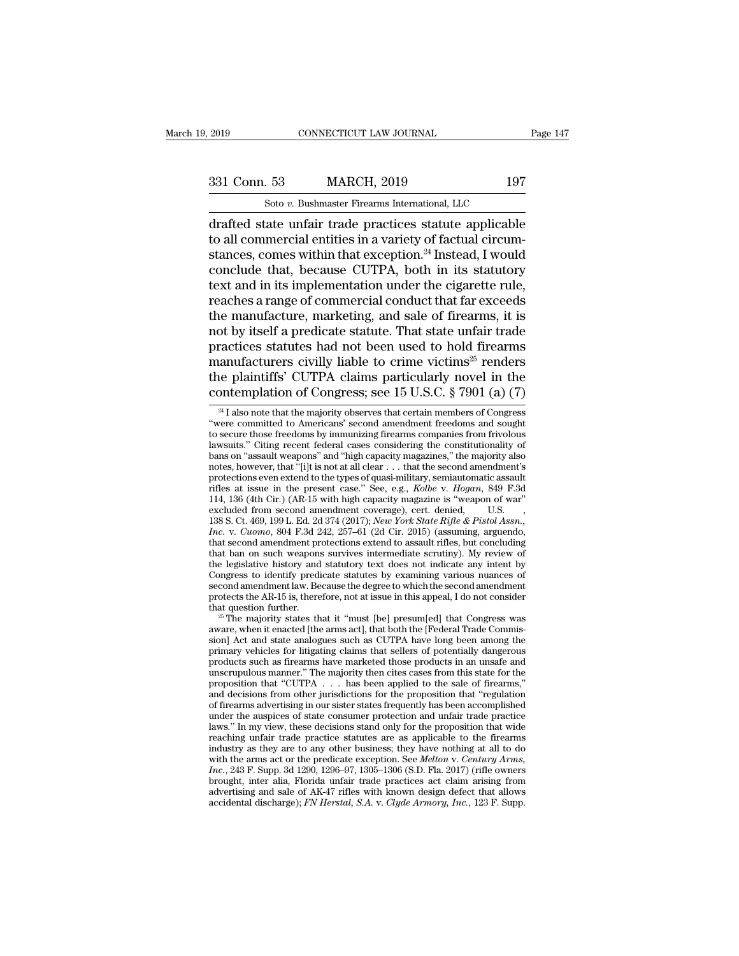# 2019 CONNECTICUT LAW JOURNAL Page 147<br>331 Conn. 53 MARCH, 2019 197<br>500 v. Bushmaster Firearms International, LLC CONNECTICUT LAW JOURNAL<br>
Soto *v.* Bushmaster Firearms International, LLC<br>
Soto *v.* Bushmaster Firearms International, LLC<br>
ate unfair trade practices statute applicable

2019 CONNECTICUT LAW JOURNAL Page 147<br>  $331$  Conn. 53 MARCH, 2019 197<br>
Soto v. Bushmaster Firearms International, LLC<br>
drafted state unfair trade practices statute applicable<br>
to all commercial entities in a variety of fa 331 Conn. 53 MARCH, 2019 197<br>
Soto *v*. Bushmaster Firearms International, LLC<br>
drafted state unfair trade practices statute applicable<br>
to all commercial entities in a variety of factual circum-<br>
stances, comes within th 331 Conn. 53 MARCH, 2019 197<br>
Soto v. Bushmaster Firearms International, LLC<br>
drafted state unfair trade practices statute applicable<br>
to all commercial entities in a variety of factual circum-<br>
stances, comes within that 331 Conn. 53 MARCH, 2019 197<br>
Soto v. Bushmaster Firearms International, LLC<br>
drafted state unfair trade practices statute applicable<br>
to all commercial entities in a variety of factual circum-<br>
stances, comes within that Solution 2011 The collect and solution of the cigarette relation of the collect data and commercial entities in a variety of factual circumstances, comes within that exception.<sup>24</sup> Instead, I would conclude that, because Soto v. Bushmaster Firearms International, LLC<br>
drafted state unfair trade practices statute applicable<br>
to all commercial entities in a variety of factual circum-<br>
stances, comes within that exception.<sup>24</sup> Instead, I wou drafted state unfair trade practices statute applicable<br>to all commercial entities in a variety of factual circum-<br>stances, comes within that exception.<sup>24</sup> Instead, I would<br>conclude that, because CUTPA, both in its statut to all commercial entities in a variety of factual circum-<br>stances, comes within that exception.<sup>24</sup> Instead, I would<br>conclude that, because CUTPA, both in its statutory<br>text and in its implementation under the cigarette r stances, comes within that exception.<sup>24</sup> Instead, I would<br>conclude that, because CUTPA, both in its statutory<br>text and in its implementation under the cigarette rule,<br>reaches a range of commercial conduct that far exceeds conclude that, because CUTPA, both in its statutory<br>text and in its implementation under the cigarette rule,<br>reaches a range of commercial conduct that far exceeds<br>the manufacture, marketing, and sale of firearms, it is<br>n text and in its implementation under the cigarette rule,<br>reaches a range of commercial conduct that far exceeds<br>the manufacture, marketing, and sale of firearms, it is<br>not by itself a predicate statute. That state unfair reaches a range of commercial conduct that far exceeds<br>the manufacture, marketing, and sale of firearms, it is<br>not by itself a predicate statute. That state unfair trade<br>practices statutes had not been used to hold firear ractices statutes had not been used to hold firearms<br>anufacturers civilly liable to crime victims<sup>25</sup> renders<br>the plaintiffs' CUTPA claims particularly novel in the<br>portemplation of Congress; see  $15 \text{ U.S.C.} \text{ § } 7901 \text{ ($ **Framulacturers civilly liable to crime victims<sup>25</sup> renders<br>
the plaintiffs' CUTPA claims particularly novel in the<br>
contemplation of Congress; see 15 U.S.C. § 7901 (a) (7)<br>
<sup>24</sup> I also note that the majority observes tha** 

manuracturers civiny habie to crime victims—renders<br>the plaintiffs' CUTPA claims particularly novel in the<br>contemplation of Congress; see  $15$  U.S.C. § 7901 (a) (7)<br> $\frac{24}{1}$  also note that the majority observes that cer the plaintiffs' CUTPA claims particularly novel in the contemplation of Congress; see  $15$  U.S.C. § 7901 (a) (7)  $\frac{1}{24}$  I also note that the majority observes that certain members of Congress "were committed to Americ **contemplation of Congress; see 15 U.S.C. § 7901 (a) (7)**<br>
<sup>24</sup> I also note that the majority observes that certain members of Congress<br>
"were committed to Americans' second amendment freedoms and sought<br>
to secure those Example 10 To Congress, Sec 19 C.S.C.  $S$  1901 (a) (1)<br>
<sup>24</sup> I also note that the majority observes that certain members of Congress<br>
"were committed to Americans' second amendment freedoms and sought<br>
to secure those fre <sup>24</sup> I also note that the majority observes that certain members of Congress<br>
"were committed to Americans' second amendment freedoms and sought<br>
to secure those freedoms by immunizing firearms companies from frivolous<br>
l "were committed to Americans" second amendment freedoms and sought<br>to secure those freedoms by immunizing firearms companies from frivolous<br>lawsuits." Citing recent federal cases considering the constitutionality of<br>bans o to secure those freedoms by immunizing firearms companies from frivolous<br>lawsuits." Citing recent federal cases considering the constitutionality of<br>bans on "assault weapons" and "high capacity magazines," the majority al Lawsuits." Citing recent federal cases considering the constitutionality of<br>bans on "assault weapons" and "high capacity magazines," the majority also<br>notes, however, that "[i]t is not at all clear  $\ldots$  that the second a mental and the state in the second and the second and the second and the second and the second and the second and the second and the second and the second and the second and the second and the second and the second and the **INCRET CONDUCTS IN THE SECT THEORY AND THEORY INCREDIT TO THE SPONSOR IN THE SPONSOR CONSUMITS A STATE SPONSOR THES AT ISSUE IN 136 (4th Cir.) (AR-15 with high capacity magazine is "weapon of war" excluded from second ame** protections even extend to the types of quasi-military, semiautomatic assault<br>rifles at issue in the present case." See, e.g., *Kolbe v. Hogan*, 849 F.3d<br>114, 136 (4th Cir.) (AR-15 with high capacity magazine is "weapon of rifles at issue in the present case." See, e.g., Kolbe v. Hogan, 849 F.3d 114, 136 (4th Cir.) (AR-15 with high capacity magazine is "weapon of war" excluded from second amendment coverage), cert. denied, U.S. , 138 S. Ct. 114, 136 (4th Cir.) (AR-15 with high capacity magazine is "weapon of war"<br>excluded from second amendment coverage), cert. denied, U.S.<br>138 S. Ct. 469, 199 L. Ed. 2d 374 (2017); *New York State Rifle & Pistol Assn.*,<br>*Inc.* Excluded from second amendment coverage), cert. denied, U.S.<br>
138 S. Ct. 469, 199 L. Ed. 2d 374 (2017); *New York State Rifle & Pistol Assn.*,<br> *Inc.* v. *Cuomo*, 804 F.3d 242, 257-61 (2d Cir. 2015) (assuming, arguendo,<br> 138 S. Ct. 469, 199 L. Ed. 2d 374 (2017); *New York State Rifle & Pistol Assn.*, *Inc.* v. *Cuomo*, 804 F.3d 242, 257–61 (2d Cir. 2015) (assuming, arguendo, that second amendment protections extend to assault rifles, but Frotects the AR-15 is, therefore, not at issue in this appeal, I do not consider that second amendment protections extend to assault rifles, but concluding that ban on such weapons survives intermediate scrutiny). My revi that second amendment protections extend to assault rifles, but concluding<br>that ban on such weapons survives intermediate scrutiny). My review of<br>the legislative history and statutory text does not indicate any intent by<br>C that ban on such weapons survives intermediate scrutiny). My review of the legislative history and statutory text does not indicate any intent by Congress to identify predicate statutes by examining various nuances of sec

signmate the state and state and state and states by examining various nuances of<br>second amendment law. Because the degree to which the second amendment<br>protects the AR-15 is, therefore, not at issue in this appeal, I do n second amendment law. Because the degree to which the second amendment<br>protects the AR-15 is, therefore, not at issue in this appeal, I do not consider<br>that question further.<br><sup>25</sup> The majority states that it "must [be] pre protects the AR-15 is, therefore, not at issue in this appeal, I do not consider that question further.<br>
<sup>25</sup> The majority states that it "must [be] presum[ed] that Congress was aware, when it enacted [the arms act], that that question further.<br>
<sup>25</sup> The majority states that it "must [be] presum[ed] that Congress was<br>
aware, when it enacted [the arms act], that both the [Federal Trade Commis-<br>
sion] Act and state analogues such as CUTPA hav <sup>26</sup> The majority states that it "must [be] presum[ed] that Congress was aware, when it enacted [the arms act], that both the [Federal Trade Commission] Act and state analogues such as CUTPA have long been among the prima and decisions from other jurisdictions for the proposition and the predictions from the primary vehicles for litigating claims that sellers of potentially dangerous products such as firearms have marketed those products in sion] Act and state analogues such as CUTPA have long been among the primary vehicles for litigating claims that sellers of potentially dangerous products such as firearms have marketed those products in an unsafe and uns primary vehicles for litigating claims that sellers of potentially dangerous<br>promary vehicles for litigating claims that sellers of potentially dangerous<br>products such as firearms have marketed those products in an unsafe products such as firearms have marketed those products in an unsafe and<br>unscrupulous manner." The majority then cites cases from this state for the<br>proposition that "CUTPA  $\ldots$  has been applied to the sale of firearms,"<br> **Exercise Status manner.**" The majority then cites cases from this state for the proposition that "CUTPA . . . has been applied to the sale of firearms," and decisions from other jurisdictions for the proposition that "re proposition that "CUTPA ... has been applied to the sale of firearms,"<br>proposition that "CUTPA ... has been applied to the sale of firearms,"<br>and decisions from other jurisdictions for the proposition that "regulation<br>of proposaion and decisions from the principles for the proposition that "regulation of firearms advertising in our sister states frequently has been accomplished under the auspices of state consumer protection and unfair tra and a mean and vertising in our sister states frequently has been accomplished under the auspices of state consumer protection and unfair trade practice laws." In my view, these decisions stand only for the proposition tha brought, inter all and the practice status are applicable to the firecaching under the auspices of state consumer protection and unfair trade practice laws." In my view, these decisions stand only for the proposition that alway." In my view, these decisions stand only for the proposition that wide reaching unfair trade practice statutes are as applicable to the firearms industry as they are to any other business; they have nothing at all t accoling unfair trade practice statutes are as applicable to the firearms<br>industry as they are to any other business; they have nothing at all to do<br>with the arms act or the predicate exception. See *Melton* v. *Century Ar*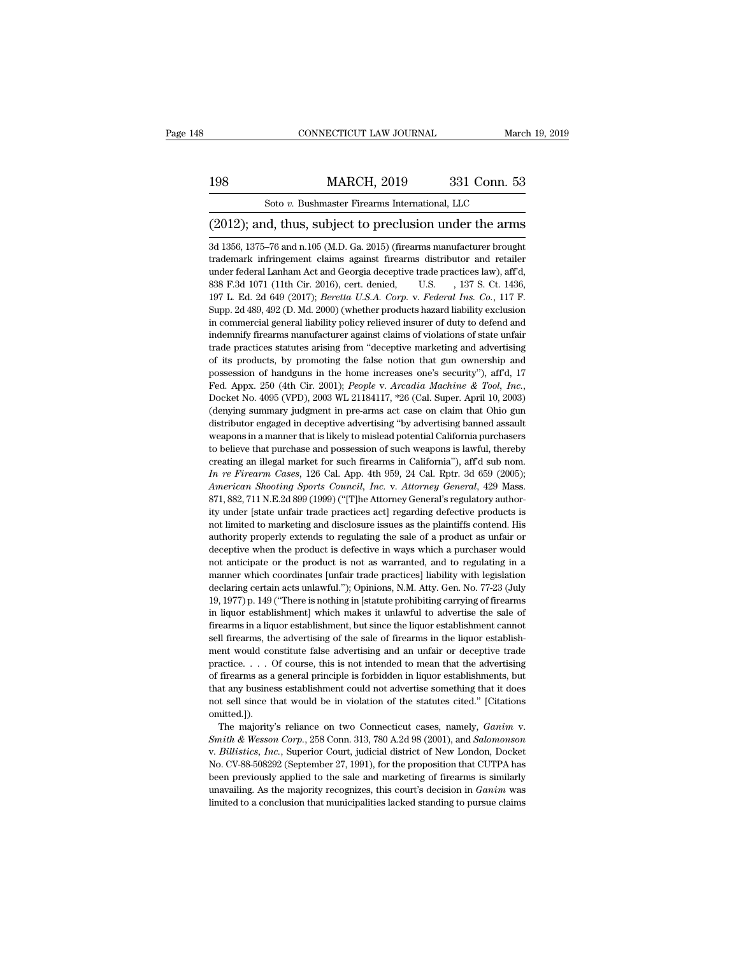# EXECUTE CONNECTICUT LAW JOURNAL March 19, 2019<br>198 MARCH, 2019 331 Conn. 53<br>500 v. Bushmaster Firearms International, LLC CONNECTICUT LAW JOURNAL March March March MARCH, 2019 331 Conn. 53<br>Soto *v.* Bushmaster Firearms International, LLC<br>Id thus subject to preclusion under the arms

(2012); and, thus, subject to preclusion under the arms<br>
2012); and, thus, subject to preclusion under the arms<br>
2012); and, thus, subject to preclusion under the arms<br>
3d 1356, 1375–76 and n.105 (M.D. Ga. 2015) (firearms MARCH, 2019 331 Conn. 53<br>
Soto v. Bushmaster Firearms International, LLC<br>
(2012); and, thus, subject to preclusion under the arms<br>
3d 1356, 1375–76 and n.105 (M.D. Ga. 2015) (firearms manufacturer brought<br>
trademark infrin Soto v. Bushmaster Firearms International, LLC<br>
(2012); and, thus, subject to preclusion under the arms<br>
3d 1356, 1375–76 and n.105 (M.D. Ga. 2015) (firearms manufacturer brought<br>
trademark infringement claims against fire Soto v. Bushmaster Firearms International, LLC<br>
(2012); and, thus, subject to preclusion under the arms<br>
3d 1356, 1375–76 and n.105 (M.D. Ga. 2015) (firearms manufacturer brought<br>
trademark infringement claims against fire (2012); and, thus, subject to preclusion under the arms<br>
3d 1356, 1375–76 and n.105 (M.D. Ga. 2015) (firearms manufacturer brought<br>
trademark infringement claims against firearms distributor and retailer<br>
under federal La 3d 1356, 1375–76 and n.105 (M.D. Ga. 2015) (firearms manufacturer brought trademark infringement claims against firearms distributor and retailer under federal Lanham Act and Georgia deceptive trade practices law), aff'd, 3d 1356, 1375–76 and n.105 (M.D. Ga. 2015) (firearms manufacturer brought trademark infringement claims against firearms distributor and retailer under federal Lanham Act and Georgia deceptive trade practices law), aff'd, in commercial general liability policy relieved insurer of duty of statement fractional relief under federal Lanham Act and Georgia deceptive trade practices law), aff d, 838 F.3d 1071 (11th Cir. 2016), cert. denied, U.S. under federal Lanham Act and Georgia deceptive trade practices law), aff'd, 838 F.3d 1071 (11th Cir. 2016), cert. denied, U.S.  $\,$ , 137 S. Ct. 1436, 197 L. Ed. 2d 649 (2017); *Beretta U.S.A. Corp.* v. *Federal Ins. Co.*, 838 F.3d 1071 (11th Cir. 2016), cert. denied, U.S.  $\,$ , 137 S. Ct. 1436, 197 L. Ed. 2d 649 (2017); *Beretta U.S.A. Corp.* v. *Federal Ins. Co.*, 117 F. Supp. 2d 489, 492 (D. Md. 2000) (whether products hazard liability e 197 L. Ed. 2d 649 (2017); *Beretta U.S.A. Corp.* v. *Federal Ins. Co.*, 117 F. Supp. 2d 489, 492 (D. Md. 2000) (whether products hazard liability exclusion in commercial general liability policy relieved insurer of duty t Supp. 2d 489, 492 (D. Md. 2000) (whether products hazard liability exclusion in commercial general liability policy relieved insurer of duty to defend and indemnify firearms manufacturer against claims of violations of st Fed. Appx. 250 (4th Cir. 2001); *People* v. *Arcadia Machine & Tool, Inc.*, Docket No. 4095 (VPD), 2003 WL 21184117, \*26 (Cal. Super. April 10, 2003) (denying summary judgment in pre-arms act case on claim that Ohio gundar trade practices statutes arising from "deceptive marketing and advertising of its products, by promoting the false notion that gun ownership and possession of handguns in the home increases one's security"), aff'd, 17 Fed of its products, by promoting the false notion that gun ownership and possession of handguns in the home increases one's security"), aff'd, 17 Fed. Appx. 250 (4th Cir. 2001); *People* v. *Arcadia Machine & Tool, Inc.*, Doc possession of hanguas in the home increases one's security"), affd, 17<br>Fed. Appx. 250 (4th Cir. 2001); *People v. Arcadia Machine & Tool, Inc.*,<br>Docket No. 4095 (VPD), 2003 WL 21184117, \*26 (Cal. Super. April 10, 2003)<br>(de Fed. Appx. 250 (4th Cir. 2001); *People v. Arcadia Machine & Tool, Inc.*, Docket No. 4095 (VPD), 2003 WL 21184117, *\*26* (Cal. Super. April 10, 2003) (denying summary judgment in pre-arms act case on claim that Ohio gun di Cocket No. 4095 (VPD), 2003 WL 21184117, \*26 (Cal. Super. April 10, 2003)<br>Docket No. 4095 (VPD), 2003 WL 21184117, \*26 (Cal. Super. April 10, 2003)<br>(denying summary judgment in pre-arms act case on claim that Ohio gun<br>dist *In re Firearm Cases, 126 Cal. App.* 4th 959, 24 Cal. Rptr. 1pm 10, 2009, 10 and distributor engaged in deceptive advertising "by advertising banned assault weapons in a manner that is likely to mislead potential Californi distributor engaged in deceptive advertising "by advertising banned assault<br>distributor engaged in deceptive advertising "by advertising banned assault<br>weapons in a manner that is likely to mislead potential California pur we<br>apons in a manner that is likely to mislead potential California purchasers<br>to believe that purchase and possession of such we<br>apons is lawful, thereby<br>creating an illegal market for such firearms in California"), aff' ity to believe that purchase and possession of such weapons is lawful, thereby creating an illegal market for such firearms in California"), aff'd sub nom.<br>In re Firearm Cases, 126 Cal. App. 4th 959, 24 Cal. Rptr. 3d 659 creating an illegal market for such firearms in California"), aff<sup>7</sup>d sub nom.<br>In re Firearm Cases, 126 Cal. App. 4th 959, 24 Cal. Rptr. 3d 659 (2005);<br>American Shooting Sports Council, Inc. v. Attorney General, 429 Mass.<br> In re Firearm Cases, 126 Cal. App. 4th 959, 24 Cal. Rptr. 3d 659 (2005);<br>American Shooting Sports Council, Inc. v. Attorney General, 429 Mass.<br>871, 882, 711 N.E.2d 899 (1999) ("[T]he Attorney General's regulatory author-<br>t American Shooting Sports Council, Inc. v. Attorney General, 429 Mass.<br>871, 882, 711 N.E.2d 899 (1999) ("[T]he Attorney General's regulatory authority under [state unfair trade practices act] regarding defective products is not anticipate or the product is defective in ways which the practical set and the practices actly regarding defective products is not limited to marketing and disclosure issues as the plaintiffs contend. His authority pro ity under [state unfair trade practices act] regarding defective products is not limited to marketing and disclosure issues as the plaintiffs contend. His authority properly extends to regulating the sale of a product as declaring certain acts unlawful.''); Opinions, N.M. Atty. Gen. No. 77-23 (July 19, 1977) p. 149 ("There is nothing in [statute prohibiting carrying of firearms of the product is the product is not as warranted, and to regu nuthority properly extends to regulating the sale of a product as unfair or deceptive when the product is defective in ways which a purchaser would not anticipate or the product is not as warranted, and to regulating in a deceptive when the product is defective in ways which a purchaser would<br>not anticipate or the product is not as warranted, and to regulating in a<br>manner which coordinates [unfair trade practices] liability with legislation firearms in the broad to the product is not as warranted, and to regulating in a manner which coordinates [unfair trade practices] liability with legislation declaring certain acts unlawful."); Opinions, N.M. Atty. Gen. No manner which coordinates [unfair trade practices] liability with legislion<br>declaring certain acts unlawful."); Opinions, N.M. Atty. Gen. No. 77-23 (July<br>19, 1977) p. 149 ("There is nothing in [statute prohibiting carrying mentain acts unlawful."); Opinions, N.M. Atty. Gen. No. 77-23 (July 19, 1977) p. 149 ("There is nothing in [statute prohibiting carrying of firearms in liquor establishment] which makes it unlawful to advertise the sale o 19, 1977) p. 149 ("There is nothing in [statute prohibiting carrying of firearms<br>in liquor establishment] which makes it unlawful to advertise the sale of<br>firearms in a liquor establishment, but since the liquor establish in liquor establishment] which makes it unlawful to advertise the sale of firearms in a liquor establishment, but since the liquor establishment cannot sell firearms, the advertising of the sale of firearms in the liquor e firearms in a liquor establishment, but since the liquor establishment cannot sell firearms, the advertising of the sale of firearms in the liquor establishment would constitute false advertising and an unfair or deceptiv not sell firearms, the advertising of the sale of firearms in the liquor establishment would constitute false advertising and an unfair or deceptive trade practice. . . . Of course, this is not intended to mean that the ad omitted.]). Fractice. . . . Of course, this is not intended to mean that the advertising of firearms as a general principle is forbidden in liquor establishments, but that any business establishment could not advertise something that

of means as a general principle is constant. In influent coalid and that any business establishment could not advertise something that it does not sell since that would be in violation of the statutes cited." [Citations om not sell since that would be in violation of the statutes cited." [Citations omitted.]).<br>The majority's reliance on two Connecticut cases, namely, *Ganim* v.<br>Smith & Wesson Corp., 258 Conn. 313, 780 A.2d 98 (2001), and *Sa* been previously applied to the sale and marketing of firearms of the majority's reliance on two Connecticut cases, namely, *Ganim v.*<br> *Smith & Wesson Corp.*, 258 Conn. 313, 780 A.2d 98 (2001), and *Salomonson*<br> *v. Billis* The majority's reliance on two Connecticut cases, namely, *Ganim* v.<br>
Smith & Wesson Corp., 258 Conn. 313, 780 A.2d 98 (2001), and *Salomonson*<br>
v. Billistics, Inc., Superior Court, judicial district of New London, Docket<br> Smith & Wesson Corp., 258 Conn. 313, 780 A.2d 98 (2001), and *Salomonson* v. *Billistics, Inc.*, Superior Court, judicial district of New London, Docket No. CV-88-508292 (September 27, 1991), for the proposition that CUTP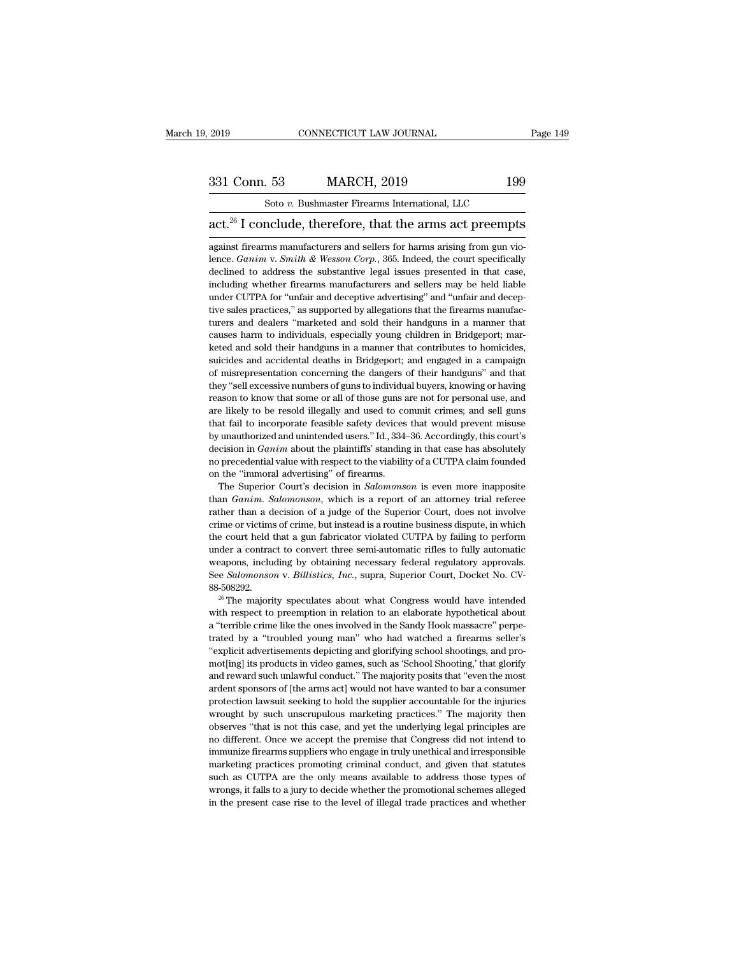# 2019 CONNECTICUT LAW JOURNAL Page 149<br>331 Conn. 53 MARCH, 2019 199<br>500 v. Bushmaster Firearms International, LLC

CONNECTICUT LAW JOURNAL<br>Soto *v.* Bushmaster Firearms International, LLC<br>Soto *v.* Bushmaster Firearms International, LLC<br>nclude, therefore, that the arms act preempts

2019 CONNECTICUT LAW JOURNAL Page 149<br>
331 Conn. 53 MARCH, 2019 199<br>
36to v. Bushmaster Firearms International, LLC<br>
36to v. Bushmaster Firearms International, LLC<br>
37. Therefore, that the arms act preempts<br>
37. Therefore, 331 Conn. 53 MARCH, 2019 199<br>
Soto v. Bushmaster Firearms International, LLC<br>
act.<sup>26</sup> I conclude, therefore, that the arms act preempts<br>
against firearms manufacturers and sellers for harms arising from gun vio-<br>
lence. Soto *v*. Bushmaster Firearms International, LLC<br>act.<sup>26</sup> I conclude, therefore, that the arms act preempts<br>against firearms manufacturers and sellers for harms arising from gun vio-<br>lence. *Ganim* v. *Smith & Wesson Corp.* Soto v. Bushmaster Firearms International, LLC<br>act.<sup>26</sup> I conclude, therefore, that the arms act preempts<br>against firearms manufacturers and sellers for harms arising from gun vio-<br>lence. *Ganim v. Smith & Wesson Corp.*,  $\arct{a}^{26}$  I conclude, therefore, that the arms  $\arct{a}$  preempts against firearms manufacturers and sellers for harms arising from gun violence. *Ganim v. Smith & Wesson Corp.*, 365. Indeed, the court specifically decl and the arm of the arms and sellers for harms and preemipts<br>against firearms manufacturers and sellers for harms arising from gun vio-<br>lence. *Ganim v. Smith & Wesson Corp.*, 365. Indeed, the court specifically<br>declined to against firearms manufacturers and sellers for harms arising from gun vio-<br>lence.  $Ganim$  v.  $Smith$  &  $Wesson$   $Corp$ , 365. Indeed, the court specifically<br>declined to address the substantive legal issues presented in that case,<br>inclu Hence. *Ganim* v. *Smith* & *Wesson Corp.*, 365. Indeed, the court specifically declined to address the substantive legal issues presented in that case, including whether firearms manufacturers and sellers may be held lia declined to address the substantive legal issues presented in that case, including whether firearms manufacturers and sellers may be held liable under CUTPA for "unfair and deceptive advertising" and "unfair and deceptive including whether firearms manufacturers and sellers may be held liable under CUTPA for "unfair and deceptive advertising" and "unfair and deceptive sales practices," as supported by allegations that the firearms manufactu meder CUTPA for "unfair and deceptive advertising" and "unfair and deceptive sales practices," as supported by allegations that the firearms manufacturers and dealers "marketed and sold their handguns in a manner that caus tive sales practices," as supported by allegations that the firearms manufacturers and dealers "marketed and sold their handguns in a manner that causes harm to individuals, especially young children in Bridgeport; markete they the there is a dealers "marketed and sold their handguns in a manner that causes harm to individuals, especially young children in Bridgeport; marketed and sold their handguns in a manner that contributes to homicides causes harm to individuals, especially young children in Bridgeport; marketed and sold their handguns in a manner that contributes to homicides, suicides and accidental deaths in Bridgeport; and engaged in a campaign of mi keted and sold their handguns in a manner that contributes to homicides, suicides and accidental deaths in Bridgeport; and engaged in a campaign of misrepresentation concerning the dangers of their handguns" and that they suicides and accidental deaths in Bridgeport; and engaged in a campaign<br>of misrepresentation concerning the dangers of their handguns" and that<br>they "sell excessive numbers of guns to individual buyers, knowing or having<br>r by matter and unintended users.'' In the plantiffs' standing in that case has absolutely "sell excessive numbers of guns to individual buyers, knowing or having reason to know that some or all of those guns are not for per decision in *Ganim* about the plaintiffs' standing in that case has about they "sell excessive numbers of guns to individual buyers, knowing or having reason to know that some or all of those guns are not for personal use, nesson to know that some or all of those guns are not for personal use, and are likely to be resold illegally and used to commit crimes; and sell guns that fail to incorporate feasible safety devices that would prevent mis Face the vertex are likely to be resold illegally and used to contact that fail to incorporate feasible safety devices<br>by unauthorized and unintended users." Id., 334<br>decision in *Ganim* about the plaintiffs' standin<br>no pr at fail to incorporate feasible safety devices that would prevent misuse unauthorized and unintended users." Id., 334–36. Accordingly, this court's cision in *Ganim* about the plaintiffs' standing in that case has absolute than *Ganim*. *Salomonson*, which is a report of an attorney trial reference and wintended users." Id., 334–36. Accordingly, this court's decision in *Ganim* about the plaintiffs' standing in that case has absolutely no pr

be distinguing a matter of a judge of the viability of a CUTPA claim founded on the "immoral advertising" of firearms.<br>The Superior Court's decision in *Salomonson* is even more inapposite than *Ganim. Salomonson*, which no precedential value with respect to the viability of a CUTPA claim founded<br>on the "immoral advertising" of firearms.<br>The Superior Court's decision in *Salomonson* is even more inapposite<br>than *Ganim. Salomonson*, which i on the "immoral advertising" of firearms.<br>The Superior Court's decision in *Salomonson* is even more inapposite<br>than *Ganim. Salomonson*, which is a report of an attorney trial referee<br>rather than a decision of a judge of The Superior Court's decision in *Salomonson* is even more inapposite than *Ganim. Salomonson*, which is a report of an attorney trial referee rather than a decision of a judge of the Superior Court, does not involve crime than *Ganim. Salomonson*, which is a report of an attorney trial referee trather than a decision of a judge of the Superior Court, does not involve crime or victims of crime, but instead is a routine business dispute, in w rather than a decision of a judge of the Superior Court, does not involve<br>crime or victims of crime, but instead is a routine business dispute, in which<br>the court held that a gun fabricator violated CUTPA by failing to per 88-508292. Example 26 The majority speculates about what Congress would have intended a contract to convert three semi-automatic rifles to fully automatic rappons, including by obtaining necessary federal regulatory approvals.<br>Exampl and a contract to convert three semi-automatic rifles to fully automatic<br>weapons, including by obtaining necessary federal regulatory approvals.<br>See *Salomonson* v. *Billistics, Inc.*, supra, Superior Court, Docket No. CV-

a ''terrible crime is the ones involved in the original regulatory approvals.<br>See *Salomonson v. Billistics, Inc.*, supra, Superior Court, Docket No. CV-88-508292.<br><sup>26</sup> The majority speculates about what Congress would hav See *Salomonson* v. *Billistics*, *Inc.*, supra, Superior Court, Docket No. CV-88-508292.<br><sup>26</sup> The majority speculates about what Congress would have intended with respect to preemption in relation to an elaborate hypothe SS-508292.<br>
<sup>26</sup> The majority speculates about what Congress would have intended<br>
with respect to preemption in relation to an elaborate hypothetical about<br>
a "terrible crime like the ones involved in the Sandy Hook massac <sup>26</sup> The majority speculates about what Congress would have intended with respect to preemption in relation to an elaborate hypothetical about a "terrible crime like the ones involved in the Sandy Hook massacre" perpetrate with respect to preemption in relation to an elaborate hypothetical about a "terrible crime like the ones involved in the Sandy Hook massacre" perpetrated by a "troubled young man" who had watched a firearms seller's "expl a "terrible crime like the ones involved in the Sandy Hook massacre" perpetrated by a "troubled young man" who had watched a firearms seller's "explicit advertisements depicting and glorifying school shootings, and promot[ a trated by a "troubled young man" who had watched a firearms seller's "explicit advertisements depicting and glorifying school shootings, and promot[ing] its products in video games, such as "School Shooting," that glorif "explicit advertisements depicting and glorifying school shootings, and promot[ing] its products in video games, such as 'School Shooting,' that glorify and reward such unlawful conduct." The majority posits that "even the observes 'that is products in video games, such as 'School Shooting,' that glorify<br>mot[ing] its products in video games, such as 'School Shooting,' that glorify<br>and reward such unlawful conduct." The majority posits that " no different spheres and reward such unlawful conduct." The majority posits that "even the most ardent sponsors of [the arms act] would not have wanted to bar a consumer protection lawsuit seeking to hold the supplier acco and and an area is a small would not have wanted to bar a consumer protection lawsuit seeking to hold the supplier accountable for the injuries wrought by such unscrupulous marketing practices." The majority then observes protection lawsuit seeking to hold the supplier accountable for the injuries wrought by such unscrupulous marketing practices." The majority then observes "that is not this case, and yet the underlying legal principles are From the word by such unscruptulous marketing practices." The majority then observes "that is not this case, and yet the underlying legal principles are no different. Once we accept the premise that Congress did not intend whoserves "that is not this case, and yet the underlying legal principles are no different. Once we accept the premise that Congress did not intend to immunize firearms suppliers who engage in truly unethical and irrespons no different. Once we accept the premise that Congress did not intend to immunize firearms suppliers who engage in truly unethical and irresponsible marketing practices promoting criminal conduct, and given that statutes s